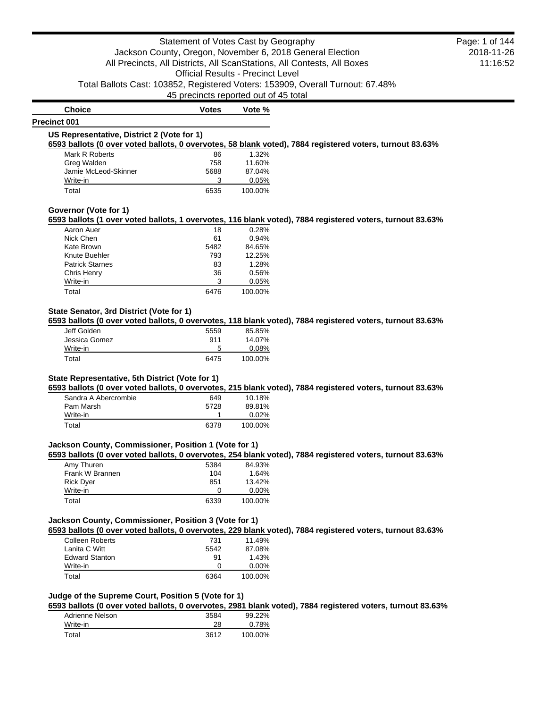**Choice Votes Votes Vote %** 

#### **Precinct 001**

# **US Representative, District 2 (Vote for 1)**

**6593 ballots (0 over voted ballots, 0 overvotes, 58 blank voted), 7884 registered voters, turnout 83.63%**

| Mark R Roberts       | 86   | 1.32%   |
|----------------------|------|---------|
| Greg Walden          | 758  | 11.60%  |
| Jamie McLeod-Skinner | 5688 | 87.04%  |
| Write-in             | 3    | 0.05%   |
| Total                | 6535 | 100.00% |

# **Governor (Vote for 1)**

## **6593 ballots (1 over voted ballots, 1 overvotes, 116 blank voted), 7884 registered voters, turnout 83.63%**

| Aaron Auer             | 18   | 0.28%   |
|------------------------|------|---------|
| Nick Chen              | 61   | 0.94%   |
| Kate Brown             | 5482 | 84.65%  |
| Knute Buehler          | 793  | 12.25%  |
| <b>Patrick Starnes</b> | 83   | 1.28%   |
| Chris Henry            | 36   | 0.56%   |
| Write-in               | 3    | 0.05%   |
| Total                  | 6476 | 100.00% |

# **State Senator, 3rd District (Vote for 1)**

**6593 ballots (0 over voted ballots, 0 overvotes, 118 blank voted), 7884 registered voters, turnout 83.63%**

| Jeff Golden   | 5559 | 85.85%  |
|---------------|------|---------|
| Jessica Gomez | 911  | 14.07%  |
| Write-in      | 5    | 0.08%   |
| Total         | 6475 | 100.00% |

## **State Representative, 5th District (Vote for 1)**

**6593 ballots (0 over voted ballots, 0 overvotes, 215 blank voted), 7884 registered voters, turnout 83.63%**

| Sandra A Abercrombie | 649  | 10.18%   |
|----------------------|------|----------|
| Pam Marsh            | 5728 | 89.81%   |
| Write-in             |      | $0.02\%$ |
| Total                | 6378 | 100.00%  |

#### **Jackson County, Commissioner, Position 1 (Vote for 1)**

## **6593 ballots (0 over voted ballots, 0 overvotes, 254 blank voted), 7884 registered voters, turnout 83.63%**

| Amy Thuren       | 5384 | 84.93%   |
|------------------|------|----------|
| Frank W Brannen  | 104  | 1.64%    |
| <b>Rick Dyer</b> | 851  | 13.42%   |
| Write-in         | 0    | $0.00\%$ |
| Total            | 6339 | 100.00%  |

## **Jackson County, Commissioner, Position 3 (Vote for 1)**

**6593 ballots (0 over voted ballots, 0 overvotes, 229 blank voted), 7884 registered voters, turnout 83.63%**

| Colleen Roberts       | 731  | 11.49%   |
|-----------------------|------|----------|
| Lanita C Witt         | 5542 | 87.08%   |
| <b>Edward Stanton</b> | .91  | 1.43%    |
| Write-in              | 0    | $0.00\%$ |
| Total                 | 6364 | 100.00%  |

# **Judge of the Supreme Court, Position 5 (Vote for 1)**

**6593 ballots (0 over voted ballots, 0 overvotes, 2981 blank voted), 7884 registered voters, turnout 83.63%**

| Adrienne Nelson | 3584 | 99.22%  |
|-----------------|------|---------|
| Write-in        | 28   | 0.78%   |
| Total           | 3612 | 100.00% |

2018-11-26 11:16:52 Page: 1 of 144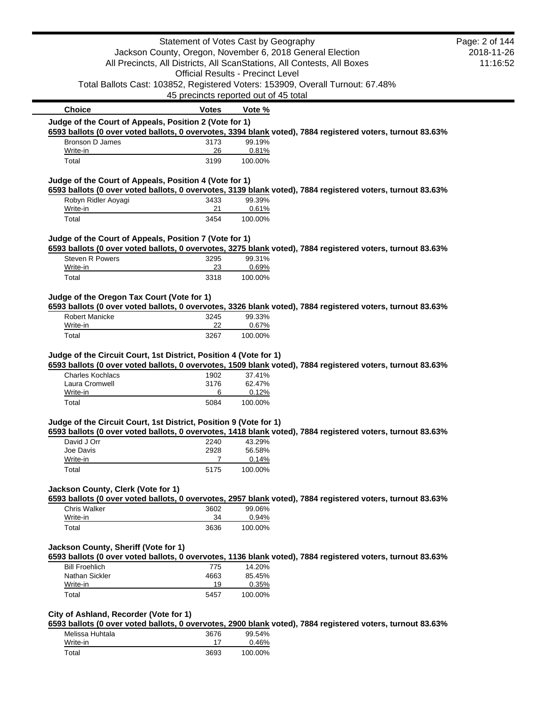|                                                                                       | Statement of Votes Cast by Geography     |                  |                                                                                                            | Page: 2 of 144 |
|---------------------------------------------------------------------------------------|------------------------------------------|------------------|------------------------------------------------------------------------------------------------------------|----------------|
|                                                                                       |                                          |                  | Jackson County, Oregon, November 6, 2018 General Election                                                  | 2018-11-26     |
|                                                                                       |                                          |                  | All Precincts, All Districts, All ScanStations, All Contests, All Boxes                                    | 11:16:52       |
|                                                                                       | <b>Official Results - Precinct Level</b> |                  |                                                                                                            |                |
|                                                                                       |                                          |                  | Total Ballots Cast: 103852, Registered Voters: 153909, Overall Turnout: 67.48%                             |                |
|                                                                                       | 45 precincts reported out of 45 total    |                  |                                                                                                            |                |
| <b>Choice</b>                                                                         | <b>Votes</b>                             | Vote %           |                                                                                                            |                |
| Judge of the Court of Appeals, Position 2 (Vote for 1)                                |                                          |                  |                                                                                                            |                |
| Bronson D James                                                                       | 3173                                     | 99.19%           | 6593 ballots (0 over voted ballots, 0 overvotes, 3394 blank voted), 7884 registered voters, turnout 83.63% |                |
| Write-in                                                                              | 26                                       | 0.81%            |                                                                                                            |                |
| Total                                                                                 | 3199                                     | 100.00%          |                                                                                                            |                |
| Judge of the Court of Appeals, Position 4 (Vote for 1)                                |                                          |                  |                                                                                                            |                |
|                                                                                       |                                          |                  | 6593 ballots (0 over voted ballots, 0 overvotes, 3139 blank voted), 7884 registered voters, turnout 83.63% |                |
| Robyn Ridler Aoyagi                                                                   | 3433<br>21                               | 99.39%           |                                                                                                            |                |
| Write-in<br>Total                                                                     | 3454                                     | 0.61%<br>100.00% |                                                                                                            |                |
|                                                                                       |                                          |                  |                                                                                                            |                |
| Judge of the Court of Appeals, Position 7 (Vote for 1)                                |                                          |                  |                                                                                                            |                |
|                                                                                       |                                          |                  | 6593 ballots (0 over voted ballots, 0 overvotes, 3275 blank voted), 7884 registered voters, turnout 83.63% |                |
| Steven R Powers<br>Write-in                                                           | 3295<br>23                               | 99.31%<br>0.69%  |                                                                                                            |                |
| Total                                                                                 | 3318                                     | 100.00%          |                                                                                                            |                |
| Judge of the Oregon Tax Court (Vote for 1)                                            |                                          |                  |                                                                                                            |                |
|                                                                                       |                                          |                  | 6593 ballots (0 over voted ballots, 0 overvotes, 3326 blank voted), 7884 registered voters, turnout 83.63% |                |
| <b>Robert Manicke</b>                                                                 | 3245                                     | 99.33%           |                                                                                                            |                |
| Write-in                                                                              | 22                                       | 0.67%            |                                                                                                            |                |
| Total                                                                                 | 3267                                     | 100.00%          |                                                                                                            |                |
| Judge of the Circuit Court, 1st District, Position 4 (Vote for 1)<br>Charles Kochlacs | 1902                                     | 37.41%           | 6593 ballots (0 over voted ballots, 0 overvotes, 1509 blank voted), 7884 registered voters, turnout 83.63% |                |
| Laura Cromwell                                                                        | 3176                                     | 62.47%           |                                                                                                            |                |
| Write-in                                                                              | 6                                        | 0.12%            |                                                                                                            |                |
| Total                                                                                 | 5084                                     | 100.00%          |                                                                                                            |                |
| Judge of the Circuit Court, 1st District, Position 9 (Vote for 1)                     |                                          |                  |                                                                                                            |                |
|                                                                                       |                                          |                  | 6593 ballots (0 over voted ballots, 0 overvotes, 1418 blank voted), 7884 registered voters, turnout 83.63% |                |
| David J Orr                                                                           | 2240                                     | 43.29%           |                                                                                                            |                |
| Joe Davis<br>Write-in                                                                 | 2928<br>7                                | 56.58%<br>0.14%  |                                                                                                            |                |
| Total                                                                                 | 5175                                     | 100.00%          |                                                                                                            |                |
|                                                                                       |                                          |                  |                                                                                                            |                |
| Jackson County, Clerk (Vote for 1)                                                    |                                          |                  |                                                                                                            |                |
| <b>Chris Walker</b>                                                                   | 3602                                     | 99.06%           | 6593 ballots (0 over voted ballots, 0 overvotes, 2957 blank voted), 7884 registered voters, turnout 83.63% |                |
| Write-in                                                                              | 34                                       | 0.94%            |                                                                                                            |                |
| Total                                                                                 | 3636                                     | 100.00%          |                                                                                                            |                |
|                                                                                       |                                          |                  |                                                                                                            |                |
| Jackson County, Sheriff (Vote for 1)                                                  |                                          |                  | 6593 ballots (0 over voted ballots, 0 overvotes, 1136 blank voted), 7884 registered voters, turnout 83.63% |                |
| <b>Bill Froehlich</b>                                                                 | 775                                      | 14.20%           |                                                                                                            |                |
| Nathan Sickler                                                                        | 4663                                     | 85.45%           |                                                                                                            |                |
| Write-in                                                                              | 19                                       | 0.35%            |                                                                                                            |                |
| Total                                                                                 | 5457                                     | 100.00%          |                                                                                                            |                |
| City of Ashland, Recorder (Vote for 1)                                                |                                          |                  |                                                                                                            |                |
|                                                                                       |                                          |                  | 6593 ballots (0 over voted ballots, 0 overvotes, 2900 blank voted), 7884 registered voters, turnout 83.63% |                |
| Melissa Huhtala<br>Write-in                                                           | 3676<br>17                               | 99.54%<br>0.46%  |                                                                                                            |                |
| Total                                                                                 | 3693                                     | 100.00%          |                                                                                                            |                |
|                                                                                       |                                          |                  |                                                                                                            |                |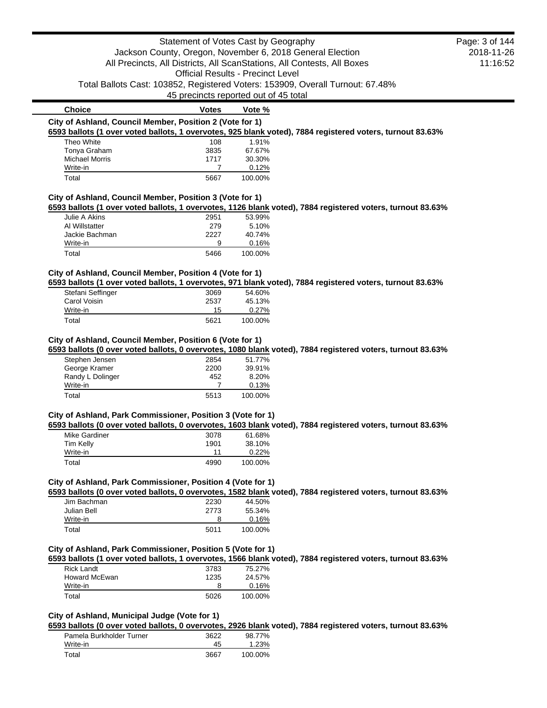|                                                          | Statement of Votes Cast by Geography                      |         |                                                                                                            | Page: 3 of 144 |
|----------------------------------------------------------|-----------------------------------------------------------|---------|------------------------------------------------------------------------------------------------------------|----------------|
|                                                          | Jackson County, Oregon, November 6, 2018 General Election |         |                                                                                                            | 2018-11-26     |
|                                                          |                                                           |         | All Precincts, All Districts, All ScanStations, All Contests, All Boxes                                    | 11:16:52       |
|                                                          | <b>Official Results - Precinct Level</b>                  |         |                                                                                                            |                |
|                                                          |                                                           |         | Total Ballots Cast: 103852, Registered Voters: 153909, Overall Turnout: 67.48%                             |                |
|                                                          | 45 precincts reported out of 45 total                     |         |                                                                                                            |                |
| <b>Choice</b>                                            | <b>Votes</b>                                              | Vote %  |                                                                                                            |                |
| City of Ashland, Council Member, Position 2 (Vote for 1) |                                                           |         |                                                                                                            |                |
|                                                          |                                                           |         | 6593 ballots (1 over voted ballots, 1 overvotes, 925 blank voted), 7884 registered voters, turnout 83.63%  |                |
| Theo White                                               | 108                                                       | 1.91%   |                                                                                                            |                |
| Tonya Graham                                             | 3835                                                      | 67.67%  |                                                                                                            |                |
| <b>Michael Morris</b>                                    | 1717                                                      | 30.30%  |                                                                                                            |                |
| Write-in                                                 | 7                                                         | 0.12%   |                                                                                                            |                |
| Total                                                    | 5667                                                      | 100.00% |                                                                                                            |                |
|                                                          |                                                           |         |                                                                                                            |                |
| City of Ashland, Council Member, Position 3 (Vote for 1) |                                                           |         |                                                                                                            |                |
|                                                          |                                                           |         | 6593 ballots (1 over voted ballots, 1 overvotes, 1126 blank voted), 7884 registered voters, turnout 83.63% |                |
| Julie A Akins                                            | 2951                                                      | 53.99%  |                                                                                                            |                |
| Al Willstatter                                           | 279                                                       | 5.10%   |                                                                                                            |                |
| Jackie Bachman                                           | 2227                                                      | 40.74%  |                                                                                                            |                |
| Write-in                                                 | 9                                                         | 0.16%   |                                                                                                            |                |
| Total                                                    | 5466                                                      | 100.00% |                                                                                                            |                |
| City of Ashland, Council Member, Position 4 (Vote for 1) |                                                           |         |                                                                                                            |                |
|                                                          |                                                           |         | 6593 ballots (1 over voted ballots, 1 overvotes, 971 blank voted), 7884 registered voters, turnout 83.63%  |                |
| Stefani Seffinger                                        | 3069                                                      | 54.60%  |                                                                                                            |                |
| <b>Carol Voisin</b>                                      | 2537                                                      | 45.13%  |                                                                                                            |                |
| Write-in                                                 | 15                                                        | 0.27%   |                                                                                                            |                |
| Total                                                    | 5621                                                      | 100.00% |                                                                                                            |                |
|                                                          |                                                           |         |                                                                                                            |                |
| City of Ashland, Council Member, Position 6 (Vote for 1) |                                                           |         |                                                                                                            |                |
|                                                          |                                                           |         | 6593 ballots (0 over voted ballots, 0 overvotes, 1080 blank voted), 7884 registered voters, turnout 83.63% |                |
| Stephen Jensen                                           | 2854                                                      | 51.77%  |                                                                                                            |                |
| George Kramer                                            | 2200                                                      | 39.91%  |                                                                                                            |                |
| Randy L Dolinger                                         | 452                                                       | 8.20%   |                                                                                                            |                |
| Write-in                                                 | 7                                                         | 0.13%   |                                                                                                            |                |
| Total                                                    | 5513                                                      | 100.00% |                                                                                                            |                |

## **City of Ashland, Park Commissioner, Position 3 (Vote for 1)**

**6593 ballots (0 over voted ballots, 0 overvotes, 1603 blank voted), 7884 registered voters, turnout 83.63%**

| Mike Gardiner | 3078 | 61.68%   |
|---------------|------|----------|
| Tim Kelly     | 1901 | 38.10%   |
| Write-in      | 11   | $0.22\%$ |
| Total         | 4990 | 100.00%  |

# **City of Ashland, Park Commissioner, Position 4 (Vote for 1)**

**6593 ballots (0 over voted ballots, 0 overvotes, 1582 blank voted), 7884 registered voters, turnout 83.63%**

| Jim Bachman | 2230 | 44.50%  |
|-------------|------|---------|
| Julian Bell | 2773 | 55.34%  |
| Write-in    | 8    | 0.16%   |
| Total       | 5011 | 100.00% |

# **City of Ashland, Park Commissioner, Position 5 (Vote for 1)**

**6593 ballots (1 over voted ballots, 1 overvotes, 1566 blank voted), 7884 registered voters, turnout 83.63%**

| Rick Landt    | 3783 | 75.27%  |
|---------------|------|---------|
| Howard McEwan | 1235 | 24.57%  |
| Write-in      | 8    | 0.16%   |
| Total         | 5026 | 100.00% |

# **City of Ashland, Municipal Judge (Vote for 1)**

**6593 ballots (0 over voted ballots, 0 overvotes, 2926 blank voted), 7884 registered voters, turnout 83.63%**

| Pamela Burkholder Turner | 3622 | 98.77%  |
|--------------------------|------|---------|
| Write-in                 | 45   | 1.23%   |
| Total                    | 3667 | 100.00% |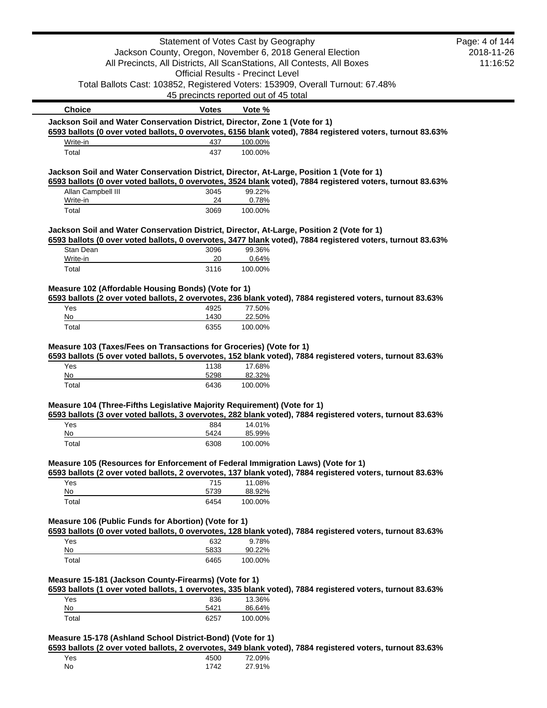|                                                                                           | Statement of Votes Cast by Geography     |                   |                                                                                                            | Page: 4 of 144 |
|-------------------------------------------------------------------------------------------|------------------------------------------|-------------------|------------------------------------------------------------------------------------------------------------|----------------|
|                                                                                           |                                          |                   | Jackson County, Oregon, November 6, 2018 General Election                                                  | 2018-11-26     |
|                                                                                           |                                          |                   | All Precincts, All Districts, All ScanStations, All Contests, All Boxes                                    | 11:16:52       |
|                                                                                           | <b>Official Results - Precinct Level</b> |                   |                                                                                                            |                |
|                                                                                           |                                          |                   | Total Ballots Cast: 103852, Registered Voters: 153909, Overall Turnout: 67.48%                             |                |
|                                                                                           | 45 precincts reported out of 45 total    |                   |                                                                                                            |                |
| <b>Choice</b>                                                                             | <b>Votes</b>                             | Vote %            |                                                                                                            |                |
| Jackson Soil and Water Conservation District, Director, Zone 1 (Vote for 1)               |                                          |                   |                                                                                                            |                |
| Write-in                                                                                  | 437                                      | 100.00%           | 6593 ballots (0 over voted ballots, 0 overvotes, 6156 blank voted), 7884 registered voters, turnout 83.63% |                |
| Total                                                                                     | 437                                      | 100.00%           |                                                                                                            |                |
|                                                                                           |                                          |                   |                                                                                                            |                |
| Jackson Soil and Water Conservation District, Director, At-Large, Position 1 (Vote for 1) |                                          |                   | 6593 ballots (0 over voted ballots, 0 overvotes, 3524 blank voted), 7884 registered voters, turnout 83.63% |                |
| Allan Campbell III                                                                        | 3045                                     | 99.22%            |                                                                                                            |                |
| Write-in                                                                                  | 24                                       | 0.78%             |                                                                                                            |                |
| Total                                                                                     | 3069                                     | 100.00%           |                                                                                                            |                |
| Jackson Soil and Water Conservation District, Director, At-Large, Position 2 (Vote for 1) |                                          |                   |                                                                                                            |                |
|                                                                                           |                                          |                   | 6593 ballots (0 over voted ballots, 0 overvotes, 3477 blank voted), 7884 registered voters, turnout 83.63% |                |
| Stan Dean                                                                                 | 3096                                     | 99.36%            |                                                                                                            |                |
| Write-in<br>Total                                                                         | 20<br>3116                               | 0.64%<br>100.00%  |                                                                                                            |                |
|                                                                                           |                                          |                   |                                                                                                            |                |
| Measure 102 (Affordable Housing Bonds) (Vote for 1)                                       |                                          |                   |                                                                                                            |                |
|                                                                                           |                                          |                   | 6593 ballots (2 over voted ballots, 2 overvotes, 236 blank voted), 7884 registered voters, turnout 83.63%  |                |
| Yes<br>No                                                                                 | 4925<br>1430                             | 77.50%<br>22.50%  |                                                                                                            |                |
| Total                                                                                     | 6355                                     | 100.00%           |                                                                                                            |                |
| Measure 103 (Taxes/Fees on Transactions for Groceries) (Vote for 1)                       |                                          |                   | 6593 ballots (5 over voted ballots, 5 overvotes, 152 blank voted), 7884 registered voters, turnout 83.63%  |                |
|                                                                                           |                                          |                   |                                                                                                            |                |
| Yes<br>No                                                                                 | 1138<br>5298                             | 17.68%<br>82.32%  |                                                                                                            |                |
| Total                                                                                     | 6436                                     | 100.00%           |                                                                                                            |                |
| Measure 104 (Three-Fifths Legislative Majority Requirement) (Vote for 1)                  |                                          |                   | 6593 ballots (3 over voted ballots, 3 overvotes, 282 blank voted), 7884 registered voters, turnout 83.63%  |                |
| Yes<br>No                                                                                 | 884<br>5424                              | 14.01%            |                                                                                                            |                |
| Total                                                                                     | 6308                                     | 85.99%<br>100.00% |                                                                                                            |                |
|                                                                                           |                                          |                   |                                                                                                            |                |
| Measure 105 (Resources for Enforcement of Federal Immigration Laws) (Vote for 1)          |                                          |                   |                                                                                                            |                |
| Yes                                                                                       | 715                                      | 11.08%            | 6593 ballots (2 over voted ballots, 2 overvotes, 137 blank voted), 7884 registered voters, turnout 83.63%  |                |
| No                                                                                        | 5739                                     | 88.92%            |                                                                                                            |                |
| Total                                                                                     | 6454                                     | 100.00%           |                                                                                                            |                |
| Measure 106 (Public Funds for Abortion) (Vote for 1)                                      |                                          |                   | 6593 ballots (0 over voted ballots, 0 overvotes, 128 blank voted), 7884 registered voters, turnout 83.63%  |                |
| Yes                                                                                       | 632                                      | 9.78%             |                                                                                                            |                |
| No                                                                                        | 5833                                     | 90.22%            |                                                                                                            |                |
| Total<br>Measure 15-181 (Jackson County-Firearms) (Vote for 1)                            | 6465                                     | 100.00%           |                                                                                                            |                |
|                                                                                           |                                          |                   | 6593 ballots (1 over voted ballots, 1 overvotes, 335 blank voted), 7884 registered voters, turnout 83.63%  |                |
| Yes                                                                                       | 836                                      | 13.36%            |                                                                                                            |                |
| No<br>Total                                                                               | 5421<br>6257                             | 86.64%<br>100.00% |                                                                                                            |                |

| Yes | 4500 | 72.09% |
|-----|------|--------|
| No  | 1742 | 27.91% |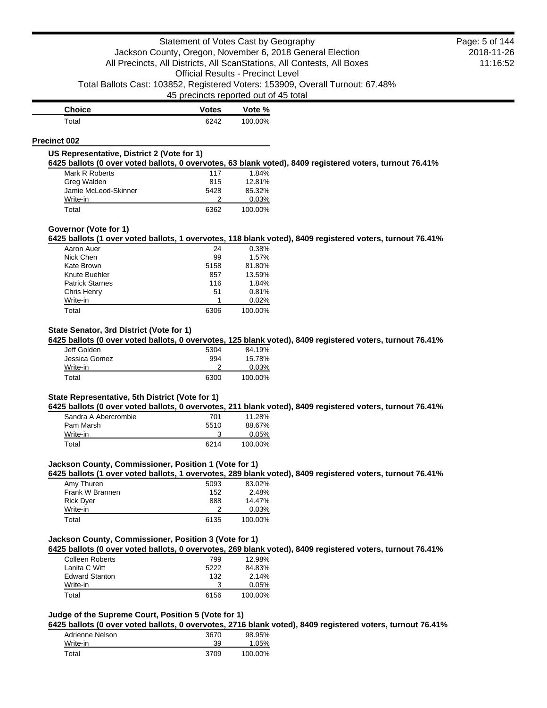| <b>Choice</b> | <b>Votes</b> | Vote %  |
|---------------|--------------|---------|
| Total         | 6242         | 100.00% |

#### **Precinct 002**

#### **US Representative, District 2 (Vote for 1)**

**6425 ballots (0 over voted ballots, 0 overvotes, 63 blank voted), 8409 registered voters, turnout 76.41%**

| Mark R Roberts       | 117  | 1.84%   |
|----------------------|------|---------|
| Greg Walden          | 815  | 12.81%  |
| Jamie McLeod-Skinner | 5428 | 85.32%  |
| Write-in             |      | 0.03%   |
| Total                | 6362 | 100.00% |

## **Governor (Vote for 1)**

**6425 ballots (1 over voted ballots, 1 overvotes, 118 blank voted), 8409 registered voters, turnout 76.41%**

| Aaron Auer             | 24   | 0.38%   |
|------------------------|------|---------|
| Nick Chen              | 99   | 1.57%   |
| Kate Brown             | 5158 | 81.80%  |
| Knute Buehler          | 857  | 13.59%  |
| <b>Patrick Starnes</b> | 116  | 1.84%   |
| Chris Henry            | 51   | 0.81%   |
| Write-in               |      | 0.02%   |
| Total                  | 6306 | 100.00% |

# **State Senator, 3rd District (Vote for 1)**

**6425 ballots (0 over voted ballots, 0 overvotes, 125 blank voted), 8409 registered voters, turnout 76.41%**

| Jeff Golden   | 5304 | 84.19%  |
|---------------|------|---------|
| Jessica Gomez | 994  | 15.78%  |
| Write-in      |      | 0.03%   |
| Total         | 6300 | 100.00% |

# **State Representative, 5th District (Vote for 1)**

**6425 ballots (0 over voted ballots, 0 overvotes, 211 blank voted), 8409 registered voters, turnout 76.41%**

| Sandra A Abercrombie | 701  | 11.28%   |
|----------------------|------|----------|
| Pam Marsh            | 5510 | 88.67%   |
| Write-in             |      | $0.05\%$ |
| Total                | 6214 | 100.00%  |

## **Jackson County, Commissioner, Position 1 (Vote for 1)**

**6425 ballots (1 over voted ballots, 1 overvotes, 289 blank voted), 8409 registered voters, turnout 76.41%**

| Amy Thuren       | 5093 | 83.02%  |
|------------------|------|---------|
| Frank W Brannen  | 152  | 2.48%   |
| <b>Rick Dyer</b> | 888  | 14.47%  |
| Write-in         |      | 0.03%   |
| Total            | 6135 | 100.00% |

## **Jackson County, Commissioner, Position 3 (Vote for 1)**

**6425 ballots (0 over voted ballots, 0 overvotes, 269 blank voted), 8409 registered voters, turnout 76.41%**

| <b>Colleen Roberts</b> | 799  | 12.98%  |
|------------------------|------|---------|
| Lanita C Witt          | 5222 | 84.83%  |
| <b>Edward Stanton</b>  | 132  | 2.14%   |
| Write-in               | з    | 0.05%   |
| Total                  | 6156 | 100.00% |

# **Judge of the Supreme Court, Position 5 (Vote for 1)**

**6425 ballots (0 over voted ballots, 0 overvotes, 2716 blank voted), 8409 registered voters, turnout 76.41%**

| Adrienne Nelson | 3670 | 98.95%  |
|-----------------|------|---------|
| Write-in        | 39   | 1.05%   |
| Total           | 3709 | 100.00% |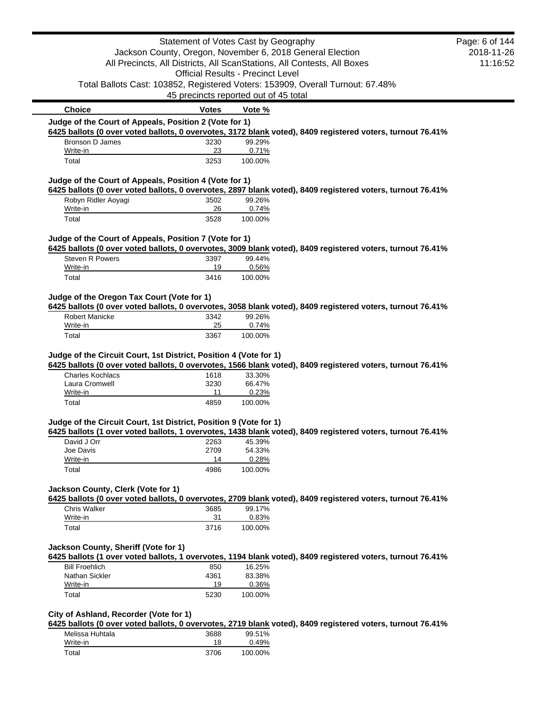|                                                                   | Statement of Votes Cast by Geography     |                  |                                                                                                            | Page: 6 of 144 |
|-------------------------------------------------------------------|------------------------------------------|------------------|------------------------------------------------------------------------------------------------------------|----------------|
|                                                                   |                                          |                  | Jackson County, Oregon, November 6, 2018 General Election                                                  | 2018-11-26     |
|                                                                   |                                          |                  | All Precincts, All Districts, All ScanStations, All Contests, All Boxes                                    | 11:16:52       |
|                                                                   | <b>Official Results - Precinct Level</b> |                  |                                                                                                            |                |
|                                                                   |                                          |                  | Total Ballots Cast: 103852, Registered Voters: 153909, Overall Turnout: 67.48%                             |                |
|                                                                   | 45 precincts reported out of 45 total    |                  |                                                                                                            |                |
| <b>Choice</b>                                                     | <b>Votes</b>                             | Vote %           |                                                                                                            |                |
| Judge of the Court of Appeals, Position 2 (Vote for 1)            |                                          |                  |                                                                                                            |                |
|                                                                   |                                          |                  | 6425 ballots (0 over voted ballots, 0 overvotes, 3172 blank voted), 8409 registered voters, turnout 76.41% |                |
| <b>Bronson D James</b>                                            | 3230                                     | 99.29%           |                                                                                                            |                |
| Write-in<br>Total                                                 | 23<br>3253                               | 0.71%<br>100.00% |                                                                                                            |                |
| Judge of the Court of Appeals, Position 4 (Vote for 1)            |                                          |                  |                                                                                                            |                |
|                                                                   |                                          |                  | 6425 ballots (0 over voted ballots, 0 overvotes, 2897 blank voted), 8409 registered voters, turnout 76.41% |                |
| Robyn Ridler Aoyagi                                               | 3502                                     | 99.26%           |                                                                                                            |                |
| Write-in                                                          | 26                                       | 0.74%            |                                                                                                            |                |
| Total                                                             | 3528                                     | 100.00%          |                                                                                                            |                |
| Judge of the Court of Appeals, Position 7 (Vote for 1)            |                                          |                  |                                                                                                            |                |
|                                                                   |                                          |                  | 6425 ballots (0 over voted ballots, 0 overvotes, 3009 blank voted), 8409 registered voters, turnout 76.41% |                |
| <b>Steven R Powers</b><br>Write-in                                | 3397<br>19                               | 99.44%           |                                                                                                            |                |
| Total                                                             | 3416                                     | 0.56%<br>100.00% |                                                                                                            |                |
|                                                                   |                                          |                  |                                                                                                            |                |
| Judge of the Oregon Tax Court (Vote for 1)                        |                                          |                  | 6425 ballots (0 over voted ballots, 0 overvotes, 3058 blank voted), 8409 registered voters, turnout 76.41% |                |
| <b>Robert Manicke</b>                                             | 3342                                     | 99.26%           |                                                                                                            |                |
| Write-in                                                          | 25                                       | 0.74%            |                                                                                                            |                |
| Total                                                             | 3367                                     | 100.00%          |                                                                                                            |                |
| <b>Charles Kochlacs</b><br>Laura Cromwell                         | 1618<br>3230                             | 33.30%<br>66.47% | 6425 ballots (0 over voted ballots, 0 overvotes, 1566 blank voted), 8409 registered voters, turnout 76.41% |                |
| Write-in                                                          | 11                                       | 0.23%            |                                                                                                            |                |
| Total                                                             | 4859                                     | 100.00%          |                                                                                                            |                |
| Judge of the Circuit Court, 1st District, Position 9 (Vote for 1) |                                          |                  |                                                                                                            |                |
|                                                                   |                                          |                  | 6425 ballots (1 over voted ballots, 1 overvotes, 1438 blank voted), 8409 registered voters, turnout 76.41% |                |
| David J Orr                                                       | 2263                                     | 45.39%           |                                                                                                            |                |
| Joe Davis<br>Write-in                                             | 2709<br>14                               | 54.33%<br>0.28%  |                                                                                                            |                |
| Total                                                             | 4986                                     | 100.00%          |                                                                                                            |                |
|                                                                   |                                          |                  |                                                                                                            |                |
| Jackson County, Clerk (Vote for 1)                                |                                          |                  |                                                                                                            |                |
| Chris Walker                                                      | 3685                                     | 99.17%           | 6425 ballots (0 over voted ballots, 0 overvotes, 2709 blank voted), 8409 registered voters, turnout 76.41% |                |
| Write-in                                                          | 31                                       | 0.83%            |                                                                                                            |                |
| Total                                                             | 3716                                     | 100.00%          |                                                                                                            |                |
| Jackson County, Sheriff (Vote for 1)                              |                                          |                  |                                                                                                            |                |
|                                                                   |                                          |                  | 6425 ballots (1 over voted ballots, 1 overvotes, 1194 blank voted), 8409 registered voters, turnout 76.41% |                |
| <b>Bill Froehlich</b>                                             | 850                                      | 16.25%           |                                                                                                            |                |
| Nathan Sickler                                                    | 4361                                     | 83.38%           |                                                                                                            |                |
| Write-in                                                          | 19                                       | 0.36%            |                                                                                                            |                |
| Total                                                             | 5230                                     | 100.00%          |                                                                                                            |                |
| City of Ashland, Recorder (Vote for 1)                            |                                          |                  |                                                                                                            |                |
|                                                                   |                                          |                  | 6425 ballots (0 over voted ballots, 0 overvotes, 2719 blank voted), 8409 registered voters, turnout 76.41% |                |
| Melissa Huhtala                                                   | 3688                                     | 99.51%           |                                                                                                            |                |
| Write-in                                                          | 18                                       | 0.49%            |                                                                                                            |                |
| Total                                                             | 3706                                     | 100.00%          |                                                                                                            |                |

 $\blacksquare$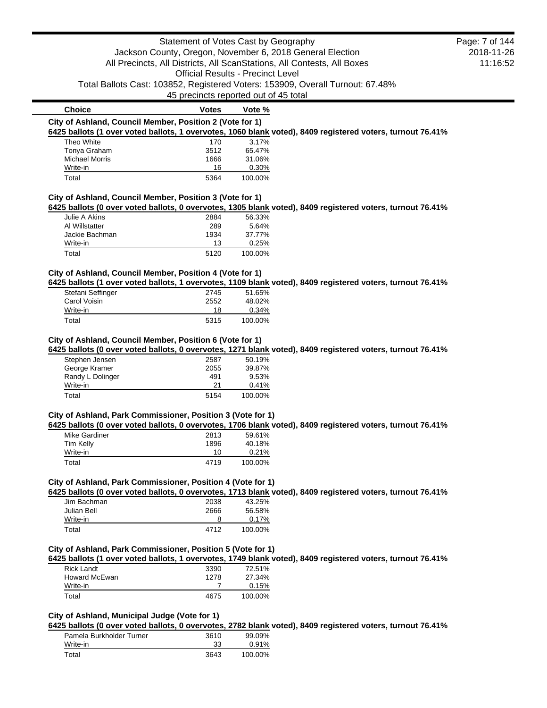# Statement of Votes Cast by Geography Jackson County, Oregon, November 6, 2018 General Election All Precincts, All Districts, All ScanStations, All Contests, All Boxes Official Results - Precinct Level Total Ballots Cast: 103852, Registered Voters: 153909, Overall Turnout: 67.48% 45 precincts reported out of 45 total 2018-11-26 11:16:52 **Choice Votes Vote % City of Ashland, Council Member, Position 2 (Vote for 1) 6425 ballots (1 over voted ballots, 1 overvotes, 1060 blank voted), 8409 registered voters, turnout 76.41%** Theo White 2012 170 2017/179 Tonya Graham 3512 65.47% Michael Morris 1666 31.06%<br>Write-in 16 0.30% Write-in 16 Total 5364 100.00% **City of Ashland, Council Member, Position 3 (Vote for 1) 6425 ballots (0 over voted ballots, 0 overvotes, 1305 blank voted), 8409 registered voters, turnout 76.41%** Julie A Akins 2884 56.33% Al Willstatter 289 5.64% Jackie Bachman 1934 37.77% Write-in 25% Total 5120 100.00% **City of Ashland, Council Member, Position 4 (Vote for 1) 6425 ballots (1 over voted ballots, 1 overvotes, 1109 blank voted), 8409 registered voters, turnout 76.41%** Stefani Seffinger 2745 51.65% Carol Voisin 2552 48.02%<br>Write-in 2008 18 0.34% Write-in 18 Total 5315 100.00% **City of Ashland, Council Member, Position 6 (Vote for 1) 6425 ballots (0 over voted ballots, 0 overvotes, 1271 blank voted), 8409 registered voters, turnout 76.41%** Stephen Jensen 2587 50.19% Page: 7 of 144

| <b>UIUDITUIT UUTIUUIT</b> | 2007 | <u>JU.IJ/U</u> |
|---------------------------|------|----------------|
| George Kramer             | 2055 | 39.87%         |
| Randy L Dolinger          | 491  | 9.53%          |
| Write-in                  | 21   | 0.41%          |
| Total                     | 5154 | 100.00%        |

# **City of Ashland, Park Commissioner, Position 3 (Vote for 1)**

**6425 ballots (0 over voted ballots, 0 overvotes, 1706 blank voted), 8409 registered voters, turnout 76.41%**

| Mike Gardiner | 2813 | 59.61%  |
|---------------|------|---------|
| Tim Kelly     | 1896 | 40.18%  |
| Write-in      | 10   | 0.21%   |
| Total         | 4719 | 100.00% |

# **City of Ashland, Park Commissioner, Position 4 (Vote for 1)**

**6425 ballots (0 over voted ballots, 0 overvotes, 1713 blank voted), 8409 registered voters, turnout 76.41%**

| Jim Bachman | 2038 | 43.25%  |
|-------------|------|---------|
| Julian Bell | 2666 | 56.58%  |
| Write-in    | 8    | 0.17%   |
| Total       | 4712 | 100.00% |

#### **City of Ashland, Park Commissioner, Position 5 (Vote for 1)**

**6425 ballots (1 over voted ballots, 1 overvotes, 1749 blank voted), 8409 registered voters, turnout 76.41%**

| Rick Landt    | 3390 | 72.51%  |
|---------------|------|---------|
| Howard McEwan | 1278 | 27.34%  |
| Write-in      |      | 0.15%   |
| Total         | 4675 | 100.00% |

# **City of Ashland, Municipal Judge (Vote for 1)**

**6425 ballots (0 over voted ballots, 0 overvotes, 2782 blank voted), 8409 registered voters, turnout 76.41%**

| Pamela Burkholder Turner | 3610 | 99.09%  |
|--------------------------|------|---------|
| Write-in                 | 33   | 0.91%   |
| Total                    | 3643 | 100.00% |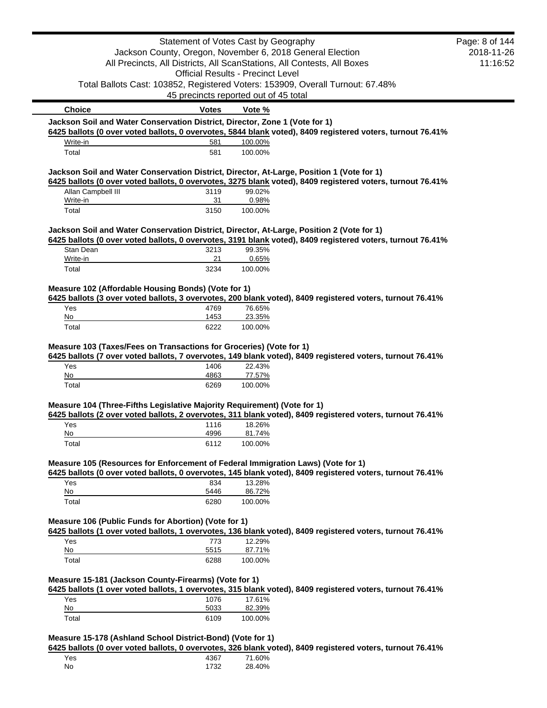|                                                                                           | Statement of Votes Cast by Geography     |                   |                                                                                                            | Page: 8 of 144 |
|-------------------------------------------------------------------------------------------|------------------------------------------|-------------------|------------------------------------------------------------------------------------------------------------|----------------|
|                                                                                           |                                          |                   | Jackson County, Oregon, November 6, 2018 General Election                                                  | 2018-11-26     |
|                                                                                           |                                          |                   | All Precincts, All Districts, All ScanStations, All Contests, All Boxes                                    | 11:16:52       |
|                                                                                           | <b>Official Results - Precinct Level</b> |                   |                                                                                                            |                |
|                                                                                           |                                          |                   | Total Ballots Cast: 103852, Registered Voters: 153909, Overall Turnout: 67.48%                             |                |
|                                                                                           | 45 precincts reported out of 45 total    |                   |                                                                                                            |                |
| <b>Choice</b>                                                                             | <b>Votes</b>                             | Vote %            |                                                                                                            |                |
| Jackson Soil and Water Conservation District, Director, Zone 1 (Vote for 1)               |                                          |                   | 6425 ballots (0 over voted ballots, 0 overvotes, 5844 blank voted), 8409 registered voters, turnout 76.41% |                |
| Write-in                                                                                  | 581                                      | 100.00%           |                                                                                                            |                |
| Total                                                                                     | 581                                      | 100.00%           |                                                                                                            |                |
| Jackson Soil and Water Conservation District, Director, At-Large, Position 1 (Vote for 1) |                                          |                   |                                                                                                            |                |
|                                                                                           |                                          |                   | 6425 ballots (0 over voted ballots, 0 overvotes, 3275 blank voted), 8409 registered voters, turnout 76.41% |                |
| Allan Campbell III                                                                        | 3119                                     | 99.02%            |                                                                                                            |                |
| Write-in                                                                                  | 31                                       | 0.98%             |                                                                                                            |                |
| Total                                                                                     | 3150                                     | 100.00%           |                                                                                                            |                |
| Jackson Soil and Water Conservation District, Director, At-Large, Position 2 (Vote for 1) |                                          |                   |                                                                                                            |                |
|                                                                                           |                                          |                   | 6425 ballots (0 over voted ballots, 0 overvotes, 3191 blank voted), 8409 registered voters, turnout 76.41% |                |
| Stan Dean<br>Write-in                                                                     | 3213<br>21                               | 99.35%<br>0.65%   |                                                                                                            |                |
| Total                                                                                     | 3234                                     | 100.00%           |                                                                                                            |                |
|                                                                                           |                                          |                   |                                                                                                            |                |
| Measure 102 (Affordable Housing Bonds) (Vote for 1)                                       |                                          |                   |                                                                                                            |                |
| Yes                                                                                       |                                          |                   | 6425 ballots (3 over voted ballots, 3 overvotes, 200 blank voted), 8409 registered voters, turnout 76.41%  |                |
|                                                                                           | 4769                                     | 76.65%            |                                                                                                            |                |
|                                                                                           |                                          |                   |                                                                                                            |                |
| No<br>Total                                                                               | 1453<br>6222                             | 23.35%<br>100.00% |                                                                                                            |                |
|                                                                                           |                                          |                   |                                                                                                            |                |
| Measure 103 (Taxes/Fees on Transactions for Groceries) (Vote for 1)                       |                                          |                   |                                                                                                            |                |
|                                                                                           |                                          |                   | 6425 ballots (7 over voted ballots, 7 overvotes, 149 blank voted), 8409 registered voters, turnout 76.41%  |                |
| Yes<br>No                                                                                 | 1406<br>4863                             | 22.43%<br>77.57%  |                                                                                                            |                |
| Total                                                                                     | 6269                                     | 100.00%           |                                                                                                            |                |
|                                                                                           |                                          |                   |                                                                                                            |                |
| Measure 104 (Three-Fifths Legislative Majority Requirement) (Vote for 1)                  |                                          |                   |                                                                                                            |                |
| Yes                                                                                       | 1116                                     | 18.26%            | 6425 ballots (2 over voted ballots, 2 overvotes, 311 blank voted), 8409 registered voters, turnout 76.41%  |                |
| No                                                                                        | 4996                                     | 81.74%            |                                                                                                            |                |
| Total                                                                                     | 6112                                     | 100.00%           |                                                                                                            |                |
|                                                                                           |                                          |                   |                                                                                                            |                |
| Measure 105 (Resources for Enforcement of Federal Immigration Laws) (Vote for 1)          |                                          |                   | 6425 ballots (0 over voted ballots, 0 overvotes, 145 blank voted), 8409 registered voters, turnout 76.41%  |                |
| Yes                                                                                       | 834                                      | 13.28%            |                                                                                                            |                |
| No                                                                                        | 5446                                     | 86.72%            |                                                                                                            |                |
| Total                                                                                     | 6280                                     | 100.00%           |                                                                                                            |                |
| Measure 106 (Public Funds for Abortion) (Vote for 1)                                      |                                          |                   |                                                                                                            |                |
|                                                                                           |                                          |                   | 6425 ballots (1 over voted ballots, 1 overvotes, 136 blank voted), 8409 registered voters, turnout 76.41%  |                |
| Yes                                                                                       | 773                                      | 12.29%            |                                                                                                            |                |
| No                                                                                        | 5515                                     | 87.71%            |                                                                                                            |                |
| Total                                                                                     | 6288                                     | 100.00%           |                                                                                                            |                |
| Measure 15-181 (Jackson County-Firearms) (Vote for 1)                                     |                                          |                   |                                                                                                            |                |
|                                                                                           |                                          |                   | 6425 ballots (1 over voted ballots, 1 overvotes, 315 blank voted), 8409 registered voters, turnout 76.41%  |                |
| Yes                                                                                       | 1076                                     | 17.61%            |                                                                                                            |                |
| No<br>Total                                                                               | 5033<br>6109                             | 82.39%<br>100.00% |                                                                                                            |                |

| Yes | 4367 | 71.60% |
|-----|------|--------|
| No  | 1732 | 28.40% |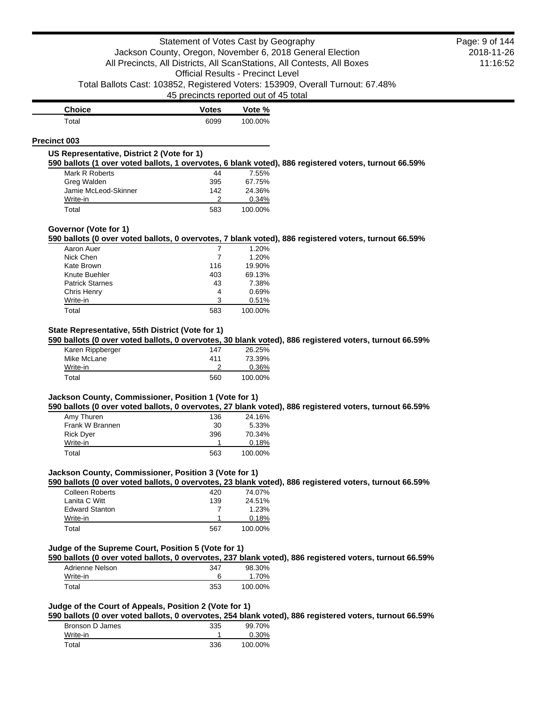| <b>Choice</b> | <b>Votes</b> | Vote %  |
|---------------|--------------|---------|
| Total         | 6099         | 100.00% |

#### **Precinct 003**

## **US Representative, District 2 (Vote for 1)**

**590 ballots (1 over voted ballots, 1 overvotes, 6 blank voted), 886 registered voters, turnout 66.59%**

| Mark R Roberts       | 44  | 7.55%   |
|----------------------|-----|---------|
| Greg Walden          | 395 | 67.75%  |
| Jamie McLeod-Skinner | 142 | 24.36%  |
| Write-in             |     | 0.34%   |
| Total                | 583 | 100.00% |

#### **Governor (Vote for 1)**

**590 ballots (0 over voted ballots, 0 overvotes, 7 blank voted), 886 registered voters, turnout 66.59%**

| Aaron Auer             |     | 1.20%   |
|------------------------|-----|---------|
| Nick Chen              | 7   | 1.20%   |
| Kate Brown             | 116 | 19.90%  |
| Knute Buehler          | 403 | 69.13%  |
| <b>Patrick Starnes</b> | 43  | 7.38%   |
| Chris Henry            | 4   | 0.69%   |
| Write-in               | 3   | 0.51%   |
| Total                  | 583 | 100.00% |

# **State Representative, 55th District (Vote for 1)**

**590 ballots (0 over voted ballots, 0 overvotes, 30 blank voted), 886 registered voters, turnout 66.59%**

| Karen Rippberger | 147 | 26.25%  |
|------------------|-----|---------|
| Mike McLane      | 411 | 73.39%  |
| Write-in         |     | 0.36%   |
| Total            | 560 | 100.00% |

# **Jackson County, Commissioner, Position 1 (Vote for 1)**

**590 ballots (0 over voted ballots, 0 overvotes, 27 blank voted), 886 registered voters, turnout 66.59%**

| Amy Thuren       | 136 | 24.16%  |
|------------------|-----|---------|
| Frank W Brannen  | 30  | 5.33%   |
| <b>Rick Dyer</b> | 396 | 70.34%  |
| Write-in         |     | 0.18%   |
| Total            | 563 | 100.00% |

# **Jackson County, Commissioner, Position 3 (Vote for 1)**

**590 ballots (0 over voted ballots, 0 overvotes, 23 blank voted), 886 registered voters, turnout 66.59%**

| <b>Colleen Roberts</b> | 420 | 74.07%  |
|------------------------|-----|---------|
| Lanita C Witt          | 139 | 24.51%  |
| <b>Edward Stanton</b>  |     | 1.23%   |
| Write-in               |     | 0.18%   |
| Total                  | 567 | 100.00% |

# **Judge of the Supreme Court, Position 5 (Vote for 1)**

**590 ballots (0 over voted ballots, 0 overvotes, 237 blank voted), 886 registered voters, turnout 66.59%**

| Adrienne Nelson | 347 | 98.30%  |
|-----------------|-----|---------|
| Write-in        |     | 1.70%   |
| Total           | 353 | 100.00% |

# **Judge of the Court of Appeals, Position 2 (Vote for 1)**

**590 ballots (0 over voted ballots, 0 overvotes, 254 blank voted), 886 registered voters, turnout 66.59%**

| Bronson D James | 335 | 99.70%  |
|-----------------|-----|---------|
| Write-in        |     | 0.30%   |
| Total           | 336 | 100.00% |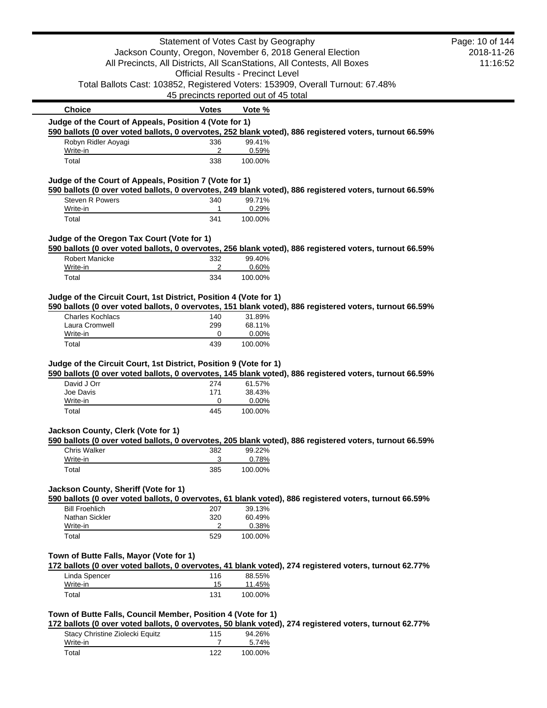|                                                                   | Statement of Votes Cast by Geography     |                  |                                                                                                         | Page: 10 of 144 |
|-------------------------------------------------------------------|------------------------------------------|------------------|---------------------------------------------------------------------------------------------------------|-----------------|
|                                                                   |                                          |                  | Jackson County, Oregon, November 6, 2018 General Election                                               | 2018-11-26      |
|                                                                   |                                          |                  | All Precincts, All Districts, All ScanStations, All Contests, All Boxes                                 | 11:16:52        |
|                                                                   | <b>Official Results - Precinct Level</b> |                  |                                                                                                         |                 |
|                                                                   | 45 precincts reported out of 45 total    |                  | Total Ballots Cast: 103852, Registered Voters: 153909, Overall Turnout: 67.48%                          |                 |
| <b>Choice</b>                                                     | <b>Votes</b>                             | Vote %           |                                                                                                         |                 |
| Judge of the Court of Appeals, Position 4 (Vote for 1)            |                                          |                  |                                                                                                         |                 |
|                                                                   |                                          |                  | 590 ballots (0 over voted ballots, 0 overvotes, 252 blank voted), 886 registered voters, turnout 66.59% |                 |
| Robyn Ridler Aoyagi<br>Write-in                                   | 336<br>2                                 | 99.41%<br>0.59%  |                                                                                                         |                 |
| Total                                                             | 338                                      | 100.00%          |                                                                                                         |                 |
| Judge of the Court of Appeals, Position 7 (Vote for 1)            |                                          |                  |                                                                                                         |                 |
|                                                                   |                                          |                  | 590 ballots (0 over voted ballots, 0 overvotes, 249 blank voted), 886 registered voters, turnout 66.59% |                 |
| <b>Steven R Powers</b>                                            | 340                                      | 99.71%           |                                                                                                         |                 |
| Write-in<br>Total                                                 | 1<br>341                                 | 0.29%<br>100.00% |                                                                                                         |                 |
|                                                                   |                                          |                  |                                                                                                         |                 |
| Judge of the Oregon Tax Court (Vote for 1)                        |                                          |                  |                                                                                                         |                 |
| Robert Manicke                                                    | 332                                      | 99.40%           | 590 ballots (0 over voted ballots, 0 overvotes, 256 blank voted), 886 registered voters, turnout 66.59% |                 |
| Write-in                                                          | 2                                        | 0.60%            |                                                                                                         |                 |
| Total                                                             | 334                                      | 100.00%          |                                                                                                         |                 |
| Judge of the Circuit Court, 1st District, Position 4 (Vote for 1) |                                          |                  |                                                                                                         |                 |
|                                                                   |                                          |                  | 590 ballots (0 over voted ballots, 0 overvotes, 151 blank voted), 886 registered voters, turnout 66.59% |                 |
| <b>Charles Kochlacs</b>                                           | 140                                      | 31.89%           |                                                                                                         |                 |
| Laura Cromwell                                                    | 299                                      | 68.11%           |                                                                                                         |                 |
| Write-in<br>Total                                                 | 0<br>439                                 | 0.00%<br>100.00% |                                                                                                         |                 |
|                                                                   |                                          |                  |                                                                                                         |                 |
| Judge of the Circuit Court, 1st District, Position 9 (Vote for 1) |                                          |                  |                                                                                                         |                 |
| David J Orr                                                       | 274                                      | 61.57%           | 590 ballots (0 over voted ballots, 0 overvotes, 145 blank voted), 886 registered voters, turnout 66.59% |                 |
| Joe Davis                                                         | 171                                      | 38.43%           |                                                                                                         |                 |
| Write-in                                                          | 0                                        | 0.00%            |                                                                                                         |                 |
| Total                                                             | 445                                      | 100.00%          |                                                                                                         |                 |
| Jackson County, Clerk (Vote for 1)                                |                                          |                  |                                                                                                         |                 |
|                                                                   |                                          |                  | 590 ballots (0 over voted ballots, 0 overvotes, 205 blank voted), 886 registered voters, turnout 66.59% |                 |
| Chris Walker                                                      | 382                                      | 99.22%           |                                                                                                         |                 |
| Write-in<br>Total                                                 | 3<br>385                                 | 0.78%<br>100.00% |                                                                                                         |                 |
|                                                                   |                                          |                  |                                                                                                         |                 |
| Jackson County, Sheriff (Vote for 1)                              |                                          |                  |                                                                                                         |                 |
|                                                                   |                                          |                  | 590 ballots (0 over voted ballots, 0 overvotes, 61 blank voted), 886 registered voters, turnout 66.59%  |                 |
| <b>Bill Froehlich</b><br>Nathan Sickler                           | 207<br>320                               | 39.13%<br>60.49% |                                                                                                         |                 |
| Write-in                                                          | 2                                        | 0.38%            |                                                                                                         |                 |
| Total                                                             | 529                                      | 100.00%          |                                                                                                         |                 |
|                                                                   |                                          |                  |                                                                                                         |                 |
| Town of Butte Falls, Mayor (Vote for 1)                           |                                          |                  | 172 ballots (0 over voted ballots, 0 overvotes, 41 blank voted), 274 registered voters, turnout 62.77%  |                 |
| Linda Spencer                                                     | 116                                      | 88.55%           |                                                                                                         |                 |
| Write-in                                                          | 15                                       | 11.45%           |                                                                                                         |                 |
| Total                                                             | 131                                      | 100.00%          |                                                                                                         |                 |
| Town of Butte Falls, Council Member, Position 4 (Vote for 1)      |                                          |                  |                                                                                                         |                 |
|                                                                   |                                          |                  | 172 ballots (0 over voted ballots, 0 overvotes, 50 blank voted), 274 registered voters, turnout 62.77%  |                 |
| Stacy Christine Ziolecki Equitz                                   | 115                                      | 94.26%           |                                                                                                         |                 |
| Write-in                                                          | 7                                        | 5.74%            |                                                                                                         |                 |
| Total                                                             | 122                                      | 100.00%          |                                                                                                         |                 |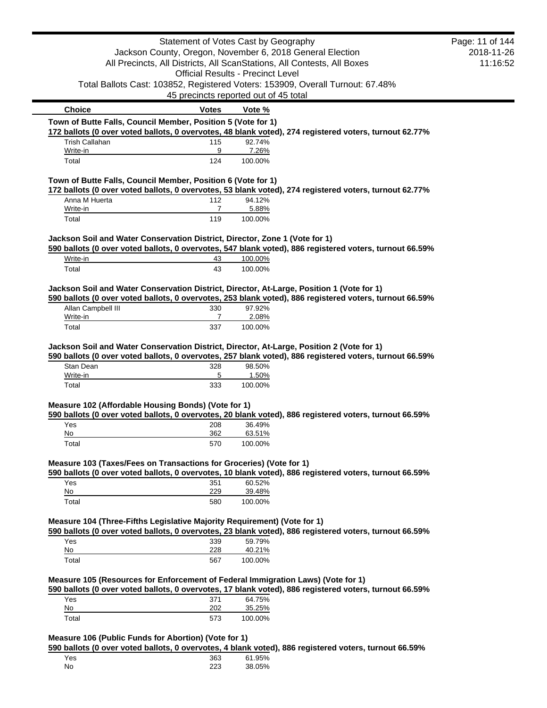|                                                                                                                                                                           |                                                           | Statement of Votes Cast by Geography     |                                                                                                         | Page: 11 of 144 |
|---------------------------------------------------------------------------------------------------------------------------------------------------------------------------|-----------------------------------------------------------|------------------------------------------|---------------------------------------------------------------------------------------------------------|-----------------|
|                                                                                                                                                                           | Jackson County, Oregon, November 6, 2018 General Election |                                          |                                                                                                         | 2018-11-26      |
|                                                                                                                                                                           |                                                           |                                          | All Precincts, All Districts, All ScanStations, All Contests, All Boxes                                 | 11:16:52        |
|                                                                                                                                                                           |                                                           | <b>Official Results - Precinct Level</b> |                                                                                                         |                 |
|                                                                                                                                                                           |                                                           |                                          | Total Ballots Cast: 103852, Registered Voters: 153909, Overall Turnout: 67.48%                          |                 |
|                                                                                                                                                                           | 45 precincts reported out of 45 total                     |                                          |                                                                                                         |                 |
| <b>Choice</b>                                                                                                                                                             | <b>Votes</b>                                              | Vote %                                   |                                                                                                         |                 |
| Town of Butte Falls, Council Member, Position 5 (Vote for 1)                                                                                                              |                                                           |                                          | 172 ballots (0 over voted ballots, 0 overvotes, 48 blank voted), 274 registered voters, turnout 62.77%  |                 |
| <b>Trish Callahan</b>                                                                                                                                                     | 115                                                       | 92.74%                                   |                                                                                                         |                 |
| Write-in                                                                                                                                                                  | 9                                                         | 7.26%                                    |                                                                                                         |                 |
| Total                                                                                                                                                                     | 124                                                       | 100.00%                                  |                                                                                                         |                 |
| Town of Butte Falls, Council Member, Position 6 (Vote for 1)                                                                                                              |                                                           |                                          |                                                                                                         |                 |
| Anna M Huerta                                                                                                                                                             | 112                                                       | 94.12%                                   | 172 ballots (0 over voted ballots, 0 overvotes, 53 blank voted), 274 registered voters, turnout 62.77%  |                 |
| Write-in                                                                                                                                                                  | $\overline{7}$                                            | 5.88%                                    |                                                                                                         |                 |
| Total                                                                                                                                                                     | 119                                                       | 100.00%                                  |                                                                                                         |                 |
|                                                                                                                                                                           |                                                           |                                          |                                                                                                         |                 |
| Jackson Soil and Water Conservation District, Director, Zone 1 (Vote for 1)                                                                                               |                                                           |                                          | 590 ballots (0 over voted ballots, 0 overvotes, 547 blank voted), 886 registered voters, turnout 66.59% |                 |
| Write-in                                                                                                                                                                  | 43                                                        | 100.00%                                  |                                                                                                         |                 |
| Total                                                                                                                                                                     | 43                                                        | 100.00%                                  |                                                                                                         |                 |
| Jackson Soil and Water Conservation District, Director, At-Large, Position 1 (Vote for 1)                                                                                 |                                                           |                                          |                                                                                                         |                 |
|                                                                                                                                                                           |                                                           |                                          | 590 ballots (0 over voted ballots, 0 overvotes, 253 blank voted), 886 registered voters, turnout 66.59% |                 |
| Allan Campbell III                                                                                                                                                        | 330                                                       | 97.92%                                   |                                                                                                         |                 |
| Write-in                                                                                                                                                                  | 7                                                         | 2.08%                                    |                                                                                                         |                 |
| Total                                                                                                                                                                     | 337                                                       |                                          |                                                                                                         |                 |
|                                                                                                                                                                           |                                                           | 100.00%                                  |                                                                                                         |                 |
|                                                                                                                                                                           |                                                           |                                          |                                                                                                         |                 |
|                                                                                                                                                                           |                                                           |                                          | 590 ballots (0 over voted ballots, 0 overvotes, 257 blank voted), 886 registered voters, turnout 66.59% |                 |
| Stan Dean                                                                                                                                                                 | 328                                                       | 98.50%                                   |                                                                                                         |                 |
| Write-in                                                                                                                                                                  | 5                                                         | 1.50%                                    |                                                                                                         |                 |
| Total                                                                                                                                                                     | 333                                                       | 100.00%                                  |                                                                                                         |                 |
|                                                                                                                                                                           |                                                           |                                          |                                                                                                         |                 |
|                                                                                                                                                                           |                                                           |                                          | 590 ballots (0 over voted ballots, 0 overvotes, 20 blank voted), 886 registered voters, turnout 66.59%  |                 |
| Yes                                                                                                                                                                       | 208                                                       | 36.49%                                   |                                                                                                         |                 |
| No<br>Total                                                                                                                                                               | 362<br>570                                                | 63.51%<br>100.00%                        |                                                                                                         |                 |
| Jackson Soil and Water Conservation District, Director, At-Large, Position 2 (Vote for 1)<br>Measure 102 (Affordable Housing Bonds) (Vote for 1)                          |                                                           |                                          |                                                                                                         |                 |
|                                                                                                                                                                           |                                                           |                                          | 590 ballots (0 over voted ballots, 0 overvotes, 10 blank voted), 886 registered voters, turnout 66.59%  |                 |
| Yes                                                                                                                                                                       | 351                                                       | 60.52%                                   |                                                                                                         |                 |
| Measure 103 (Taxes/Fees on Transactions for Groceries) (Vote for 1)<br>No                                                                                                 | <u>229</u>                                                | 39.48%                                   |                                                                                                         |                 |
| Total                                                                                                                                                                     | 580                                                       | 100.00%                                  |                                                                                                         |                 |
|                                                                                                                                                                           |                                                           |                                          |                                                                                                         |                 |
|                                                                                                                                                                           |                                                           |                                          | 590 ballots (0 over voted ballots, 0 overvotes, 23 blank voted), 886 registered voters, turnout 66.59%  |                 |
| Yes                                                                                                                                                                       | 339                                                       | 59.79%                                   |                                                                                                         |                 |
| No                                                                                                                                                                        | 228                                                       | 40.21%                                   |                                                                                                         |                 |
| Total                                                                                                                                                                     | 567                                                       | 100.00%                                  |                                                                                                         |                 |
|                                                                                                                                                                           |                                                           |                                          |                                                                                                         |                 |
|                                                                                                                                                                           |                                                           |                                          | 590 ballots (0 over voted ballots, 0 overvotes, 17 blank voted), 886 registered voters, turnout 66.59%  |                 |
| Measure 104 (Three-Fifths Legislative Majority Requirement) (Vote for 1)<br>Measure 105 (Resources for Enforcement of Federal Immigration Laws) (Vote for 1)<br>Yes<br>No | 371<br>202                                                | 64.75%<br>35.25%                         |                                                                                                         |                 |

| Yes | 363 | 61.95% |
|-----|-----|--------|
| No  | 223 | 38.05% |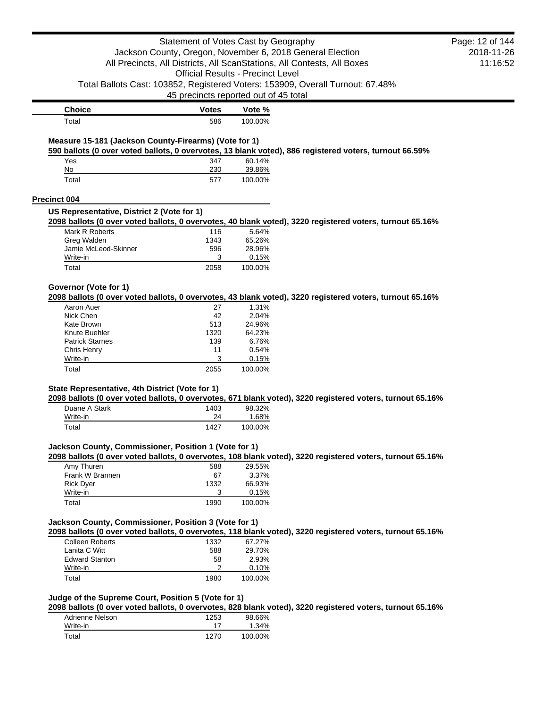|                                                       | Statement of Votes Cast by Geography     |                  | Jackson County, Oregon, November 6, 2018 General Election<br>All Precincts, All Districts, All ScanStations, All Contests, All Boxes | Page: 12 of 144<br>2018-11-26<br>11:16:52 |
|-------------------------------------------------------|------------------------------------------|------------------|--------------------------------------------------------------------------------------------------------------------------------------|-------------------------------------------|
|                                                       | <b>Official Results - Precinct Level</b> |                  |                                                                                                                                      |                                           |
|                                                       |                                          |                  |                                                                                                                                      |                                           |
|                                                       | 45 precincts reported out of 45 total    |                  | Total Ballots Cast: 103852, Registered Voters: 153909, Overall Turnout: 67.48%                                                       |                                           |
| <b>Choice</b>                                         | <b>Votes</b>                             | Vote %           |                                                                                                                                      |                                           |
| Total                                                 | 586                                      | 100.00%          |                                                                                                                                      |                                           |
| Measure 15-181 (Jackson County-Firearms) (Vote for 1) |                                          |                  | 590 ballots (0 over voted ballots, 0 overvotes, 13 blank voted), 886 registered voters, turnout 66.59%                               |                                           |
| Yes<br>No                                             | 347<br>230                               | 60.14%<br>39.86% |                                                                                                                                      |                                           |
| Total                                                 | 577                                      | 100.00%          |                                                                                                                                      |                                           |
| Precinct 004                                          |                                          |                  |                                                                                                                                      |                                           |
| US Representative, District 2 (Vote for 1)            |                                          |                  | 2098 ballots (0 over voted ballots, 0 overvotes, 40 blank voted), 3220 registered voters, turnout 65.16%                             |                                           |
| Mark R Roberts                                        | 116                                      | 5.64%            |                                                                                                                                      |                                           |
| Greg Walden                                           | 1343                                     | 65.26%           |                                                                                                                                      |                                           |
| Jamie McLeod-Skinner                                  | 596                                      | 28.96%           |                                                                                                                                      |                                           |
| Write-in<br>Total                                     | 3<br>2058                                | 0.15%<br>100.00% |                                                                                                                                      |                                           |
|                                                       |                                          |                  |                                                                                                                                      |                                           |
| Governor (Vote for 1)                                 |                                          |                  | 2098 ballots (0 over voted ballots, 0 overvotes, 43 blank voted), 3220 registered voters, turnout 65.16%                             |                                           |
| Aaron Auer                                            | 27                                       | 1.31%            |                                                                                                                                      |                                           |
| Nick Chen                                             | 42                                       | 2.04%            |                                                                                                                                      |                                           |
| Kate Brown                                            | 513                                      | 24.96%           |                                                                                                                                      |                                           |
| Knute Buehler<br><b>Patrick Starnes</b>               | 1320<br>139                              | 64.23%<br>6.76%  |                                                                                                                                      |                                           |
| Chris Henry                                           | 11                                       | 0.54%            |                                                                                                                                      |                                           |
| Write-in                                              | 3                                        | 0.15%            |                                                                                                                                      |                                           |
| Total                                                 | 2055                                     | 100.00%          |                                                                                                                                      |                                           |
| State Representative, 4th District (Vote for 1)       |                                          |                  |                                                                                                                                      |                                           |
| Duane A Stark                                         | 1403                                     | 98.32%           | 2098 ballots (0 over voted ballots, 0 overvotes, 671 blank voted), 3220 registered voters, turnout 65.16%                            |                                           |
| Write-in                                              | 24                                       | 1.68%            |                                                                                                                                      |                                           |
| Total                                                 | 1427                                     | 100.00%          |                                                                                                                                      |                                           |
| Jackson County, Commissioner, Position 1 (Vote for 1) |                                          |                  | 2098 ballots (0 over voted ballots, 0 overvotes, 108 blank voted), 3220 registered voters, turnout 65.16%                            |                                           |
| Amy Thuren                                            | 588                                      | 29.55%           |                                                                                                                                      |                                           |
| Frank W Brannen                                       | 67                                       | 3.37%            |                                                                                                                                      |                                           |
| <b>Rick Dyer</b>                                      | 1332                                     | 66.93%           |                                                                                                                                      |                                           |
| Write-in                                              | 3                                        | 0.15%            |                                                                                                                                      |                                           |
| Total                                                 | 1990                                     | 100.00%          |                                                                                                                                      |                                           |
| Jackson County, Commissioner, Position 3 (Vote for 1) |                                          |                  | 2098 ballots (0 over voted ballots, 0 overvotes, 118 blank voted), 3220 registered voters, turnout 65.16%                            |                                           |
| <b>Colleen Roberts</b>                                | 1332                                     | 67.27%           |                                                                                                                                      |                                           |
| Lanita C Witt                                         | 588                                      | 29.70%           |                                                                                                                                      |                                           |
| <b>Edward Stanton</b>                                 | 58                                       | 2.93%            |                                                                                                                                      |                                           |
| Write-in                                              | 2                                        | 0.10%            |                                                                                                                                      |                                           |
| Total                                                 | 1980                                     | 100.00%          |                                                                                                                                      |                                           |
| Judge of the Supreme Court, Position 5 (Vote for 1)   |                                          |                  |                                                                                                                                      |                                           |
|                                                       |                                          |                  | 2098 ballots (0 over voted ballots, 0 overvotes, 828 blank voted), 3220 registered voters, turnout 65.16%                            |                                           |
| Adrienne Nelson<br>Write-in                           | 1253<br>17                               | 98.66%<br>1.34%  |                                                                                                                                      |                                           |
| Total                                                 | 1270                                     | 100.00%          |                                                                                                                                      |                                           |
|                                                       |                                          |                  |                                                                                                                                      |                                           |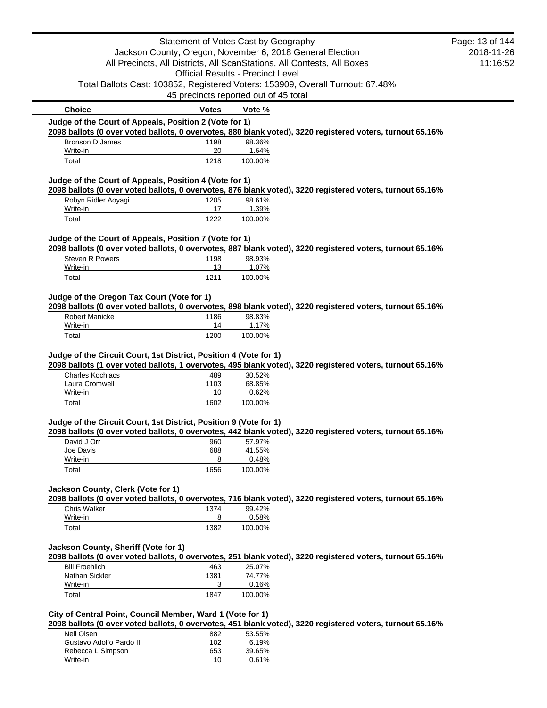|                                                                   | Statement of Votes Cast by Geography     |                  |                                                                                                           | Page: 13 of 144 |
|-------------------------------------------------------------------|------------------------------------------|------------------|-----------------------------------------------------------------------------------------------------------|-----------------|
|                                                                   |                                          |                  | Jackson County, Oregon, November 6, 2018 General Election                                                 | 2018-11-26      |
|                                                                   |                                          |                  | All Precincts, All Districts, All ScanStations, All Contests, All Boxes                                   | 11:16:52        |
|                                                                   | <b>Official Results - Precinct Level</b> |                  |                                                                                                           |                 |
|                                                                   |                                          |                  | Total Ballots Cast: 103852, Registered Voters: 153909, Overall Turnout: 67.48%                            |                 |
|                                                                   | 45 precincts reported out of 45 total    |                  |                                                                                                           |                 |
| <b>Choice</b>                                                     | <b>Votes</b>                             | Vote %           |                                                                                                           |                 |
| Judge of the Court of Appeals, Position 2 (Vote for 1)            |                                          |                  |                                                                                                           |                 |
|                                                                   |                                          |                  | 2098 ballots (0 over voted ballots, 0 overvotes, 880 blank voted), 3220 registered voters, turnout 65.16% |                 |
| Bronson D James                                                   | 1198<br>20                               | 98.36%           |                                                                                                           |                 |
| Write-in<br>Total                                                 | 1218                                     | 1.64%<br>100.00% |                                                                                                           |                 |
|                                                                   |                                          |                  |                                                                                                           |                 |
| Judge of the Court of Appeals, Position 4 (Vote for 1)            |                                          |                  | 2098 ballots (0 over voted ballots, 0 overvotes, 876 blank voted), 3220 registered voters, turnout 65.16% |                 |
| Robyn Ridler Aoyagi                                               | 1205                                     | 98.61%           |                                                                                                           |                 |
| Write-in                                                          | 17                                       | 1.39%            |                                                                                                           |                 |
| Total                                                             | 1222                                     | 100.00%          |                                                                                                           |                 |
|                                                                   |                                          |                  |                                                                                                           |                 |
| Judge of the Court of Appeals, Position 7 (Vote for 1)            |                                          |                  | 2098 ballots (0 over voted ballots, 0 overvotes, 887 blank voted), 3220 registered voters, turnout 65.16% |                 |
| Steven R Powers                                                   | 1198                                     | 98.93%           |                                                                                                           |                 |
| Write-in                                                          | 13                                       | 1.07%            |                                                                                                           |                 |
| Total                                                             | 1211                                     | 100.00%          |                                                                                                           |                 |
|                                                                   |                                          |                  |                                                                                                           |                 |
| Judge of the Oregon Tax Court (Vote for 1)                        |                                          |                  | 2098 ballots (0 over voted ballots, 0 overvotes, 898 blank voted), 3220 registered voters, turnout 65.16% |                 |
| <b>Robert Manicke</b>                                             | 1186                                     | 98.83%           |                                                                                                           |                 |
| Write-in                                                          | 14                                       | 1.17%            |                                                                                                           |                 |
| Total                                                             | 1200                                     | 100.00%          |                                                                                                           |                 |
| Judge of the Circuit Court, 1st District, Position 4 (Vote for 1) |                                          |                  |                                                                                                           |                 |
|                                                                   |                                          |                  | 2098 ballots (1 over voted ballots, 1 overvotes, 495 blank voted), 3220 registered voters, turnout 65.16% |                 |
| <b>Charles Kochlacs</b><br>Laura Cromwell                         | 489<br>1103                              | 30.52%<br>68.85% |                                                                                                           |                 |
| Write-in                                                          | 10                                       | 0.62%            |                                                                                                           |                 |
| Total                                                             | 1602                                     | 100.00%          |                                                                                                           |                 |
|                                                                   |                                          |                  |                                                                                                           |                 |
| Judge of the Circuit Court, 1st District, Position 9 (Vote for 1) |                                          |                  |                                                                                                           |                 |
|                                                                   |                                          |                  | 2098 ballots (0 over voted ballots, 0 overvotes, 442 blank voted), 3220 registered voters, turnout 65.16% |                 |
| David J Orr<br>Joe Davis                                          | 960<br>688                               | 57.97%<br>41.55% |                                                                                                           |                 |
| Write-in                                                          | 8                                        | 0.48%            |                                                                                                           |                 |
| Total                                                             | 1656                                     | 100.00%          |                                                                                                           |                 |
|                                                                   |                                          |                  |                                                                                                           |                 |
| Jackson County, Clerk (Vote for 1)                                |                                          |                  |                                                                                                           |                 |
| <b>Chris Walker</b>                                               |                                          | 99.42%           | 2098 ballots (0 over voted ballots, 0 overvotes, 716 blank voted), 3220 registered voters, turnout 65.16% |                 |
| Write-in                                                          | 1374<br>8                                | 0.58%            |                                                                                                           |                 |
| Total                                                             | 1382                                     | 100.00%          |                                                                                                           |                 |
|                                                                   |                                          |                  |                                                                                                           |                 |
| Jackson County, Sheriff (Vote for 1)                              |                                          |                  |                                                                                                           |                 |
|                                                                   |                                          |                  | 2098 ballots (0 over voted ballots, 0 overvotes, 251 blank voted), 3220 registered voters, turnout 65.16% |                 |
| <b>Bill Froehlich</b>                                             | 463                                      | 25.07%           |                                                                                                           |                 |
| Nathan Sickler                                                    | 1381                                     | 74.77%           |                                                                                                           |                 |
| Write-in                                                          | 3                                        | 0.16%            |                                                                                                           |                 |
| Total                                                             | 1847                                     | 100.00%          |                                                                                                           |                 |
| City of Central Point, Council Member, Ward 1 (Vote for 1)        |                                          |                  |                                                                                                           |                 |
|                                                                   |                                          |                  | 2098 ballots (0 over voted ballots, 0 overvotes, 451 blank voted), 3220 registered voters, turnout 65.16% |                 |
| Neil Olsen                                                        | 882                                      | 53.55%           |                                                                                                           |                 |
| Gustavo Adolfo Pardo III                                          | 102                                      | 6.19%            |                                                                                                           |                 |
| Rebecca L Simpson                                                 | 653                                      | 39.65%           |                                                                                                           |                 |
| Write-in                                                          | 10                                       | 0.61%            |                                                                                                           |                 |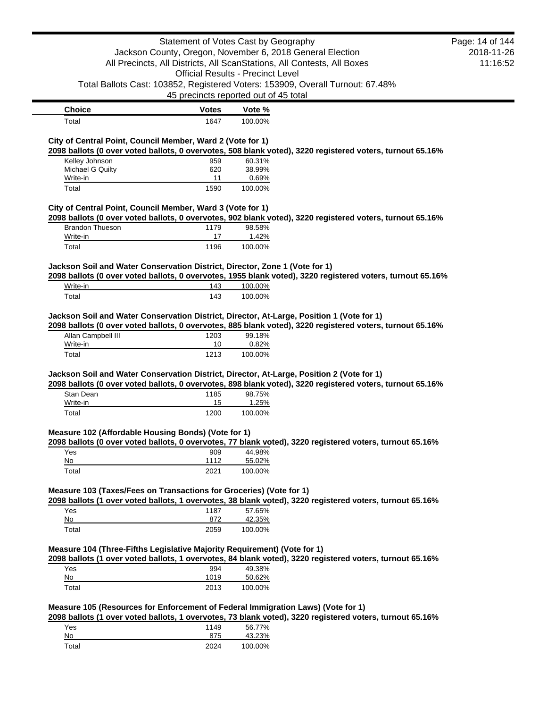|                                                                                           | Statement of Votes Cast by Geography     |                  |                                                                                                            | Page: 14 of 144 |
|-------------------------------------------------------------------------------------------|------------------------------------------|------------------|------------------------------------------------------------------------------------------------------------|-----------------|
|                                                                                           |                                          |                  | Jackson County, Oregon, November 6, 2018 General Election                                                  | 2018-11-26      |
|                                                                                           |                                          |                  | All Precincts, All Districts, All ScanStations, All Contests, All Boxes                                    | 11:16:52        |
|                                                                                           | <b>Official Results - Precinct Level</b> |                  |                                                                                                            |                 |
|                                                                                           |                                          |                  | Total Ballots Cast: 103852, Registered Voters: 153909, Overall Turnout: 67.48%                             |                 |
|                                                                                           |                                          |                  |                                                                                                            |                 |
|                                                                                           | 45 precincts reported out of 45 total    |                  |                                                                                                            |                 |
| <b>Choice</b>                                                                             | <b>Votes</b>                             | Vote %           |                                                                                                            |                 |
| Total                                                                                     | 1647                                     | 100.00%          |                                                                                                            |                 |
| City of Central Point, Council Member, Ward 2 (Vote for 1)                                |                                          |                  |                                                                                                            |                 |
|                                                                                           |                                          |                  | 2098 ballots (0 over voted ballots, 0 overvotes, 508 blank voted), 3220 registered voters, turnout 65.16%  |                 |
| Kelley Johnson                                                                            | 959                                      | 60.31%           |                                                                                                            |                 |
| Michael G Quilty                                                                          | 620                                      | 38.99%           |                                                                                                            |                 |
| Write-in                                                                                  | 11                                       | 0.69%            |                                                                                                            |                 |
| Total                                                                                     | 1590                                     | 100.00%          |                                                                                                            |                 |
| City of Central Point, Council Member, Ward 3 (Vote for 1)                                |                                          |                  |                                                                                                            |                 |
|                                                                                           |                                          |                  | 2098 ballots (0 over voted ballots, 0 overvotes, 902 blank voted), 3220 registered voters, turnout 65.16%  |                 |
| <b>Brandon Thueson</b>                                                                    | 1179                                     | 98.58%           |                                                                                                            |                 |
| Write-in                                                                                  | 17                                       | 1.42%            |                                                                                                            |                 |
| Total                                                                                     | 1196                                     | 100.00%          |                                                                                                            |                 |
| Jackson Soil and Water Conservation District, Director, Zone 1 (Vote for 1)               |                                          |                  |                                                                                                            |                 |
|                                                                                           |                                          |                  | 2098 ballots (0 over voted ballots, 0 overvotes, 1955 blank voted), 3220 registered voters, turnout 65.16% |                 |
| Write-in                                                                                  | 143                                      | 100.00%          |                                                                                                            |                 |
| Total                                                                                     | 143                                      | 100.00%          |                                                                                                            |                 |
| Write-in<br>Total                                                                         | 10<br>1213                               | 0.82%<br>100.00% |                                                                                                            |                 |
|                                                                                           |                                          |                  |                                                                                                            |                 |
| Jackson Soil and Water Conservation District, Director, At-Large, Position 2 (Vote for 1) |                                          |                  |                                                                                                            |                 |
|                                                                                           |                                          |                  | 2098 ballots (0 over voted ballots, 0 overvotes, 898 blank voted), 3220 registered voters, turnout 65.16%  |                 |
| Stan Dean                                                                                 | 1185                                     | 98.75%           |                                                                                                            |                 |
| Write-in                                                                                  | 15                                       | 1.25%            |                                                                                                            |                 |
| Total                                                                                     | 1200                                     | 100.00%          |                                                                                                            |                 |
| Measure 102 (Affordable Housing Bonds) (Vote for 1)                                       |                                          |                  |                                                                                                            |                 |
|                                                                                           |                                          |                  | 2098 ballots (0 over voted ballots, 0 overvotes, 77 blank voted), 3220 registered voters, turnout 65.16%   |                 |
| Yes                                                                                       | 909                                      | 44.98%           |                                                                                                            |                 |
| No                                                                                        | 1112                                     | 55.02%           |                                                                                                            |                 |
| Total                                                                                     | 2021                                     | 100.00%          |                                                                                                            |                 |
| Measure 103 (Taxes/Fees on Transactions for Groceries) (Vote for 1)                       |                                          |                  |                                                                                                            |                 |
|                                                                                           |                                          |                  | 2098 ballots (1 over voted ballots, 1 overvotes, 38 blank voted), 3220 registered voters, turnout 65.16%   |                 |
| Yes                                                                                       | 1187                                     | 57.65%           |                                                                                                            |                 |
| No                                                                                        | 872                                      | 42.35%           |                                                                                                            |                 |
| Total                                                                                     | 2059                                     | 100.00%          |                                                                                                            |                 |
| Measure 104 (Three-Fifths Legislative Majority Requirement) (Vote for 1)                  |                                          |                  |                                                                                                            |                 |
|                                                                                           |                                          |                  | 2098 ballots (1 over voted ballots, 1 overvotes, 84 blank voted), 3220 registered voters, turnout 65.16%   |                 |
| Yes                                                                                       | 994                                      | 49.38%           |                                                                                                            |                 |
| No                                                                                        | 1019                                     | 50.62%           |                                                                                                            |                 |
| Total                                                                                     | 2013                                     | 100.00%          |                                                                                                            |                 |
|                                                                                           |                                          |                  |                                                                                                            |                 |
| Measure 105 (Resources for Enforcement of Federal Immigration Laws) (Vote for 1)          |                                          |                  |                                                                                                            |                 |
|                                                                                           |                                          |                  | 2098 ballots (1 over voted ballots, 1 overvotes, 73 blank voted), 3220 registered voters, turnout 65.16%   |                 |
| Yes                                                                                       | 1149                                     | 56.77%           |                                                                                                            |                 |

Yes 1149 56.77%<br>No 875 43.23% No 875 43.23%<br>Total 2024 100.00%

2024 100.00%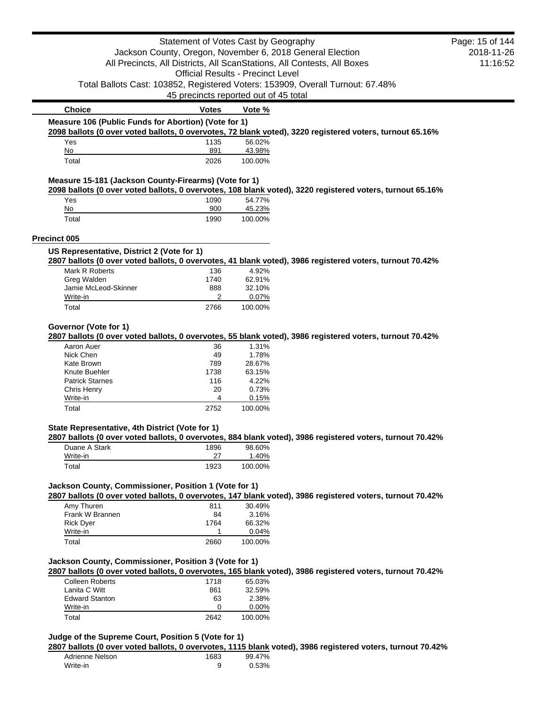|                                                                   | Statement of Votes Cast by Geography     |                   |                                                                                                           | Page: 15 of 144 |
|-------------------------------------------------------------------|------------------------------------------|-------------------|-----------------------------------------------------------------------------------------------------------|-----------------|
|                                                                   |                                          |                   | Jackson County, Oregon, November 6, 2018 General Election                                                 | 2018-11-26      |
|                                                                   |                                          |                   | All Precincts, All Districts, All ScanStations, All Contests, All Boxes                                   | 11:16:52        |
|                                                                   | <b>Official Results - Precinct Level</b> |                   |                                                                                                           |                 |
|                                                                   |                                          |                   |                                                                                                           |                 |
|                                                                   |                                          |                   | Total Ballots Cast: 103852, Registered Voters: 153909, Overall Turnout: 67.48%                            |                 |
|                                                                   | 45 precincts reported out of 45 total    |                   |                                                                                                           |                 |
| <b>Choice</b>                                                     | <b>Votes</b>                             | Vote %            |                                                                                                           |                 |
| Measure 106 (Public Funds for Abortion) (Vote for 1)              |                                          |                   |                                                                                                           |                 |
|                                                                   |                                          |                   | 2098 ballots (0 over voted ballots, 0 overvotes, 72 blank voted), 3220 registered voters, turnout 65.16%  |                 |
| Yes                                                               | 1135                                     | 56.02%            |                                                                                                           |                 |
| No                                                                | 891                                      | 43.98%            |                                                                                                           |                 |
| Total                                                             | 2026                                     | 100.00%           |                                                                                                           |                 |
| Measure 15-181 (Jackson County-Firearms) (Vote for 1)             |                                          |                   |                                                                                                           |                 |
|                                                                   |                                          |                   | 2098 ballots (0 over voted ballots, 0 overvotes, 108 blank voted), 3220 registered voters, turnout 65.16% |                 |
| Yes                                                               | 1090                                     | 54.77%            |                                                                                                           |                 |
| No<br>Total                                                       | 900<br>1990                              | 45.23%<br>100.00% |                                                                                                           |                 |
|                                                                   |                                          |                   |                                                                                                           |                 |
| <b>Precinct 005</b>                                               |                                          |                   |                                                                                                           |                 |
| US Representative, District 2 (Vote for 1)                        |                                          |                   | 2807 ballots (0 over voted ballots, 0 overvotes, 41 blank voted), 3986 registered voters, turnout 70.42%  |                 |
| Mark R Roberts                                                    | 136                                      | 4.92%             |                                                                                                           |                 |
| Greg Walden                                                       | 1740                                     | 62.91%            |                                                                                                           |                 |
| Jamie McLeod-Skinner                                              | 888                                      | 32.10%            |                                                                                                           |                 |
| Write-in                                                          | 2                                        | 0.07%             |                                                                                                           |                 |
| Total                                                             | 2766                                     | 100.00%           |                                                                                                           |                 |
|                                                                   |                                          |                   |                                                                                                           |                 |
| Governor (Vote for 1)                                             |                                          |                   | 2807 ballots (0 over voted ballots, 0 overvotes, 55 blank voted), 3986 registered voters, turnout 70.42%  |                 |
| Aaron Auer                                                        | 36                                       | 1.31%             |                                                                                                           |                 |
| Nick Chen                                                         | 49                                       | 1.78%             |                                                                                                           |                 |
| Kate Brown                                                        | 789                                      | 28.67%            |                                                                                                           |                 |
| Knute Buehler                                                     | 1738                                     | 63.15%            |                                                                                                           |                 |
| <b>Patrick Starnes</b>                                            | 116                                      | 4.22%             |                                                                                                           |                 |
| Chris Henry                                                       | 20                                       | 0.73%             |                                                                                                           |                 |
| Write-in                                                          | 4                                        | 0.15%             |                                                                                                           |                 |
| Total                                                             | 2752                                     | 100.00%           |                                                                                                           |                 |
|                                                                   |                                          |                   |                                                                                                           |                 |
| State Representative, 4th District (Vote for 1)                   |                                          |                   | 2807 ballots (0 over voted ballots, 0 overvotes, 884 blank voted), 3986 registered voters, turnout 70.42% |                 |
| Duane A Stark                                                     | 1896                                     | 98.60%            |                                                                                                           |                 |
| Write-in                                                          | 27                                       | 1.40%             |                                                                                                           |                 |
| Total                                                             | 1923                                     | 100.00%           |                                                                                                           |                 |
| Jackson County, Commissioner, Position 1 (Vote for 1)             |                                          |                   |                                                                                                           |                 |
|                                                                   |                                          |                   | 2807 ballots (0 over voted ballots, 0 overvotes, 147 blank voted), 3986 registered voters, turnout 70.42% |                 |
| Amy Thuren                                                        | 811                                      | 30.49%            |                                                                                                           |                 |
|                                                                   |                                          | 3.16%             |                                                                                                           |                 |
| Frank W Brannen                                                   | 84                                       |                   |                                                                                                           |                 |
| <b>Rick Dyer</b>                                                  | 1764                                     | 66.32%            |                                                                                                           |                 |
| Write-in                                                          | 1                                        | 0.04%             |                                                                                                           |                 |
| Total                                                             | 2660                                     | 100.00%           |                                                                                                           |                 |
|                                                                   |                                          |                   |                                                                                                           |                 |
|                                                                   |                                          |                   | 2807 ballots (0 over voted ballots, 0 overvotes, 165 blank voted), 3986 registered voters, turnout 70.42% |                 |
| <b>Colleen Roberts</b>                                            | 1718                                     | 65.03%            |                                                                                                           |                 |
| Lanita C Witt                                                     | 861                                      | 32.59%            |                                                                                                           |                 |
| <b>Edward Stanton</b>                                             | 63                                       | 2.38%             |                                                                                                           |                 |
| Jackson County, Commissioner, Position 3 (Vote for 1)<br>Write-in | 0                                        | 0.00%             |                                                                                                           |                 |

# **Judge of the Supreme Court, Position 5 (Vote for 1)**

**2807 ballots (0 over voted ballots, 0 overvotes, 1115 blank voted), 3986 registered voters, turnout 70.42%**

| Adrienne Nelson | 1683 | 99.47% |
|-----------------|------|--------|
| Write-in        |      | 0.53%  |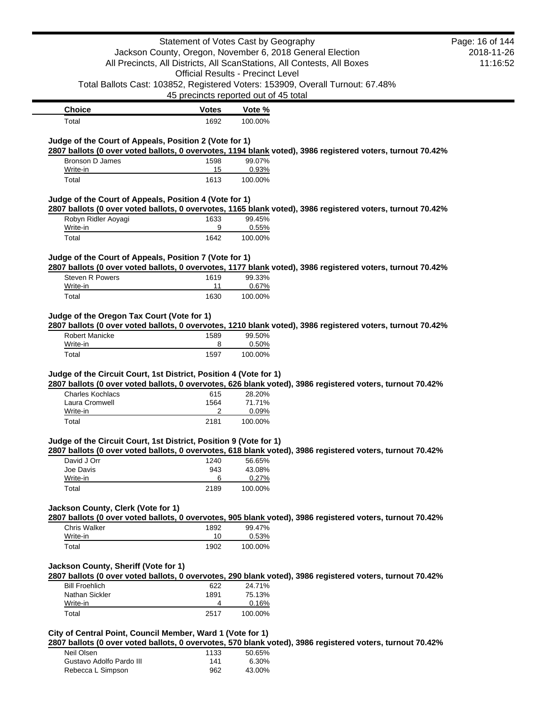|                                                                                              | Statement of Votes Cast by Geography     |         |                                                                                                            | Page: 16 of 144 |
|----------------------------------------------------------------------------------------------|------------------------------------------|---------|------------------------------------------------------------------------------------------------------------|-----------------|
|                                                                                              |                                          |         | Jackson County, Oregon, November 6, 2018 General Election                                                  | 2018-11-26      |
|                                                                                              |                                          |         | All Precincts, All Districts, All ScanStations, All Contests, All Boxes                                    | 11:16:52        |
|                                                                                              | <b>Official Results - Precinct Level</b> |         |                                                                                                            |                 |
|                                                                                              |                                          |         | Total Ballots Cast: 103852, Registered Voters: 153909, Overall Turnout: 67.48%                             |                 |
|                                                                                              | 45 precincts reported out of 45 total    |         |                                                                                                            |                 |
| <b>Choice</b>                                                                                | <b>Votes</b>                             | Vote %  |                                                                                                            |                 |
| Total                                                                                        | 1692                                     | 100.00% |                                                                                                            |                 |
|                                                                                              |                                          |         |                                                                                                            |                 |
| Judge of the Court of Appeals, Position 2 (Vote for 1)                                       |                                          |         | 2807 ballots (0 over voted ballots, 0 overvotes, 1194 blank voted), 3986 registered voters, turnout 70.42% |                 |
| Bronson D James                                                                              | 1598                                     | 99.07%  |                                                                                                            |                 |
| Write-in                                                                                     | 15                                       | 0.93%   |                                                                                                            |                 |
| Total                                                                                        | 1613                                     | 100.00% |                                                                                                            |                 |
| Judge of the Court of Appeals, Position 4 (Vote for 1)                                       |                                          |         |                                                                                                            |                 |
|                                                                                              |                                          |         | 2807 ballots (0 over voted ballots, 0 overvotes, 1165 blank voted), 3986 registered voters, turnout 70.42% |                 |
| Robyn Ridler Aoyagi                                                                          | 1633                                     | 99.45%  |                                                                                                            |                 |
| Write-in                                                                                     | 9                                        | 0.55%   |                                                                                                            |                 |
| Total                                                                                        | 1642                                     | 100.00% |                                                                                                            |                 |
| Judge of the Court of Appeals, Position 7 (Vote for 1)                                       |                                          |         |                                                                                                            |                 |
|                                                                                              |                                          |         | 2807 ballots (0 over voted ballots, 0 overvotes, 1177 blank voted), 3986 registered voters, turnout 70.42% |                 |
| Steven R Powers                                                                              | 1619                                     | 99.33%  |                                                                                                            |                 |
| Write-in                                                                                     | 11                                       | 0.67%   |                                                                                                            |                 |
| Total                                                                                        | 1630                                     | 100.00% |                                                                                                            |                 |
|                                                                                              |                                          |         |                                                                                                            |                 |
| Judge of the Oregon Tax Court (Vote for 1)                                                   |                                          |         |                                                                                                            |                 |
|                                                                                              |                                          |         |                                                                                                            |                 |
|                                                                                              |                                          |         | 2807 ballots (0 over voted ballots, 0 overvotes, 1210 blank voted), 3986 registered voters, turnout 70.42% |                 |
| <b>Robert Manicke</b>                                                                        | 1589                                     | 99.50%  |                                                                                                            |                 |
| Write-in                                                                                     | 8                                        | 0.50%   |                                                                                                            |                 |
| Total                                                                                        | 1597                                     | 100.00% |                                                                                                            |                 |
|                                                                                              |                                          |         |                                                                                                            |                 |
|                                                                                              |                                          |         | 2807 ballots (0 over voted ballots, 0 overvotes, 626 blank voted), 3986 registered voters, turnout 70.42%  |                 |
| Judge of the Circuit Court, 1st District, Position 4 (Vote for 1)<br><b>Charles Kochlacs</b> | 615                                      | 28.20%  |                                                                                                            |                 |
| Laura Cromwell                                                                               | 1564                                     | 71.71%  |                                                                                                            |                 |
| Write-in                                                                                     | 2                                        | 0.09%   |                                                                                                            |                 |
| Total                                                                                        | 2181                                     | 100.00% |                                                                                                            |                 |
|                                                                                              |                                          |         |                                                                                                            |                 |
|                                                                                              |                                          |         |                                                                                                            |                 |
| David J Orr                                                                                  | 1240                                     | 56.65%  | 2807 ballots (0 over voted ballots, 0 overvotes, 618 blank voted), 3986 registered voters, turnout 70.42%  |                 |
| Joe Davis                                                                                    | 943                                      | 43.08%  |                                                                                                            |                 |
| Write-in                                                                                     | 6                                        | 0.27%   |                                                                                                            |                 |
| Total                                                                                        | 2189                                     | 100.00% |                                                                                                            |                 |
| Judge of the Circuit Court, 1st District, Position 9 (Vote for 1)                            |                                          |         |                                                                                                            |                 |
| Jackson County, Clerk (Vote for 1)                                                           |                                          |         |                                                                                                            |                 |
|                                                                                              |                                          |         | 2807 ballots (0 over voted ballots, 0 overvotes, 905 blank voted), 3986 registered voters, turnout 70.42%  |                 |
| <b>Chris Walker</b>                                                                          | 1892                                     | 99.47%  |                                                                                                            |                 |
| Write-in                                                                                     | 10                                       | 0.53%   |                                                                                                            |                 |
| Total                                                                                        | 1902                                     | 100.00% |                                                                                                            |                 |
| Jackson County, Sheriff (Vote for 1)                                                         |                                          |         |                                                                                                            |                 |
|                                                                                              |                                          |         | 2807 ballots (0 over voted ballots, 0 overvotes, 290 blank voted), 3986 registered voters, turnout 70.42%  |                 |
| <b>Bill Froehlich</b>                                                                        | 622                                      | 24.71%  |                                                                                                            |                 |
| Nathan Sickler                                                                               | 1891                                     | 75.13%  |                                                                                                            |                 |
| Write-in                                                                                     | 4                                        | 0.16%   |                                                                                                            |                 |

**2807 ballots (0 over voted ballots, 0 overvotes, 570 blank voted), 3986 registered voters, turnout 70.42%**

| Neil Olsen               | 1133 | 50.65% |
|--------------------------|------|--------|
| Gustavo Adolfo Pardo III | 141  | 6.30%  |
| Rebecca L Simpson        | 962  | 43.00% |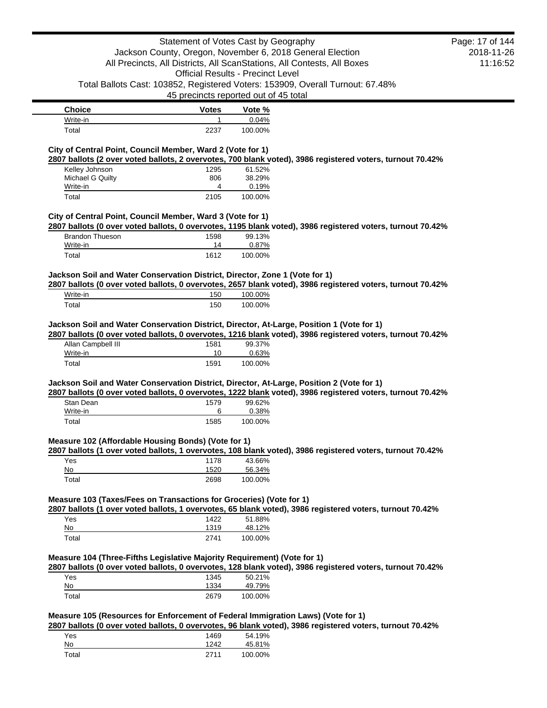|                                                                                                                                                                                                                                      | Statement of Votes Cast by Geography     |                   |                                                                                                            | Page: 17 of 144 |
|--------------------------------------------------------------------------------------------------------------------------------------------------------------------------------------------------------------------------------------|------------------------------------------|-------------------|------------------------------------------------------------------------------------------------------------|-----------------|
|                                                                                                                                                                                                                                      |                                          |                   | Jackson County, Oregon, November 6, 2018 General Election                                                  | 2018-11-26      |
|                                                                                                                                                                                                                                      |                                          |                   | All Precincts, All Districts, All ScanStations, All Contests, All Boxes                                    | 11:16:52        |
|                                                                                                                                                                                                                                      | <b>Official Results - Precinct Level</b> |                   |                                                                                                            |                 |
|                                                                                                                                                                                                                                      | 45 precincts reported out of 45 total    |                   | Total Ballots Cast: 103852, Registered Voters: 153909, Overall Turnout: 67.48%                             |                 |
|                                                                                                                                                                                                                                      |                                          |                   |                                                                                                            |                 |
| <b>Choice</b><br>Write-in                                                                                                                                                                                                            | <b>Votes</b><br>1                        | Vote %<br>0.04%   |                                                                                                            |                 |
| Total                                                                                                                                                                                                                                | 2237                                     | 100.00%           |                                                                                                            |                 |
|                                                                                                                                                                                                                                      |                                          |                   |                                                                                                            |                 |
| City of Central Point, Council Member, Ward 2 (Vote for 1)                                                                                                                                                                           |                                          |                   | 2807 ballots (2 over voted ballots, 2 overvotes, 700 blank voted), 3986 registered voters, turnout 70.42%  |                 |
| Kelley Johnson                                                                                                                                                                                                                       | 1295                                     | 61.52%            |                                                                                                            |                 |
| Michael G Quilty                                                                                                                                                                                                                     | 806                                      | 38.29%            |                                                                                                            |                 |
| Write-in                                                                                                                                                                                                                             | 4                                        | 0.19%             |                                                                                                            |                 |
| Total                                                                                                                                                                                                                                | 2105                                     | 100.00%           |                                                                                                            |                 |
| City of Central Point, Council Member, Ward 3 (Vote for 1)                                                                                                                                                                           |                                          |                   |                                                                                                            |                 |
|                                                                                                                                                                                                                                      |                                          |                   | 2807 ballots (0 over voted ballots, 0 overvotes, 1195 blank voted), 3986 registered voters, turnout 70.42% |                 |
| <b>Brandon Thueson</b>                                                                                                                                                                                                               | 1598                                     | 99.13%            |                                                                                                            |                 |
| Write-in<br>Total                                                                                                                                                                                                                    | 14<br>1612                               | 0.87%<br>100.00%  |                                                                                                            |                 |
|                                                                                                                                                                                                                                      |                                          |                   |                                                                                                            |                 |
| Jackson Soil and Water Conservation District, Director, Zone 1 (Vote for 1)                                                                                                                                                          |                                          |                   |                                                                                                            |                 |
|                                                                                                                                                                                                                                      |                                          |                   | 2807 ballots (0 over voted ballots, 0 overvotes, 2657 blank voted), 3986 registered voters, turnout 70.42% |                 |
| Write-in                                                                                                                                                                                                                             | 150                                      | 100.00%           |                                                                                                            |                 |
| Total                                                                                                                                                                                                                                | 150                                      | 100.00%           |                                                                                                            |                 |
| Jackson Soil and Water Conservation District, Director, At-Large, Position 1 (Vote for 1)                                                                                                                                            |                                          |                   |                                                                                                            |                 |
|                                                                                                                                                                                                                                      |                                          |                   | 2807 ballots (0 over voted ballots, 0 overvotes, 1216 blank voted), 3986 registered voters, turnout 70.42% |                 |
|                                                                                                                                                                                                                                      |                                          |                   |                                                                                                            |                 |
| Allan Campbell III                                                                                                                                                                                                                   | 1581                                     | 99.37%            |                                                                                                            |                 |
| Write-in                                                                                                                                                                                                                             | 10                                       | 0.63%             |                                                                                                            |                 |
| Total                                                                                                                                                                                                                                | 1591                                     | 100.00%           |                                                                                                            |                 |
|                                                                                                                                                                                                                                      |                                          |                   |                                                                                                            |                 |
|                                                                                                                                                                                                                                      |                                          |                   | 2807 ballots (0 over voted ballots, 0 overvotes, 1222 blank voted), 3986 registered voters, turnout 70.42% |                 |
| Stan Dean                                                                                                                                                                                                                            | 1579                                     | 99.62%            |                                                                                                            |                 |
| Write-in<br>Total                                                                                                                                                                                                                    | 6<br>1585                                | 0.38%<br>100.00%  |                                                                                                            |                 |
|                                                                                                                                                                                                                                      |                                          |                   |                                                                                                            |                 |
|                                                                                                                                                                                                                                      |                                          |                   |                                                                                                            |                 |
|                                                                                                                                                                                                                                      |                                          |                   | 2807 ballots (1 over voted ballots, 1 overvotes, 108 blank voted), 3986 registered voters, turnout 70.42%  |                 |
| Yes                                                                                                                                                                                                                                  | 1178                                     | 43.66%            |                                                                                                            |                 |
| No<br>Total                                                                                                                                                                                                                          | 1520<br>2698                             | 56.34%<br>100.00% |                                                                                                            |                 |
|                                                                                                                                                                                                                                      |                                          |                   |                                                                                                            |                 |
|                                                                                                                                                                                                                                      |                                          |                   |                                                                                                            |                 |
|                                                                                                                                                                                                                                      |                                          |                   | 2807 ballots (1 over voted ballots, 1 overvotes, 65 blank voted), 3986 registered voters, turnout 70.42%   |                 |
| Jackson Soil and Water Conservation District, Director, At-Large, Position 2 (Vote for 1)<br>Measure 102 (Affordable Housing Bonds) (Vote for 1)<br>Measure 103 (Taxes/Fees on Transactions for Groceries) (Vote for 1)<br>Yes<br>No | 1422<br>1319                             | 51.88%            |                                                                                                            |                 |
| Total                                                                                                                                                                                                                                | 2741                                     | 48.12%<br>100.00% |                                                                                                            |                 |
|                                                                                                                                                                                                                                      |                                          |                   |                                                                                                            |                 |
|                                                                                                                                                                                                                                      |                                          |                   |                                                                                                            |                 |
|                                                                                                                                                                                                                                      |                                          |                   | 2807 ballots (0 over voted ballots, 0 overvotes, 128 blank voted), 3986 registered voters, turnout 70.42%  |                 |
| Yes<br>No                                                                                                                                                                                                                            | 1345<br>1334                             | 50.21%<br>49.79%  |                                                                                                            |                 |
| Total                                                                                                                                                                                                                                | 2679                                     | 100.00%           |                                                                                                            |                 |
|                                                                                                                                                                                                                                      |                                          |                   |                                                                                                            |                 |
|                                                                                                                                                                                                                                      |                                          |                   |                                                                                                            |                 |
|                                                                                                                                                                                                                                      |                                          |                   | 2807 ballots (0 over voted ballots, 0 overvotes, 96 blank voted), 3986 registered voters, turnout 70.42%   |                 |
| Measure 104 (Three-Fifths Legislative Majority Requirement) (Vote for 1)<br>Measure 105 (Resources for Enforcement of Federal Immigration Laws) (Vote for 1)<br>Yes<br>No                                                            | 1469<br>1242                             | 54.19%<br>45.81%  |                                                                                                            |                 |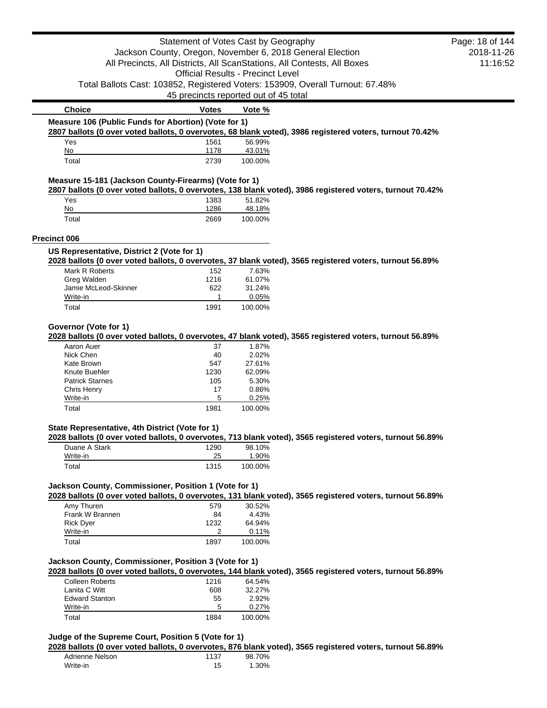|                                                       | Statement of Votes Cast by Geography     |         |                                                                                                           | Page: 18 of 144 |
|-------------------------------------------------------|------------------------------------------|---------|-----------------------------------------------------------------------------------------------------------|-----------------|
|                                                       |                                          |         | Jackson County, Oregon, November 6, 2018 General Election                                                 | 2018-11-26      |
|                                                       |                                          |         | All Precincts, All Districts, All ScanStations, All Contests, All Boxes                                   | 11:16:52        |
|                                                       |                                          |         |                                                                                                           |                 |
|                                                       | <b>Official Results - Precinct Level</b> |         |                                                                                                           |                 |
|                                                       |                                          |         | Total Ballots Cast: 103852, Registered Voters: 153909, Overall Turnout: 67.48%                            |                 |
|                                                       | 45 precincts reported out of 45 total    |         |                                                                                                           |                 |
| <b>Choice</b>                                         | <b>Votes</b>                             | Vote %  |                                                                                                           |                 |
| Measure 106 (Public Funds for Abortion) (Vote for 1)  |                                          |         |                                                                                                           |                 |
|                                                       |                                          |         | 2807 ballots (0 over voted ballots, 0 overvotes, 68 blank voted), 3986 registered voters, turnout 70.42%  |                 |
| Yes                                                   | 1561                                     | 56.99%  |                                                                                                           |                 |
| No                                                    | 1178                                     | 43.01%  |                                                                                                           |                 |
| Total                                                 | 2739                                     | 100.00% |                                                                                                           |                 |
| Measure 15-181 (Jackson County-Firearms) (Vote for 1) |                                          |         | 2807 ballots (0 over voted ballots, 0 overvotes, 138 blank voted), 3986 registered voters, turnout 70.42% |                 |
| Yes                                                   | 1383                                     | 51.82%  |                                                                                                           |                 |
| No                                                    | 1286                                     | 48.18%  |                                                                                                           |                 |
| Total                                                 | 2669                                     | 100.00% |                                                                                                           |                 |
| <b>Precinct 006</b>                                   |                                          |         |                                                                                                           |                 |
| US Representative, District 2 (Vote for 1)            |                                          |         |                                                                                                           |                 |
|                                                       |                                          |         | 2028 ballots (0 over voted ballots, 0 overvotes, 37 blank voted), 3565 registered voters, turnout 56.89%  |                 |
| Mark R Roberts                                        | 152                                      | 7.63%   |                                                                                                           |                 |
| Greg Walden                                           | 1216                                     | 61.07%  |                                                                                                           |                 |
| Jamie McLeod-Skinner                                  | 622                                      | 31.24%  |                                                                                                           |                 |
| Write-in                                              | 1                                        | 0.05%   |                                                                                                           |                 |
| Total                                                 | 1991                                     | 100.00% |                                                                                                           |                 |
| Governor (Vote for 1)                                 |                                          |         |                                                                                                           |                 |
|                                                       |                                          |         | 2028 ballots (0 over voted ballots, 0 overvotes, 47 blank voted), 3565 registered voters, turnout 56.89%  |                 |
| Aaron Auer                                            | 37                                       | 1.87%   |                                                                                                           |                 |
| Nick Chen                                             | 40                                       | 2.02%   |                                                                                                           |                 |
| Kate Brown                                            | 547                                      | 27.61%  |                                                                                                           |                 |
| Knute Buehler                                         | 1230                                     | 62.09%  |                                                                                                           |                 |
| <b>Patrick Starnes</b>                                | 105                                      | 5.30%   |                                                                                                           |                 |
| Chris Henry                                           | 17                                       | 0.86%   |                                                                                                           |                 |
| Write-in                                              | 5                                        | 0.25%   |                                                                                                           |                 |
| Total                                                 | 1981                                     | 100.00% |                                                                                                           |                 |
| State Representative, 4th District (Vote for 1)       |                                          |         |                                                                                                           |                 |
|                                                       |                                          |         | 2028 ballots (0 over voted ballots, 0 overvotes, 713 blank voted), 3565 registered voters, turnout 56.89% |                 |
| Duane A Stark                                         | 1290                                     | 98.10%  |                                                                                                           |                 |
| Write-in                                              | 25                                       | 1.90%   |                                                                                                           |                 |
| Total                                                 | 1315                                     | 100.00% |                                                                                                           |                 |
| Jackson County, Commissioner, Position 1 (Vote for 1) |                                          |         |                                                                                                           |                 |
|                                                       |                                          |         | 2028 ballots (0 over voted ballots, 0 overvotes, 131 blank voted), 3565 registered voters, turnout 56.89% |                 |
| Amy Thuren                                            | 579                                      | 30.52%  |                                                                                                           |                 |
| Frank W Brannen                                       | 84                                       | 4.43%   |                                                                                                           |                 |
| <b>Rick Dyer</b>                                      | 1232                                     | 64.94%  |                                                                                                           |                 |
| Write-in                                              | 2                                        | 0.11%   |                                                                                                           |                 |
| Total                                                 | 1897                                     | 100.00% |                                                                                                           |                 |
| Jackson County, Commissioner, Position 3 (Vote for 1) |                                          |         |                                                                                                           |                 |
|                                                       |                                          |         | 2028 ballots (0 over voted ballots, 0 overvotes, 144 blank voted), 3565 registered voters, turnout 56.89% |                 |
| <b>Colleen Roberts</b>                                | 1216                                     | 64.54%  |                                                                                                           |                 |
| Lanita C Witt                                         | 608                                      | 32.27%  |                                                                                                           |                 |
| <b>Edward Stanton</b>                                 | 55                                       | 2.92%   |                                                                                                           |                 |
| Write-in                                              | 5                                        | 0.27%   |                                                                                                           |                 |
|                                                       |                                          |         |                                                                                                           |                 |

## **Judge of the Supreme Court, Position 5 (Vote for 1)**

**2028 ballots (0 over voted ballots, 0 overvotes, 876 blank voted), 3565 registered voters, turnout 56.89%**

| Adrienne Nelson | 1137 | 98.70% |
|-----------------|------|--------|
| Write-in        | 15   | 1.30%  |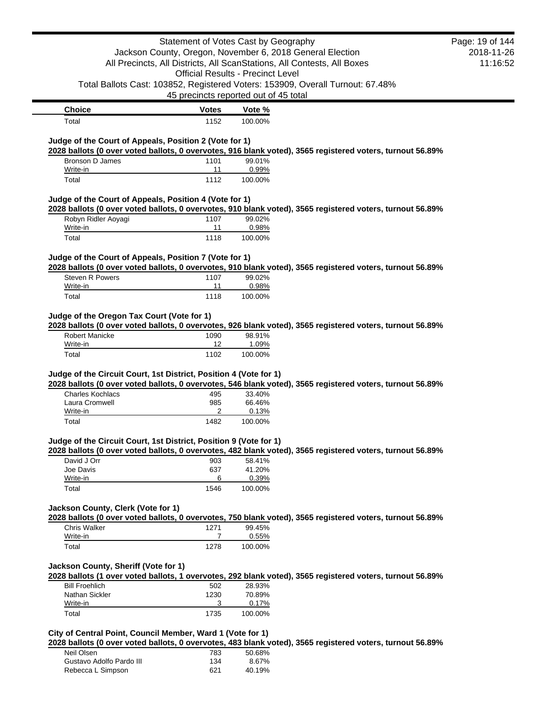|                                                                                                                                                                                                                                                                                                                                                                                                                                                                                                           | Statement of Votes Cast by Geography  |                                          |                                                                                | Page: 19 of 144 |
|-----------------------------------------------------------------------------------------------------------------------------------------------------------------------------------------------------------------------------------------------------------------------------------------------------------------------------------------------------------------------------------------------------------------------------------------------------------------------------------------------------------|---------------------------------------|------------------------------------------|--------------------------------------------------------------------------------|-----------------|
|                                                                                                                                                                                                                                                                                                                                                                                                                                                                                                           |                                       |                                          | Jackson County, Oregon, November 6, 2018 General Election                      | 2018-11-26      |
|                                                                                                                                                                                                                                                                                                                                                                                                                                                                                                           |                                       |                                          | All Precincts, All Districts, All ScanStations, All Contests, All Boxes        | 11:16:52        |
|                                                                                                                                                                                                                                                                                                                                                                                                                                                                                                           |                                       | <b>Official Results - Precinct Level</b> |                                                                                |                 |
|                                                                                                                                                                                                                                                                                                                                                                                                                                                                                                           |                                       |                                          | Total Ballots Cast: 103852, Registered Voters: 153909, Overall Turnout: 67.48% |                 |
|                                                                                                                                                                                                                                                                                                                                                                                                                                                                                                           | 45 precincts reported out of 45 total |                                          |                                                                                |                 |
| <b>Choice</b>                                                                                                                                                                                                                                                                                                                                                                                                                                                                                             | Votes                                 | Vote %                                   |                                                                                |                 |
| Total                                                                                                                                                                                                                                                                                                                                                                                                                                                                                                     | 1152                                  | 100.00%                                  |                                                                                |                 |
| Judge of the Court of Appeals, Position 2 (Vote for 1)                                                                                                                                                                                                                                                                                                                                                                                                                                                    |                                       |                                          |                                                                                |                 |
| 2028 ballots (0 over voted ballots, 0 overvotes, 916 blank voted), 3565 registered voters, turnout 56.89%                                                                                                                                                                                                                                                                                                                                                                                                 |                                       |                                          |                                                                                |                 |
| Bronson D James                                                                                                                                                                                                                                                                                                                                                                                                                                                                                           | 1101                                  | 99.01%                                   |                                                                                |                 |
| Write-in<br>Total                                                                                                                                                                                                                                                                                                                                                                                                                                                                                         | 11<br>1112                            | 0.99%<br>100.00%                         |                                                                                |                 |
|                                                                                                                                                                                                                                                                                                                                                                                                                                                                                                           |                                       |                                          |                                                                                |                 |
| Judge of the Court of Appeals, Position 4 (Vote for 1)                                                                                                                                                                                                                                                                                                                                                                                                                                                    |                                       |                                          |                                                                                |                 |
| 2028 ballots (0 over voted ballots, 0 overvotes, 910 blank voted), 3565 registered voters, turnout 56.89%                                                                                                                                                                                                                                                                                                                                                                                                 |                                       |                                          |                                                                                |                 |
| Robyn Ridler Aoyagi<br>Write-in                                                                                                                                                                                                                                                                                                                                                                                                                                                                           | 1107<br>11                            | 99.02%<br>0.98%                          |                                                                                |                 |
| Total                                                                                                                                                                                                                                                                                                                                                                                                                                                                                                     | 1118                                  | 100.00%                                  |                                                                                |                 |
|                                                                                                                                                                                                                                                                                                                                                                                                                                                                                                           |                                       |                                          |                                                                                |                 |
| Judge of the Court of Appeals, Position 7 (Vote for 1)                                                                                                                                                                                                                                                                                                                                                                                                                                                    |                                       |                                          |                                                                                |                 |
| 2028 ballots (0 over voted ballots, 0 overvotes, 910 blank voted), 3565 registered voters, turnout 56.89%<br>Steven R Powers                                                                                                                                                                                                                                                                                                                                                                              | 1107                                  | 99.02%                                   |                                                                                |                 |
| Write-in                                                                                                                                                                                                                                                                                                                                                                                                                                                                                                  | 11                                    | 0.98%                                    |                                                                                |                 |
| Total                                                                                                                                                                                                                                                                                                                                                                                                                                                                                                     | 1118                                  | 100.00%                                  |                                                                                |                 |
| Judge of the Oregon Tax Court (Vote for 1)                                                                                                                                                                                                                                                                                                                                                                                                                                                                |                                       |                                          |                                                                                |                 |
| <b>Robert Manicke</b>                                                                                                                                                                                                                                                                                                                                                                                                                                                                                     | 1090                                  | 98.91%                                   |                                                                                |                 |
| Write-in                                                                                                                                                                                                                                                                                                                                                                                                                                                                                                  | 12                                    | 1.09%                                    |                                                                                |                 |
| Total                                                                                                                                                                                                                                                                                                                                                                                                                                                                                                     | 1102                                  | 100.00%                                  |                                                                                |                 |
|                                                                                                                                                                                                                                                                                                                                                                                                                                                                                                           |                                       |                                          |                                                                                |                 |
|                                                                                                                                                                                                                                                                                                                                                                                                                                                                                                           |                                       |                                          |                                                                                |                 |
| Charles Kochlacs                                                                                                                                                                                                                                                                                                                                                                                                                                                                                          | 495                                   | 33.40%                                   |                                                                                |                 |
| Laura Cromwell                                                                                                                                                                                                                                                                                                                                                                                                                                                                                            | 985                                   | 66.46%                                   |                                                                                |                 |
| Write-in<br>Total                                                                                                                                                                                                                                                                                                                                                                                                                                                                                         | 2<br>1482                             | 0.13%<br>100.00%                         |                                                                                |                 |
|                                                                                                                                                                                                                                                                                                                                                                                                                                                                                                           |                                       |                                          |                                                                                |                 |
|                                                                                                                                                                                                                                                                                                                                                                                                                                                                                                           |                                       |                                          |                                                                                |                 |
|                                                                                                                                                                                                                                                                                                                                                                                                                                                                                                           |                                       |                                          |                                                                                |                 |
| 2028 ballots (0 over voted ballots, 0 overvotes, 926 blank voted), 3565 registered voters, turnout 56.89%<br>Judge of the Circuit Court, 1st District, Position 4 (Vote for 1)<br>2028 ballots (0 over voted ballots, 0 overvotes, 546 blank voted), 3565 registered voters, turnout 56.89%<br>Judge of the Circuit Court, 1st District, Position 9 (Vote for 1)<br>2028 ballots (0 over voted ballots, 0 overvotes, 482 blank voted), 3565 registered voters, turnout 56.89%<br>David J Orr<br>Joe Davis | 903<br>637                            | 58.41%<br>41.20%                         |                                                                                |                 |
| Write-in                                                                                                                                                                                                                                                                                                                                                                                                                                                                                                  | 6                                     | 0.39%                                    |                                                                                |                 |
| Total                                                                                                                                                                                                                                                                                                                                                                                                                                                                                                     | 1546                                  | 100.00%                                  |                                                                                |                 |
|                                                                                                                                                                                                                                                                                                                                                                                                                                                                                                           |                                       |                                          |                                                                                |                 |
|                                                                                                                                                                                                                                                                                                                                                                                                                                                                                                           |                                       |                                          |                                                                                |                 |
| Chris Walker                                                                                                                                                                                                                                                                                                                                                                                                                                                                                              | 1271                                  | 99.45%                                   |                                                                                |                 |
| Write-in                                                                                                                                                                                                                                                                                                                                                                                                                                                                                                  | $\overline{7}$                        | 0.55%                                    |                                                                                |                 |
| Total                                                                                                                                                                                                                                                                                                                                                                                                                                                                                                     | 1278                                  | 100.00%                                  |                                                                                |                 |
|                                                                                                                                                                                                                                                                                                                                                                                                                                                                                                           |                                       |                                          |                                                                                |                 |
|                                                                                                                                                                                                                                                                                                                                                                                                                                                                                                           |                                       |                                          |                                                                                |                 |
| <b>Bill Froehlich</b>                                                                                                                                                                                                                                                                                                                                                                                                                                                                                     | 502                                   | 28.93%                                   |                                                                                |                 |
| Jackson County, Clerk (Vote for 1)<br>2028 ballots (0 over voted ballots, 0 overvotes, 750 blank voted), 3565 registered voters, turnout 56.89%<br>Jackson County, Sheriff (Vote for 1)<br>2028 ballots (1 over voted ballots, 1 overvotes, 292 blank voted), 3565 registered voters, turnout 56.89%<br>Nathan Sickler                                                                                                                                                                                    | 1230                                  | 70.89%                                   |                                                                                |                 |
| Write-in<br>Total                                                                                                                                                                                                                                                                                                                                                                                                                                                                                         | 3<br>1735                             | 0.17%<br>100.00%                         |                                                                                |                 |

# **City of Central Point, Council Member, Ward 1 (Vote for 1)**

**2028 ballots (0 over voted ballots, 0 overvotes, 483 blank voted), 3565 registered voters, turnout 56.89%**

| Neil Olsen               | 783 | 50.68% |
|--------------------------|-----|--------|
| Gustavo Adolfo Pardo III | 134 | 8.67%  |
| Rebecca L Simpson        | 621 | 40.19% |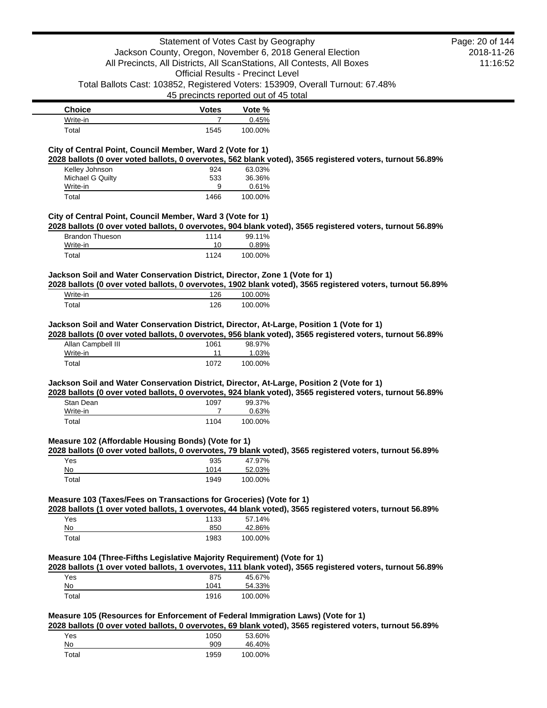|                                                                                                                                                                                                                         | Statement of Votes Cast by Geography                                    |                                          |                                                                                                            | Page: 20 of 144 |
|-------------------------------------------------------------------------------------------------------------------------------------------------------------------------------------------------------------------------|-------------------------------------------------------------------------|------------------------------------------|------------------------------------------------------------------------------------------------------------|-----------------|
|                                                                                                                                                                                                                         | Jackson County, Oregon, November 6, 2018 General Election               |                                          |                                                                                                            | 2018-11-26      |
|                                                                                                                                                                                                                         | All Precincts, All Districts, All ScanStations, All Contests, All Boxes |                                          |                                                                                                            | 11:16:52        |
|                                                                                                                                                                                                                         |                                                                         | <b>Official Results - Precinct Level</b> |                                                                                                            |                 |
|                                                                                                                                                                                                                         |                                                                         |                                          | Total Ballots Cast: 103852, Registered Voters: 153909, Overall Turnout: 67.48%                             |                 |
|                                                                                                                                                                                                                         |                                                                         | 45 precincts reported out of 45 total    |                                                                                                            |                 |
| <b>Choice</b>                                                                                                                                                                                                           | <b>Votes</b>                                                            | Vote %                                   |                                                                                                            |                 |
| Write-in                                                                                                                                                                                                                | $\overline{7}$                                                          | 0.45%                                    |                                                                                                            |                 |
| Total                                                                                                                                                                                                                   | 1545                                                                    | 100.00%                                  |                                                                                                            |                 |
| City of Central Point, Council Member, Ward 2 (Vote for 1)                                                                                                                                                              |                                                                         |                                          |                                                                                                            |                 |
|                                                                                                                                                                                                                         |                                                                         |                                          | 2028 ballots (0 over voted ballots, 0 overvotes, 562 blank voted), 3565 registered voters, turnout 56.89%  |                 |
| Kelley Johnson                                                                                                                                                                                                          | 924                                                                     | 63.03%                                   |                                                                                                            |                 |
| Michael G Quilty<br>Write-in                                                                                                                                                                                            | 533<br>9                                                                | 36.36%<br>0.61%                          |                                                                                                            |                 |
| Total                                                                                                                                                                                                                   | 1466                                                                    | 100.00%                                  |                                                                                                            |                 |
| City of Central Point, Council Member, Ward 3 (Vote for 1)                                                                                                                                                              |                                                                         |                                          |                                                                                                            |                 |
|                                                                                                                                                                                                                         |                                                                         |                                          | 2028 ballots (0 over voted ballots, 0 overvotes, 904 blank voted), 3565 registered voters, turnout 56.89%  |                 |
| <b>Brandon Thueson</b>                                                                                                                                                                                                  | 1114                                                                    | 99.11%                                   |                                                                                                            |                 |
| Write-in<br>Total                                                                                                                                                                                                       | 10<br>1124                                                              | 0.89%<br>100.00%                         |                                                                                                            |                 |
|                                                                                                                                                                                                                         |                                                                         |                                          |                                                                                                            |                 |
| Jackson Soil and Water Conservation District, Director, Zone 1 (Vote for 1)                                                                                                                                             |                                                                         |                                          | 2028 ballots (0 over voted ballots, 0 overvotes, 1902 blank voted), 3565 registered voters, turnout 56.89% |                 |
| Write-in                                                                                                                                                                                                                | 126                                                                     | 100.00%                                  |                                                                                                            |                 |
| Total                                                                                                                                                                                                                   | 126                                                                     | 100.00%                                  |                                                                                                            |                 |
| Jackson Soil and Water Conservation District, Director, At-Large, Position 1 (Vote for 1)                                                                                                                               |                                                                         |                                          |                                                                                                            |                 |
|                                                                                                                                                                                                                         |                                                                         |                                          | 2028 ballots (0 over voted ballots, 0 overvotes, 956 blank voted), 3565 registered voters, turnout 56.89%  |                 |
| Allan Campbell III                                                                                                                                                                                                      | 1061                                                                    | 98.97%                                   |                                                                                                            |                 |
| Write-in<br>Total                                                                                                                                                                                                       | 11<br>1072                                                              | 1.03%<br>100.00%                         |                                                                                                            |                 |
| Stan Dean<br>Write-in                                                                                                                                                                                                   | 1097<br>7                                                               | 99.37%<br>0.63%                          | 2028 ballots (0 over voted ballots, 0 overvotes, 924 blank voted), 3565 registered voters, turnout 56.89%  |                 |
| Total                                                                                                                                                                                                                   | 1104                                                                    | 100.00%                                  |                                                                                                            |                 |
| Yes<br>No<br>Total                                                                                                                                                                                                      | 935<br>1014<br>1949                                                     | 47.97%<br>52.03%<br>100.00%              | 2028 ballots (0 over voted ballots, 0 overvotes, 79 blank voted), 3565 registered voters, turnout 56.89%   |                 |
| Jackson Soil and Water Conservation District, Director, At-Large, Position 2 (Vote for 1)<br>Measure 102 (Affordable Housing Bonds) (Vote for 1)<br>Measure 103 (Taxes/Fees on Transactions for Groceries) (Vote for 1) |                                                                         |                                          | 2028 ballots (1 over voted ballots, 1 overvotes, 44 blank voted), 3565 registered voters, turnout 56.89%   |                 |
| Yes                                                                                                                                                                                                                     | 1133                                                                    | 57.14%                                   |                                                                                                            |                 |
| No<br>Total                                                                                                                                                                                                             | 850<br>1983                                                             | 42.86%<br>100.00%                        |                                                                                                            |                 |
| Measure 104 (Three-Fifths Legislative Majority Requirement) (Vote for 1)                                                                                                                                                |                                                                         |                                          | 2028 ballots (1 over voted ballots, 1 overvotes, 111 blank voted), 3565 registered voters, turnout 56.89%  |                 |
| Yes                                                                                                                                                                                                                     | 875                                                                     | 45.67%                                   |                                                                                                            |                 |
| No<br>Total                                                                                                                                                                                                             | 1041<br>1916                                                            | 54.33%<br>100.00%                        |                                                                                                            |                 |
| Measure 105 (Resources for Enforcement of Federal Immigration Laws) (Vote for 1)                                                                                                                                        |                                                                         |                                          |                                                                                                            |                 |
|                                                                                                                                                                                                                         |                                                                         |                                          | 2028 ballots (0 over voted ballots, 0 overvotes, 69 blank voted), 3565 registered voters, turnout 56.89%   |                 |
| Yes<br>No                                                                                                                                                                                                               | 1050<br>909                                                             | 53.60%<br>46.40%                         |                                                                                                            |                 |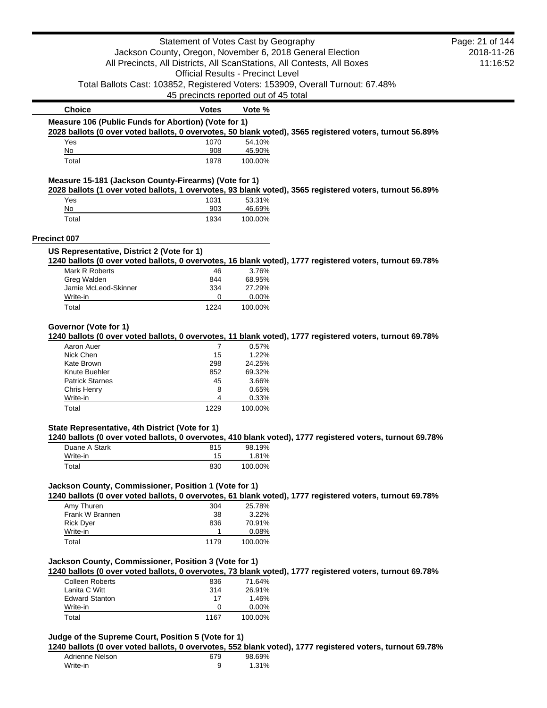|                                                       |              | Statement of Votes Cast by Geography                      |                                                                                                           | Page: 21 of 144 |
|-------------------------------------------------------|--------------|-----------------------------------------------------------|-----------------------------------------------------------------------------------------------------------|-----------------|
|                                                       |              | Jackson County, Oregon, November 6, 2018 General Election |                                                                                                           | 2018-11-26      |
|                                                       |              |                                                           | All Precincts, All Districts, All ScanStations, All Contests, All Boxes                                   | 11:16:52        |
|                                                       |              | <b>Official Results - Precinct Level</b>                  |                                                                                                           |                 |
|                                                       |              |                                                           |                                                                                                           |                 |
|                                                       |              |                                                           | Total Ballots Cast: 103852, Registered Voters: 153909, Overall Turnout: 67.48%                            |                 |
|                                                       |              | 45 precincts reported out of 45 total                     |                                                                                                           |                 |
| <b>Choice</b>                                         | <b>Votes</b> | Vote %                                                    |                                                                                                           |                 |
| Measure 106 (Public Funds for Abortion) (Vote for 1)  |              |                                                           |                                                                                                           |                 |
|                                                       |              |                                                           | 2028 ballots (0 over voted ballots, 0 overvotes, 50 blank voted), 3565 registered voters, turnout 56.89%  |                 |
| Yes                                                   | 1070         | 54.10%                                                    |                                                                                                           |                 |
| No                                                    | 908          | 45.90%                                                    |                                                                                                           |                 |
| Total                                                 | 1978         | 100.00%                                                   |                                                                                                           |                 |
| Measure 15-181 (Jackson County-Firearms) (Vote for 1) |              |                                                           |                                                                                                           |                 |
|                                                       |              |                                                           | 2028 ballots (1 over voted ballots, 1 overvotes, 93 blank voted), 3565 registered voters, turnout 56.89%  |                 |
| Yes                                                   | 1031         | 53.31%                                                    |                                                                                                           |                 |
| No                                                    | 903          | 46.69%                                                    |                                                                                                           |                 |
| Total                                                 | 1934         | 100.00%                                                   |                                                                                                           |                 |
| <b>Precinct 007</b>                                   |              |                                                           |                                                                                                           |                 |
| US Representative, District 2 (Vote for 1)            |              |                                                           |                                                                                                           |                 |
|                                                       |              |                                                           | 1240 ballots (0 over voted ballots, 0 overvotes, 16 blank voted), 1777 registered voters, turnout 69.78%  |                 |
| Mark R Roberts                                        | 46           | 3.76%                                                     |                                                                                                           |                 |
| Greg Walden<br>Jamie McLeod-Skinner                   | 844<br>334   | 68.95%<br>27.29%                                          |                                                                                                           |                 |
| Write-in                                              | 0            | 0.00%                                                     |                                                                                                           |                 |
| Total                                                 | 1224         | 100.00%                                                   |                                                                                                           |                 |
|                                                       |              |                                                           |                                                                                                           |                 |
| Governor (Vote for 1)                                 |              |                                                           |                                                                                                           |                 |
|                                                       |              |                                                           | 1240 ballots (0 over voted ballots, 0 overvotes, 11 blank voted), 1777 registered voters, turnout 69.78%  |                 |
| Aaron Auer                                            | 7            | 0.57%                                                     |                                                                                                           |                 |
| Nick Chen                                             | 15           | 1.22%                                                     |                                                                                                           |                 |
| Kate Brown                                            | 298          | 24.25%                                                    |                                                                                                           |                 |
| Knute Buehler                                         | 852          | 69.32%                                                    |                                                                                                           |                 |
| <b>Patrick Starnes</b>                                | 45           | 3.66%                                                     |                                                                                                           |                 |
| Chris Henry                                           | 8            | 0.65%                                                     |                                                                                                           |                 |
| Write-in                                              | 4            | 0.33%                                                     |                                                                                                           |                 |
| Total                                                 | 1229         | 100.00%                                                   |                                                                                                           |                 |
| State Representative, 4th District (Vote for 1)       |              |                                                           |                                                                                                           |                 |
|                                                       |              |                                                           | 1240 ballots (0 over voted ballots, 0 overvotes, 410 blank voted), 1777 registered voters, turnout 69.78% |                 |
| Duane A Stark                                         | 815          | 98.19%                                                    |                                                                                                           |                 |
| Write-in                                              | 15           | 1.81%                                                     |                                                                                                           |                 |
| Total                                                 | 830          | 100.00%                                                   |                                                                                                           |                 |
| Jackson County, Commissioner, Position 1 (Vote for 1) |              |                                                           |                                                                                                           |                 |
|                                                       |              |                                                           | 1240 ballots (0 over voted ballots, 0 overvotes, 61 blank voted), 1777 registered voters, turnout 69.78%  |                 |
| Amy Thuren                                            | 304          | 25.78%                                                    |                                                                                                           |                 |
| Frank W Brannen                                       | 38           | 3.22%                                                     |                                                                                                           |                 |
| <b>Rick Dyer</b>                                      | 836          | 70.91%                                                    |                                                                                                           |                 |
| Write-in                                              | 1            | 0.08%                                                     |                                                                                                           |                 |
| Total                                                 | 1179         | 100.00%                                                   |                                                                                                           |                 |
| Jackson County, Commissioner, Position 3 (Vote for 1) |              |                                                           |                                                                                                           |                 |
|                                                       |              |                                                           | 1240 ballots (0 over voted ballots, 0 overvotes, 73 blank voted), 1777 registered voters, turnout 69.78%  |                 |
|                                                       |              |                                                           |                                                                                                           |                 |
| Colleen Roberts                                       | 836          | 71.64%                                                    |                                                                                                           |                 |
| Lanita C Witt                                         | 314          | 26.91%                                                    |                                                                                                           |                 |
| <b>Edward Stanton</b>                                 | 17           | 1.46%                                                     |                                                                                                           |                 |
| Write-in                                              | 0            | 0.00%                                                     |                                                                                                           |                 |

#### **Judge of the Supreme Court, Position 5 (Vote for 1)**

**1240 ballots (0 over voted ballots, 0 overvotes, 552 blank voted), 1777 registered voters, turnout 69.78%**

| Adrienne Nelson | 679 | 98.69%   |
|-----------------|-----|----------|
| Write-in        |     | $1.31\%$ |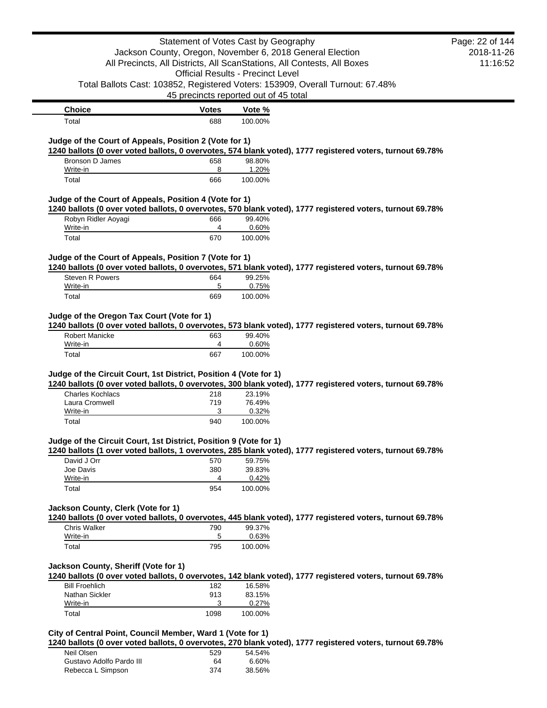|                                                                                                                                                                                                                                  | Statement of Votes Cast by Geography     |                  |                                                                                                           | Page: 22 of 144 |
|----------------------------------------------------------------------------------------------------------------------------------------------------------------------------------------------------------------------------------|------------------------------------------|------------------|-----------------------------------------------------------------------------------------------------------|-----------------|
|                                                                                                                                                                                                                                  |                                          |                  | Jackson County, Oregon, November 6, 2018 General Election                                                 | 2018-11-26      |
|                                                                                                                                                                                                                                  |                                          |                  | All Precincts, All Districts, All ScanStations, All Contests, All Boxes                                   | 11:16:52        |
|                                                                                                                                                                                                                                  | <b>Official Results - Precinct Level</b> |                  |                                                                                                           |                 |
|                                                                                                                                                                                                                                  |                                          |                  | Total Ballots Cast: 103852, Registered Voters: 153909, Overall Turnout: 67.48%                            |                 |
|                                                                                                                                                                                                                                  | 45 precincts reported out of 45 total    |                  |                                                                                                           |                 |
| <b>Choice</b>                                                                                                                                                                                                                    | Votes                                    | Vote %           |                                                                                                           |                 |
| Total                                                                                                                                                                                                                            | 688                                      | 100.00%          |                                                                                                           |                 |
| Judge of the Court of Appeals, Position 2 (Vote for 1)                                                                                                                                                                           |                                          |                  |                                                                                                           |                 |
|                                                                                                                                                                                                                                  |                                          |                  | 1240 ballots (0 over voted ballots, 0 overvotes, 574 blank voted), 1777 registered voters, turnout 69.78% |                 |
| Bronson D James                                                                                                                                                                                                                  | 658                                      | 98.80%           |                                                                                                           |                 |
| Write-in                                                                                                                                                                                                                         | 8                                        | 1.20%            |                                                                                                           |                 |
| Total                                                                                                                                                                                                                            | 666                                      | 100.00%          |                                                                                                           |                 |
| Judge of the Court of Appeals, Position 4 (Vote for 1)                                                                                                                                                                           |                                          |                  |                                                                                                           |                 |
|                                                                                                                                                                                                                                  |                                          |                  | 1240 ballots (0 over voted ballots, 0 overvotes, 570 blank voted), 1777 registered voters, turnout 69.78% |                 |
| Robyn Ridler Aoyagi                                                                                                                                                                                                              | 666                                      | 99.40%           |                                                                                                           |                 |
| Write-in<br>Total                                                                                                                                                                                                                | 4<br>670                                 | 0.60%<br>100.00% |                                                                                                           |                 |
|                                                                                                                                                                                                                                  |                                          |                  |                                                                                                           |                 |
| Judge of the Court of Appeals, Position 7 (Vote for 1)                                                                                                                                                                           |                                          |                  |                                                                                                           |                 |
|                                                                                                                                                                                                                                  |                                          |                  | 1240 ballots (0 over voted ballots, 0 overvotes, 571 blank voted), 1777 registered voters, turnout 69.78% |                 |
| Steven R Powers                                                                                                                                                                                                                  | 664                                      | 99.25%           |                                                                                                           |                 |
| Write-in<br>Total                                                                                                                                                                                                                | 5<br>669                                 | 0.75%<br>100.00% |                                                                                                           |                 |
|                                                                                                                                                                                                                                  |                                          |                  |                                                                                                           |                 |
| Judge of the Oregon Tax Court (Vote for 1)                                                                                                                                                                                       |                                          |                  |                                                                                                           |                 |
|                                                                                                                                                                                                                                  |                                          |                  |                                                                                                           |                 |
|                                                                                                                                                                                                                                  |                                          |                  | 1240 ballots (0 over voted ballots, 0 overvotes, 573 blank voted), 1777 registered voters, turnout 69.78% |                 |
| <b>Robert Manicke</b>                                                                                                                                                                                                            | 663                                      | 99.40%           |                                                                                                           |                 |
| Write-in                                                                                                                                                                                                                         | 4                                        | 0.60%            |                                                                                                           |                 |
| Total                                                                                                                                                                                                                            | 667                                      | 100.00%          |                                                                                                           |                 |
|                                                                                                                                                                                                                                  |                                          |                  |                                                                                                           |                 |
|                                                                                                                                                                                                                                  |                                          |                  | 1240 ballots (0 over voted ballots, 0 overvotes, 300 blank voted), 1777 registered voters, turnout 69.78% |                 |
| <b>Charles Kochlacs</b>                                                                                                                                                                                                          | 218                                      | 23.19%           |                                                                                                           |                 |
| Laura Cromwell<br>Write-in                                                                                                                                                                                                       | 719<br>3                                 | 76.49%<br>0.32%  |                                                                                                           |                 |
| Total                                                                                                                                                                                                                            | 940                                      | 100.00%          |                                                                                                           |                 |
|                                                                                                                                                                                                                                  |                                          |                  |                                                                                                           |                 |
|                                                                                                                                                                                                                                  |                                          |                  |                                                                                                           |                 |
|                                                                                                                                                                                                                                  |                                          |                  | 1240 ballots (1 over voted ballots, 1 overvotes, 285 blank voted), 1777 registered voters, turnout 69.78% |                 |
| David J Orr<br>Joe Davis                                                                                                                                                                                                         | 570<br>380                               | 59.75%<br>39.83% |                                                                                                           |                 |
| Write-in                                                                                                                                                                                                                         | 4                                        | 0.42%            |                                                                                                           |                 |
| Total                                                                                                                                                                                                                            | 954                                      | 100.00%          |                                                                                                           |                 |
|                                                                                                                                                                                                                                  |                                          |                  |                                                                                                           |                 |
|                                                                                                                                                                                                                                  |                                          |                  |                                                                                                           |                 |
|                                                                                                                                                                                                                                  |                                          |                  | 1240 ballots (0 over voted ballots, 0 overvotes, 445 blank voted), 1777 registered voters, turnout 69.78% |                 |
| Chris Walker<br>Write-in                                                                                                                                                                                                         | 790<br>5                                 | 99.37%<br>0.63%  |                                                                                                           |                 |
| Total                                                                                                                                                                                                                            | 795                                      | 100.00%          |                                                                                                           |                 |
|                                                                                                                                                                                                                                  |                                          |                  |                                                                                                           |                 |
|                                                                                                                                                                                                                                  |                                          |                  |                                                                                                           |                 |
|                                                                                                                                                                                                                                  |                                          |                  | 1240 ballots (0 over voted ballots, 0 overvotes, 142 blank voted), 1777 registered voters, turnout 69.78% |                 |
| <b>Bill Froehlich</b><br>Nathan Sickler                                                                                                                                                                                          | 182<br>913                               | 16.58%<br>83.15% |                                                                                                           |                 |
| Judge of the Circuit Court, 1st District, Position 4 (Vote for 1)<br>Judge of the Circuit Court, 1st District, Position 9 (Vote for 1)<br>Jackson County, Clerk (Vote for 1)<br>Jackson County, Sheriff (Vote for 1)<br>Write-in | 3<br>1098                                | 0.27%            |                                                                                                           |                 |

| TU DAIIULS (U UVEI VULEU DAIIULS, U UVEI VULES, ZTU DIAIIN VU |     |        |
|---------------------------------------------------------------|-----|--------|
| Neil Olsen                                                    | 529 | 54.54% |
| Gustavo Adolfo Pardo III                                      | 64  | 6.60%  |
| Rebecca L Simpson                                             | 374 | 38.56% |
|                                                               |     |        |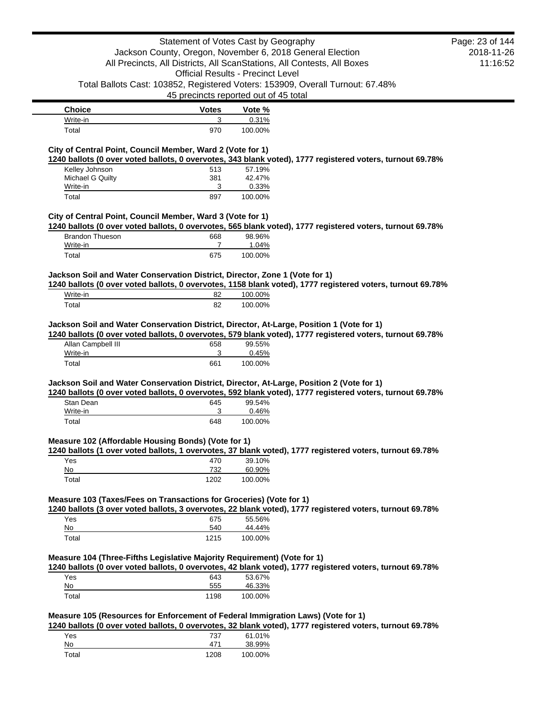|                                                                                                                                                  |              | Statement of Votes Cast by Geography<br>Jackson County, Oregon, November 6, 2018 General Election |                                                                                                            | Page: 23 of 144<br>2018-11-26 |
|--------------------------------------------------------------------------------------------------------------------------------------------------|--------------|---------------------------------------------------------------------------------------------------|------------------------------------------------------------------------------------------------------------|-------------------------------|
|                                                                                                                                                  |              | All Precincts, All Districts, All ScanStations, All Contests, All Boxes                           |                                                                                                            | 11:16:52                      |
|                                                                                                                                                  |              | <b>Official Results - Precinct Level</b>                                                          |                                                                                                            |                               |
|                                                                                                                                                  |              |                                                                                                   | Total Ballots Cast: 103852, Registered Voters: 153909, Overall Turnout: 67.48%                             |                               |
|                                                                                                                                                  |              | 45 precincts reported out of 45 total                                                             |                                                                                                            |                               |
| <b>Choice</b>                                                                                                                                    | <b>Votes</b> | Vote %                                                                                            |                                                                                                            |                               |
| Write-in                                                                                                                                         | 3            | 0.31%                                                                                             |                                                                                                            |                               |
| Total                                                                                                                                            | 970          | 100.00%                                                                                           |                                                                                                            |                               |
| City of Central Point, Council Member, Ward 2 (Vote for 1)                                                                                       |              |                                                                                                   |                                                                                                            |                               |
|                                                                                                                                                  |              |                                                                                                   | 1240 ballots (0 over voted ballots, 0 overvotes, 343 blank voted), 1777 registered voters, turnout 69.78%  |                               |
| Kelley Johnson                                                                                                                                   | 513          | 57.19%                                                                                            |                                                                                                            |                               |
| Michael G Quilty                                                                                                                                 | 381          | 42.47%                                                                                            |                                                                                                            |                               |
| Write-in                                                                                                                                         | 3            | 0.33%                                                                                             |                                                                                                            |                               |
| Total                                                                                                                                            | 897          | 100.00%                                                                                           |                                                                                                            |                               |
| City of Central Point, Council Member, Ward 3 (Vote for 1)                                                                                       |              |                                                                                                   |                                                                                                            |                               |
|                                                                                                                                                  |              |                                                                                                   | 1240 ballots (0 over voted ballots, 0 overvotes, 565 blank voted), 1777 registered voters, turnout 69.78%  |                               |
| <b>Brandon Thueson</b>                                                                                                                           | 668          | 98.96%                                                                                            |                                                                                                            |                               |
| Write-in<br>Total                                                                                                                                | 7<br>675     | 1.04%<br>100.00%                                                                                  |                                                                                                            |                               |
|                                                                                                                                                  |              |                                                                                                   |                                                                                                            |                               |
| Jackson Soil and Water Conservation District, Director, Zone 1 (Vote for 1)                                                                      |              |                                                                                                   |                                                                                                            |                               |
|                                                                                                                                                  |              |                                                                                                   | 1240 ballots (0 over voted ballots, 0 overvotes, 1158 blank voted), 1777 registered voters, turnout 69.78% |                               |
| Write-in                                                                                                                                         | 82           | 100.00%                                                                                           |                                                                                                            |                               |
| Total                                                                                                                                            | 82           | 100.00%                                                                                           |                                                                                                            |                               |
| Jackson Soil and Water Conservation District, Director, At-Large, Position 1 (Vote for 1)                                                        |              |                                                                                                   |                                                                                                            |                               |
|                                                                                                                                                  |              |                                                                                                   | 1240 ballots (0 over voted ballots, 0 overvotes, 579 blank voted), 1777 registered voters, turnout 69.78%  |                               |
|                                                                                                                                                  |              |                                                                                                   |                                                                                                            |                               |
| Allan Campbell III                                                                                                                               | 658          | 99.55%                                                                                            |                                                                                                            |                               |
| Write-in<br>Total                                                                                                                                | 3<br>661     | 0.45%<br>100.00%                                                                                  |                                                                                                            |                               |
|                                                                                                                                                  |              |                                                                                                   |                                                                                                            |                               |
|                                                                                                                                                  |              |                                                                                                   |                                                                                                            |                               |
| Stan Dean                                                                                                                                        | 645          | 99.54%                                                                                            | 1240 ballots (0 over voted ballots, 0 overvotes, 592 blank voted), 1777 registered voters, turnout 69.78%  |                               |
| Write-in                                                                                                                                         | 3            | 0.46%                                                                                             |                                                                                                            |                               |
| Total                                                                                                                                            | 648          | 100.00%                                                                                           |                                                                                                            |                               |
|                                                                                                                                                  |              |                                                                                                   |                                                                                                            |                               |
|                                                                                                                                                  |              |                                                                                                   |                                                                                                            |                               |
|                                                                                                                                                  |              |                                                                                                   | 1240 ballots (1 over voted ballots, 1 overvotes, 37 blank voted), 1777 registered voters, turnout 69.78%   |                               |
| Yes<br>No                                                                                                                                        | 470<br>732   | 39.10%<br>60.90%                                                                                  |                                                                                                            |                               |
| Total                                                                                                                                            | 1202         | 100.00%                                                                                           |                                                                                                            |                               |
| Jackson Soil and Water Conservation District, Director, At-Large, Position 2 (Vote for 1)<br>Measure 102 (Affordable Housing Bonds) (Vote for 1) |              |                                                                                                   |                                                                                                            |                               |
| Measure 103 (Taxes/Fees on Transactions for Groceries) (Vote for 1)                                                                              |              |                                                                                                   |                                                                                                            |                               |
|                                                                                                                                                  |              |                                                                                                   | 1240 ballots (3 over voted ballots, 3 overvotes, 22 blank voted), 1777 registered voters, turnout 69.78%   |                               |
| Yes<br>No                                                                                                                                        | 675<br>540   | 55.56%<br>44.44%                                                                                  |                                                                                                            |                               |
| Total                                                                                                                                            | 1215         | 100.00%                                                                                           |                                                                                                            |                               |
|                                                                                                                                                  |              |                                                                                                   |                                                                                                            |                               |
| Measure 104 (Three-Fifths Legislative Majority Requirement) (Vote for 1)                                                                         |              |                                                                                                   |                                                                                                            |                               |
|                                                                                                                                                  |              |                                                                                                   | 1240 ballots (0 over voted ballots, 0 overvotes, 42 blank voted), 1777 registered voters, turnout 69.78%   |                               |
| Yes<br>No                                                                                                                                        | 643<br>555   | 53.67%<br>46.33%                                                                                  |                                                                                                            |                               |
| Total                                                                                                                                            | 1198         | 100.00%                                                                                           |                                                                                                            |                               |
|                                                                                                                                                  |              |                                                                                                   |                                                                                                            |                               |
| Measure 105 (Resources for Enforcement of Federal Immigration Laws) (Vote for 1)                                                                 |              |                                                                                                   |                                                                                                            |                               |
|                                                                                                                                                  |              |                                                                                                   | 1240 ballots (0 over voted ballots, 0 overvotes, 32 blank voted), 1777 registered voters, turnout 69.78%   |                               |
| Yes<br>No                                                                                                                                        | 737<br>471   | 61.01%<br>38.99%                                                                                  |                                                                                                            |                               |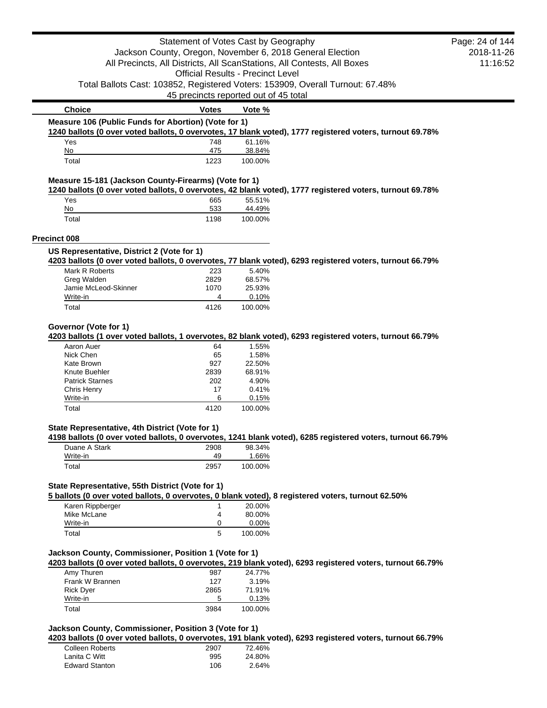|                                                       | Statement of Votes Cast by Geography                  |         |                                                                                                            | Page: 24 of 144 |
|-------------------------------------------------------|-------------------------------------------------------|---------|------------------------------------------------------------------------------------------------------------|-----------------|
|                                                       |                                                       |         | Jackson County, Oregon, November 6, 2018 General Election                                                  | 2018-11-26      |
|                                                       |                                                       |         | All Precincts, All Districts, All ScanStations, All Contests, All Boxes                                    | 11:16:52        |
|                                                       | <b>Official Results - Precinct Level</b>              |         |                                                                                                            |                 |
|                                                       |                                                       |         | Total Ballots Cast: 103852, Registered Voters: 153909, Overall Turnout: 67.48%                             |                 |
|                                                       |                                                       |         |                                                                                                            |                 |
|                                                       | 45 precincts reported out of 45 total                 |         |                                                                                                            |                 |
| <b>Choice</b>                                         | <b>Votes</b>                                          | Vote %  |                                                                                                            |                 |
| Measure 106 (Public Funds for Abortion) (Vote for 1)  |                                                       |         | 1240 ballots (0 over voted ballots, 0 overvotes, 17 blank voted), 1777 registered voters, turnout 69.78%   |                 |
| Yes                                                   | 748                                                   | 61.16%  |                                                                                                            |                 |
| No                                                    | 475                                                   | 38.84%  |                                                                                                            |                 |
| Total                                                 | 1223                                                  | 100.00% |                                                                                                            |                 |
| Measure 15-181 (Jackson County-Firearms) (Vote for 1) |                                                       |         | 1240 ballots (0 over voted ballots, 0 overvotes, 42 blank voted), 1777 registered voters, turnout 69.78%   |                 |
| Yes                                                   | 665                                                   | 55.51%  |                                                                                                            |                 |
| No                                                    | 533                                                   | 44.49%  |                                                                                                            |                 |
| Total                                                 | 1198                                                  | 100.00% |                                                                                                            |                 |
| <b>Precinct 008</b>                                   |                                                       |         |                                                                                                            |                 |
| US Representative, District 2 (Vote for 1)            |                                                       |         |                                                                                                            |                 |
| Mark R Roberts                                        | 223                                                   | 5.40%   | 4203 ballots (0 over voted ballots, 0 overvotes, 77 blank voted), 6293 registered voters, turnout 66.79%   |                 |
| Greg Walden                                           | 2829                                                  | 68.57%  |                                                                                                            |                 |
| Jamie McLeod-Skinner                                  | 1070                                                  | 25.93%  |                                                                                                            |                 |
| Write-in                                              | 4                                                     | 0.10%   |                                                                                                            |                 |
| Total                                                 | 4126                                                  | 100.00% |                                                                                                            |                 |
|                                                       |                                                       |         |                                                                                                            |                 |
| Governor (Vote for 1)                                 |                                                       |         | 4203 ballots (1 over voted ballots, 1 overvotes, 82 blank voted), 6293 registered voters, turnout 66.79%   |                 |
| Aaron Auer                                            | 64                                                    | 1.55%   |                                                                                                            |                 |
| Nick Chen                                             | 65                                                    | 1.58%   |                                                                                                            |                 |
| Kate Brown                                            | 927                                                   | 22.50%  |                                                                                                            |                 |
| Knute Buehler                                         | 2839                                                  | 68.91%  |                                                                                                            |                 |
| <b>Patrick Starnes</b>                                | 202                                                   | 4.90%   |                                                                                                            |                 |
| <b>Chris Henry</b>                                    | 17                                                    | 0.41%   |                                                                                                            |                 |
| Write-in                                              | 6                                                     | 0.15%   |                                                                                                            |                 |
| Total                                                 | 4120                                                  | 100.00% |                                                                                                            |                 |
| State Representative, 4th District (Vote for 1)       |                                                       |         |                                                                                                            |                 |
|                                                       |                                                       |         | 4198 ballots (0 over voted ballots, 0 overvotes, 1241 blank voted), 6285 registered voters, turnout 66.79% |                 |
| Duane A Stark                                         | 2908                                                  | 98.34%  |                                                                                                            |                 |
| Write-in                                              | 49                                                    | 1.66%   |                                                                                                            |                 |
| Total                                                 | 2957                                                  | 100.00% |                                                                                                            |                 |
| State Representative, 55th District (Vote for 1)      |                                                       |         |                                                                                                            |                 |
|                                                       |                                                       |         | 5 ballots (0 over voted ballots, 0 overvotes, 0 blank voted), 8 registered voters, turnout 62.50%          |                 |
| Karen Rippberger                                      | 1                                                     | 20.00%  |                                                                                                            |                 |
| Mike McLane                                           | 4                                                     | 80.00%  |                                                                                                            |                 |
| Write-in                                              | 0                                                     | 0.00%   |                                                                                                            |                 |
| Total                                                 | 5                                                     | 100.00% |                                                                                                            |                 |
|                                                       | Jackson County, Commissioner, Position 1 (Vote for 1) |         |                                                                                                            |                 |
|                                                       |                                                       |         | 4203 ballots (0 over voted ballots, 0 overvotes, 219 blank voted), 6293 registered voters, turnout 66.79%  |                 |
|                                                       |                                                       | 24.77%  |                                                                                                            |                 |
| Amy Thuren                                            | 987                                                   |         |                                                                                                            |                 |
| Frank W Brannen                                       | 127                                                   | 3.19%   |                                                                                                            |                 |
| <b>Rick Dyer</b>                                      | 2865                                                  | 71.91%  |                                                                                                            |                 |
| Write-in                                              | 5                                                     | 0.13%   |                                                                                                            |                 |

**4203 ballots (0 over voted ballots, 0 overvotes, 191 blank voted), 6293 registered voters, turnout 66.79%**

| Colleen Roberts       | 2907 | 72.46% |
|-----------------------|------|--------|
| Lanita C Witt         | 995  | 24.80% |
| <b>Edward Stanton</b> | 106  | 2.64%  |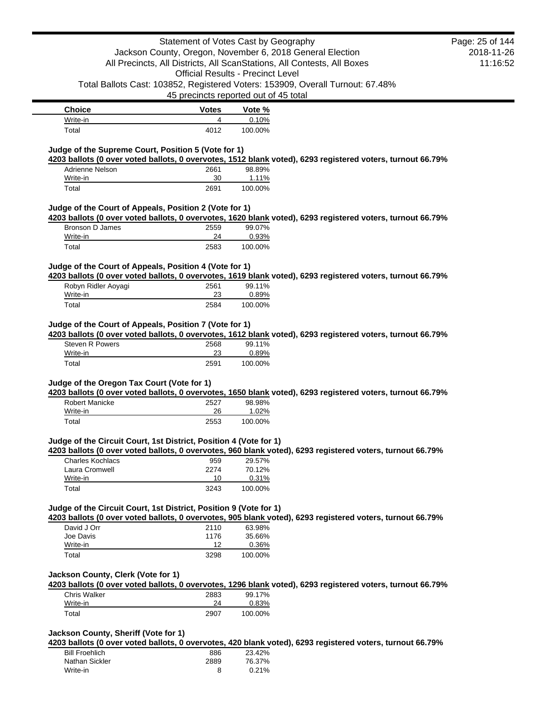**Choice Votes Vote %**

| <b>VIIVIVV</b>    | ,,,,,, | $\sim$         |
|-------------------|--------|----------------|
| Write-in          |        | $^{\circ}0\%$  |
| <sup>-</sup> otai | 1010   | $00\%$<br>100. |
|                   |        |                |

# **Judge of the Supreme Court, Position 5 (Vote for 1)**

**4203 ballots (0 over voted ballots, 0 overvotes, 1512 blank voted), 6293 registered voters, turnout 66.79%**

| Adrienne Nelson | 2661 | 98.89%  |
|-----------------|------|---------|
| Write-in        | 30   | 1.11%   |
| Total           | 2691 | 100.00% |

# **Judge of the Court of Appeals, Position 2 (Vote for 1)**

**4203 ballots (0 over voted ballots, 0 overvotes, 1620 blank voted), 6293 registered voters, turnout 66.79%**

| Bronson D James | 2559 | 99.07%  |
|-----------------|------|---------|
| Write-in        | 24   | 0.93%   |
| Total           | 2583 | 100.00% |

# **Judge of the Court of Appeals, Position 4 (Vote for 1)**

**4203 ballots (0 over voted ballots, 0 overvotes, 1619 blank voted), 6293 registered voters, turnout 66.79%**

| Robyn Ridler Aoyagi | 2561 | 99.11%   |
|---------------------|------|----------|
| Write-in            | 23   | $0.89\%$ |
| Total               | 2584 | 100.00%  |

# **Judge of the Court of Appeals, Position 7 (Vote for 1)**

**4203 ballots (0 over voted ballots, 0 overvotes, 1612 blank voted), 6293 registered voters, turnout 66.79%** Steven R Powers 2568 99.11% Write-in 23 0.89%

# **Judge of the Oregon Tax Court (Vote for 1)**

**4203 ballots (0 over voted ballots, 0 overvotes, 1650 blank voted), 6293 registered voters, turnout 66.79%**

| Robert Manicke | 2527 | 98.98%   |
|----------------|------|----------|
| Write-in       | 26   | $1.02\%$ |
| Total          | 2553 | 100.00%  |

Total 2591 100.00%

### **Judge of the Circuit Court, 1st District, Position 4 (Vote for 1)**

**4203 ballots (0 over voted ballots, 0 overvotes, 960 blank voted), 6293 registered voters, turnout 66.79%**

| Charles Kochlacs | 959  | 29.57%  |
|------------------|------|---------|
| Laura Cromwell   | 2274 | 70.12%  |
| Write-in         | 10   | 0.31%   |
| Total            | 3243 | 100.00% |

# **Judge of the Circuit Court, 1st District, Position 9 (Vote for 1)**

**4203 ballots (0 over voted ballots, 0 overvotes, 905 blank voted), 6293 registered voters, turnout 66.79%**

| David J Orr | 2110 | 63.98%  |
|-------------|------|---------|
| Joe Davis   | 1176 | 35.66%  |
| Write-in    | 12   | 0.36%   |
| Total       | 3298 | 100.00% |

## **Jackson County, Clerk (Vote for 1)**

**4203 ballots (0 over voted ballots, 0 overvotes, 1296 blank voted), 6293 registered voters, turnout 66.79%**

| <b>Chris Walker</b> | 2883 | 99.17%  |
|---------------------|------|---------|
| Write-in            | 24   | 0.83%   |
| Total               | 2907 | 100.00% |

# **Jackson County, Sheriff (Vote for 1)**

**4203 ballots (0 over voted ballots, 0 overvotes, 420 blank voted), 6293 registered voters, turnout 66.79%**

| <b>Bill Froehlich</b> | 886  | 23.42% |
|-----------------------|------|--------|
| Nathan Sickler        | 2889 | 76.37% |
| Write-in              | 8    | 0.21%  |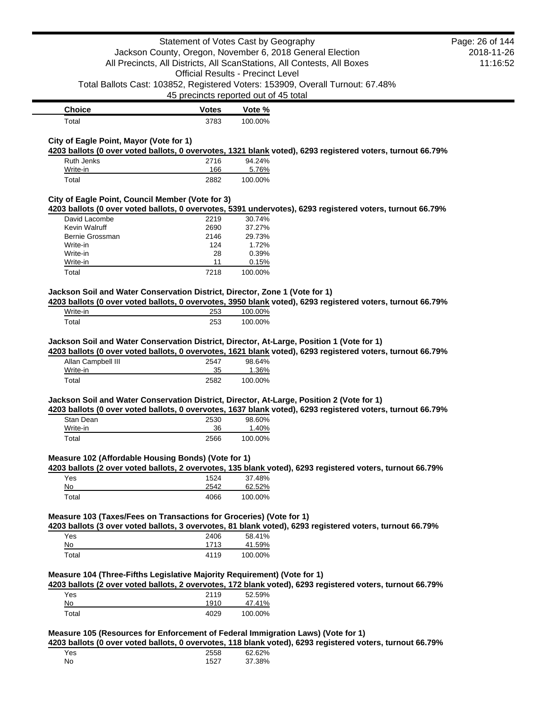|                                                                                                                 | Statement of Votes Cast by Geography                                              |                   | Jackson County, Oregon, November 6, 2018 General Election<br>All Precincts, All Districts, All ScanStations, All Contests, All Boxes | Page: 26 of 144<br>2018-11-26<br>11:16:52 |
|-----------------------------------------------------------------------------------------------------------------|-----------------------------------------------------------------------------------|-------------------|--------------------------------------------------------------------------------------------------------------------------------------|-------------------------------------------|
|                                                                                                                 | <b>Official Results - Precinct Level</b><br>45 precincts reported out of 45 total |                   | Total Ballots Cast: 103852, Registered Voters: 153909, Overall Turnout: 67.48%                                                       |                                           |
| <b>Choice</b>                                                                                                   | <b>Votes</b>                                                                      | Vote %            |                                                                                                                                      |                                           |
| Total                                                                                                           | 3783                                                                              | 100.00%           |                                                                                                                                      |                                           |
| City of Eagle Point, Mayor (Vote for 1)                                                                         |                                                                                   |                   | 4203 ballots (0 over voted ballots, 0 overvotes, 1321 blank voted), 6293 registered voters, turnout 66.79%                           |                                           |
| Ruth Jenks                                                                                                      | 2716                                                                              | 94.24%            |                                                                                                                                      |                                           |
| Write-in<br>Total                                                                                               | 166<br>2882                                                                       | 5.76%<br>100.00%  |                                                                                                                                      |                                           |
| City of Eagle Point, Council Member (Vote for 3)                                                                |                                                                                   |                   | 4203 ballots (0 over voted ballots, 0 overvotes, 5391 undervotes), 6293 registered voters, turnout 66.79%                            |                                           |
| David Lacombe                                                                                                   | 2219                                                                              | 30.74%            |                                                                                                                                      |                                           |
| Kevin Walruff                                                                                                   | 2690                                                                              | 37.27%            |                                                                                                                                      |                                           |
| Bernie Grossman                                                                                                 | 2146<br>124                                                                       | 29.73%<br>1.72%   |                                                                                                                                      |                                           |
| Write-in<br>Write-in                                                                                            | 28                                                                                | 0.39%             |                                                                                                                                      |                                           |
| Write-in                                                                                                        | 11                                                                                | 0.15%             |                                                                                                                                      |                                           |
| Total                                                                                                           | 7218                                                                              | 100.00%           |                                                                                                                                      |                                           |
| Jackson Soil and Water Conservation District, Director, Zone 1 (Vote for 1)                                     |                                                                                   |                   | 4203 ballots (0 over voted ballots, 0 overvotes, 3950 blank voted), 6293 registered voters, turnout 66.79%                           |                                           |
| Write-in                                                                                                        | 253                                                                               | 100.00%           |                                                                                                                                      |                                           |
| Total                                                                                                           | 253                                                                               | 100.00%           |                                                                                                                                      |                                           |
| Jackson Soil and Water Conservation District, Director, At-Large, Position 1 (Vote for 1)<br>Allan Campbell III | 2547                                                                              | 98.64%            | 4203 ballots (0 over voted ballots, 0 overvotes, 1621 blank voted), 6293 registered voters, turnout 66.79%                           |                                           |
| Write-in                                                                                                        | 35                                                                                | 1.36%             |                                                                                                                                      |                                           |
| Total                                                                                                           | 2582                                                                              | 100.00%           |                                                                                                                                      |                                           |
| Jackson Soil and Water Conservation District, Director, At-Large, Position 2 (Vote for 1)<br>Stan Dean          | 2530                                                                              | 98.60%            | 4203 ballots (0 over voted ballots, 0 overvotes, 1637 blank voted), 6293 registered voters, turnout 66.79%                           |                                           |
| Write-in                                                                                                        | 36                                                                                | 1.40%             |                                                                                                                                      |                                           |
| Total                                                                                                           | 2566                                                                              | 100.00%           |                                                                                                                                      |                                           |
| Measure 102 (Affordable Housing Bonds) (Vote for 1)                                                             |                                                                                   |                   | 4203 ballots (2 over voted ballots, 2 overvotes, 135 blank voted), 6293 registered voters, turnout 66.79%                            |                                           |
| Yes                                                                                                             | 1524                                                                              | 37.48%            |                                                                                                                                      |                                           |
| No                                                                                                              | 2542                                                                              | 62.52%            |                                                                                                                                      |                                           |
| Total                                                                                                           | 4066                                                                              | 100.00%           |                                                                                                                                      |                                           |
| Measure 103 (Taxes/Fees on Transactions for Groceries) (Vote for 1)<br>Yes                                      | 2406                                                                              | 58.41%            | 4203 ballots (3 over voted ballots, 3 overvotes, 81 blank voted), 6293 registered voters, turnout 66.79%                             |                                           |
| No                                                                                                              | 1713                                                                              | 41.59%            |                                                                                                                                      |                                           |
| Total                                                                                                           | 4119                                                                              | 100.00%           |                                                                                                                                      |                                           |
| Measure 104 (Three-Fifths Legislative Majority Requirement) (Vote for 1)                                        |                                                                                   |                   | 4203 ballots (2 over voted ballots, 2 overvotes, 172 blank voted), 6293 registered voters, turnout 66.79%                            |                                           |
| Yes                                                                                                             | 2119                                                                              | 52.59%            |                                                                                                                                      |                                           |
| No<br>Total                                                                                                     | 1910<br>4029                                                                      | 47.41%<br>100.00% |                                                                                                                                      |                                           |
|                                                                                                                 |                                                                                   |                   |                                                                                                                                      |                                           |
| Measure 105 (Resources for Enforcement of Federal Immigration Laws) (Vote for 1)                                |                                                                                   |                   | 4203 ballots (0 over voted ballots, 0 overvotes, 118 blank voted), 6293 registered voters, turnout 66.79%                            |                                           |
| Yes                                                                                                             | 2558                                                                              | 62.62%            |                                                                                                                                      |                                           |
| No                                                                                                              | 1527                                                                              | 37.38%            |                                                                                                                                      |                                           |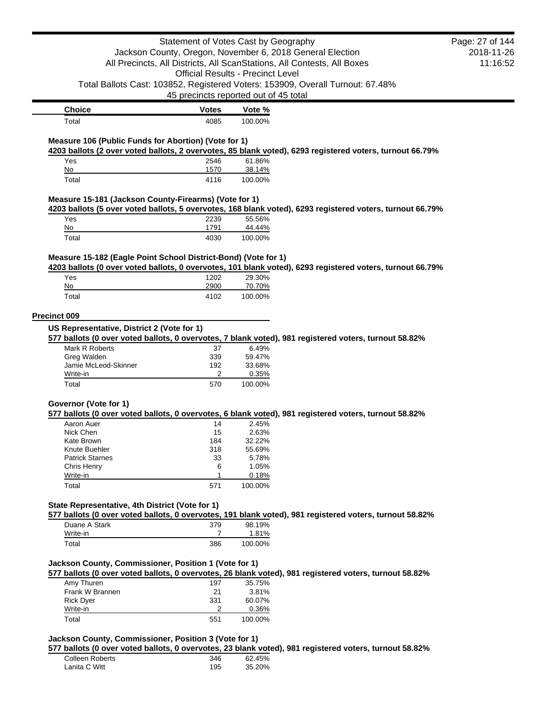|                                                                          | Statement of Votes Cast by Geography     |                   |                                                                                                           | Page: 27 of 144 |
|--------------------------------------------------------------------------|------------------------------------------|-------------------|-----------------------------------------------------------------------------------------------------------|-----------------|
|                                                                          |                                          |                   | Jackson County, Oregon, November 6, 2018 General Election                                                 | 2018-11-26      |
|                                                                          |                                          |                   | All Precincts, All Districts, All ScanStations, All Contests, All Boxes                                   | 11:16:52        |
|                                                                          | <b>Official Results - Precinct Level</b> |                   |                                                                                                           |                 |
|                                                                          |                                          |                   | Total Ballots Cast: 103852, Registered Voters: 153909, Overall Turnout: 67.48%                            |                 |
|                                                                          | 45 precincts reported out of 45 total    |                   |                                                                                                           |                 |
| <b>Choice</b>                                                            | <b>Votes</b>                             | Vote %            |                                                                                                           |                 |
| Total                                                                    | 4085                                     | 100.00%           |                                                                                                           |                 |
| Measure 106 (Public Funds for Abortion) (Vote for 1)                     |                                          |                   |                                                                                                           |                 |
|                                                                          |                                          |                   | 4203 ballots (2 over voted ballots, 2 overvotes, 85 blank voted), 6293 registered voters, turnout 66.79%  |                 |
| Yes<br>No                                                                | 2546<br>1570                             | 61.86%<br>38.14%  |                                                                                                           |                 |
| Total                                                                    | 4116                                     | 100.00%           |                                                                                                           |                 |
|                                                                          |                                          |                   |                                                                                                           |                 |
| Measure 15-181 (Jackson County-Firearms) (Vote for 1)                    |                                          |                   |                                                                                                           |                 |
|                                                                          |                                          |                   | 4203 ballots (5 over voted ballots, 5 overvotes, 168 blank voted), 6293 registered voters, turnout 66.79% |                 |
| Yes                                                                      | 2239<br>1791                             | 55.56%            |                                                                                                           |                 |
| No<br>Total                                                              | 4030                                     | 44.44%<br>100.00% |                                                                                                           |                 |
|                                                                          |                                          |                   |                                                                                                           |                 |
| Measure 15-182 (Eagle Point School District-Bond) (Vote for 1)           |                                          |                   | 4203 ballots (0 over voted ballots, 0 overvotes, 101 blank voted), 6293 registered voters, turnout 66.79% |                 |
| Yes                                                                      | 1202                                     | 29.30%            |                                                                                                           |                 |
| No                                                                       | 2900                                     | 70.70%            |                                                                                                           |                 |
| Total                                                                    | 4102                                     | 100.00%           |                                                                                                           |                 |
|                                                                          |                                          |                   |                                                                                                           |                 |
| <b>Precinct 009</b>                                                      |                                          |                   |                                                                                                           |                 |
| US Representative, District 2 (Vote for 1)                               |                                          |                   |                                                                                                           |                 |
|                                                                          |                                          |                   | 577 ballots (0 over voted ballots, 0 overvotes, 7 blank voted), 981 registered voters, turnout 58.82%     |                 |
| Mark R Roberts                                                           | 37                                       | 6.49%<br>59.47%   |                                                                                                           |                 |
|                                                                          |                                          |                   |                                                                                                           |                 |
| Greg Walden<br>Jamie McLeod-Skinner                                      | 339<br>192                               | 33.68%            |                                                                                                           |                 |
| Write-in                                                                 | 2                                        | 0.35%             |                                                                                                           |                 |
| Total                                                                    | 570                                      | 100.00%           |                                                                                                           |                 |
|                                                                          |                                          |                   |                                                                                                           |                 |
|                                                                          |                                          |                   | 577 ballots (0 over voted ballots, 0 overvotes, 6 blank voted), 981 registered voters, turnout 58.82%     |                 |
| Aaron Auer                                                               | 14                                       | 2.45%             |                                                                                                           |                 |
| Nick Chen                                                                | 15                                       | 2.63%             |                                                                                                           |                 |
| Kate Brown                                                               | 184                                      | 32.22%            |                                                                                                           |                 |
| Knute Buehler                                                            | 318                                      | 55.69%            |                                                                                                           |                 |
| <b>Patrick Starnes</b>                                                   | 33<br>6                                  | 5.78%<br>1.05%    |                                                                                                           |                 |
| Chris Henry<br>Write-in                                                  | 1                                        | 0.18%             |                                                                                                           |                 |
| Total                                                                    | 571                                      | 100.00%           |                                                                                                           |                 |
|                                                                          |                                          |                   |                                                                                                           |                 |
| Governor (Vote for 1)<br>State Representative, 4th District (Vote for 1) |                                          |                   | 577 ballots (0 over voted ballots, 0 overvotes, 191 blank voted), 981 registered voters, turnout 58.82%   |                 |
| Duane A Stark                                                            | 379                                      | 98.19%            |                                                                                                           |                 |
| Write-in                                                                 | 7                                        | 1.81%             |                                                                                                           |                 |
| Total                                                                    | 386                                      | 100.00%           |                                                                                                           |                 |
|                                                                          |                                          |                   |                                                                                                           |                 |
|                                                                          |                                          |                   |                                                                                                           |                 |
|                                                                          |                                          |                   | 577 ballots (0 over voted ballots, 0 overvotes, 26 blank voted), 981 registered voters, turnout 58.82%    |                 |
| Amy Thuren                                                               | 197                                      | 35.75%            |                                                                                                           |                 |
| Frank W Brannen                                                          | 21<br>331                                | 3.81%<br>60.07%   |                                                                                                           |                 |
| <b>Rick Dyer</b><br>Write-in                                             | 2                                        | 0.36%             |                                                                                                           |                 |
| Jackson County, Commissioner, Position 1 (Vote for 1)<br>Total           | 551                                      | 100.00%           |                                                                                                           |                 |

| Colleen Roberts | 346 | 62.45% |
|-----------------|-----|--------|
| Lanita C Witt   | 195 | 35.20% |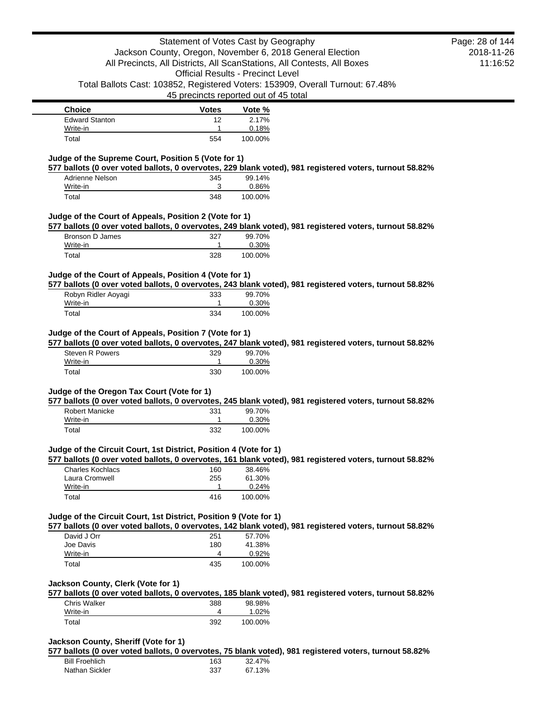| <b>Choice</b>         | <b>Votes</b> | Vote %  |
|-----------------------|--------------|---------|
| <b>Edward Stanton</b> | 12           | 2.17%   |
| Write-in              |              | 0.18%   |
| Total                 | 554          | 100.00% |

## **Judge of the Supreme Court, Position 5 (Vote for 1)**

**577 ballots (0 over voted ballots, 0 overvotes, 229 blank voted), 981 registered voters, turnout 58.82%**

| Adrienne Nelson | 345 | 99.14%  |
|-----------------|-----|---------|
| Write-in        | ว   | 0.86%   |
| Total           | 348 | 100.00% |

## **Judge of the Court of Appeals, Position 2 (Vote for 1)**

**577 ballots (0 over voted ballots, 0 overvotes, 249 blank voted), 981 registered voters, turnout 58.82%**

| Bronson D James | 327 | 99.70%  |
|-----------------|-----|---------|
| Write-in        |     | 0.30%   |
| Total           | 328 | 100.00% |

## **Judge of the Court of Appeals, Position 4 (Vote for 1)**

**577 ballots (0 over voted ballots, 0 overvotes, 243 blank voted), 981 registered voters, turnout 58.82%**

| Robyn Ridler Aoyagi | 333 | 99.70%  |
|---------------------|-----|---------|
| Write-in            |     | 0.30%   |
| Total               | 334 | 100.00% |

# **Judge of the Court of Appeals, Position 7 (Vote for 1)**

**577 ballots (0 over voted ballots, 0 overvotes, 247 blank voted), 981 registered voters, turnout 58.82%**

| Steven R Powers | 329 | 99.70%  |
|-----------------|-----|---------|
| Write-in        |     | 0.30%   |
| Total           | 330 | 100.00% |

#### **Judge of the Oregon Tax Court (Vote for 1)**

**577 ballots (0 over voted ballots, 0 overvotes, 245 blank voted), 981 registered voters, turnout 58.82%**

| Robert Manicke | 331 | 99.70%  |
|----------------|-----|---------|
| Write-in       |     | 0.30%   |
| Total          | 332 | 100.00% |

#### **Judge of the Circuit Court, 1st District, Position 4 (Vote for 1)**

**577 ballots (0 over voted ballots, 0 overvotes, 161 blank voted), 981 registered voters, turnout 58.82%**

| Charles Kochlacs | 160 | 38.46%  |
|------------------|-----|---------|
| Laura Cromwell   | 255 | 61.30%  |
| Write-in         |     | 0.24%   |
| Total            | 416 | 100.00% |

## **Judge of the Circuit Court, 1st District, Position 9 (Vote for 1)**

**577 ballots (0 over voted ballots, 0 overvotes, 142 blank voted), 981 registered voters, turnout 58.82%**

| David J Orr | 251 | 57.70%  |
|-------------|-----|---------|
| Joe Davis   | 180 | 41.38%  |
| Write-in    | 4   | 0.92%   |
| Total       | 435 | 100.00% |

#### **Jackson County, Clerk (Vote for 1)**

**577 ballots (0 over voted ballots, 0 overvotes, 185 blank voted), 981 registered voters, turnout 58.82%**

| <b>Chris Walker</b> | 388 | 98.98%  |
|---------------------|-----|---------|
| Write-in            |     | .02%    |
| ⊺otal               | 392 | 100.00% |

#### **Jackson County, Sheriff (Vote for 1)**

**577 ballots (0 over voted ballots, 0 overvotes, 75 blank voted), 981 registered voters, turnout 58.82%**

| <b>Bill Froehlich</b> | 163 | 32.47% |
|-----------------------|-----|--------|
| Nathan Sickler        | 337 | 67.13% |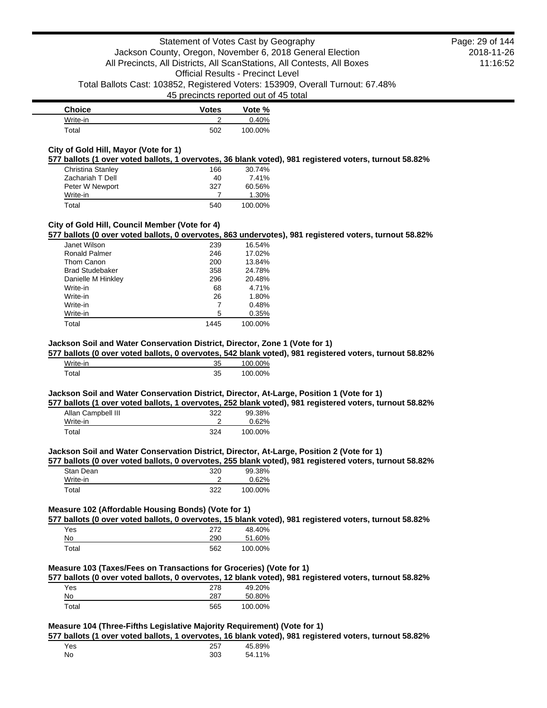| <b>Choice</b> | <b>Votes</b> | Vote %  |
|---------------|--------------|---------|
| Write-in      |              | 0.40%   |
| Total         | 502          | 100.00% |

## **City of Gold Hill, Mayor (Vote for 1)**

**577 ballots (1 over voted ballots, 1 overvotes, 36 blank voted), 981 registered voters, turnout 58.82%**

| Christina Stanley | 166 | 30.74%  |
|-------------------|-----|---------|
| Zachariah T Dell  | 40  | 7.41%   |
| Peter W Newport   | 327 | 60.56%  |
| Write-in          |     | 1.30%   |
| Total             | 540 | 100.00% |

# **City of Gold Hill, Council Member (Vote for 4)**

**577 ballots (0 over voted ballots, 0 overvotes, 863 undervotes), 981 registered voters, turnout 58.82%**

| Janet Wilson           | 239  | 16.54%  |
|------------------------|------|---------|
| Ronald Palmer          | 246  | 17.02%  |
| Thom Canon             | 200  | 13.84%  |
| <b>Brad Studebaker</b> | 358  | 24.78%  |
| Danielle M Hinkley     | 296  | 20.48%  |
| Write-in               | 68   | 4.71%   |
| Write-in               | 26   | 1.80%   |
| Write-in               | 7    | 0.48%   |
| Write-in               | 5    | 0.35%   |
| Total                  | 1445 | 100.00% |
|                        |      |         |

## **Jackson Soil and Water Conservation District, Director, Zone 1 (Vote for 1)**

**577 ballots (0 over voted ballots, 0 overvotes, 542 blank voted), 981 registered voters, turnout 58.82%**

| Write-in | 35 | 100.00% |
|----------|----|---------|
| Гоtal    | 35 | 100.00% |

## **Jackson Soil and Water Conservation District, Director, At-Large, Position 1 (Vote for 1)**

**577 ballots (1 over voted ballots, 1 overvotes, 252 blank voted), 981 registered voters, turnout 58.82%**

| Allan Campbell III | 322 | 99.38%   |
|--------------------|-----|----------|
| Write-in           |     | $0.62\%$ |
| Total              | 324 | 100.00%  |

#### **Jackson Soil and Water Conservation District, Director, At-Large, Position 2 (Vote for 1)**

**577 ballots (0 over voted ballots, 0 overvotes, 255 blank voted), 981 registered voters, turnout 58.82%**

| Stan Dean | 320 | 99.38%  |
|-----------|-----|---------|
| Write-in  |     | 0.62%   |
| Total     | 322 | 100.00% |

## **Measure 102 (Affordable Housing Bonds) (Vote for 1)**

**577 ballots (0 over voted ballots, 0 overvotes, 15 blank voted), 981 registered voters, turnout 58.82%**

| Yes   | 272 | 48.40%  |
|-------|-----|---------|
| No    | 290 | 51.60%  |
| Total | 562 | 100.00% |

#### **Measure 103 (Taxes/Fees on Transactions for Groceries) (Vote for 1)**

**577 ballots (0 over voted ballots, 0 overvotes, 12 blank voted), 981 registered voters, turnout 58.82%**

| Yes   | 278 | 49.20%  |
|-------|-----|---------|
| No    | 287 | 50.80%  |
| Total | 565 | 100.00% |

# **Measure 104 (Three-Fifths Legislative Majority Requirement) (Vote for 1)**

**577 ballots (1 over voted ballots, 1 overvotes, 16 blank voted), 981 registered voters, turnout 58.82%**

| Yes | 257 | 45.89% |
|-----|-----|--------|
| No  | 303 | 54.11% |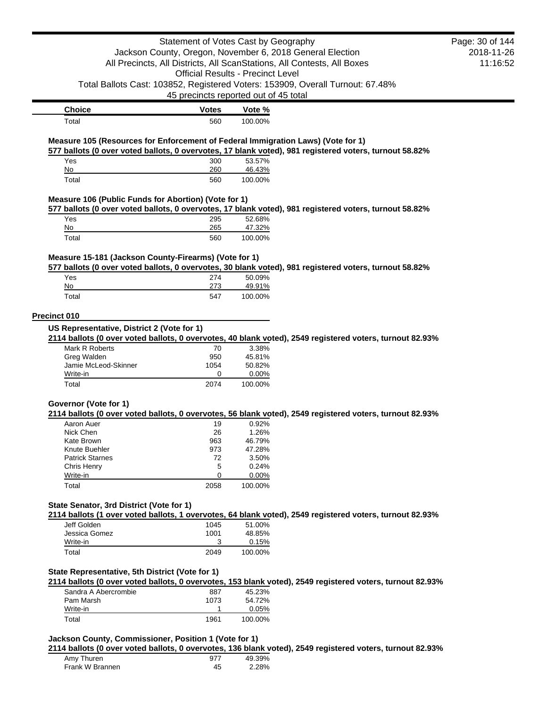|                                                                                  | Statement of Votes Cast by Geography     |                  |                                                                                                           | Page: 30 of 144 |
|----------------------------------------------------------------------------------|------------------------------------------|------------------|-----------------------------------------------------------------------------------------------------------|-----------------|
|                                                                                  |                                          |                  | Jackson County, Oregon, November 6, 2018 General Election                                                 | 2018-11-26      |
|                                                                                  |                                          |                  | All Precincts, All Districts, All ScanStations, All Contests, All Boxes                                   | 11:16:52        |
|                                                                                  | <b>Official Results - Precinct Level</b> |                  |                                                                                                           |                 |
|                                                                                  |                                          |                  | Total Ballots Cast: 103852, Registered Voters: 153909, Overall Turnout: 67.48%                            |                 |
|                                                                                  | 45 precincts reported out of 45 total    |                  |                                                                                                           |                 |
| <b>Choice</b>                                                                    | <b>Votes</b>                             | Vote %           |                                                                                                           |                 |
| Total                                                                            | 560                                      | 100.00%          |                                                                                                           |                 |
| Measure 105 (Resources for Enforcement of Federal Immigration Laws) (Vote for 1) |                                          |                  | 577 ballots (0 over voted ballots, 0 overvotes, 17 blank voted), 981 registered voters, turnout 58.82%    |                 |
| Yes                                                                              | 300                                      | 53.57%           |                                                                                                           |                 |
| No                                                                               | 260                                      | 46.43%           |                                                                                                           |                 |
| Total                                                                            | 560                                      | 100.00%          |                                                                                                           |                 |
| Measure 106 (Public Funds for Abortion) (Vote for 1)                             |                                          |                  |                                                                                                           |                 |
|                                                                                  |                                          |                  | 577 ballots (0 over voted ballots, 0 overvotes, 17 blank voted), 981 registered voters, turnout 58.82%    |                 |
| Yes                                                                              | 295                                      | 52.68%           |                                                                                                           |                 |
| No                                                                               | 265                                      | 47.32%           |                                                                                                           |                 |
| Total                                                                            | 560                                      | 100.00%          |                                                                                                           |                 |
| Measure 15-181 (Jackson County-Firearms) (Vote for 1)                            |                                          |                  |                                                                                                           |                 |
|                                                                                  |                                          |                  | 577 ballots (0 over voted ballots, 0 overvotes, 30 blank voted), 981 registered voters, turnout 58.82%    |                 |
| Yes                                                                              | 274                                      | 50.09%           |                                                                                                           |                 |
| No                                                                               | 273                                      | 49.91%           |                                                                                                           |                 |
| Total                                                                            | 547                                      | 100.00%          |                                                                                                           |                 |
|                                                                                  |                                          |                  |                                                                                                           |                 |
| Precinct 010                                                                     |                                          |                  |                                                                                                           |                 |
| US Representative, District 2 (Vote for 1)                                       |                                          |                  |                                                                                                           |                 |
| Mark R Roberts                                                                   | 70                                       | 3.38%            | 2114 ballots (0 over voted ballots, 0 overvotes, 40 blank voted), 2549 registered voters, turnout 82.93%  |                 |
| Greg Walden                                                                      | 950                                      | 45.81%           |                                                                                                           |                 |
| Jamie McLeod-Skinner                                                             | 1054                                     | 50.82%           |                                                                                                           |                 |
| Write-in                                                                         | 0                                        | 0.00%            |                                                                                                           |                 |
| Total                                                                            | 2074                                     | 100.00%          |                                                                                                           |                 |
| Governor (Vote for 1)                                                            |                                          |                  |                                                                                                           |                 |
|                                                                                  |                                          |                  | 2114 ballots (0 over voted ballots, 0 overvotes, 56 blank voted), 2549 registered voters, turnout 82.93%  |                 |
| Aaron Auer                                                                       | 19                                       | 0.92%            |                                                                                                           |                 |
| Nick Chen                                                                        | 26                                       | 1.26%            |                                                                                                           |                 |
| Kate Brown                                                                       | 963                                      | 46.79%           |                                                                                                           |                 |
| Knute Buehler                                                                    | 973                                      | 47.28%           |                                                                                                           |                 |
| <b>Patrick Starnes</b>                                                           | 72                                       | 3.50%            |                                                                                                           |                 |
| Chris Henry                                                                      | 5                                        | 0.24%            |                                                                                                           |                 |
| Write-in                                                                         | 0                                        | 0.00%            |                                                                                                           |                 |
| Total                                                                            | 2058                                     | 100.00%          |                                                                                                           |                 |
| State Senator, 3rd District (Vote for 1)                                         |                                          |                  |                                                                                                           |                 |
|                                                                                  |                                          |                  | 2114 ballots (1 over voted ballots, 1 overvotes, 64 blank voted), 2549 registered voters, turnout 82.93%  |                 |
| Jeff Golden                                                                      | 1045                                     | 51.00%           |                                                                                                           |                 |
| Jessica Gomez                                                                    | 1001                                     | 48.85%           |                                                                                                           |                 |
|                                                                                  |                                          | 0.15%            |                                                                                                           |                 |
|                                                                                  | 3                                        |                  |                                                                                                           |                 |
| Write-in<br>Total                                                                | 2049                                     | 100.00%          |                                                                                                           |                 |
|                                                                                  |                                          |                  |                                                                                                           |                 |
| State Representative, 5th District (Vote for 1)                                  |                                          |                  |                                                                                                           |                 |
|                                                                                  |                                          |                  | 2114 ballots (0 over voted ballots, 0 overvotes, 153 blank voted), 2549 registered voters, turnout 82.93% |                 |
| Sandra A Abercrombie                                                             | 887                                      | 45.23%           |                                                                                                           |                 |
| Pam Marsh                                                                        | 1073<br>1                                | 54.72%           |                                                                                                           |                 |
| Write-in<br>Total                                                                | 1961                                     | 0.05%<br>100.00% |                                                                                                           |                 |

**2114 ballots (0 over voted ballots, 0 overvotes, 136 blank voted), 2549 registered voters, turnout 82.93%**

| Amy Thuren      | 977 | 49.39% |
|-----------------|-----|--------|
| Frank W Brannen | 45  | 2.28%  |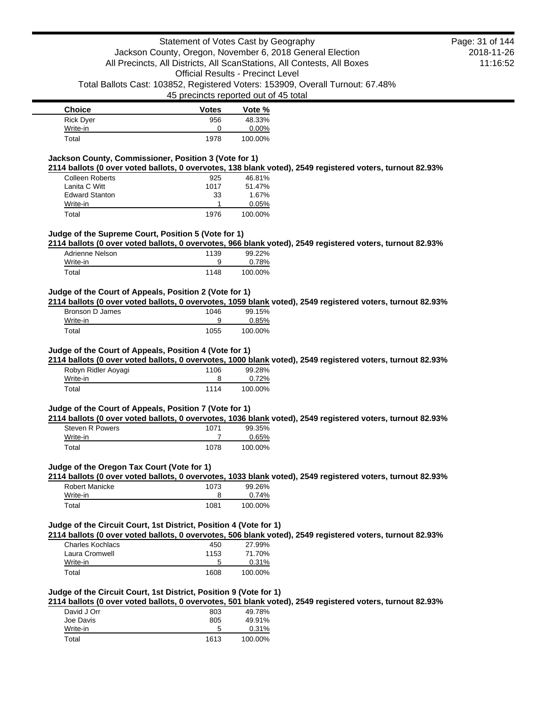| <b>Choice</b>    | <b>Votes</b> | Vote %  |
|------------------|--------------|---------|
| <b>Rick Dyer</b> | 956          | 48.33%  |
| Write-in         |              | 0.00%   |
| Total            | 1978         | 100.00% |

# **Jackson County, Commissioner, Position 3 (Vote for 1)**

**2114 ballots (0 over voted ballots, 0 overvotes, 138 blank voted), 2549 registered voters, turnout 82.93%**

| <b>Colleen Roberts</b> | 925  | 46.81%  |
|------------------------|------|---------|
| Lanita C Witt          | 1017 | 51.47%  |
| <b>Edward Stanton</b>  | 33   | 1.67%   |
| Write-in               |      | 0.05%   |
| Total                  | 1976 | 100.00% |

## **Judge of the Supreme Court, Position 5 (Vote for 1)**

**2114 ballots (0 over voted ballots, 0 overvotes, 966 blank voted), 2549 registered voters, turnout 82.93%**

| Adrienne Nelson | 1139 | 99.22%  |
|-----------------|------|---------|
| Write-in        |      | 0.78%   |
| Total           | 1148 | 100.00% |

#### **Judge of the Court of Appeals, Position 2 (Vote for 1)**

**2114 ballots (0 over voted ballots, 0 overvotes, 1059 blank voted), 2549 registered voters, turnout 82.93%**

| Bronson D James | 1046 | 99.15%  |
|-----------------|------|---------|
| Write-in        | a    | 0.85%   |
| Total           | 1055 | 100.00% |

#### **Judge of the Court of Appeals, Position 4 (Vote for 1)**

**2114 ballots (0 over voted ballots, 0 overvotes, 1000 blank voted), 2549 registered voters, turnout 82.93%**

| Robyn Ridler Aoyagi | 1106 | 99.28%  |
|---------------------|------|---------|
| Write-in            |      | 0.72%   |
| Total               | 1114 | 100.00% |

#### **Judge of the Court of Appeals, Position 7 (Vote for 1)**

**2114 ballots (0 over voted ballots, 0 overvotes, 1036 blank voted), 2549 registered voters, turnout 82.93%**

| Steven R Powers | 1071 | 99.35%  |
|-----------------|------|---------|
| Write-in        |      | 0.65%   |
| Total           | 1078 | 100.00% |

#### **Judge of the Oregon Tax Court (Vote for 1)**

**2114 ballots (0 over voted ballots, 0 overvotes, 1033 blank voted), 2549 registered voters, turnout 82.93%**

| Robert Manicke | 1073 | 99.26%  |
|----------------|------|---------|
| Write-in       |      | 0.74%   |
| Total          | 1081 | 100.00% |

#### **Judge of the Circuit Court, 1st District, Position 4 (Vote for 1)**

**2114 ballots (0 over voted ballots, 0 overvotes, 506 blank voted), 2549 registered voters, turnout 82.93%**

| Charles Kochlacs | 450  | 27.99%  |
|------------------|------|---------|
| Laura Cromwell   | 1153 | 71.70%  |
| Write-in         | 5    | 0.31%   |
| Total            | 1608 | 100.00% |

#### **Judge of the Circuit Court, 1st District, Position 9 (Vote for 1)**

**2114 ballots (0 over voted ballots, 0 overvotes, 501 blank voted), 2549 registered voters, turnout 82.93%**

| 803  | 49.78%  |
|------|---------|
| 805  | 49.91%  |
| 5    | 0.31%   |
| 1613 | 100.00% |
|      |         |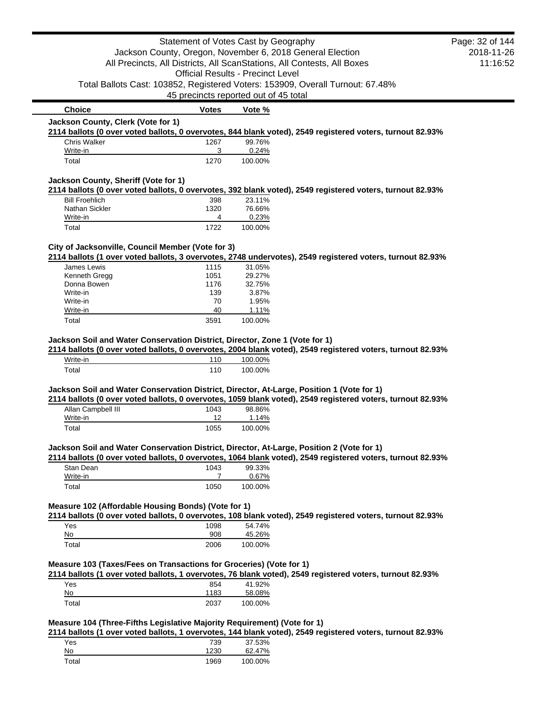|                                                                                      | Statement of Votes Cast by Geography     |                    |                                                                                                                                                                                                         | Page: 32 of 144 |
|--------------------------------------------------------------------------------------|------------------------------------------|--------------------|---------------------------------------------------------------------------------------------------------------------------------------------------------------------------------------------------------|-----------------|
|                                                                                      |                                          |                    | Jackson County, Oregon, November 6, 2018 General Election                                                                                                                                               | 2018-11-26      |
|                                                                                      |                                          |                    | All Precincts, All Districts, All ScanStations, All Contests, All Boxes                                                                                                                                 | 11:16:52        |
|                                                                                      | <b>Official Results - Precinct Level</b> |                    |                                                                                                                                                                                                         |                 |
|                                                                                      |                                          |                    | Total Ballots Cast: 103852, Registered Voters: 153909, Overall Turnout: 67.48%                                                                                                                          |                 |
|                                                                                      |                                          |                    |                                                                                                                                                                                                         |                 |
|                                                                                      | 45 precincts reported out of 45 total    |                    |                                                                                                                                                                                                         |                 |
| <b>Choice</b>                                                                        | <b>Votes</b>                             | Vote %             |                                                                                                                                                                                                         |                 |
| Jackson County, Clerk (Vote for 1)                                                   |                                          |                    |                                                                                                                                                                                                         |                 |
|                                                                                      |                                          |                    | 2114 ballots (0 over voted ballots, 0 overvotes, 844 blank voted), 2549 registered voters, turnout 82.93%                                                                                               |                 |
| <b>Chris Walker</b>                                                                  | 1267                                     | 99.76%             |                                                                                                                                                                                                         |                 |
| Write-in<br>Total                                                                    | 3<br>1270                                | 0.24%<br>100.00%   |                                                                                                                                                                                                         |                 |
|                                                                                      |                                          |                    |                                                                                                                                                                                                         |                 |
| Jackson County, Sheriff (Vote for 1)                                                 |                                          |                    |                                                                                                                                                                                                         |                 |
|                                                                                      |                                          |                    | 2114 ballots (0 over voted ballots, 0 overvotes, 392 blank voted), 2549 registered voters, turnout 82.93%                                                                                               |                 |
| <b>Bill Froehlich</b>                                                                | 398                                      | 23.11%             |                                                                                                                                                                                                         |                 |
| Nathan Sickler                                                                       | 1320                                     | 76.66%             |                                                                                                                                                                                                         |                 |
| Write-in                                                                             | 4                                        | 0.23%              |                                                                                                                                                                                                         |                 |
| Total                                                                                | 1722                                     | 100.00%            |                                                                                                                                                                                                         |                 |
| City of Jacksonville, Council Member (Vote for 3)                                    |                                          |                    |                                                                                                                                                                                                         |                 |
|                                                                                      |                                          |                    | 2114 ballots (1 over voted ballots, 3 overvotes, 2748 undervotes), 2549 registered voters, turnout 82.93%                                                                                               |                 |
| James Lewis                                                                          | 1115                                     | 31.05%             |                                                                                                                                                                                                         |                 |
| Kenneth Gregg                                                                        | 1051                                     | 29.27%             |                                                                                                                                                                                                         |                 |
| Donna Bowen                                                                          | 1176                                     | 32.75%             |                                                                                                                                                                                                         |                 |
| Write-in                                                                             | 139                                      | 3.87%              |                                                                                                                                                                                                         |                 |
|                                                                                      |                                          |                    |                                                                                                                                                                                                         |                 |
| Write-in                                                                             | 70                                       | 1.95%              |                                                                                                                                                                                                         |                 |
| Write-in                                                                             | 40                                       | 1.11%              |                                                                                                                                                                                                         |                 |
| Total<br>Jackson Soil and Water Conservation District, Director, Zone 1 (Vote for 1) | 3591                                     | 100.00%            |                                                                                                                                                                                                         |                 |
|                                                                                      |                                          |                    | 2114 ballots (0 over voted ballots, 0 overvotes, 2004 blank voted), 2549 registered voters, turnout 82.93%                                                                                              |                 |
| Write-in<br>Total                                                                    | 110<br>110                               | 100.00%<br>100.00% |                                                                                                                                                                                                         |                 |
|                                                                                      |                                          |                    |                                                                                                                                                                                                         |                 |
|                                                                                      |                                          |                    | Jackson Soil and Water Conservation District, Director, At-Large, Position 1 (Vote for 1)<br>2114 ballots (0 over voted ballots, 0 overvotes, 1059 blank voted), 2549 registered voters, turnout 82.93% |                 |
| Allan Campbell III                                                                   | 1043                                     | 98.86%             |                                                                                                                                                                                                         |                 |
| Write-in                                                                             | 12                                       | 1.14%              |                                                                                                                                                                                                         |                 |
| Total                                                                                | 1055                                     | 100.00%            |                                                                                                                                                                                                         |                 |
|                                                                                      |                                          |                    |                                                                                                                                                                                                         |                 |
|                                                                                      |                                          |                    | Jackson Soil and Water Conservation District, Director, At-Large, Position 2 (Vote for 1)                                                                                                               |                 |
| Stan Dean                                                                            | 1043                                     | 99.33%             | 2114 ballots (0 over voted ballots, 0 overvotes, 1064 blank voted), 2549 registered voters, turnout 82.93%                                                                                              |                 |
| Write-in                                                                             | 7                                        | 0.67%              |                                                                                                                                                                                                         |                 |
| Total                                                                                | 1050                                     | 100.00%            |                                                                                                                                                                                                         |                 |
|                                                                                      |                                          |                    |                                                                                                                                                                                                         |                 |
| Measure 102 (Affordable Housing Bonds) (Vote for 1)                                  |                                          |                    |                                                                                                                                                                                                         |                 |
|                                                                                      |                                          |                    | 2114 ballots (0 over voted ballots, 0 overvotes, 108 blank voted), 2549 registered voters, turnout 82.93%                                                                                               |                 |
| Yes                                                                                  | 1098                                     | 54.74%             |                                                                                                                                                                                                         |                 |
| No                                                                                   | 908                                      | 45.26%             |                                                                                                                                                                                                         |                 |
| Total                                                                                | 2006                                     | 100.00%            |                                                                                                                                                                                                         |                 |
| Measure 103 (Taxes/Fees on Transactions for Groceries) (Vote for 1)                  |                                          |                    |                                                                                                                                                                                                         |                 |
|                                                                                      |                                          |                    | 2114 ballots (1 over voted ballots, 1 overvotes, 76 blank voted), 2549 registered voters, turnout 82.93%                                                                                                |                 |
| Yes                                                                                  | 854                                      | 41.92%             |                                                                                                                                                                                                         |                 |
| No                                                                                   | 1183                                     | 58.08%             |                                                                                                                                                                                                         |                 |

**2114 ballots (1 over voted ballots, 1 overvotes, 144 blank voted), 2549 registered voters, turnout 82.93%**

| Yes   | 739  | 37.53%  |
|-------|------|---------|
| No.   | 1230 | 62.47%  |
| Total | 1969 | 100.00% |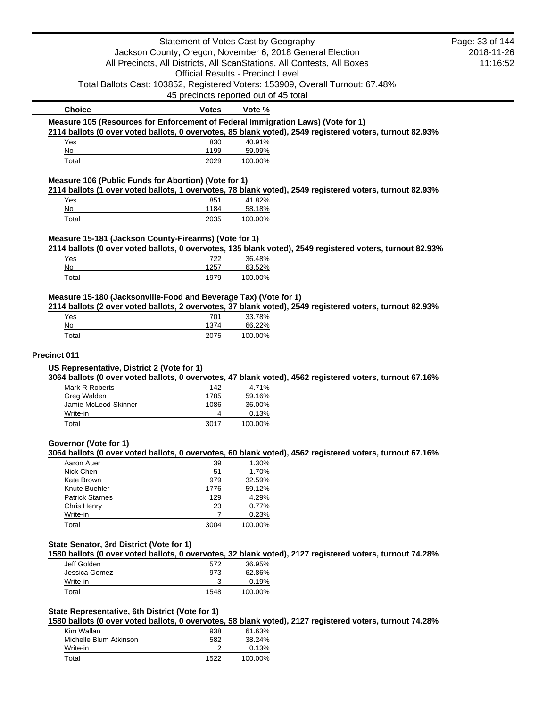|                                                                                  | Statement of Votes Cast by Geography     |                   |                                                                                                           | Page: 33 of 144 |
|----------------------------------------------------------------------------------|------------------------------------------|-------------------|-----------------------------------------------------------------------------------------------------------|-----------------|
|                                                                                  |                                          |                   | Jackson County, Oregon, November 6, 2018 General Election                                                 | 2018-11-26      |
|                                                                                  |                                          |                   | All Precincts, All Districts, All ScanStations, All Contests, All Boxes                                   | 11:16:52        |
|                                                                                  | <b>Official Results - Precinct Level</b> |                   |                                                                                                           |                 |
|                                                                                  |                                          |                   | Total Ballots Cast: 103852, Registered Voters: 153909, Overall Turnout: 67.48%                            |                 |
|                                                                                  | 45 precincts reported out of 45 total    |                   |                                                                                                           |                 |
| <b>Choice</b>                                                                    | <b>Votes</b>                             | Vote %            |                                                                                                           |                 |
| Measure 105 (Resources for Enforcement of Federal Immigration Laws) (Vote for 1) |                                          |                   |                                                                                                           |                 |
|                                                                                  |                                          |                   | 2114 ballots (0 over voted ballots, 0 overvotes, 85 blank voted), 2549 registered voters, turnout 82.93%  |                 |
| Yes<br>No                                                                        | 830<br>1199                              | 40.91%            |                                                                                                           |                 |
| Total                                                                            | 2029                                     | 59.09%<br>100.00% |                                                                                                           |                 |
|                                                                                  |                                          |                   |                                                                                                           |                 |
| Measure 106 (Public Funds for Abortion) (Vote for 1)                             |                                          |                   | 2114 ballots (1 over voted ballots, 1 overvotes, 78 blank voted), 2549 registered voters, turnout 82.93%  |                 |
| Yes                                                                              | 851                                      | 41.82%            |                                                                                                           |                 |
| No                                                                               | 1184                                     | 58.18%            |                                                                                                           |                 |
| Total                                                                            | 2035                                     | 100.00%           |                                                                                                           |                 |
| Measure 15-181 (Jackson County-Firearms) (Vote for 1)                            |                                          |                   |                                                                                                           |                 |
|                                                                                  |                                          |                   | 2114 ballots (0 over voted ballots, 0 overvotes, 135 blank voted), 2549 registered voters, turnout 82.93% |                 |
| Yes                                                                              | 722                                      | 36.48%            |                                                                                                           |                 |
| No                                                                               | 1257                                     | 63.52%            |                                                                                                           |                 |
| Total                                                                            | 1979                                     | 100.00%           |                                                                                                           |                 |
| Measure 15-180 (Jacksonville-Food and Beverage Tax) (Vote for 1)                 |                                          |                   |                                                                                                           |                 |
|                                                                                  |                                          |                   | 2114 ballots (2 over voted ballots, 2 overvotes, 37 blank voted), 2549 registered voters, turnout 82.93%  |                 |
| Yes                                                                              | 701                                      | 33.78%            |                                                                                                           |                 |
| No                                                                               | 1374                                     | 66.22%            |                                                                                                           |                 |
| Total                                                                            | 2075                                     | 100.00%           |                                                                                                           |                 |
|                                                                                  |                                          |                   |                                                                                                           |                 |
| Precinct 011                                                                     |                                          |                   |                                                                                                           |                 |
| US Representative, District 2 (Vote for 1)                                       |                                          |                   | 3064 ballots (0 over voted ballots, 0 overvotes, 47 blank voted), 4562 registered voters, turnout 67.16%  |                 |
| Mark R Roberts                                                                   | 142                                      | 4.71%             |                                                                                                           |                 |
| Greg Walden                                                                      | 1785                                     | 59.16%            |                                                                                                           |                 |
| Jamie McLeod-Skinner                                                             | 1086                                     | 36.00%            |                                                                                                           |                 |
| Write-in                                                                         | 4                                        | 0.13%             |                                                                                                           |                 |
| Total                                                                            | 3017                                     | 100.00%           |                                                                                                           |                 |
| Governor (Vote for 1)                                                            |                                          |                   |                                                                                                           |                 |
|                                                                                  |                                          |                   | 3064 ballots (0 over voted ballots, 0 overvotes, 60 blank voted), 4562 registered voters, turnout 67.16%  |                 |
| Aaron Auer                                                                       | 39                                       | 1.30%             |                                                                                                           |                 |
| Nick Chen                                                                        | 51                                       | 1.70%             |                                                                                                           |                 |
| Kate Brown                                                                       | 979                                      | 32.59%            |                                                                                                           |                 |
| Knute Buehler                                                                    | 1776                                     | 59.12%            |                                                                                                           |                 |
| <b>Patrick Starnes</b>                                                           | 129                                      | 4.29%             |                                                                                                           |                 |
| Chris Henry                                                                      | 23                                       | 0.77%             |                                                                                                           |                 |
| Write-in                                                                         | 7                                        | 0.23%             |                                                                                                           |                 |
| Total                                                                            | 3004                                     | 100.00%           |                                                                                                           |                 |
|                                                                                  |                                          |                   |                                                                                                           |                 |
| State Senator, 3rd District (Vote for 1)                                         |                                          |                   |                                                                                                           |                 |
|                                                                                  |                                          |                   | 1580 ballots (0 over voted ballots, 0 overvotes, 32 blank voted), 2127 registered voters, turnout 74.28%  |                 |
| Jeff Golden<br>Jessica Gomez                                                     | 572<br>973                               | 36.95%<br>62.86%  |                                                                                                           |                 |
| Write-in                                                                         | 3                                        | 0.19%             |                                                                                                           |                 |
| Total                                                                            | 1548                                     | 100.00%           |                                                                                                           |                 |
|                                                                                  |                                          |                   |                                                                                                           |                 |
| State Representative, 6th District (Vote for 1)                                  |                                          |                   |                                                                                                           |                 |
|                                                                                  |                                          |                   | 1580 ballots (0 over voted ballots, 0 overvotes, 58 blank voted), 2127 registered voters, turnout 74.28%  |                 |
| Kim Wallan                                                                       | 938                                      | 61.63%            |                                                                                                           |                 |
| Michelle Blum Atkinson<br>Write-in                                               | 582<br>2                                 | 38.24%<br>0.13%   |                                                                                                           |                 |
| Total                                                                            | 1522                                     | 100.00%           |                                                                                                           |                 |
|                                                                                  |                                          |                   |                                                                                                           |                 |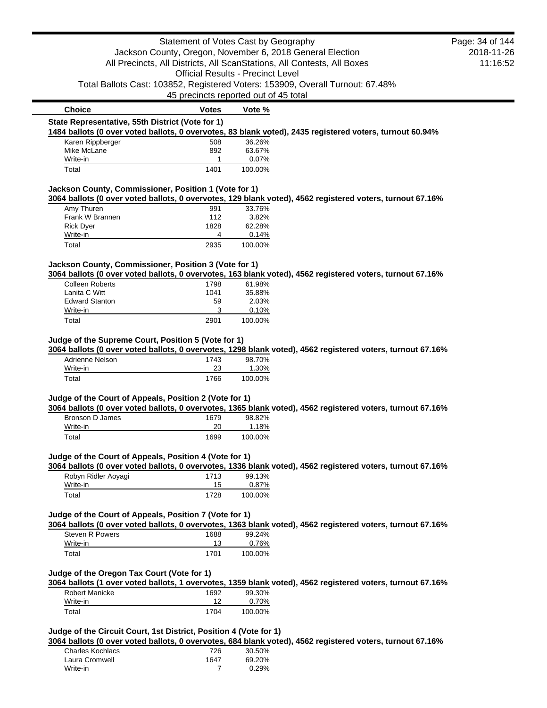|                                                                   | Statement of Votes Cast by Geography     |                 |                                                                                                            | Page: 34 of 144 |
|-------------------------------------------------------------------|------------------------------------------|-----------------|------------------------------------------------------------------------------------------------------------|-----------------|
|                                                                   |                                          |                 | Jackson County, Oregon, November 6, 2018 General Election                                                  | 2018-11-26      |
|                                                                   |                                          |                 | All Precincts, All Districts, All ScanStations, All Contests, All Boxes                                    | 11:16:52        |
|                                                                   | <b>Official Results - Precinct Level</b> |                 |                                                                                                            |                 |
|                                                                   |                                          |                 | Total Ballots Cast: 103852, Registered Voters: 153909, Overall Turnout: 67.48%                             |                 |
|                                                                   | 45 precincts reported out of 45 total    |                 |                                                                                                            |                 |
| <b>Choice</b>                                                     | <b>Votes</b>                             | Vote %          |                                                                                                            |                 |
| State Representative, 55th District (Vote for 1)                  |                                          |                 |                                                                                                            |                 |
|                                                                   |                                          |                 | 1484 ballots (0 over voted ballots, 0 overvotes, 83 blank voted), 2435 registered voters, turnout 60.94%   |                 |
| Karen Rippberger                                                  | 508                                      | 36.26%          |                                                                                                            |                 |
| Mike McLane<br>Write-in                                           | 892<br>1                                 | 63.67%<br>0.07% |                                                                                                            |                 |
| Total                                                             | 1401                                     | 100.00%         |                                                                                                            |                 |
| Jackson County, Commissioner, Position 1 (Vote for 1)             |                                          |                 |                                                                                                            |                 |
|                                                                   |                                          |                 | 3064 ballots (0 over voted ballots, 0 overvotes, 129 blank voted), 4562 registered voters, turnout 67.16%  |                 |
| Amy Thuren                                                        | 991                                      | 33.76%          |                                                                                                            |                 |
| Frank W Brannen                                                   | 112                                      | 3.82%           |                                                                                                            |                 |
| <b>Rick Dyer</b><br>Write-in                                      | 1828<br>4                                | 62.28%<br>0.14% |                                                                                                            |                 |
| Total                                                             | 2935                                     | 100.00%         |                                                                                                            |                 |
| Jackson County, Commissioner, Position 3 (Vote for 1)             |                                          |                 |                                                                                                            |                 |
|                                                                   |                                          |                 | 3064 ballots (0 over voted ballots, 0 overvotes, 163 blank voted), 4562 registered voters, turnout 67.16%  |                 |
| <b>Colleen Roberts</b>                                            | 1798                                     | 61.98%          |                                                                                                            |                 |
| Lanita C Witt                                                     | 1041                                     | 35.88%          |                                                                                                            |                 |
| <b>Edward Stanton</b><br>Write-in                                 | 59<br>3                                  | 2.03%<br>0.10%  |                                                                                                            |                 |
| Total                                                             | 2901                                     | 100.00%         |                                                                                                            |                 |
| Write-in                                                          | 23                                       | 1.30%           |                                                                                                            |                 |
| Total                                                             | 1766                                     | 100.00%         |                                                                                                            |                 |
| Judge of the Court of Appeals, Position 2 (Vote for 1)            |                                          |                 |                                                                                                            |                 |
|                                                                   |                                          |                 | 3064 ballots (0 over voted ballots, 0 overvotes, 1365 blank voted), 4562 registered voters, turnout 67.16% |                 |
| Bronson D James                                                   | 1679                                     | 98.82%          |                                                                                                            |                 |
| Write-in                                                          | 20                                       | 1.18%           |                                                                                                            |                 |
| Total                                                             | 1699                                     | 100.00%         |                                                                                                            |                 |
| Judge of the Court of Appeals, Position 4 (Vote for 1)            |                                          |                 |                                                                                                            |                 |
| Robyn Ridler Aoyagi                                               | 1713                                     | 99.13%          | 3064 ballots (0 over voted ballots, 0 overvotes, 1336 blank voted), 4562 registered voters, turnout 67.16% |                 |
| Write-in                                                          | 15                                       | 0.87%           |                                                                                                            |                 |
| Total                                                             | 1728                                     | 100.00%         |                                                                                                            |                 |
| Judge of the Court of Appeals, Position 7 (Vote for 1)            |                                          |                 |                                                                                                            |                 |
|                                                                   |                                          |                 | 3064 ballots (0 over voted ballots, 0 overvotes, 1363 blank voted), 4562 registered voters, turnout 67.16% |                 |
| <b>Steven R Powers</b>                                            | 1688                                     | 99.24%          |                                                                                                            |                 |
| Write-in                                                          | 13                                       | 0.76%           |                                                                                                            |                 |
| Total                                                             | 1701                                     | 100.00%         |                                                                                                            |                 |
| Judge of the Oregon Tax Court (Vote for 1)                        |                                          |                 |                                                                                                            |                 |
|                                                                   |                                          |                 | 3064 ballots (1 over voted ballots, 1 overvotes, 1359 blank voted), 4562 registered voters, turnout 67.16% |                 |
| <b>Robert Manicke</b><br>Write-in                                 | 1692<br>12                               | 99.30%<br>0.70% |                                                                                                            |                 |
| Total                                                             | 1704                                     | 100.00%         |                                                                                                            |                 |
|                                                                   |                                          |                 |                                                                                                            |                 |
| Judge of the Circuit Court, 1st District, Position 4 (Vote for 1) |                                          |                 | 3064 ballots (0 over voted ballots, 0 overvotes, 684 blank voted), 4562 registered voters, turnout 67.16%  |                 |
| <b>Charles Kochlacs</b>                                           | 726                                      | 30.50%          |                                                                                                            |                 |
| Laura Cromwell                                                    | 1647                                     | 69.20%          |                                                                                                            |                 |
| Write-in                                                          | 7                                        | 0.29%           |                                                                                                            |                 |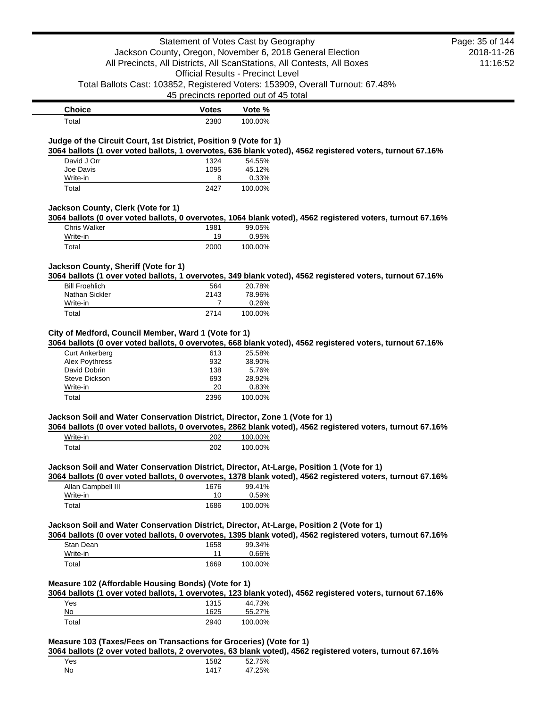|                                                                                           | Statement of Votes Cast by Geography                                                                                                 |                   |                                                                                                            |          |
|-------------------------------------------------------------------------------------------|--------------------------------------------------------------------------------------------------------------------------------------|-------------------|------------------------------------------------------------------------------------------------------------|----------|
|                                                                                           | Jackson County, Oregon, November 6, 2018 General Election<br>All Precincts, All Districts, All ScanStations, All Contests, All Boxes |                   |                                                                                                            |          |
|                                                                                           |                                                                                                                                      |                   |                                                                                                            | 11:16:52 |
|                                                                                           | <b>Official Results - Precinct Level</b>                                                                                             |                   |                                                                                                            |          |
|                                                                                           |                                                                                                                                      |                   | Total Ballots Cast: 103852, Registered Voters: 153909, Overall Turnout: 67.48%                             |          |
|                                                                                           | 45 precincts reported out of 45 total                                                                                                |                   |                                                                                                            |          |
| <b>Choice</b>                                                                             | <b>Votes</b>                                                                                                                         | Vote %            |                                                                                                            |          |
| Total                                                                                     | 2380                                                                                                                                 | 100.00%           |                                                                                                            |          |
| Judge of the Circuit Court, 1st District, Position 9 (Vote for 1)                         |                                                                                                                                      |                   |                                                                                                            |          |
|                                                                                           |                                                                                                                                      |                   | 3064 ballots (1 over voted ballots, 1 overvotes, 636 blank voted), 4562 registered voters, turnout 67.16%  |          |
| David J Orr<br>Joe Davis                                                                  | 1324<br>1095                                                                                                                         | 54.55%<br>45.12%  |                                                                                                            |          |
| Write-in                                                                                  | 8                                                                                                                                    | 0.33%             |                                                                                                            |          |
| Total                                                                                     | 2427                                                                                                                                 | 100.00%           |                                                                                                            |          |
| Jackson County, Clerk (Vote for 1)                                                        |                                                                                                                                      |                   |                                                                                                            |          |
|                                                                                           |                                                                                                                                      |                   | 3064 ballots (0 over voted ballots, 0 overvotes, 1064 blank voted), 4562 registered voters, turnout 67.16% |          |
| <b>Chris Walker</b>                                                                       | 1981                                                                                                                                 | 99.05%            |                                                                                                            |          |
| Write-in                                                                                  | 19                                                                                                                                   | 0.95%             |                                                                                                            |          |
| Total                                                                                     | 2000                                                                                                                                 | 100.00%           |                                                                                                            |          |
| Jackson County, Sheriff (Vote for 1)                                                      |                                                                                                                                      |                   |                                                                                                            |          |
|                                                                                           |                                                                                                                                      |                   | 3064 ballots (1 over voted ballots, 1 overvotes, 349 blank voted), 4562 registered voters, turnout 67.16%  |          |
| <b>Bill Froehlich</b>                                                                     | 564                                                                                                                                  | 20.78%            |                                                                                                            |          |
| Nathan Sickler<br>Write-in                                                                | 2143<br>7                                                                                                                            | 78.96%<br>0.26%   |                                                                                                            |          |
| Total                                                                                     | 2714                                                                                                                                 | 100.00%           |                                                                                                            |          |
|                                                                                           |                                                                                                                                      |                   |                                                                                                            |          |
| City of Medford, Council Member, Ward 1 (Vote for 1)                                      |                                                                                                                                      |                   |                                                                                                            |          |
|                                                                                           |                                                                                                                                      |                   | 3064 ballots (0 over voted ballots, 0 overvotes, 668 blank voted), 4562 registered voters, turnout 67.16%  |          |
| <b>Curt Ankerberg</b>                                                                     | 613                                                                                                                                  | 25.58%            |                                                                                                            |          |
| Alex Poythress                                                                            | 932                                                                                                                                  | 38.90%            |                                                                                                            |          |
| David Dobrin                                                                              | 138                                                                                                                                  | 5.76%             |                                                                                                            |          |
| Steve Dickson                                                                             | 693                                                                                                                                  | 28.92%            |                                                                                                            |          |
| Write-in                                                                                  | 20                                                                                                                                   | 0.83%             |                                                                                                            |          |
|                                                                                           |                                                                                                                                      |                   |                                                                                                            |          |
| Total                                                                                     | 2396                                                                                                                                 | 100.00%           |                                                                                                            |          |
| Jackson Soil and Water Conservation District, Director, Zone 1 (Vote for 1)               |                                                                                                                                      |                   |                                                                                                            |          |
| Write-in                                                                                  | 202                                                                                                                                  | 100.00%           | 3064 ballots (0 over voted ballots, 0 overvotes, 2862 blank voted), 4562 registered voters, turnout 67.16% |          |
| Total                                                                                     | 202                                                                                                                                  | 100.00%           |                                                                                                            |          |
|                                                                                           |                                                                                                                                      |                   |                                                                                                            |          |
| Jackson Soil and Water Conservation District, Director, At-Large, Position 1 (Vote for 1) |                                                                                                                                      |                   | 3064 ballots (0 over voted ballots, 0 overvotes, 1378 blank voted), 4562 registered voters, turnout 67.16% |          |
| Allan Campbell III                                                                        | 1676                                                                                                                                 | 99.41%            |                                                                                                            |          |
| Write-in                                                                                  | 10                                                                                                                                   | 0.59%             |                                                                                                            |          |
| Total                                                                                     | 1686                                                                                                                                 | 100.00%           |                                                                                                            |          |
| Jackson Soil and Water Conservation District, Director, At-Large, Position 2 (Vote for 1) |                                                                                                                                      |                   |                                                                                                            |          |
|                                                                                           |                                                                                                                                      |                   | 3064 ballots (0 over voted ballots, 0 overvotes, 1395 blank voted), 4562 registered voters, turnout 67.16% |          |
| Stan Dean                                                                                 | 1658                                                                                                                                 | 99.34%            |                                                                                                            |          |
| Write-in                                                                                  | 11                                                                                                                                   | 0.66%             |                                                                                                            |          |
| Total                                                                                     | 1669                                                                                                                                 | 100.00%           |                                                                                                            |          |
| Measure 102 (Affordable Housing Bonds) (Vote for 1)                                       |                                                                                                                                      |                   |                                                                                                            |          |
|                                                                                           |                                                                                                                                      |                   | 3064 ballots (1 over voted ballots, 1 overvotes, 123 blank voted), 4562 registered voters, turnout 67.16%  |          |
| Yes                                                                                       | 1315                                                                                                                                 | 44.73%            |                                                                                                            |          |
| $No$<br>Total                                                                             | 1625<br>2940                                                                                                                         | 55.27%<br>100.00% |                                                                                                            |          |

| Yes | 1582 | 52.75% |
|-----|------|--------|
| No  | 1417 | 47.25% |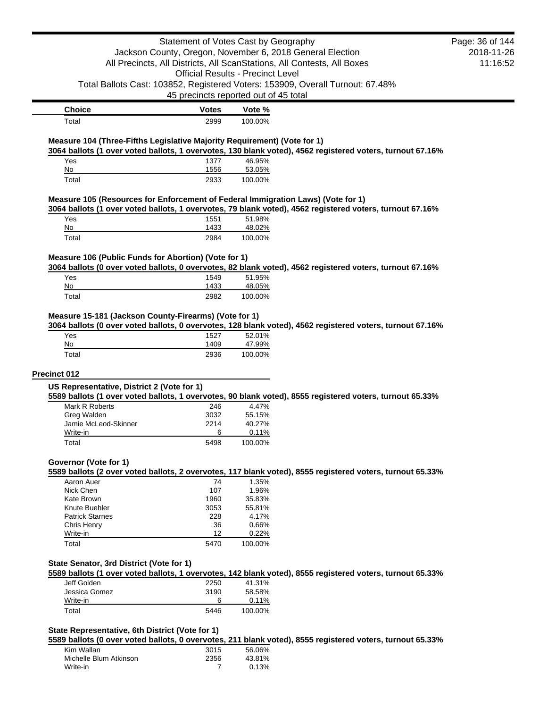|                                                                                  | Statement of Votes Cast by Geography     |                   |                                                                                                           | Page: 36 of 144<br>2018-11-26 |  |
|----------------------------------------------------------------------------------|------------------------------------------|-------------------|-----------------------------------------------------------------------------------------------------------|-------------------------------|--|
| Jackson County, Oregon, November 6, 2018 General Election                        |                                          |                   |                                                                                                           |                               |  |
|                                                                                  |                                          |                   | All Precincts, All Districts, All ScanStations, All Contests, All Boxes                                   | 11:16:52                      |  |
|                                                                                  | <b>Official Results - Precinct Level</b> |                   |                                                                                                           |                               |  |
|                                                                                  |                                          |                   | Total Ballots Cast: 103852, Registered Voters: 153909, Overall Turnout: 67.48%                            |                               |  |
|                                                                                  | 45 precincts reported out of 45 total    |                   |                                                                                                           |                               |  |
| <b>Choice</b>                                                                    | <b>Votes</b>                             | Vote %            |                                                                                                           |                               |  |
| Total                                                                            | 2999                                     | 100.00%           |                                                                                                           |                               |  |
| Measure 104 (Three-Fifths Legislative Majority Requirement) (Vote for 1)         |                                          |                   | 3064 ballots (1 over voted ballots, 1 overvotes, 130 blank voted), 4562 registered voters, turnout 67.16% |                               |  |
| Yes                                                                              | 1377                                     | 46.95%            |                                                                                                           |                               |  |
| No<br>Total                                                                      | 1556<br>2933                             | 53.05%<br>100.00% |                                                                                                           |                               |  |
|                                                                                  |                                          |                   |                                                                                                           |                               |  |
| Measure 105 (Resources for Enforcement of Federal Immigration Laws) (Vote for 1) |                                          |                   | 3064 ballots (1 over voted ballots, 1 overvotes, 79 blank voted), 4562 registered voters, turnout 67.16%  |                               |  |
| Yes<br>No                                                                        | 1551<br>1433                             | 51.98%<br>48.02%  |                                                                                                           |                               |  |
| Total                                                                            | 2984                                     | 100.00%           |                                                                                                           |                               |  |
|                                                                                  |                                          |                   |                                                                                                           |                               |  |
| Measure 106 (Public Funds for Abortion) (Vote for 1)                             |                                          |                   | 3064 ballots (0 over voted ballots, 0 overvotes, 82 blank voted), 4562 registered voters, turnout 67.16%  |                               |  |
| Yes                                                                              | 1549                                     | 51.95%            |                                                                                                           |                               |  |
| No                                                                               | 1433                                     | 48.05%            |                                                                                                           |                               |  |
| Total                                                                            | 2982                                     | 100.00%           |                                                                                                           |                               |  |
| Measure 15-181 (Jackson County-Firearms) (Vote for 1)                            |                                          |                   |                                                                                                           |                               |  |
|                                                                                  |                                          |                   | 3064 ballots (0 over voted ballots, 0 overvotes, 128 blank voted), 4562 registered voters, turnout 67.16% |                               |  |
| Yes<br>No                                                                        | 1527<br>1409                             | 52.01%<br>47.99%  |                                                                                                           |                               |  |
| Total                                                                            | 2936                                     | 100.00%           |                                                                                                           |                               |  |
|                                                                                  |                                          |                   |                                                                                                           |                               |  |
| <b>Precinct 012</b><br>US Representative, District 2 (Vote for 1)                |                                          |                   |                                                                                                           |                               |  |
|                                                                                  |                                          |                   | 5589 ballots (1 over voted ballots, 1 overvotes, 90 blank voted), 8555 registered voters, turnout 65.33%  |                               |  |
| Mark R Roberts                                                                   | 246                                      | 4.47%             |                                                                                                           |                               |  |
| Greg Walden                                                                      | 3032                                     | 55.15%            |                                                                                                           |                               |  |
| Jamie McLeod-Skinner<br>Write-in                                                 | 2214<br>6                                | 40.27%<br>0.11%   |                                                                                                           |                               |  |
| Total                                                                            | 5498                                     | 100.00%           |                                                                                                           |                               |  |
|                                                                                  |                                          |                   |                                                                                                           |                               |  |
| Governor (Vote for 1)                                                            |                                          |                   | 5589 ballots (2 over voted ballots, 2 overvotes, 117 blank voted), 8555 registered voters, turnout 65.33% |                               |  |
| Aaron Auer                                                                       | 74                                       | 1.35%             |                                                                                                           |                               |  |
| Nick Chen                                                                        | 107                                      | 1.96%             |                                                                                                           |                               |  |
| Kate Brown                                                                       | 1960                                     | 35.83%            |                                                                                                           |                               |  |
| Knute Buehler                                                                    | 3053                                     | 55.81%            |                                                                                                           |                               |  |
| <b>Patrick Starnes</b>                                                           | 228                                      | 4.17%             |                                                                                                           |                               |  |
| Chris Henry                                                                      | 36<br>12                                 | 0.66%             |                                                                                                           |                               |  |
| Write-in<br>Total                                                                | 5470                                     | 0.22%<br>100.00%  |                                                                                                           |                               |  |
|                                                                                  |                                          |                   |                                                                                                           |                               |  |
| State Senator, 3rd District (Vote for 1)                                         |                                          |                   | 5589 ballots (1 over voted ballots, 1 overvotes, 142 blank voted), 8555 registered voters, turnout 65.33% |                               |  |
| Jeff Golden                                                                      | 2250                                     | 41.31%            |                                                                                                           |                               |  |
| Jessica Gomez                                                                    | 3190                                     | 58.58%            |                                                                                                           |                               |  |
| Write-in                                                                         | 6                                        | 0.11%             |                                                                                                           |                               |  |
| Total                                                                            | 5446                                     | 100.00%           |                                                                                                           |                               |  |
| State Representative, 6th District (Vote for 1)                                  |                                          |                   |                                                                                                           |                               |  |
|                                                                                  |                                          |                   | 5589 ballots (0 over voted ballots, 0 overvotes, 211 blank voted), 8555 registered voters, turnout 65.33% |                               |  |
|                                                                                  |                                          |                   |                                                                                                           |                               |  |

| .                      |      |        |
|------------------------|------|--------|
| Kim Wallan             | 3015 | 56.06% |
| Michelle Blum Atkinson | 2356 | 43.81% |
| Write-in               |      | 0.13%  |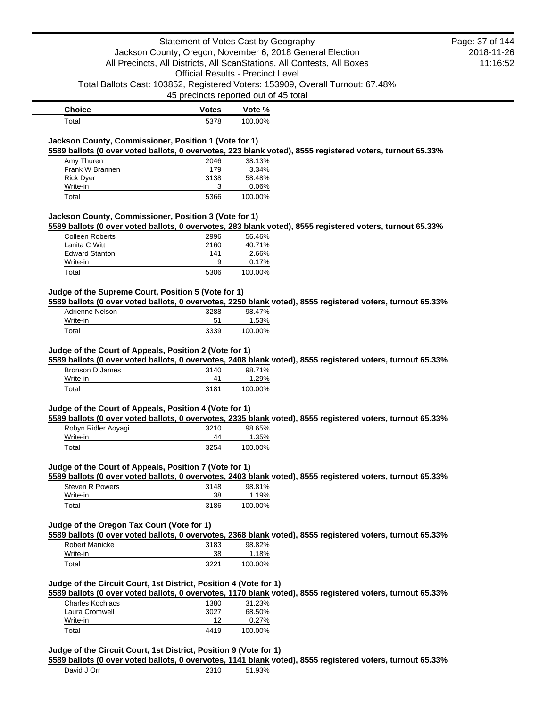|                                                                                |              | Statement of Votes Cast by Geography                      |                                                                                                            | Page: 37 of 144 |
|--------------------------------------------------------------------------------|--------------|-----------------------------------------------------------|------------------------------------------------------------------------------------------------------------|-----------------|
|                                                                                |              | Jackson County, Oregon, November 6, 2018 General Election |                                                                                                            | 2018-11-26      |
| All Precincts, All Districts, All ScanStations, All Contests, All Boxes        |              | 11:16:52                                                  |                                                                                                            |                 |
|                                                                                |              | <b>Official Results - Precinct Level</b>                  |                                                                                                            |                 |
| Total Ballots Cast: 103852, Registered Voters: 153909, Overall Turnout: 67.48% |              |                                                           |                                                                                                            |                 |
|                                                                                |              | 45 precincts reported out of 45 total                     |                                                                                                            |                 |
| <b>Choice</b>                                                                  | <b>Votes</b> | Vote %                                                    |                                                                                                            |                 |
| Total                                                                          | 5378         | 100.00%                                                   |                                                                                                            |                 |
| Jackson County, Commissioner, Position 1 (Vote for 1)                          |              |                                                           |                                                                                                            |                 |
|                                                                                |              |                                                           | 5589 ballots (0 over voted ballots, 0 overvotes, 223 blank voted), 8555 registered voters, turnout 65.33%  |                 |
| Amy Thuren                                                                     | 2046<br>179  | 38.13%                                                    |                                                                                                            |                 |
| Frank W Brannen<br><b>Rick Dyer</b>                                            | 3138         | 3.34%<br>58.48%                                           |                                                                                                            |                 |
| Write-in                                                                       | 3            | 0.06%                                                     |                                                                                                            |                 |
| Total                                                                          | 5366         | 100.00%                                                   |                                                                                                            |                 |
| Jackson County, Commissioner, Position 3 (Vote for 1)                          |              |                                                           |                                                                                                            |                 |
|                                                                                |              |                                                           | 5589 ballots (0 over voted ballots, 0 overvotes, 283 blank voted), 8555 registered voters, turnout 65.33%  |                 |
| <b>Colleen Roberts</b>                                                         | 2996         | 56.46%                                                    |                                                                                                            |                 |
| Lanita C Witt                                                                  | 2160         | 40.71%                                                    |                                                                                                            |                 |
| <b>Edward Stanton</b>                                                          | 141          | 2.66%                                                     |                                                                                                            |                 |
| Write-in                                                                       | 9            | 0.17%                                                     |                                                                                                            |                 |
| Total                                                                          | 5306         | 100.00%                                                   |                                                                                                            |                 |
| Judge of the Supreme Court, Position 5 (Vote for 1)                            |              |                                                           |                                                                                                            |                 |
|                                                                                |              |                                                           | 5589 ballots (0 over voted ballots, 0 overvotes, 2250 blank voted), 8555 registered voters, turnout 65.33% |                 |
| Adrienne Nelson                                                                | 3288         | 98.47%                                                    |                                                                                                            |                 |
| Write-in                                                                       | 51           | 1.53%                                                     |                                                                                                            |                 |
| Total                                                                          | 3339         | 100.00%                                                   |                                                                                                            |                 |
| Bronson D James<br>Write-in                                                    | 3140<br>41   | 98.71%<br>1.29%                                           | 5589 ballots (0 over voted ballots, 0 overvotes, 2408 blank voted), 8555 registered voters, turnout 65.33% |                 |
| Total                                                                          | 3181         | 100.00%                                                   |                                                                                                            |                 |
| Judge of the Court of Appeals, Position 4 (Vote for 1)                         |              |                                                           | 5589 ballots (0 over voted ballots, 0 overvotes, 2335 blank voted), 8555 registered voters, turnout 65.33% |                 |
| Robyn Ridler Aoyagi                                                            | 3210         | 98.65%                                                    |                                                                                                            |                 |
| Write-in                                                                       | 44           | 1.35%                                                     |                                                                                                            |                 |
| Total                                                                          | 3254         | 100.00%                                                   |                                                                                                            |                 |
| Judge of the Court of Appeals, Position 7 (Vote for 1)                         |              |                                                           | 5589 ballots (0 over voted ballots, 0 overvotes, 2403 blank voted), 8555 registered voters, turnout 65.33% |                 |
| Steven R Powers                                                                | 3148         | 98.81%                                                    |                                                                                                            |                 |
| Write-in                                                                       | 38           | 1.19%                                                     |                                                                                                            |                 |
| Total                                                                          | 3186         | 100.00%                                                   |                                                                                                            |                 |
| Judge of the Oregon Tax Court (Vote for 1)                                     |              |                                                           |                                                                                                            |                 |
|                                                                                |              |                                                           | 5589 ballots (0 over voted ballots, 0 overvotes, 2368 blank voted), 8555 registered voters, turnout 65.33% |                 |
| <b>Robert Manicke</b>                                                          | 3183         | 98.82%                                                    |                                                                                                            |                 |
| Write-in<br>Total                                                              | 38<br>3221   | 1.18%<br>100.00%                                          |                                                                                                            |                 |
|                                                                                |              |                                                           |                                                                                                            |                 |
| Judge of the Circuit Court, 1st District, Position 4 (Vote for 1)              |              |                                                           | 5589 ballots (0 over voted ballots, 0 overvotes, 1170 blank voted), 8555 registered voters, turnout 65.33% |                 |
| <b>Charles Kochlacs</b>                                                        | 1380         | 31.23%                                                    |                                                                                                            |                 |
| Laura Cromwell                                                                 | 3027         | 68.50%                                                    |                                                                                                            |                 |
| Write-in                                                                       | 12           | 0.27%                                                     |                                                                                                            |                 |
| Total                                                                          | 4419         | 100.00%                                                   |                                                                                                            |                 |
| Judge of the Circuit Court, 1st District, Position 9 (Vote for 1)              |              |                                                           |                                                                                                            |                 |
| David J Orr                                                                    | 2310         | 51.93%                                                    | 5589 ballots (0 over voted ballots, 0 overvotes, 1141 blank voted), 8555 registered voters, turnout 65.33% |                 |
|                                                                                |              |                                                           |                                                                                                            |                 |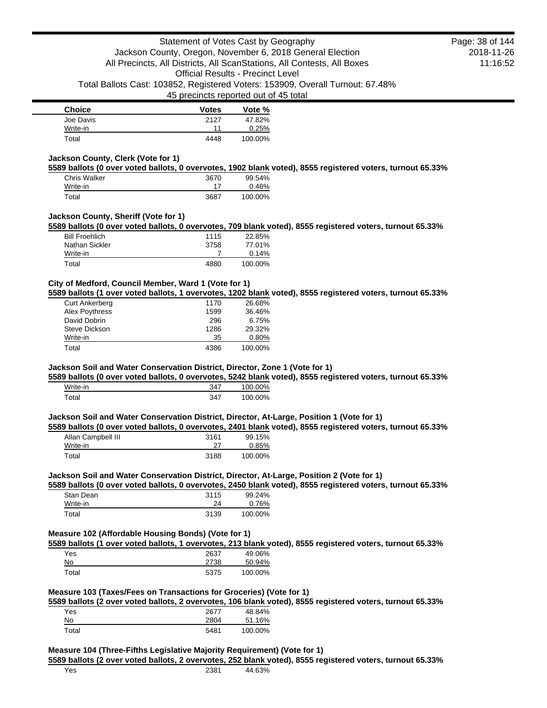| <b>Choice</b> | <b>Votes</b> | Vote %  |
|---------------|--------------|---------|
| Joe Davis     | 2127         | 47.82%  |
| Write-in      | 11           | 0.25%   |
| Total         | 4448         | 100.00% |

## **Jackson County, Clerk (Vote for 1)**

**5589 ballots (0 over voted ballots, 0 overvotes, 1902 blank voted), 8555 registered voters, turnout 65.33%**

| Chris Walker | 3670 | 99.54%  |
|--------------|------|---------|
| Write-in     |      | 0.46%   |
| Total        | 3687 | 100.00% |

## **Jackson County, Sheriff (Vote for 1)**

**5589 ballots (0 over voted ballots, 0 overvotes, 709 blank voted), 8555 registered voters, turnout 65.33%**

| Write-in<br>Total     | 4880 | 0.14%<br>100.00% |
|-----------------------|------|------------------|
|                       |      |                  |
| Nathan Sickler        | 3758 | 77.01%           |
| <b>Bill Froehlich</b> | 1115 | 22.85%           |

## **City of Medford, Council Member, Ward 1 (Vote for 1)**

**5589 ballots (1 over voted ballots, 1 overvotes, 1202 blank voted), 8555 registered voters, turnout 65.33%**

| <b>Curt Ankerberg</b> | 1170 | 26.68%  |
|-----------------------|------|---------|
| Alex Poythress        | 1599 | 36.46%  |
| David Dobrin          | 296  | 6.75%   |
| Steve Dickson         | 1286 | 29.32%  |
| Write-in              | 35   | 0.80%   |
| Total                 | 4386 | 100.00% |

### **Jackson Soil and Water Conservation District, Director, Zone 1 (Vote for 1)**

**5589 ballots (0 over voted ballots, 0 overvotes, 5242 blank voted), 8555 registered voters, turnout 65.33%**

| Write-in          | $34^-$ | 100.00% |
|-------------------|--------|---------|
| <sup>-</sup> otal | 347    | 100.00% |

### **Jackson Soil and Water Conservation District, Director, At-Large, Position 1 (Vote for 1)**

**5589 ballots (0 over voted ballots, 0 overvotes, 2401 blank voted), 8555 registered voters, turnout 65.33%**

| Allan Campbell III | 3161 | 99.15%  |
|--------------------|------|---------|
| Write-in           |      | 0.85%   |
| Total              | 3188 | 100.00% |

### **Jackson Soil and Water Conservation District, Director, At-Large, Position 2 (Vote for 1)**

**5589 ballots (0 over voted ballots, 0 overvotes, 2450 blank voted), 8555 registered voters, turnout 65.33%**

| Stan Dean | 3115 | 99.24%  |
|-----------|------|---------|
| Write-in  | 24   | 0.76%   |
| Total     | 3139 | 100.00% |

## **Measure 102 (Affordable Housing Bonds) (Vote for 1)**

**5589 ballots (1 over voted ballots, 1 overvotes, 213 blank voted), 8555 registered voters, turnout 65.33%**

| Yes   | 2637 | 49.06%  |
|-------|------|---------|
| No    | 2738 | 50.94%  |
| Total | 5375 | 100.00% |

### **Measure 103 (Taxes/Fees on Transactions for Groceries) (Vote for 1)**

**5589 ballots (2 over voted ballots, 2 overvotes, 106 blank voted), 8555 registered voters, turnout 65.33%**

| Yes   | 2677 | 48.84%  |
|-------|------|---------|
| No    | 2804 | 51.16%  |
| Total | 5481 | 100.00% |

#### **Measure 104 (Three-Fifths Legislative Majority Requirement) (Vote for 1)**

**5589 ballots (2 over voted ballots, 2 overvotes, 252 blank voted), 8555 registered voters, turnout 65.33%**

2018-11-26 11:16:52 Page: 38 of 144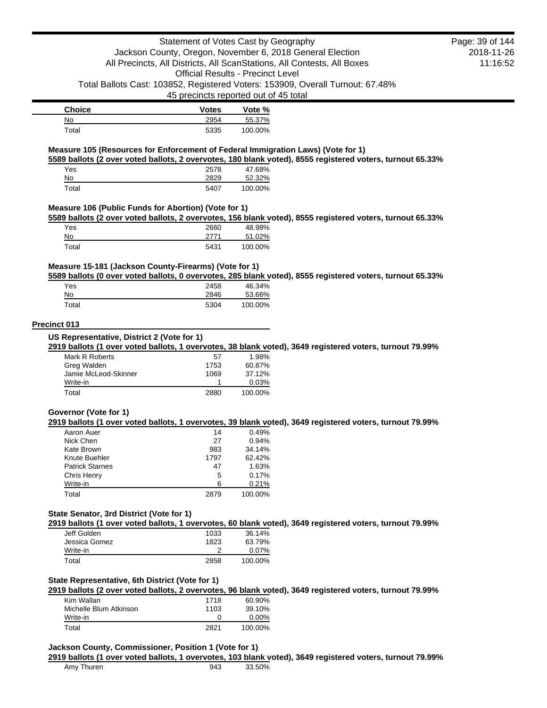| <b>Choice</b> | <b>Votes</b> | Vote %  |
|---------------|--------------|---------|
| No            | 2954         | 55.37%  |
| Total         | 5335         | 100.00% |

### **Measure 105 (Resources for Enforcement of Federal Immigration Laws) (Vote for 1)**

**5589 ballots (2 over voted ballots, 2 overvotes, 180 blank voted), 8555 registered voters, turnout 65.33%** Yes 2578 47.68% No 2829 52.32%

## **Measure 106 (Public Funds for Abortion) (Vote for 1)**

**5589 ballots (2 over voted ballots, 2 overvotes, 156 blank voted), 8555 registered voters, turnout 65.33%**

| Yes   | 2660 | 48.98%  |
|-------|------|---------|
| No    |      | 51.02%  |
| Total | 5431 | 100.00% |

Total 5407 100.00%

## **Measure 15-181 (Jackson County-Firearms) (Vote for 1)**

**5589 ballots (0 over voted ballots, 0 overvotes, 285 blank voted), 8555 registered voters, turnout 65.33%**

| Yes   | 2458 | 46.34%  |
|-------|------|---------|
| No    | 2846 | 53.66%  |
| Total | 5304 | 100.00% |

### **Precinct 013**

#### **US Representative, District 2 (Vote for 1)**

**2919 ballots (1 over voted ballots, 1 overvotes, 38 blank voted), 3649 registered voters, turnout 79.99%**

| Mark R Roberts       | 57   | 1.98%    |
|----------------------|------|----------|
| Greg Walden          | 1753 | 60.87%   |
| Jamie McLeod-Skinner | 1069 | 37.12%   |
| Write-in             |      | $0.03\%$ |
| Total                | 2880 | 100.00%  |

### **Governor (Vote for 1)**

### **2919 ballots (1 over voted ballots, 1 overvotes, 39 blank voted), 3649 registered voters, turnout 79.99%**

| Aaron Auer             | 14   | 0.49%   |
|------------------------|------|---------|
| Nick Chen              | 27   | 0.94%   |
| Kate Brown             | 983  | 34.14%  |
| Knute Buehler          | 1797 | 62.42%  |
| <b>Patrick Starnes</b> | 47   | 1.63%   |
| Chris Henry            | 5    | 0.17%   |
| Write-in               | 6    | 0.21%   |
| Total                  | 2879 | 100.00% |

## **State Senator, 3rd District (Vote for 1)**

**2919 ballots (1 over voted ballots, 1 overvotes, 60 blank voted), 3649 registered voters, turnout 79.99%**

| Jeff Golden   | 1033 | 36.14%   |
|---------------|------|----------|
| Jessica Gomez | 1823 | 63.79%   |
| Write-in      |      | $0.07\%$ |
| Total         | 2858 | 100.00%  |

## **State Representative, 6th District (Vote for 1)**

**2919 ballots (2 over voted ballots, 2 overvotes, 96 blank voted), 3649 registered voters, turnout 79.99%**

| Kim Wallan             | 1718 | 60.90%   |
|------------------------|------|----------|
| Michelle Blum Atkinson | 1103 | 39.10%   |
| Write-in               |      | $0.00\%$ |
| Total                  | 2821 | 100.00%  |

### **Jackson County, Commissioner, Position 1 (Vote for 1)**

#### **2919 ballots (1 over voted ballots, 1 overvotes, 103 blank voted), 3649 registered voters, turnout 79.99%**

2018-11-26 11:16:52 Page: 39 of 144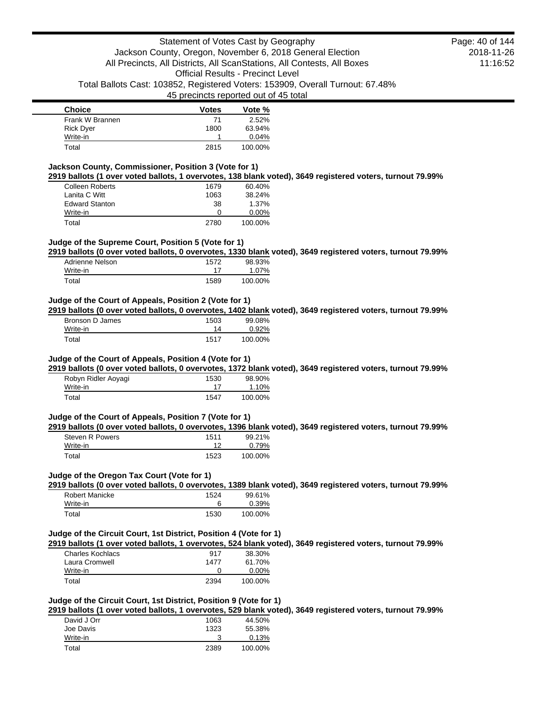| <b>Choice</b>    | <b>Votes</b> | Vote %  |
|------------------|--------------|---------|
| Frank W Brannen  | 71           | 2.52%   |
| <b>Rick Dyer</b> | 1800         | 63.94%  |
| Write-in         |              | 0.04%   |
| Total            | 2815         | 100.00% |

## **Jackson County, Commissioner, Position 3 (Vote for 1)**

**2919 ballots (1 over voted ballots, 1 overvotes, 138 blank voted), 3649 registered voters, turnout 79.99%**

| <b>Colleen Roberts</b> | 1679 | 60.40%   |
|------------------------|------|----------|
| Lanita C Witt          | 1063 | 38.24%   |
| <b>Edward Stanton</b>  | 38   | 1.37%    |
| Write-in               | O    | $0.00\%$ |
| Total                  | 2780 | 100.00%  |

### **Judge of the Supreme Court, Position 5 (Vote for 1)**

**2919 ballots (0 over voted ballots, 0 overvotes, 1330 blank voted), 3649 registered voters, turnout 79.99%**

| Adrienne Nelson | 1572 | 98.93%  |
|-----------------|------|---------|
| Write-in        |      | 1.07%   |
| Total           | 1589 | 100.00% |

## **Judge of the Court of Appeals, Position 2 (Vote for 1)**

**2919 ballots (0 over voted ballots, 0 overvotes, 1402 blank voted), 3649 registered voters, turnout 79.99%**

| Bronson D James | 1503 | 99.08%  |
|-----------------|------|---------|
| Write-in        | 14   | 0.92%   |
| Total           | 1517 | 100.00% |

## **Judge of the Court of Appeals, Position 4 (Vote for 1)**

**2919 ballots (0 over voted ballots, 0 overvotes, 1372 blank voted), 3649 registered voters, turnout 79.99%**

| Robyn Ridler Aoyagi | 1530 | 98.90%  |
|---------------------|------|---------|
| Write-in            |      | 1.10%   |
| Total               | 1547 | 100.00% |

## **Judge of the Court of Appeals, Position 7 (Vote for 1)**

**2919 ballots (0 over voted ballots, 0 overvotes, 1396 blank voted), 3649 registered voters, turnout 79.99%**

| Steven R Powers | 1511 | 99.21%  |
|-----------------|------|---------|
| Write-in        |      | 0.79%   |
| Total           | 1523 | 100.00% |

### **Judge of the Oregon Tax Court (Vote for 1)**

**2919 ballots (0 over voted ballots, 0 overvotes, 1389 blank voted), 3649 registered voters, turnout 79.99%**

| Robert Manicke | 1524 | 99.61%  |
|----------------|------|---------|
| Write-in       | 6    | 0.39%   |
| Total          | 1530 | 100.00% |

## **Judge of the Circuit Court, 1st District, Position 4 (Vote for 1)**

**2919 ballots (1 over voted ballots, 1 overvotes, 524 blank voted), 3649 registered voters, turnout 79.99%**

| Charles Kochlacs | 917  | 38.30%   |
|------------------|------|----------|
| Laura Cromwell   | 1477 | 61.70%   |
| Write-in         |      | $0.00\%$ |
| Total            | 2394 | 100.00%  |

## **Judge of the Circuit Court, 1st District, Position 9 (Vote for 1)**

**2919 ballots (1 over voted ballots, 1 overvotes, 529 blank voted), 3649 registered voters, turnout 79.99%**

| David J Orr | 1063 | 44.50%  |
|-------------|------|---------|
| Joe Davis   | 1323 | 55.38%  |
| Write-in    |      | 0.13%   |
| Total       | 2389 | 100.00% |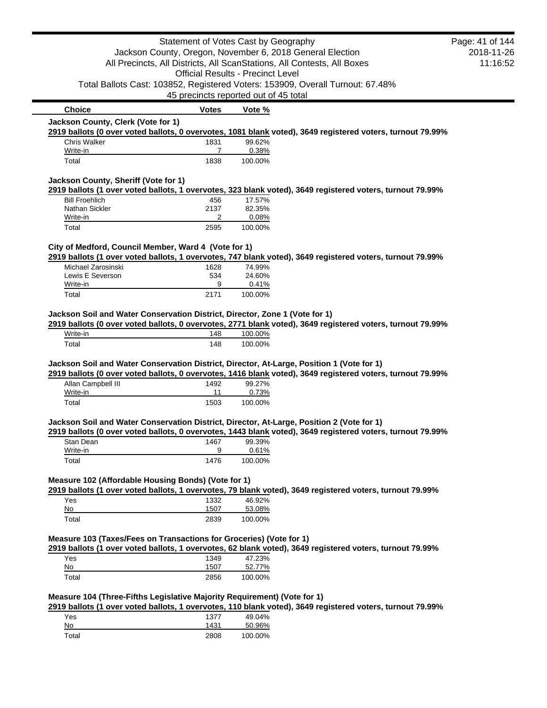|                                                                                           | Statement of Votes Cast by Geography     |                  |                                                                                                            | Page: 41 of 144 |
|-------------------------------------------------------------------------------------------|------------------------------------------|------------------|------------------------------------------------------------------------------------------------------------|-----------------|
|                                                                                           |                                          |                  | Jackson County, Oregon, November 6, 2018 General Election                                                  | 2018-11-26      |
|                                                                                           |                                          |                  | All Precincts, All Districts, All ScanStations, All Contests, All Boxes                                    | 11:16:52        |
|                                                                                           | <b>Official Results - Precinct Level</b> |                  |                                                                                                            |                 |
|                                                                                           |                                          |                  | Total Ballots Cast: 103852, Registered Voters: 153909, Overall Turnout: 67.48%                             |                 |
|                                                                                           | 45 precincts reported out of 45 total    |                  |                                                                                                            |                 |
| <b>Choice</b>                                                                             | <b>Votes</b>                             | Vote %           |                                                                                                            |                 |
| Jackson County, Clerk (Vote for 1)                                                        |                                          |                  |                                                                                                            |                 |
|                                                                                           |                                          |                  | 2919 ballots (0 over voted ballots, 0 overvotes, 1081 blank voted), 3649 registered voters, turnout 79.99% |                 |
| <b>Chris Walker</b>                                                                       | 1831                                     | 99.62%           |                                                                                                            |                 |
| Write-in<br>Total                                                                         | 7<br>1838                                | 0.38%<br>100.00% |                                                                                                            |                 |
|                                                                                           |                                          |                  |                                                                                                            |                 |
| Jackson County, Sheriff (Vote for 1)                                                      |                                          |                  |                                                                                                            |                 |
|                                                                                           |                                          |                  | 2919 ballots (1 over voted ballots, 1 overvotes, 323 blank voted), 3649 registered voters, turnout 79.99%  |                 |
| <b>Bill Froehlich</b>                                                                     | 456                                      | 17.57%           |                                                                                                            |                 |
| Nathan Sickler<br>Write-in                                                                | 2137<br>2                                | 82.35%<br>0.08%  |                                                                                                            |                 |
| Total                                                                                     | 2595                                     | 100.00%          |                                                                                                            |                 |
|                                                                                           |                                          |                  |                                                                                                            |                 |
| City of Medford, Council Member, Ward 4 (Vote for 1)                                      |                                          |                  |                                                                                                            |                 |
|                                                                                           |                                          |                  | 2919 ballots (1 over voted ballots, 1 overvotes, 747 blank voted), 3649 registered voters, turnout 79.99%  |                 |
| Michael Zarosinski                                                                        | 1628                                     | 74.99%           |                                                                                                            |                 |
| Lewis E Severson                                                                          | 534                                      | 24.60%           |                                                                                                            |                 |
| Write-in<br>Total                                                                         | 9<br>2171                                | 0.41%<br>100.00% |                                                                                                            |                 |
|                                                                                           |                                          |                  |                                                                                                            |                 |
| Jackson Soil and Water Conservation District, Director, Zone 1 (Vote for 1)               |                                          |                  |                                                                                                            |                 |
|                                                                                           |                                          |                  | 2919 ballots (0 over voted ballots, 0 overvotes, 2771 blank voted), 3649 registered voters, turnout 79.99% |                 |
| Write-in                                                                                  | 148                                      | 100.00%          |                                                                                                            |                 |
| Total                                                                                     | 148                                      | 100.00%          |                                                                                                            |                 |
|                                                                                           |                                          |                  |                                                                                                            |                 |
| Jackson Soil and Water Conservation District, Director, At-Large, Position 1 (Vote for 1) |                                          |                  | 2919 ballots (0 over voted ballots, 0 overvotes, 1416 blank voted), 3649 registered voters, turnout 79.99% |                 |
| Allan Campbell III                                                                        | 1492                                     | 99.27%           |                                                                                                            |                 |
| Write-in                                                                                  | 11                                       | 0.73%            |                                                                                                            |                 |
| Total                                                                                     | 1503                                     | 100.00%          |                                                                                                            |                 |
|                                                                                           |                                          |                  |                                                                                                            |                 |
| Jackson Soil and Water Conservation District, Director, At-Large, Position 2 (Vote for 1) |                                          |                  |                                                                                                            |                 |
|                                                                                           |                                          |                  | 2919 ballots (0 over voted ballots, 0 overvotes, 1443 blank voted), 3649 registered voters, turnout 79.99% |                 |
| Stan Dean<br>Write-in                                                                     | 1467<br>9                                | 99.39%           |                                                                                                            |                 |
| Total                                                                                     | 1476                                     | 0.61%<br>100.00% |                                                                                                            |                 |
|                                                                                           |                                          |                  |                                                                                                            |                 |
| Measure 102 (Affordable Housing Bonds) (Vote for 1)                                       |                                          |                  |                                                                                                            |                 |
|                                                                                           |                                          |                  | 2919 ballots (1 over voted ballots, 1 overvotes, 79 blank voted), 3649 registered voters, turnout 79.99%   |                 |
| Yes                                                                                       | 1332                                     | 46.92%           |                                                                                                            |                 |
| No                                                                                        | 1507                                     | 53.08%           |                                                                                                            |                 |
| Total                                                                                     | 2839                                     | 100.00%          |                                                                                                            |                 |
|                                                                                           |                                          |                  |                                                                                                            |                 |
| Measure 103 (Taxes/Fees on Transactions for Groceries) (Vote for 1)                       |                                          |                  |                                                                                                            |                 |
|                                                                                           |                                          |                  | 2919 ballots (1 over voted ballots, 1 overvotes, 62 blank voted), 3649 registered voters, turnout 79.99%   |                 |
| Yes<br>No                                                                                 | 1349<br>1507                             | 47.23%<br>52.77% |                                                                                                            |                 |
| Total                                                                                     | 2856                                     | 100.00%          |                                                                                                            |                 |
|                                                                                           |                                          |                  |                                                                                                            |                 |
| Measure 104 (Three-Fifths Legislative Majority Requirement) (Vote for 1)                  |                                          |                  |                                                                                                            |                 |
|                                                                                           |                                          |                  | 2919 ballots (1 over voted ballots, 1 overvotes, 110 blank voted), 3649 registered voters, turnout 79.99%  |                 |
| Yes                                                                                       | 1377                                     | 49.04%           |                                                                                                            |                 |
| No                                                                                        | 1431                                     | 50.96%           |                                                                                                            |                 |
| Total                                                                                     | 2808                                     | 100.00%          |                                                                                                            |                 |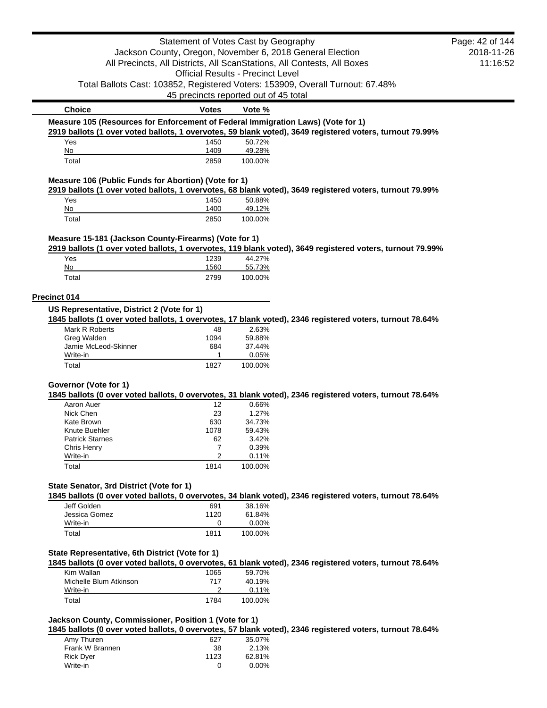|                                                                                  | Statement of Votes Cast by Geography     |                 |                                                                                                           | Page: 42 of 144 |
|----------------------------------------------------------------------------------|------------------------------------------|-----------------|-----------------------------------------------------------------------------------------------------------|-----------------|
|                                                                                  |                                          |                 | Jackson County, Oregon, November 6, 2018 General Election                                                 | 2018-11-26      |
|                                                                                  |                                          |                 | All Precincts, All Districts, All ScanStations, All Contests, All Boxes                                   | 11:16:52        |
|                                                                                  | <b>Official Results - Precinct Level</b> |                 |                                                                                                           |                 |
|                                                                                  |                                          |                 | Total Ballots Cast: 103852, Registered Voters: 153909, Overall Turnout: 67.48%                            |                 |
|                                                                                  | 45 precincts reported out of 45 total    |                 |                                                                                                           |                 |
| <b>Choice</b>                                                                    | Votes                                    | Vote %          |                                                                                                           |                 |
| Measure 105 (Resources for Enforcement of Federal Immigration Laws) (Vote for 1) |                                          |                 |                                                                                                           |                 |
|                                                                                  |                                          |                 | 2919 ballots (1 over voted ballots, 1 overvotes, 59 blank voted), 3649 registered voters, turnout 79.99%  |                 |
| Yes                                                                              | 1450                                     | 50.72%          |                                                                                                           |                 |
| No                                                                               | 1409                                     | 49.28%          |                                                                                                           |                 |
| Total                                                                            | 2859                                     | 100.00%         |                                                                                                           |                 |
| Measure 106 (Public Funds for Abortion) (Vote for 1)                             |                                          |                 |                                                                                                           |                 |
|                                                                                  |                                          |                 | 2919 ballots (1 over voted ballots, 1 overvotes, 68 blank voted), 3649 registered voters, turnout 79.99%  |                 |
| Yes                                                                              | 1450                                     | 50.88%          |                                                                                                           |                 |
| No                                                                               | 1400                                     | 49.12%          |                                                                                                           |                 |
| Total                                                                            | 2850                                     | 100.00%         |                                                                                                           |                 |
|                                                                                  |                                          |                 |                                                                                                           |                 |
| Measure 15-181 (Jackson County-Firearms) (Vote for 1)                            |                                          |                 | 2919 ballots (1 over voted ballots, 1 overvotes, 119 blank voted), 3649 registered voters, turnout 79.99% |                 |
| Yes                                                                              | 1239                                     | 44.27%          |                                                                                                           |                 |
| No                                                                               | 1560                                     | 55.73%          |                                                                                                           |                 |
| Total                                                                            | 2799                                     | 100.00%         |                                                                                                           |                 |
|                                                                                  |                                          |                 |                                                                                                           |                 |
| Precinct 014                                                                     |                                          |                 |                                                                                                           |                 |
| US Representative, District 2 (Vote for 1)                                       |                                          |                 |                                                                                                           |                 |
|                                                                                  |                                          |                 | 1845 ballots (1 over voted ballots, 1 overvotes, 17 blank voted), 2346 registered voters, turnout 78.64%  |                 |
| Mark R Roberts                                                                   | 48                                       | 2.63%           |                                                                                                           |                 |
| Greg Walden                                                                      | 1094                                     | 59.88%          |                                                                                                           |                 |
| Jamie McLeod-Skinner<br>Write-in                                                 | 684<br>1                                 | 37.44%<br>0.05% |                                                                                                           |                 |
| Total                                                                            | 1827                                     | 100.00%         |                                                                                                           |                 |
|                                                                                  |                                          |                 |                                                                                                           |                 |
| Governor (Vote for 1)                                                            |                                          |                 |                                                                                                           |                 |
|                                                                                  |                                          |                 | 1845 ballots (0 over voted ballots, 0 overvotes, 31 blank voted), 2346 registered voters, turnout 78.64%  |                 |
| Aaron Auer                                                                       | 12                                       | 0.66%           |                                                                                                           |                 |
| Nick Chen                                                                        | 23                                       | 1.27%           |                                                                                                           |                 |
| Kate Brown                                                                       | 630                                      | 34.73%          |                                                                                                           |                 |
| Knute Buehler<br><b>Patrick Starnes</b>                                          | 1078<br>62                               | 59.43%<br>3.42% |                                                                                                           |                 |
| Chris Henry                                                                      | 7                                        | 0.39%           |                                                                                                           |                 |
| Write-in                                                                         | 2                                        | 0.11%           |                                                                                                           |                 |
| Total                                                                            | 1814                                     | 100.00%         |                                                                                                           |                 |
|                                                                                  |                                          |                 |                                                                                                           |                 |
| State Senator, 3rd District (Vote for 1)                                         |                                          |                 |                                                                                                           |                 |
|                                                                                  |                                          |                 | 1845 ballots (0 over voted ballots, 0 overvotes, 34 blank voted), 2346 registered voters, turnout 78.64%  |                 |
| Jeff Golden                                                                      | 691                                      | 38.16%          |                                                                                                           |                 |
| Jessica Gomez                                                                    | 1120                                     | 61.84%          |                                                                                                           |                 |
| Write-in                                                                         | 0                                        | 0.00%           |                                                                                                           |                 |
| Total                                                                            | 1811                                     | 100.00%         |                                                                                                           |                 |
|                                                                                  |                                          |                 |                                                                                                           |                 |
| State Representative, 6th District (Vote for 1)                                  |                                          |                 | 1845 ballots (0 over voted ballots, 0 overvotes, 61 blank voted), 2346 registered voters, turnout 78.64%  |                 |
| Kim Wallan                                                                       | 1065                                     | 59.70%          |                                                                                                           |                 |
| Michelle Blum Atkinson                                                           | 717                                      | 40.19%          |                                                                                                           |                 |
| Write-in                                                                         | 2                                        | 0.11%           |                                                                                                           |                 |
| Total                                                                            | 1784                                     | 100.00%         |                                                                                                           |                 |
|                                                                                  |                                          |                 |                                                                                                           |                 |
| Jackson County, Commissioner, Position 1 (Vote for 1)                            |                                          |                 |                                                                                                           |                 |
|                                                                                  |                                          |                 | 1845 ballots (0 over voted ballots, 0 overvotes, 57 blank voted), 2346 registered voters, turnout 78.64%  |                 |
| Amy Thuren                                                                       | 627                                      | 35.07%          |                                                                                                           |                 |
| Frank W Brannen<br>Rick Dyer                                                     | 38<br>1123                               | 2.13%<br>62.81% |                                                                                                           |                 |
| Write-in                                                                         | 0                                        | 0.00%           |                                                                                                           |                 |
|                                                                                  |                                          |                 |                                                                                                           |                 |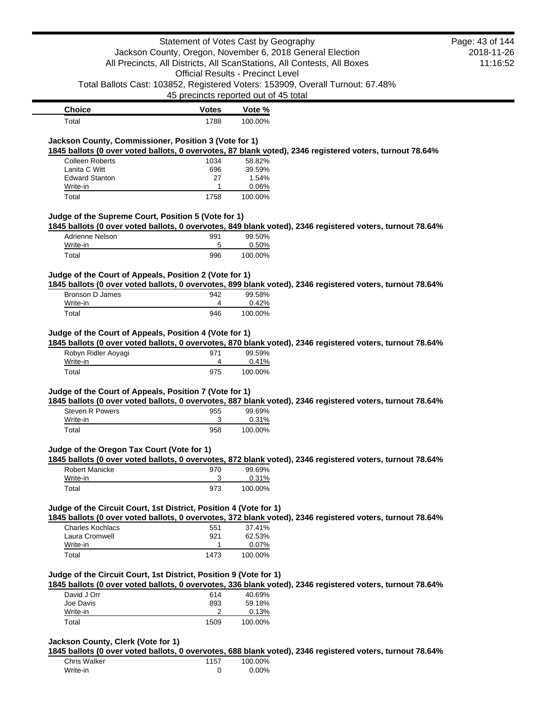|                                                                                                                                                                                                                                                                                                                                                                                                                                             |              | Statement of Votes Cast by Geography                                    | Page: 43 of 144 |
|---------------------------------------------------------------------------------------------------------------------------------------------------------------------------------------------------------------------------------------------------------------------------------------------------------------------------------------------------------------------------------------------------------------------------------------------|--------------|-------------------------------------------------------------------------|-----------------|
|                                                                                                                                                                                                                                                                                                                                                                                                                                             |              | Jackson County, Oregon, November 6, 2018 General Election               | 2018-11-26      |
|                                                                                                                                                                                                                                                                                                                                                                                                                                             |              | All Precincts, All Districts, All ScanStations, All Contests, All Boxes | 11:16:52        |
|                                                                                                                                                                                                                                                                                                                                                                                                                                             |              | <b>Official Results - Precinct Level</b>                                |                 |
| Total Ballots Cast: 103852, Registered Voters: 153909, Overall Turnout: 67.48%                                                                                                                                                                                                                                                                                                                                                              |              |                                                                         |                 |
|                                                                                                                                                                                                                                                                                                                                                                                                                                             |              | 45 precincts reported out of 45 total                                   |                 |
| <b>Choice</b>                                                                                                                                                                                                                                                                                                                                                                                                                               | <b>Votes</b> | Vote %                                                                  |                 |
| Total                                                                                                                                                                                                                                                                                                                                                                                                                                       | 1788         | 100.00%                                                                 |                 |
|                                                                                                                                                                                                                                                                                                                                                                                                                                             |              |                                                                         |                 |
| Jackson County, Commissioner, Position 3 (Vote for 1)                                                                                                                                                                                                                                                                                                                                                                                       |              |                                                                         |                 |
| 1845 ballots (0 over voted ballots, 0 overvotes, 87 blank voted), 2346 registered voters, turnout 78.64%                                                                                                                                                                                                                                                                                                                                    |              |                                                                         |                 |
| <b>Colleen Roberts</b><br>Lanita C Witt                                                                                                                                                                                                                                                                                                                                                                                                     | 1034<br>696  | 58.82%<br>39.59%                                                        |                 |
| <b>Edward Stanton</b>                                                                                                                                                                                                                                                                                                                                                                                                                       | 27           | 1.54%                                                                   |                 |
| Write-in                                                                                                                                                                                                                                                                                                                                                                                                                                    | 1            | 0.06%                                                                   |                 |
| Total                                                                                                                                                                                                                                                                                                                                                                                                                                       | 1758         | 100.00%                                                                 |                 |
|                                                                                                                                                                                                                                                                                                                                                                                                                                             |              |                                                                         |                 |
| Judge of the Supreme Court, Position 5 (Vote for 1)                                                                                                                                                                                                                                                                                                                                                                                         |              |                                                                         |                 |
| 1845 ballots (0 over voted ballots, 0 overvotes, 849 blank voted), 2346 registered voters, turnout 78.64%                                                                                                                                                                                                                                                                                                                                   |              |                                                                         |                 |
| Adrienne Nelson                                                                                                                                                                                                                                                                                                                                                                                                                             | 991          | 99.50%                                                                  |                 |
| Write-in<br>Total                                                                                                                                                                                                                                                                                                                                                                                                                           | 5<br>996     | 0.50%<br>100.00%                                                        |                 |
|                                                                                                                                                                                                                                                                                                                                                                                                                                             |              |                                                                         |                 |
| Judge of the Court of Appeals, Position 2 (Vote for 1)                                                                                                                                                                                                                                                                                                                                                                                      |              |                                                                         |                 |
| 1845 ballots (0 over voted ballots, 0 overvotes, 899 blank voted), 2346 registered voters, turnout 78.64%                                                                                                                                                                                                                                                                                                                                   |              |                                                                         |                 |
|                                                                                                                                                                                                                                                                                                                                                                                                                                             | 942          | 99.58%                                                                  |                 |
| Bronson D James                                                                                                                                                                                                                                                                                                                                                                                                                             |              |                                                                         |                 |
| Write-in                                                                                                                                                                                                                                                                                                                                                                                                                                    | 4            | 0.42%                                                                   |                 |
| Total<br>Judge of the Court of Appeals, Position 4 (Vote for 1)                                                                                                                                                                                                                                                                                                                                                                             | 946          | 100.00%                                                                 |                 |
| Robyn Ridler Aoyagi                                                                                                                                                                                                                                                                                                                                                                                                                         | 971          | 99.59%                                                                  |                 |
| Write-in                                                                                                                                                                                                                                                                                                                                                                                                                                    | 4<br>975     | 0.41%<br>100.00%                                                        |                 |
| Total                                                                                                                                                                                                                                                                                                                                                                                                                                       |              |                                                                         |                 |
|                                                                                                                                                                                                                                                                                                                                                                                                                                             |              |                                                                         |                 |
|                                                                                                                                                                                                                                                                                                                                                                                                                                             |              |                                                                         |                 |
| <b>Steven R Powers</b>                                                                                                                                                                                                                                                                                                                                                                                                                      | 955          | 99.69%                                                                  |                 |
| Write-in                                                                                                                                                                                                                                                                                                                                                                                                                                    | 3            | 0.31%                                                                   |                 |
| Total                                                                                                                                                                                                                                                                                                                                                                                                                                       | 958          | 100.00%                                                                 |                 |
|                                                                                                                                                                                                                                                                                                                                                                                                                                             |              |                                                                         |                 |
|                                                                                                                                                                                                                                                                                                                                                                                                                                             |              |                                                                         |                 |
| Robert Manicke                                                                                                                                                                                                                                                                                                                                                                                                                              | 970          | 99.69%                                                                  |                 |
| Write-in                                                                                                                                                                                                                                                                                                                                                                                                                                    | 3            | 0.31%                                                                   |                 |
| Total                                                                                                                                                                                                                                                                                                                                                                                                                                       | 973          | 100.00%                                                                 |                 |
| 1845 ballots (0 over voted ballots, 0 overvotes, 870 blank voted), 2346 registered voters, turnout 78.64%<br>Judge of the Court of Appeals, Position 7 (Vote for 1)<br>1845 ballots (0 over voted ballots, 0 overvotes, 887 blank voted), 2346 registered voters, turnout 78.64%<br>Judge of the Oregon Tax Court (Vote for 1)<br>1845 ballots (0 over voted ballots, 0 overvotes, 872 blank voted), 2346 registered voters, turnout 78.64% |              |                                                                         |                 |
|                                                                                                                                                                                                                                                                                                                                                                                                                                             |              |                                                                         |                 |
|                                                                                                                                                                                                                                                                                                                                                                                                                                             |              |                                                                         |                 |
| <b>Charles Kochlacs</b>                                                                                                                                                                                                                                                                                                                                                                                                                     | 551          | 37.41%                                                                  |                 |
| Laura Cromwell                                                                                                                                                                                                                                                                                                                                                                                                                              | 921          | 62.53%                                                                  |                 |
| Write-in<br>Total                                                                                                                                                                                                                                                                                                                                                                                                                           | 1<br>1473    | 0.07%<br>100.00%                                                        |                 |
|                                                                                                                                                                                                                                                                                                                                                                                                                                             |              |                                                                         |                 |
| Judge of the Circuit Court, 1st District, Position 4 (Vote for 1)<br>1845 ballots (0 over voted ballots, 0 overvotes, 372 blank voted), 2346 registered voters, turnout 78.64%<br>Judge of the Circuit Court, 1st District, Position 9 (Vote for 1)                                                                                                                                                                                         |              |                                                                         |                 |
| David J Orr                                                                                                                                                                                                                                                                                                                                                                                                                                 | 614          | 40.69%                                                                  |                 |
| Joe Davis                                                                                                                                                                                                                                                                                                                                                                                                                                   | 893          | 59.18%                                                                  |                 |
| 1845 ballots (0 over voted ballots, 0 overvotes, 336 blank voted), 2346 registered voters, turnout 78.64%<br>Write-in                                                                                                                                                                                                                                                                                                                       | 2            | 0.13%                                                                   |                 |

| <b>Chris Walker</b> | 1157 | 100.00% |
|---------------------|------|---------|
| Write-in            |      | 0.00%   |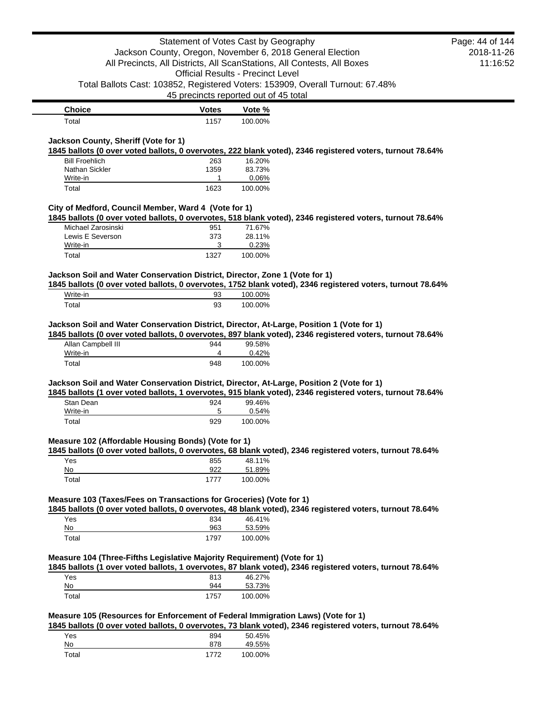|                                                                                                                                                                                                                                                                                                  | Statement of Votes Cast by Geography     |                   |                                                                                                            | Page: 44 of 144 |
|--------------------------------------------------------------------------------------------------------------------------------------------------------------------------------------------------------------------------------------------------------------------------------------------------|------------------------------------------|-------------------|------------------------------------------------------------------------------------------------------------|-----------------|
|                                                                                                                                                                                                                                                                                                  |                                          |                   | Jackson County, Oregon, November 6, 2018 General Election                                                  | 2018-11-26      |
|                                                                                                                                                                                                                                                                                                  |                                          |                   | All Precincts, All Districts, All ScanStations, All Contests, All Boxes                                    | 11:16:52        |
|                                                                                                                                                                                                                                                                                                  | <b>Official Results - Precinct Level</b> |                   |                                                                                                            |                 |
|                                                                                                                                                                                                                                                                                                  | 45 precincts reported out of 45 total    |                   | Total Ballots Cast: 103852, Registered Voters: 153909, Overall Turnout: 67.48%                             |                 |
| <b>Choice</b>                                                                                                                                                                                                                                                                                    | <b>Votes</b>                             |                   |                                                                                                            |                 |
| Total                                                                                                                                                                                                                                                                                            | 1157                                     | Vote %<br>100.00% |                                                                                                            |                 |
|                                                                                                                                                                                                                                                                                                  |                                          |                   |                                                                                                            |                 |
| Jackson County, Sheriff (Vote for 1)                                                                                                                                                                                                                                                             |                                          |                   |                                                                                                            |                 |
| <b>Bill Froehlich</b>                                                                                                                                                                                                                                                                            | 263                                      | 16.20%            | 1845 ballots (0 over voted ballots, 0 overvotes, 222 blank voted), 2346 registered voters, turnout 78.64%  |                 |
| Nathan Sickler                                                                                                                                                                                                                                                                                   | 1359                                     | 83.73%            |                                                                                                            |                 |
| Write-in                                                                                                                                                                                                                                                                                         | 1                                        | 0.06%             |                                                                                                            |                 |
| Total                                                                                                                                                                                                                                                                                            | 1623                                     | 100.00%           |                                                                                                            |                 |
|                                                                                                                                                                                                                                                                                                  |                                          |                   |                                                                                                            |                 |
| City of Medford, Council Member, Ward 4 (Vote for 1)                                                                                                                                                                                                                                             |                                          |                   | 1845 ballots (0 over voted ballots, 0 overvotes, 518 blank voted), 2346 registered voters, turnout 78.64%  |                 |
| Michael Zarosinski                                                                                                                                                                                                                                                                               | 951                                      | 71.67%            |                                                                                                            |                 |
| Lewis E Severson                                                                                                                                                                                                                                                                                 | 373                                      | 28.11%            |                                                                                                            |                 |
| Write-in                                                                                                                                                                                                                                                                                         | 3                                        | 0.23%             |                                                                                                            |                 |
| Total                                                                                                                                                                                                                                                                                            | 1327                                     | 100.00%           |                                                                                                            |                 |
| Jackson Soil and Water Conservation District, Director, Zone 1 (Vote for 1)                                                                                                                                                                                                                      |                                          |                   |                                                                                                            |                 |
|                                                                                                                                                                                                                                                                                                  |                                          |                   | 1845 ballots (0 over voted ballots, 0 overvotes, 1752 blank voted), 2346 registered voters, turnout 78.64% |                 |
| Write-in                                                                                                                                                                                                                                                                                         | 93                                       | 100.00%           |                                                                                                            |                 |
| Total                                                                                                                                                                                                                                                                                            | 93                                       | 100.00%           |                                                                                                            |                 |
|                                                                                                                                                                                                                                                                                                  |                                          |                   |                                                                                                            |                 |
| Jackson Soil and Water Conservation District, Director, At-Large, Position 1 (Vote for 1)                                                                                                                                                                                                        |                                          |                   |                                                                                                            |                 |
|                                                                                                                                                                                                                                                                                                  |                                          |                   | 1845 ballots (0 over voted ballots, 0 overvotes, 897 blank voted), 2346 registered voters, turnout 78.64%  |                 |
| Allan Campbell III<br>Write-in                                                                                                                                                                                                                                                                   | 944<br>4                                 | 99.58%<br>0.42%   |                                                                                                            |                 |
| Total                                                                                                                                                                                                                                                                                            | 948                                      | 100.00%           |                                                                                                            |                 |
|                                                                                                                                                                                                                                                                                                  |                                          |                   |                                                                                                            |                 |
| Jackson Soil and Water Conservation District, Director, At-Large, Position 2 (Vote for 1)                                                                                                                                                                                                        |                                          |                   |                                                                                                            |                 |
|                                                                                                                                                                                                                                                                                                  |                                          |                   | 1845 ballots (1 over voted ballots, 1 overvotes, 915 blank voted), 2346 registered voters, turnout 78.64%  |                 |
| Stan Dean                                                                                                                                                                                                                                                                                        | 924                                      | 99.46%            |                                                                                                            |                 |
|                                                                                                                                                                                                                                                                                                  |                                          | 0.54%             |                                                                                                            |                 |
| Write-in                                                                                                                                                                                                                                                                                         | 5                                        |                   |                                                                                                            |                 |
| Total                                                                                                                                                                                                                                                                                            | 929                                      | 100.00%           |                                                                                                            |                 |
|                                                                                                                                                                                                                                                                                                  |                                          |                   |                                                                                                            |                 |
|                                                                                                                                                                                                                                                                                                  |                                          |                   | 1845 ballots (0 over voted ballots, 0 overvotes, 68 blank voted), 2346 registered voters, turnout 78.64%   |                 |
| Yes                                                                                                                                                                                                                                                                                              | 855                                      | 48.11%            |                                                                                                            |                 |
| No                                                                                                                                                                                                                                                                                               | 922                                      | 51.89%            |                                                                                                            |                 |
| Total                                                                                                                                                                                                                                                                                            | 1777                                     | 100.00%           |                                                                                                            |                 |
|                                                                                                                                                                                                                                                                                                  |                                          |                   |                                                                                                            |                 |
|                                                                                                                                                                                                                                                                                                  |                                          |                   |                                                                                                            |                 |
|                                                                                                                                                                                                                                                                                                  |                                          |                   | 1845 ballots (0 over voted ballots, 0 overvotes, 48 blank voted), 2346 registered voters, turnout 78.64%   |                 |
| Yes                                                                                                                                                                                                                                                                                              | 834                                      | 46.41%            |                                                                                                            |                 |
| $\underline{\mathsf{No}}$<br>Total                                                                                                                                                                                                                                                               | 963<br>1797                              | 53.59%            |                                                                                                            |                 |
|                                                                                                                                                                                                                                                                                                  |                                          | 100.00%           |                                                                                                            |                 |
|                                                                                                                                                                                                                                                                                                  |                                          |                   |                                                                                                            |                 |
|                                                                                                                                                                                                                                                                                                  |                                          |                   | 1845 ballots (1 over voted ballots, 1 overvotes, 87 blank voted), 2346 registered voters, turnout 78.64%   |                 |
| Yes                                                                                                                                                                                                                                                                                              | 813                                      | 46.27%            |                                                                                                            |                 |
| No                                                                                                                                                                                                                                                                                               | 944                                      | 53.73%            |                                                                                                            |                 |
| Total                                                                                                                                                                                                                                                                                            | 1757                                     | 100.00%           |                                                                                                            |                 |
|                                                                                                                                                                                                                                                                                                  |                                          |                   |                                                                                                            |                 |
|                                                                                                                                                                                                                                                                                                  |                                          |                   |                                                                                                            |                 |
| Yes                                                                                                                                                                                                                                                                                              | 894                                      | 50.45%            | 1845 ballots (0 over voted ballots, 0 overvotes, 73 blank voted), 2346 registered voters, turnout 78.64%   |                 |
| Measure 102 (Affordable Housing Bonds) (Vote for 1)<br>Measure 103 (Taxes/Fees on Transactions for Groceries) (Vote for 1)<br>Measure 104 (Three-Fifths Legislative Majority Requirement) (Vote for 1)<br>Measure 105 (Resources for Enforcement of Federal Immigration Laws) (Vote for 1)<br>No | 878                                      | 49.55%            |                                                                                                            |                 |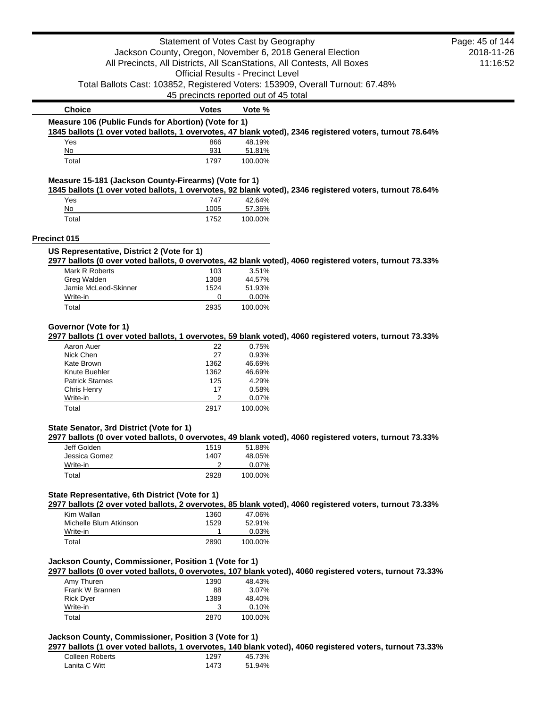|                                                                                                                                                                          | Statement of Votes Cast by Geography     |                   |                                                                                                           | Page: 45 of 144 |
|--------------------------------------------------------------------------------------------------------------------------------------------------------------------------|------------------------------------------|-------------------|-----------------------------------------------------------------------------------------------------------|-----------------|
|                                                                                                                                                                          |                                          |                   | Jackson County, Oregon, November 6, 2018 General Election                                                 | 2018-11-26      |
|                                                                                                                                                                          |                                          |                   | All Precincts, All Districts, All ScanStations, All Contests, All Boxes                                   | 11:16:52        |
|                                                                                                                                                                          | <b>Official Results - Precinct Level</b> |                   |                                                                                                           |                 |
|                                                                                                                                                                          |                                          |                   | Total Ballots Cast: 103852, Registered Voters: 153909, Overall Turnout: 67.48%                            |                 |
|                                                                                                                                                                          |                                          |                   |                                                                                                           |                 |
|                                                                                                                                                                          | 45 precincts reported out of 45 total    |                   |                                                                                                           |                 |
| <b>Choice</b>                                                                                                                                                            | <b>Votes</b>                             | Vote %            |                                                                                                           |                 |
| Measure 106 (Public Funds for Abortion) (Vote for 1)                                                                                                                     |                                          |                   |                                                                                                           |                 |
|                                                                                                                                                                          |                                          |                   | 1845 ballots (1 over voted ballots, 1 overvotes, 47 blank voted), 2346 registered voters, turnout 78.64%  |                 |
| Yes<br>No                                                                                                                                                                | 866<br>931                               | 48.19%            |                                                                                                           |                 |
| Total                                                                                                                                                                    | 1797                                     | 51.81%<br>100.00% |                                                                                                           |                 |
|                                                                                                                                                                          |                                          |                   |                                                                                                           |                 |
| Measure 15-181 (Jackson County-Firearms) (Vote for 1)                                                                                                                    |                                          |                   | 1845 ballots (1 over voted ballots, 1 overvotes, 92 blank voted), 2346 registered voters, turnout 78.64%  |                 |
| Yes                                                                                                                                                                      | 747                                      | 42.64%            |                                                                                                           |                 |
| No                                                                                                                                                                       | 1005                                     | 57.36%            |                                                                                                           |                 |
| Total                                                                                                                                                                    | 1752                                     | 100.00%           |                                                                                                           |                 |
| Precinct 015                                                                                                                                                             |                                          |                   |                                                                                                           |                 |
| US Representative, District 2 (Vote for 1)                                                                                                                               |                                          |                   |                                                                                                           |                 |
|                                                                                                                                                                          |                                          |                   | 2977 ballots (0 over voted ballots, 0 overvotes, 42 blank voted), 4060 registered voters, turnout 73.33%  |                 |
| Mark R Roberts                                                                                                                                                           | 103                                      | 3.51%             |                                                                                                           |                 |
| Greg Walden                                                                                                                                                              | 1308                                     | 44.57%            |                                                                                                           |                 |
| Jamie McLeod-Skinner                                                                                                                                                     | 1524                                     | 51.93%            |                                                                                                           |                 |
| Write-in                                                                                                                                                                 | 0                                        | 0.00%             |                                                                                                           |                 |
| Total                                                                                                                                                                    | 2935                                     | 100.00%           |                                                                                                           |                 |
| Governor (Vote for 1)                                                                                                                                                    |                                          |                   |                                                                                                           |                 |
|                                                                                                                                                                          |                                          |                   | 2977 ballots (1 over voted ballots, 1 overvotes, 59 blank voted), 4060 registered voters, turnout 73.33%  |                 |
| Aaron Auer                                                                                                                                                               | 22                                       | 0.75%             |                                                                                                           |                 |
| Nick Chen                                                                                                                                                                | 27                                       | 0.93%             |                                                                                                           |                 |
| Kate Brown                                                                                                                                                               | 1362                                     | 46.69%            |                                                                                                           |                 |
| Knute Buehler                                                                                                                                                            | 1362                                     | 46.69%            |                                                                                                           |                 |
| <b>Patrick Starnes</b>                                                                                                                                                   | 125                                      | 4.29%             |                                                                                                           |                 |
|                                                                                                                                                                          | 17                                       | 0.58%             |                                                                                                           |                 |
| Chris Henry                                                                                                                                                              |                                          |                   |                                                                                                           |                 |
| Write-in                                                                                                                                                                 | 2                                        | 0.07%             |                                                                                                           |                 |
| Total                                                                                                                                                                    | 2917                                     | 100.00%           |                                                                                                           |                 |
|                                                                                                                                                                          |                                          |                   |                                                                                                           |                 |
|                                                                                                                                                                          |                                          |                   | 2977 ballots (0 over voted ballots, 0 overvotes, 49 blank voted), 4060 registered voters, turnout 73.33%  |                 |
| Jeff Golden                                                                                                                                                              | 1519                                     | 51.88%            |                                                                                                           |                 |
| Jessica Gomez                                                                                                                                                            | 1407                                     | 48.05%            |                                                                                                           |                 |
| Write-in<br>Total                                                                                                                                                        | 2<br>2928                                | 0.07%<br>100.00%  |                                                                                                           |                 |
|                                                                                                                                                                          |                                          |                   |                                                                                                           |                 |
|                                                                                                                                                                          |                                          |                   |                                                                                                           |                 |
| Kim Wallan                                                                                                                                                               | 1360                                     | 47.06%            | 2977 ballots (2 over voted ballots, 2 overvotes, 85 blank voted), 4060 registered voters, turnout 73.33%  |                 |
| Michelle Blum Atkinson                                                                                                                                                   |                                          | 52.91%            |                                                                                                           |                 |
|                                                                                                                                                                          | 1529<br>1                                |                   |                                                                                                           |                 |
| Write-in<br>Total                                                                                                                                                        | 2890                                     | 0.03%<br>100.00%  |                                                                                                           |                 |
|                                                                                                                                                                          |                                          |                   |                                                                                                           |                 |
|                                                                                                                                                                          |                                          |                   |                                                                                                           |                 |
| Amy Thuren                                                                                                                                                               | 1390                                     | 48.43%            | 2977 ballots (0 over voted ballots, 0 overvotes, 107 blank voted), 4060 registered voters, turnout 73.33% |                 |
| Frank W Brannen                                                                                                                                                          | 88                                       | 3.07%             |                                                                                                           |                 |
| State Senator, 3rd District (Vote for 1)<br>State Representative, 6th District (Vote for 1)<br>Jackson County, Commissioner, Position 1 (Vote for 1)<br><b>Rick Dyer</b> | 1389                                     | 48.40%            |                                                                                                           |                 |
| Write-in                                                                                                                                                                 | 3                                        | 0.10%             |                                                                                                           |                 |

## **Jackson County, Commissioner, Position 3 (Vote for 1)**

**2977 ballots (1 over voted ballots, 1 overvotes, 140 blank voted), 4060 registered voters, turnout 73.33%**

| Colleen Roberts | 1297 | 45.73% |
|-----------------|------|--------|
| Lanita C Witt   | 1473 | 51.94% |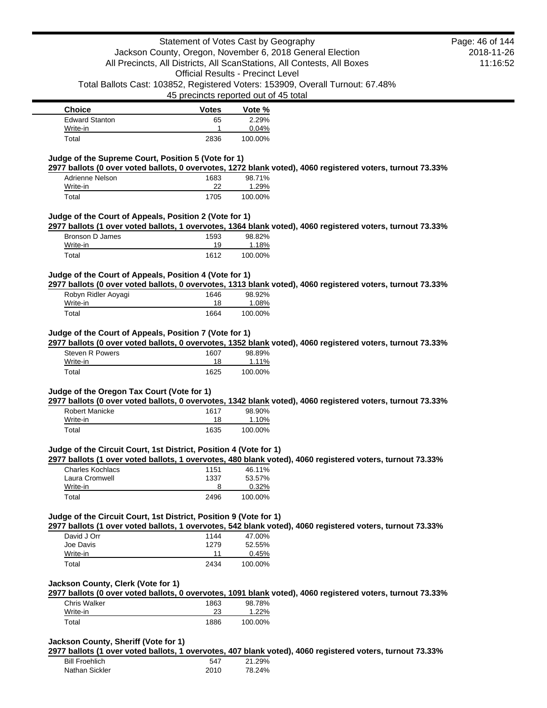| <b>Choice</b>         | <b>Votes</b> | Vote %  |
|-----------------------|--------------|---------|
| <b>Edward Stanton</b> | 65           | 2.29%   |
| Write-in              |              | 0.04%   |
| Total                 | 2836         | 100.00% |

### **Judge of the Supreme Court, Position 5 (Vote for 1)**

**2977 ballots (0 over voted ballots, 0 overvotes, 1272 blank voted), 4060 registered voters, turnout 73.33%**

| Adrienne Nelson | 1683 | 98.71%  |
|-----------------|------|---------|
| Write-in        | 22   | 1.29%   |
| Total           | 1705 | 100.00% |

### **Judge of the Court of Appeals, Position 2 (Vote for 1)**

**2977 ballots (1 over voted ballots, 1 overvotes, 1364 blank voted), 4060 registered voters, turnout 73.33%**

| Bronson D James | 1593 | 98.82%  |
|-----------------|------|---------|
| Write-in        | 19   | 1.18%   |
| Total           | 1612 | 100.00% |

### **Judge of the Court of Appeals, Position 4 (Vote for 1)**

**2977 ballots (0 over voted ballots, 0 overvotes, 1313 blank voted), 4060 registered voters, turnout 73.33%**

| Robyn Ridler Aoyagi | 1646 | 98.92%   |
|---------------------|------|----------|
| Write-in            | 18   | $1.08\%$ |
| Total               | 1664 | 100.00%  |

### **Judge of the Court of Appeals, Position 7 (Vote for 1)**

**2977 ballots (0 over voted ballots, 0 overvotes, 1352 blank voted), 4060 registered voters, turnout 73.33%**

| Steven R Powers | 1607 | 98.89%  |
|-----------------|------|---------|
| Write-in        | 18   | 1.11%   |
| Total           | 1625 | 100.00% |

#### **Judge of the Oregon Tax Court (Vote for 1)**

**2977 ballots (0 over voted ballots, 0 overvotes, 1342 blank voted), 4060 registered voters, turnout 73.33%**

| Robert Manicke | 1617 | 98.90%  |
|----------------|------|---------|
| Write-in       | 18   | 1.10%   |
| Total          | 1635 | 100.00% |

#### **Judge of the Circuit Court, 1st District, Position 4 (Vote for 1)**

**2977 ballots (1 over voted ballots, 1 overvotes, 480 blank voted), 4060 registered voters, turnout 73.33%**

| Charles Kochlacs | 1151 | 46.11%  |
|------------------|------|---------|
| Laura Cromwell   | 1337 | 53.57%  |
| Write-in         |      | 0.32%   |
| Total            | 2496 | 100.00% |

### **Judge of the Circuit Court, 1st District, Position 9 (Vote for 1)**

**2977 ballots (1 over voted ballots, 1 overvotes, 542 blank voted), 4060 registered voters, turnout 73.33%**

| David J Orr | 1144 | 47.00%  |
|-------------|------|---------|
| Joe Davis   | 1279 | 52.55%  |
| Write-in    | 11   | 0.45%   |
| Total       | 2434 | 100.00% |

#### **Jackson County, Clerk (Vote for 1)**

**2977 ballots (0 over voted ballots, 0 overvotes, 1091 blank voted), 4060 registered voters, turnout 73.33%**

| <b>Chris Walker</b> | 1863 | 98.78%  |
|---------------------|------|---------|
| Write-in            |      | 1.22%   |
| Total               | 1886 | 100.00% |

### **Jackson County, Sheriff (Vote for 1)**

**2977 ballots (1 over voted ballots, 1 overvotes, 407 blank voted), 4060 registered voters, turnout 73.33%**

| <b>Bill Froehlich</b> | 547  | 21.29% |
|-----------------------|------|--------|
| Nathan Sickler        | 2010 | 78.24% |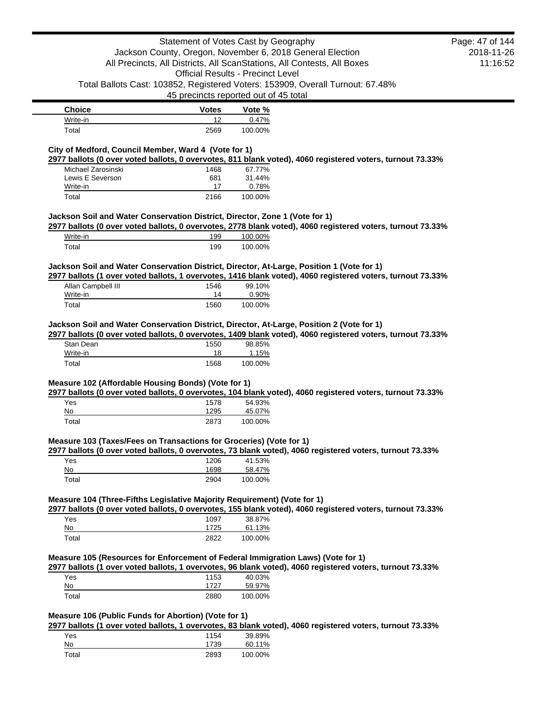|                                                                                           |                      | Statement of Votes Cast by Geography<br>Jackson County, Oregon, November 6, 2018 General Election<br>All Precincts, All Districts, All ScanStations, All Contests, All Boxes                            | Page: 47 of 144<br>2018-11-26 |
|-------------------------------------------------------------------------------------------|----------------------|---------------------------------------------------------------------------------------------------------------------------------------------------------------------------------------------------------|-------------------------------|
|                                                                                           |                      | <b>Official Results - Precinct Level</b>                                                                                                                                                                | 11:16:52                      |
|                                                                                           |                      | Total Ballots Cast: 103852, Registered Voters: 153909, Overall Turnout: 67.48%<br>45 precincts reported out of 45 total                                                                                 |                               |
| <b>Choice</b>                                                                             | <b>Votes</b>         | Vote %                                                                                                                                                                                                  |                               |
| Write-in                                                                                  | 12                   | 0.47%                                                                                                                                                                                                   |                               |
| Total                                                                                     | 2569                 | 100.00%                                                                                                                                                                                                 |                               |
| City of Medford, Council Member, Ward 4 (Vote for 1)                                      |                      | 2977 ballots (0 over voted ballots, 0 overvotes, 811 blank voted), 4060 registered voters, turnout 73.33%                                                                                               |                               |
| Michael Zarosinski                                                                        | 1468                 | 67.77%                                                                                                                                                                                                  |                               |
| Lewis E Severson                                                                          | 681                  | 31.44%                                                                                                                                                                                                  |                               |
| Write-in<br>Total                                                                         | 17<br>2166           | 0.78%<br>100.00%                                                                                                                                                                                        |                               |
| Jackson Soil and Water Conservation District, Director, Zone 1 (Vote for 1)               |                      |                                                                                                                                                                                                         |                               |
|                                                                                           |                      | 2977 ballots (0 over voted ballots, 0 overvotes, 2778 blank voted), 4060 registered voters, turnout 73.33%                                                                                              |                               |
| Write-in<br>Total                                                                         | 199<br>199           | 100.00%<br>100.00%                                                                                                                                                                                      |                               |
|                                                                                           |                      | Jackson Soil and Water Conservation District, Director, At-Large, Position 1 (Vote for 1)                                                                                                               |                               |
|                                                                                           |                      | 2977 ballots (1 over voted ballots, 1 overvotes, 1416 blank voted), 4060 registered voters, turnout 73.33%                                                                                              |                               |
| Allan Campbell III<br>Write-in                                                            | 1546<br>14           | 99.10%<br>0.90%                                                                                                                                                                                         |                               |
| Total                                                                                     | 1560                 | 100.00%                                                                                                                                                                                                 |                               |
|                                                                                           |                      | Jackson Soil and Water Conservation District, Director, At-Large, Position 2 (Vote for 1)<br>2977 ballots (0 over voted ballots, 0 overvotes, 1409 blank voted), 4060 registered voters, turnout 73.33% |                               |
| Stan Dean<br>Write-in                                                                     | 1550<br>18           | 98.85%<br>1.15%                                                                                                                                                                                         |                               |
| Total                                                                                     | 1568                 | 100.00%                                                                                                                                                                                                 |                               |
| Measure 102 (Affordable Housing Bonds) (Vote for 1)<br>Yes<br>No                          | 1578<br>1295         | 2977 ballots (0 over voted ballots, 0 overvotes, 104 blank voted), 4060 registered voters, turnout 73.33%<br>54.93%<br>45.07%                                                                           |                               |
| Total                                                                                     | 2873                 | 100.00%                                                                                                                                                                                                 |                               |
| Measure 103 (Taxes/Fees on Transactions for Groceries) (Vote for 1)<br>Yes<br>No<br>Total | 1206<br>1698<br>2904 | 2977 ballots (0 over voted ballots, 0 overvotes, 73 blank voted), 4060 registered voters, turnout 73.33%<br>41.53%<br>58.47%<br>100.00%                                                                 |                               |
| Measure 104 (Three-Fifths Legislative Majority Requirement) (Vote for 1)                  |                      | 2977 ballots (0 over voted ballots, 0 overvotes, 155 blank voted), 4060 registered voters, turnout 73.33%                                                                                               |                               |
| Yes                                                                                       | 1097                 | 38.87%                                                                                                                                                                                                  |                               |
| No                                                                                        | 1725                 | 61.13%                                                                                                                                                                                                  |                               |
| Total                                                                                     | 2822                 | 100.00%                                                                                                                                                                                                 |                               |
|                                                                                           |                      | Measure 105 (Resources for Enforcement of Federal Immigration Laws) (Vote for 1)<br>2977 ballots (1 over voted ballots, 1 overvotes, 96 blank voted), 4060 registered voters, turnout 73.33%            |                               |
| Yes                                                                                       | 1153                 | 40.03%                                                                                                                                                                                                  |                               |
| No                                                                                        | 1727                 | 59.97%                                                                                                                                                                                                  |                               |
| Total                                                                                     | 2880                 | 100.00%                                                                                                                                                                                                 |                               |
| Measure 106 (Public Funds for Abortion) (Vote for 1)                                      |                      | 2977 ballots (1 over voted ballots, 1 overvotes, 83 blank voted), 4060 registered voters, turnout 73.33%                                                                                                |                               |
| Yes                                                                                       | 1154                 | 39.89%                                                                                                                                                                                                  |                               |
| No                                                                                        | 1739                 | 60.11%                                                                                                                                                                                                  |                               |
| Total                                                                                     | 2893                 | 100.00%                                                                                                                                                                                                 |                               |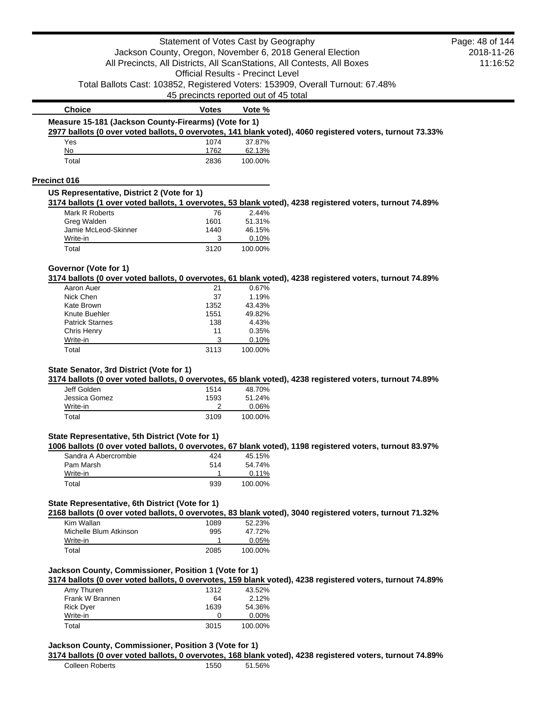|                                                       | Statement of Votes Cast by Geography     |                  |                                                                                                           | Page: 48 of 144 |
|-------------------------------------------------------|------------------------------------------|------------------|-----------------------------------------------------------------------------------------------------------|-----------------|
|                                                       |                                          |                  | Jackson County, Oregon, November 6, 2018 General Election                                                 | 2018-11-26      |
|                                                       |                                          |                  | All Precincts, All Districts, All ScanStations, All Contests, All Boxes                                   | 11:16:52        |
|                                                       | <b>Official Results - Precinct Level</b> |                  |                                                                                                           |                 |
|                                                       |                                          |                  | Total Ballots Cast: 103852, Registered Voters: 153909, Overall Turnout: 67.48%                            |                 |
|                                                       | 45 precincts reported out of 45 total    |                  |                                                                                                           |                 |
| <b>Choice</b>                                         | <b>Votes</b>                             | Vote %           |                                                                                                           |                 |
| Measure 15-181 (Jackson County-Firearms) (Vote for 1) |                                          |                  |                                                                                                           |                 |
|                                                       |                                          |                  | 2977 ballots (0 over voted ballots, 0 overvotes, 141 blank voted), 4060 registered voters, turnout 73.33% |                 |
| Yes                                                   | 1074                                     | 37.87%           |                                                                                                           |                 |
| No                                                    | 1762                                     | 62.13%           |                                                                                                           |                 |
| Total                                                 | 2836                                     | 100.00%          |                                                                                                           |                 |
| <b>Precinct 016</b>                                   |                                          |                  |                                                                                                           |                 |
| US Representative, District 2 (Vote for 1)            |                                          |                  |                                                                                                           |                 |
|                                                       |                                          |                  | 3174 ballots (1 over voted ballots, 1 overvotes, 53 blank voted), 4238 registered voters, turnout 74.89%  |                 |
| Mark R Roberts<br>Greg Walden                         | 76<br>1601                               | 2.44%<br>51.31%  |                                                                                                           |                 |
| Jamie McLeod-Skinner                                  | 1440                                     | 46.15%           |                                                                                                           |                 |
| Write-in                                              | 3                                        | 0.10%            |                                                                                                           |                 |
| Total                                                 | 3120                                     | 100.00%          |                                                                                                           |                 |
| Governor (Vote for 1)                                 |                                          |                  |                                                                                                           |                 |
|                                                       |                                          |                  | 3174 ballots (0 over voted ballots, 0 overvotes, 61 blank voted), 4238 registered voters, turnout 74.89%  |                 |
| Aaron Auer                                            | 21                                       | 0.67%            |                                                                                                           |                 |
| Nick Chen                                             | 37                                       | 1.19%            |                                                                                                           |                 |
| <b>Kate Brown</b><br>Knute Buehler                    | 1352<br>1551                             | 43.43%<br>49.82% |                                                                                                           |                 |
| <b>Patrick Starnes</b>                                | 138                                      | 4.43%            |                                                                                                           |                 |
| <b>Chris Henry</b>                                    | 11                                       | 0.35%            |                                                                                                           |                 |
| Write-in                                              | 3                                        | 0.10%            |                                                                                                           |                 |
| Total                                                 | 3113                                     | 100.00%          |                                                                                                           |                 |
|                                                       |                                          |                  |                                                                                                           |                 |
| State Senator, 3rd District (Vote for 1)              |                                          |                  | 3174 ballots (0 over voted ballots, 0 overvotes, 65 blank voted), 4238 registered voters, turnout 74.89%  |                 |
| Jeff Golden                                           | 1514                                     | 48.70%           |                                                                                                           |                 |
| Jessica Gomez                                         | 1593                                     | 51.24%           |                                                                                                           |                 |
| Write-in                                              | 2                                        | 0.06%            |                                                                                                           |                 |
| Total                                                 | 3109                                     | 100.00%          |                                                                                                           |                 |
| State Representative, 5th District (Vote for 1)       |                                          |                  |                                                                                                           |                 |
|                                                       |                                          |                  | 1006 ballots (0 over voted ballots, 0 overvotes, 67 blank voted), 1198 registered voters, turnout 83.97%  |                 |
| Sandra A Abercrombie<br>Pam Marsh                     | 424<br>514                               | 45.15%<br>54.74% |                                                                                                           |                 |
| Write-in                                              | 1                                        | 0.11%            |                                                                                                           |                 |
| Total                                                 | 939                                      | 100.00%          |                                                                                                           |                 |
|                                                       |                                          |                  |                                                                                                           |                 |
| State Representative, 6th District (Vote for 1)       |                                          |                  | 2168 ballots (0 over voted ballots, 0 overvotes, 83 blank voted), 3040 registered voters, turnout 71.32%  |                 |
| Kim Wallan                                            | 1089                                     | 52.23%           |                                                                                                           |                 |
| Michelle Blum Atkinson                                | 995                                      | 47.72%           |                                                                                                           |                 |
| Write-in                                              | 1.                                       | 0.05%            |                                                                                                           |                 |
| Total                                                 | 2085                                     | 100.00%          |                                                                                                           |                 |
| Jackson County, Commissioner, Position 1 (Vote for 1) |                                          |                  |                                                                                                           |                 |
|                                                       |                                          |                  | 3174 ballots (0 over voted ballots, 0 overvotes, 159 blank voted), 4238 registered voters, turnout 74.89% |                 |
| Amy Thuren                                            | 1312                                     | 43.52%           |                                                                                                           |                 |
| Frank W Brannen                                       | 64                                       | 2.12%            |                                                                                                           |                 |
| <b>Rick Dyer</b>                                      | 1639                                     | 54.36%           |                                                                                                           |                 |
| Write-in                                              | 0                                        | 0.00%            |                                                                                                           |                 |
| Total                                                 | 3015                                     | 100.00%          |                                                                                                           |                 |
| Jackson County, Commissioner, Position 3 (Vote for 1) |                                          |                  |                                                                                                           |                 |
|                                                       |                                          |                  | 3174 ballots (0 over voted ballots, 0 overvotes, 168 blank voted), 4238 registered voters, turnout 74.89% |                 |
| <b>Colleen Roberts</b>                                | 1550                                     | 51.56%           |                                                                                                           |                 |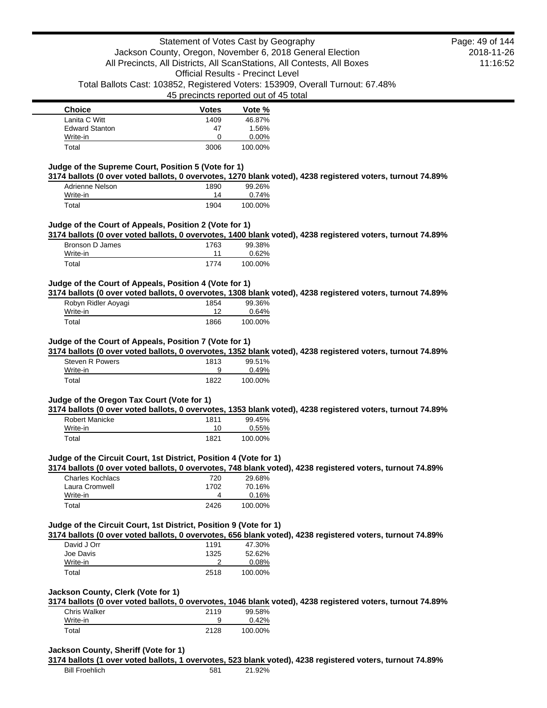| <b>Choice</b>         | <b>Votes</b> | Vote %  |
|-----------------------|--------------|---------|
| Lanita C Witt         | 1409         | 46.87%  |
| <b>Edward Stanton</b> | 47           | 1.56%   |
| Write-in              |              | 0.00%   |
| Total                 | 3006         | 100.00% |

## **Judge of the Supreme Court, Position 5 (Vote for 1)**

**3174 ballots (0 over voted ballots, 0 overvotes, 1270 blank voted), 4238 registered voters, turnout 74.89%**

| Adrienne Nelson | 1890 | 99.26%  |
|-----------------|------|---------|
| Write-in        | 14   | 0.74%   |
| Total           | 1904 | 100.00% |

### **Judge of the Court of Appeals, Position 2 (Vote for 1)**

**3174 ballots (0 over voted ballots, 0 overvotes, 1400 blank voted), 4238 registered voters, turnout 74.89%**

| Bronson D James | 1763 | 99.38%  |
|-----------------|------|---------|
| Write-in        | 11   | 0.62%   |
| Total           | 1774 | 100.00% |

### **Judge of the Court of Appeals, Position 4 (Vote for 1)**

**3174 ballots (0 over voted ballots, 0 overvotes, 1308 blank voted), 4238 registered voters, turnout 74.89%**

| Robyn Ridler Aoyagi | 1854 | 99.36%  |
|---------------------|------|---------|
| Write-in            |      | 0.64%   |
| Total               | 1866 | 100.00% |

#### **Judge of the Court of Appeals, Position 7 (Vote for 1)**

**3174 ballots (0 over voted ballots, 0 overvotes, 1352 blank voted), 4238 registered voters, turnout 74.89%**

| Steven R Powers | 1813 | 99.51%  |
|-----------------|------|---------|
| Write-in        |      | 0.49%   |
| Total           | 1822 | 100.00% |

### **Judge of the Oregon Tax Court (Vote for 1)**

**3174 ballots (0 over voted ballots, 0 overvotes, 1353 blank voted), 4238 registered voters, turnout 74.89%**

| Robert Manicke | 1811 | 99.45%  |
|----------------|------|---------|
| Write-in       | 10   | 0.55%   |
| Total          | 1821 | 100.00% |

### **Judge of the Circuit Court, 1st District, Position 4 (Vote for 1)**

**3174 ballots (0 over voted ballots, 0 overvotes, 748 blank voted), 4238 registered voters, turnout 74.89%**

| <b>Charles Kochlacs</b> | 720  | 29.68%  |
|-------------------------|------|---------|
| Laura Cromwell          | 1702 | 70.16%  |
| Write-in                |      | 0.16%   |
| Total                   | 2426 | 100.00% |

#### **Judge of the Circuit Court, 1st District, Position 9 (Vote for 1)**

**3174 ballots (0 over voted ballots, 0 overvotes, 656 blank voted), 4238 registered voters, turnout 74.89%**

| David J Orr | 1191 | 47.30%   |
|-------------|------|----------|
| Joe Davis   | 1325 | 52.62%   |
| Write-in    |      | $0.08\%$ |
| Total       | 2518 | 100.00%  |

#### **Jackson County, Clerk (Vote for 1)**

**3174 ballots (0 over voted ballots, 0 overvotes, 1046 blank voted), 4238 registered voters, turnout 74.89%**

| Chris Walker | 2119 | 99.58%  |
|--------------|------|---------|
| Write-in     |      | 0.42%   |
| Total        | 2128 | 100.00% |

### **Jackson County, Sheriff (Vote for 1)**

**3174 ballots (1 over voted ballots, 1 overvotes, 523 blank voted), 4238 registered voters, turnout 74.89%**

2018-11-26 11:16:52 Page: 49 of 144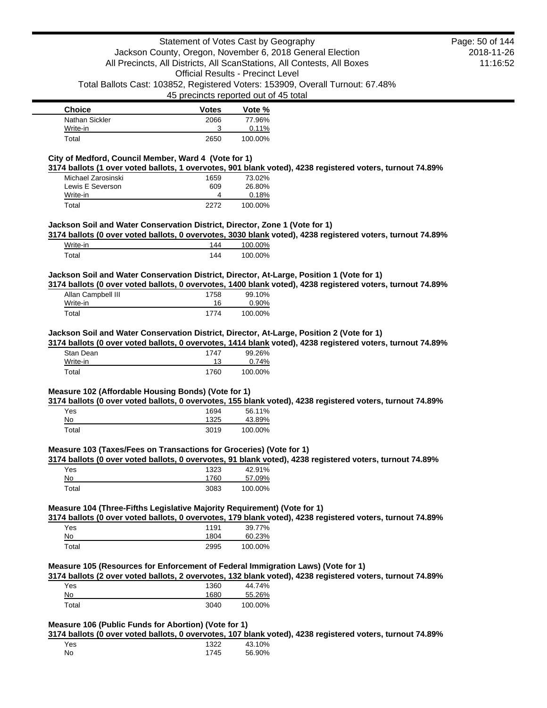| <b>Choice</b>  | <b>Votes</b> | Vote %  |
|----------------|--------------|---------|
| Nathan Sickler | 2066         | 77.96%  |
| Write-in       | ว            | 0.11%   |
| Total          | 2650         | 100.00% |

## **City of Medford, Council Member, Ward 4 (Vote for 1)**

**3174 ballots (1 over voted ballots, 1 overvotes, 901 blank voted), 4238 registered voters, turnout 74.89%**

| Michael Zarosinski | 1659 | 73.02%  |
|--------------------|------|---------|
| Lewis E Severson   | 609  | 26.80%  |
| Write-in           |      | 0.18%   |
| Total              | 2272 | 100.00% |

### **Jackson Soil and Water Conservation District, Director, Zone 1 (Vote for 1)**

**3174 ballots (0 over voted ballots, 0 overvotes, 3030 blank voted), 4238 registered voters, turnout 74.89%**

| Write-in | 144 | 100.00% |
|----------|-----|---------|
| Total    | 144 | 100.00% |

## **Jackson Soil and Water Conservation District, Director, At-Large, Position 1 (Vote for 1)**

**3174 ballots (0 over voted ballots, 0 overvotes, 1400 blank voted), 4238 registered voters, turnout 74.89%**

| Allan Campbell III | 1758 | 99.10%  |
|--------------------|------|---------|
| Write-in           | 16   | 0.90%   |
| Total              | 1774 | 100.00% |

### **Jackson Soil and Water Conservation District, Director, At-Large, Position 2 (Vote for 1)**

**3174 ballots (0 over voted ballots, 0 overvotes, 1414 blank voted), 4238 registered voters, turnout 74.89%**

| Stan Dean | 1747 | 99.26%  |
|-----------|------|---------|
| Write-in  | 13   | 0.74%   |
| Total     | 1760 | 100.00% |

### **Measure 102 (Affordable Housing Bonds) (Vote for 1)**

**3174 ballots (0 over voted ballots, 0 overvotes, 155 blank voted), 4238 registered voters, turnout 74.89%**

| Yes   | 1694 | 56.11%  |
|-------|------|---------|
| No    | 1325 | 43.89%  |
| Total | 3019 | 100.00% |

### **Measure 103 (Taxes/Fees on Transactions for Groceries) (Vote for 1)**

**3174 ballots (0 over voted ballots, 0 overvotes, 91 blank voted), 4238 registered voters, turnout 74.89%**

| Yes   | 1323 | 42.91%  |
|-------|------|---------|
| No    | 1760 | 57.09%  |
| Total | 3083 | 100.00% |

## **Measure 104 (Three-Fifths Legislative Majority Requirement) (Vote for 1)**

**3174 ballots (0 over voted ballots, 0 overvotes, 179 blank voted), 4238 registered voters, turnout 74.89%**

| Yes   | 1191 | 39.77%  |
|-------|------|---------|
| No    | 1804 | 60.23%  |
| Total | 2995 | 100.00% |

## **Measure 105 (Resources for Enforcement of Federal Immigration Laws) (Vote for 1)**

**3174 ballots (2 over voted ballots, 2 overvotes, 132 blank voted), 4238 registered voters, turnout 74.89%**

| Yes   | 1360 | 44.74%  |
|-------|------|---------|
| No    | 1680 | 55.26%  |
| Total | 3040 | 100.00% |

## **Measure 106 (Public Funds for Abortion) (Vote for 1)**

**3174 ballots (0 over voted ballots, 0 overvotes, 107 blank voted), 4238 registered voters, turnout 74.89%**

| Yes | 1322 | 43.10% |
|-----|------|--------|
| No  | 1745 | 56.90% |

2018-11-26 11:16:52 Page: 50 of 144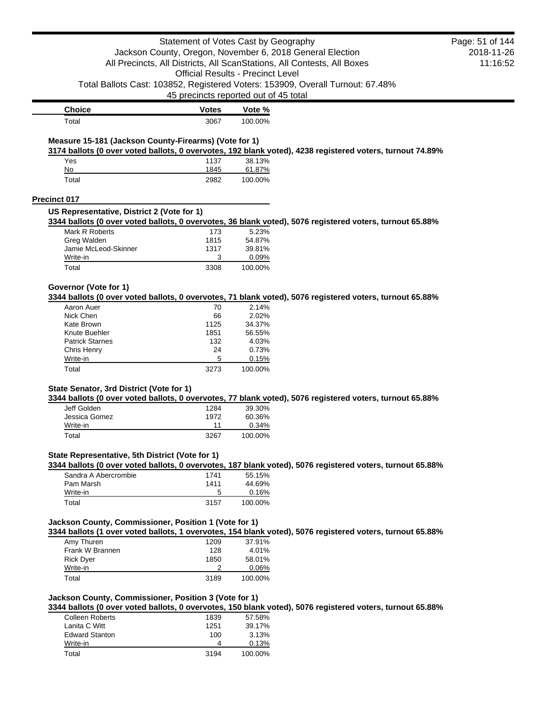|                                                       | Statement of Votes Cast by Geography     |                  |                                                                                                           | Page: 51 of 144 |
|-------------------------------------------------------|------------------------------------------|------------------|-----------------------------------------------------------------------------------------------------------|-----------------|
|                                                       |                                          |                  | Jackson County, Oregon, November 6, 2018 General Election                                                 | 2018-11-26      |
|                                                       |                                          |                  | All Precincts, All Districts, All ScanStations, All Contests, All Boxes                                   | 11:16:52        |
|                                                       | <b>Official Results - Precinct Level</b> |                  |                                                                                                           |                 |
|                                                       |                                          |                  | Total Ballots Cast: 103852, Registered Voters: 153909, Overall Turnout: 67.48%                            |                 |
|                                                       | 45 precincts reported out of 45 total    |                  |                                                                                                           |                 |
| <b>Choice</b>                                         | <b>Votes</b>                             | Vote %           |                                                                                                           |                 |
| Total                                                 | 3067                                     | 100.00%          |                                                                                                           |                 |
|                                                       |                                          |                  |                                                                                                           |                 |
| Measure 15-181 (Jackson County-Firearms) (Vote for 1) |                                          |                  | 3174 ballots (0 over voted ballots, 0 overvotes, 192 blank voted), 4238 registered voters, turnout 74.89% |                 |
| Yes                                                   | 1137                                     | 38.13%           |                                                                                                           |                 |
| No                                                    | 1845                                     | 61.87%           |                                                                                                           |                 |
| Total                                                 | 2982                                     | 100.00%          |                                                                                                           |                 |
| <b>Precinct 017</b>                                   |                                          |                  |                                                                                                           |                 |
| US Representative, District 2 (Vote for 1)            |                                          |                  |                                                                                                           |                 |
|                                                       |                                          |                  | 3344 ballots (0 over voted ballots, 0 overvotes, 36 blank voted), 5076 registered voters, turnout 65.88%  |                 |
| Mark R Roberts                                        | 173                                      | 5.23%            |                                                                                                           |                 |
| Greg Walden                                           | 1815                                     | 54.87%           |                                                                                                           |                 |
| Jamie McLeod-Skinner                                  | 1317                                     | 39.81%           |                                                                                                           |                 |
| Write-in                                              | 3                                        | 0.09%            |                                                                                                           |                 |
| Total                                                 | 3308                                     | 100.00%          |                                                                                                           |                 |
| Governor (Vote for 1)                                 |                                          |                  |                                                                                                           |                 |
|                                                       |                                          |                  | 3344 ballots (0 over voted ballots, 0 overvotes, 71 blank voted), 5076 registered voters, turnout 65.88%  |                 |
| Aaron Auer                                            | 70                                       | 2.14%            |                                                                                                           |                 |
| Nick Chen                                             | 66                                       | 2.02%            |                                                                                                           |                 |
| Kate Brown<br>Knute Buehler                           | 1125<br>1851                             | 34.37%<br>56.55% |                                                                                                           |                 |
| <b>Patrick Starnes</b>                                | 132                                      | 4.03%            |                                                                                                           |                 |
| Chris Henry                                           | 24                                       | 0.73%            |                                                                                                           |                 |
| Write-in                                              | 5                                        | 0.15%            |                                                                                                           |                 |
| Total                                                 | 3273                                     | 100.00%          |                                                                                                           |                 |
|                                                       |                                          |                  |                                                                                                           |                 |
| State Senator, 3rd District (Vote for 1)              |                                          |                  | 3344 ballots (0 over voted ballots, 0 overvotes, 77 blank voted), 5076 registered voters, turnout 65.88%  |                 |
| Jeff Golden                                           | 1284                                     | 39.30%           |                                                                                                           |                 |
| Jessica Gomez                                         | 1972                                     | 60.36%           |                                                                                                           |                 |
| Write-in                                              | 11                                       | 0.34%            |                                                                                                           |                 |
| Total                                                 | 3267                                     | 100.00%          |                                                                                                           |                 |
| State Representative, 5th District (Vote for 1)       |                                          |                  |                                                                                                           |                 |
|                                                       |                                          |                  | 3344 ballots (0 over voted ballots, 0 overvotes, 187 blank voted), 5076 registered voters, turnout 65.88% |                 |
| Sandra A Abercrombie                                  | 1741                                     | 55.15%           |                                                                                                           |                 |
| Pam Marsh                                             | 1411                                     | 44.69%           |                                                                                                           |                 |
| Write-in                                              | 5                                        | 0.16%            |                                                                                                           |                 |
| Total                                                 | 3157                                     | 100.00%          |                                                                                                           |                 |
|                                                       |                                          |                  |                                                                                                           |                 |
| Jackson County, Commissioner, Position 1 (Vote for 1) |                                          |                  | 3344 ballots (1 over voted ballots, 1 overvotes, 154 blank voted), 5076 registered voters, turnout 65.88% |                 |
| Amy Thuren                                            | 1209                                     | 37.91%           |                                                                                                           |                 |
| Frank W Brannen                                       | 128                                      | 4.01%            |                                                                                                           |                 |
| <b>Rick Dyer</b>                                      | 1850                                     | 58.01%           |                                                                                                           |                 |
| Write-in                                              | 2                                        | 0.06%            |                                                                                                           |                 |
| Total                                                 | 3189                                     | 100.00%          |                                                                                                           |                 |
| Jackson County, Commissioner, Position 3 (Vote for 1) |                                          |                  |                                                                                                           |                 |
|                                                       |                                          |                  | 3344 ballots (0 over voted ballots, 0 overvotes, 150 blank voted), 5076 registered voters, turnout 65.88% |                 |
| <b>Colleen Roberts</b>                                | 1839                                     | 57.58%           |                                                                                                           |                 |
| Lanita C Witt                                         | 1251                                     | 39.17%           |                                                                                                           |                 |
| <b>Edward Stanton</b>                                 | 100                                      | 3.13%            |                                                                                                           |                 |
| Write-in                                              | 4                                        | 0.13%            |                                                                                                           |                 |

Total 3194 100.00%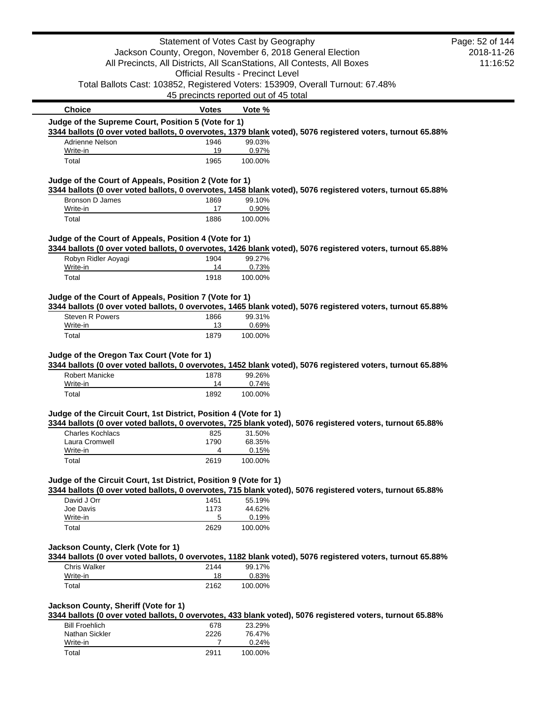|                                                                   | Statement of Votes Cast by Geography     |                  |                                                                                                            | Page: 52 of 144 |
|-------------------------------------------------------------------|------------------------------------------|------------------|------------------------------------------------------------------------------------------------------------|-----------------|
|                                                                   |                                          |                  | Jackson County, Oregon, November 6, 2018 General Election                                                  | 2018-11-26      |
|                                                                   |                                          |                  | All Precincts, All Districts, All ScanStations, All Contests, All Boxes                                    | 11:16:52        |
|                                                                   | <b>Official Results - Precinct Level</b> |                  |                                                                                                            |                 |
|                                                                   | 45 precincts reported out of 45 total    |                  | Total Ballots Cast: 103852, Registered Voters: 153909, Overall Turnout: 67.48%                             |                 |
| <b>Choice</b>                                                     | <b>Votes</b>                             |                  |                                                                                                            |                 |
| Judge of the Supreme Court, Position 5 (Vote for 1)               |                                          | Vote %           |                                                                                                            |                 |
|                                                                   |                                          |                  | 3344 ballots (0 over voted ballots, 0 overvotes, 1379 blank voted), 5076 registered voters, turnout 65.88% |                 |
| Adrienne Nelson                                                   | 1946                                     | 99.03%           |                                                                                                            |                 |
| Write-in                                                          | 19                                       | 0.97%            |                                                                                                            |                 |
| Total                                                             | 1965                                     | 100.00%          |                                                                                                            |                 |
| Judge of the Court of Appeals, Position 2 (Vote for 1)            |                                          |                  | 3344 ballots (0 over voted ballots, 0 overvotes, 1458 blank voted), 5076 registered voters, turnout 65.88% |                 |
| Bronson D James                                                   | 1869                                     | 99.10%           |                                                                                                            |                 |
| Write-in                                                          | 17                                       | 0.90%            |                                                                                                            |                 |
| Total                                                             | 1886                                     | 100.00%          |                                                                                                            |                 |
| Judge of the Court of Appeals, Position 4 (Vote for 1)            |                                          |                  |                                                                                                            |                 |
|                                                                   |                                          |                  | 3344 ballots (0 over voted ballots, 0 overvotes, 1426 blank voted), 5076 registered voters, turnout 65.88% |                 |
| Robyn Ridler Aoyagi                                               | 1904                                     | 99.27%           |                                                                                                            |                 |
| Write-in                                                          | 14                                       | 0.73%            |                                                                                                            |                 |
| Total                                                             | 1918                                     | 100.00%          |                                                                                                            |                 |
| Judge of the Court of Appeals, Position 7 (Vote for 1)            |                                          |                  |                                                                                                            |                 |
|                                                                   |                                          |                  | 3344 ballots (0 over voted ballots, 0 overvotes, 1465 blank voted), 5076 registered voters, turnout 65.88% |                 |
| <b>Steven R Powers</b>                                            | 1866                                     | 99.31%           |                                                                                                            |                 |
| Write-in                                                          | 13                                       | 0.69%            |                                                                                                            |                 |
| Total                                                             | 1879                                     | 100.00%          |                                                                                                            |                 |
| Judge of the Oregon Tax Court (Vote for 1)                        |                                          |                  |                                                                                                            |                 |
|                                                                   |                                          |                  | 3344 ballots (0 over voted ballots, 0 overvotes, 1452 blank voted), 5076 registered voters, turnout 65.88% |                 |
| <b>Robert Manicke</b>                                             | 1878                                     | 99.26%           |                                                                                                            |                 |
| Write-in                                                          | 14<br>1892                               | 0.74%<br>100.00% |                                                                                                            |                 |
|                                                                   |                                          |                  |                                                                                                            |                 |
| Total                                                             |                                          |                  |                                                                                                            |                 |
| Judge of the Circuit Court, 1st District, Position 4 (Vote for 1) |                                          |                  |                                                                                                            |                 |
|                                                                   |                                          |                  | 3344 ballots (0 over voted ballots, 0 overvotes, 725 blank voted), 5076 registered voters, turnout 65.88%  |                 |
| <b>Charles Kochlacs</b>                                           | 825                                      | 31.50%           |                                                                                                            |                 |
| Laura Cromwell                                                    | 1790<br>4                                | 68.35%           |                                                                                                            |                 |
| Write-in<br>Total                                                 | 2619                                     | 0.15%<br>100.00% |                                                                                                            |                 |
|                                                                   |                                          |                  |                                                                                                            |                 |
| Judge of the Circuit Court, 1st District, Position 9 (Vote for 1) |                                          |                  |                                                                                                            |                 |
|                                                                   |                                          |                  | 3344 ballots (0 over voted ballots, 0 overvotes, 715 blank voted), 5076 registered voters, turnout 65.88%  |                 |
| David J Orr                                                       | 1451                                     | 55.19%           |                                                                                                            |                 |
| Joe Davis                                                         | 1173<br>5                                | 44.62%           |                                                                                                            |                 |
| Write-in<br>Total                                                 | 2629                                     | 0.19%<br>100.00% |                                                                                                            |                 |
|                                                                   |                                          |                  |                                                                                                            |                 |
| Jackson County, Clerk (Vote for 1)                                |                                          |                  |                                                                                                            |                 |
|                                                                   |                                          |                  | 3344 ballots (0 over voted ballots, 0 overvotes, 1182 blank voted), 5076 registered voters, turnout 65.88% |                 |
| Chris Walker<br>Write-in                                          | 2144<br>18                               | 99.17%           |                                                                                                            |                 |
| Total                                                             | 2162                                     | 0.83%<br>100.00% |                                                                                                            |                 |
|                                                                   |                                          |                  |                                                                                                            |                 |
|                                                                   |                                          |                  |                                                                                                            |                 |
|                                                                   |                                          |                  | 3344 ballots (0 over voted ballots, 0 overvotes, 433 blank voted), 5076 registered voters, turnout 65.88%  |                 |
| Jackson County, Sheriff (Vote for 1)<br><b>Bill Froehlich</b>     | 678                                      | 23.29%           |                                                                                                            |                 |
| Nathan Sickler<br>Write-in                                        | 2226<br>7                                | 76.47%<br>0.24%  |                                                                                                            |                 |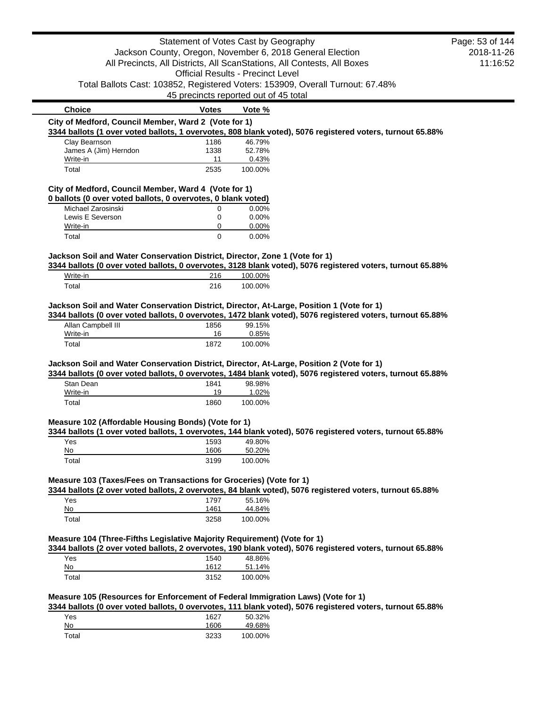|                                                                                           | Statement of Votes Cast by Geography     |          |                                                                                                            | Page: 53 of 144 |
|-------------------------------------------------------------------------------------------|------------------------------------------|----------|------------------------------------------------------------------------------------------------------------|-----------------|
|                                                                                           |                                          |          | Jackson County, Oregon, November 6, 2018 General Election                                                  | 2018-11-26      |
|                                                                                           |                                          |          | All Precincts, All Districts, All ScanStations, All Contests, All Boxes                                    | 11:16:52        |
|                                                                                           | <b>Official Results - Precinct Level</b> |          |                                                                                                            |                 |
|                                                                                           |                                          |          | Total Ballots Cast: 103852, Registered Voters: 153909, Overall Turnout: 67.48%                             |                 |
|                                                                                           | 45 precincts reported out of 45 total    |          |                                                                                                            |                 |
|                                                                                           |                                          |          |                                                                                                            |                 |
| <b>Choice</b>                                                                             | <b>Votes</b>                             | Vote %   |                                                                                                            |                 |
| City of Medford, Council Member, Ward 2 (Vote for 1)                                      |                                          |          | 3344 ballots (1 over voted ballots, 1 overvotes, 808 blank voted), 5076 registered voters, turnout 65.88%  |                 |
| Clay Bearnson                                                                             | 1186                                     | 46.79%   |                                                                                                            |                 |
| James A (Jim) Herndon                                                                     | 1338                                     | 52.78%   |                                                                                                            |                 |
| Write-in                                                                                  | 11                                       | 0.43%    |                                                                                                            |                 |
| Total                                                                                     | 2535                                     | 100.00%  |                                                                                                            |                 |
| City of Medford, Council Member, Ward 4 (Vote for 1)                                      |                                          |          |                                                                                                            |                 |
| 0 ballots (0 over voted ballots, 0 overvotes, 0 blank voted)                              |                                          |          |                                                                                                            |                 |
| Michael Zarosinski                                                                        | 0                                        | 0.00%    |                                                                                                            |                 |
| Lewis E Severson                                                                          | 0                                        | $0.00\%$ |                                                                                                            |                 |
| Write-in                                                                                  | 0                                        | 0.00%    |                                                                                                            |                 |
| Total                                                                                     | $\Omega$                                 | 0.00%    |                                                                                                            |                 |
| Jackson Soil and Water Conservation District, Director, Zone 1 (Vote for 1)               |                                          |          |                                                                                                            |                 |
|                                                                                           |                                          |          | 3344 ballots (0 over voted ballots, 0 overvotes, 3128 blank voted), 5076 registered voters, turnout 65.88% |                 |
| Write-in                                                                                  | 216                                      | 100.00%  |                                                                                                            |                 |
| Total                                                                                     | 216                                      | 100.00%  |                                                                                                            |                 |
|                                                                                           |                                          |          |                                                                                                            |                 |
| Jackson Soil and Water Conservation District, Director, At-Large, Position 1 (Vote for 1) |                                          |          | 3344 ballots (0 over voted ballots, 0 overvotes, 1472 blank voted), 5076 registered voters, turnout 65.88% |                 |
| Allan Campbell III                                                                        | 1856                                     | 99.15%   |                                                                                                            |                 |
| Write-in                                                                                  | 16                                       | 0.85%    |                                                                                                            |                 |
| Total                                                                                     | 1872                                     | 100.00%  |                                                                                                            |                 |
|                                                                                           |                                          |          |                                                                                                            |                 |
| Jackson Soil and Water Conservation District, Director, At-Large, Position 2 (Vote for 1) |                                          |          |                                                                                                            |                 |
|                                                                                           |                                          |          | 3344 ballots (0 over voted ballots, 0 overvotes, 1484 blank voted), 5076 registered voters, turnout 65.88% |                 |
| Stan Dean                                                                                 | 1841                                     | 98.98%   |                                                                                                            |                 |
| Write-in                                                                                  | 19                                       | 1.02%    |                                                                                                            |                 |
| Total                                                                                     | 1860                                     | 100.00%  |                                                                                                            |                 |
| Measure 102 (Affordable Housing Bonds) (Vote for 1)                                       |                                          |          |                                                                                                            |                 |
|                                                                                           |                                          |          | 3344 ballots (1 over voted ballots, 1 overvotes, 144 blank voted), 5076 registered voters, turnout 65.88%  |                 |
| Yes                                                                                       | 1593                                     | 49.80%   |                                                                                                            |                 |
| No                                                                                        | 1606                                     | 50.20%   |                                                                                                            |                 |
| Total                                                                                     | 3199                                     | 100.00%  |                                                                                                            |                 |
| Measure 103 (Taxes/Fees on Transactions for Groceries) (Vote for 1)                       |                                          |          |                                                                                                            |                 |
|                                                                                           |                                          |          | 3344 ballots (2 over voted ballots, 2 overvotes, 84 blank voted), 5076 registered voters, turnout 65.88%   |                 |
| Yes                                                                                       | 1797                                     | 55.16%   |                                                                                                            |                 |
| No                                                                                        | 1461                                     | 44.84%   |                                                                                                            |                 |
| Total                                                                                     | 3258                                     | 100.00%  |                                                                                                            |                 |
|                                                                                           |                                          |          |                                                                                                            |                 |
| Measure 104 (Three-Fifths Legislative Majority Requirement) (Vote for 1)                  |                                          |          | 3344 ballots (2 over voted ballots, 2 overvotes, 190 blank voted), 5076 registered voters, turnout 65.88%  |                 |
| Yes                                                                                       | 1540                                     | 48.86%   |                                                                                                            |                 |
| No                                                                                        | 1612                                     | 51.14%   |                                                                                                            |                 |
| Total                                                                                     | 3152                                     | 100.00%  |                                                                                                            |                 |
|                                                                                           |                                          |          |                                                                                                            |                 |
| Measure 105 (Resources for Enforcement of Federal Immigration Laws) (Vote for 1)          |                                          |          | 3344 ballots (0 over voted ballots, 0 overvotes, 111 blank voted), 5076 registered voters, turnout 65.88%  |                 |
| Yes                                                                                       | 1627                                     | 50.32%   |                                                                                                            |                 |
| No                                                                                        | 1606                                     | 49.68%   |                                                                                                            |                 |
| Total                                                                                     | 3233                                     | 100.00%  |                                                                                                            |                 |
|                                                                                           |                                          |          |                                                                                                            |                 |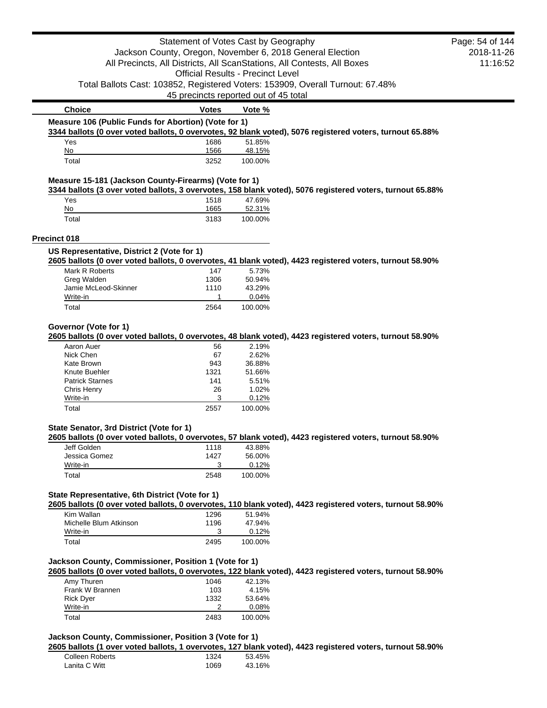|                                                       | Statement of Votes Cast by Geography     |                  |                                                                                                           | Page: 54 of 144 |
|-------------------------------------------------------|------------------------------------------|------------------|-----------------------------------------------------------------------------------------------------------|-----------------|
|                                                       |                                          |                  | Jackson County, Oregon, November 6, 2018 General Election                                                 | 2018-11-26      |
|                                                       |                                          |                  | All Precincts, All Districts, All ScanStations, All Contests, All Boxes                                   | 11:16:52        |
|                                                       | <b>Official Results - Precinct Level</b> |                  |                                                                                                           |                 |
|                                                       |                                          |                  | Total Ballots Cast: 103852, Registered Voters: 153909, Overall Turnout: 67.48%                            |                 |
|                                                       | 45 precincts reported out of 45 total    |                  |                                                                                                           |                 |
| <b>Choice</b>                                         | <b>Votes</b>                             | Vote %           |                                                                                                           |                 |
| Measure 106 (Public Funds for Abortion) (Vote for 1)  |                                          |                  |                                                                                                           |                 |
|                                                       |                                          |                  | 3344 ballots (0 over voted ballots, 0 overvotes, 92 blank voted), 5076 registered voters, turnout 65.88%  |                 |
| Yes                                                   | 1686                                     | 51.85%           |                                                                                                           |                 |
| No                                                    | 1566                                     | 48.15%           |                                                                                                           |                 |
| Total                                                 | 3252                                     | 100.00%          |                                                                                                           |                 |
| Measure 15-181 (Jackson County-Firearms) (Vote for 1) |                                          |                  | 3344 ballots (3 over voted ballots, 3 overvotes, 158 blank voted), 5076 registered voters, turnout 65.88% |                 |
| Yes                                                   | 1518                                     | 47.69%           |                                                                                                           |                 |
| No                                                    | 1665                                     | 52.31%           |                                                                                                           |                 |
| Total                                                 | 3183                                     | 100.00%          |                                                                                                           |                 |
| Precinct 018                                          |                                          |                  |                                                                                                           |                 |
| US Representative, District 2 (Vote for 1)            |                                          |                  |                                                                                                           |                 |
|                                                       |                                          |                  | 2605 ballots (0 over voted ballots, 0 overvotes, 41 blank voted), 4423 registered voters, turnout 58.90%  |                 |
| Mark R Roberts                                        | 147                                      | 5.73%            |                                                                                                           |                 |
| Greg Walden                                           | 1306                                     | 50.94%           |                                                                                                           |                 |
| Jamie McLeod-Skinner                                  | 1110                                     | 43.29%           |                                                                                                           |                 |
| Write-in                                              | 1<br>2564                                | 0.04%<br>100.00% |                                                                                                           |                 |
|                                                       |                                          |                  |                                                                                                           |                 |
| Total                                                 |                                          |                  |                                                                                                           |                 |
| Governor (Vote for 1)                                 |                                          |                  | 2605 ballots (0 over voted ballots, 0 overvotes, 48 blank voted), 4423 registered voters, turnout 58.90%  |                 |
| Aaron Auer                                            | 56                                       | 2.19%            |                                                                                                           |                 |
| Nick Chen                                             | 67                                       | 2.62%            |                                                                                                           |                 |
| Kate Brown                                            | 943                                      | 36.88%           |                                                                                                           |                 |
| Knute Buehler<br><b>Patrick Starnes</b>               | 1321<br>141                              | 51.66%<br>5.51%  |                                                                                                           |                 |
| Chris Henry                                           | 26                                       | 1.02%            |                                                                                                           |                 |
| Write-in                                              | 3                                        | 0.12%            |                                                                                                           |                 |
| Total                                                 | 2557                                     | 100.00%          |                                                                                                           |                 |
| State Senator, 3rd District (Vote for 1)              |                                          |                  |                                                                                                           |                 |
|                                                       |                                          |                  | 2605 ballots (0 over voted ballots, 0 overvotes, 57 blank voted), 4423 registered voters, turnout 58.90%  |                 |
| Jeff Golden                                           | 1118                                     | 43.88%           |                                                                                                           |                 |
| Jessica Gomez                                         | 1427                                     | 56.00%           |                                                                                                           |                 |
| Write-in<br>Total                                     | 3<br>2548                                | 0.12%<br>100.00% |                                                                                                           |                 |
|                                                       |                                          |                  |                                                                                                           |                 |
| State Representative, 6th District (Vote for 1)       |                                          |                  |                                                                                                           |                 |
|                                                       |                                          |                  | 2605 ballots (0 over voted ballots, 0 overvotes, 110 blank voted), 4423 registered voters, turnout 58.90% |                 |
| Kim Wallan<br>Michelle Blum Atkinson                  | 1296                                     | 51.94%           |                                                                                                           |                 |
| Write-in                                              | 1196<br>3                                | 47.94%<br>0.12%  |                                                                                                           |                 |
| Total                                                 | 2495                                     | 100.00%          |                                                                                                           |                 |
|                                                       |                                          |                  |                                                                                                           |                 |
| Jackson County, Commissioner, Position 1 (Vote for 1) |                                          |                  |                                                                                                           |                 |
| Amy Thuren                                            | 1046                                     | 42.13%           | 2605 ballots (0 over voted ballots, 0 overvotes, 122 blank voted), 4423 registered voters, turnout 58.90% |                 |
| Frank W Brannen                                       | 103                                      | 4.15%            |                                                                                                           |                 |
| <b>Rick Dyer</b>                                      | 1332                                     | 53.64%           |                                                                                                           |                 |
| Write-in<br>Total                                     | 2                                        | 0.08%            |                                                                                                           |                 |

### **2605 ballots (1 over voted ballots, 1 overvotes, 127 blank voted), 4423 registered voters, turnout 58.90%** Colleen Roberts 1324 53.45%<br>
Lanita C Witt 1069 43.16% Lanita C Witt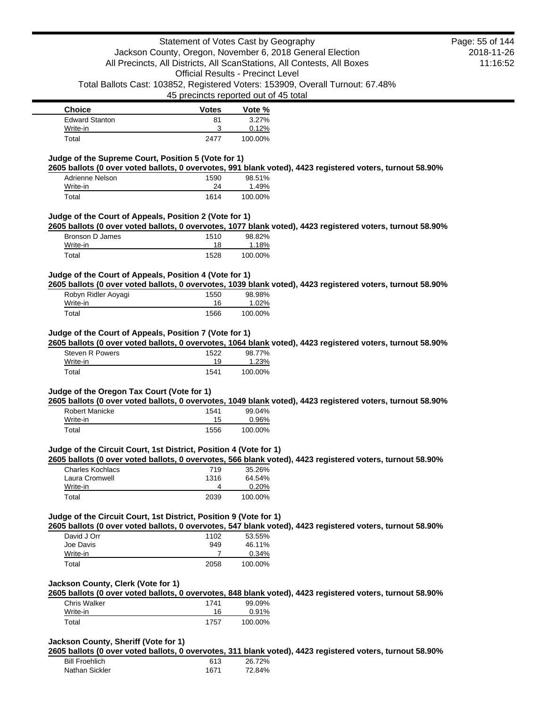| <b>Choice</b>         | <b>Votes</b> | Vote %  |
|-----------------------|--------------|---------|
| <b>Edward Stanton</b> | 81           | 3.27%   |
| Write-in              | 2            | 0.12%   |
| Total                 | 2477         | 100.00% |

### **Judge of the Supreme Court, Position 5 (Vote for 1)**

**2605 ballots (0 over voted ballots, 0 overvotes, 991 blank voted), 4423 registered voters, turnout 58.90%**

| Adrienne Nelson | 1590 | 98.51%  |
|-----------------|------|---------|
| Write-in        | 24   | 1.49%   |
| Total           | 1614 | 100.00% |

### **Judge of the Court of Appeals, Position 2 (Vote for 1)**

**2605 ballots (0 over voted ballots, 0 overvotes, 1077 blank voted), 4423 registered voters, turnout 58.90%**

| Bronson D James | 1510 | 98.82%  |
|-----------------|------|---------|
| Write-in        | 18   | 1.18%   |
| Total           | 1528 | 100.00% |

### **Judge of the Court of Appeals, Position 4 (Vote for 1)**

**2605 ballots (0 over voted ballots, 0 overvotes, 1039 blank voted), 4423 registered voters, turnout 58.90%**

| Robyn Ridler Aoyagi | 1550 | 98.98%  |
|---------------------|------|---------|
| Write-in            | 16   | 1.02%   |
| Total               | 1566 | 100.00% |

## **Judge of the Court of Appeals, Position 7 (Vote for 1)**

**2605 ballots (0 over voted ballots, 0 overvotes, 1064 blank voted), 4423 registered voters, turnout 58.90%**

| Steven R Powers | 1522 | 98.77%  |
|-----------------|------|---------|
| Write-in        | 19   | 1.23%   |
| Total           | 1541 | 100.00% |

#### **Judge of the Oregon Tax Court (Vote for 1)**

**2605 ballots (0 over voted ballots, 0 overvotes, 1049 blank voted), 4423 registered voters, turnout 58.90%**

| Robert Manicke | 1541 | 99.04%   |
|----------------|------|----------|
| Write-in       | 15   | $0.96\%$ |
| Total          | 1556 | 100.00%  |

#### **Judge of the Circuit Court, 1st District, Position 4 (Vote for 1)**

**2605 ballots (0 over voted ballots, 0 overvotes, 566 blank voted), 4423 registered voters, turnout 58.90%**

| Charles Kochlacs | 719  | 35.26%  |
|------------------|------|---------|
| Laura Cromwell   | 1316 | 64.54%  |
| Write-in         |      | 0.20%   |
| Total            | 2039 | 100.00% |

## **Judge of the Circuit Court, 1st District, Position 9 (Vote for 1)**

**2605 ballots (0 over voted ballots, 0 overvotes, 547 blank voted), 4423 registered voters, turnout 58.90%**

| David J Orr | 1102 | 53.55%  |
|-------------|------|---------|
| Joe Davis   | 949  | 46.11%  |
| Write-in    |      | 0.34%   |
| Total       | 2058 | 100.00% |

#### **Jackson County, Clerk (Vote for 1)**

**2605 ballots (0 over voted ballots, 0 overvotes, 848 blank voted), 4423 registered voters, turnout 58.90%**

| <b>Chris Walker</b> | 1741 | 99.09%  |
|---------------------|------|---------|
| Write-in            | 16   | 0.91%   |
| Total               | 1757 | 100.00% |

### **Jackson County, Sheriff (Vote for 1)**

**2605 ballots (0 over voted ballots, 0 overvotes, 311 blank voted), 4423 registered voters, turnout 58.90%**

| <b>Bill Froehlich</b> | 613  | 26.72% |
|-----------------------|------|--------|
| Nathan Sickler        | 1671 | 72.84% |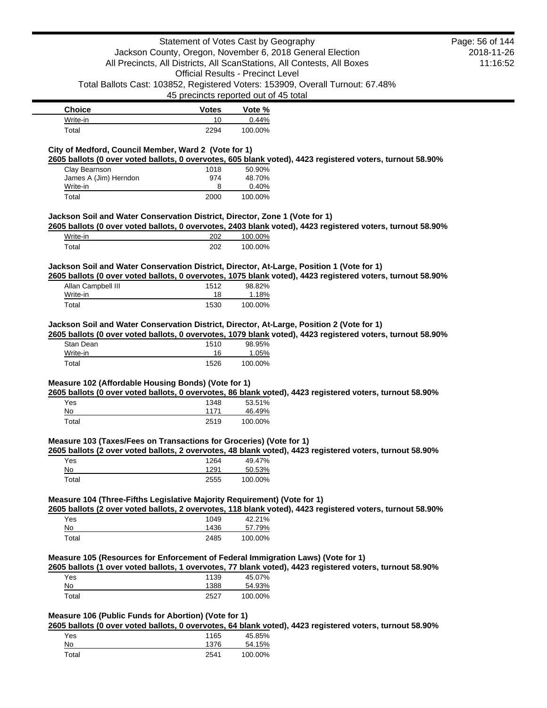|                                                                                           |                      | Statement of Votes Cast by Geography<br>Jackson County, Oregon, November 6, 2018 General Election                                                                                                       | Page: 56 of 144<br>2018-11-26 |
|-------------------------------------------------------------------------------------------|----------------------|---------------------------------------------------------------------------------------------------------------------------------------------------------------------------------------------------------|-------------------------------|
|                                                                                           |                      | All Precincts, All Districts, All ScanStations, All Contests, All Boxes<br><b>Official Results - Precinct Level</b>                                                                                     | 11:16:52                      |
|                                                                                           |                      | Total Ballots Cast: 103852, Registered Voters: 153909, Overall Turnout: 67.48%<br>45 precincts reported out of 45 total                                                                                 |                               |
| <b>Choice</b>                                                                             | <b>Votes</b>         | Vote %                                                                                                                                                                                                  |                               |
| Write-in                                                                                  | 10                   | 0.44%                                                                                                                                                                                                   |                               |
| Total<br>City of Medford, Council Member, Ward 2 (Vote for 1)                             | 2294                 | 100.00%                                                                                                                                                                                                 |                               |
|                                                                                           |                      | 2605 ballots (0 over voted ballots, 0 overvotes, 605 blank voted), 4423 registered voters, turnout 58.90%                                                                                               |                               |
| Clay Bearnson                                                                             | 1018                 | 50.90%                                                                                                                                                                                                  |                               |
| James A (Jim) Herndon<br>Write-in                                                         | 974<br>8             | 48.70%<br>0.40%                                                                                                                                                                                         |                               |
| Total                                                                                     | 2000                 | 100.00%                                                                                                                                                                                                 |                               |
| Jackson Soil and Water Conservation District, Director, Zone 1 (Vote for 1)               |                      |                                                                                                                                                                                                         |                               |
|                                                                                           |                      | 2605 ballots (0 over voted ballots, 0 overvotes, 2403 blank voted), 4423 registered voters, turnout 58.90%                                                                                              |                               |
| Write-in<br>Total                                                                         | 202<br>202           | 100.00%<br>100.00%                                                                                                                                                                                      |                               |
|                                                                                           |                      | Jackson Soil and Water Conservation District, Director, At-Large, Position 1 (Vote for 1)                                                                                                               |                               |
|                                                                                           |                      | 2605 ballots (0 over voted ballots, 0 overvotes, 1075 blank voted), 4423 registered voters, turnout 58.90%                                                                                              |                               |
| Allan Campbell III<br>Write-in                                                            | 1512<br>18           | 98.82%<br>1.18%                                                                                                                                                                                         |                               |
| Total                                                                                     | 1530                 | 100.00%                                                                                                                                                                                                 |                               |
|                                                                                           |                      | Jackson Soil and Water Conservation District, Director, At-Large, Position 2 (Vote for 1)<br>2605 ballots (0 over voted ballots, 0 overvotes, 1079 blank voted), 4423 registered voters, turnout 58.90% |                               |
| Stan Dean                                                                                 | 1510                 | 98.95%                                                                                                                                                                                                  |                               |
| Write-in<br>Total                                                                         | 16<br>1526           | 1.05%<br>100.00%                                                                                                                                                                                        |                               |
| Measure 102 (Affordable Housing Bonds) (Vote for 1)<br>Yes<br>No                          | 1348<br>1171         | 2605 ballots (0 over voted ballots, 0 overvotes, 86 blank voted), 4423 registered voters, turnout 58.90%<br>53.51%                                                                                      |                               |
| Total                                                                                     | 2519                 | 46.49%<br>100.00%                                                                                                                                                                                       |                               |
| Measure 103 (Taxes/Fees on Transactions for Groceries) (Vote for 1)<br>Yes<br>No<br>Total | 1264<br>1291<br>2555 | 2605 ballots (2 over voted ballots, 2 overvotes, 48 blank voted), 4423 registered voters, turnout 58.90%<br>49.47%<br>50.53%<br>100.00%                                                                 |                               |
| Measure 104 (Three-Fifths Legislative Majority Requirement) (Vote for 1)                  |                      | 2605 ballots (2 over voted ballots, 2 overvotes, 118 blank voted), 4423 registered voters, turnout 58.90%                                                                                               |                               |
| Yes                                                                                       | 1049                 | 42.21%                                                                                                                                                                                                  |                               |
| No                                                                                        | 1436                 | 57.79%                                                                                                                                                                                                  |                               |
| Total                                                                                     | 2485                 | 100.00%                                                                                                                                                                                                 |                               |
|                                                                                           |                      | Measure 105 (Resources for Enforcement of Federal Immigration Laws) (Vote for 1)<br>2605 ballots (1 over voted ballots, 1 overvotes, 77 blank voted), 4423 registered voters, turnout 58.90%            |                               |
| Yes                                                                                       | 1139                 | 45.07%                                                                                                                                                                                                  |                               |
| <u>No</u>                                                                                 | 1388                 | 54.93%                                                                                                                                                                                                  |                               |
| Total                                                                                     | 2527                 | 100.00%                                                                                                                                                                                                 |                               |
| Measure 106 (Public Funds for Abortion) (Vote for 1)                                      |                      | 2605 ballots (0 over voted ballots, 0 overvotes, 64 blank voted), 4423 registered voters, turnout 58.90%                                                                                                |                               |
| Yes                                                                                       | 1165                 | 45.85%                                                                                                                                                                                                  |                               |
| No                                                                                        | 1376                 | 54.15%                                                                                                                                                                                                  |                               |
| Total                                                                                     | 2541                 | 100.00%                                                                                                                                                                                                 |                               |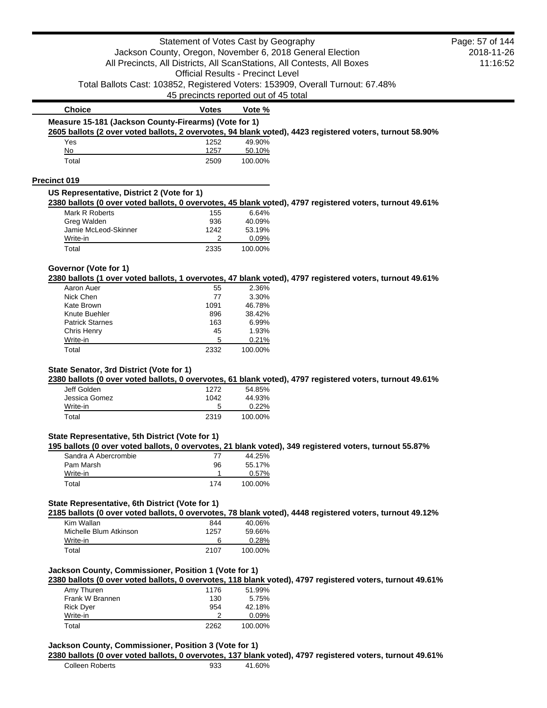|                                                       | Statement of Votes Cast by Geography     |                 |                                                                                                           | Page: 57 of 144 |
|-------------------------------------------------------|------------------------------------------|-----------------|-----------------------------------------------------------------------------------------------------------|-----------------|
|                                                       |                                          |                 | Jackson County, Oregon, November 6, 2018 General Election                                                 | 2018-11-26      |
|                                                       |                                          |                 | All Precincts, All Districts, All ScanStations, All Contests, All Boxes                                   | 11:16:52        |
|                                                       | <b>Official Results - Precinct Level</b> |                 |                                                                                                           |                 |
|                                                       |                                          |                 | Total Ballots Cast: 103852, Registered Voters: 153909, Overall Turnout: 67.48%                            |                 |
|                                                       | 45 precincts reported out of 45 total    |                 |                                                                                                           |                 |
| <b>Choice</b>                                         | <b>Votes</b>                             | Vote %          |                                                                                                           |                 |
| Measure 15-181 (Jackson County-Firearms) (Vote for 1) |                                          |                 |                                                                                                           |                 |
|                                                       |                                          |                 | 2605 ballots (2 over voted ballots, 2 overvotes, 94 blank voted), 4423 registered voters, turnout 58.90%  |                 |
| Yes                                                   | 1252                                     | 49.90%          |                                                                                                           |                 |
| No                                                    | 1257                                     | 50.10%          |                                                                                                           |                 |
| Total                                                 | 2509                                     | 100.00%         |                                                                                                           |                 |
| Precinct 019                                          |                                          |                 |                                                                                                           |                 |
| US Representative, District 2 (Vote for 1)            |                                          |                 |                                                                                                           |                 |
|                                                       |                                          |                 | 2380 ballots (0 over voted ballots, 0 overvotes, 45 blank voted), 4797 registered voters, turnout 49.61%  |                 |
| Mark R Roberts                                        | 155                                      | 6.64%           |                                                                                                           |                 |
| Greg Walden<br>Jamie McLeod-Skinner                   | 936<br>1242                              | 40.09%          |                                                                                                           |                 |
| Write-in                                              | 2                                        | 53.19%<br>0.09% |                                                                                                           |                 |
| Total                                                 | 2335                                     | 100.00%         |                                                                                                           |                 |
|                                                       |                                          |                 |                                                                                                           |                 |
| Governor (Vote for 1)                                 |                                          |                 | 2380 ballots (1 over voted ballots, 1 overvotes, 47 blank voted), 4797 registered voters, turnout 49.61%  |                 |
| Aaron Auer                                            | 55                                       | 2.36%           |                                                                                                           |                 |
| Nick Chen                                             | 77                                       | 3.30%           |                                                                                                           |                 |
| Kate Brown                                            | 1091                                     | 46.78%          |                                                                                                           |                 |
| Knute Buehler                                         | 896                                      | 38.42%          |                                                                                                           |                 |
| <b>Patrick Starnes</b>                                | 163                                      | 6.99%           |                                                                                                           |                 |
| Chris Henry                                           | 45                                       | 1.93%           |                                                                                                           |                 |
| Write-in                                              | 5                                        | 0.21%           |                                                                                                           |                 |
| Total                                                 | 2332                                     | 100.00%         |                                                                                                           |                 |
| State Senator, 3rd District (Vote for 1)              |                                          |                 |                                                                                                           |                 |
|                                                       |                                          |                 | 2380 ballots (0 over voted ballots, 0 overvotes, 61 blank voted), 4797 registered voters, turnout 49.61%  |                 |
| Jeff Golden                                           | 1272                                     | 54.85%          |                                                                                                           |                 |
| Jessica Gomez                                         | 1042                                     | 44.93%          |                                                                                                           |                 |
| Write-in                                              | 5                                        | 0.22%           |                                                                                                           |                 |
| Total                                                 | 2319                                     | 100.00%         |                                                                                                           |                 |
| State Representative, 5th District (Vote for 1)       |                                          |                 |                                                                                                           |                 |
| Sandra A Abercrombie                                  | 77                                       | 44.25%          | 195 ballots (0 over voted ballots, 0 overvotes, 21 blank voted), 349 registered voters, turnout 55.87%    |                 |
| Pam Marsh                                             | 96                                       | 55.17%          |                                                                                                           |                 |
| Write-in                                              | 1                                        | 0.57%           |                                                                                                           |                 |
| Total                                                 | 174                                      | 100.00%         |                                                                                                           |                 |
|                                                       |                                          |                 |                                                                                                           |                 |
| State Representative, 6th District (Vote for 1)       |                                          |                 | 2185 ballots (0 over voted ballots, 0 overvotes, 78 blank voted), 4448 registered voters, turnout 49.12%  |                 |
| Kim Wallan                                            | 844                                      | 40.06%          |                                                                                                           |                 |
| Michelle Blum Atkinson                                | 1257                                     | 59.66%          |                                                                                                           |                 |
| Write-in                                              | 6                                        | 0.28%           |                                                                                                           |                 |
| Total                                                 | 2107                                     | 100.00%         |                                                                                                           |                 |
| Jackson County, Commissioner, Position 1 (Vote for 1) |                                          |                 |                                                                                                           |                 |
|                                                       |                                          |                 | 2380 ballots (0 over voted ballots, 0 overvotes, 118 blank voted), 4797 registered voters, turnout 49.61% |                 |
| Amy Thuren                                            | 1176                                     | 51.99%          |                                                                                                           |                 |
| Frank W Brannen                                       | 130                                      | 5.75%           |                                                                                                           |                 |
| <b>Rick Dyer</b>                                      | 954                                      | 42.18%          |                                                                                                           |                 |
| Write-in                                              | 2                                        | 0.09%           |                                                                                                           |                 |
| Total                                                 | 2262                                     | 100.00%         |                                                                                                           |                 |
|                                                       |                                          |                 |                                                                                                           |                 |
| Jackson County, Commissioner, Position 3 (Vote for 1) |                                          |                 |                                                                                                           |                 |
|                                                       |                                          |                 | 2380 ballots (0 over voted ballots, 0 overvotes, 137 blank voted), 4797 registered voters, turnout 49.61% |                 |
| <b>Colleen Roberts</b>                                | 933                                      | 41.60%          |                                                                                                           |                 |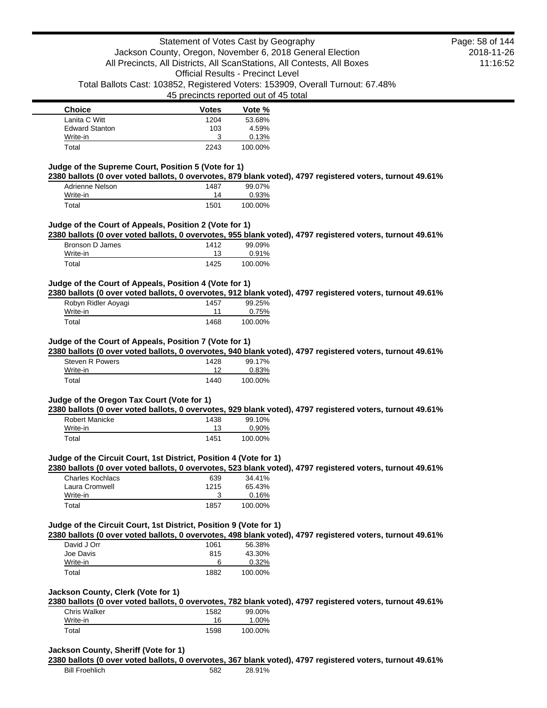| <b>Choice</b>         | <b>Votes</b> | Vote %  |
|-----------------------|--------------|---------|
| Lanita C Witt         | 1204         | 53.68%  |
| <b>Edward Stanton</b> | 103          | 4.59%   |
| Write-in              | 2            | 0.13%   |
| Total                 | 2243         | 100.00% |

## **Judge of the Supreme Court, Position 5 (Vote for 1)**

**2380 ballots (0 over voted ballots, 0 overvotes, 879 blank voted), 4797 registered voters, turnout 49.61%**

| Adrienne Nelson | 1487 | 99.07%  |
|-----------------|------|---------|
| Write-in        | 14   | 0.93%   |
| Total           | 1501 | 100.00% |

### **Judge of the Court of Appeals, Position 2 (Vote for 1)**

**2380 ballots (0 over voted ballots, 0 overvotes, 955 blank voted), 4797 registered voters, turnout 49.61%**

| Bronson D James | 1412 | 99.09%  |
|-----------------|------|---------|
| Write-in        |      | 0.91%   |
| Total           | 1425 | 100.00% |

### **Judge of the Court of Appeals, Position 4 (Vote for 1)**

**2380 ballots (0 over voted ballots, 0 overvotes, 912 blank voted), 4797 registered voters, turnout 49.61%**

| Robyn Ridler Aoyagi | 1457 | 99.25%  |
|---------------------|------|---------|
| Write-in            |      | 0.75%   |
| Total               | 1468 | 100.00% |

#### **Judge of the Court of Appeals, Position 7 (Vote for 1)**

**2380 ballots (0 over voted ballots, 0 overvotes, 940 blank voted), 4797 registered voters, turnout 49.61%**

| Steven R Powers | 1428 | 99.17%  |
|-----------------|------|---------|
| Write-in        | ィっ   | 0.83%   |
| Total           | 1440 | 100.00% |

### **Judge of the Oregon Tax Court (Vote for 1)**

**2380 ballots (0 over voted ballots, 0 overvotes, 929 blank voted), 4797 registered voters, turnout 49.61%**

| Robert Manicke | 1438 | 99.10%  |
|----------------|------|---------|
| Write-in       | 13   | 0.90%   |
| Total          | 1451 | 100.00% |

### **Judge of the Circuit Court, 1st District, Position 4 (Vote for 1)**

**2380 ballots (0 over voted ballots, 0 overvotes, 523 blank voted), 4797 registered voters, turnout 49.61%**

| Charles Kochlacs | 639  | 34.41%  |
|------------------|------|---------|
| Laura Cromwell   | 1215 | 65.43%  |
| Write-in         |      | 0.16%   |
| Total            | 1857 | 100.00% |

#### **Judge of the Circuit Court, 1st District, Position 9 (Vote for 1)**

**2380 ballots (0 over voted ballots, 0 overvotes, 498 blank voted), 4797 registered voters, turnout 49.61%**

| David J Orr | 1061 | 56.38%  |
|-------------|------|---------|
| Joe Davis   | 815  | 43.30%  |
| Write-in    | 6    | 0.32%   |
| Total       | 1882 | 100.00% |

#### **Jackson County, Clerk (Vote for 1)**

**2380 ballots (0 over voted ballots, 0 overvotes, 782 blank voted), 4797 registered voters, turnout 49.61%**

| Chris Walker | 1582 | 99.00%  |
|--------------|------|---------|
| Write-in     | 16   | 1.00%   |
| Total        | 1598 | 100.00% |

### **Jackson County, Sheriff (Vote for 1)**

**2380 ballots (0 over voted ballots, 0 overvotes, 367 blank voted), 4797 registered voters, turnout 49.61%**

2018-11-26 11:16:52 Page: 58 of 144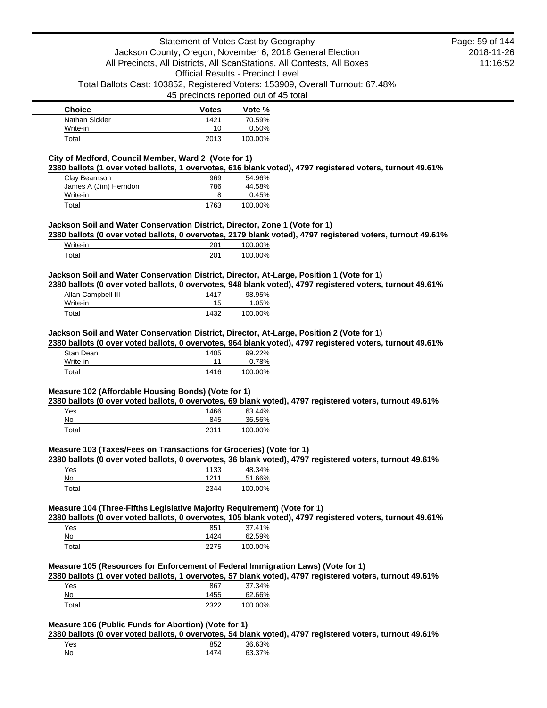| <b>Choice</b>  | <b>Votes</b> | Vote %  |
|----------------|--------------|---------|
| Nathan Sickler | 1421         | 70.59%  |
| Write-in       | 10           | 0.50%   |
| Total          | 2013         | 100.00% |

## **City of Medford, Council Member, Ward 2 (Vote for 1)**

**2380 ballots (1 over voted ballots, 1 overvotes, 616 blank voted), 4797 registered voters, turnout 49.61%**

| Clay Bearnson         | 969  | 54.96%  |
|-----------------------|------|---------|
| James A (Jim) Herndon | 786  | 44.58%  |
| Write-in              |      | 0.45%   |
| Total                 | 1763 | 100.00% |

### **Jackson Soil and Water Conservation District, Director, Zone 1 (Vote for 1)**

**2380 ballots (0 over voted ballots, 0 overvotes, 2179 blank voted), 4797 registered voters, turnout 49.61%**

| Write-in | 201 | 100.00% |
|----------|-----|---------|
| ™otal    | 201 | 100.00% |

### **Jackson Soil and Water Conservation District, Director, At-Large, Position 1 (Vote for 1)**

**2380 ballots (0 over voted ballots, 0 overvotes, 948 blank voted), 4797 registered voters, turnout 49.61%**

| Allan Campbell III | 1417 | 98.95%  |
|--------------------|------|---------|
| Write-in           | 15   | 1.05%   |
| Total              | 1432 | 100.00% |

### **Jackson Soil and Water Conservation District, Director, At-Large, Position 2 (Vote for 1)**

**2380 ballots (0 over voted ballots, 0 overvotes, 964 blank voted), 4797 registered voters, turnout 49.61%**

| Stan Dean | 1405 | 99.22%  |
|-----------|------|---------|
| Write-in  | 11   | 0.78%   |
| Total     | 1416 | 100.00% |

### **Measure 102 (Affordable Housing Bonds) (Vote for 1)**

**2380 ballots (0 over voted ballots, 0 overvotes, 69 blank voted), 4797 registered voters, turnout 49.61%**

| Yes   | 1466 | 63.44%  |
|-------|------|---------|
| No    | 845  | 36.56%  |
| Total | 2311 | 100.00% |

#### **Measure 103 (Taxes/Fees on Transactions for Groceries) (Vote for 1)**

**2380 ballots (0 over voted ballots, 0 overvotes, 36 blank voted), 4797 registered voters, turnout 49.61%**

| Yes   | 1133 | 48.34%  |
|-------|------|---------|
| No    | 1211 | 51.66%  |
| Total | 2344 | 100.00% |

## **Measure 104 (Three-Fifths Legislative Majority Requirement) (Vote for 1)**

**2380 ballots (0 over voted ballots, 0 overvotes, 105 blank voted), 4797 registered voters, turnout 49.61%**

| Yes   | 851  | 37.41%  |
|-------|------|---------|
| No    | 1424 | 62.59%  |
| Total | 2275 | 100.00% |

## **Measure 105 (Resources for Enforcement of Federal Immigration Laws) (Vote for 1)**

**2380 ballots (1 over voted ballots, 1 overvotes, 57 blank voted), 4797 registered voters, turnout 49.61%**

| Yes   | 867  | 37.34%  |
|-------|------|---------|
| No    | 1455 | 62.66%  |
| Total | 2322 | 100.00% |

## **Measure 106 (Public Funds for Abortion) (Vote for 1)**

**2380 ballots (0 over voted ballots, 0 overvotes, 54 blank voted), 4797 registered voters, turnout 49.61%**

| Yes | 852  | 36.63% |
|-----|------|--------|
| No  | 1474 | 63.37% |

2018-11-26 11:16:52 Page: 59 of 144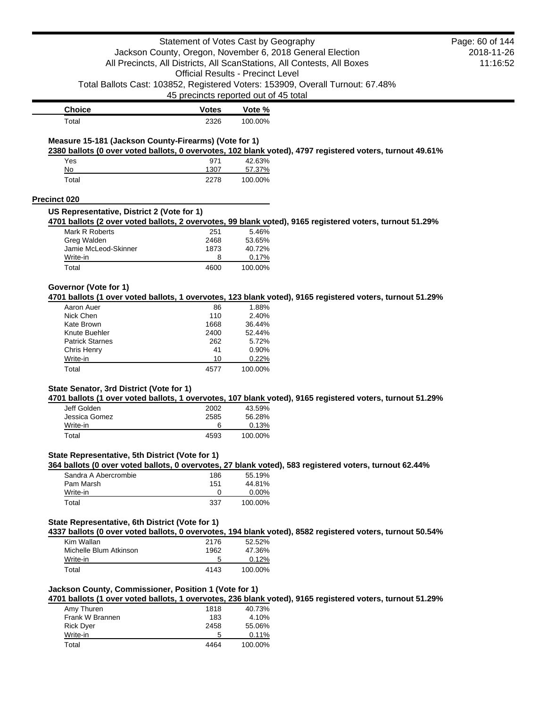|                                                                   | Statement of Votes Cast by Geography     |                  |                                                                                                           | Page: 60 of 144 |
|-------------------------------------------------------------------|------------------------------------------|------------------|-----------------------------------------------------------------------------------------------------------|-----------------|
|                                                                   |                                          |                  | Jackson County, Oregon, November 6, 2018 General Election                                                 | 2018-11-26      |
|                                                                   |                                          |                  | All Precincts, All Districts, All ScanStations, All Contests, All Boxes                                   | 11:16:52        |
|                                                                   | <b>Official Results - Precinct Level</b> |                  |                                                                                                           |                 |
|                                                                   | 45 precincts reported out of 45 total    |                  | Total Ballots Cast: 103852, Registered Voters: 153909, Overall Turnout: 67.48%                            |                 |
| <b>Choice</b>                                                     | <b>Votes</b>                             | Vote %           |                                                                                                           |                 |
| Total                                                             | 2326                                     | 100.00%          |                                                                                                           |                 |
| Measure 15-181 (Jackson County-Firearms) (Vote for 1)             |                                          |                  |                                                                                                           |                 |
|                                                                   |                                          |                  | 2380 ballots (0 over voted ballots, 0 overvotes, 102 blank voted), 4797 registered voters, turnout 49.61% |                 |
| Yes<br>No                                                         | 971<br>1307                              | 42.63%<br>57.37% |                                                                                                           |                 |
| Total                                                             | 2278                                     | 100.00%          |                                                                                                           |                 |
|                                                                   |                                          |                  |                                                                                                           |                 |
| <b>Precinct 020</b><br>US Representative, District 2 (Vote for 1) |                                          |                  |                                                                                                           |                 |
|                                                                   |                                          |                  | 4701 ballots (2 over voted ballots, 2 overvotes, 99 blank voted), 9165 registered voters, turnout 51.29%  |                 |
| Mark R Roberts                                                    | 251                                      | 5.46%            |                                                                                                           |                 |
| Greg Walden                                                       | 2468                                     | 53.65%           |                                                                                                           |                 |
| Jamie McLeod-Skinner                                              | 1873                                     | 40.72%           |                                                                                                           |                 |
| Write-in<br>Total                                                 | 8<br>4600                                | 0.17%<br>100.00% |                                                                                                           |                 |
|                                                                   |                                          |                  |                                                                                                           |                 |
| Governor (Vote for 1)                                             |                                          |                  |                                                                                                           |                 |
| Aaron Auer                                                        | 86                                       | 1.88%            | 4701 ballots (1 over voted ballots, 1 overvotes, 123 blank voted), 9165 registered voters, turnout 51.29% |                 |
| Nick Chen                                                         | 110                                      | 2.40%            |                                                                                                           |                 |
| Kate Brown                                                        | 1668                                     | 36.44%           |                                                                                                           |                 |
| Knute Buehler                                                     | 2400                                     | 52.44%           |                                                                                                           |                 |
| <b>Patrick Starnes</b>                                            | 262                                      | 5.72%            |                                                                                                           |                 |
| Chris Henry                                                       | 41                                       | 0.90%            |                                                                                                           |                 |
| Write-in                                                          | 10                                       | 0.22%            |                                                                                                           |                 |
| Total                                                             | 4577                                     | 100.00%          |                                                                                                           |                 |
| State Senator, 3rd District (Vote for 1)                          |                                          |                  |                                                                                                           |                 |
|                                                                   |                                          |                  | 4701 ballots (1 over voted ballots, 1 overvotes, 107 blank voted), 9165 registered voters, turnout 51.29% |                 |
| Jeff Golden<br>Jessica Gomez                                      | 2002<br>2585                             | 43.59%<br>56.28% |                                                                                                           |                 |
| Write-in                                                          | 6                                        | 0.13%            |                                                                                                           |                 |
| Total                                                             | 4593                                     | 100.00%          |                                                                                                           |                 |
|                                                                   |                                          |                  |                                                                                                           |                 |
| State Representative, 5th District (Vote for 1)                   |                                          |                  | 364 ballots (0 over voted ballots, 0 overvotes, 27 blank voted), 583 registered voters, turnout 62.44%    |                 |
| Sandra A Abercrombie                                              | 186                                      | 55.19%           |                                                                                                           |                 |
| Pam Marsh                                                         | 151                                      | 44.81%           |                                                                                                           |                 |
| Write-in                                                          | 0                                        | 0.00%            |                                                                                                           |                 |
| Total                                                             | 337                                      | 100.00%          |                                                                                                           |                 |
| State Representative, 6th District (Vote for 1)                   |                                          |                  |                                                                                                           |                 |
|                                                                   |                                          |                  | 4337 ballots (0 over voted ballots, 0 overvotes, 194 blank voted), 8582 registered voters, turnout 50.54% |                 |
| Kim Wallan                                                        | 2176                                     | 52.52%           |                                                                                                           |                 |
| Michelle Blum Atkinson                                            | 1962                                     | 47.36%           |                                                                                                           |                 |
| Write-in<br>Total                                                 | 5<br>4143                                | 0.12%<br>100.00% |                                                                                                           |                 |
|                                                                   |                                          |                  |                                                                                                           |                 |
| Jackson County, Commissioner, Position 1 (Vote for 1)             |                                          |                  |                                                                                                           |                 |
|                                                                   |                                          |                  | 4701 ballots (1 over voted ballots, 1 overvotes, 236 blank voted), 9165 registered voters, turnout 51.29% |                 |
| Amy Thuren                                                        | 1818                                     | 40.73%           |                                                                                                           |                 |
| Frank W Brannen                                                   | 183                                      | 4.10%            |                                                                                                           |                 |
| Rick Dyer<br>Write-in                                             | 2458<br>5                                | 55.06%<br>0.11%  |                                                                                                           |                 |
|                                                                   |                                          |                  |                                                                                                           |                 |
| Total                                                             | 4464                                     | 100.00%          |                                                                                                           |                 |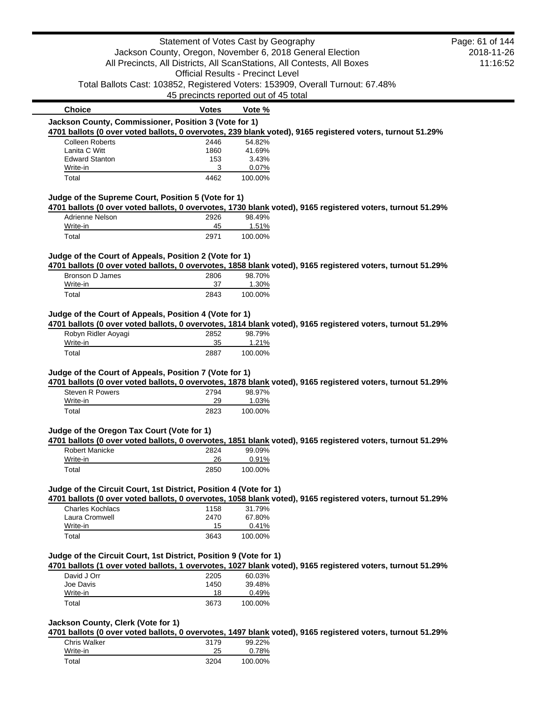|                                                                   | Statement of Votes Cast by Geography     |                  |                                                                                                            | Page: 61 of 144 |
|-------------------------------------------------------------------|------------------------------------------|------------------|------------------------------------------------------------------------------------------------------------|-----------------|
|                                                                   |                                          |                  | Jackson County, Oregon, November 6, 2018 General Election                                                  | 2018-11-26      |
|                                                                   |                                          |                  | All Precincts, All Districts, All ScanStations, All Contests, All Boxes                                    | 11:16:52        |
|                                                                   | <b>Official Results - Precinct Level</b> |                  |                                                                                                            |                 |
|                                                                   |                                          |                  | Total Ballots Cast: 103852, Registered Voters: 153909, Overall Turnout: 67.48%                             |                 |
|                                                                   | 45 precincts reported out of 45 total    |                  |                                                                                                            |                 |
| <b>Choice</b>                                                     | <b>Votes</b>                             | Vote %           |                                                                                                            |                 |
| Jackson County, Commissioner, Position 3 (Vote for 1)             |                                          |                  |                                                                                                            |                 |
|                                                                   |                                          |                  | 4701 ballots (0 over voted ballots, 0 overvotes, 239 blank voted), 9165 registered voters, turnout 51.29%  |                 |
| <b>Colleen Roberts</b><br>Lanita C Witt                           | 2446<br>1860                             | 54.82%<br>41.69% |                                                                                                            |                 |
| <b>Edward Stanton</b>                                             | 153                                      | 3.43%            |                                                                                                            |                 |
| Write-in                                                          | 3                                        | 0.07%            |                                                                                                            |                 |
| Total                                                             | 4462                                     | 100.00%          |                                                                                                            |                 |
| Judge of the Supreme Court, Position 5 (Vote for 1)               |                                          |                  |                                                                                                            |                 |
|                                                                   |                                          |                  | 4701 ballots (0 over voted ballots, 0 overvotes, 1730 blank voted), 9165 registered voters, turnout 51.29% |                 |
| <b>Adrienne Nelson</b>                                            | 2926                                     | 98.49%           |                                                                                                            |                 |
| Write-in                                                          | 45                                       | 1.51%            |                                                                                                            |                 |
| Total                                                             | 2971                                     | 100.00%          |                                                                                                            |                 |
| Judge of the Court of Appeals, Position 2 (Vote for 1)            |                                          |                  |                                                                                                            |                 |
|                                                                   |                                          |                  | 4701 ballots (0 over voted ballots, 0 overvotes, 1858 blank voted), 9165 registered voters, turnout 51.29% |                 |
| Bronson D James                                                   | 2806                                     | 98.70%           |                                                                                                            |                 |
| Write-in                                                          | 37                                       | 1.30%            |                                                                                                            |                 |
| Total                                                             | 2843                                     | 100.00%          |                                                                                                            |                 |
| Judge of the Court of Appeals, Position 4 (Vote for 1)            |                                          |                  |                                                                                                            |                 |
|                                                                   |                                          |                  | 4701 ballots (0 over voted ballots, 0 overvotes, 1814 blank voted), 9165 registered voters, turnout 51.29% |                 |
| Robyn Ridler Aoyagi                                               | 2852                                     | 98.79%           |                                                                                                            |                 |
| Write-in                                                          | 35                                       | 1.21%            |                                                                                                            |                 |
| Total                                                             | 2887                                     | 100.00%          |                                                                                                            |                 |
| Judge of the Court of Appeals, Position 7 (Vote for 1)            |                                          |                  |                                                                                                            |                 |
|                                                                   |                                          |                  | 4701 ballots (0 over voted ballots, 0 overvotes, 1878 blank voted), 9165 registered voters, turnout 51.29% |                 |
| Steven R Powers                                                   | 2794                                     | 98.97%           |                                                                                                            |                 |
| Write-in                                                          | 29                                       | 1.03%            |                                                                                                            |                 |
| Total                                                             | 2823                                     | 100.00%          |                                                                                                            |                 |
| Judge of the Oregon Tax Court (Vote for 1)                        |                                          |                  |                                                                                                            |                 |
|                                                                   |                                          |                  | 4701 ballots (0 over voted ballots, 0 overvotes, 1851 blank voted), 9165 registered voters, turnout 51.29% |                 |
| <b>Robert Manicke</b>                                             | 2824                                     | 99.09%           |                                                                                                            |                 |
| Write-in                                                          | 26                                       | 0.91%            |                                                                                                            |                 |
| Total                                                             | 2850                                     | 100.00%          |                                                                                                            |                 |
|                                                                   |                                          |                  |                                                                                                            |                 |
| Judge of the Circuit Court, 1st District, Position 4 (Vote for 1) |                                          |                  | 4701 ballots (0 over voted ballots, 0 overvotes, 1058 blank voted), 9165 registered voters, turnout 51.29% |                 |
| <b>Charles Kochlacs</b>                                           | 1158                                     | 31.79%           |                                                                                                            |                 |
| Laura Cromwell                                                    | 2470                                     | 67.80%           |                                                                                                            |                 |
| Write-in                                                          | 15                                       | 0.41%            |                                                                                                            |                 |
| Total                                                             | 3643                                     | 100.00%          |                                                                                                            |                 |
|                                                                   |                                          |                  |                                                                                                            |                 |
| Judge of the Circuit Court, 1st District, Position 9 (Vote for 1) |                                          |                  |                                                                                                            |                 |
| David J Orr                                                       | 2205                                     | 60.03%           | 4701 ballots (1 over voted ballots, 1 overvotes, 1027 blank voted), 9165 registered voters, turnout 51.29% |                 |
| Joe Davis                                                         | 1450                                     | 39.48%           |                                                                                                            |                 |
| Write-in                                                          | 18                                       | 0.49%            |                                                                                                            |                 |
| Total                                                             | 3673                                     | 100.00%          |                                                                                                            |                 |
|                                                                   |                                          |                  |                                                                                                            |                 |
| Jackson County, Clerk (Vote for 1)                                |                                          |                  | 4701 ballots (0 over voted ballots, 0 overvotes, 1497 blank voted), 9165 registered voters, turnout 51.29% |                 |
| <b>Chris Walker</b>                                               | 3179                                     | 99.22%           |                                                                                                            |                 |
| Write-in                                                          | 25                                       | 0.78%            |                                                                                                            |                 |
|                                                                   |                                          |                  |                                                                                                            |                 |

Total 3204 100.00%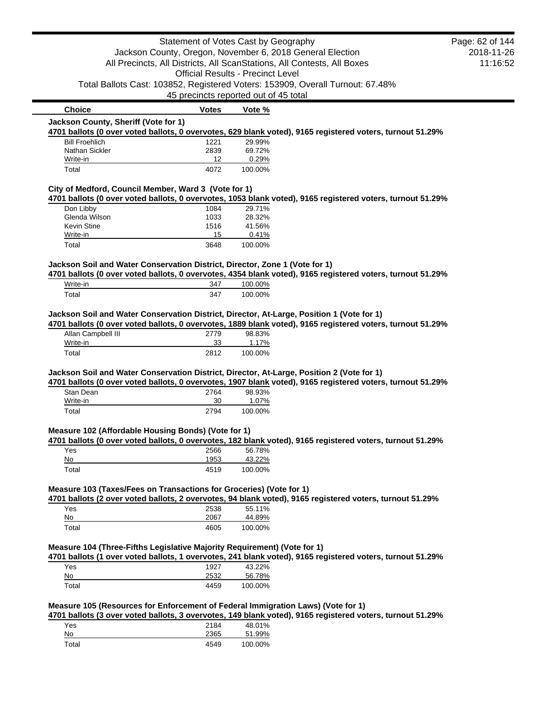|                                                                                                                                                                                                                                                                                                                                                                                                                                                    | Statement of Votes Cast by Geography                                    |                                          |                                                                                                            | Page: 62 of 144 |
|----------------------------------------------------------------------------------------------------------------------------------------------------------------------------------------------------------------------------------------------------------------------------------------------------------------------------------------------------------------------------------------------------------------------------------------------------|-------------------------------------------------------------------------|------------------------------------------|------------------------------------------------------------------------------------------------------------|-----------------|
|                                                                                                                                                                                                                                                                                                                                                                                                                                                    | Jackson County, Oregon, November 6, 2018 General Election               |                                          |                                                                                                            | 2018-11-26      |
|                                                                                                                                                                                                                                                                                                                                                                                                                                                    | All Precincts, All Districts, All ScanStations, All Contests, All Boxes |                                          |                                                                                                            | 11:16:52        |
|                                                                                                                                                                                                                                                                                                                                                                                                                                                    |                                                                         | <b>Official Results - Precinct Level</b> |                                                                                                            |                 |
|                                                                                                                                                                                                                                                                                                                                                                                                                                                    |                                                                         |                                          | Total Ballots Cast: 103852, Registered Voters: 153909, Overall Turnout: 67.48%                             |                 |
|                                                                                                                                                                                                                                                                                                                                                                                                                                                    | 45 precincts reported out of 45 total                                   |                                          |                                                                                                            |                 |
| <b>Choice</b>                                                                                                                                                                                                                                                                                                                                                                                                                                      | <b>Votes</b>                                                            | Vote %                                   |                                                                                                            |                 |
| Jackson County, Sheriff (Vote for 1)<br>4701 ballots (0 over voted ballots, 0 overvotes, 629 blank voted), 9165 registered voters, turnout 51.29%                                                                                                                                                                                                                                                                                                  |                                                                         |                                          |                                                                                                            |                 |
| <b>Bill Froehlich</b>                                                                                                                                                                                                                                                                                                                                                                                                                              | 1221                                                                    | 29.99%                                   |                                                                                                            |                 |
| Nathan Sickler                                                                                                                                                                                                                                                                                                                                                                                                                                     | 2839                                                                    | 69.72%                                   |                                                                                                            |                 |
| Write-in                                                                                                                                                                                                                                                                                                                                                                                                                                           | 12                                                                      | 0.29%                                    |                                                                                                            |                 |
| Total                                                                                                                                                                                                                                                                                                                                                                                                                                              | 4072                                                                    | 100.00%                                  |                                                                                                            |                 |
| City of Medford, Council Member, Ward 3 (Vote for 1)                                                                                                                                                                                                                                                                                                                                                                                               |                                                                         |                                          |                                                                                                            |                 |
| 4701 ballots (0 over voted ballots, 0 overvotes, 1053 blank voted), 9165 registered voters, turnout 51.29%                                                                                                                                                                                                                                                                                                                                         |                                                                         |                                          |                                                                                                            |                 |
| Don Libby                                                                                                                                                                                                                                                                                                                                                                                                                                          | 1084                                                                    | 29.71%                                   |                                                                                                            |                 |
| Glenda Wilson                                                                                                                                                                                                                                                                                                                                                                                                                                      | 1033                                                                    | 28.32%                                   |                                                                                                            |                 |
| Kevin Stine<br>Write-in                                                                                                                                                                                                                                                                                                                                                                                                                            | 1516<br>15                                                              | 41.56%<br>0.41%                          |                                                                                                            |                 |
| Total                                                                                                                                                                                                                                                                                                                                                                                                                                              | 3648                                                                    | 100.00%                                  |                                                                                                            |                 |
|                                                                                                                                                                                                                                                                                                                                                                                                                                                    |                                                                         |                                          |                                                                                                            |                 |
| Jackson Soil and Water Conservation District, Director, Zone 1 (Vote for 1)                                                                                                                                                                                                                                                                                                                                                                        |                                                                         |                                          |                                                                                                            |                 |
|                                                                                                                                                                                                                                                                                                                                                                                                                                                    |                                                                         |                                          | 4701 ballots (0 over voted ballots, 0 overvotes, 4354 blank voted), 9165 registered voters, turnout 51.29% |                 |
|                                                                                                                                                                                                                                                                                                                                                                                                                                                    |                                                                         | 100.00%                                  |                                                                                                            |                 |
| Write-in                                                                                                                                                                                                                                                                                                                                                                                                                                           | 347                                                                     |                                          |                                                                                                            |                 |
| Total<br>Jackson Soil and Water Conservation District, Director, At-Large, Position 1 (Vote for 1)<br>4701 ballots (0 over voted ballots, 0 overvotes, 1889 blank voted), 9165 registered voters, turnout 51.29%<br>Allan Campbell III                                                                                                                                                                                                             | 347<br>2779                                                             | 100.00%<br>98.83%                        |                                                                                                            |                 |
| Write-in                                                                                                                                                                                                                                                                                                                                                                                                                                           | 33                                                                      | 1.17%                                    |                                                                                                            |                 |
| Total                                                                                                                                                                                                                                                                                                                                                                                                                                              | 2812                                                                    | 100.00%                                  |                                                                                                            |                 |
|                                                                                                                                                                                                                                                                                                                                                                                                                                                    |                                                                         |                                          |                                                                                                            |                 |
|                                                                                                                                                                                                                                                                                                                                                                                                                                                    |                                                                         |                                          |                                                                                                            |                 |
| Stan Dean                                                                                                                                                                                                                                                                                                                                                                                                                                          | 2764                                                                    | 98.93%                                   |                                                                                                            |                 |
| Write-in                                                                                                                                                                                                                                                                                                                                                                                                                                           | 30                                                                      | 1.07%                                    |                                                                                                            |                 |
| Total                                                                                                                                                                                                                                                                                                                                                                                                                                              | 2794                                                                    | 100.00%                                  |                                                                                                            |                 |
|                                                                                                                                                                                                                                                                                                                                                                                                                                                    |                                                                         |                                          |                                                                                                            |                 |
|                                                                                                                                                                                                                                                                                                                                                                                                                                                    |                                                                         |                                          |                                                                                                            |                 |
| Yes<br>No                                                                                                                                                                                                                                                                                                                                                                                                                                          | 2566                                                                    | 56.78%                                   |                                                                                                            |                 |
| Total                                                                                                                                                                                                                                                                                                                                                                                                                                              | 1953<br>4519                                                            | 43.22%<br>100.00%                        |                                                                                                            |                 |
|                                                                                                                                                                                                                                                                                                                                                                                                                                                    |                                                                         |                                          |                                                                                                            |                 |
| Jackson Soil and Water Conservation District, Director, At-Large, Position 2 (Vote for 1)<br>4701 ballots (0 over voted ballots, 0 overvotes, 1907 blank voted), 9165 registered voters, turnout 51.29%<br>Measure 102 (Affordable Housing Bonds) (Vote for 1)<br>4701 ballots (0 over voted ballots, 0 overvotes, 182 blank voted), 9165 registered voters, turnout 51.29%<br>Measure 103 (Taxes/Fees on Transactions for Groceries) (Vote for 1) |                                                                         |                                          |                                                                                                            |                 |
| 4701 ballots (2 over voted ballots, 2 overvotes, 94 blank voted), 9165 registered voters, turnout 51.29%                                                                                                                                                                                                                                                                                                                                           |                                                                         |                                          |                                                                                                            |                 |
| Yes                                                                                                                                                                                                                                                                                                                                                                                                                                                | 2538                                                                    | 55.11%                                   |                                                                                                            |                 |
| No                                                                                                                                                                                                                                                                                                                                                                                                                                                 | 2067                                                                    | 44.89%                                   |                                                                                                            |                 |
| Total                                                                                                                                                                                                                                                                                                                                                                                                                                              | 4605                                                                    | 100.00%                                  |                                                                                                            |                 |
|                                                                                                                                                                                                                                                                                                                                                                                                                                                    |                                                                         |                                          |                                                                                                            |                 |
|                                                                                                                                                                                                                                                                                                                                                                                                                                                    |                                                                         |                                          |                                                                                                            |                 |
| Measure 104 (Three-Fifths Legislative Majority Requirement) (Vote for 1)<br>4701 ballots (1 over voted ballots, 1 overvotes, 241 blank voted), 9165 registered voters, turnout 51.29%<br>Yes                                                                                                                                                                                                                                                       | 1927                                                                    | 43.22%                                   |                                                                                                            |                 |
| No<br>Total                                                                                                                                                                                                                                                                                                                                                                                                                                        | 2532<br>4459                                                            | 56.78%<br>100.00%                        |                                                                                                            |                 |

Yes 2184 48.01% No 2365 51.99% Total 4549 100.00%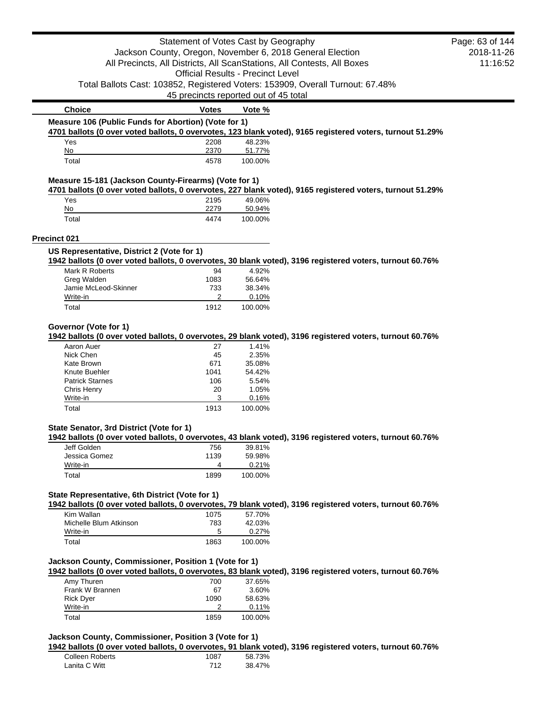|                                                                           | Statement of Votes Cast by Geography     |                   |                                                                                                           | Page: 63 of 144 |
|---------------------------------------------------------------------------|------------------------------------------|-------------------|-----------------------------------------------------------------------------------------------------------|-----------------|
|                                                                           |                                          |                   | Jackson County, Oregon, November 6, 2018 General Election                                                 | 2018-11-26      |
|                                                                           |                                          |                   | All Precincts, All Districts, All ScanStations, All Contests, All Boxes                                   | 11:16:52        |
|                                                                           | <b>Official Results - Precinct Level</b> |                   |                                                                                                           |                 |
|                                                                           |                                          |                   | Total Ballots Cast: 103852, Registered Voters: 153909, Overall Turnout: 67.48%                            |                 |
|                                                                           | 45 precincts reported out of 45 total    |                   |                                                                                                           |                 |
| <b>Choice</b>                                                             | <b>Votes</b>                             | Vote %            |                                                                                                           |                 |
| Measure 106 (Public Funds for Abortion) (Vote for 1)                      |                                          |                   |                                                                                                           |                 |
|                                                                           |                                          |                   | 4701 ballots (0 over voted ballots, 0 overvotes, 123 blank voted), 9165 registered voters, turnout 51.29% |                 |
| Yes                                                                       | 2208                                     | 48.23%            |                                                                                                           |                 |
| No<br>Total                                                               | 2370<br>4578                             | 51.77%<br>100.00% |                                                                                                           |                 |
|                                                                           |                                          |                   |                                                                                                           |                 |
| Measure 15-181 (Jackson County-Firearms) (Vote for 1)                     |                                          |                   | 4701 ballots (0 over voted ballots, 0 overvotes, 227 blank voted), 9165 registered voters, turnout 51.29% |                 |
| Yes                                                                       | 2195                                     | 49.06%            |                                                                                                           |                 |
| No                                                                        | 2279                                     | 50.94%            |                                                                                                           |                 |
| Total                                                                     | 4474                                     | 100.00%           |                                                                                                           |                 |
| Precinct 021                                                              |                                          |                   |                                                                                                           |                 |
| US Representative, District 2 (Vote for 1)                                |                                          |                   |                                                                                                           |                 |
|                                                                           |                                          |                   | 1942 ballots (0 over voted ballots, 0 overvotes, 30 blank voted), 3196 registered voters, turnout 60.76%  |                 |
| Mark R Roberts                                                            | 94                                       | 4.92%             |                                                                                                           |                 |
| Greg Walden                                                               | 1083                                     | 56.64%            |                                                                                                           |                 |
| Jamie McLeod-Skinner                                                      | 733<br>2                                 | 38.34%<br>0.10%   |                                                                                                           |                 |
| Write-in<br>Total                                                         | 1912                                     | 100.00%           |                                                                                                           |                 |
|                                                                           |                                          |                   |                                                                                                           |                 |
| Aaron Auer                                                                | 27                                       | 1.41%             | 1942 ballots (0 over voted ballots, 0 overvotes, 29 blank voted), 3196 registered voters, turnout 60.76%  |                 |
| Nick Chen<br>Kate Brown                                                   | 45<br>671                                | 2.35%<br>35.08%   |                                                                                                           |                 |
| Knute Buehler                                                             | 1041                                     | 54.42%            |                                                                                                           |                 |
| <b>Patrick Starnes</b>                                                    | 106                                      | 5.54%             |                                                                                                           |                 |
| Chris Henry                                                               | 20                                       | 1.05%             |                                                                                                           |                 |
| Governor (Vote for 1)<br>Write-in<br>Total                                | 3<br>1913                                | 0.16%<br>100.00%  |                                                                                                           |                 |
|                                                                           |                                          |                   |                                                                                                           |                 |
|                                                                           |                                          |                   | 1942 ballots (0 over voted ballots, 0 overvotes, 43 blank voted), 3196 registered voters, turnout 60.76%  |                 |
| State Senator, 3rd District (Vote for 1)<br>Jeff Golden                   | 756                                      | 39.81%            |                                                                                                           |                 |
| Jessica Gomez                                                             | 1139                                     | 59.98%            |                                                                                                           |                 |
| Write-in                                                                  | 4                                        | 0.21%             |                                                                                                           |                 |
| Total                                                                     | 1899                                     | 100.00%           |                                                                                                           |                 |
|                                                                           |                                          |                   |                                                                                                           |                 |
|                                                                           |                                          |                   | 1942 ballots (0 over voted ballots, 0 overvotes, 79 blank voted), 3196 registered voters, turnout 60.76%  |                 |
| Kim Wallan                                                                | 1075                                     | 57.70%            |                                                                                                           |                 |
| State Representative, 6th District (Vote for 1)<br>Michelle Blum Atkinson | 783<br>5                                 | 42.03%            |                                                                                                           |                 |
| Write-in<br>Total                                                         | 1863                                     | 0.27%<br>100.00%  |                                                                                                           |                 |
|                                                                           |                                          |                   |                                                                                                           |                 |
|                                                                           |                                          |                   |                                                                                                           |                 |
|                                                                           | 700                                      | 37.65%            | 1942 ballots (0 over voted ballots, 0 overvotes, 83 blank voted), 3196 registered voters, turnout 60.76%  |                 |
| Amy Thuren<br>Frank W Brannen                                             | 67                                       | 3.60%             |                                                                                                           |                 |
| <b>Rick Dyer</b>                                                          | 1090                                     | 58.63%            |                                                                                                           |                 |
| Jackson County, Commissioner, Position 1 (Vote for 1)<br>Write-in         | 2                                        | 0.11%             |                                                                                                           |                 |

Colleen Roberts 1087 58.73% Lanita C Witt 712 38.47%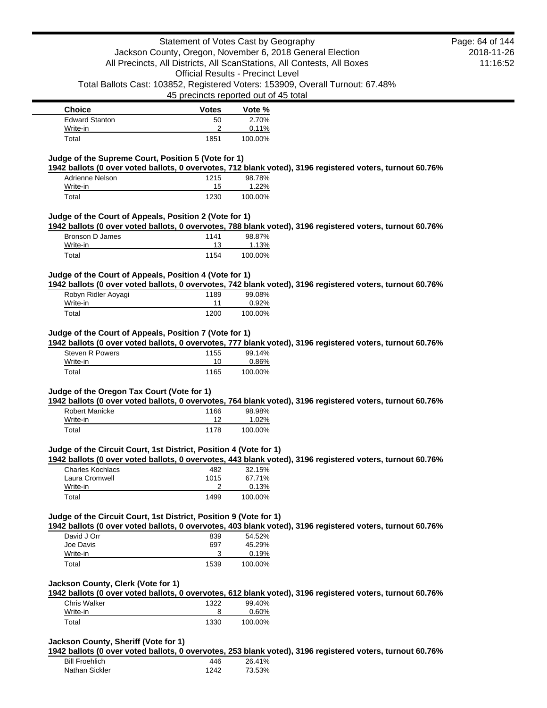| <b>Choice</b>         | <b>Votes</b> | Vote %  |
|-----------------------|--------------|---------|
| <b>Edward Stanton</b> | 50           | 2.70%   |
| Write-in              | ົ            | 0.11%   |
| Total                 | 1851         | 100.00% |

### **Judge of the Supreme Court, Position 5 (Vote for 1)**

**1942 ballots (0 over voted ballots, 0 overvotes, 712 blank voted), 3196 registered voters, turnout 60.76%**

| Adrienne Nelson | 1215 | 98.78%  |
|-----------------|------|---------|
| Write-in        | 15   | 1.22%   |
| Total           | 1230 | 100.00% |

### **Judge of the Court of Appeals, Position 2 (Vote for 1)**

**1942 ballots (0 over voted ballots, 0 overvotes, 788 blank voted), 3196 registered voters, turnout 60.76%**

| Bronson D James | 1141 | 98.87%  |
|-----------------|------|---------|
| Write-in        | 13   | 1.13%   |
| Total           | 1154 | 100.00% |

### **Judge of the Court of Appeals, Position 4 (Vote for 1)**

**1942 ballots (0 over voted ballots, 0 overvotes, 742 blank voted), 3196 registered voters, turnout 60.76%**

| Robyn Ridler Aoyagi | 1189 | 99.08%   |
|---------------------|------|----------|
| Write-in            | 11   | $0.92\%$ |
| Total               | 1200 | 100.00%  |

## **Judge of the Court of Appeals, Position 7 (Vote for 1)**

**1942 ballots (0 over voted ballots, 0 overvotes, 777 blank voted), 3196 registered voters, turnout 60.76%**

| Steven R Powers | 1155 | 99.14%  |
|-----------------|------|---------|
| Write-in        | 10   | 0.86%   |
| Total           | 1165 | 100.00% |

#### **Judge of the Oregon Tax Court (Vote for 1)**

**1942 ballots (0 over voted ballots, 0 overvotes, 764 blank voted), 3196 registered voters, turnout 60.76%**

| Robert Manicke | 1166 | 98.98%  |
|----------------|------|---------|
| Write-in       |      | 1.02%   |
| Total          | 1178 | 100.00% |

#### **Judge of the Circuit Court, 1st District, Position 4 (Vote for 1)**

**1942 ballots (0 over voted ballots, 0 overvotes, 443 blank voted), 3196 registered voters, turnout 60.76%**

| Charles Kochlacs | 482  | 32.15%  |
|------------------|------|---------|
| Laura Cromwell   | 1015 | 67.71%  |
| Write-in         |      | 0.13%   |
| Total            | 1499 | 100.00% |

### **Judge of the Circuit Court, 1st District, Position 9 (Vote for 1)**

**1942 ballots (0 over voted ballots, 0 overvotes, 403 blank voted), 3196 registered voters, turnout 60.76%**

| David J Orr | 839  | 54.52%  |
|-------------|------|---------|
| Joe Davis   | 697  | 45.29%  |
| Write-in    |      | 0.19%   |
| Total       | 1539 | 100.00% |

#### **Jackson County, Clerk (Vote for 1)**

**1942 ballots (0 over voted ballots, 0 overvotes, 612 blank voted), 3196 registered voters, turnout 60.76%**

| Chris Walker | 1322 | 99.40%   |
|--------------|------|----------|
| Write-in     |      | $0.60\%$ |
| Total        | 1330 | 100.00%  |

### **Jackson County, Sheriff (Vote for 1)**

**1942 ballots (0 over voted ballots, 0 overvotes, 253 blank voted), 3196 registered voters, turnout 60.76%**

| <b>Bill Froehlich</b> | 446  | 26.41% |
|-----------------------|------|--------|
| Nathan Sickler        | 1242 | 73.53% |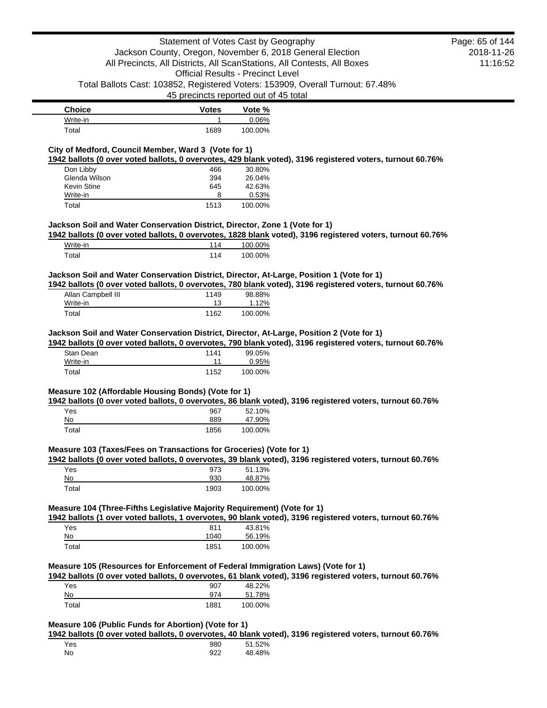| <b>Choice</b> | <b>Votes</b> | Vote %  |
|---------------|--------------|---------|
| Write-in      |              | 0.06%   |
| Total         | 1689         | 100.00% |

## **City of Medford, Council Member, Ward 3 (Vote for 1)**

**1942 ballots (0 over voted ballots, 0 overvotes, 429 blank voted), 3196 registered voters, turnout 60.76%**

| Don Libby     | 466  | 30.80%  |
|---------------|------|---------|
| Glenda Wilson | 394  | 26.04%  |
| Kevin Stine   | 645  | 42.63%  |
| Write-in      | 8    | 0.53%   |
| Total         | 1513 | 100.00% |

## **Jackson Soil and Water Conservation District, Director, Zone 1 (Vote for 1)**

**1942 ballots (0 over voted ballots, 0 overvotes, 1828 blank voted), 3196 registered voters, turnout 60.76%**

| Write-in          | 100.00% |
|-------------------|---------|
| <sup>-</sup> otal | 100.00% |

## **Jackson Soil and Water Conservation District, Director, At-Large, Position 1 (Vote for 1)**

**1942 ballots (0 over voted ballots, 0 overvotes, 780 blank voted), 3196 registered voters, turnout 60.76%**

| Allan Campbell III | 1149 | 98.88%  |
|--------------------|------|---------|
| Write-in           | 13   | 1.12%   |
| Total              | 1162 | 100.00% |

### **Jackson Soil and Water Conservation District, Director, At-Large, Position 2 (Vote for 1)**

**1942 ballots (0 over voted ballots, 0 overvotes, 790 blank voted), 3196 registered voters, turnout 60.76%**

| Stan Dean | 1141 | 99.05%  |
|-----------|------|---------|
| Write-in  | 11   | 0.95%   |
| Total     | 1152 | 100.00% |

### **Measure 102 (Affordable Housing Bonds) (Vote for 1)**

**1942 ballots (0 over voted ballots, 0 overvotes, 86 blank voted), 3196 registered voters, turnout 60.76%**

| Yes   | 967  | 52.10%  |
|-------|------|---------|
| No    | 889  | 47.90%  |
| Total | 1856 | 100.00% |

### **Measure 103 (Taxes/Fees on Transactions for Groceries) (Vote for 1)**

**1942 ballots (0 over voted ballots, 0 overvotes, 39 blank voted), 3196 registered voters, turnout 60.76%**

| Yes   | 973  | 51.13%  |
|-------|------|---------|
| No    | 930  | 48.87%  |
| Total | 1903 | 100.00% |

## **Measure 104 (Three-Fifths Legislative Majority Requirement) (Vote for 1)**

**1942 ballots (1 over voted ballots, 1 overvotes, 90 blank voted), 3196 registered voters, turnout 60.76%**

| Yes   | 811  | 43.81%  |
|-------|------|---------|
| No    | 1040 | 56.19%  |
| Total | 1851 | 100.00% |

## **Measure 105 (Resources for Enforcement of Federal Immigration Laws) (Vote for 1)**

**1942 ballots (0 over voted ballots, 0 overvotes, 61 blank voted), 3196 registered voters, turnout 60.76%**

| Yes   | 907  | 48.22%  |
|-------|------|---------|
| No    | 974  | 51.78%  |
| Total | 1881 | 100.00% |

## **Measure 106 (Public Funds for Abortion) (Vote for 1)**

**1942 ballots (0 over voted ballots, 0 overvotes, 40 blank voted), 3196 registered voters, turnout 60.76%**

| Yes | 980 | 51.52% |
|-----|-----|--------|
| No  | 922 | 48.48% |

2018-11-26 11:16:52 Page: 65 of 144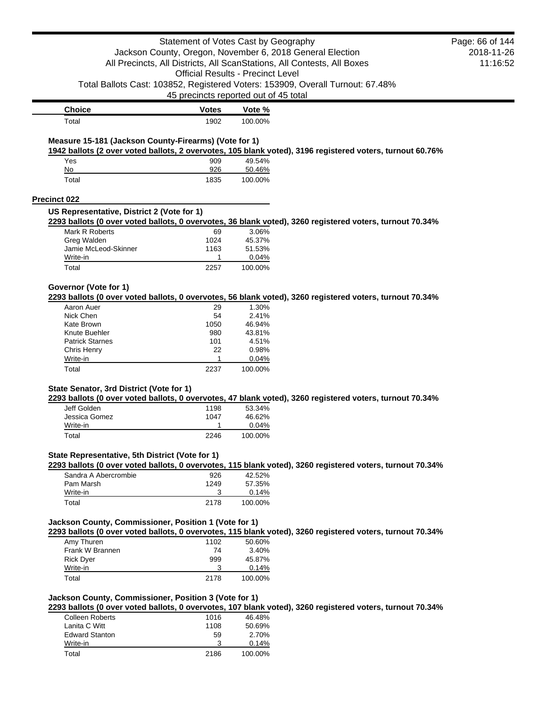|                                                       | Statement of Votes Cast by Geography     |                  |                                                                                                           | Page: 66 of 144 |
|-------------------------------------------------------|------------------------------------------|------------------|-----------------------------------------------------------------------------------------------------------|-----------------|
|                                                       |                                          |                  | Jackson County, Oregon, November 6, 2018 General Election                                                 | 2018-11-26      |
|                                                       |                                          |                  | All Precincts, All Districts, All ScanStations, All Contests, All Boxes                                   | 11:16:52        |
|                                                       | <b>Official Results - Precinct Level</b> |                  |                                                                                                           |                 |
|                                                       | 45 precincts reported out of 45 total    |                  | Total Ballots Cast: 103852, Registered Voters: 153909, Overall Turnout: 67.48%                            |                 |
| <b>Choice</b>                                         | <b>Votes</b>                             | Vote %           |                                                                                                           |                 |
| Total                                                 | 1902                                     | 100.00%          |                                                                                                           |                 |
| Measure 15-181 (Jackson County-Firearms) (Vote for 1) |                                          |                  | 1942 ballots (2 over voted ballots, 2 overvotes, 105 blank voted), 3196 registered voters, turnout 60.76% |                 |
| Yes                                                   | 909                                      | 49.54%           |                                                                                                           |                 |
| No                                                    | 926                                      | 50.46%           |                                                                                                           |                 |
| Total                                                 | 1835                                     | 100.00%          |                                                                                                           |                 |
| <b>Precinct 022</b>                                   |                                          |                  |                                                                                                           |                 |
| US Representative, District 2 (Vote for 1)            |                                          |                  | 2293 ballots (0 over voted ballots, 0 overvotes, 36 blank voted), 3260 registered voters, turnout 70.34%  |                 |
| Mark R Roberts                                        | 69                                       | 3.06%            |                                                                                                           |                 |
| Greg Walden                                           | 1024                                     | 45.37%           |                                                                                                           |                 |
| Jamie McLeod-Skinner<br>Write-in                      | 1163<br>1                                | 51.53%<br>0.04%  |                                                                                                           |                 |
| Total                                                 | 2257                                     | 100.00%          |                                                                                                           |                 |
|                                                       |                                          |                  |                                                                                                           |                 |
| Governor (Vote for 1)                                 |                                          |                  | 2293 ballots (0 over voted ballots, 0 overvotes, 56 blank voted), 3260 registered voters, turnout 70.34%  |                 |
| Aaron Auer                                            | 29                                       | 1.30%            |                                                                                                           |                 |
| Nick Chen                                             | 54                                       | 2.41%            |                                                                                                           |                 |
| Kate Brown<br>Knute Buehler                           | 1050<br>980                              | 46.94%<br>43.81% |                                                                                                           |                 |
| <b>Patrick Starnes</b>                                | 101                                      | 4.51%            |                                                                                                           |                 |
| Chris Henry                                           | 22                                       | 0.98%            |                                                                                                           |                 |
| Write-in                                              | 1                                        | 0.04%            |                                                                                                           |                 |
| Total                                                 | 2237                                     | 100.00%          |                                                                                                           |                 |
| State Senator, 3rd District (Vote for 1)              |                                          |                  |                                                                                                           |                 |
|                                                       |                                          |                  | 2293 ballots (0 over voted ballots, 0 overvotes, 47 blank voted), 3260 registered voters, turnout 70.34%  |                 |
| Jeff Golden                                           | 1198                                     | 53.34%           |                                                                                                           |                 |
| Jessica Gomez                                         | 1047                                     | 46.62%           |                                                                                                           |                 |
| Write-in<br>Total                                     | 1<br>2246                                | 0.04%<br>100.00% |                                                                                                           |                 |
|                                                       |                                          |                  |                                                                                                           |                 |
| State Representative, 5th District (Vote for 1)       |                                          |                  | 2293 ballots (0 over voted ballots, 0 overvotes, 115 blank voted), 3260 registered voters, turnout 70.34% |                 |
| Sandra A Abercrombie                                  | 926                                      | 42.52%           |                                                                                                           |                 |
| Pam Marsh                                             | 1249                                     | 57.35%           |                                                                                                           |                 |
| Write-in                                              | 3                                        | 0.14%            |                                                                                                           |                 |
| Total                                                 | 2178                                     | 100.00%          |                                                                                                           |                 |
| Jackson County, Commissioner, Position 1 (Vote for 1) |                                          |                  |                                                                                                           |                 |
| Amy Thuren                                            | 1102                                     | 50.60%           | 2293 ballots (0 over voted ballots, 0 overvotes, 115 blank voted), 3260 registered voters, turnout 70.34% |                 |
| Frank W Brannen                                       | 74                                       | 3.40%            |                                                                                                           |                 |
| <b>Rick Dyer</b>                                      | 999                                      | 45.87%           |                                                                                                           |                 |
| Write-in                                              | 3                                        | 0.14%            |                                                                                                           |                 |
| Total                                                 | 2178                                     | 100.00%          |                                                                                                           |                 |
| Jackson County, Commissioner, Position 3 (Vote for 1) |                                          |                  |                                                                                                           |                 |
|                                                       |                                          |                  | 2293 ballots (0 over voted ballots, 0 overvotes, 107 blank voted), 3260 registered voters, turnout 70.34% |                 |
| <b>Colleen Roberts</b>                                | 1016                                     | 46.48%           |                                                                                                           |                 |
| Lanita C Witt                                         | 1108                                     | 50.69%           |                                                                                                           |                 |
| <b>Edward Stanton</b>                                 | 59<br>3                                  | 2.70%            |                                                                                                           |                 |
| Write-in                                              |                                          | 0.14%            |                                                                                                           |                 |

Total 2186 100.00%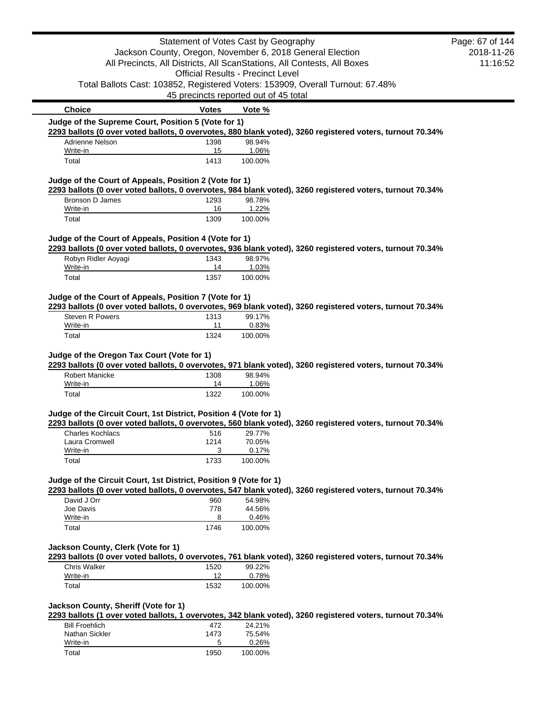|                                                                      | Statement of Votes Cast by Geography                      |                  |                                                                                                           | Page: 67 of 144        |
|----------------------------------------------------------------------|-----------------------------------------------------------|------------------|-----------------------------------------------------------------------------------------------------------|------------------------|
|                                                                      | Jackson County, Oregon, November 6, 2018 General Election |                  | All Precincts, All Districts, All ScanStations, All Contests, All Boxes                                   | 2018-11-26<br>11:16:52 |
|                                                                      | <b>Official Results - Precinct Level</b>                  |                  | Total Ballots Cast: 103852, Registered Voters: 153909, Overall Turnout: 67.48%                            |                        |
|                                                                      | 45 precincts reported out of 45 total                     |                  |                                                                                                           |                        |
| <b>Choice</b><br>Judge of the Supreme Court, Position 5 (Vote for 1) | <b>Votes</b>                                              | Vote %           |                                                                                                           |                        |
|                                                                      |                                                           |                  | 2293 ballots (0 over voted ballots, 0 overvotes, 880 blank voted), 3260 registered voters, turnout 70.34% |                        |
| Adrienne Nelson                                                      | 1398                                                      | 98.94%           |                                                                                                           |                        |
| Write-in                                                             | 15                                                        | 1.06%            |                                                                                                           |                        |
| Total                                                                | 1413                                                      | 100.00%          |                                                                                                           |                        |
| Judge of the Court of Appeals, Position 2 (Vote for 1)               |                                                           |                  | 2293 ballots (0 over voted ballots, 0 overvotes, 984 blank voted), 3260 registered voters, turnout 70.34% |                        |
| Bronson D James                                                      | 1293                                                      | 98.78%           |                                                                                                           |                        |
| Write-in<br>Total                                                    | 16<br>1309                                                | 1.22%<br>100.00% |                                                                                                           |                        |
|                                                                      |                                                           |                  |                                                                                                           |                        |
| Judge of the Court of Appeals, Position 4 (Vote for 1)               |                                                           |                  | 2293 ballots (0 over voted ballots, 0 overvotes, 936 blank voted), 3260 registered voters, turnout 70.34% |                        |
| Robyn Ridler Aoyagi                                                  | 1343                                                      | 98.97%           |                                                                                                           |                        |
| Write-in<br>Total                                                    | 14<br>1357                                                | 1.03%<br>100.00% |                                                                                                           |                        |
|                                                                      |                                                           |                  |                                                                                                           |                        |
| Judge of the Court of Appeals, Position 7 (Vote for 1)               |                                                           |                  | 2293 ballots (0 over voted ballots, 0 overvotes, 969 blank voted), 3260 registered voters, turnout 70.34% |                        |
| Steven R Powers                                                      | 1313                                                      | 99.17%           |                                                                                                           |                        |
| Write-in<br>Total                                                    | 11<br>1324                                                | 0.83%<br>100.00% |                                                                                                           |                        |
| Judge of the Oregon Tax Court (Vote for 1)<br><b>Robert Manicke</b>  | 1308                                                      | 98.94%           | 2293 ballots (0 over voted ballots, 0 overvotes, 971 blank voted), 3260 registered voters, turnout 70.34% |                        |
| Write-in                                                             | 14                                                        | 1.06%            |                                                                                                           |                        |
| Total                                                                | 1322                                                      | 100.00%          |                                                                                                           |                        |
| Judge of the Circuit Court, 1st District, Position 4 (Vote for 1)    |                                                           |                  | 2293 ballots (0 over voted ballots, 0 overvotes, 560 blank voted), 3260 registered voters, turnout 70.34% |                        |
|                                                                      |                                                           |                  |                                                                                                           |                        |
| <b>Charles Kochlacs</b>                                              | 516                                                       | 29.77%           |                                                                                                           |                        |
| Laura Cromwell                                                       | 1214                                                      | 70.05%           |                                                                                                           |                        |
| Write-in                                                             | 3                                                         | 0.17%            |                                                                                                           |                        |
| Total                                                                | 1733                                                      | 100.00%          |                                                                                                           |                        |
| Judge of the Circuit Court, 1st District, Position 9 (Vote for 1)    |                                                           |                  | 2293 ballots (0 over voted ballots, 0 overvotes, 547 blank voted), 3260 registered voters, turnout 70.34% |                        |
| David J Orr                                                          | 960                                                       | 54.98%           |                                                                                                           |                        |
| Joe Davis                                                            | 778                                                       | 44.56%           |                                                                                                           |                        |
| Write-in<br>Total                                                    | 8<br>1746                                                 | 0.46%<br>100.00% |                                                                                                           |                        |
| Jackson County, Clerk (Vote for 1)                                   |                                                           |                  |                                                                                                           |                        |
|                                                                      |                                                           |                  | 2293 ballots (0 over voted ballots, 0 overvotes, 761 blank voted), 3260 registered voters, turnout 70.34% |                        |
| Chris Walker                                                         | 1520                                                      | 99.22%           |                                                                                                           |                        |
| Write-in<br>Total                                                    | 12<br>1532                                                | 0.78%<br>100.00% |                                                                                                           |                        |
| Jackson County, Sheriff (Vote for 1)                                 |                                                           |                  |                                                                                                           |                        |
|                                                                      |                                                           |                  | 2293 ballots (1 over voted ballots, 1 overvotes, 342 blank voted), 3260 registered voters, turnout 70.34% |                        |
| <b>Bill Froehlich</b>                                                | 472                                                       | 24.21%           |                                                                                                           |                        |
| Nathan Sickler<br>Write-in                                           | 1473<br>5                                                 | 75.54%<br>0.26%  |                                                                                                           |                        |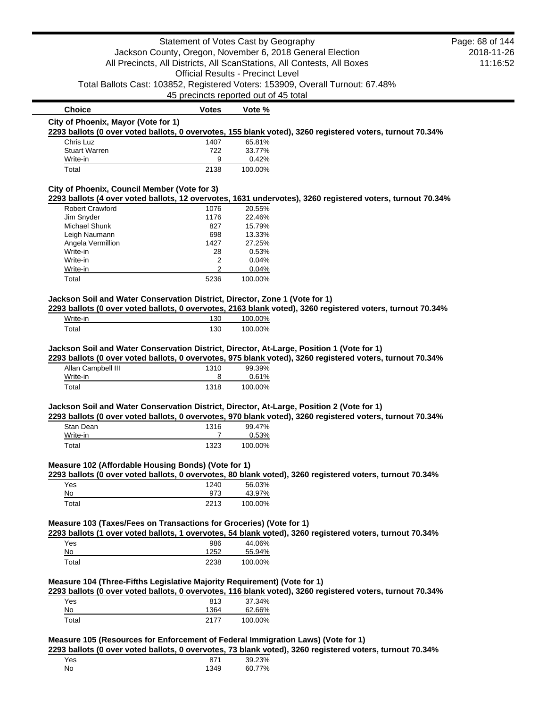|                                                                                           | Statement of Votes Cast by Geography                      |                                          |                                                                                                            | Page: 68 of 144 |
|-------------------------------------------------------------------------------------------|-----------------------------------------------------------|------------------------------------------|------------------------------------------------------------------------------------------------------------|-----------------|
|                                                                                           | Jackson County, Oregon, November 6, 2018 General Election |                                          |                                                                                                            | 2018-11-26      |
|                                                                                           |                                                           |                                          | All Precincts, All Districts, All ScanStations, All Contests, All Boxes                                    | 11:16:52        |
|                                                                                           |                                                           | <b>Official Results - Precinct Level</b> |                                                                                                            |                 |
|                                                                                           |                                                           |                                          | Total Ballots Cast: 103852, Registered Voters: 153909, Overall Turnout: 67.48%                             |                 |
|                                                                                           | 45 precincts reported out of 45 total                     |                                          |                                                                                                            |                 |
| <b>Choice</b>                                                                             | <b>Votes</b>                                              | Vote %                                   |                                                                                                            |                 |
| City of Phoenix, Mayor (Vote for 1)                                                       |                                                           |                                          |                                                                                                            |                 |
|                                                                                           |                                                           |                                          | 2293 ballots (0 over voted ballots, 0 overvotes, 155 blank voted), 3260 registered voters, turnout 70.34%  |                 |
| Chris Luz                                                                                 | 1407                                                      | 65.81%                                   |                                                                                                            |                 |
| <b>Stuart Warren</b>                                                                      | 722                                                       | 33.77%                                   |                                                                                                            |                 |
| Write-in                                                                                  | 9                                                         | 0.42%                                    |                                                                                                            |                 |
| Total                                                                                     | 2138                                                      | 100.00%                                  |                                                                                                            |                 |
| City of Phoenix, Council Member (Vote for 3)                                              |                                                           |                                          |                                                                                                            |                 |
|                                                                                           |                                                           |                                          | 2293 ballots (4 over voted ballots, 12 overvotes, 1631 undervotes), 3260 registered voters, turnout 70.34% |                 |
| <b>Robert Crawford</b>                                                                    | 1076                                                      | 20.55%                                   |                                                                                                            |                 |
| Jim Snyder                                                                                | 1176                                                      | 22.46%                                   |                                                                                                            |                 |
| Michael Shunk                                                                             | 827                                                       | 15.79%                                   |                                                                                                            |                 |
| Leigh Naumann                                                                             | 698<br>1427                                               | 13.33%<br>27.25%                         |                                                                                                            |                 |
| Angela Vermillion<br>Write-in                                                             | 28                                                        | 0.53%                                    |                                                                                                            |                 |
| Write-in                                                                                  | 2                                                         | 0.04%                                    |                                                                                                            |                 |
| Write-in                                                                                  | 2                                                         | 0.04%                                    |                                                                                                            |                 |
| Total                                                                                     | 5236                                                      | 100.00%                                  |                                                                                                            |                 |
|                                                                                           |                                                           |                                          |                                                                                                            |                 |
| Jackson Soil and Water Conservation District, Director, Zone 1 (Vote for 1)               |                                                           |                                          |                                                                                                            |                 |
|                                                                                           |                                                           |                                          | 2293 ballots (0 over voted ballots, 0 overvotes, 2163 blank voted), 3260 registered voters, turnout 70.34% |                 |
| Write-in<br>Total                                                                         | 130<br>130                                                | 100.00%<br>100.00%                       |                                                                                                            |                 |
|                                                                                           |                                                           |                                          |                                                                                                            |                 |
| Jackson Soil and Water Conservation District, Director, At-Large, Position 1 (Vote for 1) |                                                           |                                          |                                                                                                            |                 |
|                                                                                           |                                                           |                                          | 2293 ballots (0 over voted ballots, 0 overvotes, 975 blank voted), 3260 registered voters, turnout 70.34%  |                 |
| Allan Campbell III                                                                        | 1310                                                      | 99.39%                                   |                                                                                                            |                 |
| Write-in<br>Total                                                                         | 8                                                         | 0.61%                                    |                                                                                                            |                 |
|                                                                                           | 1318                                                      | 100.00%                                  |                                                                                                            |                 |
| Jackson Soil and Water Conservation District, Director, At-Large, Position 2 (Vote for 1) |                                                           |                                          |                                                                                                            |                 |
|                                                                                           |                                                           |                                          | 2293 ballots (0 over voted ballots, 0 overvotes, 970 blank voted), 3260 registered voters, turnout 70.34%  |                 |
| Stan Dean                                                                                 | 1316                                                      | 99.47%                                   |                                                                                                            |                 |
| Write-in                                                                                  | 7                                                         | 0.53%                                    |                                                                                                            |                 |
| Total                                                                                     | 1323                                                      | 100.00%                                  |                                                                                                            |                 |
| Measure 102 (Affordable Housing Bonds) (Vote for 1)                                       |                                                           |                                          |                                                                                                            |                 |
|                                                                                           |                                                           |                                          | 2293 ballots (0 over voted ballots, 0 overvotes, 80 blank voted), 3260 registered voters, turnout 70.34%   |                 |
| Yes                                                                                       | 1240                                                      | 56.03%                                   |                                                                                                            |                 |
| No                                                                                        | 973                                                       | 43.97%                                   |                                                                                                            |                 |
| Total                                                                                     | 2213                                                      | 100.00%                                  |                                                                                                            |                 |
| Measure 103 (Taxes/Fees on Transactions for Groceries) (Vote for 1)                       |                                                           |                                          |                                                                                                            |                 |
|                                                                                           |                                                           |                                          | 2293 ballots (1 over voted ballots, 1 overvotes, 54 blank voted), 3260 registered voters, turnout 70.34%   |                 |
| Yes                                                                                       | 986                                                       | 44.06%                                   |                                                                                                            |                 |
| No                                                                                        | 1252                                                      | 55.94%                                   |                                                                                                            |                 |
| Total                                                                                     | 2238                                                      | 100.00%                                  |                                                                                                            |                 |
|                                                                                           |                                                           |                                          |                                                                                                            |                 |
| Measure 104 (Three-Fifths Legislative Majority Requirement) (Vote for 1)                  |                                                           |                                          |                                                                                                            |                 |
|                                                                                           |                                                           |                                          | 2293 ballots (0 over voted ballots, 0 overvotes, 116 blank voted), 3260 registered voters, turnout 70.34%  |                 |
| Yes                                                                                       | 813                                                       | 37.34%                                   |                                                                                                            |                 |
| No                                                                                        | 1364                                                      | 62.66%                                   |                                                                                                            |                 |
| Total                                                                                     | 2177                                                      | 100.00%                                  |                                                                                                            |                 |
|                                                                                           |                                                           |                                          |                                                                                                            |                 |
| Measure 105 (Resources for Enforcement of Federal Immigration Laws) (Vote for 1)          |                                                           |                                          | 2293 ballots (0 over voted ballots, 0 overvotes, 73 blank voted), 3260 registered voters, turnout 70.34%   |                 |
| Yes                                                                                       | 871                                                       | 39.23%                                   |                                                                                                            |                 |
| No                                                                                        | 1349                                                      | 60.77%                                   |                                                                                                            |                 |
|                                                                                           |                                                           |                                          |                                                                                                            |                 |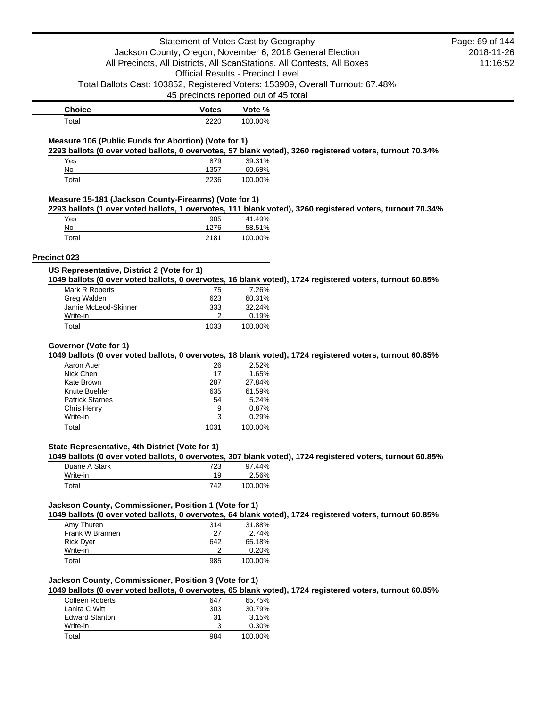| Statement of Votes Cast by Geography                  | Page: 69 of 144 |                                                                                                                   |            |
|-------------------------------------------------------|-----------------|-------------------------------------------------------------------------------------------------------------------|------------|
|                                                       |                 | Jackson County, Oregon, November 6, 2018 General Election                                                         | 2018-11-26 |
|                                                       |                 | All Precincts, All Districts, All ScanStations, All Contests, All Boxes                                           | 11:16:52   |
|                                                       |                 | <b>Official Results - Precinct Level</b>                                                                          |            |
|                                                       |                 | Total Ballots Cast: 103852, Registered Voters: 153909, Overall Turnout: 67.48%                                    |            |
|                                                       |                 | 45 precincts reported out of 45 total                                                                             |            |
| <b>Choice</b>                                         | <b>Votes</b>    | Vote %                                                                                                            |            |
| Total                                                 | 2220            | 100.00%                                                                                                           |            |
|                                                       |                 |                                                                                                                   |            |
| Measure 106 (Public Funds for Abortion) (Vote for 1)  |                 | 2293 ballots (0 over voted ballots, 0 overvotes, 57 blank voted), 3260 registered voters, turnout 70.34%          |            |
| Yes                                                   | 879             | 39.31%                                                                                                            |            |
| No                                                    | 1357            | 60.69%                                                                                                            |            |
| Total                                                 | 2236            | 100.00%                                                                                                           |            |
| Measure 15-181 (Jackson County-Firearms) (Vote for 1) |                 |                                                                                                                   |            |
|                                                       |                 | 2293 ballots (1 over voted ballots, 1 overvotes, 111 blank voted), 3260 registered voters, turnout 70.34%         |            |
| Yes                                                   | 905             | 41.49%                                                                                                            |            |
| No                                                    | 1276            | 58.51%                                                                                                            |            |
| Total                                                 | 2181            | 100.00%                                                                                                           |            |
| <b>Precinct 023</b>                                   |                 |                                                                                                                   |            |
| US Representative, District 2 (Vote for 1)            |                 |                                                                                                                   |            |
|                                                       |                 | 1049 ballots (0 over voted ballots, 0 overvotes, 16 blank voted), 1724 registered voters, turnout 60.85%          |            |
| Mark R Roberts                                        | 75              | 7.26%                                                                                                             |            |
| Greg Walden                                           | 623             | 60.31%                                                                                                            |            |
| Jamie McLeod-Skinner<br>Write-in                      | 333<br>2        | 32.24%<br>0.19%                                                                                                   |            |
| Total                                                 | 1033            | 100.00%                                                                                                           |            |
|                                                       |                 |                                                                                                                   |            |
|                                                       |                 |                                                                                                                   |            |
| Governor (Vote for 1)                                 |                 |                                                                                                                   |            |
| Aaron Auer                                            | 26              | 1049 ballots (0 over voted ballots, 0 overvotes, 18 blank voted), 1724 registered voters, turnout 60.85%<br>2.52% |            |
| Nick Chen                                             | 17              | 1.65%                                                                                                             |            |
| Kate Brown                                            | 287             | 27.84%                                                                                                            |            |
| Knute Buehler                                         | 635             | 61.59%                                                                                                            |            |
| <b>Patrick Starnes</b>                                | 54              | 5.24%                                                                                                             |            |
| Chris Henry                                           | 9               | 0.87%                                                                                                             |            |
| Write-in                                              | 3               | 0.29%                                                                                                             |            |
| Total                                                 | 1031            | 100.00%                                                                                                           |            |
| State Representative, 4th District (Vote for 1)       |                 |                                                                                                                   |            |
|                                                       |                 | 1049 ballots (0 over voted ballots, 0 overvotes, 307 blank voted), 1724 registered voters, turnout 60.85%         |            |
| Duane A Stark                                         | 723             | 97.44%                                                                                                            |            |
| Write-in<br>Total                                     | 19<br>742       | 2.56%<br>100.00%                                                                                                  |            |
|                                                       |                 |                                                                                                                   |            |
| Jackson County, Commissioner, Position 1 (Vote for 1) |                 |                                                                                                                   |            |
|                                                       |                 | 1049 ballots (0 over voted ballots, 0 overvotes, 64 blank voted), 1724 registered voters, turnout 60.85%          |            |
| Amy Thuren                                            | 314             | 31.88%                                                                                                            |            |
| Frank W Brannen                                       | 27              | 2.74%                                                                                                             |            |
| <b>Rick Dyer</b>                                      | 642             | 65.18%                                                                                                            |            |
| Write-in<br>Total                                     | 2<br>985        | 0.20%<br>100.00%                                                                                                  |            |
|                                                       |                 |                                                                                                                   |            |
| Jackson County, Commissioner, Position 3 (Vote for 1) |                 | 1049 ballots (0 over voted ballots, 0 overvotes, 65 blank voted), 1724 registered voters, turnout 60.85%          |            |
| <b>Colleen Roberts</b>                                | 647             | 65.75%                                                                                                            |            |
| Lanita C Witt                                         | 303             | 30.79%                                                                                                            |            |
| <b>Edward Stanton</b>                                 | 31              | 3.15%                                                                                                             |            |
| Write-in                                              | 3               | 0.30%                                                                                                             |            |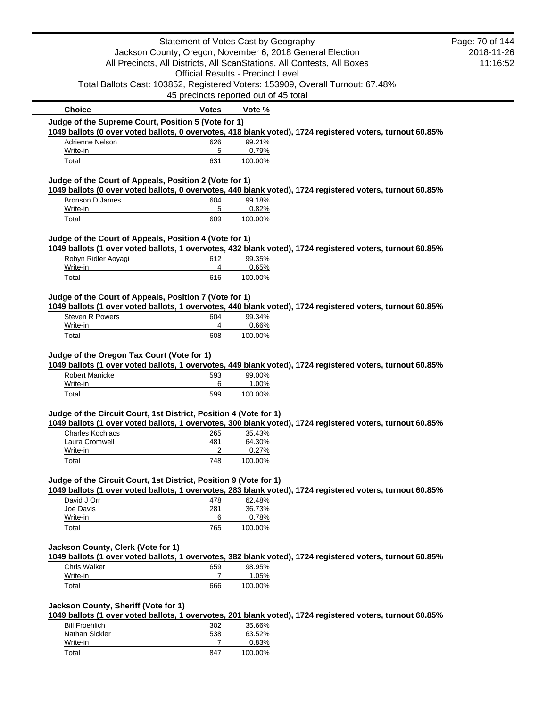|                                                                            | Statement of Votes Cast by Geography     |                  |                                                                                                                                      | Page: 70 of 144        |
|----------------------------------------------------------------------------|------------------------------------------|------------------|--------------------------------------------------------------------------------------------------------------------------------------|------------------------|
|                                                                            |                                          |                  | Jackson County, Oregon, November 6, 2018 General Election<br>All Precincts, All Districts, All ScanStations, All Contests, All Boxes | 2018-11-26<br>11:16:52 |
|                                                                            | <b>Official Results - Precinct Level</b> |                  |                                                                                                                                      |                        |
|                                                                            |                                          |                  | Total Ballots Cast: 103852, Registered Voters: 153909, Overall Turnout: 67.48%                                                       |                        |
|                                                                            | 45 precincts reported out of 45 total    |                  |                                                                                                                                      |                        |
| <b>Choice</b>                                                              | <b>Votes</b>                             | Vote %           |                                                                                                                                      |                        |
| Judge of the Supreme Court, Position 5 (Vote for 1)                        |                                          |                  |                                                                                                                                      |                        |
|                                                                            |                                          |                  | 1049 ballots (0 over voted ballots, 0 overvotes, 418 blank voted), 1724 registered voters, turnout 60.85%                            |                        |
| Adrienne Nelson                                                            | 626                                      | 99.21%           |                                                                                                                                      |                        |
| Write-in<br>Total                                                          | 5<br>631                                 | 0.79%<br>100.00% |                                                                                                                                      |                        |
|                                                                            |                                          |                  |                                                                                                                                      |                        |
| Judge of the Court of Appeals, Position 2 (Vote for 1)                     |                                          |                  | 1049 ballots (0 over voted ballots, 0 overvotes, 440 blank voted), 1724 registered voters, turnout 60.85%                            |                        |
| <b>Bronson D James</b>                                                     | 604                                      | 99.18%           |                                                                                                                                      |                        |
| Write-in<br>Total                                                          | 5<br>609                                 | 0.82%<br>100.00% |                                                                                                                                      |                        |
|                                                                            |                                          |                  |                                                                                                                                      |                        |
| Judge of the Court of Appeals, Position 4 (Vote for 1)                     |                                          |                  | 1049 ballots (1 over voted ballots, 1 overvotes, 432 blank voted), 1724 registered voters, turnout 60.85%                            |                        |
| Robyn Ridler Aoyagi                                                        | 612                                      | 99.35%           |                                                                                                                                      |                        |
| Write-in                                                                   | 4                                        | 0.65%            |                                                                                                                                      |                        |
| Total                                                                      | 616                                      | 100.00%          |                                                                                                                                      |                        |
|                                                                            |                                          |                  |                                                                                                                                      |                        |
| Judge of the Court of Appeals, Position 7 (Vote for 1)                     |                                          |                  | 1049 ballots (1 over voted ballots, 1 overvotes, 440 blank voted), 1724 registered voters, turnout 60.85%                            |                        |
| <b>Steven R Powers</b>                                                     | 604                                      | 99.34%           |                                                                                                                                      |                        |
| Write-in                                                                   | 4                                        | 0.66%            |                                                                                                                                      |                        |
| Total                                                                      | 608                                      | 100.00%          |                                                                                                                                      |                        |
| Judge of the Oregon Tax Court (Vote for 1)                                 |                                          |                  |                                                                                                                                      |                        |
| <b>Robert Manicke</b>                                                      | 593                                      | 99.00%           | 1049 ballots (1 over voted ballots, 1 overvotes, 449 blank voted), 1724 registered voters, turnout 60.85%                            |                        |
| Write-in                                                                   | 6                                        | 1.00%            |                                                                                                                                      |                        |
| Total                                                                      | 599                                      | 100.00%          |                                                                                                                                      |                        |
| Judge of the Circuit Court, 1st District, Position 4 (Vote for 1)          |                                          |                  |                                                                                                                                      |                        |
|                                                                            |                                          |                  | 1049 ballots (1 over voted ballots, 1 overvotes, 300 blank voted), 1724 registered voters, turnout 60.85%                            |                        |
| Charles Kochlacs                                                           | 265                                      | 35.43%           |                                                                                                                                      |                        |
| Laura Cromwell                                                             | 481                                      | 64.30%           |                                                                                                                                      |                        |
| Write-in                                                                   | 2                                        | 0.27%            |                                                                                                                                      |                        |
| Total                                                                      | 748                                      | 100.00%          |                                                                                                                                      |                        |
| Judge of the Circuit Court, 1st District, Position 9 (Vote for 1)          |                                          |                  |                                                                                                                                      |                        |
|                                                                            |                                          |                  | 1049 ballots (1 over voted ballots, 1 overvotes, 283 blank voted), 1724 registered voters, turnout 60.85%                            |                        |
| David J Orr                                                                | 478                                      | 62.48%           |                                                                                                                                      |                        |
| Joe Davis<br>Write-in                                                      | 281<br>6                                 | 36.73%<br>0.78%  |                                                                                                                                      |                        |
| Total                                                                      | 765                                      | 100.00%          |                                                                                                                                      |                        |
|                                                                            |                                          |                  |                                                                                                                                      |                        |
|                                                                            |                                          |                  |                                                                                                                                      |                        |
|                                                                            |                                          |                  | 1049 ballots (1 over voted ballots, 1 overvotes, 382 blank voted), 1724 registered voters, turnout 60.85%                            |                        |
| <b>Chris Walker</b>                                                        | 659                                      | 98.95%           |                                                                                                                                      |                        |
| Write-in<br>Total                                                          | 7<br>666                                 | 1.05%<br>100.00% |                                                                                                                                      |                        |
|                                                                            |                                          |                  |                                                                                                                                      |                        |
| Jackson County, Clerk (Vote for 1)<br>Jackson County, Sheriff (Vote for 1) |                                          |                  |                                                                                                                                      |                        |
| <b>Bill Froehlich</b>                                                      | 302                                      | 35.66%           | 1049 ballots (1 over voted ballots, 1 overvotes, 201 blank voted), 1724 registered voters, turnout 60.85%                            |                        |
| Nathan Sickler                                                             | 538                                      | 63.52%           |                                                                                                                                      |                        |
| Write-in                                                                   | 7                                        | 0.83%            |                                                                                                                                      |                        |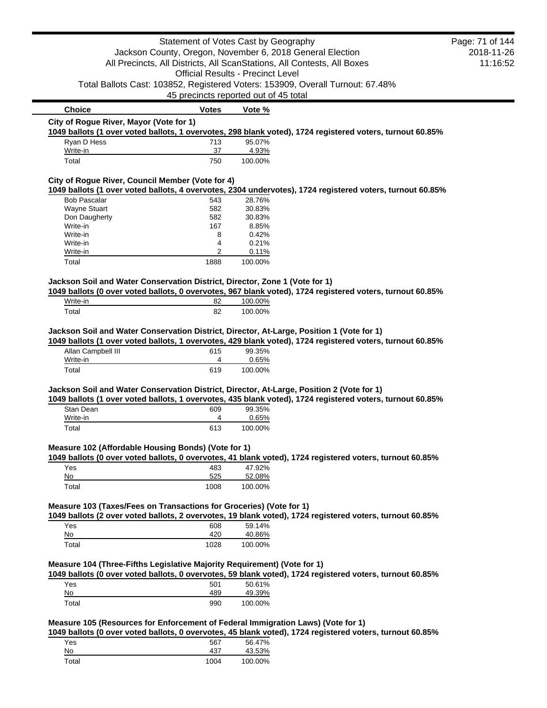|                                                                                                                                   | Statement of Votes Cast by Geography     |                   |                                                                                                                                                                                                        | Page: 71 of 144 |
|-----------------------------------------------------------------------------------------------------------------------------------|------------------------------------------|-------------------|--------------------------------------------------------------------------------------------------------------------------------------------------------------------------------------------------------|-----------------|
|                                                                                                                                   |                                          |                   | Jackson County, Oregon, November 6, 2018 General Election                                                                                                                                              | 2018-11-26      |
|                                                                                                                                   |                                          |                   | All Precincts, All Districts, All ScanStations, All Contests, All Boxes                                                                                                                                | 11:16:52        |
|                                                                                                                                   | <b>Official Results - Precinct Level</b> |                   |                                                                                                                                                                                                        |                 |
|                                                                                                                                   |                                          |                   | Total Ballots Cast: 103852, Registered Voters: 153909, Overall Turnout: 67.48%                                                                                                                         |                 |
|                                                                                                                                   | 45 precincts reported out of 45 total    |                   |                                                                                                                                                                                                        |                 |
| <b>Choice</b>                                                                                                                     | <b>Votes</b>                             | Vote %            |                                                                                                                                                                                                        |                 |
| City of Rogue River, Mayor (Vote for 1)                                                                                           |                                          |                   |                                                                                                                                                                                                        |                 |
|                                                                                                                                   |                                          |                   | 1049 ballots (1 over voted ballots, 1 overvotes, 298 blank voted), 1724 registered voters, turnout 60.85%                                                                                              |                 |
| Ryan D Hess<br>Write-in                                                                                                           | 713<br>37                                | 95.07%<br>4.93%   |                                                                                                                                                                                                        |                 |
| Total                                                                                                                             | 750                                      | 100.00%           |                                                                                                                                                                                                        |                 |
| City of Rogue River, Council Member (Vote for 4)                                                                                  |                                          |                   |                                                                                                                                                                                                        |                 |
|                                                                                                                                   |                                          |                   | 1049 ballots (1 over voted ballots, 4 overvotes, 2304 undervotes), 1724 registered voters, turnout 60.85%                                                                                              |                 |
| <b>Bob Pascalar</b>                                                                                                               | 543                                      | 28.76%            |                                                                                                                                                                                                        |                 |
| <b>Wayne Stuart</b>                                                                                                               | 582                                      | 30.83%            |                                                                                                                                                                                                        |                 |
| Don Daugherty                                                                                                                     | 582                                      | 30.83%            |                                                                                                                                                                                                        |                 |
| Write-in                                                                                                                          | 167                                      | 8.85%             |                                                                                                                                                                                                        |                 |
| Write-in                                                                                                                          | 8                                        | 0.42%             |                                                                                                                                                                                                        |                 |
| Write-in                                                                                                                          | 4                                        | 0.21%             |                                                                                                                                                                                                        |                 |
| Write-in<br>Total                                                                                                                 | 2<br>1888                                | 0.11%<br>100.00%  |                                                                                                                                                                                                        |                 |
|                                                                                                                                   |                                          |                   |                                                                                                                                                                                                        |                 |
| Jackson Soil and Water Conservation District, Director, Zone 1 (Vote for 1)                                                       |                                          |                   | 1049 ballots (0 over voted ballots, 0 overvotes, 967 blank voted), 1724 registered voters, turnout 60.85%                                                                                              |                 |
| Write-in                                                                                                                          | 82                                       | 100.00%           |                                                                                                                                                                                                        |                 |
| Total                                                                                                                             | 82                                       | 100.00%           |                                                                                                                                                                                                        |                 |
| Allan Campbell III<br>Write-in                                                                                                    | 615<br>4                                 | 99.35%<br>0.65%   | 1049 ballots (1 over voted ballots, 1 overvotes, 429 blank voted), 1724 registered voters, turnout 60.85%                                                                                              |                 |
| Total                                                                                                                             | 619                                      | 100.00%           |                                                                                                                                                                                                        |                 |
|                                                                                                                                   |                                          |                   |                                                                                                                                                                                                        |                 |
|                                                                                                                                   |                                          |                   |                                                                                                                                                                                                        |                 |
|                                                                                                                                   |                                          |                   | Jackson Soil and Water Conservation District, Director, At-Large, Position 2 (Vote for 1)<br>1049 ballots (1 over voted ballots, 1 overvotes, 435 blank voted), 1724 registered voters, turnout 60.85% |                 |
| Stan Dean                                                                                                                         | 609                                      | 99.35%            |                                                                                                                                                                                                        |                 |
| Write-in                                                                                                                          | 4                                        | 0.65%             |                                                                                                                                                                                                        |                 |
| Total                                                                                                                             | 613                                      | 100.00%           |                                                                                                                                                                                                        |                 |
|                                                                                                                                   |                                          |                   |                                                                                                                                                                                                        |                 |
|                                                                                                                                   |                                          |                   | 1049 ballots (0 over voted ballots, 0 overvotes, 41 blank voted), 1724 registered voters, turnout 60.85%                                                                                               |                 |
| Yes                                                                                                                               | 483                                      | 47.92%            |                                                                                                                                                                                                        |                 |
| No<br>Total                                                                                                                       | 525<br>1008                              | 52.08%<br>100.00% |                                                                                                                                                                                                        |                 |
|                                                                                                                                   |                                          |                   |                                                                                                                                                                                                        |                 |
|                                                                                                                                   |                                          |                   |                                                                                                                                                                                                        |                 |
| Measure 102 (Affordable Housing Bonds) (Vote for 1)<br>Measure 103 (Taxes/Fees on Transactions for Groceries) (Vote for 1)<br>Yes | 608                                      | 59.14%            | 1049 ballots (2 over voted ballots, 2 overvotes, 19 blank voted), 1724 registered voters, turnout 60.85%                                                                                               |                 |
| No                                                                                                                                | 420                                      | 40.86%            |                                                                                                                                                                                                        |                 |
| Total                                                                                                                             | 1028                                     | 100.00%           |                                                                                                                                                                                                        |                 |
|                                                                                                                                   |                                          |                   |                                                                                                                                                                                                        |                 |
| Measure 104 (Three-Fifths Legislative Majority Requirement) (Vote for 1)                                                          |                                          |                   | 1049 ballots (0 over voted ballots, 0 overvotes, 59 blank voted), 1724 registered voters, turnout 60.85%                                                                                               |                 |
| Yes                                                                                                                               | 501                                      | 50.61%            |                                                                                                                                                                                                        |                 |
| No<br>Total                                                                                                                       | 489                                      | 49.39%            |                                                                                                                                                                                                        |                 |

| Yes   |  | 567  | 56.47%  |
|-------|--|------|---------|
| No    |  | 437  | 43.53%  |
| Total |  | 1004 | 100.00% |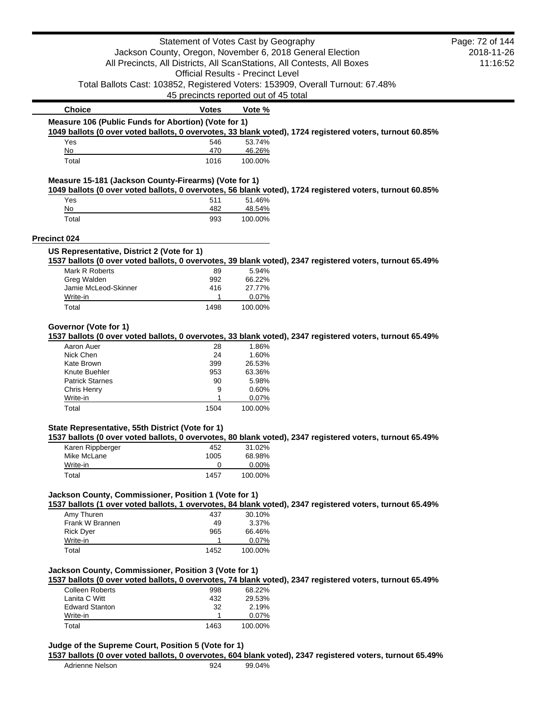|                                                       | Statement of Votes Cast by Geography     |                  |                                                                                                          | Page: 72 of 144 |
|-------------------------------------------------------|------------------------------------------|------------------|----------------------------------------------------------------------------------------------------------|-----------------|
|                                                       |                                          |                  | Jackson County, Oregon, November 6, 2018 General Election                                                | 2018-11-26      |
|                                                       |                                          |                  | All Precincts, All Districts, All ScanStations, All Contests, All Boxes                                  | 11:16:52        |
|                                                       | <b>Official Results - Precinct Level</b> |                  |                                                                                                          |                 |
|                                                       |                                          |                  | Total Ballots Cast: 103852, Registered Voters: 153909, Overall Turnout: 67.48%                           |                 |
|                                                       | 45 precincts reported out of 45 total    |                  |                                                                                                          |                 |
|                                                       |                                          |                  |                                                                                                          |                 |
| <b>Choice</b>                                         | <b>Votes</b>                             | Vote %           |                                                                                                          |                 |
| Measure 106 (Public Funds for Abortion) (Vote for 1)  |                                          |                  |                                                                                                          |                 |
|                                                       |                                          |                  | 1049 ballots (0 over voted ballots, 0 overvotes, 33 blank voted), 1724 registered voters, turnout 60.85% |                 |
| Yes<br>No                                             | 546<br>470                               | 53.74%<br>46.26% |                                                                                                          |                 |
| Total                                                 | 1016                                     | 100.00%          |                                                                                                          |                 |
| Measure 15-181 (Jackson County-Firearms) (Vote for 1) |                                          |                  |                                                                                                          |                 |
|                                                       |                                          |                  | 1049 ballots (0 over voted ballots, 0 overvotes, 56 blank voted), 1724 registered voters, turnout 60.85% |                 |
| Yes                                                   | 511                                      | 51.46%           |                                                                                                          |                 |
| No                                                    | 482                                      | 48.54%           |                                                                                                          |                 |
| Total                                                 | 993                                      | 100.00%          |                                                                                                          |                 |
| Precinct 024                                          |                                          |                  |                                                                                                          |                 |
| US Representative, District 2 (Vote for 1)            |                                          |                  | 1537 ballots (0 over voted ballots, 0 overvotes, 39 blank voted), 2347 registered voters, turnout 65.49% |                 |
| Mark R Roberts                                        |                                          | 5.94%            |                                                                                                          |                 |
| Greg Walden                                           | 89<br>992                                | 66.22%           |                                                                                                          |                 |
| Jamie McLeod-Skinner                                  | 416                                      | 27.77%           |                                                                                                          |                 |
| Write-in                                              | 1                                        | 0.07%            |                                                                                                          |                 |
| Total                                                 | 1498                                     | 100.00%          |                                                                                                          |                 |
|                                                       |                                          |                  |                                                                                                          |                 |
| Governor (Vote for 1)                                 |                                          |                  |                                                                                                          |                 |
|                                                       |                                          |                  | 1537 ballots (0 over voted ballots, 0 overvotes, 33 blank voted), 2347 registered voters, turnout 65.49% |                 |
| Aaron Auer                                            | 28                                       | 1.86%            |                                                                                                          |                 |
| Nick Chen                                             | 24                                       | 1.60%            |                                                                                                          |                 |
| Kate Brown                                            | 399                                      | 26.53%           |                                                                                                          |                 |
| Knute Buehler                                         | 953                                      | 63.36%           |                                                                                                          |                 |
| <b>Patrick Starnes</b>                                | 90                                       | 5.98%            |                                                                                                          |                 |
| Chris Henry                                           | 9                                        | 0.60%            |                                                                                                          |                 |
| Write-in                                              | 1                                        | 0.07%            |                                                                                                          |                 |
| Total                                                 | 1504                                     | 100.00%          |                                                                                                          |                 |
| State Representative, 55th District (Vote for 1)      |                                          |                  |                                                                                                          |                 |
|                                                       |                                          |                  | 1537 ballots (0 over voted ballots, 0 overvotes, 80 blank voted), 2347 registered voters, turnout 65.49% |                 |
| Karen Rippberger                                      | 452                                      | 31.02%           |                                                                                                          |                 |
| Mike McLane                                           | 1005                                     | 68.98%           |                                                                                                          |                 |
| Write-in<br>Total                                     | 0<br>1457                                | 0.00%<br>100.00% |                                                                                                          |                 |
|                                                       |                                          |                  |                                                                                                          |                 |
| Jackson County, Commissioner, Position 1 (Vote for 1) |                                          |                  | 1537 ballots (1 over voted ballots, 1 overvotes, 84 blank voted), 2347 registered voters, turnout 65.49% |                 |
| Amy Thuren                                            | 437                                      | 30.10%           |                                                                                                          |                 |
| Frank W Brannen                                       | 49                                       | 3.37%            |                                                                                                          |                 |
| <b>Rick Dyer</b>                                      | 965                                      | 66.46%           |                                                                                                          |                 |
| Write-in                                              | 1.                                       | 0.07%            |                                                                                                          |                 |
| Total                                                 | 1452                                     | 100.00%          |                                                                                                          |                 |
| Jackson County, Commissioner, Position 3 (Vote for 1) |                                          |                  |                                                                                                          |                 |
|                                                       |                                          |                  | 1537 ballots (0 over voted ballots, 0 overvotes, 74 blank voted), 2347 registered voters, turnout 65.49% |                 |
| <b>Colleen Roberts</b>                                | 998                                      | 68.22%           |                                                                                                          |                 |
|                                                       |                                          |                  |                                                                                                          |                 |
| Lanita C Witt                                         | 432                                      | 29.53%           |                                                                                                          |                 |
| <b>Edward Stanton</b>                                 | 32                                       | 2.19%            |                                                                                                          |                 |
| Write-in<br>Total                                     | 1<br>1463                                | 0.07%<br>100.00% |                                                                                                          |                 |

## **Judge of the Supreme Court, Position 5 (Vote for 1)**

# **1537 ballots (0 over voted ballots, 0 overvotes, 604 blank voted), 2347 registered voters, turnout 65.49%**

Adrienne Nelson 924 99.04%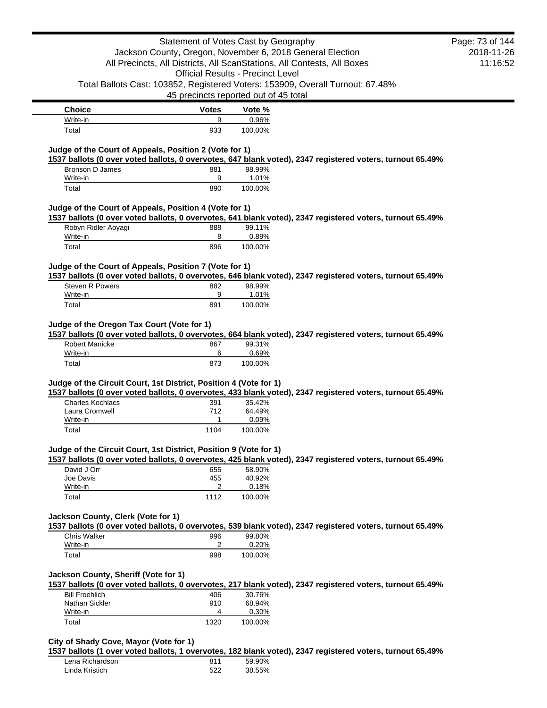| <b>Choice</b> | <b>Votes</b> | Vote %  |
|---------------|--------------|---------|
| Write-in      | 9            | 0.96%   |
| Total         | 933          | 100.00% |

## **Judge of the Court of Appeals, Position 2 (Vote for 1)**

**1537 ballots (0 over voted ballots, 0 overvotes, 647 blank voted), 2347 registered voters, turnout 65.49%**

| Bronson D James | 881 | 98.99%  |
|-----------------|-----|---------|
| Write-in        | a   | 1.01%   |
| Total           | 890 | 100.00% |

## **Judge of the Court of Appeals, Position 4 (Vote for 1)**

**1537 ballots (0 over voted ballots, 0 overvotes, 641 blank voted), 2347 registered voters, turnout 65.49%**

| Robyn Ridler Aoyagi | 888 | 99.11%   |
|---------------------|-----|----------|
| Write-in            |     | $0.89\%$ |
| Total               | 896 | 100.00%  |

### **Judge of the Court of Appeals, Position 7 (Vote for 1)**

**1537 ballots (0 over voted ballots, 0 overvotes, 646 blank voted), 2347 registered voters, turnout 65.49%**

| Steven R Powers | 882 | 98.99%  |
|-----------------|-----|---------|
| Write-in        | a   | 1.01%   |
| Total           | 891 | 100.00% |

# **Judge of the Oregon Tax Court (Vote for 1)**

**1537 ballots (0 over voted ballots, 0 overvotes, 664 blank voted), 2347 registered voters, turnout 65.49%**

| <b>Robert Manicke</b> | 867 | 99.31%  |
|-----------------------|-----|---------|
| Write-in              |     | 0.69%   |
| Total                 | 873 | 100.00% |

### **Judge of the Circuit Court, 1st District, Position 4 (Vote for 1)**

**1537 ballots (0 over voted ballots, 0 overvotes, 433 blank voted), 2347 registered voters, turnout 65.49%**

| Charles Kochlacs | 391  | 35.42%   |
|------------------|------|----------|
| Laura Cromwell   | 712  | 64.49%   |
| Write-in         |      | $0.09\%$ |
| Total            | 1104 | 100.00%  |

#### **Judge of the Circuit Court, 1st District, Position 9 (Vote for 1)**

**1537 ballots (0 over voted ballots, 0 overvotes, 425 blank voted), 2347 registered voters, turnout 65.49%**

| David J Orr | 655  | 58.90%  |
|-------------|------|---------|
| Joe Davis   | 455  | 40.92%  |
| Write-in    | ◠    | 0.18%   |
| Total       | 1112 | 100.00% |

### **Jackson County, Clerk (Vote for 1)**

**1537 ballots (0 over voted ballots, 0 overvotes, 539 blank voted), 2347 registered voters, turnout 65.49%**

| <b>Chris Walker</b> | 996 | 99.80%   |
|---------------------|-----|----------|
| Write-in            |     | $0.20\%$ |
| Total               | 998 | 100.00%  |

## **Jackson County, Sheriff (Vote for 1)**

**1537 ballots (0 over voted ballots, 0 overvotes, 217 blank voted), 2347 registered voters, turnout 65.49%**

| <b>Bill Froehlich</b> | 406  | 30.76%  |
|-----------------------|------|---------|
| Nathan Sickler        | 910  | 68.94%  |
| Write-in              | 4    | 0.30%   |
| Total                 | 1320 | 100.00% |

#### **City of Shady Cove, Mayor (Vote for 1)**

**1537 ballots (1 over voted ballots, 1 overvotes, 182 blank voted), 2347 registered voters, turnout 65.49%**

| Lena Richardson | 811 | 59.90% |
|-----------------|-----|--------|
| Linda Kristich  | 522 | 38.55% |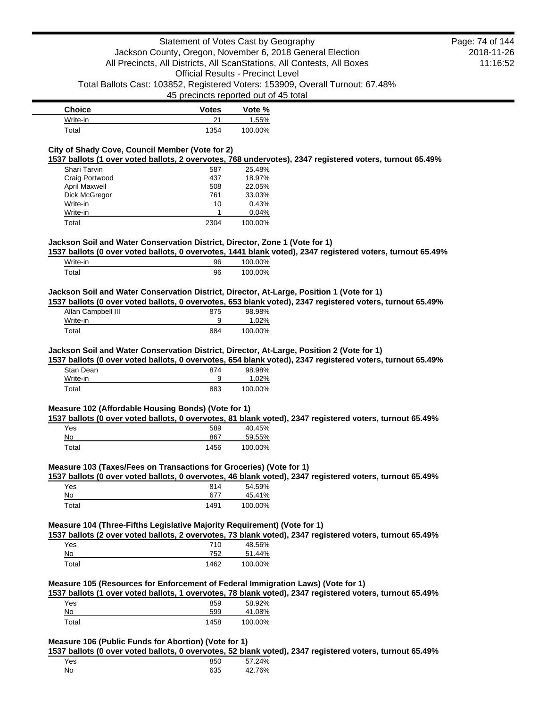| Choice   | <b>Votes</b> | Vote %  |
|----------|--------------|---------|
| Write-in |              | 1.55%   |
| Total    | 1354         | 100.00% |

## **City of Shady Cove, Council Member (Vote for 2)**

**1537 ballots (1 over voted ballots, 2 overvotes, 768 undervotes), 2347 registered voters, turnout 65.49%**

| Shari Tarvin         | 587  | 25.48%  |
|----------------------|------|---------|
| Craig Portwood       | 437  | 18.97%  |
| <b>April Maxwell</b> | 508  | 22.05%  |
| Dick McGregor        | 761  | 33.03%  |
| Write-in             | 10   | 0.43%   |
| Write-in             |      | 0.04%   |
| Total                | 2304 | 100.00% |

### **Jackson Soil and Water Conservation District, Director, Zone 1 (Vote for 1)**

**1537 ballots (0 over voted ballots, 0 overvotes, 1441 blank voted), 2347 registered voters, turnout 65.49%**

| Write-in | 96 | 100.00% |
|----------|----|---------|
| Total    | 96 | 100.00% |

#### **Jackson Soil and Water Conservation District, Director, At-Large, Position 1 (Vote for 1)**

**1537 ballots (0 over voted ballots, 0 overvotes, 653 blank voted), 2347 registered voters, turnout 65.49%**

| Allan Campbell III | 875 | 98.98%  |
|--------------------|-----|---------|
| Write-in           | 9   | 1.02%   |
| Total              | 884 | 100.00% |

#### **Jackson Soil and Water Conservation District, Director, At-Large, Position 2 (Vote for 1)**

**1537 ballots (0 over voted ballots, 0 overvotes, 654 blank voted), 2347 registered voters, turnout 65.49%**

| Stan Dean | 874 | 98.98%  |
|-----------|-----|---------|
| Write-in  | 9   | 1.02%   |
| Total     | 883 | 100.00% |

#### **Measure 102 (Affordable Housing Bonds) (Vote for 1)**

**1537 ballots (0 over voted ballots, 0 overvotes, 81 blank voted), 2347 registered voters, turnout 65.49%**

| Yes   | 589  | 40.45%  |
|-------|------|---------|
| No    | 867  | 59.55%  |
| Total | 1456 | 100.00% |

#### **Measure 103 (Taxes/Fees on Transactions for Groceries) (Vote for 1)**

**1537 ballots (0 over voted ballots, 0 overvotes, 46 blank voted), 2347 registered voters, turnout 65.49%**

| Yes   | 814  | 54.59%  |
|-------|------|---------|
| No    | 677  | 45.41%  |
| Total | 1491 | 100.00% |

#### **Measure 104 (Three-Fifths Legislative Majority Requirement) (Vote for 1)**

**1537 ballots (2 over voted ballots, 2 overvotes, 73 blank voted), 2347 registered voters, turnout 65.49%**

| Yes   | 710  | 48.56%  |
|-------|------|---------|
| No    | 752  | 51.44%  |
| Total | 1462 | 100.00% |

#### **Measure 105 (Resources for Enforcement of Federal Immigration Laws) (Vote for 1)**

**1537 ballots (1 over voted ballots, 1 overvotes, 78 blank voted), 2347 registered voters, turnout 65.49%**

| Yes   | 859  | 58.92%  |
|-------|------|---------|
| No    | 599  | 41.08%  |
| Total | 1458 | 100.00% |

#### **Measure 106 (Public Funds for Abortion) (Vote for 1)**

**1537 ballots (0 over voted ballots, 0 overvotes, 52 blank voted), 2347 registered voters, turnout 65.49%**

| Yes | 850 | 57.24% |
|-----|-----|--------|
| No  | 635 | 42.76% |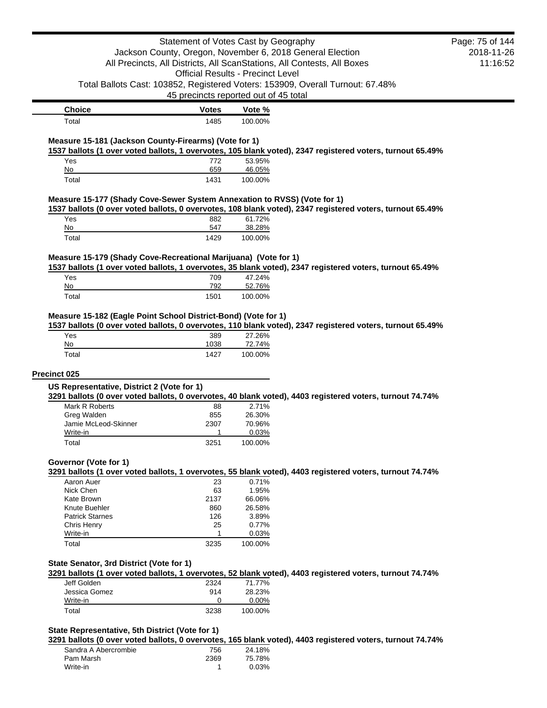|                                                                          | Statement of Votes Cast by Geography     |                   |                                                                                                           | Page: 75 of 144 |
|--------------------------------------------------------------------------|------------------------------------------|-------------------|-----------------------------------------------------------------------------------------------------------|-----------------|
|                                                                          |                                          |                   | Jackson County, Oregon, November 6, 2018 General Election                                                 | 2018-11-26      |
|                                                                          |                                          |                   | All Precincts, All Districts, All ScanStations, All Contests, All Boxes                                   | 11:16:52        |
|                                                                          | <b>Official Results - Precinct Level</b> |                   |                                                                                                           |                 |
|                                                                          |                                          |                   | Total Ballots Cast: 103852, Registered Voters: 153909, Overall Turnout: 67.48%                            |                 |
|                                                                          | 45 precincts reported out of 45 total    |                   |                                                                                                           |                 |
|                                                                          |                                          |                   |                                                                                                           |                 |
| <b>Choice</b><br>Total                                                   | <b>Votes</b><br>1485                     | Vote %<br>100.00% |                                                                                                           |                 |
|                                                                          |                                          |                   |                                                                                                           |                 |
| Measure 15-181 (Jackson County-Firearms) (Vote for 1)                    |                                          |                   |                                                                                                           |                 |
|                                                                          |                                          |                   | 1537 ballots (1 over voted ballots, 1 overvotes, 105 blank voted), 2347 registered voters, turnout 65.49% |                 |
| Yes<br>No                                                                | 772<br>659                               | 53.95%            |                                                                                                           |                 |
| Total                                                                    | 1431                                     | 46.05%<br>100.00% |                                                                                                           |                 |
|                                                                          |                                          |                   |                                                                                                           |                 |
| Measure 15-177 (Shady Cove-Sewer System Annexation to RVSS) (Vote for 1) |                                          |                   |                                                                                                           |                 |
|                                                                          |                                          |                   | 1537 ballots (0 over voted ballots, 0 overvotes, 108 blank voted), 2347 registered voters, turnout 65.49% |                 |
| Yes                                                                      | 882                                      | 61.72%            |                                                                                                           |                 |
| No                                                                       | 547                                      | 38.28%            |                                                                                                           |                 |
| Total                                                                    | 1429                                     | 100.00%           |                                                                                                           |                 |
| Measure 15-179 (Shady Cove-Recreational Marijuana) (Vote for 1)          |                                          |                   |                                                                                                           |                 |
|                                                                          |                                          |                   | 1537 ballots (1 over voted ballots, 1 overvotes, 35 blank voted), 2347 registered voters, turnout 65.49%  |                 |
| Yes                                                                      | 709                                      | 47.24%            |                                                                                                           |                 |
| No                                                                       | 792                                      | 52.76%            |                                                                                                           |                 |
| Total                                                                    | 1501                                     | 100.00%           |                                                                                                           |                 |
|                                                                          |                                          |                   |                                                                                                           |                 |
| Measure 15-182 (Eagle Point School District-Bond) (Vote for 1)           |                                          |                   |                                                                                                           |                 |
| Yes                                                                      |                                          |                   | 1537 ballots (0 over voted ballots, 0 overvotes, 110 blank voted), 2347 registered voters, turnout 65.49% |                 |
|                                                                          | 389                                      | 27.26%            |                                                                                                           |                 |
|                                                                          |                                          |                   |                                                                                                           |                 |
| No                                                                       | 1038                                     | 72.74%            |                                                                                                           |                 |
| Total                                                                    | 1427                                     | 100.00%           |                                                                                                           |                 |
| Precinct 025                                                             |                                          |                   |                                                                                                           |                 |
|                                                                          |                                          |                   |                                                                                                           |                 |
| US Representative, District 2 (Vote for 1)                               |                                          |                   | 3291 ballots (0 over voted ballots, 0 overvotes, 40 blank voted), 4403 registered voters, turnout 74.74%  |                 |
| Mark R Roberts                                                           | 88                                       | 2.71%             |                                                                                                           |                 |
| Greg Walden                                                              | 855                                      | 26.30%            |                                                                                                           |                 |
| Jamie McLeod-Skinner                                                     | 2307                                     | 70.96%            |                                                                                                           |                 |
| Write-in                                                                 | -1                                       | 0.03%             |                                                                                                           |                 |
| Total                                                                    | 3251                                     | 100.00%           |                                                                                                           |                 |
|                                                                          |                                          |                   |                                                                                                           |                 |
| Governor (Vote for 1)                                                    |                                          |                   | 3291 ballots (1 over voted ballots, 1 overvotes, 55 blank voted), 4403 registered voters, turnout 74.74%  |                 |
| Aaron Auer                                                               | 23                                       | 0.71%             |                                                                                                           |                 |
| Nick Chen                                                                | 63                                       | 1.95%             |                                                                                                           |                 |
| Kate Brown                                                               | 2137                                     | 66.06%            |                                                                                                           |                 |
| Knute Buehler                                                            | 860                                      | 26.58%            |                                                                                                           |                 |
| <b>Patrick Starnes</b>                                                   | 126                                      | 3.89%             |                                                                                                           |                 |
| Chris Henry                                                              | 25                                       | 0.77%             |                                                                                                           |                 |
| Write-in                                                                 | 1                                        | 0.03%             |                                                                                                           |                 |
| Total                                                                    | 3235                                     | 100.00%           |                                                                                                           |                 |
|                                                                          |                                          |                   |                                                                                                           |                 |
| State Senator, 3rd District (Vote for 1)                                 |                                          |                   |                                                                                                           |                 |
|                                                                          |                                          |                   | 3291 ballots (1 over voted ballots, 1 overvotes, 52 blank voted), 4403 registered voters, turnout 74.74%  |                 |
| Jeff Golden<br>Jessica Gomez                                             | 2324<br>914                              | 71.77%<br>28.23%  |                                                                                                           |                 |
| Write-in                                                                 | 0                                        | 0.00%             |                                                                                                           |                 |
| Total                                                                    | 3238                                     | 100.00%           |                                                                                                           |                 |

| 756  | 24.18% |
|------|--------|
| 2369 | 75.78% |
|      | 0.03%  |
|      |        |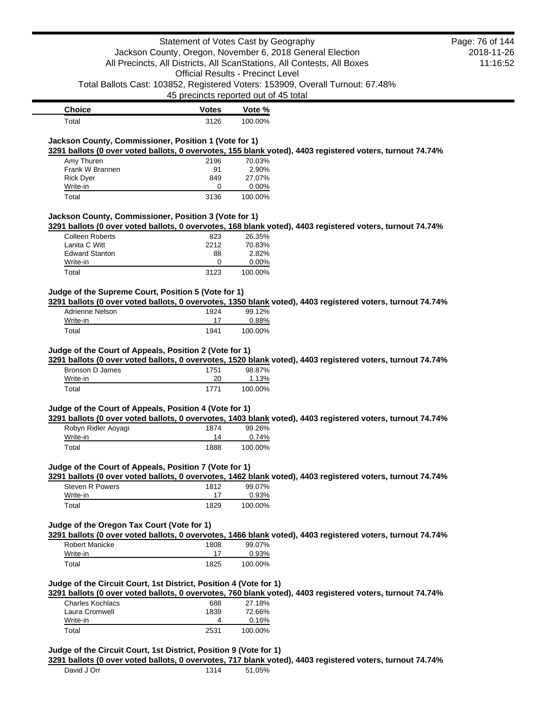|                                                                                       | Statement of Votes Cast by Geography     |                 |                                                                                                            | Page: 76 of 144 |
|---------------------------------------------------------------------------------------|------------------------------------------|-----------------|------------------------------------------------------------------------------------------------------------|-----------------|
|                                                                                       |                                          |                 | Jackson County, Oregon, November 6, 2018 General Election                                                  | 2018-11-26      |
|                                                                                       |                                          |                 | All Precincts, All Districts, All ScanStations, All Contests, All Boxes                                    | 11:16:52        |
|                                                                                       | <b>Official Results - Precinct Level</b> |                 |                                                                                                            |                 |
|                                                                                       |                                          |                 | Total Ballots Cast: 103852, Registered Voters: 153909, Overall Turnout: 67.48%                             |                 |
|                                                                                       | 45 precincts reported out of 45 total    |                 |                                                                                                            |                 |
| <b>Choice</b>                                                                         | <b>Votes</b>                             | Vote %          |                                                                                                            |                 |
| Total                                                                                 | 3126                                     | 100.00%         |                                                                                                            |                 |
| Jackson County, Commissioner, Position 1 (Vote for 1)                                 |                                          |                 |                                                                                                            |                 |
|                                                                                       |                                          |                 | 3291 ballots (0 over voted ballots, 0 overvotes, 155 blank voted), 4403 registered voters, turnout 74.74%  |                 |
| Amy Thuren                                                                            | 2196                                     | 70.03%          |                                                                                                            |                 |
| Frank W Brannen                                                                       | 91                                       | 2.90%           |                                                                                                            |                 |
| <b>Rick Dyer</b>                                                                      | 849                                      | 27.07%          |                                                                                                            |                 |
| Write-in                                                                              | 0                                        | 0.00%           |                                                                                                            |                 |
| Total                                                                                 | 3136                                     | 100.00%         |                                                                                                            |                 |
| Jackson County, Commissioner, Position 3 (Vote for 1)                                 |                                          |                 |                                                                                                            |                 |
|                                                                                       |                                          |                 | 3291 ballots (0 over voted ballots, 0 overvotes, 168 blank voted), 4403 registered voters, turnout 74.74%  |                 |
| <b>Colleen Roberts</b>                                                                | 823                                      | 26.35%          |                                                                                                            |                 |
| Lanita C Witt                                                                         | 2212                                     | 70.83%          |                                                                                                            |                 |
| <b>Edward Stanton</b><br>Write-in                                                     | 88<br>0                                  | 2.82%<br>0.00%  |                                                                                                            |                 |
| Total                                                                                 | 3123                                     | 100.00%         |                                                                                                            |                 |
|                                                                                       |                                          |                 |                                                                                                            |                 |
| Judge of the Supreme Court, Position 5 (Vote for 1)                                   |                                          |                 |                                                                                                            |                 |
| Adrienne Nelson                                                                       | 1924                                     | 99.12%          | 3291 ballots (0 over voted ballots, 0 overvotes, 1350 blank voted), 4403 registered voters, turnout 74.74% |                 |
| Write-in                                                                              | 17                                       | 0.88%           |                                                                                                            |                 |
| Total                                                                                 | 1941                                     | 100.00%         |                                                                                                            |                 |
| Judge of the Court of Appeals, Position 2 (Vote for 1)<br>Bronson D James<br>Write-in | 1751<br>20                               | 98.87%<br>1.13% | 3291 ballots (0 over voted ballots, 0 overvotes, 1520 blank voted), 4403 registered voters, turnout 74.74% |                 |
|                                                                                       |                                          |                 |                                                                                                            |                 |
| Total                                                                                 | 1771                                     | 100.00%         |                                                                                                            |                 |
| Judge of the Court of Appeals, Position 4 (Vote for 1)                                |                                          |                 |                                                                                                            |                 |
|                                                                                       |                                          |                 | 3291 ballots (0 over voted ballots, 0 overvotes, 1403 blank voted), 4403 registered voters, turnout 74.74% |                 |
| Robyn Ridler Aoyagi                                                                   | 1874                                     | 99.26%          |                                                                                                            |                 |
| Write-in                                                                              | 14                                       | 0.74%           |                                                                                                            |                 |
| Total                                                                                 | 1888                                     | 100.00%         |                                                                                                            |                 |
| Judge of the Court of Appeals, Position 7 (Vote for 1)                                |                                          |                 |                                                                                                            |                 |
|                                                                                       |                                          |                 | 3291 ballots (0 over voted ballots, 0 overvotes, 1462 blank voted), 4403 registered voters, turnout 74.74% |                 |
| <b>Steven R Powers</b>                                                                | 1812                                     | 99.07%          |                                                                                                            |                 |
| Write-in                                                                              | 17                                       | 0.93%           |                                                                                                            |                 |
| Total                                                                                 | 1829                                     | 100.00%         |                                                                                                            |                 |
| Judge of the Oregon Tax Court (Vote for 1)                                            |                                          |                 |                                                                                                            |                 |
|                                                                                       |                                          |                 | 3291 ballots (0 over voted ballots, 0 overvotes, 1466 blank voted), 4403 registered voters, turnout 74.74% |                 |
| Robert Manicke                                                                        | 1808                                     | 99.07%          |                                                                                                            |                 |
| Write-in                                                                              | 17                                       | 0.93%           |                                                                                                            |                 |
| Total                                                                                 | 1825                                     | 100.00%         |                                                                                                            |                 |
|                                                                                       |                                          |                 |                                                                                                            |                 |
| Judge of the Circuit Court, 1st District, Position 4 (Vote for 1)                     |                                          |                 |                                                                                                            |                 |
|                                                                                       |                                          |                 | 3291 ballots (0 over voted ballots, 0 overvotes, 760 blank voted), 4403 registered voters, turnout 74.74%  |                 |
| <b>Charles Kochlacs</b>                                                               | 688                                      | 27.18%          |                                                                                                            |                 |
| Laura Cromwell<br>Write-in                                                            | 1839<br>4                                | 72.66%<br>0.16% |                                                                                                            |                 |
| Total                                                                                 | 2531                                     | 100.00%         |                                                                                                            |                 |
|                                                                                       |                                          |                 |                                                                                                            |                 |
| Judge of the Circuit Court, 1st District, Position 9 (Vote for 1)                     |                                          |                 |                                                                                                            |                 |
|                                                                                       |                                          |                 | 3291 ballots (0 over voted ballots, 0 overvotes, 717 blank voted), 4403 registered voters, turnout 74.74%  |                 |
| David J Orr                                                                           | 1314                                     | 51.05%          |                                                                                                            |                 |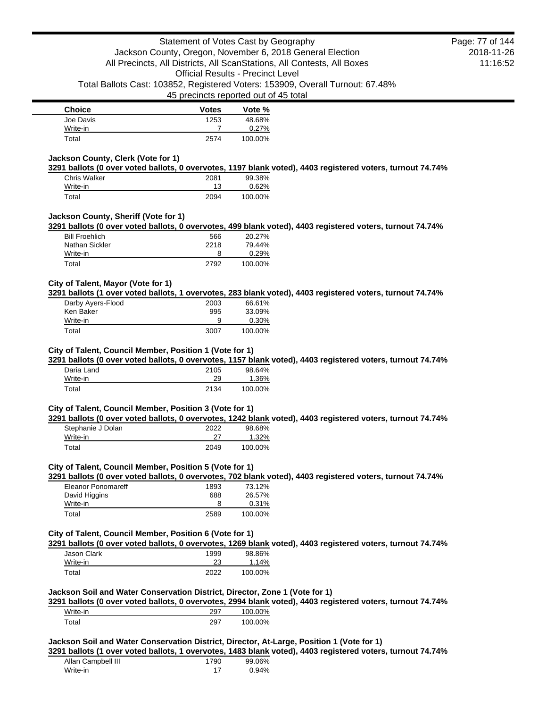| <b>Choice</b> | <b>Votes</b> | Vote %  |
|---------------|--------------|---------|
| Joe Davis     | 1253         | 48.68%  |
| Write-in      |              | 0.27%   |
| Total         | 2574         | 100.00% |

### **Jackson County, Clerk (Vote for 1)**

**3291 ballots (0 over voted ballots, 0 overvotes, 1197 blank voted), 4403 registered voters, turnout 74.74%**

| Chris Walker | 2081 | 99.38%  |
|--------------|------|---------|
| Write-in     | 13   | 0.62%   |
| Total        | 2094 | 100.00% |

## **Jackson County, Sheriff (Vote for 1)**

**3291 ballots (0 over voted ballots, 0 overvotes, 499 blank voted), 4403 registered voters, turnout 74.74%**

| <b>Bill Froehlich</b> | 566  | 20.27%  |
|-----------------------|------|---------|
| Nathan Sickler        | 2218 | 79.44%  |
| Write-in              | 8    | 0.29%   |
| Total                 | 2792 | 100.00% |

### **City of Talent, Mayor (Vote for 1)**

**3291 ballots (1 over voted ballots, 1 overvotes, 283 blank voted), 4403 registered voters, turnout 74.74%**

| Darby Ayers-Flood | 2003 | 66.61%  |
|-------------------|------|---------|
| Ken Baker         | 995  | 33.09%  |
| Write-in          | 9    | 0.30%   |
| Total             | 3007 | 100.00% |

#### **City of Talent, Council Member, Position 1 (Vote for 1)**

**3291 ballots (0 over voted ballots, 0 overvotes, 1157 blank voted), 4403 registered voters, turnout 74.74%**

| Daria Land | 2105 | 98.64%  |
|------------|------|---------|
| Write-in   | 29   | 1.36%   |
| Total      | 2134 | 100.00% |

#### **City of Talent, Council Member, Position 3 (Vote for 1)**

**3291 ballots (0 over voted ballots, 0 overvotes, 1242 blank voted), 4403 registered voters, turnout 74.74%**

| Stephanie J Dolan | 2022 | 98.68%  |
|-------------------|------|---------|
| Write-in          | 27   | 1.32%   |
| Total             | 2049 | 100.00% |

### **City of Talent, Council Member, Position 5 (Vote for 1)**

**3291 ballots (0 over voted ballots, 0 overvotes, 702 blank voted), 4403 registered voters, turnout 74.74%**

| Eleanor Ponomareff | 1893 | 73.12%  |
|--------------------|------|---------|
| David Higgins      | 688  | 26.57%  |
| Write-in           | 8    | 0.31%   |
| Total              | 2589 | 100.00% |

## **City of Talent, Council Member, Position 6 (Vote for 1)**

**3291 ballots (0 over voted ballots, 0 overvotes, 1269 blank voted), 4403 registered voters, turnout 74.74%**

| Jason Clark | 1999 | 98.86%   |
|-------------|------|----------|
| Write-in    | 23   | $1.14\%$ |
| Total       | 2022 | 100.00%  |

#### **Jackson Soil and Water Conservation District, Director, Zone 1 (Vote for 1)**

**3291 ballots (0 over voted ballots, 0 overvotes, 2994 blank voted), 4403 registered voters, turnout 74.74%**

| Write-in | 297 | 100.00% |
|----------|-----|---------|
| Total    | 297 | 100.00% |

#### **Jackson Soil and Water Conservation District, Director, At-Large, Position 1 (Vote for 1)**

**3291 ballots (1 over voted ballots, 1 overvotes, 1483 blank voted), 4403 registered voters, turnout 74.74%**

| Allan Campbell III | 1790 | 99.06% |
|--------------------|------|--------|
| Write-in           |      | 0.94%  |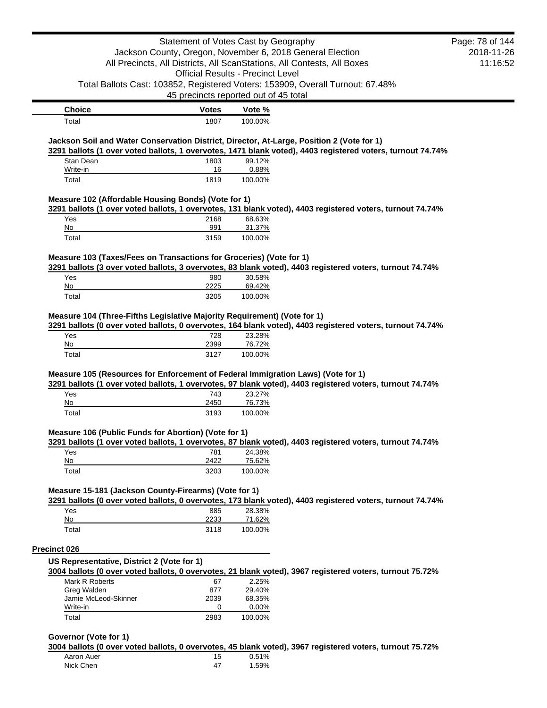|                                                                                           | Statement of Votes Cast by Geography  |                                          |                                                                                                            | Page: 78 of 144 |
|-------------------------------------------------------------------------------------------|---------------------------------------|------------------------------------------|------------------------------------------------------------------------------------------------------------|-----------------|
|                                                                                           |                                       |                                          | Jackson County, Oregon, November 6, 2018 General Election                                                  | 2018-11-26      |
|                                                                                           |                                       |                                          | All Precincts, All Districts, All ScanStations, All Contests, All Boxes                                    | 11:16:52        |
|                                                                                           |                                       | <b>Official Results - Precinct Level</b> |                                                                                                            |                 |
|                                                                                           |                                       |                                          | Total Ballots Cast: 103852, Registered Voters: 153909, Overall Turnout: 67.48%                             |                 |
|                                                                                           | 45 precincts reported out of 45 total |                                          |                                                                                                            |                 |
| <b>Choice</b>                                                                             | <b>Votes</b>                          | Vote %                                   |                                                                                                            |                 |
| Total                                                                                     | 1807                                  | 100.00%                                  |                                                                                                            |                 |
| Jackson Soil and Water Conservation District, Director, At-Large, Position 2 (Vote for 1) |                                       |                                          |                                                                                                            |                 |
|                                                                                           |                                       |                                          | 3291 ballots (1 over voted ballots, 1 overvotes, 1471 blank voted), 4403 registered voters, turnout 74.74% |                 |
| Stan Dean                                                                                 | 1803                                  | 99.12%                                   |                                                                                                            |                 |
| Write-in                                                                                  | 16                                    | 0.88%                                    |                                                                                                            |                 |
| Total                                                                                     | 1819                                  | 100.00%                                  |                                                                                                            |                 |
| Measure 102 (Affordable Housing Bonds) (Vote for 1)                                       |                                       |                                          |                                                                                                            |                 |
|                                                                                           |                                       |                                          | 3291 ballots (1 over voted ballots, 1 overvotes, 131 blank voted), 4403 registered voters, turnout 74.74%  |                 |
| Yes                                                                                       | 2168                                  | 68.63%                                   |                                                                                                            |                 |
| No                                                                                        | 991                                   | 31.37%                                   |                                                                                                            |                 |
| Total                                                                                     | 3159                                  | 100.00%                                  |                                                                                                            |                 |
|                                                                                           |                                       |                                          |                                                                                                            |                 |
| Measure 103 (Taxes/Fees on Transactions for Groceries) (Vote for 1)                       |                                       |                                          |                                                                                                            |                 |
|                                                                                           |                                       | 30.58%                                   | 3291 ballots (3 over voted ballots, 3 overvotes, 83 blank voted), 4403 registered voters, turnout 74.74%   |                 |
| Yes<br>No                                                                                 | 980<br>2225                           | 69.42%                                   |                                                                                                            |                 |
| Total                                                                                     | 3205                                  | 100.00%                                  |                                                                                                            |                 |
| Yes<br>No                                                                                 | 728<br>2399                           | 23.28%<br>76.72%                         |                                                                                                            |                 |
| Total                                                                                     | 3127                                  | 100.00%                                  |                                                                                                            |                 |
|                                                                                           |                                       |                                          |                                                                                                            |                 |
| Measure 105 (Resources for Enforcement of Federal Immigration Laws) (Vote for 1)          |                                       |                                          | 3291 ballots (1 over voted ballots, 1 overvotes, 97 blank voted), 4403 registered voters, turnout 74.74%   |                 |
| Yes                                                                                       | 743                                   | 23.27%                                   |                                                                                                            |                 |
| No                                                                                        | 2450                                  | 76.73%                                   |                                                                                                            |                 |
| Total                                                                                     | 3193                                  | 100.00%                                  |                                                                                                            |                 |
| Measure 106 (Public Funds for Abortion) (Vote for 1)                                      |                                       |                                          |                                                                                                            |                 |
|                                                                                           |                                       |                                          | 3291 ballots (1 over voted ballots, 1 overvotes, 87 blank voted), 4403 registered voters, turnout 74.74%   |                 |
| Yes                                                                                       | 781                                   | 24.38%                                   |                                                                                                            |                 |
| No                                                                                        | 2422                                  | 75.62%                                   |                                                                                                            |                 |
| Total                                                                                     | 3203                                  | 100.00%                                  |                                                                                                            |                 |
|                                                                                           |                                       |                                          |                                                                                                            |                 |
| Measure 15-181 (Jackson County-Firearms) (Vote for 1)                                     |                                       |                                          | 3291 ballots (0 over voted ballots, 0 overvotes, 173 blank voted), 4403 registered voters, turnout 74.74%  |                 |
| Yes                                                                                       | 885                                   | 28.38%                                   |                                                                                                            |                 |
| No                                                                                        | 2233                                  | 71.62%                                   |                                                                                                            |                 |
| Total                                                                                     | 3118                                  | 100.00%                                  |                                                                                                            |                 |
|                                                                                           |                                       |                                          |                                                                                                            |                 |
| Precinct 026                                                                              |                                       |                                          |                                                                                                            |                 |
| US Representative, District 2 (Vote for 1)                                                |                                       |                                          | 3004 ballots (0 over voted ballots, 0 overvotes, 21 blank voted), 3967 registered voters, turnout 75.72%   |                 |
| Mark R Roberts                                                                            | 67                                    | 2.25%                                    |                                                                                                            |                 |
| Greg Walden                                                                               | 877                                   | 29.40%                                   |                                                                                                            |                 |
| Jamie McLeod-Skinner                                                                      |                                       |                                          |                                                                                                            |                 |
|                                                                                           | 2039                                  | 68.35%                                   |                                                                                                            |                 |
| Write-in<br>Total                                                                         | 0<br>2983                             | 0.00%<br>100.00%                         |                                                                                                            |                 |

#### **Governor (Vote for 1)**

**3004 ballots (0 over voted ballots, 0 overvotes, 45 blank voted), 3967 registered voters, turnout 75.72%**

| Aaron Auer |    | 0.51% |
|------------|----|-------|
| Nick Chen  | 47 | 1.59% |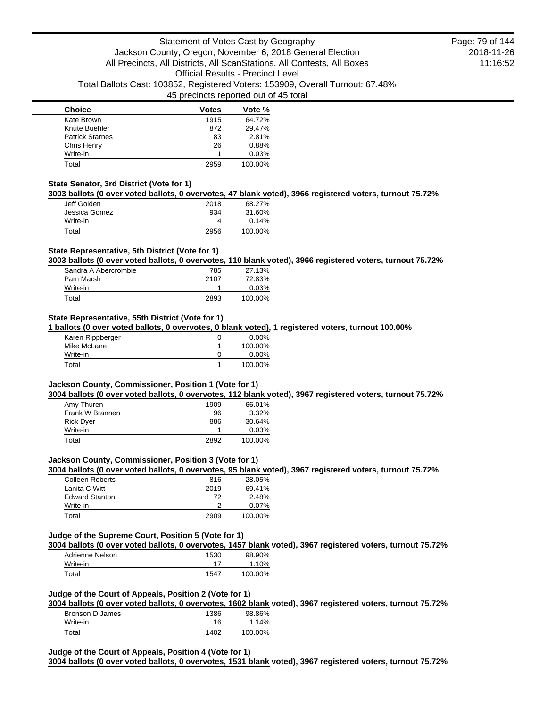| <b>Choice</b>          | Votes | Vote %  |
|------------------------|-------|---------|
| Kate Brown             | 1915  | 64.72%  |
| Knute Buehler          | 872   | 29.47%  |
| <b>Patrick Starnes</b> | 83    | 2.81%   |
| Chris Henry            | 26    | 0.88%   |
| Write-in               |       | 0.03%   |
| Total                  | 2959  | 100.00% |

#### **State Senator, 3rd District (Vote for 1)**

**3003 ballots (0 over voted ballots, 0 overvotes, 47 blank voted), 3966 registered voters, turnout 75.72%**

| Jeff Golden   | 2018 | 68.27%  |
|---------------|------|---------|
| Jessica Gomez | 934  | 31.60%  |
| Write-in      | 4    | 0.14%   |
| Total         | 2956 | 100.00% |

## **State Representative, 5th District (Vote for 1)**

**3003 ballots (0 over voted ballots, 0 overvotes, 110 blank voted), 3966 registered voters, turnout 75.72%**

| Sandra A Abercrombie | 785  | 27.13%   |
|----------------------|------|----------|
| Pam Marsh            | 2107 | 72.83%   |
| Write-in             |      | $0.03\%$ |
| Total                | 2893 | 100.00%  |

#### **State Representative, 55th District (Vote for 1)**

**1 ballots (0 over voted ballots, 0 overvotes, 0 blank voted), 1 registered voters, turnout 100.00%**

| Karen Rippberger | $0.00\%$ |
|------------------|----------|
| Mike McLane      | 100.00%  |
| Write-in         | $0.00\%$ |
| Total            | 100.00%  |

### **Jackson County, Commissioner, Position 1 (Vote for 1)**

**3004 ballots (0 over voted ballots, 0 overvotes, 112 blank voted), 3967 registered voters, turnout 75.72%**

| Amy Thuren       | 1909 | 66.01%   |
|------------------|------|----------|
| Frank W Brannen  | 96   | $3.32\%$ |
| <b>Rick Dyer</b> | 886  | 30.64%   |
| Write-in         |      | 0.03%    |
| Total            | 2892 | 100.00%  |

#### **Jackson County, Commissioner, Position 3 (Vote for 1)**

**3004 ballots (0 over voted ballots, 0 overvotes, 95 blank voted), 3967 registered voters, turnout 75.72%**

| <b>Colleen Roberts</b> | 816  | 28.05%   |
|------------------------|------|----------|
| Lanita C Witt          | 2019 | 69.41%   |
| <b>Edward Stanton</b>  | 72   | 2.48%    |
| Write-in               |      | $0.07\%$ |
| Total                  | 2909 | 100.00%  |

# **Judge of the Supreme Court, Position 5 (Vote for 1)**

**3004 ballots (0 over voted ballots, 0 overvotes, 1457 blank voted), 3967 registered voters, turnout 75.72%**

| Adrienne Nelson | 1530 | 98.90%  |
|-----------------|------|---------|
| Write-in        |      | 1.10%   |
| Total           | 1547 | 100.00% |

### **Judge of the Court of Appeals, Position 2 (Vote for 1)**

**3004 ballots (0 over voted ballots, 0 overvotes, 1602 blank voted), 3967 registered voters, turnout 75.72%**

| Bronson D James | 1386 | 98.86%   |
|-----------------|------|----------|
| Write-in        | 16   | $1.14\%$ |
| Total           | 1402 | 100.00%  |

#### **Judge of the Court of Appeals, Position 4 (Vote for 1)**

**3004 ballots (0 over voted ballots, 0 overvotes, 1531 blank voted), 3967 registered voters, turnout 75.72%**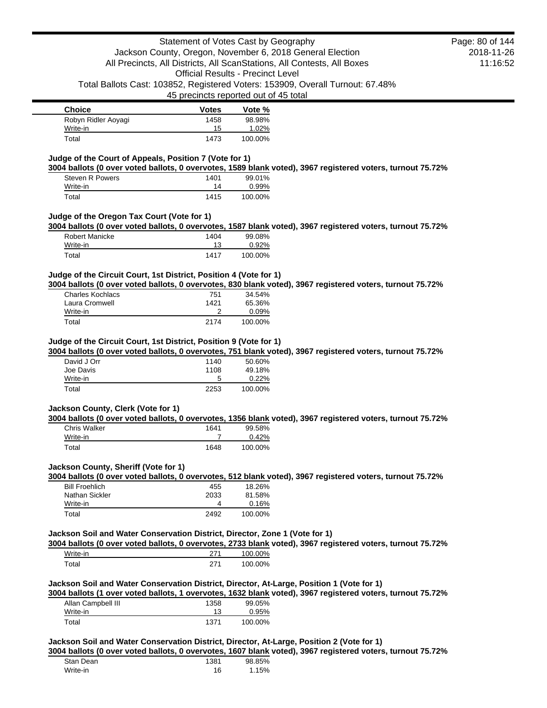| <b>Choice</b>       | <b>Votes</b> | Vote %  |
|---------------------|--------------|---------|
| Robyn Ridler Aoyagi | 1458         | 98.98%  |
| Write-in            | 15           | 1.02%   |
| Total               | 1473         | 100.00% |

### **Judge of the Court of Appeals, Position 7 (Vote for 1)**

**3004 ballots (0 over voted ballots, 0 overvotes, 1589 blank voted), 3967 registered voters, turnout 75.72%**

| <b>Steven R Powers</b> | 1401 | 99.01%  |
|------------------------|------|---------|
| Write-in               | 14   | 0.99%   |
| Total                  | 1415 | 100.00% |

### **Judge of the Oregon Tax Court (Vote for 1)**

**3004 ballots (0 over voted ballots, 0 overvotes, 1587 blank voted), 3967 registered voters, turnout 75.72%**

| Robert Manicke | 1404 | 99.08%  |
|----------------|------|---------|
| Write-in       | 13   | 0.92%   |
| Total          | 1417 | 100.00% |

## **Judge of the Circuit Court, 1st District, Position 4 (Vote for 1)**

**3004 ballots (0 over voted ballots, 0 overvotes, 830 blank voted), 3967 registered voters, turnout 75.72%**

| Charles Kochlacs | 751  | 34.54%   |
|------------------|------|----------|
| Laura Cromwell   | 1421 | 65.36%   |
| Write-in         |      | $0.09\%$ |
| Total            | 2174 | 100.00%  |

#### **Judge of the Circuit Court, 1st District, Position 9 (Vote for 1)**

**3004 ballots (0 over voted ballots, 0 overvotes, 751 blank voted), 3967 registered voters, turnout 75.72%**

| David J Orr | 1140 | 50.60%   |
|-------------|------|----------|
| Joe Davis   | 1108 | 49.18%   |
| Write-in    | 5    | $0.22\%$ |
| Total       | 2253 | 100.00%  |

#### **Jackson County, Clerk (Vote for 1)**

**3004 ballots (0 over voted ballots, 0 overvotes, 1356 blank voted), 3967 registered voters, turnout 75.72%**

| <b>Chris Walker</b> | 1641 | 99.58%  |
|---------------------|------|---------|
| Write-in            |      | 0.42%   |
| Total               | 1648 | 100.00% |

## **Jackson County, Sheriff (Vote for 1)**

**3004 ballots (0 over voted ballots, 0 overvotes, 512 blank voted), 3967 registered voters, turnout 75.72%**

| <b>Bill Froehlich</b> | 455  | 18.26%  |
|-----------------------|------|---------|
| Nathan Sickler        | 2033 | 81.58%  |
| Write-in              |      | 0.16%   |
| Total                 | 2492 | 100.00% |

## **Jackson Soil and Water Conservation District, Director, Zone 1 (Vote for 1)**

**3004 ballots (0 over voted ballots, 0 overvotes, 2733 blank voted), 3967 registered voters, turnout 75.72%** Write-in 271 100.00%

| otal <sup>-</sup> | $-1$ | 100.00% |
|-------------------|------|---------|
|                   |      |         |

## **Jackson Soil and Water Conservation District, Director, At-Large, Position 1 (Vote for 1)**

**3004 ballots (1 over voted ballots, 1 overvotes, 1632 blank voted), 3967 registered voters, turnout 75.72%**

| Allan Campbell III | 1358 | 99.05%  |
|--------------------|------|---------|
| Write-in           |      | 0.95%   |
| Total              | 1371 | 100.00% |

**Jackson Soil and Water Conservation District, Director, At-Large, Position 2 (Vote for 1)**

**3004 ballots (0 over voted ballots, 0 overvotes, 1607 blank voted), 3967 registered voters, turnout 75.72%**

| Stan Dean | 1381 | 98.85% |
|-----------|------|--------|
| Write-in  | 16   | 1.15%  |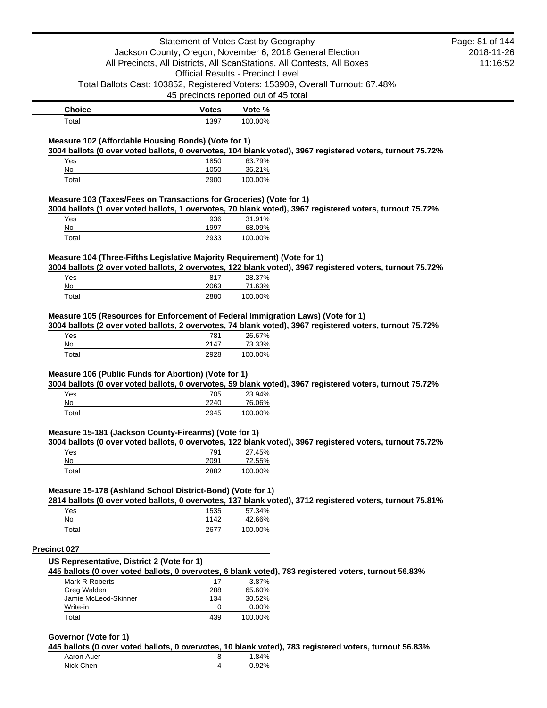|                                                                                                                         |              | Statement of Votes Cast by Geography                                    |                                                                                                           | Page: 81 of 144 |
|-------------------------------------------------------------------------------------------------------------------------|--------------|-------------------------------------------------------------------------|-----------------------------------------------------------------------------------------------------------|-----------------|
|                                                                                                                         |              | Jackson County, Oregon, November 6, 2018 General Election               |                                                                                                           | 2018-11-26      |
|                                                                                                                         |              | All Precincts, All Districts, All ScanStations, All Contests, All Boxes |                                                                                                           | 11:16:52        |
|                                                                                                                         |              | <b>Official Results - Precinct Level</b>                                |                                                                                                           |                 |
| Total Ballots Cast: 103852, Registered Voters: 153909, Overall Turnout: 67.48%                                          |              |                                                                         |                                                                                                           |                 |
|                                                                                                                         |              | 45 precincts reported out of 45 total                                   |                                                                                                           |                 |
| <b>Choice</b>                                                                                                           | Votes        | Vote %                                                                  |                                                                                                           |                 |
| Total                                                                                                                   | 1397         | 100.00%                                                                 |                                                                                                           |                 |
|                                                                                                                         |              |                                                                         |                                                                                                           |                 |
| Measure 102 (Affordable Housing Bonds) (Vote for 1)                                                                     |              |                                                                         | 3004 ballots (0 over voted ballots, 0 overvotes, 104 blank voted), 3967 registered voters, turnout 75.72% |                 |
| Yes                                                                                                                     | 1850         | 63.79%                                                                  |                                                                                                           |                 |
| No                                                                                                                      | 1050         | 36.21%                                                                  |                                                                                                           |                 |
| Total                                                                                                                   | 2900         | 100.00%                                                                 |                                                                                                           |                 |
| Measure 103 (Taxes/Fees on Transactions for Groceries) (Vote for 1)                                                     |              |                                                                         |                                                                                                           |                 |
|                                                                                                                         |              |                                                                         | 3004 ballots (1 over voted ballots, 1 overvotes, 70 blank voted), 3967 registered voters, turnout 75.72%  |                 |
| Yes                                                                                                                     | 936          | 31.91%                                                                  |                                                                                                           |                 |
| No<br>Total                                                                                                             | 1997<br>2933 | 68.09%<br>100.00%                                                       |                                                                                                           |                 |
|                                                                                                                         |              |                                                                         |                                                                                                           |                 |
| Measure 104 (Three-Fifths Legislative Majority Requirement) (Vote for 1)                                                |              |                                                                         |                                                                                                           |                 |
| Yes                                                                                                                     |              | 28.37%                                                                  | 3004 ballots (2 over voted ballots, 2 overvotes, 122 blank voted), 3967 registered voters, turnout 75.72% |                 |
| No                                                                                                                      | 817<br>2063  | 71.63%                                                                  |                                                                                                           |                 |
| Total                                                                                                                   | 2880         | 100.00%                                                                 |                                                                                                           |                 |
|                                                                                                                         |              |                                                                         |                                                                                                           |                 |
|                                                                                                                         |              |                                                                         |                                                                                                           |                 |
| Measure 105 (Resources for Enforcement of Federal Immigration Laws) (Vote for 1)                                        |              |                                                                         |                                                                                                           |                 |
|                                                                                                                         |              |                                                                         | 3004 ballots (2 over voted ballots, 2 overvotes, 74 blank voted), 3967 registered voters, turnout 75.72%  |                 |
| Yes                                                                                                                     | 781          | 26.67%                                                                  |                                                                                                           |                 |
| No                                                                                                                      | 2147         | 73.33%                                                                  |                                                                                                           |                 |
| Total                                                                                                                   | 2928         | 100.00%                                                                 |                                                                                                           |                 |
|                                                                                                                         |              |                                                                         |                                                                                                           |                 |
| Measure 106 (Public Funds for Abortion) (Vote for 1)                                                                    |              |                                                                         | 3004 ballots (0 over voted ballots, 0 overvotes, 59 blank voted), 3967 registered voters, turnout 75.72%  |                 |
| Yes                                                                                                                     | 705          | 23.94%                                                                  |                                                                                                           |                 |
| No                                                                                                                      | 2240         | 76.06%                                                                  |                                                                                                           |                 |
| Total                                                                                                                   | 2945         | 100.00%                                                                 |                                                                                                           |                 |
|                                                                                                                         |              |                                                                         |                                                                                                           |                 |
| Measure 15-181 (Jackson County-Firearms) (Vote for 1)                                                                   |              |                                                                         | 3004 ballots (0 over voted ballots, 0 overvotes, 122 blank voted), 3967 registered voters, turnout 75.72% |                 |
| Yes                                                                                                                     | 791          | 27.45%                                                                  |                                                                                                           |                 |
| No                                                                                                                      | 2091         | 72.55%                                                                  |                                                                                                           |                 |
| Total                                                                                                                   | 2882         | 100.00%                                                                 |                                                                                                           |                 |
|                                                                                                                         |              |                                                                         |                                                                                                           |                 |
| Measure 15-178 (Ashland School District-Bond) (Vote for 1)                                                              |              |                                                                         | 2814 ballots (0 over voted ballots, 0 overvotes, 137 blank voted), 3712 registered voters, turnout 75.81% |                 |
| Yes                                                                                                                     | 1535         | 57.34%                                                                  |                                                                                                           |                 |
| No                                                                                                                      | 1142         | 42.66%                                                                  |                                                                                                           |                 |
| Total                                                                                                                   | 2677         | 100.00%                                                                 |                                                                                                           |                 |
| <b>Precinct 027</b>                                                                                                     |              |                                                                         |                                                                                                           |                 |
| US Representative, District 2 (Vote for 1)                                                                              |              |                                                                         |                                                                                                           |                 |
|                                                                                                                         |              |                                                                         |                                                                                                           |                 |
| 445 ballots (0 over voted ballots, 0 overvotes, 6 blank voted), 783 registered voters, turnout 56.83%<br>Mark R Roberts | 17           | 3.87%                                                                   |                                                                                                           |                 |
| Greg Walden                                                                                                             | 288          | 65.60%                                                                  |                                                                                                           |                 |
| Jamie McLeod-Skinner                                                                                                    | 134          | 30.52%                                                                  |                                                                                                           |                 |
| Write-in<br>Total                                                                                                       | 0<br>439     | 0.00%<br>100.00%                                                        |                                                                                                           |                 |

#### **Governor (Vote for 1)**

**445 ballots (0 over voted ballots, 0 overvotes, 10 blank voted), 783 registered voters, turnout 56.83%**

| Aaron Auer | 1.84% |
|------------|-------|
| Nick Chen  | 0.92% |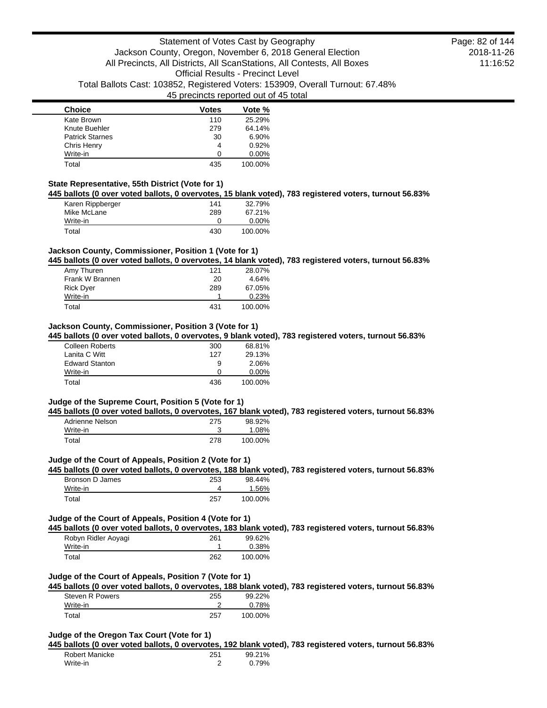| <b>Choice</b>          | Votes | Vote %   |
|------------------------|-------|----------|
| Kate Brown             | 110   | 25.29%   |
| Knute Buehler          | 279   | 64.14%   |
| <b>Patrick Starnes</b> | 30    | 6.90%    |
| Chris Henry            | 4     | 0.92%    |
| Write-in               | n     | $0.00\%$ |
| Total                  | 435   | 100.00%  |

### **State Representative, 55th District (Vote for 1)**

**445 ballots (0 over voted ballots, 0 overvotes, 15 blank voted), 783 registered voters, turnout 56.83%**

| Karen Rippberger | 141 | 32.79%   |
|------------------|-----|----------|
| Mike McLane      | 289 | 67.21%   |
| Write-in         |     | $0.00\%$ |
| Total            | 430 | 100.00%  |

## **Jackson County, Commissioner, Position 1 (Vote for 1)**

**445 ballots (0 over voted ballots, 0 overvotes, 14 blank voted), 783 registered voters, turnout 56.83%**

| Amy Thuren       | 121 | 28.07%  |
|------------------|-----|---------|
| Frank W Brannen  | 20  | 4.64%   |
| <b>Rick Dyer</b> | 289 | 67.05%  |
| Write-in         |     | 0.23%   |
| Total            | 431 | 100.00% |

### **Jackson County, Commissioner, Position 3 (Vote for 1)**

**445 ballots (0 over voted ballots, 0 overvotes, 9 blank voted), 783 registered voters, turnout 56.83%**

| <b>Colleen Roberts</b> | 300 | 68.81%   |
|------------------------|-----|----------|
| Lanita C Witt          | 127 | 29.13%   |
| <b>Edward Stanton</b>  | 9   | 2.06%    |
| Write-in               | Ω   | $0.00\%$ |
| Total                  | 436 | 100.00%  |

#### **Judge of the Supreme Court, Position 5 (Vote for 1)**

**445 ballots (0 over voted ballots, 0 overvotes, 167 blank voted), 783 registered voters, turnout 56.83%**

| Adrienne Nelson | 275 | 98.92%  |
|-----------------|-----|---------|
| Write-in        |     | 1.08%   |
| Total           | 278 | 100.00% |

#### **Judge of the Court of Appeals, Position 2 (Vote for 1)**

**445 ballots (0 over voted ballots, 0 overvotes, 188 blank voted), 783 registered voters, turnout 56.83%**

| Bronson D James | 253 | 98.44%  |
|-----------------|-----|---------|
| Write-in        |     | .56%    |
| Total           | 257 | 100.00% |

#### **Judge of the Court of Appeals, Position 4 (Vote for 1)**

|                     |     |          | 445 ballots (0 over voted ballots, 0 overvotes, 183 blank voted), 783 registered voters, turnout 56.83% |
|---------------------|-----|----------|---------------------------------------------------------------------------------------------------------|
| Robyn Ridler Aovagi | 261 | 99.62%   |                                                                                                         |
| Write-in            |     | $0.38\%$ |                                                                                                         |
| $\tau$ otal         | 262 | 100.00%  |                                                                                                         |

## **Judge of the Court of Appeals, Position 7 (Vote for 1)**

**445 ballots (0 over voted ballots, 0 overvotes, 188 blank voted), 783 registered voters, turnout 56.83%**

| Steven R Powers | 255 | 99.22%  |
|-----------------|-----|---------|
| Write-in        |     | 0.78%   |
| Total           | 257 | 100.00% |

### **Judge of the Oregon Tax Court (Vote for 1)**

**445 ballots (0 over voted ballots, 0 overvotes, 192 blank voted), 783 registered voters, turnout 56.83%**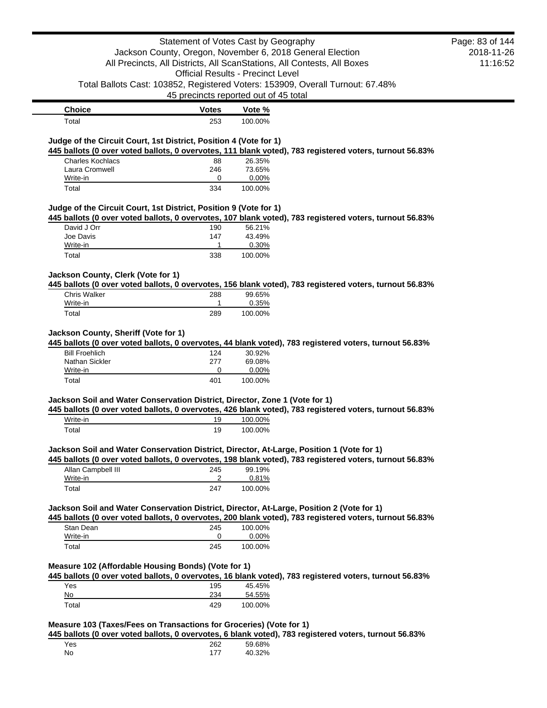|                                                                                                                                                               | Statement of Votes Cast by Geography     |                  |                                                                                                         | Page: 83 of 144 |
|---------------------------------------------------------------------------------------------------------------------------------------------------------------|------------------------------------------|------------------|---------------------------------------------------------------------------------------------------------|-----------------|
|                                                                                                                                                               |                                          |                  | Jackson County, Oregon, November 6, 2018 General Election                                               | 2018-11-26      |
|                                                                                                                                                               |                                          |                  | All Precincts, All Districts, All ScanStations, All Contests, All Boxes                                 | 11:16:52        |
|                                                                                                                                                               | <b>Official Results - Precinct Level</b> |                  |                                                                                                         |                 |
|                                                                                                                                                               |                                          |                  | Total Ballots Cast: 103852, Registered Voters: 153909, Overall Turnout: 67.48%                          |                 |
|                                                                                                                                                               | 45 precincts reported out of 45 total    |                  |                                                                                                         |                 |
| <b>Choice</b>                                                                                                                                                 | <b>Votes</b>                             | Vote %           |                                                                                                         |                 |
| Total                                                                                                                                                         | 253                                      | 100.00%          |                                                                                                         |                 |
|                                                                                                                                                               |                                          |                  |                                                                                                         |                 |
| Judge of the Circuit Court, 1st District, Position 4 (Vote for 1)                                                                                             |                                          |                  |                                                                                                         |                 |
| <b>Charles Kochlacs</b>                                                                                                                                       | 88                                       | 26.35%           | 445 ballots (0 over voted ballots, 0 overvotes, 111 blank voted), 783 registered voters, turnout 56.83% |                 |
| Laura Cromwell                                                                                                                                                | 246                                      | 73.65%           |                                                                                                         |                 |
| Write-in                                                                                                                                                      | 0                                        | 0.00%            |                                                                                                         |                 |
| Total                                                                                                                                                         | 334                                      | 100.00%          |                                                                                                         |                 |
|                                                                                                                                                               |                                          |                  |                                                                                                         |                 |
| Judge of the Circuit Court, 1st District, Position 9 (Vote for 1)                                                                                             |                                          |                  | 445 ballots (0 over voted ballots, 0 overvotes, 107 blank voted), 783 registered voters, turnout 56.83% |                 |
| David J Orr                                                                                                                                                   | 190                                      | 56.21%           |                                                                                                         |                 |
| Joe Davis                                                                                                                                                     | 147                                      | 43.49%           |                                                                                                         |                 |
| Write-in                                                                                                                                                      | 1                                        | 0.30%            |                                                                                                         |                 |
| Total                                                                                                                                                         | 338                                      | 100.00%          |                                                                                                         |                 |
|                                                                                                                                                               |                                          |                  |                                                                                                         |                 |
| Jackson County, Clerk (Vote for 1)                                                                                                                            |                                          |                  | 445 ballots (0 over voted ballots, 0 overvotes, 156 blank voted), 783 registered voters, turnout 56.83% |                 |
| <b>Chris Walker</b>                                                                                                                                           | 288                                      | 99.65%           |                                                                                                         |                 |
| Write-in                                                                                                                                                      | 1                                        | 0.35%            |                                                                                                         |                 |
| Total                                                                                                                                                         | 289                                      | 100.00%          |                                                                                                         |                 |
| <b>Bill Froehlich</b><br>Nathan Sickler                                                                                                                       | 124<br>277                               | 30.92%<br>69.08% | 445 ballots (0 over voted ballots, 0 overvotes, 44 blank voted), 783 registered voters, turnout 56.83%  |                 |
| Write-in                                                                                                                                                      | 0                                        | 0.00%            |                                                                                                         |                 |
| Total                                                                                                                                                         | 401                                      | 100.00%          |                                                                                                         |                 |
| Jackson Soil and Water Conservation District, Director, Zone 1 (Vote for 1)                                                                                   |                                          |                  |                                                                                                         |                 |
|                                                                                                                                                               |                                          |                  | 445 ballots (0 over voted ballots, 0 overvotes, 426 blank voted), 783 registered voters, turnout 56.83% |                 |
| Write-in                                                                                                                                                      | 19                                       | 100.00%          |                                                                                                         |                 |
| Total                                                                                                                                                         | 19                                       | 100.00%          |                                                                                                         |                 |
|                                                                                                                                                               |                                          |                  |                                                                                                         |                 |
| Jackson Soil and Water Conservation District, Director, At-Large, Position 1 (Vote for 1)                                                                     |                                          |                  | 445 ballots (0 over voted ballots, 0 overvotes, 198 blank voted), 783 registered voters, turnout 56.83% |                 |
| Allan Campbell III                                                                                                                                            | 245                                      | 99.19%           |                                                                                                         |                 |
| Write-in                                                                                                                                                      | 2                                        | 0.81%            |                                                                                                         |                 |
|                                                                                                                                                               |                                          |                  |                                                                                                         |                 |
| Total                                                                                                                                                         | 247                                      | 100.00%          |                                                                                                         |                 |
|                                                                                                                                                               |                                          |                  |                                                                                                         |                 |
|                                                                                                                                                               |                                          |                  |                                                                                                         |                 |
|                                                                                                                                                               |                                          |                  | 445 ballots (0 over voted ballots, 0 overvotes, 200 blank voted), 783 registered voters, turnout 56.83% |                 |
| Stan Dean                                                                                                                                                     | 245                                      | 100.00%          |                                                                                                         |                 |
| Write-in<br>Total                                                                                                                                             | 0<br>245                                 | 0.00%<br>100.00% |                                                                                                         |                 |
|                                                                                                                                                               |                                          |                  |                                                                                                         |                 |
|                                                                                                                                                               |                                          |                  |                                                                                                         |                 |
|                                                                                                                                                               |                                          |                  | 445 ballots (0 over voted ballots, 0 overvotes, 16 blank voted), 783 registered voters, turnout 56.83%  |                 |
| Jackson Soil and Water Conservation District, Director, At-Large, Position 2 (Vote for 1)<br>Measure 102 (Affordable Housing Bonds) (Vote for 1)<br>Yes<br>No | 195<br>234                               | 45.45%<br>54.55% |                                                                                                         |                 |

**445 ballots (0 over voted ballots, 0 overvotes, 6 blank voted), 783 registered voters, turnout 56.83%**

| Yes | 262 | 59.68% |
|-----|-----|--------|
| No  | 177 | 40.32% |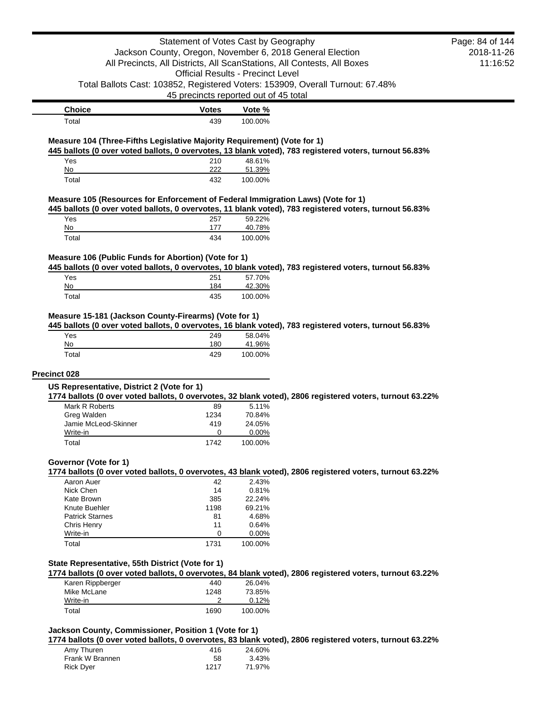|                                                                                  |                                          | Statement of Votes Cast by Geography |                                                                                                          | Page: 84 of 144 |
|----------------------------------------------------------------------------------|------------------------------------------|--------------------------------------|----------------------------------------------------------------------------------------------------------|-----------------|
|                                                                                  |                                          |                                      | Jackson County, Oregon, November 6, 2018 General Election                                                | 2018-11-26      |
|                                                                                  |                                          |                                      | All Precincts, All Districts, All ScanStations, All Contests, All Boxes                                  | 11:16:52        |
|                                                                                  | <b>Official Results - Precinct Level</b> |                                      |                                                                                                          |                 |
|                                                                                  |                                          |                                      | Total Ballots Cast: 103852, Registered Voters: 153909, Overall Turnout: 67.48%                           |                 |
|                                                                                  | 45 precincts reported out of 45 total    |                                      |                                                                                                          |                 |
| <b>Choice</b>                                                                    | <b>Votes</b>                             | Vote %                               |                                                                                                          |                 |
| Total                                                                            | 439                                      | 100.00%                              |                                                                                                          |                 |
| Measure 104 (Three-Fifths Legislative Majority Requirement) (Vote for 1)         |                                          |                                      |                                                                                                          |                 |
|                                                                                  |                                          |                                      | 445 ballots (0 over voted ballots, 0 overvotes, 13 blank voted), 783 registered voters, turnout 56.83%   |                 |
| Yes<br>No                                                                        | 210<br>222                               | 48.61%<br>51.39%                     |                                                                                                          |                 |
| Total                                                                            | 432                                      | 100.00%                              |                                                                                                          |                 |
|                                                                                  |                                          |                                      |                                                                                                          |                 |
| Measure 105 (Resources for Enforcement of Federal Immigration Laws) (Vote for 1) |                                          |                                      |                                                                                                          |                 |
| Yes                                                                              | 257                                      | 59.22%                               | 445 ballots (0 over voted ballots, 0 overvotes, 11 blank voted), 783 registered voters, turnout 56.83%   |                 |
| No                                                                               | 177                                      | 40.78%                               |                                                                                                          |                 |
| Total                                                                            | 434                                      | 100.00%                              |                                                                                                          |                 |
|                                                                                  |                                          |                                      |                                                                                                          |                 |
| Measure 106 (Public Funds for Abortion) (Vote for 1)                             |                                          |                                      | 445 ballots (0 over voted ballots, 0 overvotes, 10 blank voted), 783 registered voters, turnout 56.83%   |                 |
| Yes                                                                              | 251                                      | 57.70%                               |                                                                                                          |                 |
| No                                                                               | 184                                      | 42.30%                               |                                                                                                          |                 |
| Total                                                                            | 435                                      | 100.00%                              |                                                                                                          |                 |
| Measure 15-181 (Jackson County-Firearms) (Vote for 1)                            |                                          |                                      |                                                                                                          |                 |
|                                                                                  |                                          |                                      | 445 ballots (0 over voted ballots, 0 overvotes, 16 blank voted), 783 registered voters, turnout 56.83%   |                 |
|                                                                                  |                                          |                                      |                                                                                                          |                 |
| Yes                                                                              | 249                                      | 58.04%                               |                                                                                                          |                 |
| No                                                                               | 180                                      | 41.96%                               |                                                                                                          |                 |
| Total                                                                            | 429                                      | 100.00%                              |                                                                                                          |                 |
| Precinct 028                                                                     |                                          |                                      |                                                                                                          |                 |
| US Representative, District 2 (Vote for 1)                                       |                                          |                                      |                                                                                                          |                 |
|                                                                                  |                                          |                                      | 1774 ballots (0 over voted ballots, 0 overvotes, 32 blank voted), 2806 registered voters, turnout 63.22% |                 |
| Mark R Roberts                                                                   | 89                                       | 5.11%                                |                                                                                                          |                 |
| Greg Walden                                                                      | 1234                                     | 70.84%                               |                                                                                                          |                 |
| Jamie McLeod-Skinner<br>Write-in                                                 | 419<br>0                                 | 24.05%<br>$0.00\%$                   |                                                                                                          |                 |
| Total                                                                            | 1742                                     | 100.00%                              |                                                                                                          |                 |
|                                                                                  |                                          |                                      |                                                                                                          |                 |
| Governor (Vote for 1)                                                            |                                          |                                      | 1774 ballots (0 over voted ballots, 0 overvotes, 43 blank voted), 2806 registered voters, turnout 63.22% |                 |
| Aaron Auer                                                                       | 42                                       | 2.43%                                |                                                                                                          |                 |
| Nick Chen                                                                        | 14                                       | 0.81%                                |                                                                                                          |                 |
| Kate Brown                                                                       | 385                                      | 22.24%                               |                                                                                                          |                 |
| Knute Buehler                                                                    | 1198                                     | 69.21%                               |                                                                                                          |                 |
| <b>Patrick Starnes</b>                                                           | 81<br>11                                 | 4.68%<br>0.64%                       |                                                                                                          |                 |
| <b>Chris Henry</b><br>Write-in                                                   | 0                                        | 0.00%                                |                                                                                                          |                 |
| Total                                                                            | 1731                                     | 100.00%                              |                                                                                                          |                 |
|                                                                                  |                                          |                                      |                                                                                                          |                 |
| State Representative, 55th District (Vote for 1)                                 |                                          |                                      |                                                                                                          |                 |
|                                                                                  | 440                                      | 26.04%                               | 1774 ballots (0 over voted ballots, 0 overvotes, 84 blank voted), 2806 registered voters, turnout 63.22% |                 |
| Karen Rippberger<br>Mike McLane                                                  | 1248                                     | 73.85%                               |                                                                                                          |                 |
| Write-in                                                                         | 2                                        | 0.12%                                |                                                                                                          |                 |
| Total                                                                            | 1690                                     | 100.00%                              |                                                                                                          |                 |

| Amy Thuren       | 416  | 24.60% |
|------------------|------|--------|
| Frank W Brannen  | 58   | 3.43%  |
| <b>Rick Dyer</b> | 1217 | 71.97% |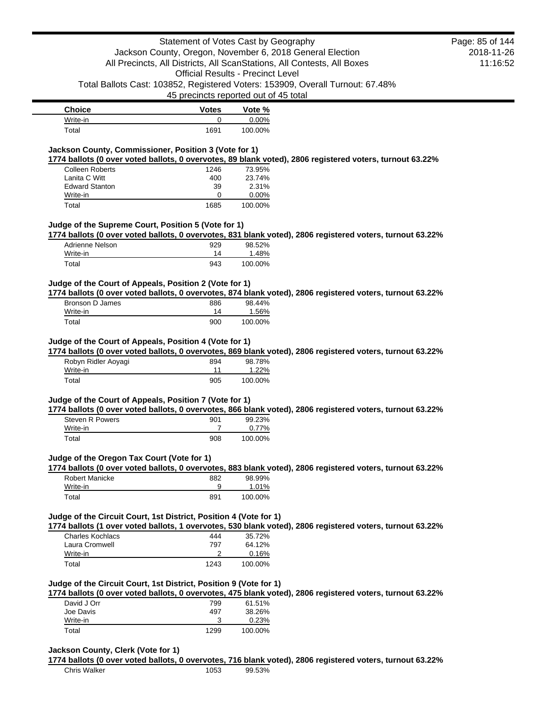| <b>Choice</b>    | <b>Votes</b> | Vote %   |
|------------------|--------------|----------|
| Write-in         |              | $0.00\%$ |
| $\mathsf{Total}$ | 1691         | 100.00%  |

## **Jackson County, Commissioner, Position 3 (Vote for 1)**

**1774 ballots (0 over voted ballots, 0 overvotes, 89 blank voted), 2806 registered voters, turnout 63.22%**

| <b>Colleen Roberts</b> | 1246 | 73.95%   |
|------------------------|------|----------|
| Lanita C Witt          | 400  | 23.74%   |
| <b>Edward Stanton</b>  | 39   | 2.31%    |
| Write-in               | O    | $0.00\%$ |
| Total                  | 1685 | 100.00%  |

### **Judge of the Supreme Court, Position 5 (Vote for 1)**

**1774 ballots (0 over voted ballots, 0 overvotes, 831 blank voted), 2806 registered voters, turnout 63.22%**

| Adrienne Nelson | 929 | 98.52%  |
|-----------------|-----|---------|
| Write-in        | 14  | 1.48%   |
| Total           | 943 | 100.00% |

### **Judge of the Court of Appeals, Position 2 (Vote for 1)**

**1774 ballots (0 over voted ballots, 0 overvotes, 874 blank voted), 2806 registered voters, turnout 63.22%**

| Bronson D James | 886 | 98.44%  |
|-----------------|-----|---------|
| Write-in        | 14  | 1.56%   |
| Total           | 900 | 100.00% |

#### **Judge of the Court of Appeals, Position 4 (Vote for 1)**

**1774 ballots (0 over voted ballots, 0 overvotes, 869 blank voted), 2806 registered voters, turnout 63.22%**

| Robyn Ridler Aoyagi<br>Write-in | 894 | 98.78%<br>1.22% |
|---------------------------------|-----|-----------------|
| Total                           | 905 | 100.00%         |

#### **Judge of the Court of Appeals, Position 7 (Vote for 1)**

**1774 ballots (0 over voted ballots, 0 overvotes, 866 blank voted), 2806 registered voters, turnout 63.22%**

| Steven R Powers<br>Write-in | 901 | 99.23%<br>0.77% |
|-----------------------------|-----|-----------------|
| Total                       | 908 | 100.00%         |

### **Judge of the Oregon Tax Court (Vote for 1)**

**1774 ballots (0 over voted ballots, 0 overvotes, 883 blank voted), 2806 registered voters, turnout 63.22%**

| Robert Manicke | 882 | 98.99%  |
|----------------|-----|---------|
| Write-in       | 9   | 1.01%   |
| Total          | 891 | 100.00% |

### **Judge of the Circuit Court, 1st District, Position 4 (Vote for 1)**

**1774 ballots (1 over voted ballots, 1 overvotes, 530 blank voted), 2806 registered voters, turnout 63.22%**

| Charles Kochlacs | 444  | 35.72%  |
|------------------|------|---------|
| Laura Cromwell   | 797  | 64.12%  |
| Write-in         |      | 0.16%   |
| Total            | 1243 | 100.00% |
|                  |      |         |

#### **Judge of the Circuit Court, 1st District, Position 9 (Vote for 1)**

**1774 ballots (0 over voted ballots, 0 overvotes, 475 blank voted), 2806 registered voters, turnout 63.22%**

| David J Orr | 799  | 61.51%  |
|-------------|------|---------|
| Joe Davis   | 497  | 38.26%  |
| Write-in    | ว    | 0.23%   |
| Total       | 1299 | 100.00% |

### **Jackson County, Clerk (Vote for 1)**

**1774 ballots (0 over voted ballots, 0 overvotes, 716 blank voted), 2806 registered voters, turnout 63.22%**

2018-11-26 11:16:52 Page: 85 of 144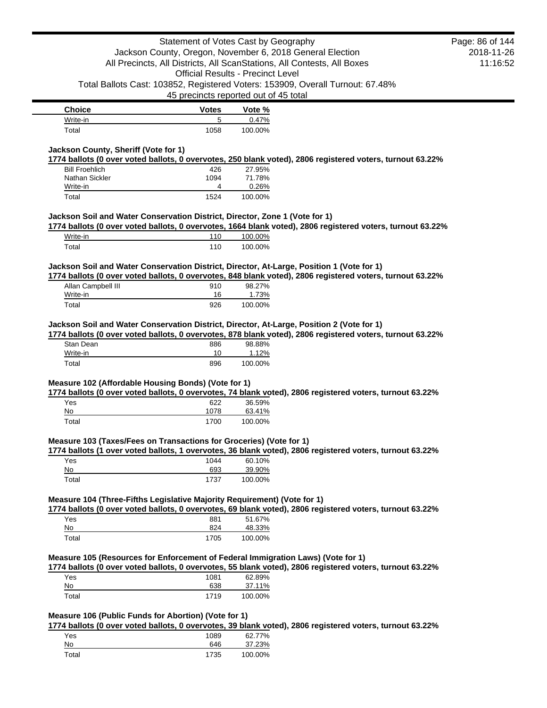|                                                                                           |              | Statement of Votes Cast by Geography<br>Jackson County, Oregon, November 6, 2018 General Election                       |                                                                                                            | Page: 86 of 144<br>2018-11-26 |
|-------------------------------------------------------------------------------------------|--------------|-------------------------------------------------------------------------------------------------------------------------|------------------------------------------------------------------------------------------------------------|-------------------------------|
|                                                                                           |              | All Precincts, All Districts, All ScanStations, All Contests, All Boxes<br><b>Official Results - Precinct Level</b>     |                                                                                                            | 11:16:52                      |
|                                                                                           |              | Total Ballots Cast: 103852, Registered Voters: 153909, Overall Turnout: 67.48%<br>45 precincts reported out of 45 total |                                                                                                            |                               |
| <b>Choice</b>                                                                             | <b>Votes</b> | Vote %                                                                                                                  |                                                                                                            |                               |
| Write-in                                                                                  | 5            | 0.47%                                                                                                                   |                                                                                                            |                               |
| Total                                                                                     | 1058         | 100.00%                                                                                                                 |                                                                                                            |                               |
| Jackson County, Sheriff (Vote for 1)                                                      |              |                                                                                                                         |                                                                                                            |                               |
| <b>Bill Froehlich</b>                                                                     | 426          | 27.95%                                                                                                                  | 1774 ballots (0 over voted ballots, 0 overvotes, 250 blank voted), 2806 registered voters, turnout 63.22%  |                               |
| Nathan Sickler                                                                            | 1094         | 71.78%                                                                                                                  |                                                                                                            |                               |
| Write-in                                                                                  | 4            | 0.26%                                                                                                                   |                                                                                                            |                               |
| Total                                                                                     | 1524         | 100.00%                                                                                                                 |                                                                                                            |                               |
| Jackson Soil and Water Conservation District, Director, Zone 1 (Vote for 1)               |              |                                                                                                                         |                                                                                                            |                               |
| Write-in                                                                                  | 110          | 100.00%                                                                                                                 | 1774 ballots (0 over voted ballots, 0 overvotes, 1664 blank voted), 2806 registered voters, turnout 63.22% |                               |
| Total                                                                                     | 110          | 100.00%                                                                                                                 |                                                                                                            |                               |
|                                                                                           |              |                                                                                                                         |                                                                                                            |                               |
| Jackson Soil and Water Conservation District, Director, At-Large, Position 1 (Vote for 1) |              |                                                                                                                         | 1774 ballots (0 over voted ballots, 0 overvotes, 848 blank voted), 2806 registered voters, turnout 63.22%  |                               |
| Allan Campbell III                                                                        | 910          | 98.27%                                                                                                                  |                                                                                                            |                               |
| Write-in                                                                                  | 16           | 1.73%                                                                                                                   |                                                                                                            |                               |
| Total                                                                                     | 926          | 100.00%                                                                                                                 |                                                                                                            |                               |
| Jackson Soil and Water Conservation District, Director, At-Large, Position 2 (Vote for 1) |              |                                                                                                                         | 1774 ballots (0 over voted ballots, 0 overvotes, 878 blank voted), 2806 registered voters, turnout 63.22%  |                               |
| Stan Dean                                                                                 | 886          | 98.88%                                                                                                                  |                                                                                                            |                               |
| Write-in                                                                                  | 10           | 1.12%                                                                                                                   |                                                                                                            |                               |
| Total                                                                                     | 896          | 100.00%                                                                                                                 |                                                                                                            |                               |
| Measure 102 (Affordable Housing Bonds) (Vote for 1)                                       |              |                                                                                                                         |                                                                                                            |                               |
| Yes                                                                                       |              | 36.59%                                                                                                                  | 1774 ballots (0 over voted ballots, 0 overvotes, 74 blank voted), 2806 registered voters, turnout 63.22%   |                               |
| No                                                                                        | 622<br>1078  | 63.41%                                                                                                                  |                                                                                                            |                               |
| Total                                                                                     | 1700         | 100.00%                                                                                                                 |                                                                                                            |                               |
| Measure 103 (Taxes/Fees on Transactions for Groceries) (Vote for 1)                       |              |                                                                                                                         |                                                                                                            |                               |
|                                                                                           |              |                                                                                                                         | 1774 ballots (1 over voted ballots, 1 overvotes, 36 blank voted), 2806 registered voters, turnout 63.22%   |                               |
| Yes                                                                                       | 1044         | 60.10%                                                                                                                  |                                                                                                            |                               |
| No                                                                                        | 693          | 39.90%                                                                                                                  |                                                                                                            |                               |
| Total                                                                                     | 1737         | 100.00%                                                                                                                 |                                                                                                            |                               |
| Measure 104 (Three-Fifths Legislative Majority Requirement) (Vote for 1)                  |              |                                                                                                                         |                                                                                                            |                               |
| Yes                                                                                       | 881          | 51.67%                                                                                                                  | 1774 ballots (0 over voted ballots, 0 overvotes, 69 blank voted), 2806 registered voters, turnout 63.22%   |                               |
| No                                                                                        | 824          | 48.33%                                                                                                                  |                                                                                                            |                               |
| Total                                                                                     | 1705         | 100.00%                                                                                                                 |                                                                                                            |                               |
|                                                                                           |              |                                                                                                                         |                                                                                                            |                               |
| Measure 105 (Resources for Enforcement of Federal Immigration Laws) (Vote for 1)          |              |                                                                                                                         | 1774 ballots (0 over voted ballots, 0 overvotes, 55 blank voted), 2806 registered voters, turnout 63.22%   |                               |
| Yes                                                                                       | 1081         | 62.89%                                                                                                                  |                                                                                                            |                               |
| No                                                                                        | 638          | 37.11%                                                                                                                  |                                                                                                            |                               |
| Total                                                                                     | 1719         | 100.00%                                                                                                                 |                                                                                                            |                               |
| Measure 106 (Public Funds for Abortion) (Vote for 1)                                      |              |                                                                                                                         |                                                                                                            |                               |
|                                                                                           |              |                                                                                                                         | 1774 ballots (0 over voted ballots, 0 overvotes, 39 blank voted), 2806 registered voters, turnout 63.22%   |                               |
| Yes<br><u>No</u>                                                                          | 1089<br>646  | 62.77%<br>37.23%                                                                                                        |                                                                                                            |                               |
| Total                                                                                     | 1735         |                                                                                                                         |                                                                                                            |                               |
|                                                                                           |              | 100.00%                                                                                                                 |                                                                                                            |                               |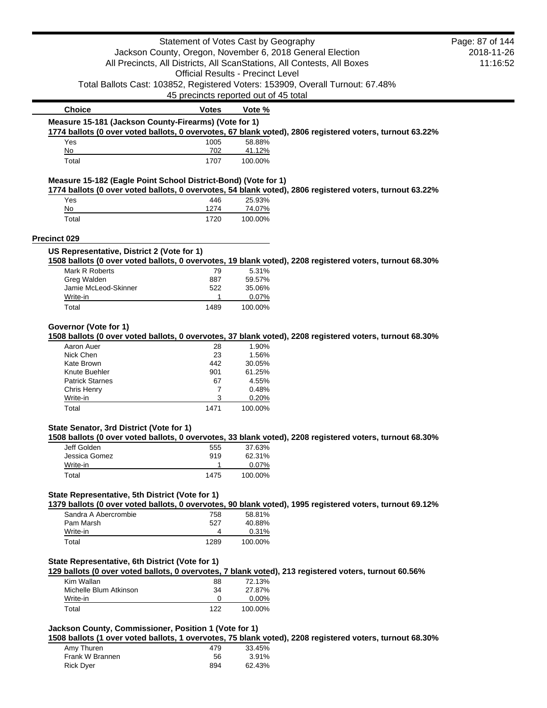|                                                                | Statement of Votes Cast by Geography     |                   |                                                                                                          | Page: 87 of 144 |
|----------------------------------------------------------------|------------------------------------------|-------------------|----------------------------------------------------------------------------------------------------------|-----------------|
|                                                                |                                          |                   | Jackson County, Oregon, November 6, 2018 General Election                                                | 2018-11-26      |
|                                                                |                                          |                   | All Precincts, All Districts, All ScanStations, All Contests, All Boxes                                  | 11:16:52        |
|                                                                | <b>Official Results - Precinct Level</b> |                   |                                                                                                          |                 |
|                                                                |                                          |                   | Total Ballots Cast: 103852, Registered Voters: 153909, Overall Turnout: 67.48%                           |                 |
|                                                                | 45 precincts reported out of 45 total    |                   |                                                                                                          |                 |
| <b>Choice</b>                                                  | <b>Votes</b>                             | Vote %            |                                                                                                          |                 |
| Measure 15-181 (Jackson County-Firearms) (Vote for 1)          |                                          |                   |                                                                                                          |                 |
|                                                                |                                          |                   | 1774 ballots (0 over voted ballots, 0 overvotes, 67 blank voted), 2806 registered voters, turnout 63.22% |                 |
| Yes                                                            | 1005<br>702                              | 58.88%            |                                                                                                          |                 |
| No<br>Total                                                    | 1707                                     | 41.12%<br>100.00% |                                                                                                          |                 |
|                                                                |                                          |                   |                                                                                                          |                 |
| Measure 15-182 (Eagle Point School District-Bond) (Vote for 1) |                                          |                   | 1774 ballots (0 over voted ballots, 0 overvotes, 54 blank voted), 2806 registered voters, turnout 63.22% |                 |
| Yes                                                            | 446                                      | 25.93%            |                                                                                                          |                 |
| No                                                             | 1274                                     | 74.07%            |                                                                                                          |                 |
| Total                                                          | 1720                                     | 100.00%           |                                                                                                          |                 |
| Precinct 029                                                   |                                          |                   |                                                                                                          |                 |
| US Representative, District 2 (Vote for 1)                     |                                          |                   |                                                                                                          |                 |
|                                                                |                                          |                   | 1508 ballots (0 over voted ballots, 0 overvotes, 19 blank voted), 2208 registered voters, turnout 68.30% |                 |
| Mark R Roberts                                                 | 79                                       | 5.31%             |                                                                                                          |                 |
| Greg Walden                                                    | 887                                      | 59.57%            |                                                                                                          |                 |
| Jamie McLeod-Skinner                                           | 522<br>1                                 | 35.06%            |                                                                                                          |                 |
| Write-in<br>Total                                              | 1489                                     | 0.07%<br>100.00%  |                                                                                                          |                 |
|                                                                |                                          |                   |                                                                                                          |                 |
| Governor (Vote for 1)                                          |                                          |                   | 1508 ballots (0 over voted ballots, 0 overvotes, 37 blank voted), 2208 registered voters, turnout 68.30% |                 |
| Aaron Auer                                                     | 28                                       | 1.90%             |                                                                                                          |                 |
| Nick Chen                                                      | 23                                       | 1.56%             |                                                                                                          |                 |
| Kate Brown                                                     | 442                                      | 30.05%            |                                                                                                          |                 |
| Knute Buehler                                                  | 901                                      | 61.25%            |                                                                                                          |                 |
| <b>Patrick Starnes</b>                                         | 67                                       | 4.55%             |                                                                                                          |                 |
| Chris Henry                                                    | 7                                        | 0.48%             |                                                                                                          |                 |
| Write-in                                                       | 3                                        | 0.20%             |                                                                                                          |                 |
| Total                                                          | 1471                                     | 100.00%           |                                                                                                          |                 |
| State Senator, 3rd District (Vote for 1)                       |                                          |                   |                                                                                                          |                 |
|                                                                |                                          |                   | 1508 ballots (0 over voted ballots, 0 overvotes, 33 blank voted), 2208 registered voters, turnout 68.30% |                 |
| Jeff Golden                                                    | 555                                      | 37.63%            |                                                                                                          |                 |
| Jessica Gomez                                                  | 919                                      | 62.31%            |                                                                                                          |                 |
| Write-in<br>Total                                              | 1<br>1475                                | 0.07%<br>100.00%  |                                                                                                          |                 |
|                                                                |                                          |                   |                                                                                                          |                 |
| State Representative, 5th District (Vote for 1)                |                                          |                   | 1379 ballots (0 over voted ballots, 0 overvotes, 90 blank voted), 1995 registered voters, turnout 69.12% |                 |
| Sandra A Abercrombie                                           | 758                                      | 58.81%            |                                                                                                          |                 |
| Pam Marsh                                                      | 527                                      | 40.88%            |                                                                                                          |                 |
| Write-in                                                       | 4                                        | 0.31%             |                                                                                                          |                 |
| Total                                                          | 1289                                     | 100.00%           |                                                                                                          |                 |
| State Representative, 6th District (Vote for 1)                |                                          |                   |                                                                                                          |                 |
|                                                                |                                          |                   | 129 ballots (0 over voted ballots, 0 overvotes, 7 blank voted), 213 registered voters, turnout 60.56%    |                 |
| Kim Wallan                                                     | 88                                       | 72.13%            |                                                                                                          |                 |
| Michelle Blum Atkinson                                         | 34                                       | 27.87%            |                                                                                                          |                 |
| Write-in                                                       | 0                                        | 0.00%             |                                                                                                          |                 |
| Total                                                          | 122                                      | 100.00%           |                                                                                                          |                 |
|                                                                |                                          |                   |                                                                                                          |                 |
| Jackson County, Commissioner, Position 1 (Vote for 1)          |                                          |                   |                                                                                                          |                 |
|                                                                |                                          |                   | 1508 ballots (1 over voted ballots, 1 overvotes, 75 blank voted), 2208 registered voters, turnout 68.30% |                 |

| Amy Thuren       | 479 | 33.45% |
|------------------|-----|--------|
| Frank W Brannen  | 56  | 3.91%  |
| <b>Rick Dyer</b> | 894 | 62.43% |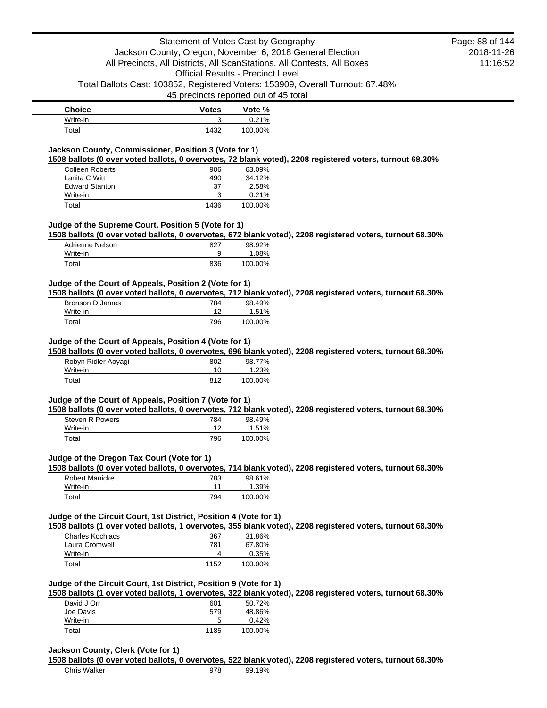| <b>Choice</b> | Votes | Vote %  |
|---------------|-------|---------|
| Write-in      | ◠     | 0.21%   |
| Total         | 1432  | 100.00% |

# **Jackson County, Commissioner, Position 3 (Vote for 1)**

**1508 ballots (0 over voted ballots, 0 overvotes, 72 blank voted), 2208 registered voters, turnout 68.30%**

| <b>Colleen Roberts</b> | 906  | 63.09%   |
|------------------------|------|----------|
| Lanita C Witt          | 490  | 34.12%   |
| <b>Edward Stanton</b>  | 37   | 2.58%    |
| Write-in               | 3    | $0.21\%$ |
| Total                  | 1436 | 100.00%  |

### **Judge of the Supreme Court, Position 5 (Vote for 1)**

**1508 ballots (0 over voted ballots, 0 overvotes, 672 blank voted), 2208 registered voters, turnout 68.30%**

| Adrienne Nelson | 827 | 98.92%  |
|-----------------|-----|---------|
| Write-in        |     | 1.08%   |
| Total           | 836 | 100.00% |

### **Judge of the Court of Appeals, Position 2 (Vote for 1)**

**1508 ballots (0 over voted ballots, 0 overvotes, 712 blank voted), 2208 registered voters, turnout 68.30%**

| Bronson D James | 784 | 98.49%  |
|-----------------|-----|---------|
| Write-in        |     | 1.51%   |
| Total           | 796 | 100.00% |

#### **Judge of the Court of Appeals, Position 4 (Vote for 1)**

**1508 ballots (0 over voted ballots, 0 overvotes, 696 blank voted), 2208 registered voters, turnout 68.30%**

| Robyn Ridler Aoyagi | 802 | 98.77%  |
|---------------------|-----|---------|
| Write-in            | 10  | 1.23%   |
| Total               | 812 | 100.00% |

#### **Judge of the Court of Appeals, Position 7 (Vote for 1)**

**1508 ballots (0 over voted ballots, 0 overvotes, 712 blank voted), 2208 registered voters, turnout 68.30%**

| Steven R Powers | 784 | 98.49%  |
|-----------------|-----|---------|
| Write-in        | 12  | 1.51%   |
| Total           | 796 | 100.00% |

## **Judge of the Oregon Tax Court (Vote for 1)**

**1508 ballots (0 over voted ballots, 0 overvotes, 714 blank voted), 2208 registered voters, turnout 68.30%**

| Robert Manicke | 783 | 98.61%  |
|----------------|-----|---------|
| Write-in       | 11  | 1.39%   |
| Total          | 794 | 100.00% |

### **Judge of the Circuit Court, 1st District, Position 4 (Vote for 1)**

**1508 ballots (1 over voted ballots, 1 overvotes, 355 blank voted), 2208 registered voters, turnout 68.30%**

| 367  | 31.86%  |
|------|---------|
| 781  | 67.80%  |
| Δ    | 0.35%   |
| 1152 | 100.00% |
|      |         |

#### **Judge of the Circuit Court, 1st District, Position 9 (Vote for 1)**

**1508 ballots (1 over voted ballots, 1 overvotes, 322 blank voted), 2208 registered voters, turnout 68.30%**

| David J Orr | 601  | 50.72%  |
|-------------|------|---------|
| Joe Davis   | 579  | 48.86%  |
| Write-in    | 5    | 0.42%   |
| Total       | 1185 | 100.00% |

#### **Jackson County, Clerk (Vote for 1)**

**1508 ballots (0 over voted ballots, 0 overvotes, 522 blank voted), 2208 registered voters, turnout 68.30%**

2018-11-26 11:16:52 Page: 88 of 144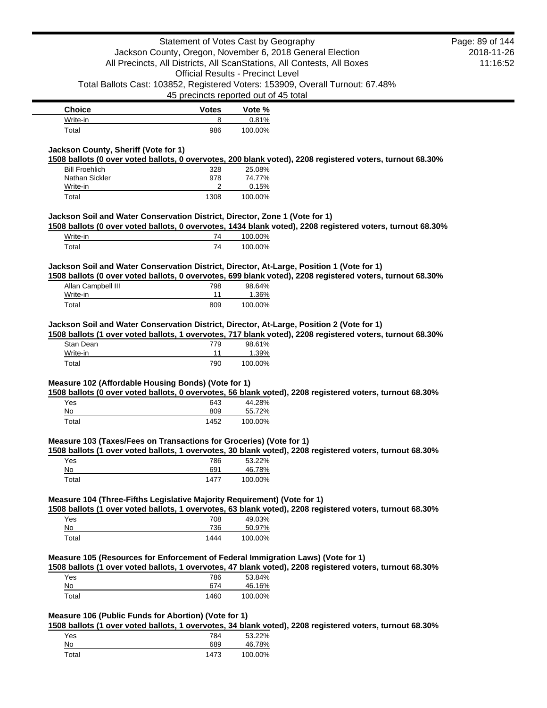|                                                                                           | Statement of Votes Cast by Geography                      |                                          |                                                                                                            | Page: 89 of 144 |
|-------------------------------------------------------------------------------------------|-----------------------------------------------------------|------------------------------------------|------------------------------------------------------------------------------------------------------------|-----------------|
|                                                                                           | Jackson County, Oregon, November 6, 2018 General Election |                                          |                                                                                                            | 2018-11-26      |
|                                                                                           |                                                           |                                          | All Precincts, All Districts, All ScanStations, All Contests, All Boxes                                    | 11:16:52        |
|                                                                                           |                                                           | <b>Official Results - Precinct Level</b> |                                                                                                            |                 |
|                                                                                           |                                                           |                                          | Total Ballots Cast: 103852, Registered Voters: 153909, Overall Turnout: 67.48%                             |                 |
|                                                                                           | 45 precincts reported out of 45 total                     |                                          |                                                                                                            |                 |
| <b>Choice</b>                                                                             | <b>Votes</b>                                              | Vote %                                   |                                                                                                            |                 |
| Write-in                                                                                  | 8                                                         | 0.81%                                    |                                                                                                            |                 |
| Total                                                                                     | 986                                                       | 100.00%                                  |                                                                                                            |                 |
|                                                                                           |                                                           |                                          |                                                                                                            |                 |
| Jackson County, Sheriff (Vote for 1)                                                      |                                                           |                                          |                                                                                                            |                 |
| <b>Bill Froehlich</b>                                                                     | 328                                                       | 25.08%                                   | 1508 ballots (0 over voted ballots, 0 overvotes, 200 blank voted), 2208 registered voters, turnout 68.30%  |                 |
| Nathan Sickler                                                                            | 978                                                       | 74.77%                                   |                                                                                                            |                 |
| Write-in                                                                                  | 2                                                         | 0.15%                                    |                                                                                                            |                 |
| Total                                                                                     | 1308                                                      | 100.00%                                  |                                                                                                            |                 |
|                                                                                           |                                                           |                                          |                                                                                                            |                 |
| Jackson Soil and Water Conservation District, Director, Zone 1 (Vote for 1)               |                                                           |                                          | 1508 ballots (0 over voted ballots, 0 overvotes, 1434 blank voted), 2208 registered voters, turnout 68.30% |                 |
| Write-in                                                                                  | 74                                                        | 100.00%                                  |                                                                                                            |                 |
| Total                                                                                     | 74                                                        | 100.00%                                  |                                                                                                            |                 |
|                                                                                           |                                                           |                                          |                                                                                                            |                 |
| Jackson Soil and Water Conservation District, Director, At-Large, Position 1 (Vote for 1) |                                                           |                                          |                                                                                                            |                 |
| Allan Campbell III                                                                        |                                                           | 98.64%                                   | 1508 ballots (0 over voted ballots, 0 overvotes, 699 blank voted), 2208 registered voters, turnout 68.30%  |                 |
| Write-in                                                                                  | 798<br>11                                                 | 1.36%                                    |                                                                                                            |                 |
| Total                                                                                     | 809                                                       | 100.00%                                  |                                                                                                            |                 |
|                                                                                           |                                                           |                                          |                                                                                                            |                 |
| Jackson Soil and Water Conservation District, Director, At-Large, Position 2 (Vote for 1) |                                                           |                                          |                                                                                                            |                 |
| Stan Dean                                                                                 | 779                                                       | 98.61%                                   | 1508 ballots (1 over voted ballots, 1 overvotes, 717 blank voted), 2208 registered voters, turnout 68.30%  |                 |
| Write-in                                                                                  | 11                                                        | 1.39%                                    |                                                                                                            |                 |
| Total                                                                                     | 790                                                       | 100.00%                                  |                                                                                                            |                 |
|                                                                                           |                                                           |                                          |                                                                                                            |                 |
| Measure 102 (Affordable Housing Bonds) (Vote for 1)                                       |                                                           |                                          |                                                                                                            |                 |
| Yes                                                                                       | 643                                                       | 44.28%                                   | 1508 ballots (0 over voted ballots, 0 overvotes, 56 blank voted), 2208 registered voters, turnout 68.30%   |                 |
| No                                                                                        | 809                                                       | 55.72%                                   |                                                                                                            |                 |
| Total                                                                                     | 1452                                                      | 100.00%                                  |                                                                                                            |                 |
|                                                                                           |                                                           |                                          |                                                                                                            |                 |
| Measure 103 (Taxes/Fees on Transactions for Groceries) (Vote for 1)                       |                                                           |                                          |                                                                                                            |                 |
|                                                                                           |                                                           |                                          | 1508 ballots (1 over voted ballots, 1 overvotes, 30 blank voted), 2208 registered voters, turnout 68.30%   |                 |
| Yes<br>No                                                                                 | 786<br>691                                                | 53.22%<br>46.78%                         |                                                                                                            |                 |
| Total                                                                                     | 1477                                                      | 100.00%                                  |                                                                                                            |                 |
|                                                                                           |                                                           |                                          |                                                                                                            |                 |
| Measure 104 (Three-Fifths Legislative Majority Requirement) (Vote for 1)                  |                                                           |                                          |                                                                                                            |                 |
|                                                                                           |                                                           |                                          | 1508 ballots (1 over voted ballots, 1 overvotes, 63 blank voted), 2208 registered voters, turnout 68.30%   |                 |
| Yes                                                                                       | 708                                                       | 49.03%                                   |                                                                                                            |                 |
| $\underline{\mathsf{No}}$                                                                 | 736                                                       | 50.97%                                   |                                                                                                            |                 |
| Total                                                                                     | 1444                                                      | 100.00%                                  |                                                                                                            |                 |
| Measure 105 (Resources for Enforcement of Federal Immigration Laws) (Vote for 1)          |                                                           |                                          |                                                                                                            |                 |
|                                                                                           |                                                           |                                          | 1508 ballots (1 over voted ballots, 1 overvotes, 47 blank voted), 2208 registered voters, turnout 68.30%   |                 |
| Yes                                                                                       | 786                                                       | 53.84%                                   |                                                                                                            |                 |
| No                                                                                        | 674                                                       | 46.16%                                   |                                                                                                            |                 |
| Total                                                                                     | 1460                                                      | 100.00%                                  |                                                                                                            |                 |
|                                                                                           |                                                           |                                          |                                                                                                            |                 |
| Measure 106 (Public Funds for Abortion) (Vote for 1)                                      |                                                           |                                          |                                                                                                            |                 |
|                                                                                           |                                                           |                                          | 1508 ballots (1 over voted ballots, 1 overvotes, 34 blank voted), 2208 registered voters, turnout 68.30%   |                 |
| Yes                                                                                       | 784                                                       | 53.22%                                   |                                                                                                            |                 |
| No<br>Total                                                                               | 689<br>1473                                               | 46.78%<br>100.00%                        |                                                                                                            |                 |
|                                                                                           |                                                           |                                          |                                                                                                            |                 |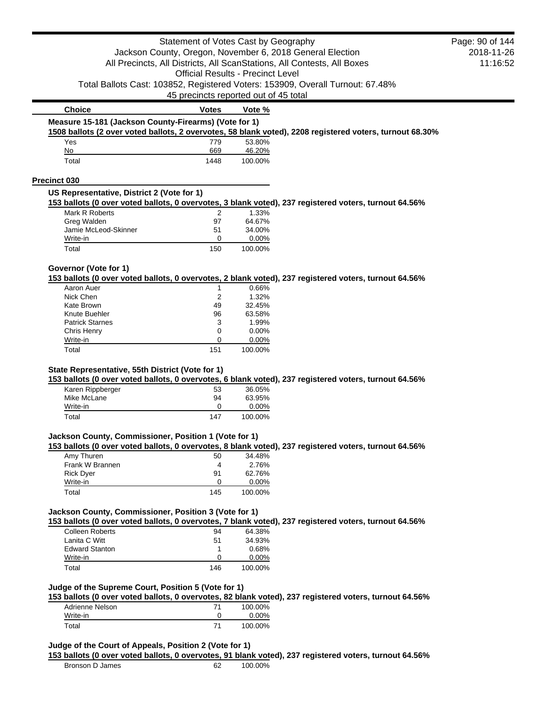|                                                        | Statement of Votes Cast by Geography     |                  |                                                                                                          | Page: 90 of 144 |
|--------------------------------------------------------|------------------------------------------|------------------|----------------------------------------------------------------------------------------------------------|-----------------|
|                                                        |                                          |                  | Jackson County, Oregon, November 6, 2018 General Election                                                | 2018-11-26      |
|                                                        |                                          |                  | All Precincts, All Districts, All ScanStations, All Contests, All Boxes                                  | 11:16:52        |
|                                                        | <b>Official Results - Precinct Level</b> |                  |                                                                                                          |                 |
|                                                        |                                          |                  | Total Ballots Cast: 103852, Registered Voters: 153909, Overall Turnout: 67.48%                           |                 |
|                                                        | 45 precincts reported out of 45 total    |                  |                                                                                                          |                 |
| <b>Choice</b>                                          | <b>Votes</b>                             | Vote %           |                                                                                                          |                 |
| Measure 15-181 (Jackson County-Firearms) (Vote for 1)  |                                          |                  |                                                                                                          |                 |
| Yes                                                    | 779                                      | 53.80%           | 1508 ballots (2 over voted ballots, 2 overvotes, 58 blank voted), 2208 registered voters, turnout 68.30% |                 |
| No                                                     | 669                                      | 46.20%           |                                                                                                          |                 |
| Total                                                  | 1448                                     | 100.00%          |                                                                                                          |                 |
| Precinct 030                                           |                                          |                  |                                                                                                          |                 |
| US Representative, District 2 (Vote for 1)             |                                          |                  |                                                                                                          |                 |
|                                                        |                                          |                  | 153 ballots (0 over voted ballots, 0 overvotes, 3 blank voted), 237 registered voters, turnout 64.56%    |                 |
| Mark R Roberts<br>Greg Walden                          | 2<br>97                                  | 1.33%<br>64.67%  |                                                                                                          |                 |
| Jamie McLeod-Skinner                                   | 51                                       | 34.00%           |                                                                                                          |                 |
| Write-in                                               | 0                                        | 0.00%            |                                                                                                          |                 |
| Total                                                  | 150                                      | 100.00%          |                                                                                                          |                 |
| Governor (Vote for 1)                                  |                                          |                  |                                                                                                          |                 |
|                                                        |                                          |                  | 153 ballots (0 over voted ballots, 0 overvotes, 2 blank voted), 237 registered voters, turnout 64.56%    |                 |
| Aaron Auer<br>Nick Chen                                | 2                                        | 0.66%<br>1.32%   |                                                                                                          |                 |
| Kate Brown                                             | 49                                       | 32.45%           |                                                                                                          |                 |
| Knute Buehler                                          | 96                                       | 63.58%           |                                                                                                          |                 |
| <b>Patrick Starnes</b>                                 | 3                                        | 1.99%            |                                                                                                          |                 |
| <b>Chris Henry</b>                                     | 0                                        | 0.00%            |                                                                                                          |                 |
| Write-in                                               | 0                                        | 0.00%            |                                                                                                          |                 |
| Total                                                  | 151                                      | 100.00%          |                                                                                                          |                 |
|                                                        |                                          |                  |                                                                                                          |                 |
| State Representative, 55th District (Vote for 1)       |                                          |                  | 153 ballots (0 over voted ballots, 0 overvotes, 6 blank voted), 237 registered voters, turnout 64.56%    |                 |
| Karen Rippberger                                       | 53                                       | 36.05%           |                                                                                                          |                 |
| Mike McLane                                            | 94                                       | 63.95%           |                                                                                                          |                 |
| Write-in<br>Total                                      | 0<br>147                                 | 0.00%<br>100.00% |                                                                                                          |                 |
|                                                        |                                          |                  |                                                                                                          |                 |
| Jackson County, Commissioner, Position 1 (Vote for 1)  |                                          |                  | 153 ballots (0 over voted ballots, 0 overvotes, 8 blank voted), 237 registered voters, turnout 64.56%    |                 |
| Amy Thuren                                             | 50                                       | 34.48%           |                                                                                                          |                 |
| Frank W Brannen                                        | 4                                        | 2.76%            |                                                                                                          |                 |
| <b>Rick Dyer</b>                                       | 91                                       | 62.76%           |                                                                                                          |                 |
| Write-in                                               | 0                                        | 0.00%            |                                                                                                          |                 |
| Total                                                  | 145                                      | 100.00%          |                                                                                                          |                 |
| Jackson County, Commissioner, Position 3 (Vote for 1)  |                                          |                  | 153 ballots (0 over voted ballots, 0 overvotes, 7 blank voted), 237 registered voters, turnout 64.56%    |                 |
| <b>Colleen Roberts</b>                                 | 94                                       | 64.38%           |                                                                                                          |                 |
| Lanita C Witt                                          | 51                                       | 34.93%           |                                                                                                          |                 |
| <b>Edward Stanton</b>                                  | 1                                        | 0.68%            |                                                                                                          |                 |
| Write-in                                               | 0                                        | 0.00%            |                                                                                                          |                 |
| Total                                                  | 146                                      | 100.00%          |                                                                                                          |                 |
| Judge of the Supreme Court, Position 5 (Vote for 1)    |                                          |                  |                                                                                                          |                 |
|                                                        |                                          |                  | 153 ballots (0 over voted ballots, 0 overvotes, 82 blank voted), 237 registered voters, turnout 64.56%   |                 |
| Adrienne Nelson<br>Write-in                            | 71<br>0                                  | 100.00%<br>0.00% |                                                                                                          |                 |
| Total                                                  | 71                                       | 100.00%          |                                                                                                          |                 |
|                                                        |                                          |                  |                                                                                                          |                 |
| Judge of the Court of Appeals, Position 2 (Vote for 1) |                                          |                  |                                                                                                          |                 |
| Bronson D James                                        | 62                                       | 100.00%          | 153 ballots (0 over voted ballots, 0 overvotes, 91 blank voted), 237 registered voters, turnout 64.56%   |                 |
|                                                        |                                          |                  |                                                                                                          |                 |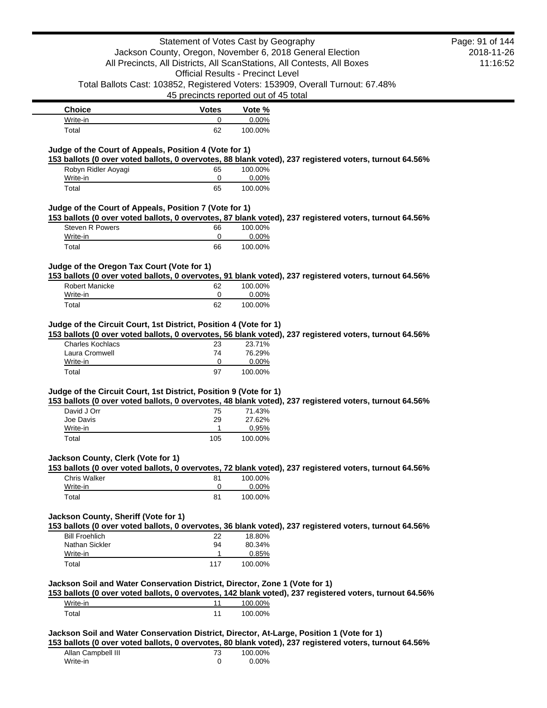| <b>Votes</b><br>0<br>62<br>Judge of the Court of Appeals, Position 4 (Vote for 1) | <b>Official Results - Precinct Level</b><br>45 precincts reported out of 45 total<br>Vote %<br>0.00% | Jackson County, Oregon, November 6, 2018 General Election<br>All Precincts, All Districts, All ScanStations, All Contests, All Boxes<br>Total Ballots Cast: 103852, Registered Voters: 153909, Overall Turnout: 67.48%                                                             | 2018-11-26<br>11:16:52                                                                                                                                                                                                                                                                                                                                                                                                               |
|-----------------------------------------------------------------------------------|------------------------------------------------------------------------------------------------------|------------------------------------------------------------------------------------------------------------------------------------------------------------------------------------------------------------------------------------------------------------------------------------|--------------------------------------------------------------------------------------------------------------------------------------------------------------------------------------------------------------------------------------------------------------------------------------------------------------------------------------------------------------------------------------------------------------------------------------|
|                                                                                   |                                                                                                      |                                                                                                                                                                                                                                                                                    |                                                                                                                                                                                                                                                                                                                                                                                                                                      |
|                                                                                   |                                                                                                      |                                                                                                                                                                                                                                                                                    |                                                                                                                                                                                                                                                                                                                                                                                                                                      |
|                                                                                   |                                                                                                      |                                                                                                                                                                                                                                                                                    |                                                                                                                                                                                                                                                                                                                                                                                                                                      |
|                                                                                   |                                                                                                      |                                                                                                                                                                                                                                                                                    |                                                                                                                                                                                                                                                                                                                                                                                                                                      |
|                                                                                   |                                                                                                      |                                                                                                                                                                                                                                                                                    |                                                                                                                                                                                                                                                                                                                                                                                                                                      |
|                                                                                   |                                                                                                      |                                                                                                                                                                                                                                                                                    |                                                                                                                                                                                                                                                                                                                                                                                                                                      |
|                                                                                   |                                                                                                      |                                                                                                                                                                                                                                                                                    |                                                                                                                                                                                                                                                                                                                                                                                                                                      |
|                                                                                   | 100.00%                                                                                              |                                                                                                                                                                                                                                                                                    |                                                                                                                                                                                                                                                                                                                                                                                                                                      |
|                                                                                   |                                                                                                      |                                                                                                                                                                                                                                                                                    |                                                                                                                                                                                                                                                                                                                                                                                                                                      |
|                                                                                   |                                                                                                      |                                                                                                                                                                                                                                                                                    |                                                                                                                                                                                                                                                                                                                                                                                                                                      |
|                                                                                   |                                                                                                      | 153 ballots (0 over voted ballots, 0 overvotes, 88 blank voted), 237 registered voters, turnout 64.56%                                                                                                                                                                             |                                                                                                                                                                                                                                                                                                                                                                                                                                      |
| 65<br>0                                                                           | 100.00%<br>0.00%                                                                                     |                                                                                                                                                                                                                                                                                    |                                                                                                                                                                                                                                                                                                                                                                                                                                      |
|                                                                                   |                                                                                                      |                                                                                                                                                                                                                                                                                    |                                                                                                                                                                                                                                                                                                                                                                                                                                      |
|                                                                                   |                                                                                                      |                                                                                                                                                                                                                                                                                    |                                                                                                                                                                                                                                                                                                                                                                                                                                      |
|                                                                                   |                                                                                                      |                                                                                                                                                                                                                                                                                    |                                                                                                                                                                                                                                                                                                                                                                                                                                      |
|                                                                                   |                                                                                                      |                                                                                                                                                                                                                                                                                    |                                                                                                                                                                                                                                                                                                                                                                                                                                      |
| 66                                                                                | 100.00%                                                                                              |                                                                                                                                                                                                                                                                                    |                                                                                                                                                                                                                                                                                                                                                                                                                                      |
| 0                                                                                 | 0.00%                                                                                                |                                                                                                                                                                                                                                                                                    |                                                                                                                                                                                                                                                                                                                                                                                                                                      |
| 66                                                                                | 100.00%                                                                                              |                                                                                                                                                                                                                                                                                    |                                                                                                                                                                                                                                                                                                                                                                                                                                      |
|                                                                                   |                                                                                                      |                                                                                                                                                                                                                                                                                    |                                                                                                                                                                                                                                                                                                                                                                                                                                      |
|                                                                                   |                                                                                                      |                                                                                                                                                                                                                                                                                    |                                                                                                                                                                                                                                                                                                                                                                                                                                      |
|                                                                                   |                                                                                                      |                                                                                                                                                                                                                                                                                    |                                                                                                                                                                                                                                                                                                                                                                                                                                      |
|                                                                                   |                                                                                                      |                                                                                                                                                                                                                                                                                    |                                                                                                                                                                                                                                                                                                                                                                                                                                      |
|                                                                                   |                                                                                                      |                                                                                                                                                                                                                                                                                    |                                                                                                                                                                                                                                                                                                                                                                                                                                      |
|                                                                                   |                                                                                                      |                                                                                                                                                                                                                                                                                    |                                                                                                                                                                                                                                                                                                                                                                                                                                      |
| 0                                                                                 | 0.00%                                                                                                |                                                                                                                                                                                                                                                                                    |                                                                                                                                                                                                                                                                                                                                                                                                                                      |
| 97                                                                                | 100.00%                                                                                              |                                                                                                                                                                                                                                                                                    |                                                                                                                                                                                                                                                                                                                                                                                                                                      |
|                                                                                   |                                                                                                      |                                                                                                                                                                                                                                                                                    |                                                                                                                                                                                                                                                                                                                                                                                                                                      |
|                                                                                   |                                                                                                      |                                                                                                                                                                                                                                                                                    |                                                                                                                                                                                                                                                                                                                                                                                                                                      |
|                                                                                   |                                                                                                      |                                                                                                                                                                                                                                                                                    |                                                                                                                                                                                                                                                                                                                                                                                                                                      |
|                                                                                   |                                                                                                      |                                                                                                                                                                                                                                                                                    |                                                                                                                                                                                                                                                                                                                                                                                                                                      |
| 1                                                                                 | 0.95%                                                                                                |                                                                                                                                                                                                                                                                                    |                                                                                                                                                                                                                                                                                                                                                                                                                                      |
|                                                                                   | 100.00%                                                                                              |                                                                                                                                                                                                                                                                                    |                                                                                                                                                                                                                                                                                                                                                                                                                                      |
| 105                                                                               |                                                                                                      |                                                                                                                                                                                                                                                                                    |                                                                                                                                                                                                                                                                                                                                                                                                                                      |
|                                                                                   |                                                                                                      |                                                                                                                                                                                                                                                                                    |                                                                                                                                                                                                                                                                                                                                                                                                                                      |
|                                                                                   |                                                                                                      |                                                                                                                                                                                                                                                                                    |                                                                                                                                                                                                                                                                                                                                                                                                                                      |
|                                                                                   |                                                                                                      | 153 ballots (0 over voted ballots, 0 overvotes, 72 blank voted), 237 registered voters, turnout 64.56%                                                                                                                                                                             |                                                                                                                                                                                                                                                                                                                                                                                                                                      |
| 81                                                                                | 100.00%                                                                                              |                                                                                                                                                                                                                                                                                    |                                                                                                                                                                                                                                                                                                                                                                                                                                      |
| 0                                                                                 | 0.00%                                                                                                |                                                                                                                                                                                                                                                                                    |                                                                                                                                                                                                                                                                                                                                                                                                                                      |
| 81                                                                                | 100.00%                                                                                              |                                                                                                                                                                                                                                                                                    |                                                                                                                                                                                                                                                                                                                                                                                                                                      |
|                                                                                   |                                                                                                      |                                                                                                                                                                                                                                                                                    |                                                                                                                                                                                                                                                                                                                                                                                                                                      |
| Jackson County, Sheriff (Vote for 1)                                              |                                                                                                      |                                                                                                                                                                                                                                                                                    |                                                                                                                                                                                                                                                                                                                                                                                                                                      |
|                                                                                   |                                                                                                      | 153 ballots (0 over voted ballots, 0 overvotes, 36 blank voted), 237 registered voters, turnout 64.56%                                                                                                                                                                             |                                                                                                                                                                                                                                                                                                                                                                                                                                      |
| 22<br>94                                                                          | 18.80%                                                                                               |                                                                                                                                                                                                                                                                                    |                                                                                                                                                                                                                                                                                                                                                                                                                                      |
| $\mathbf{1}$                                                                      | 80.34%<br>0.85%                                                                                      |                                                                                                                                                                                                                                                                                    |                                                                                                                                                                                                                                                                                                                                                                                                                                      |
| 117                                                                               | 100.00%                                                                                              |                                                                                                                                                                                                                                                                                    |                                                                                                                                                                                                                                                                                                                                                                                                                                      |
|                                                                                   |                                                                                                      |                                                                                                                                                                                                                                                                                    |                                                                                                                                                                                                                                                                                                                                                                                                                                      |
|                                                                                   | Jackson Soil and Water Conservation District, Director, Zone 1 (Vote for 1)                          |                                                                                                                                                                                                                                                                                    |                                                                                                                                                                                                                                                                                                                                                                                                                                      |
|                                                                                   |                                                                                                      | 153 ballots (0 over voted ballots, 0 overvotes, 142 blank voted), 237 registered voters, turnout 64.56%                                                                                                                                                                            |                                                                                                                                                                                                                                                                                                                                                                                                                                      |
| 11                                                                                | 100.00%<br>100.00%                                                                                   |                                                                                                                                                                                                                                                                                    |                                                                                                                                                                                                                                                                                                                                                                                                                                      |
|                                                                                   | 65<br>Judge of the Oregon Tax Court (Vote for 1)<br>62<br>0<br>62<br>23<br>74<br>75<br>29            | 100.00%<br>Judge of the Court of Appeals, Position 7 (Vote for 1)<br>100.00%<br>0.00%<br>100.00%<br>Judge of the Circuit Court, 1st District, Position 4 (Vote for 1)<br>23.71%<br>76.29%<br>Judge of the Circuit Court, 1st District, Position 9 (Vote for 1)<br>71.43%<br>27.62% | 153 ballots (0 over voted ballots, 0 overvotes, 87 blank voted), 237 registered voters, turnout 64.56%<br>153 ballots (0 over voted ballots, 0 overvotes, 91 blank voted), 237 registered voters, turnout 64.56%<br>153 ballots (0 over voted ballots, 0 overvotes, 56 blank voted), 237 registered voters, turnout 64.56%<br>153 ballots (0 over voted ballots, 0 overvotes, 48 blank voted), 237 registered voters, turnout 64.56% |

Allan Campbell III **73** 100.00% Write-in 0 0.00%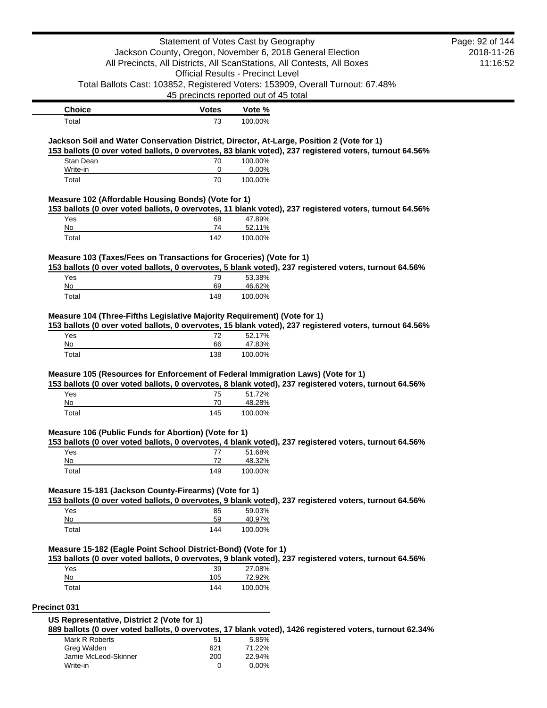|                                                                                           |                                                                         | Statement of Votes Cast by Geography     |                                                                                                        | Page: 92 of 144 |
|-------------------------------------------------------------------------------------------|-------------------------------------------------------------------------|------------------------------------------|--------------------------------------------------------------------------------------------------------|-----------------|
|                                                                                           | Jackson County, Oregon, November 6, 2018 General Election               |                                          |                                                                                                        | 2018-11-26      |
|                                                                                           | All Precincts, All Districts, All ScanStations, All Contests, All Boxes |                                          |                                                                                                        | 11:16:52        |
|                                                                                           |                                                                         | <b>Official Results - Precinct Level</b> |                                                                                                        |                 |
|                                                                                           |                                                                         |                                          | Total Ballots Cast: 103852, Registered Voters: 153909, Overall Turnout: 67.48%                         |                 |
|                                                                                           |                                                                         | 45 precincts reported out of 45 total    |                                                                                                        |                 |
| <b>Choice</b>                                                                             | <b>Votes</b>                                                            | Vote %                                   |                                                                                                        |                 |
| Total                                                                                     | 73                                                                      | 100.00%                                  |                                                                                                        |                 |
| Jackson Soil and Water Conservation District, Director, At-Large, Position 2 (Vote for 1) |                                                                         |                                          |                                                                                                        |                 |
|                                                                                           |                                                                         |                                          | 153 ballots (0 over voted ballots, 0 overvotes, 83 blank voted), 237 registered voters, turnout 64.56% |                 |
| Stan Dean                                                                                 | 70                                                                      | 100.00%                                  |                                                                                                        |                 |
| Write-in                                                                                  | 0                                                                       | 0.00%                                    |                                                                                                        |                 |
| Total                                                                                     | 70                                                                      | 100.00%                                  |                                                                                                        |                 |
| Measure 102 (Affordable Housing Bonds) (Vote for 1)                                       |                                                                         |                                          |                                                                                                        |                 |
|                                                                                           |                                                                         |                                          | 153 ballots (0 over voted ballots, 0 overvotes, 11 blank voted), 237 registered voters, turnout 64.56% |                 |
| Yes                                                                                       | 68                                                                      | 47.89%                                   |                                                                                                        |                 |
| No<br>Total                                                                               | 74<br>142                                                               | 52.11%                                   |                                                                                                        |                 |
|                                                                                           |                                                                         | 100.00%                                  |                                                                                                        |                 |
| Measure 103 (Taxes/Fees on Transactions for Groceries) (Vote for 1)                       |                                                                         |                                          |                                                                                                        |                 |
|                                                                                           |                                                                         |                                          | 153 ballots (0 over voted ballots, 0 overvotes, 5 blank voted), 237 registered voters, turnout 64.56%  |                 |
| Yes                                                                                       | 79                                                                      | 53.38%                                   |                                                                                                        |                 |
| No                                                                                        | 69<br>148                                                               | 46.62%                                   |                                                                                                        |                 |
|                                                                                           |                                                                         | 100.00%                                  |                                                                                                        |                 |
| Total<br>Measure 104 (Three-Fifths Legislative Majority Requirement) (Vote for 1)<br>Yes  | 72                                                                      | 52.17%                                   | 153 ballots (0 over voted ballots, 0 overvotes, 15 blank voted), 237 registered voters, turnout 64.56% |                 |
| No<br>Total                                                                               | 66<br>138                                                               | 47.83%<br>100.00%                        |                                                                                                        |                 |
|                                                                                           |                                                                         |                                          |                                                                                                        |                 |
| Measure 105 (Resources for Enforcement of Federal Immigration Laws) (Vote for 1)          |                                                                         |                                          |                                                                                                        |                 |
|                                                                                           |                                                                         |                                          | 153 ballots (0 over voted ballots, 0 overvotes, 8 blank voted), 237 registered voters, turnout 64.56%  |                 |
| Yes<br>No                                                                                 | 75<br>70                                                                | 51.72%<br>48.28%                         |                                                                                                        |                 |
| Total                                                                                     | 145                                                                     | 100.00%                                  |                                                                                                        |                 |
|                                                                                           |                                                                         |                                          |                                                                                                        |                 |
| Measure 106 (Public Funds for Abortion) (Vote for 1)                                      |                                                                         |                                          |                                                                                                        |                 |
| Yes                                                                                       | 77                                                                      | 51.68%                                   | 153 ballots (0 over voted ballots, 0 overvotes, 4 blank voted), 237 registered voters, turnout 64.56%  |                 |
| No                                                                                        | 72                                                                      | 48.32%                                   |                                                                                                        |                 |
| Total                                                                                     | 149                                                                     | 100.00%                                  |                                                                                                        |                 |
|                                                                                           |                                                                         |                                          |                                                                                                        |                 |
| Measure 15-181 (Jackson County-Firearms) (Vote for 1)                                     |                                                                         |                                          |                                                                                                        |                 |
| Yes                                                                                       | 85                                                                      | 59.03%                                   | 153 ballots (0 over voted ballots, 0 overvotes, 9 blank voted), 237 registered voters, turnout 64.56%  |                 |
| No                                                                                        | 59                                                                      | 40.97%                                   |                                                                                                        |                 |
| Total                                                                                     | 144                                                                     | 100.00%                                  |                                                                                                        |                 |
|                                                                                           |                                                                         |                                          |                                                                                                        |                 |
| Measure 15-182 (Eagle Point School District-Bond) (Vote for 1)                            |                                                                         |                                          |                                                                                                        |                 |
| Yes                                                                                       |                                                                         | 27.08%                                   | 153 ballots (0 over voted ballots, 0 overvotes, 9 blank voted), 237 registered voters, turnout 64.56%  |                 |
| No                                                                                        | 39<br>105                                                               | 72.92%                                   |                                                                                                        |                 |
| Total                                                                                     | 144                                                                     | 100.00%                                  |                                                                                                        |                 |
| Precinct 031                                                                              |                                                                         |                                          |                                                                                                        |                 |

Mark R Roberts 51 5.85%<br>Greg Walden 621 71.22% Greg Walden 621 71.22% Jamie McLeod-Skinner 200 22.94% Write-in 0 0.00%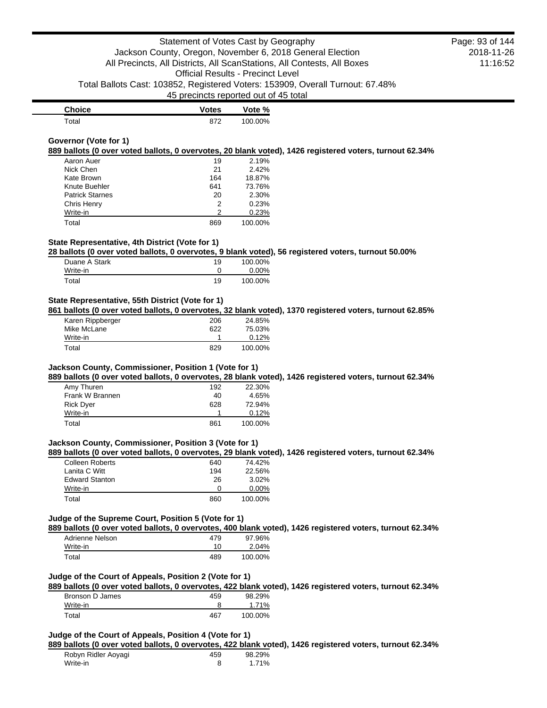| <b>Choice</b> | <b>Votes</b> | Vote %  |
|---------------|--------------|---------|
| $\tau$ otal   | 872          | 100.00% |

#### **Governor (Vote for 1)**

**889 ballots (0 over voted ballots, 0 overvotes, 20 blank voted), 1426 registered voters, turnout 62.34%**

| Aaron Auer             | 19  | 2.19%   |
|------------------------|-----|---------|
| Nick Chen              | 21  | 2.42%   |
| Kate Brown             | 164 | 18.87%  |
| Knute Buehler          | 641 | 73.76%  |
| <b>Patrick Starnes</b> | 20  | 2.30%   |
| Chris Henry            | 2   | 0.23%   |
| Write-in               | 2   | 0.23%   |
| Total                  | 869 | 100.00% |

### **State Representative, 4th District (Vote for 1)**

**28 ballots (0 over voted ballots, 0 overvotes, 9 blank voted), 56 registered voters, turnout 50.00%**

| Duane A Stark | 19 | 100.00% |
|---------------|----|---------|
| Write-in      |    | 0.00%   |
| Total         | 19 | 100.00% |

## **State Representative, 55th District (Vote for 1)**

**861 ballots (0 over voted ballots, 0 overvotes, 32 blank voted), 1370 registered voters, turnout 62.85%**

| Karen Rippberger | 206 | 24.85%  |
|------------------|-----|---------|
| Mike McLane      | 622 | 75.03%  |
| Write-in         |     | 0.12%   |
| Total            | 829 | 100.00% |

### **Jackson County, Commissioner, Position 1 (Vote for 1)**

**889 ballots (0 over voted ballots, 0 overvotes, 28 blank voted), 1426 registered voters, turnout 62.34%**

| Amy Thuren       | 192 | 22.30%  |
|------------------|-----|---------|
| Frank W Brannen  | 40  | 4.65%   |
| <b>Rick Dyer</b> | 628 | 72.94%  |
| Write-in         |     | 0.12%   |
| Total            | 861 | 100.00% |

#### **Jackson County, Commissioner, Position 3 (Vote for 1)**

**889 ballots (0 over voted ballots, 0 overvotes, 29 blank voted), 1426 registered voters, turnout 62.34%**

| Colleen Roberts       | 640 | 74.42%   |
|-----------------------|-----|----------|
| Lanita C Witt         | 194 | 22.56%   |
| <b>Edward Stanton</b> | 26  | 3.02%    |
| Write-in              | O   | $0.00\%$ |
| Total                 | 860 | 100.00%  |

#### **Judge of the Supreme Court, Position 5 (Vote for 1)**

**889 ballots (0 over voted ballots, 0 overvotes, 400 blank voted), 1426 registered voters, turnout 62.34%**

| Adrienne Nelson | 479 | 97.96%  |
|-----------------|-----|---------|
| Write-in        | 10  | 2.04%   |
| Total           | 489 | 100.00% |

## **Judge of the Court of Appeals, Position 2 (Vote for 1)**

**889 ballots (0 over voted ballots, 0 overvotes, 422 blank voted), 1426 registered voters, turnout 62.34%** Bronson D James 459 98.29%

| <b>DIVIIOUII D'UGIIIUS</b> | ᠇୰  | <b>UU.LU</b> |
|----------------------------|-----|--------------|
| Write-in                   |     | 71%          |
| Total                      | 467 | 100.00%      |

## **Judge of the Court of Appeals, Position 4 (Vote for 1)**

**889 ballots (0 over voted ballots, 0 overvotes, 422 blank voted), 1426 registered voters, turnout 62.34%**

|                     |     |        | -- |  |
|---------------------|-----|--------|----|--|
| Robyn Ridler Aoyagi | 459 | 98.29% |    |  |
| Write-in            |     | 71%    |    |  |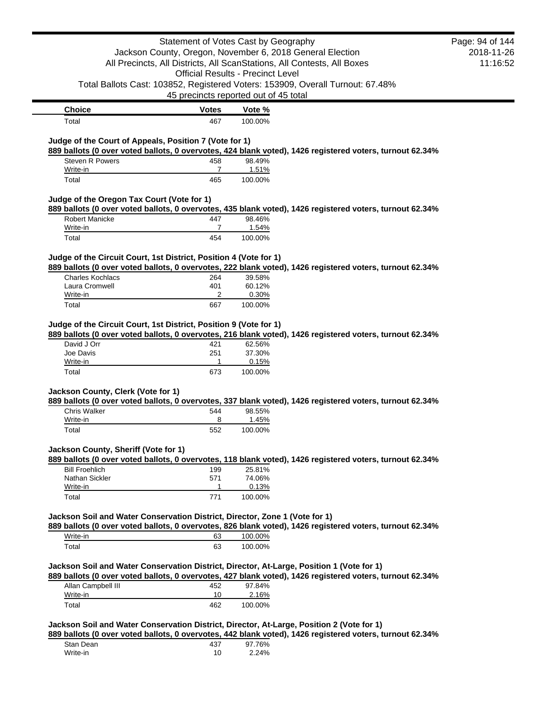|                                                                                           | Statement of Votes Cast by Geography     |                           |                                                                                                          | Page: 94 of 144 |
|-------------------------------------------------------------------------------------------|------------------------------------------|---------------------------|----------------------------------------------------------------------------------------------------------|-----------------|
|                                                                                           |                                          |                           | Jackson County, Oregon, November 6, 2018 General Election                                                | 2018-11-26      |
|                                                                                           |                                          |                           | All Precincts, All Districts, All ScanStations, All Contests, All Boxes                                  | 11:16:52        |
|                                                                                           | <b>Official Results - Precinct Level</b> |                           |                                                                                                          |                 |
|                                                                                           |                                          |                           | Total Ballots Cast: 103852, Registered Voters: 153909, Overall Turnout: 67.48%                           |                 |
|                                                                                           | 45 precincts reported out of 45 total    |                           |                                                                                                          |                 |
| <b>Choice</b>                                                                             | <b>Votes</b>                             | Vote %                    |                                                                                                          |                 |
| Total                                                                                     | 467                                      | 100.00%                   |                                                                                                          |                 |
| Judge of the Court of Appeals, Position 7 (Vote for 1)                                    |                                          |                           | 889 ballots (0 over voted ballots, 0 overvotes, 424 blank voted), 1426 registered voters, turnout 62.34% |                 |
| Steven R Powers                                                                           | 458                                      | 98.49%                    |                                                                                                          |                 |
| Write-in                                                                                  | 7                                        | 1.51%                     |                                                                                                          |                 |
| Total                                                                                     | 465                                      | 100.00%                   |                                                                                                          |                 |
| Judge of the Oregon Tax Court (Vote for 1)                                                |                                          |                           |                                                                                                          |                 |
|                                                                                           |                                          |                           | 889 ballots (0 over voted ballots, 0 overvotes, 435 blank voted), 1426 registered voters, turnout 62.34% |                 |
| <b>Robert Manicke</b>                                                                     | 447                                      | 98.46%                    |                                                                                                          |                 |
| Write-in                                                                                  | 7                                        | 1.54%                     |                                                                                                          |                 |
| Total                                                                                     | 454                                      | 100.00%                   |                                                                                                          |                 |
|                                                                                           |                                          |                           |                                                                                                          |                 |
| Judge of the Circuit Court, 1st District, Position 4 (Vote for 1)                         |                                          |                           |                                                                                                          |                 |
| <b>Charles Kochlacs</b>                                                                   | 264                                      | 39.58%                    | 889 ballots (0 over voted ballots, 0 overvotes, 222 blank voted), 1426 registered voters, turnout 62.34% |                 |
| Laura Cromwell                                                                            | 401                                      | 60.12%                    |                                                                                                          |                 |
| Write-in                                                                                  | 2                                        | 0.30%                     |                                                                                                          |                 |
| Total                                                                                     | 667                                      | 100.00%                   |                                                                                                          |                 |
| David J Orr<br>Joe Davis<br>Write-in                                                      | 421<br>251<br>1                          | 62.56%<br>37.30%<br>0.15% | 889 ballots (0 over voted ballots, 0 overvotes, 216 blank voted), 1426 registered voters, turnout 62.34% |                 |
| Total                                                                                     | 673                                      | 100.00%                   |                                                                                                          |                 |
| Jackson County, Clerk (Vote for 1)                                                        |                                          |                           | 889 ballots (0 over voted ballots, 0 overvotes, 337 blank voted), 1426 registered voters, turnout 62.34% |                 |
| <b>Chris Walker</b>                                                                       | 544<br>8                                 | 98.55%                    |                                                                                                          |                 |
| Write-in                                                                                  | 552                                      | 1.45%<br>100.00%          |                                                                                                          |                 |
| Total                                                                                     |                                          |                           |                                                                                                          |                 |
| Jackson County, Sheriff (Vote for 1)                                                      |                                          |                           | 889 ballots (0 over voted ballots, 0 overvotes, 118 blank voted), 1426 registered voters, turnout 62.34% |                 |
| <b>Bill Froehlich</b>                                                                     | 199                                      | 25.81%                    |                                                                                                          |                 |
| Nathan Sickler                                                                            | 571                                      | 74.06%                    |                                                                                                          |                 |
| Write-in                                                                                  | 1                                        | 0.13%                     |                                                                                                          |                 |
| Total                                                                                     | 771                                      | 100.00%                   |                                                                                                          |                 |
| Jackson Soil and Water Conservation District, Director, Zone 1 (Vote for 1)               |                                          |                           | 889 ballots (0 over voted ballots, 0 overvotes, 826 blank voted), 1426 registered voters, turnout 62.34% |                 |
| Write-in                                                                                  | 63                                       | 100.00%                   |                                                                                                          |                 |
| Total                                                                                     | 63                                       | 100.00%                   |                                                                                                          |                 |
| Jackson Soil and Water Conservation District, Director, At-Large, Position 1 (Vote for 1) |                                          |                           |                                                                                                          |                 |
|                                                                                           |                                          |                           | 889 ballots (0 over voted ballots, 0 overvotes, 427 blank voted), 1426 registered voters, turnout 62.34% |                 |
| Allan Campbell III                                                                        | 452                                      | 97.84%                    |                                                                                                          |                 |
| Write-in                                                                                  | 10                                       | 2.16%                     |                                                                                                          |                 |
| Total                                                                                     | 462                                      | 100.00%                   |                                                                                                          |                 |
| Jackson Soil and Water Conservation District, Director, At-Large, Position 2 (Vote for 1) |                                          |                           |                                                                                                          |                 |
|                                                                                           |                                          |                           | 889 ballots (0 over voted ballots, 0 overvotes, 442 blank voted), 1426 registered voters, turnout 62.34% |                 |
| Stan Dean                                                                                 | 437                                      | 97.76%                    |                                                                                                          |                 |
| Write-in                                                                                  | 10                                       | 2.24%                     |                                                                                                          |                 |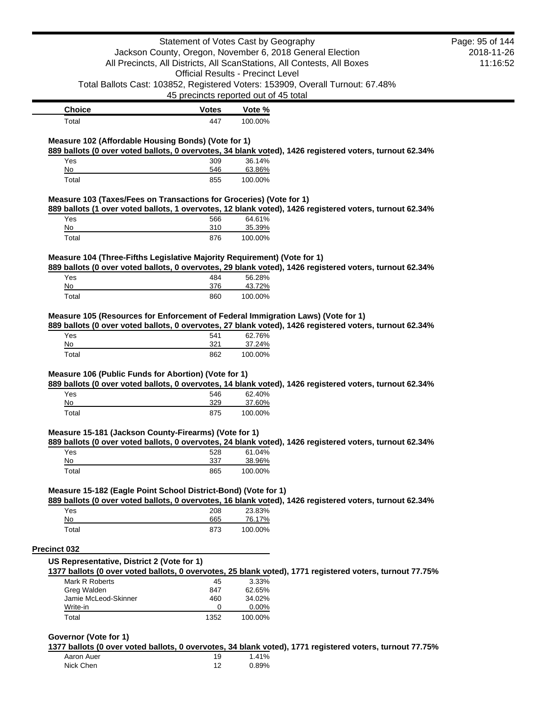|                                                                                                                                                                                                   |           | Statement of Votes Cast by Geography                                    |                                                                                                          | Page: 95 of 144 |
|---------------------------------------------------------------------------------------------------------------------------------------------------------------------------------------------------|-----------|-------------------------------------------------------------------------|----------------------------------------------------------------------------------------------------------|-----------------|
|                                                                                                                                                                                                   |           | Jackson County, Oregon, November 6, 2018 General Election               |                                                                                                          | 2018-11-26      |
|                                                                                                                                                                                                   |           | All Precincts, All Districts, All ScanStations, All Contests, All Boxes |                                                                                                          | 11:16:52        |
|                                                                                                                                                                                                   |           | <b>Official Results - Precinct Level</b>                                |                                                                                                          |                 |
| Total Ballots Cast: 103852, Registered Voters: 153909, Overall Turnout: 67.48%                                                                                                                    |           | 45 precincts reported out of 45 total                                   |                                                                                                          |                 |
|                                                                                                                                                                                                   |           |                                                                         |                                                                                                          |                 |
| <b>Choice</b>                                                                                                                                                                                     | Votes     | Vote %                                                                  |                                                                                                          |                 |
| Total                                                                                                                                                                                             | 447       | 100.00%                                                                 |                                                                                                          |                 |
| Measure 102 (Affordable Housing Bonds) (Vote for 1)                                                                                                                                               |           |                                                                         |                                                                                                          |                 |
|                                                                                                                                                                                                   |           |                                                                         | 889 ballots (0 over voted ballots, 0 overvotes, 34 blank voted), 1426 registered voters, turnout 62.34%  |                 |
| Yes                                                                                                                                                                                               | 309       | 36.14%                                                                  |                                                                                                          |                 |
| No                                                                                                                                                                                                | 546       | 63.86%                                                                  |                                                                                                          |                 |
| Total                                                                                                                                                                                             | 855       | 100.00%                                                                 |                                                                                                          |                 |
| Measure 103 (Taxes/Fees on Transactions for Groceries) (Vote for 1)                                                                                                                               |           |                                                                         |                                                                                                          |                 |
|                                                                                                                                                                                                   |           |                                                                         | 889 ballots (1 over voted ballots, 1 overvotes, 12 blank voted), 1426 registered voters, turnout 62.34%  |                 |
| Yes                                                                                                                                                                                               | 566       | 64.61%                                                                  |                                                                                                          |                 |
| No                                                                                                                                                                                                | 310       | 35.39%                                                                  |                                                                                                          |                 |
| Total                                                                                                                                                                                             | 876       | 100.00%                                                                 |                                                                                                          |                 |
| Measure 104 (Three-Fifths Legislative Majority Requirement) (Vote for 1)                                                                                                                          |           |                                                                         |                                                                                                          |                 |
|                                                                                                                                                                                                   |           |                                                                         | 889 ballots (0 over voted ballots, 0 overvotes, 29 blank voted), 1426 registered voters, turnout 62.34%  |                 |
| Yes                                                                                                                                                                                               | 484       | 56.28%                                                                  |                                                                                                          |                 |
| No                                                                                                                                                                                                | 376       | 43.72%                                                                  |                                                                                                          |                 |
| Total                                                                                                                                                                                             | 860       | 100.00%                                                                 |                                                                                                          |                 |
| Yes                                                                                                                                                                                               | 541       | 62.76%                                                                  | 889 ballots (0 over voted ballots, 0 overvotes, 27 blank voted), 1426 registered voters, turnout 62.34%  |                 |
| No                                                                                                                                                                                                | 321       | 37.24%                                                                  |                                                                                                          |                 |
| Total                                                                                                                                                                                             | 862       | 100.00%                                                                 |                                                                                                          |                 |
|                                                                                                                                                                                                   |           |                                                                         |                                                                                                          |                 |
|                                                                                                                                                                                                   |           |                                                                         |                                                                                                          |                 |
| Yes                                                                                                                                                                                               | 546       | 62.40%                                                                  | 889 ballots (0 over voted ballots, 0 overvotes, 14 blank voted), 1426 registered voters, turnout 62.34%  |                 |
| No                                                                                                                                                                                                | 329       | 37.60%                                                                  |                                                                                                          |                 |
| Total                                                                                                                                                                                             | 875       | 100.00%                                                                 |                                                                                                          |                 |
|                                                                                                                                                                                                   |           |                                                                         |                                                                                                          |                 |
| Measure 105 (Resources for Enforcement of Federal Immigration Laws) (Vote for 1)<br>Measure 106 (Public Funds for Abortion) (Vote for 1)<br>Measure 15-181 (Jackson County-Firearms) (Vote for 1) |           |                                                                         |                                                                                                          |                 |
| Yes                                                                                                                                                                                               | 528       | 61.04%                                                                  | 889 ballots (0 over voted ballots, 0 overvotes, 24 blank voted), 1426 registered voters, turnout 62.34%  |                 |
| No                                                                                                                                                                                                | 337       | 38.96%                                                                  |                                                                                                          |                 |
| Total                                                                                                                                                                                             | 865       | 100.00%                                                                 |                                                                                                          |                 |
|                                                                                                                                                                                                   |           |                                                                         |                                                                                                          |                 |
| Measure 15-182 (Eagle Point School District-Bond) (Vote for 1)                                                                                                                                    |           |                                                                         |                                                                                                          |                 |
| Yes                                                                                                                                                                                               | 208       | 23.83%                                                                  | 889 ballots (0 over voted ballots, 0 overvotes, 16 blank voted), 1426 registered voters, turnout 62.34%  |                 |
| No                                                                                                                                                                                                | 665       | 76.17%                                                                  |                                                                                                          |                 |
| Total                                                                                                                                                                                             | 873       | 100.00%                                                                 |                                                                                                          |                 |
|                                                                                                                                                                                                   |           |                                                                         |                                                                                                          |                 |
|                                                                                                                                                                                                   |           |                                                                         |                                                                                                          |                 |
|                                                                                                                                                                                                   |           |                                                                         |                                                                                                          |                 |
| Mark R Roberts                                                                                                                                                                                    | 45        | 3.33%                                                                   | 1377 ballots (0 over voted ballots, 0 overvotes, 25 blank voted), 1771 registered voters, turnout 77.75% |                 |
| <b>Precinct 032</b><br>US Representative, District 2 (Vote for 1)<br>Greg Walden                                                                                                                  | 847       | 62.65%                                                                  |                                                                                                          |                 |
| Jamie McLeod-Skinner                                                                                                                                                                              | 460       | 34.02%                                                                  |                                                                                                          |                 |
| Write-in<br>Total                                                                                                                                                                                 | 0<br>1352 | 0.00%<br>100.00%                                                        |                                                                                                          |                 |

#### **Governor (Vote for 1)**

**1377 ballots (0 over voted ballots, 0 overvotes, 34 blank voted), 1771 registered voters, turnout 77.75%**

| Aaron Auer | 19 | 1.41% |
|------------|----|-------|
| Nick Chen  |    | 0.89% |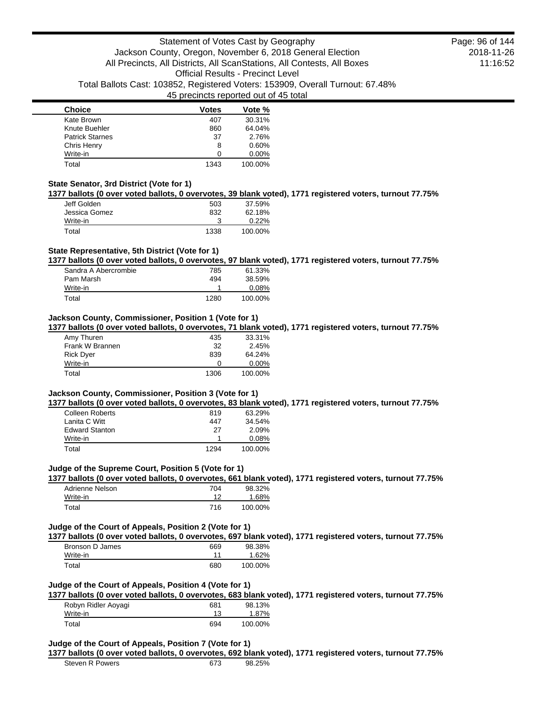| <b>Choice</b>          | <b>Votes</b> | Vote %  |
|------------------------|--------------|---------|
| Kate Brown             | 407          | 30.31%  |
| Knute Buehler          | 860          | 64.04%  |
| <b>Patrick Starnes</b> | 37           | 2.76%   |
| Chris Henry            | 8            | 0.60%   |
| Write-in               | 0            | 0.00%   |
| Total                  | 1343         | 100.00% |

### **State Senator, 3rd District (Vote for 1)**

**1377 ballots (0 over voted ballots, 0 overvotes, 39 blank voted), 1771 registered voters, turnout 77.75%**

| Jeff Golden   | 503  | 37.59%  |
|---------------|------|---------|
| Jessica Gomez | 832  | 62.18%  |
| Write-in      |      | 0.22%   |
| Total         | 1338 | 100.00% |

## **State Representative, 5th District (Vote for 1)**

**1377 ballots (0 over voted ballots, 0 overvotes, 97 blank voted), 1771 registered voters, turnout 77.75%**

| Sandra A Abercrombie | 785  | 61.33%  |
|----------------------|------|---------|
| Pam Marsh            | 494  | 38.59%  |
| Write-in             |      | 0.08%   |
| Total                | 1280 | 100.00% |

#### **Jackson County, Commissioner, Position 1 (Vote for 1)**

**1377 ballots (0 over voted ballots, 0 overvotes, 71 blank voted), 1771 registered voters, turnout 77.75%**

| Amy Thuren       | 435  | 33.31%   |
|------------------|------|----------|
| Frank W Brannen  | 32   | 2.45%    |
| <b>Rick Dyer</b> | 839  | 64.24%   |
| Write-in         | O    | $0.00\%$ |
| Total            | 1306 | 100.00%  |

### **Jackson County, Commissioner, Position 3 (Vote for 1)**

**1377 ballots (0 over voted ballots, 0 overvotes, 83 blank voted), 1771 registered voters, turnout 77.75%**

| <b>Colleen Roberts</b> | 819  | 63.29%   |
|------------------------|------|----------|
| Lanita C Witt          | 447  | 34.54%   |
| <b>Edward Stanton</b>  | 27   | 2.09%    |
| Write-in               |      | $0.08\%$ |
| Total                  | 1294 | 100.00%  |

#### **Judge of the Supreme Court, Position 5 (Vote for 1)**

**1377 ballots (0 over voted ballots, 0 overvotes, 661 blank voted), 1771 registered voters, turnout 77.75%**

| Adrienne Nelson | 704 | 98.32%  |
|-----------------|-----|---------|
| Write-in        | 12  | 1.68%   |
| Total           | 716 | 100.00% |

#### **Judge of the Court of Appeals, Position 2 (Vote for 1)**

**1377 ballots (0 over voted ballots, 0 overvotes, 697 blank voted), 1771 registered voters, turnout 77.75%**

| Bronson D James | 669 | 98.38%  |
|-----------------|-----|---------|
| Write-in        | 11  | 1.62%   |
| Total           | 680 | 100.00% |

### **Judge of the Court of Appeals, Position 4 (Vote for 1)**

**1377 ballots (0 over voted ballots, 0 overvotes, 683 blank voted), 1771 registered voters, turnout 77.75%**

| Robyn Ridler Aoyagi | 681 | 98.13%  |
|---------------------|-----|---------|
| Write-in            |     | 1.87%   |
| Total               | 694 | 100.00% |

### **Judge of the Court of Appeals, Position 7 (Vote for 1)**

### **1377 ballots (0 over voted ballots, 0 overvotes, 692 blank voted), 1771 registered voters, turnout 77.75%**

| Steven R Powers | 673 | 98.25% |
|-----------------|-----|--------|
|                 |     |        |

2018-11-26 11:16:52 Page: 96 of 144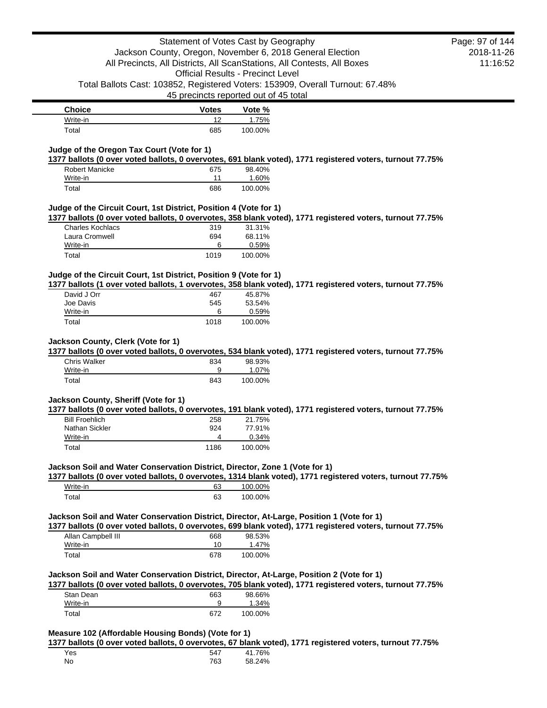| <b>Choice</b> | <b>Votes</b> | Vote %  |
|---------------|--------------|---------|
| Write-in      | ィつ           | l.75%   |
| Total         | 685          | 100.00% |

### **Judge of the Oregon Tax Court (Vote for 1)**

**1377 ballots (0 over voted ballots, 0 overvotes, 691 blank voted), 1771 registered voters, turnout 77.75%**

| Robert Manicke | 675 | 98.40%  |
|----------------|-----|---------|
| Write-in       | 11  | 1.60%   |
| Total          | 686 | 100.00% |

### **Judge of the Circuit Court, 1st District, Position 4 (Vote for 1)**

**1377 ballots (0 over voted ballots, 0 overvotes, 358 blank voted), 1771 registered voters, turnout 77.75%**

| Total                   | 1019 | 100.00% |
|-------------------------|------|---------|
| Write-in                | 6    | 0.59%   |
| Laura Cromwell          | 694  | 68.11%  |
| <b>Charles Kochlacs</b> | 319  | 31.31%  |

### **Judge of the Circuit Court, 1st District, Position 9 (Vote for 1)**

**1377 ballots (1 over voted ballots, 1 overvotes, 358 blank voted), 1771 registered voters, turnout 77.75%**

| David J Orr | 467  | 45.87%  |
|-------------|------|---------|
| Joe Davis   | 545  | 53.54%  |
| Write-in    | 6    | 0.59%   |
| Total       | 1018 | 100.00% |

#### **Jackson County, Clerk (Vote for 1)**

**1377 ballots (0 over voted ballots, 0 overvotes, 534 blank voted), 1771 registered voters, turnout 77.75%**

| <b>Chris Walker</b> | 834 | 98.93%  |
|---------------------|-----|---------|
| Write-in            | 9   | 1.07%   |
| Total               | 843 | 100.00% |

## **Jackson County, Sheriff (Vote for 1)**

**1377 ballots (0 over voted ballots, 0 overvotes, 191 blank voted), 1771 registered voters, turnout 77.75%**

| <b>Bill Froehlich</b> | 258  | 21.75%  |
|-----------------------|------|---------|
| Nathan Sickler        | 924  | 77.91%  |
| Write-in              |      | 0.34%   |
| Total                 | 1186 | 100.00% |

#### **Jackson Soil and Water Conservation District, Director, Zone 1 (Vote for 1)**

**1377 ballots (0 over voted ballots, 0 overvotes, 1314 blank voted), 1771 registered voters, turnout 77.75%**

| Write-in | 63 | 100.00% |
|----------|----|---------|
| Total    | 63 | 100.00% |

### **Jackson Soil and Water Conservation District, Director, At-Large, Position 1 (Vote for 1)**

**1377 ballots (0 over voted ballots, 0 overvotes, 699 blank voted), 1771 registered voters, turnout 77.75%**

| Allan Campbell III | 668 | 98.53%  |
|--------------------|-----|---------|
| Write-in           | 10  | 1.47%   |
| Total              | 678 | 100.00% |

#### **Jackson Soil and Water Conservation District, Director, At-Large, Position 2 (Vote for 1)**

**1377 ballots (0 over voted ballots, 0 overvotes, 705 blank voted), 1771 registered voters, turnout 77.75%**

| Stan Dean | 663 | 98.66%   |
|-----------|-----|----------|
| Write-in  | 9   | $1.34\%$ |
| Total     | 672 | 100.00%  |

### **Measure 102 (Affordable Housing Bonds) (Vote for 1)**

**1377 ballots (0 over voted ballots, 0 overvotes, 67 blank voted), 1771 registered voters, turnout 77.75%**

| Yes | 547 | 41.76% |
|-----|-----|--------|
| No  | 763 | 58.24% |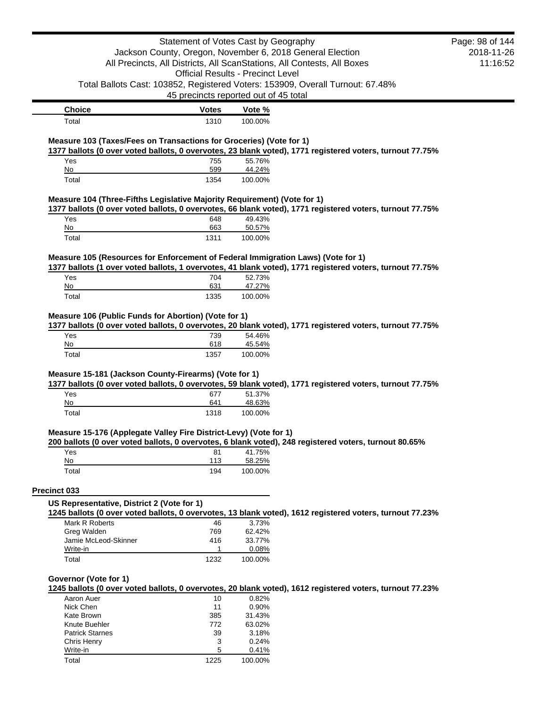|                                                                                  | Statement of Votes Cast by Geography     |                   |                                                                                                          | Page: 98 of 144 |
|----------------------------------------------------------------------------------|------------------------------------------|-------------------|----------------------------------------------------------------------------------------------------------|-----------------|
|                                                                                  |                                          |                   | Jackson County, Oregon, November 6, 2018 General Election                                                | 2018-11-26      |
|                                                                                  |                                          |                   | All Precincts, All Districts, All ScanStations, All Contests, All Boxes                                  | 11:16:52        |
|                                                                                  | <b>Official Results - Precinct Level</b> |                   |                                                                                                          |                 |
|                                                                                  |                                          |                   | Total Ballots Cast: 103852, Registered Voters: 153909, Overall Turnout: 67.48%                           |                 |
|                                                                                  | 45 precincts reported out of 45 total    |                   |                                                                                                          |                 |
|                                                                                  |                                          |                   |                                                                                                          |                 |
| <b>Choice</b>                                                                    | <b>Votes</b>                             | Vote %            |                                                                                                          |                 |
| Total                                                                            | 1310                                     | 100.00%           |                                                                                                          |                 |
| Measure 103 (Taxes/Fees on Transactions for Groceries) (Vote for 1)              |                                          |                   |                                                                                                          |                 |
|                                                                                  |                                          |                   | 1377 ballots (0 over voted ballots, 0 overvotes, 23 blank voted), 1771 registered voters, turnout 77.75% |                 |
| Yes                                                                              | 755                                      | 55.76%            |                                                                                                          |                 |
| No                                                                               | 599                                      | 44.24%            |                                                                                                          |                 |
| Total                                                                            | 1354                                     | 100.00%           |                                                                                                          |                 |
| Measure 104 (Three-Fifths Legislative Majority Requirement) (Vote for 1)         |                                          |                   |                                                                                                          |                 |
|                                                                                  |                                          |                   | 1377 ballots (0 over voted ballots, 0 overvotes, 66 blank voted), 1771 registered voters, turnout 77.75% |                 |
| Yes                                                                              | 648                                      | 49.43%            |                                                                                                          |                 |
| No<br>Total                                                                      | 663<br>1311                              | 50.57%<br>100.00% |                                                                                                          |                 |
|                                                                                  |                                          |                   |                                                                                                          |                 |
| Measure 105 (Resources for Enforcement of Federal Immigration Laws) (Vote for 1) |                                          |                   |                                                                                                          |                 |
| Yes                                                                              | 704                                      | 52.73%            | 1377 ballots (1 over voted ballots, 1 overvotes, 41 blank voted), 1771 registered voters, turnout 77.75% |                 |
| No                                                                               | 631                                      | 47.27%            |                                                                                                          |                 |
| Total                                                                            | 1335                                     | 100.00%           |                                                                                                          |                 |
|                                                                                  |                                          |                   |                                                                                                          |                 |
| Yes<br>No                                                                        | 739<br>618                               | 54.46%<br>45.54%  |                                                                                                          |                 |
| Total                                                                            | 1357                                     | 100.00%           |                                                                                                          |                 |
| Measure 15-181 (Jackson County-Firearms) (Vote for 1)                            |                                          |                   |                                                                                                          |                 |
|                                                                                  |                                          |                   | 1377 ballots (0 over voted ballots, 0 overvotes, 59 blank voted), 1771 registered voters, turnout 77.75% |                 |
| Yes                                                                              | 677                                      | 51.37%            |                                                                                                          |                 |
| No<br>Total                                                                      | 641<br>1318                              | 48.63%<br>100.00% |                                                                                                          |                 |
|                                                                                  |                                          |                   |                                                                                                          |                 |
| Measure 15-176 (Applegate Valley Fire District-Levy) (Vote for 1)                |                                          |                   |                                                                                                          |                 |
| Yes                                                                              | 81                                       | 41.75%            | 200 ballots (0 over voted ballots, 0 overvotes, 6 blank voted), 248 registered voters, turnout 80.65%    |                 |
| No                                                                               | 113                                      | 58.25%            |                                                                                                          |                 |
| Total                                                                            | 194                                      | 100.00%           |                                                                                                          |                 |
| Precinct 033                                                                     |                                          |                   |                                                                                                          |                 |
| US Representative, District 2 (Vote for 1)                                       |                                          |                   |                                                                                                          |                 |
|                                                                                  |                                          |                   |                                                                                                          |                 |
| Mark R Roberts                                                                   |                                          |                   |                                                                                                          |                 |
|                                                                                  | 46                                       | 3.73%             | 1245 ballots (0 over voted ballots, 0 overvotes, 13 blank voted), 1612 registered voters, turnout 77.23% |                 |
| Greg Walden                                                                      | 769                                      | 62.42%            |                                                                                                          |                 |
| Jamie McLeod-Skinner                                                             | 416                                      | 33.77%            |                                                                                                          |                 |
| Write-in                                                                         | $\mathbf{1}$                             | 0.08%             |                                                                                                          |                 |
| Total                                                                            | 1232                                     | 100.00%           |                                                                                                          |                 |
|                                                                                  |                                          |                   |                                                                                                          |                 |
| Governor (Vote for 1)                                                            |                                          |                   | 1245 ballots (0 over voted ballots, 0 overvotes, 20 blank voted), 1612 registered voters, turnout 77.23% |                 |
| Aaron Auer                                                                       | 10                                       | 0.82%             |                                                                                                          |                 |
| Nick Chen                                                                        | 11                                       | 0.90%             |                                                                                                          |                 |
| Kate Brown<br>Knute Buehler                                                      | 385<br>772                               | 31.43%<br>63.02%  |                                                                                                          |                 |

| <b>INTURE DUCTION</b>  | 112  | <b>UU.UZ</b> 70 |
|------------------------|------|-----------------|
| <b>Patrick Starnes</b> | 39   | 3.18%           |
| Chris Henry            | 3    | 0.24%           |
| Write-in               | 5    | $0.41\%$        |
| Total                  | 1225 | 100.00%         |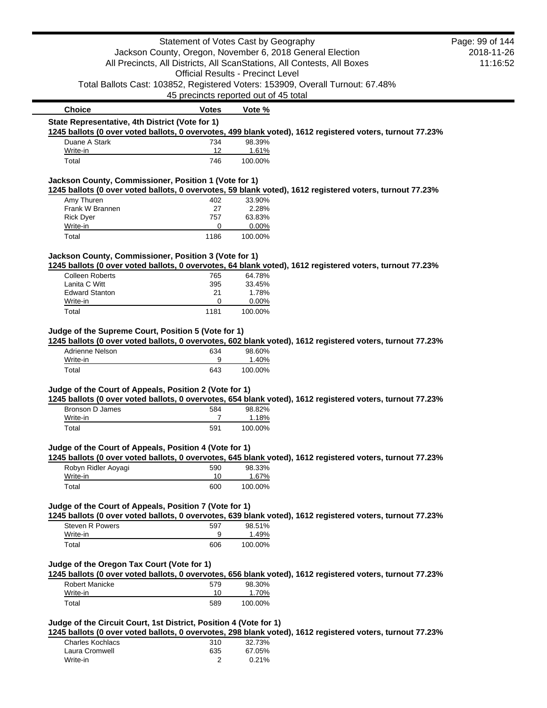|                                                                   | Statement of Votes Cast by Geography     |                  |                                                                                                           | Page: 99 of 144 |
|-------------------------------------------------------------------|------------------------------------------|------------------|-----------------------------------------------------------------------------------------------------------|-----------------|
|                                                                   |                                          |                  | Jackson County, Oregon, November 6, 2018 General Election                                                 | 2018-11-26      |
|                                                                   |                                          |                  | All Precincts, All Districts, All ScanStations, All Contests, All Boxes                                   | 11:16:52        |
|                                                                   | <b>Official Results - Precinct Level</b> |                  |                                                                                                           |                 |
|                                                                   |                                          |                  | Total Ballots Cast: 103852, Registered Voters: 153909, Overall Turnout: 67.48%                            |                 |
|                                                                   | 45 precincts reported out of 45 total    |                  |                                                                                                           |                 |
| <b>Choice</b><br>State Representative, 4th District (Vote for 1)  | Votes                                    | Vote %           |                                                                                                           |                 |
|                                                                   |                                          |                  | 1245 ballots (0 over voted ballots, 0 overvotes, 499 blank voted), 1612 registered voters, turnout 77.23% |                 |
| Duane A Stark                                                     | 734                                      | 98.39%           |                                                                                                           |                 |
| Write-in<br>Total                                                 | 12<br>746                                | 1.61%<br>100.00% |                                                                                                           |                 |
|                                                                   |                                          |                  |                                                                                                           |                 |
| Jackson County, Commissioner, Position 1 (Vote for 1)             |                                          |                  | 1245 ballots (0 over voted ballots, 0 overvotes, 59 blank voted), 1612 registered voters, turnout 77.23%  |                 |
| Amy Thuren                                                        | 402                                      | 33.90%           |                                                                                                           |                 |
| Frank W Brannen                                                   | 27                                       | 2.28%            |                                                                                                           |                 |
| <b>Rick Dyer</b>                                                  | 757                                      | 63.83%           |                                                                                                           |                 |
| Write-in                                                          | 0                                        | 0.00%            |                                                                                                           |                 |
| Total                                                             | 1186                                     | 100.00%          |                                                                                                           |                 |
| Jackson County, Commissioner, Position 3 (Vote for 1)             |                                          |                  |                                                                                                           |                 |
|                                                                   |                                          |                  | 1245 ballots (0 over voted ballots, 0 overvotes, 64 blank voted), 1612 registered voters, turnout 77.23%  |                 |
| <b>Colleen Roberts</b>                                            | 765                                      | 64.78%           |                                                                                                           |                 |
| Lanita C Witt<br><b>Edward Stanton</b>                            | 395<br>21                                | 33.45%<br>1.78%  |                                                                                                           |                 |
| Write-in                                                          | 0                                        | 0.00%            |                                                                                                           |                 |
| Total                                                             | 1181                                     | 100.00%          |                                                                                                           |                 |
| Adrienne Nelson                                                   | 634                                      | 98.60%           | 1245 ballots (0 over voted ballots, 0 overvotes, 602 blank voted), 1612 registered voters, turnout 77.23% |                 |
| Write-in                                                          | 9                                        | 1.40%            |                                                                                                           |                 |
| Total                                                             | 643                                      | 100.00%          |                                                                                                           |                 |
| Judge of the Court of Appeals, Position 2 (Vote for 1)            |                                          |                  |                                                                                                           |                 |
|                                                                   |                                          |                  | 1245 ballots (0 over voted ballots, 0 overvotes, 654 blank voted), 1612 registered voters, turnout 77.23% |                 |
| Bronson D James                                                   | 584                                      | 98.82%           |                                                                                                           |                 |
| Write-in<br>Total                                                 | 7<br>591                                 | 1.18%<br>100.00% |                                                                                                           |                 |
|                                                                   |                                          |                  |                                                                                                           |                 |
| Judge of the Court of Appeals, Position 4 (Vote for 1)            |                                          |                  | 1245 ballots (0 over voted ballots, 0 overvotes, 645 blank voted), 1612 registered voters, turnout 77.23% |                 |
| Robyn Ridler Aoyagi                                               | 590                                      | 98.33%           |                                                                                                           |                 |
| Write-in                                                          | 10                                       | 1.67%            |                                                                                                           |                 |
| Total                                                             | 600                                      | 100.00%          |                                                                                                           |                 |
| Judge of the Court of Appeals, Position 7 (Vote for 1)            |                                          |                  |                                                                                                           |                 |
|                                                                   |                                          |                  | 1245 ballots (0 over voted ballots, 0 overvotes, 639 blank voted), 1612 registered voters, turnout 77.23% |                 |
| Steven R Powers                                                   | 597                                      | 98.51%           |                                                                                                           |                 |
| Write-in                                                          | 9                                        | 1.49%            |                                                                                                           |                 |
| Total                                                             | 606                                      | 100.00%          |                                                                                                           |                 |
| Judge of the Oregon Tax Court (Vote for 1)                        |                                          |                  |                                                                                                           |                 |
|                                                                   |                                          |                  | 1245 ballots (0 over voted ballots, 0 overvotes, 656 blank voted), 1612 registered voters, turnout 77.23% |                 |
| <b>Robert Manicke</b>                                             | 579                                      | 98.30%           |                                                                                                           |                 |
| Write-in                                                          | 10                                       | 1.70%            |                                                                                                           |                 |
| Total                                                             | 589                                      | 100.00%          |                                                                                                           |                 |
| Judge of the Circuit Court, 1st District, Position 4 (Vote for 1) |                                          |                  |                                                                                                           |                 |
|                                                                   |                                          |                  | 1245 ballots (0 over voted ballots, 0 overvotes, 298 blank voted), 1612 registered voters, turnout 77.23% |                 |
| <b>Charles Kochlacs</b>                                           | 310                                      | 32.73%           |                                                                                                           |                 |
| Laura Cromwell                                                    | 635                                      | 67.05%           |                                                                                                           |                 |
| Write-in                                                          | 2                                        | 0.21%            |                                                                                                           |                 |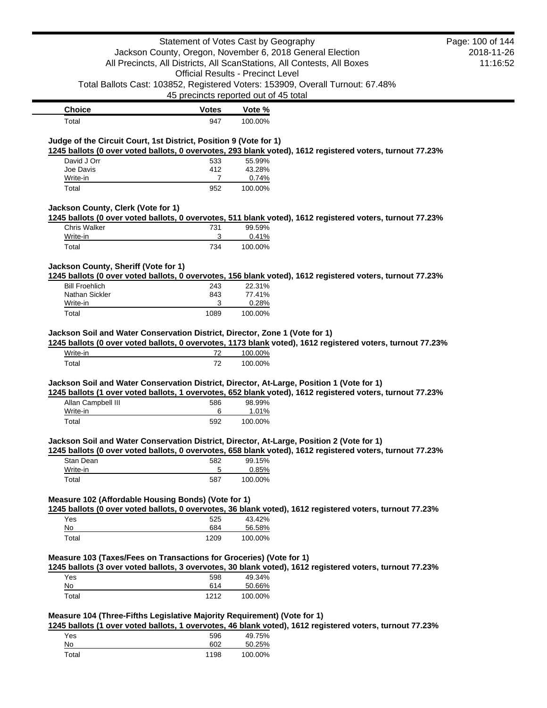|                                                                              | Statement of Votes Cast by Geography                      |                  |                                                                                                            | Page: 100 of 144 |
|------------------------------------------------------------------------------|-----------------------------------------------------------|------------------|------------------------------------------------------------------------------------------------------------|------------------|
|                                                                              | Jackson County, Oregon, November 6, 2018 General Election |                  |                                                                                                            | 2018-11-26       |
|                                                                              |                                                           |                  | All Precincts, All Districts, All ScanStations, All Contests, All Boxes                                    | 11:16:52         |
|                                                                              | <b>Official Results - Precinct Level</b>                  |                  |                                                                                                            |                  |
|                                                                              |                                                           |                  | Total Ballots Cast: 103852, Registered Voters: 153909, Overall Turnout: 67.48%                             |                  |
|                                                                              | 45 precincts reported out of 45 total                     |                  |                                                                                                            |                  |
| <b>Choice</b>                                                                | <b>Votes</b>                                              | Vote %           |                                                                                                            |                  |
| Total                                                                        | 947                                                       | 100.00%          |                                                                                                            |                  |
| Judge of the Circuit Court, 1st District, Position 9 (Vote for 1)            |                                                           |                  | 1245 ballots (0 over voted ballots, 0 overvotes, 293 blank voted), 1612 registered voters, turnout 77.23%  |                  |
| David J Orr                                                                  | 533                                                       | 55.99%           |                                                                                                            |                  |
| Joe Davis                                                                    | 412                                                       | 43.28%           |                                                                                                            |                  |
| Write-in                                                                     | 7                                                         | 0.74%            |                                                                                                            |                  |
| Total                                                                        | 952                                                       | 100.00%          |                                                                                                            |                  |
| Jackson County, Clerk (Vote for 1)                                           |                                                           |                  |                                                                                                            |                  |
|                                                                              |                                                           |                  | 1245 ballots (0 over voted ballots, 0 overvotes, 511 blank voted), 1612 registered voters, turnout 77.23%  |                  |
| <b>Chris Walker</b><br>Write-in                                              | 731<br>3                                                  | 99.59%<br>0.41%  |                                                                                                            |                  |
| Total                                                                        | 734                                                       | 100.00%          |                                                                                                            |                  |
|                                                                              |                                                           |                  |                                                                                                            |                  |
| Jackson County, Sheriff (Vote for 1)                                         |                                                           |                  | 1245 ballots (0 over voted ballots, 0 overvotes, 156 blank voted), 1612 registered voters, turnout 77.23%  |                  |
| <b>Bill Froehlich</b>                                                        | 243                                                       | 22.31%           |                                                                                                            |                  |
| Nathan Sickler                                                               | 843                                                       | 77.41%           |                                                                                                            |                  |
| Write-in                                                                     | 3                                                         | 0.28%            |                                                                                                            |                  |
| Total                                                                        | 1089                                                      | 100.00%          |                                                                                                            |                  |
| Write-in                                                                     | 72                                                        | 100.00%          | 1245 ballots (0 over voted ballots, 0 overvotes, 1173 blank voted), 1612 registered voters, turnout 77.23% |                  |
| Total                                                                        | 72                                                        | 100.00%          |                                                                                                            |                  |
| Jackson Soil and Water Conservation District, Director, Zone 1 (Vote for 1)  |                                                           |                  | Jackson Soil and Water Conservation District, Director, At-Large, Position 1 (Vote for 1)                  |                  |
|                                                                              |                                                           |                  | 1245 ballots (1 over voted ballots, 1 overvotes, 652 blank voted), 1612 registered voters, turnout 77.23%  |                  |
| Allan Campbell III                                                           | 586                                                       | 98.99%           |                                                                                                            |                  |
| Write-in                                                                     | 6                                                         | 1.01%            |                                                                                                            |                  |
| Total                                                                        | 592                                                       | 100.00%          |                                                                                                            |                  |
|                                                                              |                                                           |                  | Jackson Soil and Water Conservation District, Director, At-Large, Position 2 (Vote for 1)                  |                  |
| Stan Dean                                                                    | 582                                                       | 99.15%           | 1245 ballots (0 over voted ballots, 0 overvotes, 658 blank voted), 1612 registered voters, turnout 77.23%  |                  |
| Write-in                                                                     | 5                                                         | 0.85%            |                                                                                                            |                  |
| Total                                                                        | 587                                                       | 100.00%          |                                                                                                            |                  |
|                                                                              |                                                           |                  |                                                                                                            |                  |
| Measure 102 (Affordable Housing Bonds) (Vote for 1)                          |                                                           |                  | 1245 ballots (0 over voted ballots, 0 overvotes, 36 blank voted), 1612 registered voters, turnout 77.23%   |                  |
| Yes                                                                          | 525                                                       | 43.42%           |                                                                                                            |                  |
| No                                                                           | 684                                                       | 56.58%           |                                                                                                            |                  |
| Total                                                                        | 1209                                                      | 100.00%          |                                                                                                            |                  |
|                                                                              |                                                           |                  |                                                                                                            |                  |
|                                                                              |                                                           |                  | 1245 ballots (3 over voted ballots, 3 overvotes, 30 blank voted), 1612 registered voters, turnout 77.23%   |                  |
| Yes                                                                          | 598                                                       | 49.34%           |                                                                                                            |                  |
| No                                                                           | 614                                                       | 50.66%           |                                                                                                            |                  |
| Measure 103 (Taxes/Fees on Transactions for Groceries) (Vote for 1)<br>Total | 1212                                                      | 100.00%          |                                                                                                            |                  |
| Measure 104 (Three-Fifths Legislative Majority Requirement) (Vote for 1)     |                                                           |                  |                                                                                                            |                  |
|                                                                              |                                                           |                  | 1245 ballots (1 over voted ballots, 1 overvotes, 46 blank voted), 1612 registered voters, turnout 77.23%   |                  |
| Yes<br>No                                                                    | 596<br>602                                                | 49.75%<br>50.25% |                                                                                                            |                  |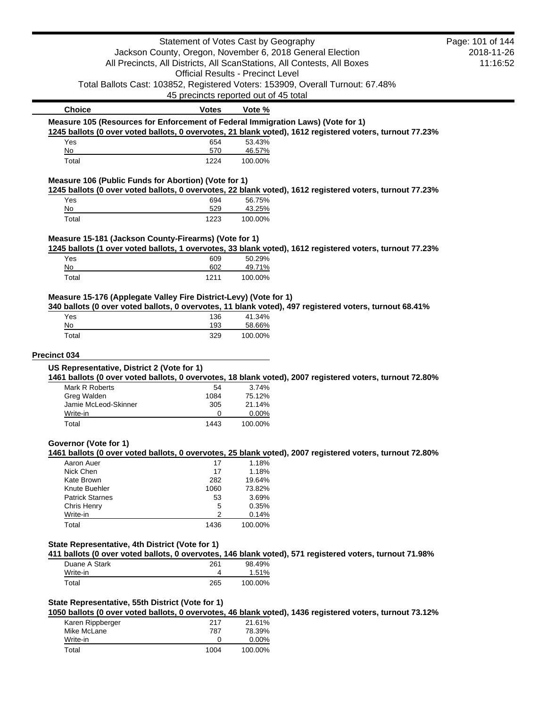| Page: 101 of 144<br>2018-11-26<br>11:16:52                                                               |
|----------------------------------------------------------------------------------------------------------|
|                                                                                                          |
|                                                                                                          |
|                                                                                                          |
|                                                                                                          |
|                                                                                                          |
| 1245 ballots (0 over voted ballots, 0 overvotes, 21 blank voted), 1612 registered voters, turnout 77.23% |
|                                                                                                          |
|                                                                                                          |
|                                                                                                          |
| 1245 ballots (0 over voted ballots, 0 overvotes, 22 blank voted), 1612 registered voters, turnout 77.23% |
|                                                                                                          |
|                                                                                                          |
|                                                                                                          |
| 1245 ballots (1 over voted ballots, 1 overvotes, 33 blank voted), 1612 registered voters, turnout 77.23% |
|                                                                                                          |
|                                                                                                          |
|                                                                                                          |
| 340 ballots (0 over voted ballots, 0 overvotes, 11 blank voted), 497 registered voters, turnout 68.41%   |
|                                                                                                          |
|                                                                                                          |
|                                                                                                          |
| 1461 ballots (0 over voted ballots, 0 overvotes, 18 blank voted), 2007 registered voters, turnout 72.80% |
|                                                                                                          |
|                                                                                                          |
| 1461 ballots (0 over voted ballots, 0 overvotes, 25 blank voted), 2007 registered voters, turnout 72.80% |
|                                                                                                          |
|                                                                                                          |
|                                                                                                          |
|                                                                                                          |
|                                                                                                          |
|                                                                                                          |
|                                                                                                          |
|                                                                                                          |
| 411 ballots (0 over voted ballots, 0 overvotes, 146 blank voted), 571 registered voters, turnout 71.98%  |
|                                                                                                          |
|                                                                                                          |
|                                                                                                          |
|                                                                                                          |
| 1050 ballots (0 over voted ballots, 0 overvotes, 46 blank voted), 1436 registered voters, turnout 73.12% |
|                                                                                                          |
|                                                                                                          |
|                                                                                                          |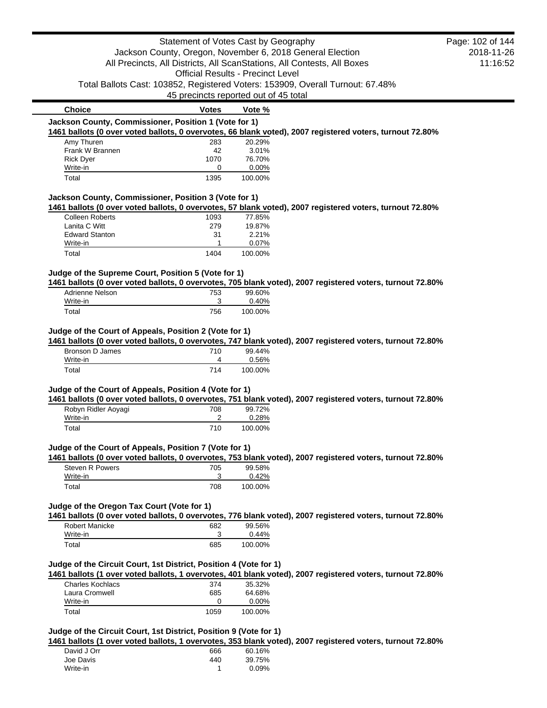|                                                                   | Statement of Votes Cast by Geography     |                    |                                                                                                           | Page: 102 of 144 |
|-------------------------------------------------------------------|------------------------------------------|--------------------|-----------------------------------------------------------------------------------------------------------|------------------|
|                                                                   |                                          |                    | Jackson County, Oregon, November 6, 2018 General Election                                                 | 2018-11-26       |
|                                                                   |                                          |                    | All Precincts, All Districts, All ScanStations, All Contests, All Boxes                                   | 11:16:52         |
|                                                                   | <b>Official Results - Precinct Level</b> |                    |                                                                                                           |                  |
|                                                                   |                                          |                    | Total Ballots Cast: 103852, Registered Voters: 153909, Overall Turnout: 67.48%                            |                  |
|                                                                   | 45 precincts reported out of 45 total    |                    |                                                                                                           |                  |
| <b>Choice</b>                                                     | <b>Votes</b>                             | Vote %             |                                                                                                           |                  |
| Jackson County, Commissioner, Position 1 (Vote for 1)             |                                          |                    |                                                                                                           |                  |
|                                                                   |                                          |                    | 1461 ballots (0 over voted ballots, 0 overvotes, 66 blank voted), 2007 registered voters, turnout 72.80%  |                  |
| Amy Thuren                                                        | 283                                      | 20.29%             |                                                                                                           |                  |
| Frank W Brannen                                                   | 42                                       | 3.01%              |                                                                                                           |                  |
| <b>Rick Dyer</b><br>Write-in                                      | 1070<br>0                                | 76.70%<br>$0.00\%$ |                                                                                                           |                  |
| Total                                                             | 1395                                     | 100.00%            |                                                                                                           |                  |
|                                                                   |                                          |                    |                                                                                                           |                  |
| Jackson County, Commissioner, Position 3 (Vote for 1)             |                                          |                    |                                                                                                           |                  |
|                                                                   |                                          |                    | 1461 ballots (0 over voted ballots, 0 overvotes, 57 blank voted), 2007 registered voters, turnout 72.80%  |                  |
| <b>Colleen Roberts</b>                                            | 1093                                     | 77.85%             |                                                                                                           |                  |
| Lanita C Witt                                                     | 279                                      | 19.87%             |                                                                                                           |                  |
| <b>Edward Stanton</b>                                             | 31<br>1                                  | 2.21%              |                                                                                                           |                  |
| Write-in<br>Total                                                 | 1404                                     | 0.07%<br>100.00%   |                                                                                                           |                  |
|                                                                   |                                          |                    |                                                                                                           |                  |
| Judge of the Supreme Court, Position 5 (Vote for 1)               |                                          |                    |                                                                                                           |                  |
|                                                                   |                                          |                    | 1461 ballots (0 over voted ballots, 0 overvotes, 705 blank voted), 2007 registered voters, turnout 72.80% |                  |
| Adrienne Nelson                                                   | 753                                      | 99.60%             |                                                                                                           |                  |
| Write-in                                                          | 3                                        | 0.40%              |                                                                                                           |                  |
| Total                                                             | 756                                      | 100.00%            |                                                                                                           |                  |
| Judge of the Court of Appeals, Position 2 (Vote for 1)            |                                          |                    |                                                                                                           |                  |
|                                                                   |                                          |                    | 1461 ballots (0 over voted ballots, 0 overvotes, 747 blank voted), 2007 registered voters, turnout 72.80% |                  |
| <b>Bronson D James</b><br>Write-in                                | 710<br>4                                 | 99.44%<br>0.56%    |                                                                                                           |                  |
| Total                                                             | 714                                      | 100.00%            |                                                                                                           |                  |
|                                                                   |                                          |                    |                                                                                                           |                  |
| Judge of the Court of Appeals, Position 4 (Vote for 1)            |                                          |                    | 1461 ballots (0 over voted ballots, 0 overvotes, 751 blank voted), 2007 registered voters, turnout 72.80% |                  |
| Robyn Ridler Aoyagi                                               | 708                                      | 99.72%             |                                                                                                           |                  |
| Write-in                                                          | 2                                        | 0.28%              |                                                                                                           |                  |
| Total                                                             | 710                                      | 100.00%            |                                                                                                           |                  |
|                                                                   |                                          |                    |                                                                                                           |                  |
| Judge of the Court of Appeals, Position 7 (Vote for 1)            |                                          |                    | 1461 ballots (0 over voted ballots, 0 overvotes, 753 blank voted), 2007 registered voters, turnout 72.80% |                  |
| Steven R Powers                                                   | 705                                      | 99.58%             |                                                                                                           |                  |
| Write-in                                                          | 3                                        | 0.42%              |                                                                                                           |                  |
| Total                                                             | 708                                      | 100.00%            |                                                                                                           |                  |
|                                                                   |                                          |                    |                                                                                                           |                  |
| Judge of the Oregon Tax Court (Vote for 1)                        |                                          |                    |                                                                                                           |                  |
|                                                                   |                                          |                    | 1461 ballots (0 over voted ballots, 0 overvotes, 776 blank voted), 2007 registered voters, turnout 72.80% |                  |
| Robert Manicke                                                    | 682                                      | 99.56%             |                                                                                                           |                  |
| Write-in                                                          | 3                                        | 0.44%              |                                                                                                           |                  |
| Total                                                             | 685                                      | 100.00%            |                                                                                                           |                  |
|                                                                   |                                          |                    |                                                                                                           |                  |
| Judge of the Circuit Court, 1st District, Position 4 (Vote for 1) |                                          |                    |                                                                                                           |                  |
|                                                                   |                                          |                    | 1461 ballots (1 over voted ballots, 1 overvotes, 401 blank voted), 2007 registered voters, turnout 72.80% |                  |
| <b>Charles Kochlacs</b>                                           | 374                                      | 35.32%             |                                                                                                           |                  |
| Laura Cromwell<br>Write-in                                        | 685<br>0                                 | 64.68%<br>0.00%    |                                                                                                           |                  |
| Total                                                             | 1059                                     | 100.00%            |                                                                                                           |                  |
|                                                                   |                                          |                    |                                                                                                           |                  |
| Judge of the Circuit Court, 1st District, Position 9 (Vote for 1) |                                          |                    |                                                                                                           |                  |
|                                                                   |                                          |                    | 1461 ballots (1 over voted ballots, 1 overvotes, 353 blank voted), 2007 registered voters, turnout 72.80% |                  |
| David $10rr$                                                      | GGA                                      | 60, 160            |                                                                                                           |                  |

| 666 | 60.16% |
|-----|--------|
| 440 | 39.75% |
|     | 0.09%  |
|     |        |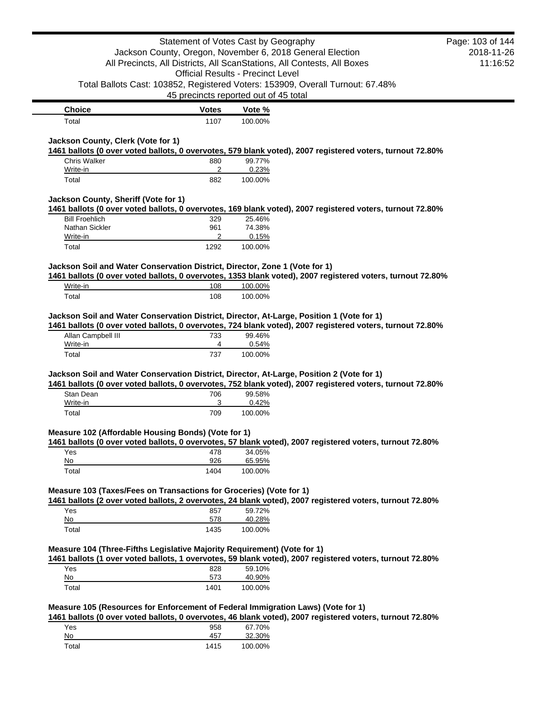|                                                                                                                                                                                                                                                                                                                                                                                                                                                                                                                                                                                                                                                                                                                                                                                                                                                                            |              | Statement of Votes Cast by Geography                                           |                                                                                                            | Page: 103 of 144 |
|----------------------------------------------------------------------------------------------------------------------------------------------------------------------------------------------------------------------------------------------------------------------------------------------------------------------------------------------------------------------------------------------------------------------------------------------------------------------------------------------------------------------------------------------------------------------------------------------------------------------------------------------------------------------------------------------------------------------------------------------------------------------------------------------------------------------------------------------------------------------------|--------------|--------------------------------------------------------------------------------|------------------------------------------------------------------------------------------------------------|------------------|
|                                                                                                                                                                                                                                                                                                                                                                                                                                                                                                                                                                                                                                                                                                                                                                                                                                                                            |              | Jackson County, Oregon, November 6, 2018 General Election                      |                                                                                                            | 2018-11-26       |
|                                                                                                                                                                                                                                                                                                                                                                                                                                                                                                                                                                                                                                                                                                                                                                                                                                                                            |              | All Precincts, All Districts, All ScanStations, All Contests, All Boxes        |                                                                                                            | 11:16:52         |
|                                                                                                                                                                                                                                                                                                                                                                                                                                                                                                                                                                                                                                                                                                                                                                                                                                                                            |              | <b>Official Results - Precinct Level</b>                                       |                                                                                                            |                  |
|                                                                                                                                                                                                                                                                                                                                                                                                                                                                                                                                                                                                                                                                                                                                                                                                                                                                            |              | Total Ballots Cast: 103852, Registered Voters: 153909, Overall Turnout: 67.48% |                                                                                                            |                  |
|                                                                                                                                                                                                                                                                                                                                                                                                                                                                                                                                                                                                                                                                                                                                                                                                                                                                            |              | 45 precincts reported out of 45 total                                          |                                                                                                            |                  |
| <b>Choice</b>                                                                                                                                                                                                                                                                                                                                                                                                                                                                                                                                                                                                                                                                                                                                                                                                                                                              | <b>Votes</b> | Vote %                                                                         |                                                                                                            |                  |
| Total                                                                                                                                                                                                                                                                                                                                                                                                                                                                                                                                                                                                                                                                                                                                                                                                                                                                      | 1107         | 100.00%                                                                        |                                                                                                            |                  |
| Jackson County, Clerk (Vote for 1)<br>1461 ballots (0 over voted ballots, 0 overvotes, 579 blank voted), 2007 registered voters, turnout 72.80%                                                                                                                                                                                                                                                                                                                                                                                                                                                                                                                                                                                                                                                                                                                            |              |                                                                                |                                                                                                            |                  |
| <b>Chris Walker</b>                                                                                                                                                                                                                                                                                                                                                                                                                                                                                                                                                                                                                                                                                                                                                                                                                                                        | 880          | 99.77%                                                                         |                                                                                                            |                  |
| Write-in<br>Total                                                                                                                                                                                                                                                                                                                                                                                                                                                                                                                                                                                                                                                                                                                                                                                                                                                          | 2<br>882     | 0.23%<br>100.00%                                                               |                                                                                                            |                  |
| Jackson County, Sheriff (Vote for 1)                                                                                                                                                                                                                                                                                                                                                                                                                                                                                                                                                                                                                                                                                                                                                                                                                                       |              |                                                                                |                                                                                                            |                  |
| 1461 ballots (0 over voted ballots, 0 overvotes, 169 blank voted), 2007 registered voters, turnout 72.80%                                                                                                                                                                                                                                                                                                                                                                                                                                                                                                                                                                                                                                                                                                                                                                  |              |                                                                                |                                                                                                            |                  |
| <b>Bill Froehlich</b>                                                                                                                                                                                                                                                                                                                                                                                                                                                                                                                                                                                                                                                                                                                                                                                                                                                      | 329          | 25.46%                                                                         |                                                                                                            |                  |
| Nathan Sickler                                                                                                                                                                                                                                                                                                                                                                                                                                                                                                                                                                                                                                                                                                                                                                                                                                                             | 961          | 74.38%                                                                         |                                                                                                            |                  |
| Write-in<br>Total                                                                                                                                                                                                                                                                                                                                                                                                                                                                                                                                                                                                                                                                                                                                                                                                                                                          | 2<br>1292    | 0.15%<br>100.00%                                                               |                                                                                                            |                  |
|                                                                                                                                                                                                                                                                                                                                                                                                                                                                                                                                                                                                                                                                                                                                                                                                                                                                            |              |                                                                                |                                                                                                            |                  |
| Jackson Soil and Water Conservation District, Director, Zone 1 (Vote for 1)                                                                                                                                                                                                                                                                                                                                                                                                                                                                                                                                                                                                                                                                                                                                                                                                |              |                                                                                |                                                                                                            |                  |
|                                                                                                                                                                                                                                                                                                                                                                                                                                                                                                                                                                                                                                                                                                                                                                                                                                                                            |              |                                                                                | 1461 ballots (0 over voted ballots, 0 overvotes, 1353 blank voted), 2007 registered voters, turnout 72.80% |                  |
|                                                                                                                                                                                                                                                                                                                                                                                                                                                                                                                                                                                                                                                                                                                                                                                                                                                                            |              |                                                                                |                                                                                                            |                  |
| Write-in                                                                                                                                                                                                                                                                                                                                                                                                                                                                                                                                                                                                                                                                                                                                                                                                                                                                   | 108          | 100.00%                                                                        |                                                                                                            |                  |
| Total<br>Jackson Soil and Water Conservation District, Director, At-Large, Position 1 (Vote for 1)                                                                                                                                                                                                                                                                                                                                                                                                                                                                                                                                                                                                                                                                                                                                                                         | 108          | 100.00%                                                                        |                                                                                                            |                  |
| Allan Campbell III                                                                                                                                                                                                                                                                                                                                                                                                                                                                                                                                                                                                                                                                                                                                                                                                                                                         | 733          | 99.46%                                                                         |                                                                                                            |                  |
| Write-in<br>Total                                                                                                                                                                                                                                                                                                                                                                                                                                                                                                                                                                                                                                                                                                                                                                                                                                                          | 4<br>737     | 0.54%<br>100.00%                                                               |                                                                                                            |                  |
|                                                                                                                                                                                                                                                                                                                                                                                                                                                                                                                                                                                                                                                                                                                                                                                                                                                                            |              |                                                                                |                                                                                                            |                  |
| Stan Dean                                                                                                                                                                                                                                                                                                                                                                                                                                                                                                                                                                                                                                                                                                                                                                                                                                                                  | 706          | 99.58%                                                                         |                                                                                                            |                  |
| Write-in<br>Total                                                                                                                                                                                                                                                                                                                                                                                                                                                                                                                                                                                                                                                                                                                                                                                                                                                          | 3<br>709     | 0.42%<br>100.00%                                                               |                                                                                                            |                  |
|                                                                                                                                                                                                                                                                                                                                                                                                                                                                                                                                                                                                                                                                                                                                                                                                                                                                            |              |                                                                                |                                                                                                            |                  |
|                                                                                                                                                                                                                                                                                                                                                                                                                                                                                                                                                                                                                                                                                                                                                                                                                                                                            |              |                                                                                |                                                                                                            |                  |
| Yes                                                                                                                                                                                                                                                                                                                                                                                                                                                                                                                                                                                                                                                                                                                                                                                                                                                                        | 478          | 34.05%                                                                         |                                                                                                            |                  |
| No                                                                                                                                                                                                                                                                                                                                                                                                                                                                                                                                                                                                                                                                                                                                                                                                                                                                         | 926          | 65.95%                                                                         |                                                                                                            |                  |
| Total                                                                                                                                                                                                                                                                                                                                                                                                                                                                                                                                                                                                                                                                                                                                                                                                                                                                      | 1404         | 100.00%                                                                        |                                                                                                            |                  |
|                                                                                                                                                                                                                                                                                                                                                                                                                                                                                                                                                                                                                                                                                                                                                                                                                                                                            |              |                                                                                |                                                                                                            |                  |
|                                                                                                                                                                                                                                                                                                                                                                                                                                                                                                                                                                                                                                                                                                                                                                                                                                                                            |              |                                                                                |                                                                                                            |                  |
| Yes                                                                                                                                                                                                                                                                                                                                                                                                                                                                                                                                                                                                                                                                                                                                                                                                                                                                        | 857          | 59.72%                                                                         |                                                                                                            |                  |
| No<br>Total                                                                                                                                                                                                                                                                                                                                                                                                                                                                                                                                                                                                                                                                                                                                                                                                                                                                | 578<br>1435  | 40.28%<br>100.00%                                                              |                                                                                                            |                  |
|                                                                                                                                                                                                                                                                                                                                                                                                                                                                                                                                                                                                                                                                                                                                                                                                                                                                            |              |                                                                                |                                                                                                            |                  |
|                                                                                                                                                                                                                                                                                                                                                                                                                                                                                                                                                                                                                                                                                                                                                                                                                                                                            |              |                                                                                |                                                                                                            |                  |
| Yes<br>No                                                                                                                                                                                                                                                                                                                                                                                                                                                                                                                                                                                                                                                                                                                                                                                                                                                                  | 828<br>573   | 59.10%                                                                         |                                                                                                            |                  |
| 1461 ballots (0 over voted ballots, 0 overvotes, 724 blank voted), 2007 registered voters, turnout 72.80%<br>Jackson Soil and Water Conservation District, Director, At-Large, Position 2 (Vote for 1)<br>1461 ballots (0 over voted ballots, 0 overvotes, 752 blank voted), 2007 registered voters, turnout 72.80%<br>Measure 102 (Affordable Housing Bonds) (Vote for 1)<br>1461 ballots (0 over voted ballots, 0 overvotes, 57 blank voted), 2007 registered voters, turnout 72.80%<br>Measure 103 (Taxes/Fees on Transactions for Groceries) (Vote for 1)<br>1461 ballots (2 over voted ballots, 2 overvotes, 24 blank voted), 2007 registered voters, turnout 72.80%<br>Measure 104 (Three-Fifths Legislative Majority Requirement) (Vote for 1)<br>1461 ballots (1 over voted ballots, 1 overvotes, 59 blank voted), 2007 registered voters, turnout 72.80%<br>Total | 1401         | 40.90%<br>100.00%                                                              |                                                                                                            |                  |

| - - - - - - - -<br>. |      | .       |
|----------------------|------|---------|
| Yes                  | 958  | 67.70%  |
| No                   | 457  | 32.30%  |
| Total                | 1415 | 100.00% |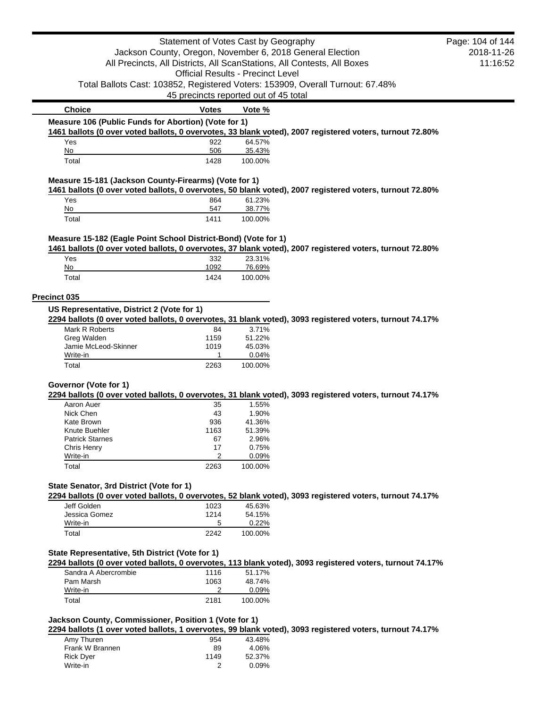|                                                                | Statement of Votes Cast by Geography     |                   |                                                                                                           | Page: 104 of 144 |
|----------------------------------------------------------------|------------------------------------------|-------------------|-----------------------------------------------------------------------------------------------------------|------------------|
|                                                                |                                          |                   | Jackson County, Oregon, November 6, 2018 General Election                                                 | 2018-11-26       |
|                                                                |                                          |                   | All Precincts, All Districts, All ScanStations, All Contests, All Boxes                                   | 11:16:52         |
|                                                                | <b>Official Results - Precinct Level</b> |                   |                                                                                                           |                  |
|                                                                |                                          |                   | Total Ballots Cast: 103852, Registered Voters: 153909, Overall Turnout: 67.48%                            |                  |
|                                                                | 45 precincts reported out of 45 total    |                   |                                                                                                           |                  |
| <b>Choice</b>                                                  | <b>Votes</b>                             | Vote %            |                                                                                                           |                  |
| Measure 106 (Public Funds for Abortion) (Vote for 1)           |                                          |                   |                                                                                                           |                  |
|                                                                |                                          |                   | 1461 ballots (0 over voted ballots, 0 overvotes, 33 blank voted), 2007 registered voters, turnout 72.80%  |                  |
| Yes                                                            | 922                                      | 64.57%            |                                                                                                           |                  |
| No                                                             | 506                                      | 35.43%            |                                                                                                           |                  |
| Total                                                          | 1428                                     | 100.00%           |                                                                                                           |                  |
| Measure 15-181 (Jackson County-Firearms) (Vote for 1)          |                                          |                   |                                                                                                           |                  |
|                                                                |                                          |                   | 1461 ballots (0 over voted ballots, 0 overvotes, 50 blank voted), 2007 registered voters, turnout 72.80%  |                  |
| Yes                                                            | 864                                      | 61.23%            |                                                                                                           |                  |
| No<br>Total                                                    | 547<br>1411                              | 38.77%<br>100.00% |                                                                                                           |                  |
|                                                                |                                          |                   |                                                                                                           |                  |
| Measure 15-182 (Eagle Point School District-Bond) (Vote for 1) |                                          |                   |                                                                                                           |                  |
|                                                                |                                          |                   | 1461 ballots (0 over voted ballots, 0 overvotes, 37 blank voted), 2007 registered voters, turnout 72.80%  |                  |
| Yes                                                            | 332                                      | 23.31%            |                                                                                                           |                  |
| No                                                             | 1092                                     | 76.69%            |                                                                                                           |                  |
| Total                                                          | 1424                                     | 100.00%           |                                                                                                           |                  |
|                                                                |                                          |                   |                                                                                                           |                  |
| Precinct 035                                                   |                                          |                   |                                                                                                           |                  |
| US Representative, District 2 (Vote for 1)                     |                                          |                   |                                                                                                           |                  |
|                                                                |                                          |                   | 2294 ballots (0 over voted ballots, 0 overvotes, 31 blank voted), 3093 registered voters, turnout 74.17%  |                  |
| Mark R Roberts                                                 | 84                                       | 3.71%             |                                                                                                           |                  |
| Greg Walden<br>Jamie McLeod-Skinner                            | 1159<br>1019                             | 51.22%<br>45.03%  |                                                                                                           |                  |
| Write-in                                                       | 1                                        | 0.04%             |                                                                                                           |                  |
| Total                                                          | 2263                                     | 100.00%           |                                                                                                           |                  |
|                                                                |                                          |                   |                                                                                                           |                  |
| Governor (Vote for 1)                                          |                                          |                   |                                                                                                           |                  |
|                                                                |                                          |                   | 2294 ballots (0 over voted ballots, 0 overvotes, 31 blank voted), 3093 registered voters, turnout 74.17%  |                  |
| Aaron Auer                                                     | 35                                       | 1.55%             |                                                                                                           |                  |
| Nick Chen                                                      | 43                                       | 1.90%             |                                                                                                           |                  |
| Kate Brown                                                     | 936                                      | 41.36%            |                                                                                                           |                  |
| Knute Buehler                                                  | 1163                                     | 51.39%            |                                                                                                           |                  |
| <b>Patrick Starnes</b>                                         | 67<br>17                                 | 2.96%<br>0.75%    |                                                                                                           |                  |
| Chris Henry<br>Write-in                                        | 2                                        | 0.09%             |                                                                                                           |                  |
| Total                                                          | 2263                                     | 100.00%           |                                                                                                           |                  |
|                                                                |                                          |                   |                                                                                                           |                  |
| State Senator, 3rd District (Vote for 1)                       |                                          |                   |                                                                                                           |                  |
|                                                                |                                          |                   | 2294 ballots (0 over voted ballots, 0 overvotes, 52 blank voted), 3093 registered voters, turnout 74.17%  |                  |
| Jeff Golden                                                    | 1023                                     | 45.63%            |                                                                                                           |                  |
| Jessica Gomez                                                  | 1214                                     | 54.15%            |                                                                                                           |                  |
| Write-in                                                       | 5                                        | 0.22%             |                                                                                                           |                  |
| Total                                                          | 2242                                     | 100.00%           |                                                                                                           |                  |
|                                                                |                                          |                   |                                                                                                           |                  |
| State Representative, 5th District (Vote for 1)                |                                          |                   |                                                                                                           |                  |
|                                                                |                                          |                   | 2294 ballots (0 over voted ballots, 0 overvotes, 113 blank voted), 3093 registered voters, turnout 74.17% |                  |
| Sandra A Abercrombie                                           | 1116                                     | 51.17%            |                                                                                                           |                  |
| Pam Marsh<br>Write-in                                          | 1063<br>2                                | 48.74%<br>0.09%   |                                                                                                           |                  |
| Total                                                          | 2181                                     | 100.00%           |                                                                                                           |                  |
|                                                                |                                          |                   |                                                                                                           |                  |
| Jackson County, Commissioner, Position 1 (Vote for 1)          |                                          |                   |                                                                                                           |                  |
|                                                                |                                          |                   | 2294 ballots (1 over voted ballots, 1 overvotes, 99 blank voted), 3093 registered voters, turnout 74.17%  |                  |
| Amy Thuren                                                     | 954                                      | 43.48%            |                                                                                                           |                  |
| Frank W Brannen                                                | 89                                       | 4.06%             |                                                                                                           |                  |
| <b>Rick Dyer</b>                                               | 1149                                     | 52.37%            |                                                                                                           |                  |
| Write-in                                                       | 2                                        | 0.09%             |                                                                                                           |                  |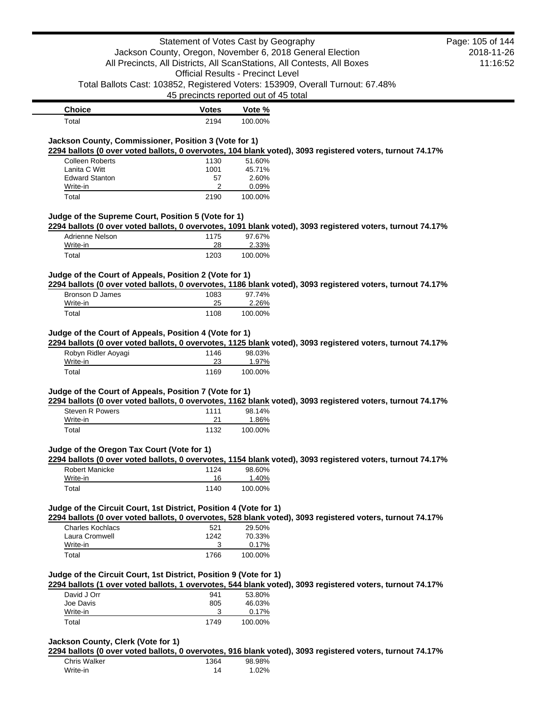|                                                                                                                                     |                                                                         | Statement of Votes Cast by Geography                                           | Page: 105 of 144 |
|-------------------------------------------------------------------------------------------------------------------------------------|-------------------------------------------------------------------------|--------------------------------------------------------------------------------|------------------|
|                                                                                                                                     |                                                                         | Jackson County, Oregon, November 6, 2018 General Election                      | 2018-11-26       |
|                                                                                                                                     | All Precincts, All Districts, All ScanStations, All Contests, All Boxes |                                                                                | 11:16:52         |
|                                                                                                                                     |                                                                         | <b>Official Results - Precinct Level</b>                                       |                  |
|                                                                                                                                     |                                                                         | Total Ballots Cast: 103852, Registered Voters: 153909, Overall Turnout: 67.48% |                  |
|                                                                                                                                     |                                                                         | 45 precincts reported out of 45 total                                          |                  |
| <b>Choice</b>                                                                                                                       | <b>Votes</b>                                                            | Vote %                                                                         |                  |
| Total                                                                                                                               | 2194                                                                    | 100.00%                                                                        |                  |
|                                                                                                                                     |                                                                         |                                                                                |                  |
| Jackson County, Commissioner, Position 3 (Vote for 1)                                                                               |                                                                         |                                                                                |                  |
| 2294 ballots (0 over voted ballots, 0 overvotes, 104 blank voted), 3093 registered voters, turnout 74.17%<br><b>Colleen Roberts</b> | 1130                                                                    | 51.60%                                                                         |                  |
| Lanita C Witt                                                                                                                       | 1001                                                                    | 45.71%                                                                         |                  |
| <b>Edward Stanton</b>                                                                                                               | 57                                                                      | 2.60%                                                                          |                  |
| Write-in                                                                                                                            | 2                                                                       | 0.09%                                                                          |                  |
| Total                                                                                                                               | 2190                                                                    | 100.00%                                                                        |                  |
| Judge of the Supreme Court, Position 5 (Vote for 1)                                                                                 |                                                                         |                                                                                |                  |
| 2294 ballots (0 over voted ballots, 0 overvotes, 1091 blank voted), 3093 registered voters, turnout 74.17%                          |                                                                         |                                                                                |                  |
| Adrienne Nelson                                                                                                                     | 1175                                                                    | 97.67%                                                                         |                  |
| Write-in                                                                                                                            | 28                                                                      | 2.33%                                                                          |                  |
| Total                                                                                                                               | 1203                                                                    | 100.00%                                                                        |                  |
| Judge of the Court of Appeals, Position 2 (Vote for 1)                                                                              |                                                                         |                                                                                |                  |
| 2294 ballots (0 over voted ballots, 0 overvotes, 1186 blank voted), 3093 registered voters, turnout 74.17%                          |                                                                         |                                                                                |                  |
| Bronson D James                                                                                                                     | 1083                                                                    | 97.74%                                                                         |                  |
| Write-in                                                                                                                            | 25                                                                      | 2.26%                                                                          |                  |
| Total                                                                                                                               | 1108                                                                    | 100.00%                                                                        |                  |
| Robyn Ridler Aoyagi<br>Write-in                                                                                                     | 1146<br>23                                                              | 98.03%<br>1.97%                                                                |                  |
| Total                                                                                                                               | 1169                                                                    | 100.00%                                                                        |                  |
| Judge of the Court of Appeals, Position 7 (Vote for 1)                                                                              |                                                                         |                                                                                |                  |
| 2294 ballots (0 over voted ballots, 0 overvotes, 1162 blank voted), 3093 registered voters, turnout 74.17%                          |                                                                         |                                                                                |                  |
| Steven R Powers                                                                                                                     | 1111                                                                    | 98.14%                                                                         |                  |
| Write-in                                                                                                                            | 21                                                                      | 1.86%                                                                          |                  |
| Total                                                                                                                               | 1132                                                                    | 100.00%                                                                        |                  |
| Judge of the Oregon Tax Court (Vote for 1)                                                                                          |                                                                         |                                                                                |                  |
| 2294 ballots (0 over voted ballots, 0 overvotes, 1154 blank voted), 3093 registered voters, turnout 74.17%                          |                                                                         |                                                                                |                  |
| <b>Robert Manicke</b>                                                                                                               | 1124                                                                    | 98.60%                                                                         |                  |
| Write-in                                                                                                                            | 16                                                                      | 1.40%                                                                          |                  |
| Total                                                                                                                               | 1140                                                                    | 100.00%                                                                        |                  |
| Judge of the Circuit Court, 1st District, Position 4 (Vote for 1)                                                                   |                                                                         |                                                                                |                  |
| 2294 ballots (0 over voted ballots, 0 overvotes, 528 blank voted), 3093 registered voters, turnout 74.17%                           |                                                                         |                                                                                |                  |
| <b>Charles Kochlacs</b>                                                                                                             | 521                                                                     | 29.50%                                                                         |                  |
| Laura Cromwell                                                                                                                      | 1242                                                                    | 70.33%                                                                         |                  |
| Write-in<br>Total                                                                                                                   | 3                                                                       | 0.17%                                                                          |                  |
|                                                                                                                                     | 1766                                                                    | 100.00%                                                                        |                  |
| Judge of the Circuit Court, 1st District, Position 9 (Vote for 1)                                                                   |                                                                         |                                                                                |                  |
| 2294 ballots (1 over voted ballots, 1 overvotes, 544 blank voted), 3093 registered voters, turnout 74.17%                           |                                                                         |                                                                                |                  |
| David J Orr                                                                                                                         | 941                                                                     | 53.80%                                                                         |                  |
| Joe Davis                                                                                                                           | 805                                                                     | 46.03%                                                                         |                  |
| Write-in                                                                                                                            | 3                                                                       | 0.17%                                                                          |                  |
| Total                                                                                                                               | 1749                                                                    | 100.00%                                                                        |                  |
|                                                                                                                                     |                                                                         |                                                                                |                  |
| Jackson County, Clerk (Vote for 1)                                                                                                  |                                                                         |                                                                                |                  |
| 2294 ballots (0 over voted ballots, 0 overvotes, 916 blank voted), 3093 registered voters, turnout 74.17%                           |                                                                         |                                                                                |                  |

| <b>Chris Walker</b> | 1364 | 98.98% |
|---------------------|------|--------|
| Write-in            | 14   | 1.02%  |

 $\blacksquare$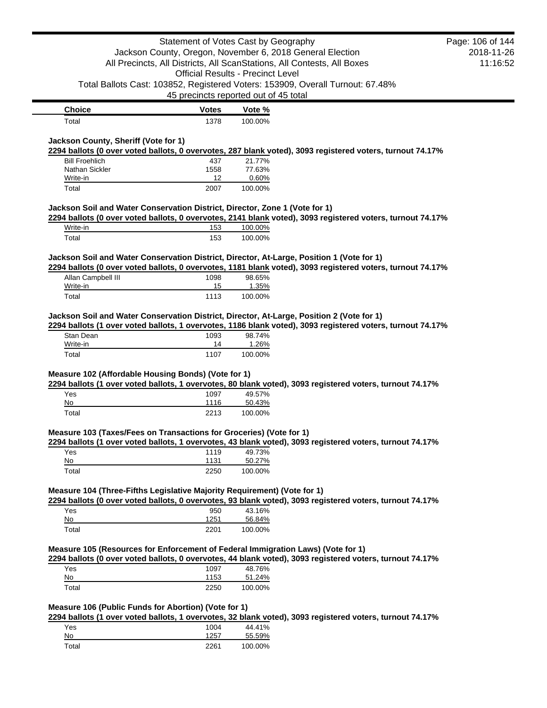|                                                                                           | Statement of Votes Cast by Geography     |                  |                                                                                                            | Page: 106 of 144 |
|-------------------------------------------------------------------------------------------|------------------------------------------|------------------|------------------------------------------------------------------------------------------------------------|------------------|
|                                                                                           |                                          |                  | Jackson County, Oregon, November 6, 2018 General Election                                                  | 2018-11-26       |
|                                                                                           |                                          |                  | All Precincts, All Districts, All ScanStations, All Contests, All Boxes                                    | 11:16:52         |
|                                                                                           | <b>Official Results - Precinct Level</b> |                  |                                                                                                            |                  |
|                                                                                           |                                          |                  | Total Ballots Cast: 103852, Registered Voters: 153909, Overall Turnout: 67.48%                             |                  |
|                                                                                           | 45 precincts reported out of 45 total    |                  |                                                                                                            |                  |
| <b>Choice</b>                                                                             | <b>Votes</b>                             | Vote %           |                                                                                                            |                  |
| Total                                                                                     | 1378                                     | 100.00%          |                                                                                                            |                  |
|                                                                                           |                                          |                  |                                                                                                            |                  |
| Jackson County, Sheriff (Vote for 1)                                                      |                                          |                  |                                                                                                            |                  |
|                                                                                           |                                          |                  | 2294 ballots (0 over voted ballots, 0 overvotes, 287 blank voted), 3093 registered voters, turnout 74.17%  |                  |
| <b>Bill Froehlich</b>                                                                     | 437                                      | 21.77%           |                                                                                                            |                  |
| Nathan Sickler                                                                            | 1558                                     | 77.63%           |                                                                                                            |                  |
| Write-in                                                                                  | 12                                       | 0.60%            |                                                                                                            |                  |
| Total                                                                                     | 2007                                     | 100.00%          |                                                                                                            |                  |
| Jackson Soil and Water Conservation District, Director, Zone 1 (Vote for 1)               |                                          |                  |                                                                                                            |                  |
|                                                                                           |                                          |                  | 2294 ballots (0 over voted ballots, 0 overvotes, 2141 blank voted), 3093 registered voters, turnout 74.17% |                  |
| Write-in                                                                                  | 153                                      | 100.00%          |                                                                                                            |                  |
| Total                                                                                     | 153                                      | 100.00%          |                                                                                                            |                  |
|                                                                                           |                                          |                  |                                                                                                            |                  |
| Jackson Soil and Water Conservation District, Director, At-Large, Position 1 (Vote for 1) |                                          |                  |                                                                                                            |                  |
|                                                                                           |                                          |                  | 2294 ballots (0 over voted ballots, 0 overvotes, 1181 blank voted), 3093 registered voters, turnout 74.17% |                  |
| Allan Campbell III                                                                        | 1098                                     | 98.65%           |                                                                                                            |                  |
| Write-in                                                                                  | 15                                       | 1.35%            |                                                                                                            |                  |
| Total                                                                                     | 1113                                     | 100.00%          |                                                                                                            |                  |
| Write-in<br>Total                                                                         | 14<br>1107                               | 1.26%<br>100.00% |                                                                                                            |                  |
|                                                                                           |                                          |                  |                                                                                                            |                  |
| Measure 102 (Affordable Housing Bonds) (Vote for 1)                                       |                                          |                  |                                                                                                            |                  |
|                                                                                           |                                          |                  | 2294 ballots (1 over voted ballots, 1 overvotes, 80 blank voted), 3093 registered voters, turnout 74.17%   |                  |
| Yes                                                                                       | 1097                                     | 49.57%           |                                                                                                            |                  |
| No                                                                                        | 1116                                     | 50.43%           |                                                                                                            |                  |
| Total                                                                                     | 2213                                     | 100.00%          |                                                                                                            |                  |
| Measure 103 (Taxes/Fees on Transactions for Groceries) (Vote for 1)                       |                                          |                  |                                                                                                            |                  |
|                                                                                           |                                          |                  | 2294 ballots (1 over voted ballots, 1 overvotes, 43 blank voted), 3093 registered voters, turnout 74.17%   |                  |
| Yes                                                                                       | 1119                                     | 49.73%           |                                                                                                            |                  |
| No                                                                                        | 1131                                     | 50.27%           |                                                                                                            |                  |
| Total                                                                                     | 2250                                     | 100.00%          |                                                                                                            |                  |
|                                                                                           |                                          |                  |                                                                                                            |                  |
| Measure 104 (Three-Fifths Legislative Majority Requirement) (Vote for 1)                  |                                          |                  |                                                                                                            |                  |
|                                                                                           |                                          |                  | 2294 ballots (0 over voted ballots, 0 overvotes, 93 blank voted), 3093 registered voters, turnout 74.17%   |                  |
| Yes<br>No                                                                                 | 950<br>1251                              | 43.16%<br>56.84% |                                                                                                            |                  |
| Total                                                                                     | 2201                                     | 100.00%          |                                                                                                            |                  |
|                                                                                           |                                          |                  |                                                                                                            |                  |
| Measure 105 (Resources for Enforcement of Federal Immigration Laws) (Vote for 1)          |                                          |                  |                                                                                                            |                  |
|                                                                                           |                                          |                  | 2294 ballots (0 over voted ballots, 0 overvotes, 44 blank voted), 3093 registered voters, turnout 74.17%   |                  |
| Yes                                                                                       | 1097                                     | 48.76%           |                                                                                                            |                  |
| No                                                                                        | 1153                                     | 51.24%           |                                                                                                            |                  |
| Total                                                                                     | 2250                                     | 100.00%          |                                                                                                            |                  |
|                                                                                           |                                          |                  |                                                                                                            |                  |
| Measure 106 (Public Funds for Abortion) (Vote for 1)                                      |                                          |                  |                                                                                                            |                  |
|                                                                                           |                                          |                  | 2294 ballots (1 over voted ballots, 1 overvotes, 32 blank voted), 3093 registered voters, turnout 74.17%   |                  |
| Yes                                                                                       | 1004                                     | 44.41%           |                                                                                                            |                  |

| No    |      | 55.59%  |
|-------|------|---------|
| Total | 2261 | 100.00% |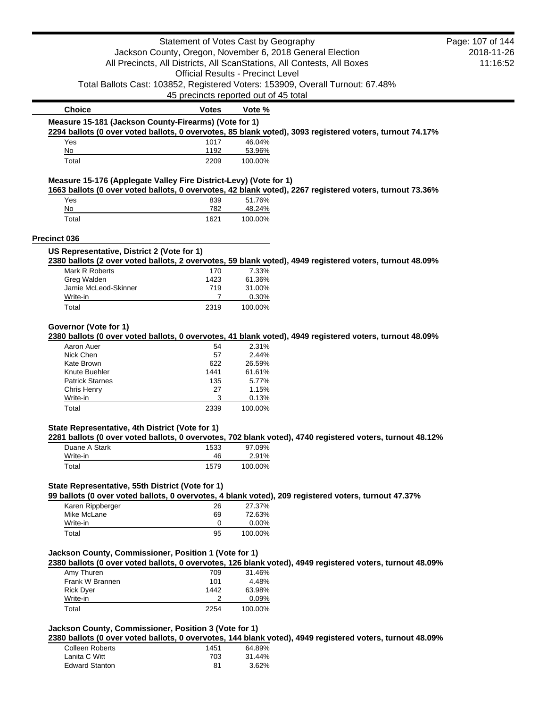|                                                                   | Statement of Votes Cast by Geography     |                 |                                                                                                           | Page: 107 of 144 |
|-------------------------------------------------------------------|------------------------------------------|-----------------|-----------------------------------------------------------------------------------------------------------|------------------|
|                                                                   |                                          |                 | Jackson County, Oregon, November 6, 2018 General Election                                                 | 2018-11-26       |
|                                                                   |                                          |                 | All Precincts, All Districts, All ScanStations, All Contests, All Boxes                                   | 11:16:52         |
|                                                                   | <b>Official Results - Precinct Level</b> |                 |                                                                                                           |                  |
|                                                                   |                                          |                 | Total Ballots Cast: 103852, Registered Voters: 153909, Overall Turnout: 67.48%                            |                  |
|                                                                   | 45 precincts reported out of 45 total    |                 |                                                                                                           |                  |
| <b>Choice</b>                                                     | <b>Votes</b>                             | Vote %          |                                                                                                           |                  |
| Measure 15-181 (Jackson County-Firearms) (Vote for 1)             |                                          |                 |                                                                                                           |                  |
|                                                                   |                                          |                 | 2294 ballots (0 over voted ballots, 0 overvotes, 85 blank voted), 3093 registered voters, turnout 74.17%  |                  |
| Yes                                                               | 1017                                     | 46.04%          |                                                                                                           |                  |
| No                                                                | 1192                                     | 53.96%          |                                                                                                           |                  |
| Total                                                             | 2209                                     | 100.00%         |                                                                                                           |                  |
| Measure 15-176 (Applegate Valley Fire District-Levy) (Vote for 1) |                                          |                 | 1663 ballots (0 over voted ballots, 0 overvotes, 42 blank voted), 2267 registered voters, turnout 73.36%  |                  |
| Yes                                                               | 839                                      | 51.76%          |                                                                                                           |                  |
| No                                                                | 782                                      | 48.24%          |                                                                                                           |                  |
| Total                                                             | 1621                                     | 100.00%         |                                                                                                           |                  |
| Precinct 036                                                      |                                          |                 |                                                                                                           |                  |
| US Representative, District 2 (Vote for 1)                        |                                          |                 |                                                                                                           |                  |
|                                                                   |                                          |                 | 2380 ballots (2 over voted ballots, 2 overvotes, 59 blank voted), 4949 registered voters, turnout 48.09%  |                  |
| Mark R Roberts                                                    | 170                                      | 7.33%           |                                                                                                           |                  |
| Greg Walden                                                       | 1423                                     | 61.36%          |                                                                                                           |                  |
| Jamie McLeod-Skinner                                              | 719                                      | 31.00%          |                                                                                                           |                  |
| Write-in                                                          | 7                                        | 0.30%           |                                                                                                           |                  |
| Total                                                             | 2319                                     | 100.00%         |                                                                                                           |                  |
| Governor (Vote for 1)                                             |                                          |                 | 2380 ballots (0 over voted ballots, 0 overvotes, 41 blank voted), 4949 registered voters, turnout 48.09%  |                  |
| Aaron Auer                                                        | 54                                       | 2.31%           |                                                                                                           |                  |
| Nick Chen                                                         | 57                                       | 2.44%           |                                                                                                           |                  |
| Kate Brown                                                        | 622                                      | 26.59%          |                                                                                                           |                  |
| Knute Buehler                                                     | 1441                                     | 61.61%          |                                                                                                           |                  |
| <b>Patrick Starnes</b>                                            | 135                                      | 5.77%           |                                                                                                           |                  |
| Chris Henry<br>Write-in                                           | 27<br>3                                  | 1.15%<br>0.13%  |                                                                                                           |                  |
| Total                                                             | 2339                                     | 100.00%         |                                                                                                           |                  |
|                                                                   |                                          |                 |                                                                                                           |                  |
| State Representative, 4th District (Vote for 1)                   |                                          |                 | 2281 ballots (0 over voted ballots, 0 overvotes, 702 blank voted), 4740 registered voters, turnout 48.12% |                  |
| Duane A Stark                                                     | 1533                                     | 97.09%          |                                                                                                           |                  |
| Write-in                                                          | 46                                       | 2.91%           |                                                                                                           |                  |
| Total                                                             | 1579                                     | 100.00%         |                                                                                                           |                  |
|                                                                   |                                          |                 |                                                                                                           |                  |
| State Representative, 55th District (Vote for 1)                  |                                          |                 | 99 ballots (0 over voted ballots, 0 overvotes, 4 blank voted), 209 registered voters, turnout 47.37%      |                  |
| Karen Rippberger                                                  | 26                                       | 27.37%          |                                                                                                           |                  |
| Mike McLane<br>Write-in                                           | 69<br>0                                  | 72.63%<br>0.00% |                                                                                                           |                  |
|                                                                   | 95                                       |                 |                                                                                                           |                  |
| Total                                                             |                                          | 100.00%         |                                                                                                           |                  |
| Jackson County, Commissioner, Position 1 (Vote for 1)             |                                          |                 |                                                                                                           |                  |
|                                                                   | 709                                      |                 | 2380 ballots (0 over voted ballots, 0 overvotes, 126 blank voted), 4949 registered voters, turnout 48.09% |                  |
| Amy Thuren<br>Frank W Brannen                                     | 101                                      | 31.46%<br>4.48% |                                                                                                           |                  |
| <b>Rick Dyer</b>                                                  | 1442                                     | 63.98%          |                                                                                                           |                  |
| Write-in                                                          | 2                                        | 0.09%           |                                                                                                           |                  |
| Total                                                             | 2254                                     | 100.00%         |                                                                                                           |                  |
| Jackson County, Commissioner, Position 3 (Vote for 1)             |                                          |                 |                                                                                                           |                  |
|                                                                   |                                          |                 | 2380 ballots (0 over voted ballots, 0 overvotes, 144 blank voted), 4949 registered voters, turnout 48.09% |                  |
| Colloca Doborto                                                   |                                          | 0.4000          |                                                                                                           |                  |

| Colleen Roberts       | 1451 | 64.89% |
|-----------------------|------|--------|
| Lanita C Witt         | 703  | 31.44% |
| <b>Edward Stanton</b> | 81   | 3.62%  |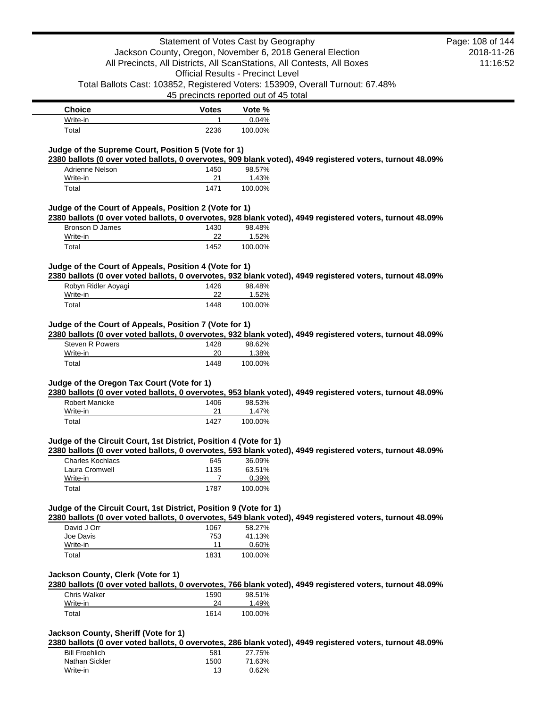| <b>Choice</b> | <b>Votes</b> | Vote %  |
|---------------|--------------|---------|
| Write-in      |              | 0.04%   |
| Total         | 2236         | 100.00% |

# **Judge of the Supreme Court, Position 5 (Vote for 1)**

**2380 ballots (0 over voted ballots, 0 overvotes, 909 blank voted), 4949 registered voters, turnout 48.09%**

| Adrienne Nelson | 1450 | 98.57%  |
|-----------------|------|---------|
| Write-in        | 21   | 1.43%   |
| Total           | 1471 | 100.00% |

## **Judge of the Court of Appeals, Position 2 (Vote for 1)**

**2380 ballots (0 over voted ballots, 0 overvotes, 928 blank voted), 4949 registered voters, turnout 48.09%**

| Bronson D James | 1430 | 98.48%  |
|-----------------|------|---------|
| Write-in        |      | 1.52%   |
| Total           | 1452 | 100.00% |

# **Judge of the Court of Appeals, Position 4 (Vote for 1)**

**2380 ballots (0 over voted ballots, 0 overvotes, 932 blank voted), 4949 registered voters, turnout 48.09%**

| Robyn Ridler Aoyagi | 1426 | 98.48%  |
|---------------------|------|---------|
| Write-in            | 22   | 1.52%   |
| Total               | 1448 | 100.00% |

# **Judge of the Court of Appeals, Position 7 (Vote for 1)**

**2380 ballots (0 over voted ballots, 0 overvotes, 932 blank voted), 4949 registered voters, turnout 48.09%**

| <b>Steven R Powers</b> | 1428 | 98.62%  |
|------------------------|------|---------|
| Write-in               | 20   | 1.38%   |
| Total                  | 1448 | 100.00% |

# **Judge of the Oregon Tax Court (Vote for 1)**

**2380 ballots (0 over voted ballots, 0 overvotes, 953 blank voted), 4949 registered voters, turnout 48.09%**

| Robert Manicke | 1406 | 98.53%  |
|----------------|------|---------|
| Write-in       | つ1   | 1.47%   |
| Total          | 1427 | 100.00% |

#### **Judge of the Circuit Court, 1st District, Position 4 (Vote for 1)**

**2380 ballots (0 over voted ballots, 0 overvotes, 593 blank voted), 4949 registered voters, turnout 48.09%**

| Charles Kochlacs | 645  | 36.09%  |
|------------------|------|---------|
| Laura Cromwell   | 1135 | 63.51%  |
| Write-in         |      | 0.39%   |
| Total            | 1787 | 100.00% |

# **Judge of the Circuit Court, 1st District, Position 9 (Vote for 1)**

**2380 ballots (0 over voted ballots, 0 overvotes, 549 blank voted), 4949 registered voters, turnout 48.09%**

| David J Orr | 1067 | 58.27%   |
|-------------|------|----------|
| Joe Davis   | 753  | 41.13%   |
| Write-in    | 11   | $0.60\%$ |
| Total       | 1831 | 100.00%  |

### **Jackson County, Clerk (Vote for 1)**

**2380 ballots (0 over voted ballots, 0 overvotes, 766 blank voted), 4949 registered voters, turnout 48.09%**

| <b>Chris Walker</b> | 1590 | 98.51%  |
|---------------------|------|---------|
| Write-in            | 24   | 1.49%   |
| Total               | 1614 | 100.00% |

# **Jackson County, Sheriff (Vote for 1)**

**2380 ballots (0 over voted ballots, 0 overvotes, 286 blank voted), 4949 registered voters, turnout 48.09%**

| <b>Bill Froehlich</b> | 581  | 27.75%   |
|-----------------------|------|----------|
| Nathan Sickler        | 1500 | 71.63%   |
| Write-in              | 13   | $0.62\%$ |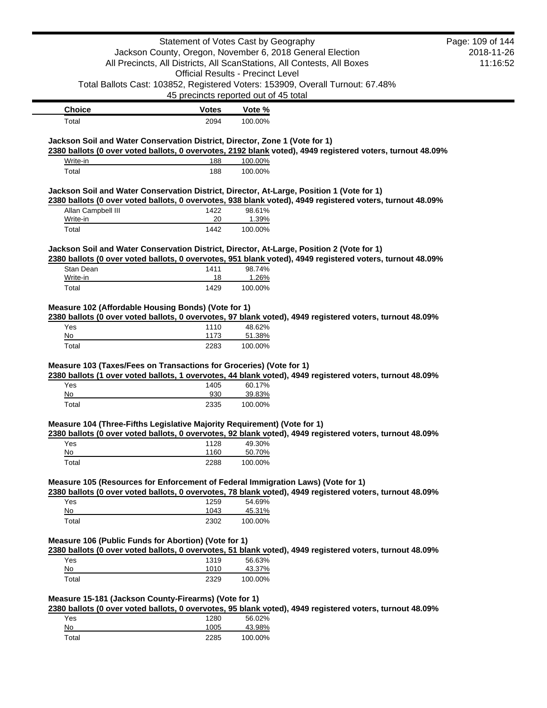|                                                                                                          |              | Statement of Votes Cast by Geography                                           |                                                                                                            | Page: 109 of 144 |
|----------------------------------------------------------------------------------------------------------|--------------|--------------------------------------------------------------------------------|------------------------------------------------------------------------------------------------------------|------------------|
|                                                                                                          |              | Jackson County, Oregon, November 6, 2018 General Election                      |                                                                                                            | 2018-11-26       |
|                                                                                                          |              | All Precincts, All Districts, All ScanStations, All Contests, All Boxes        |                                                                                                            | 11:16:52         |
|                                                                                                          |              | <b>Official Results - Precinct Level</b>                                       |                                                                                                            |                  |
|                                                                                                          |              | Total Ballots Cast: 103852, Registered Voters: 153909, Overall Turnout: 67.48% |                                                                                                            |                  |
|                                                                                                          |              | 45 precincts reported out of 45 total                                          |                                                                                                            |                  |
| <b>Choice</b>                                                                                            | <b>Votes</b> | Vote %                                                                         |                                                                                                            |                  |
| Total                                                                                                    | 2094         | 100.00%                                                                        |                                                                                                            |                  |
| Jackson Soil and Water Conservation District, Director, Zone 1 (Vote for 1)                              |              |                                                                                |                                                                                                            |                  |
|                                                                                                          |              |                                                                                | 2380 ballots (0 over voted ballots, 0 overvotes, 2192 blank voted), 4949 registered voters, turnout 48.09% |                  |
| Write-in                                                                                                 | 188          | 100.00%                                                                        |                                                                                                            |                  |
| Total                                                                                                    | 188          | 100.00%                                                                        |                                                                                                            |                  |
| Jackson Soil and Water Conservation District, Director, At-Large, Position 1 (Vote for 1)                |              |                                                                                |                                                                                                            |                  |
|                                                                                                          |              |                                                                                | 2380 ballots (0 over voted ballots, 0 overvotes, 938 blank voted), 4949 registered voters, turnout 48.09%  |                  |
| Allan Campbell III<br>Write-in                                                                           | 1422<br>20   | 98.61%<br>1.39%                                                                |                                                                                                            |                  |
| Total                                                                                                    | 1442         | 100.00%                                                                        |                                                                                                            |                  |
|                                                                                                          |              |                                                                                |                                                                                                            |                  |
| Jackson Soil and Water Conservation District, Director, At-Large, Position 2 (Vote for 1)                |              |                                                                                |                                                                                                            |                  |
| Stan Dean                                                                                                | 1411         | 98.74%                                                                         | 2380 ballots (0 over voted ballots, 0 overvotes, 951 blank voted), 4949 registered voters, turnout 48.09%  |                  |
| Write-in                                                                                                 | 18           | 1.26%                                                                          |                                                                                                            |                  |
| Total                                                                                                    | 1429         | 100.00%                                                                        |                                                                                                            |                  |
|                                                                                                          |              |                                                                                |                                                                                                            |                  |
| Measure 102 (Affordable Housing Bonds) (Vote for 1)                                                      |              |                                                                                | 2380 ballots (0 over voted ballots, 0 overvotes, 97 blank voted), 4949 registered voters, turnout 48.09%   |                  |
| Yes                                                                                                      | 1110         | 48.62%                                                                         |                                                                                                            |                  |
| No                                                                                                       | 1173         | 51.38%                                                                         |                                                                                                            |                  |
| Total                                                                                                    | 2283         | 100.00%                                                                        |                                                                                                            |                  |
| Measure 103 (Taxes/Fees on Transactions for Groceries) (Vote for 1)                                      |              |                                                                                |                                                                                                            |                  |
|                                                                                                          |              |                                                                                | 2380 ballots (1 over voted ballots, 1 overvotes, 44 blank voted), 4949 registered voters, turnout 48.09%   |                  |
| Yes                                                                                                      | 1405         | 60.17%                                                                         |                                                                                                            |                  |
| No                                                                                                       | 930          | 39.83%                                                                         |                                                                                                            |                  |
| Total                                                                                                    | 2335         | 100.00%                                                                        |                                                                                                            |                  |
| Measure 104 (Three-Fifths Legislative Majority Requirement) (Vote for 1)                                 |              |                                                                                |                                                                                                            |                  |
|                                                                                                          |              |                                                                                | 2380 ballots (0 over voted ballots, 0 overvotes, 92 blank voted), 4949 registered voters, turnout 48.09%   |                  |
| Yes                                                                                                      | 1128         | 49.30%                                                                         |                                                                                                            |                  |
| No<br>Total                                                                                              | 1160<br>2288 | 50.70%<br>100.00%                                                              |                                                                                                            |                  |
|                                                                                                          |              |                                                                                |                                                                                                            |                  |
| Measure 105 (Resources for Enforcement of Federal Immigration Laws) (Vote for 1)                         |              |                                                                                |                                                                                                            |                  |
| 2380 ballots (0 over voted ballots, 0 overvotes, 78 blank voted), 4949 registered voters, turnout 48.09% |              |                                                                                |                                                                                                            |                  |
| Yes<br>No                                                                                                | 1259<br>1043 | 54.69%<br>45.31%                                                               |                                                                                                            |                  |
| Total                                                                                                    | 2302         | 100.00%                                                                        |                                                                                                            |                  |
|                                                                                                          |              |                                                                                |                                                                                                            |                  |
| Measure 106 (Public Funds for Abortion) (Vote for 1)                                                     |              |                                                                                |                                                                                                            |                  |
|                                                                                                          |              |                                                                                | 2380 ballots (0 over voted ballots, 0 overvotes, 51 blank voted), 4949 registered voters, turnout 48.09%   |                  |
| Yes<br>No                                                                                                | 1319         | 56.63%<br>43.37%                                                               |                                                                                                            |                  |
|                                                                                                          |              |                                                                                |                                                                                                            |                  |
| Total                                                                                                    | 1010<br>2329 | 100.00%                                                                        |                                                                                                            |                  |
|                                                                                                          |              |                                                                                |                                                                                                            |                  |
| Measure 15-181 (Jackson County-Firearms) (Vote for 1)                                                    |              |                                                                                |                                                                                                            |                  |
|                                                                                                          |              |                                                                                | 2380 ballots (0 over voted ballots, 0 overvotes, 95 blank voted), 4949 registered voters, turnout 48.09%   |                  |
| Yes<br>No                                                                                                | 1280<br>1005 | 56.02%<br>43.98%                                                               |                                                                                                            |                  |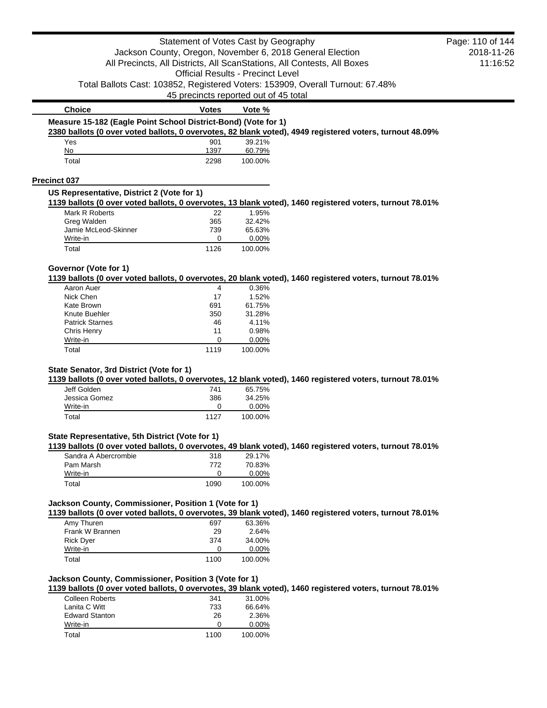|                                                                | Statement of Votes Cast by Geography     |                  |                                                                                                          | Page: 110 of 144 |
|----------------------------------------------------------------|------------------------------------------|------------------|----------------------------------------------------------------------------------------------------------|------------------|
|                                                                |                                          |                  | Jackson County, Oregon, November 6, 2018 General Election                                                | 2018-11-26       |
|                                                                |                                          |                  | All Precincts, All Districts, All ScanStations, All Contests, All Boxes                                  | 11:16:52         |
|                                                                | <b>Official Results - Precinct Level</b> |                  |                                                                                                          |                  |
|                                                                |                                          |                  | Total Ballots Cast: 103852, Registered Voters: 153909, Overall Turnout: 67.48%                           |                  |
|                                                                | 45 precincts reported out of 45 total    |                  |                                                                                                          |                  |
| <b>Choice</b>                                                  | <b>Votes</b>                             | Vote %           |                                                                                                          |                  |
| Measure 15-182 (Eagle Point School District-Bond) (Vote for 1) |                                          |                  | 2380 ballots (0 over voted ballots, 0 overvotes, 82 blank voted), 4949 registered voters, turnout 48.09% |                  |
| Yes                                                            | 901                                      | 39.21%           |                                                                                                          |                  |
| No                                                             | 1397                                     | 60.79%           |                                                                                                          |                  |
| Total                                                          | 2298                                     | 100.00%          |                                                                                                          |                  |
| <b>Precinct 037</b>                                            |                                          |                  |                                                                                                          |                  |
| US Representative, District 2 (Vote for 1)                     |                                          |                  |                                                                                                          |                  |
|                                                                |                                          |                  | 1139 ballots (0 over voted ballots, 0 overvotes, 13 blank voted), 1460 registered voters, turnout 78.01% |                  |
| Mark R Roberts                                                 | 22                                       | 1.95%            |                                                                                                          |                  |
| Greg Walden                                                    | 365                                      | 32.42%           |                                                                                                          |                  |
| Jamie McLeod-Skinner                                           | 739                                      | 65.63%           |                                                                                                          |                  |
| Write-in                                                       | 0                                        | 0.00%            |                                                                                                          |                  |
| Total                                                          | 1126                                     | 100.00%          |                                                                                                          |                  |
| Governor (Vote for 1)                                          |                                          |                  |                                                                                                          |                  |
|                                                                |                                          |                  | 1139 ballots (0 over voted ballots, 0 overvotes, 20 blank voted), 1460 registered voters, turnout 78.01% |                  |
| Aaron Auer                                                     | 4                                        | 0.36%            |                                                                                                          |                  |
| Nick Chen                                                      | 17                                       | 1.52%            |                                                                                                          |                  |
| Kate Brown                                                     | 691                                      | 61.75%           |                                                                                                          |                  |
| Knute Buehler                                                  | 350                                      | 31.28%           |                                                                                                          |                  |
| <b>Patrick Starnes</b>                                         | 46                                       | 4.11%            |                                                                                                          |                  |
| Chris Henry                                                    | 11                                       | 0.98%            |                                                                                                          |                  |
| Write-in<br>Total                                              | 0<br>1119                                | 0.00%<br>100.00% |                                                                                                          |                  |
| State Senator, 3rd District (Vote for 1)                       |                                          |                  | 1139 ballots (0 over voted ballots, 0 overvotes, 12 blank voted), 1460 registered voters, turnout 78.01% |                  |
| Jeff Golden                                                    | 741                                      | 65.75%           |                                                                                                          |                  |
| Jessica Gomez                                                  | 386                                      | 34.25%           |                                                                                                          |                  |
| Write-in                                                       | 0                                        | 0.00%            |                                                                                                          |                  |
| Total                                                          | 1127                                     | 100.00%          |                                                                                                          |                  |
| State Representative, 5th District (Vote for 1)                |                                          |                  |                                                                                                          |                  |
|                                                                |                                          |                  | 1139 ballots (0 over voted ballots, 0 overvotes, 49 blank voted), 1460 registered voters, turnout 78.01% |                  |
| Sandra A Abercrombie                                           | 318                                      | 29.17%           |                                                                                                          |                  |
| Pam Marsh                                                      | 772                                      | 70.83%           |                                                                                                          |                  |
| Write-in                                                       | 0                                        | 0.00%            |                                                                                                          |                  |
| Total                                                          | 1090                                     | 100.00%          |                                                                                                          |                  |
| Jackson County, Commissioner, Position 1 (Vote for 1)          |                                          |                  | 1139 ballots (0 over voted ballots, 0 overvotes, 39 blank voted), 1460 registered voters, turnout 78.01% |                  |
| Amy Thuren                                                     | 697                                      | 63.36%           |                                                                                                          |                  |
| Frank W Brannen                                                | 29                                       | 2.64%            |                                                                                                          |                  |
| <b>Rick Dyer</b>                                               | 374                                      | 34.00%           |                                                                                                          |                  |
| Write-in                                                       | 0                                        | 0.00%            |                                                                                                          |                  |
|                                                                |                                          | 100.00%          |                                                                                                          |                  |
| Total                                                          | 1100                                     |                  |                                                                                                          |                  |
|                                                                |                                          |                  |                                                                                                          |                  |
| Jackson County, Commissioner, Position 3 (Vote for 1)          |                                          |                  | 1139 ballots (0 over voted ballots, 0 overvotes, 39 blank voted), 1460 registered voters, turnout 78.01% |                  |
| <b>Colleen Roberts</b>                                         | 341                                      | 31.00%           |                                                                                                          |                  |
| Lanita C Witt                                                  | 733                                      | 66.64%           |                                                                                                          |                  |
| <b>Edward Stanton</b>                                          | 26                                       | 2.36%            |                                                                                                          |                  |
| Write-in                                                       | 0                                        | 0.00%            |                                                                                                          |                  |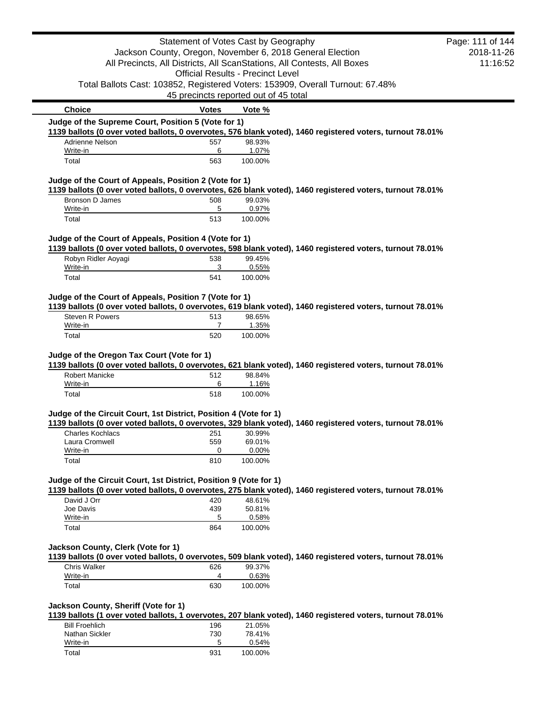|                                                                                                                                | Statement of Votes Cast by Geography                      |                  |                                                                                                           | Page: 111 of 144 |
|--------------------------------------------------------------------------------------------------------------------------------|-----------------------------------------------------------|------------------|-----------------------------------------------------------------------------------------------------------|------------------|
|                                                                                                                                | Jackson County, Oregon, November 6, 2018 General Election |                  |                                                                                                           | 2018-11-26       |
|                                                                                                                                |                                                           |                  | All Precincts, All Districts, All ScanStations, All Contests, All Boxes                                   | 11:16:52         |
|                                                                                                                                | <b>Official Results - Precinct Level</b>                  |                  |                                                                                                           |                  |
|                                                                                                                                |                                                           |                  | Total Ballots Cast: 103852, Registered Voters: 153909, Overall Turnout: 67.48%                            |                  |
|                                                                                                                                | 45 precincts reported out of 45 total                     |                  |                                                                                                           |                  |
| <b>Choice</b>                                                                                                                  | <b>Votes</b>                                              | Vote %           |                                                                                                           |                  |
| Judge of the Supreme Court, Position 5 (Vote for 1)                                                                            |                                                           |                  |                                                                                                           |                  |
|                                                                                                                                |                                                           |                  | 1139 ballots (0 over voted ballots, 0 overvotes, 576 blank voted), 1460 registered voters, turnout 78.01% |                  |
| Adrienne Nelson                                                                                                                | 557                                                       | 98.93%           |                                                                                                           |                  |
| Write-in<br>Total                                                                                                              | 6<br>563                                                  | 1.07%<br>100.00% |                                                                                                           |                  |
|                                                                                                                                |                                                           |                  |                                                                                                           |                  |
| Judge of the Court of Appeals, Position 2 (Vote for 1)                                                                         |                                                           |                  |                                                                                                           |                  |
|                                                                                                                                |                                                           |                  | 1139 ballots (0 over voted ballots, 0 overvotes, 626 blank voted), 1460 registered voters, turnout 78.01% |                  |
| <b>Bronson D James</b>                                                                                                         | 508                                                       | 99.03%           |                                                                                                           |                  |
| Write-in<br>Total                                                                                                              | 5<br>513                                                  | 0.97%<br>100.00% |                                                                                                           |                  |
|                                                                                                                                |                                                           |                  |                                                                                                           |                  |
| Judge of the Court of Appeals, Position 4 (Vote for 1)                                                                         |                                                           |                  |                                                                                                           |                  |
|                                                                                                                                |                                                           |                  | 1139 ballots (0 over voted ballots, 0 overvotes, 598 blank voted), 1460 registered voters, turnout 78.01% |                  |
| Robyn Ridler Aoyagi                                                                                                            | 538                                                       | 99.45%           |                                                                                                           |                  |
| Write-in                                                                                                                       | 3                                                         | 0.55%            |                                                                                                           |                  |
| Total                                                                                                                          | 541                                                       | 100.00%          |                                                                                                           |                  |
|                                                                                                                                |                                                           |                  |                                                                                                           |                  |
| Judge of the Court of Appeals, Position 7 (Vote for 1)                                                                         |                                                           |                  |                                                                                                           |                  |
| <b>Steven R Powers</b>                                                                                                         | 513                                                       | 98.65%           | 1139 ballots (0 over voted ballots, 0 overvotes, 619 blank voted), 1460 registered voters, turnout 78.01% |                  |
| Write-in                                                                                                                       | 7                                                         | 1.35%            |                                                                                                           |                  |
| Total                                                                                                                          | 520                                                       | 100.00%          |                                                                                                           |                  |
|                                                                                                                                |                                                           |                  |                                                                                                           |                  |
| Judge of the Oregon Tax Court (Vote for 1)                                                                                     |                                                           |                  |                                                                                                           |                  |
|                                                                                                                                |                                                           |                  | 1139 ballots (0 over voted ballots, 0 overvotes, 621 blank voted), 1460 registered voters, turnout 78.01% |                  |
| <b>Robert Manicke</b>                                                                                                          | 512                                                       | 98.84%           |                                                                                                           |                  |
| Write-in                                                                                                                       | 6                                                         | 1.16%            |                                                                                                           |                  |
| Total                                                                                                                          | 518                                                       | 100.00%          |                                                                                                           |                  |
| Judge of the Circuit Court, 1st District, Position 4 (Vote for 1)                                                              |                                                           |                  |                                                                                                           |                  |
|                                                                                                                                |                                                           |                  | 1139 ballots (0 over voted ballots, 0 overvotes, 329 blank voted), 1460 registered voters, turnout 78.01% |                  |
| Charles Kochlacs                                                                                                               | 251                                                       | 30.99%           |                                                                                                           |                  |
| Laura Cromwell                                                                                                                 | 559                                                       | 69.01%           |                                                                                                           |                  |
| Write-in                                                                                                                       | 0                                                         | 0.00%            |                                                                                                           |                  |
| Total                                                                                                                          | 810                                                       | 100.00%          |                                                                                                           |                  |
|                                                                                                                                |                                                           |                  |                                                                                                           |                  |
| Judge of the Circuit Court, 1st District, Position 9 (Vote for 1)                                                              |                                                           |                  |                                                                                                           |                  |
|                                                                                                                                |                                                           |                  | 1139 ballots (0 over voted ballots, 0 overvotes, 275 blank voted), 1460 registered voters, turnout 78.01% |                  |
| David J Orr<br>Joe Davis                                                                                                       | 420<br>439                                                | 48.61%<br>50.81% |                                                                                                           |                  |
| Write-in                                                                                                                       | 5                                                         | 0.58%            |                                                                                                           |                  |
| Total                                                                                                                          | 864                                                       | 100.00%          |                                                                                                           |                  |
|                                                                                                                                |                                                           |                  |                                                                                                           |                  |
| Jackson County, Clerk (Vote for 1)                                                                                             |                                                           |                  |                                                                                                           |                  |
|                                                                                                                                |                                                           |                  | 1139 ballots (0 over voted ballots, 0 overvotes, 509 blank voted), 1460 registered voters, turnout 78.01% |                  |
| <b>Chris Walker</b>                                                                                                            | 626                                                       | 99.37%           |                                                                                                           |                  |
| Write-in                                                                                                                       | 4                                                         | 0.63%            |                                                                                                           |                  |
| Total                                                                                                                          | 630                                                       | 100.00%          |                                                                                                           |                  |
|                                                                                                                                |                                                           |                  |                                                                                                           |                  |
| Jackson County, Sheriff (Vote for 1)                                                                                           |                                                           |                  |                                                                                                           |                  |
|                                                                                                                                |                                                           |                  |                                                                                                           |                  |
|                                                                                                                                |                                                           |                  |                                                                                                           |                  |
| <b>Bill Froehlich</b>                                                                                                          | 196                                                       | 21.05%           |                                                                                                           |                  |
| Nathan Sickler                                                                                                                 | 730                                                       | 78.41%           |                                                                                                           |                  |
| 1139 ballots (1 over voted ballots, 1 overvotes, 207 blank voted), 1460 registered voters, turnout 78.01%<br>Write-in<br>Total | 5<br>931                                                  | 0.54%<br>100.00% |                                                                                                           |                  |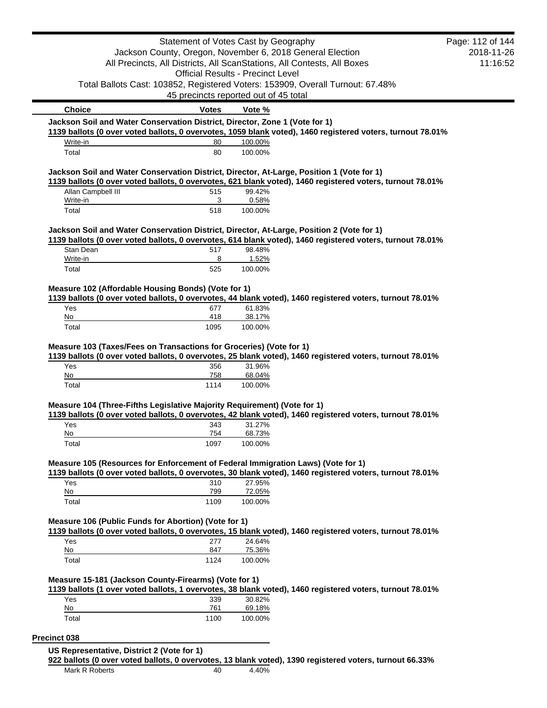|                                                                                           | Statement of Votes Cast by Geography     |                   |                                                                                                            | Page: 112 of 144 |
|-------------------------------------------------------------------------------------------|------------------------------------------|-------------------|------------------------------------------------------------------------------------------------------------|------------------|
|                                                                                           |                                          |                   | Jackson County, Oregon, November 6, 2018 General Election                                                  | 2018-11-26       |
|                                                                                           |                                          |                   | All Precincts, All Districts, All ScanStations, All Contests, All Boxes                                    | 11:16:52         |
|                                                                                           | <b>Official Results - Precinct Level</b> |                   |                                                                                                            |                  |
|                                                                                           |                                          |                   | Total Ballots Cast: 103852, Registered Voters: 153909, Overall Turnout: 67.48%                             |                  |
|                                                                                           | 45 precincts reported out of 45 total    |                   |                                                                                                            |                  |
| <b>Choice</b>                                                                             | <b>Votes</b>                             | Vote %            |                                                                                                            |                  |
| Jackson Soil and Water Conservation District, Director, Zone 1 (Vote for 1)               |                                          |                   |                                                                                                            |                  |
| Write-in                                                                                  | 80                                       | 100.00%           | 1139 ballots (0 over voted ballots, 0 overvotes, 1059 blank voted), 1460 registered voters, turnout 78.01% |                  |
| Total                                                                                     | 80                                       | 100.00%           |                                                                                                            |                  |
| Jackson Soil and Water Conservation District, Director, At-Large, Position 1 (Vote for 1) |                                          |                   |                                                                                                            |                  |
|                                                                                           |                                          |                   | 1139 ballots (0 over voted ballots, 0 overvotes, 621 blank voted), 1460 registered voters, turnout 78.01%  |                  |
| Allan Campbell III<br>Write-in                                                            | 515<br>3                                 | 99.42%<br>0.58%   |                                                                                                            |                  |
| Total                                                                                     | 518                                      | 100.00%           |                                                                                                            |                  |
|                                                                                           |                                          |                   |                                                                                                            |                  |
| Jackson Soil and Water Conservation District, Director, At-Large, Position 2 (Vote for 1) |                                          |                   |                                                                                                            |                  |
| Stan Dean                                                                                 | 517                                      | 98.48%            | 1139 ballots (0 over voted ballots, 0 overvotes, 614 blank voted), 1460 registered voters, turnout 78.01%  |                  |
| Write-in                                                                                  | 8                                        | 1.52%             |                                                                                                            |                  |
| Total                                                                                     | 525                                      | 100.00%           |                                                                                                            |                  |
| Measure 102 (Affordable Housing Bonds) (Vote for 1)                                       |                                          |                   |                                                                                                            |                  |
|                                                                                           |                                          |                   | 1139 ballots (0 over voted ballots, 0 overvotes, 44 blank voted), 1460 registered voters, turnout 78.01%   |                  |
| Yes                                                                                       | 677                                      | 61.83%            |                                                                                                            |                  |
| No                                                                                        | 418                                      | 38.17%            |                                                                                                            |                  |
| Total                                                                                     | 1095                                     | 100.00%           |                                                                                                            |                  |
| Measure 103 (Taxes/Fees on Transactions for Groceries) (Vote for 1)<br>Yes<br>No          | 356<br>758                               | 31.96%<br>68.04%  | 1139 ballots (0 over voted ballots, 0 overvotes, 25 blank voted), 1460 registered voters, turnout 78.01%   |                  |
| Total                                                                                     | 1114                                     | 100.00%           |                                                                                                            |                  |
| Measure 104 (Three-Fifths Legislative Majority Requirement) (Vote for 1)                  |                                          |                   | 1139 ballots (0 over voted ballots, 0 overvotes, 42 blank voted), 1460 registered voters, turnout 78.01%   |                  |
| Yes                                                                                       | 343                                      | 31.27%            |                                                                                                            |                  |
| $No$                                                                                      | 754                                      | 68.73%            |                                                                                                            |                  |
| Total                                                                                     | 1097                                     | 100.00%           |                                                                                                            |                  |
| Measure 105 (Resources for Enforcement of Federal Immigration Laws) (Vote for 1)          |                                          |                   |                                                                                                            |                  |
| Yes                                                                                       | 310                                      | 27.95%            | 1139 ballots (0 over voted ballots, 0 overvotes, 30 blank voted), 1460 registered voters, turnout 78.01%   |                  |
| No                                                                                        | 799                                      | 72.05%            |                                                                                                            |                  |
| Total                                                                                     | 1109                                     | 100.00%           |                                                                                                            |                  |
| Measure 106 (Public Funds for Abortion) (Vote for 1)                                      |                                          |                   |                                                                                                            |                  |
|                                                                                           |                                          |                   | 1139 ballots (0 over voted ballots, 0 overvotes, 15 blank voted), 1460 registered voters, turnout 78.01%   |                  |
| Yes<br>No                                                                                 | 277<br>847                               | 24.64%<br>75.36%  |                                                                                                            |                  |
| Total                                                                                     | 1124                                     | 100.00%           |                                                                                                            |                  |
|                                                                                           |                                          |                   |                                                                                                            |                  |
| Measure 15-181 (Jackson County-Firearms) (Vote for 1)                                     |                                          |                   |                                                                                                            |                  |
|                                                                                           |                                          |                   | 1139 ballots (1 over voted ballots, 1 overvotes, 38 blank voted), 1460 registered voters, turnout 78.01%   |                  |
| Yes                                                                                       | 339                                      | 30.82%            |                                                                                                            |                  |
| No<br>Total                                                                               | 761<br>1100                              | 69.18%<br>100.00% |                                                                                                            |                  |
|                                                                                           |                                          |                   |                                                                                                            |                  |
| Precinct 038                                                                              |                                          |                   |                                                                                                            |                  |
| US Representative, District 2 (Vote for 1)                                                |                                          |                   |                                                                                                            |                  |
| Mark R Roberts                                                                            | 40                                       | 4.40%             | 922 ballots (0 over voted ballots, 0 overvotes, 13 blank voted), 1390 registered voters, turnout 66.33%    |                  |
|                                                                                           |                                          |                   |                                                                                                            |                  |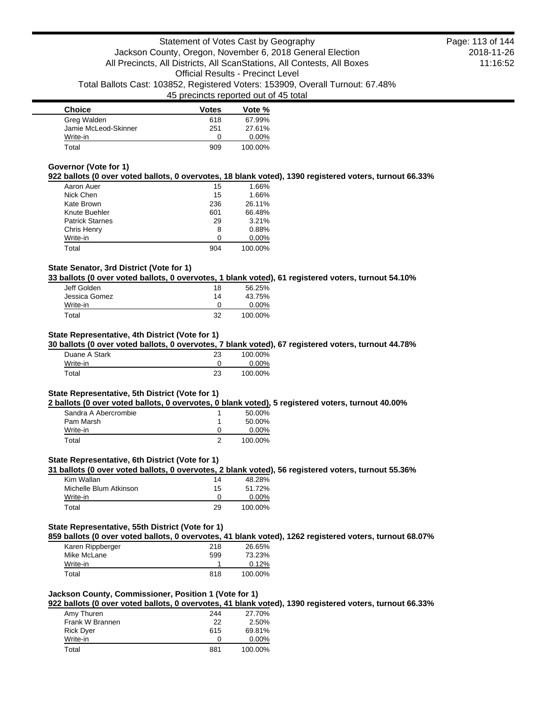| <b>Choice</b>        | <b>Votes</b> | Vote %   |
|----------------------|--------------|----------|
| Greg Walden          | 618          | 67.99%   |
| Jamie McLeod-Skinner | 251          | 27.61%   |
| Write-in             | O            | $0.00\%$ |
| Total                | 909          | 100.00%  |

### **Governor (Vote for 1)**

### **922 ballots (0 over voted ballots, 0 overvotes, 18 blank voted), 1390 registered voters, turnout 66.33%**

| Aaron Auer             | 15  | 1.66%    |
|------------------------|-----|----------|
| Nick Chen              | 15  | 1.66%    |
| Kate Brown             | 236 | 26.11%   |
| Knute Buehler          | 601 | 66.48%   |
| <b>Patrick Starnes</b> | 29  | 3.21%    |
| Chris Henry            | 8   | 0.88%    |
| Write-in               | 0   | $0.00\%$ |
| Total                  | 904 | 100.00%  |

### **State Senator, 3rd District (Vote for 1)**

**33 ballots (0 over voted ballots, 0 overvotes, 1 blank voted), 61 registered voters, turnout 54.10%**

| Jeff Golden   | 18 | 56.25%   |
|---------------|----|----------|
| Jessica Gomez | 14 | 43.75%   |
| Write-in      | 0  | $0.00\%$ |
| Total         | 32 | 100.00%  |

# **State Representative, 4th District (Vote for 1)**

### **30 ballots (0 over voted ballots, 0 overvotes, 7 blank voted), 67 registered voters, turnout 44.78%**

| Duane A Stark | 23 | 100.00% |
|---------------|----|---------|
| Write-in      |    | 0.00%   |
| Total         | 23 | 100.00% |

### **State Representative, 5th District (Vote for 1)**

**2 ballots (0 over voted ballots, 0 overvotes, 0 blank voted), 5 registered voters, turnout 40.00%**

| Sandra A Abercrombie | 50.00%   |
|----------------------|----------|
| Pam Marsh            | 50.00%   |
| Write-in             | $0.00\%$ |
| Total                | 100.00%  |

#### **State Representative, 6th District (Vote for 1)**

**31 ballots (0 over voted ballots, 0 overvotes, 2 blank voted), 56 registered voters, turnout 55.36%**

| Kim Wallan             | 14 | 48.28%  |
|------------------------|----|---------|
| Michelle Blum Atkinson | 15 | 51.72%  |
| Write-in               |    | 0.00%   |
| Total                  | 29 | 100.00% |

#### **State Representative, 55th District (Vote for 1)**

**859 ballots (0 over voted ballots, 0 overvotes, 41 blank voted), 1262 registered voters, turnout 68.07%**

| Karen Rippberger | 218 | 26.65%  |
|------------------|-----|---------|
| Mike McLane      | 599 | 73.23%  |
| Write-in         |     | 0.12%   |
| Total            | 818 | 100.00% |

### **Jackson County, Commissioner, Position 1 (Vote for 1)**

**922 ballots (0 over voted ballots, 0 overvotes, 41 blank voted), 1390 registered voters, turnout 66.33%**

| Amy Thuren       | 244          | 27.70%   |
|------------------|--------------|----------|
| Frank W Brannen  | 22           | 2.50%    |
| <b>Rick Dyer</b> | 615          | 69.81%   |
| Write-in         | $\mathbf{I}$ | $0.00\%$ |
| Total            | 881          | 100.00%  |
|                  |              |          |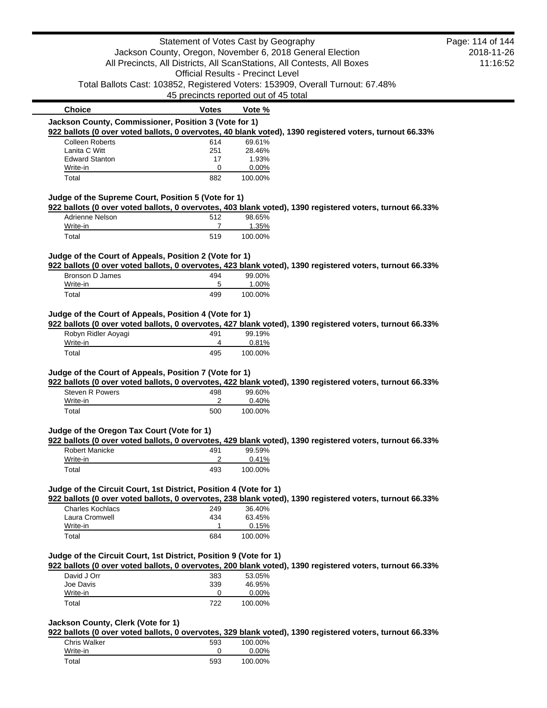| Jackson County, Oregon, November 6, 2018 General Election<br><b>Official Results - Precinct Level</b> |                                                                                       |                                                                                                                                                                                                                                                                                                                                                                                      |                                                                                                                                                                                                                                                                                                                                                                                                                                                                                                                                                         |
|-------------------------------------------------------------------------------------------------------|---------------------------------------------------------------------------------------|--------------------------------------------------------------------------------------------------------------------------------------------------------------------------------------------------------------------------------------------------------------------------------------------------------------------------------------------------------------------------------------|---------------------------------------------------------------------------------------------------------------------------------------------------------------------------------------------------------------------------------------------------------------------------------------------------------------------------------------------------------------------------------------------------------------------------------------------------------------------------------------------------------------------------------------------------------|
|                                                                                                       |                                                                                       |                                                                                                                                                                                                                                                                                                                                                                                      | 2018-11-26                                                                                                                                                                                                                                                                                                                                                                                                                                                                                                                                              |
|                                                                                                       |                                                                                       | All Precincts, All Districts, All ScanStations, All Contests, All Boxes                                                                                                                                                                                                                                                                                                              | 11:16:52                                                                                                                                                                                                                                                                                                                                                                                                                                                                                                                                                |
|                                                                                                       |                                                                                       |                                                                                                                                                                                                                                                                                                                                                                                      |                                                                                                                                                                                                                                                                                                                                                                                                                                                                                                                                                         |
|                                                                                                       |                                                                                       | Total Ballots Cast: 103852, Registered Voters: 153909, Overall Turnout: 67.48%                                                                                                                                                                                                                                                                                                       |                                                                                                                                                                                                                                                                                                                                                                                                                                                                                                                                                         |
| 45 precincts reported out of 45 total                                                                 |                                                                                       |                                                                                                                                                                                                                                                                                                                                                                                      |                                                                                                                                                                                                                                                                                                                                                                                                                                                                                                                                                         |
| <b>Votes</b>                                                                                          | Vote %                                                                                |                                                                                                                                                                                                                                                                                                                                                                                      |                                                                                                                                                                                                                                                                                                                                                                                                                                                                                                                                                         |
| Jackson County, Commissioner, Position 3 (Vote for 1)                                                 |                                                                                       |                                                                                                                                                                                                                                                                                                                                                                                      |                                                                                                                                                                                                                                                                                                                                                                                                                                                                                                                                                         |
|                                                                                                       |                                                                                       |                                                                                                                                                                                                                                                                                                                                                                                      |                                                                                                                                                                                                                                                                                                                                                                                                                                                                                                                                                         |
|                                                                                                       |                                                                                       |                                                                                                                                                                                                                                                                                                                                                                                      |                                                                                                                                                                                                                                                                                                                                                                                                                                                                                                                                                         |
|                                                                                                       |                                                                                       |                                                                                                                                                                                                                                                                                                                                                                                      |                                                                                                                                                                                                                                                                                                                                                                                                                                                                                                                                                         |
|                                                                                                       |                                                                                       |                                                                                                                                                                                                                                                                                                                                                                                      |                                                                                                                                                                                                                                                                                                                                                                                                                                                                                                                                                         |
| 882                                                                                                   | 100.00%                                                                               |                                                                                                                                                                                                                                                                                                                                                                                      |                                                                                                                                                                                                                                                                                                                                                                                                                                                                                                                                                         |
|                                                                                                       |                                                                                       |                                                                                                                                                                                                                                                                                                                                                                                      |                                                                                                                                                                                                                                                                                                                                                                                                                                                                                                                                                         |
|                                                                                                       |                                                                                       |                                                                                                                                                                                                                                                                                                                                                                                      |                                                                                                                                                                                                                                                                                                                                                                                                                                                                                                                                                         |
|                                                                                                       |                                                                                       |                                                                                                                                                                                                                                                                                                                                                                                      |                                                                                                                                                                                                                                                                                                                                                                                                                                                                                                                                                         |
|                                                                                                       |                                                                                       |                                                                                                                                                                                                                                                                                                                                                                                      |                                                                                                                                                                                                                                                                                                                                                                                                                                                                                                                                                         |
|                                                                                                       |                                                                                       |                                                                                                                                                                                                                                                                                                                                                                                      |                                                                                                                                                                                                                                                                                                                                                                                                                                                                                                                                                         |
|                                                                                                       |                                                                                       |                                                                                                                                                                                                                                                                                                                                                                                      |                                                                                                                                                                                                                                                                                                                                                                                                                                                                                                                                                         |
|                                                                                                       |                                                                                       |                                                                                                                                                                                                                                                                                                                                                                                      |                                                                                                                                                                                                                                                                                                                                                                                                                                                                                                                                                         |
|                                                                                                       |                                                                                       |                                                                                                                                                                                                                                                                                                                                                                                      |                                                                                                                                                                                                                                                                                                                                                                                                                                                                                                                                                         |
|                                                                                                       |                                                                                       |                                                                                                                                                                                                                                                                                                                                                                                      |                                                                                                                                                                                                                                                                                                                                                                                                                                                                                                                                                         |
|                                                                                                       |                                                                                       |                                                                                                                                                                                                                                                                                                                                                                                      |                                                                                                                                                                                                                                                                                                                                                                                                                                                                                                                                                         |
|                                                                                                       |                                                                                       |                                                                                                                                                                                                                                                                                                                                                                                      |                                                                                                                                                                                                                                                                                                                                                                                                                                                                                                                                                         |
|                                                                                                       |                                                                                       |                                                                                                                                                                                                                                                                                                                                                                                      |                                                                                                                                                                                                                                                                                                                                                                                                                                                                                                                                                         |
|                                                                                                       |                                                                                       |                                                                                                                                                                                                                                                                                                                                                                                      |                                                                                                                                                                                                                                                                                                                                                                                                                                                                                                                                                         |
|                                                                                                       |                                                                                       |                                                                                                                                                                                                                                                                                                                                                                                      |                                                                                                                                                                                                                                                                                                                                                                                                                                                                                                                                                         |
|                                                                                                       |                                                                                       |                                                                                                                                                                                                                                                                                                                                                                                      |                                                                                                                                                                                                                                                                                                                                                                                                                                                                                                                                                         |
|                                                                                                       |                                                                                       |                                                                                                                                                                                                                                                                                                                                                                                      |                                                                                                                                                                                                                                                                                                                                                                                                                                                                                                                                                         |
|                                                                                                       |                                                                                       |                                                                                                                                                                                                                                                                                                                                                                                      |                                                                                                                                                                                                                                                                                                                                                                                                                                                                                                                                                         |
|                                                                                                       |                                                                                       |                                                                                                                                                                                                                                                                                                                                                                                      |                                                                                                                                                                                                                                                                                                                                                                                                                                                                                                                                                         |
| 2                                                                                                     |                                                                                       |                                                                                                                                                                                                                                                                                                                                                                                      |                                                                                                                                                                                                                                                                                                                                                                                                                                                                                                                                                         |
| 500                                                                                                   | 100.00%                                                                               |                                                                                                                                                                                                                                                                                                                                                                                      |                                                                                                                                                                                                                                                                                                                                                                                                                                                                                                                                                         |
|                                                                                                       |                                                                                       |                                                                                                                                                                                                                                                                                                                                                                                      |                                                                                                                                                                                                                                                                                                                                                                                                                                                                                                                                                         |
|                                                                                                       |                                                                                       |                                                                                                                                                                                                                                                                                                                                                                                      |                                                                                                                                                                                                                                                                                                                                                                                                                                                                                                                                                         |
| Judge of the Oregon Tax Court (Vote for 1)                                                            |                                                                                       |                                                                                                                                                                                                                                                                                                                                                                                      |                                                                                                                                                                                                                                                                                                                                                                                                                                                                                                                                                         |
| 491                                                                                                   |                                                                                       | 922 ballots (0 over voted ballots, 0 overvotes, 429 blank voted), 1390 registered voters, turnout 66.33%                                                                                                                                                                                                                                                                             |                                                                                                                                                                                                                                                                                                                                                                                                                                                                                                                                                         |
| 2                                                                                                     | 99.59%<br>0.41%                                                                       |                                                                                                                                                                                                                                                                                                                                                                                      |                                                                                                                                                                                                                                                                                                                                                                                                                                                                                                                                                         |
| 493                                                                                                   | 100.00%                                                                               |                                                                                                                                                                                                                                                                                                                                                                                      |                                                                                                                                                                                                                                                                                                                                                                                                                                                                                                                                                         |
|                                                                                                       |                                                                                       |                                                                                                                                                                                                                                                                                                                                                                                      |                                                                                                                                                                                                                                                                                                                                                                                                                                                                                                                                                         |
| Judge of the Circuit Court, 1st District, Position 4 (Vote for 1)                                     |                                                                                       |                                                                                                                                                                                                                                                                                                                                                                                      |                                                                                                                                                                                                                                                                                                                                                                                                                                                                                                                                                         |
|                                                                                                       |                                                                                       | 922 ballots (0 over voted ballots, 0 overvotes, 238 blank voted), 1390 registered voters, turnout 66.33%                                                                                                                                                                                                                                                                             |                                                                                                                                                                                                                                                                                                                                                                                                                                                                                                                                                         |
| 249                                                                                                   | 36.40%                                                                                |                                                                                                                                                                                                                                                                                                                                                                                      |                                                                                                                                                                                                                                                                                                                                                                                                                                                                                                                                                         |
| 434                                                                                                   | 63.45%                                                                                |                                                                                                                                                                                                                                                                                                                                                                                      |                                                                                                                                                                                                                                                                                                                                                                                                                                                                                                                                                         |
| $\mathbf{1}$<br>684                                                                                   | 0.15%                                                                                 |                                                                                                                                                                                                                                                                                                                                                                                      |                                                                                                                                                                                                                                                                                                                                                                                                                                                                                                                                                         |
|                                                                                                       | 100.00%                                                                               |                                                                                                                                                                                                                                                                                                                                                                                      |                                                                                                                                                                                                                                                                                                                                                                                                                                                                                                                                                         |
| Judge of the Circuit Court, 1st District, Position 9 (Vote for 1)                                     |                                                                                       |                                                                                                                                                                                                                                                                                                                                                                                      |                                                                                                                                                                                                                                                                                                                                                                                                                                                                                                                                                         |
|                                                                                                       |                                                                                       | 922 ballots (0 over voted ballots, 0 overvotes, 200 blank voted), 1390 registered voters, turnout 66.33%                                                                                                                                                                                                                                                                             |                                                                                                                                                                                                                                                                                                                                                                                                                                                                                                                                                         |
| 383                                                                                                   | 53.05%                                                                                |                                                                                                                                                                                                                                                                                                                                                                                      |                                                                                                                                                                                                                                                                                                                                                                                                                                                                                                                                                         |
| 339                                                                                                   | 46.95%                                                                                |                                                                                                                                                                                                                                                                                                                                                                                      |                                                                                                                                                                                                                                                                                                                                                                                                                                                                                                                                                         |
| 0                                                                                                     | 0.00%                                                                                 |                                                                                                                                                                                                                                                                                                                                                                                      |                                                                                                                                                                                                                                                                                                                                                                                                                                                                                                                                                         |
| 722                                                                                                   | 100.00%                                                                               |                                                                                                                                                                                                                                                                                                                                                                                      |                                                                                                                                                                                                                                                                                                                                                                                                                                                                                                                                                         |
|                                                                                                       | 614<br>251<br>17<br>0<br>512<br>7<br>519<br>494<br>5<br>499<br>491<br>4<br>495<br>498 | 69.61%<br>28.46%<br>1.93%<br>0.00%<br>Judge of the Supreme Court, Position 5 (Vote for 1)<br>98.65%<br>1.35%<br>100.00%<br>Judge of the Court of Appeals, Position 2 (Vote for 1)<br>99.00%<br>1.00%<br>100.00%<br>Judge of the Court of Appeals, Position 4 (Vote for 1)<br>99.19%<br>0.81%<br>100.00%<br>Judge of the Court of Appeals, Position 7 (Vote for 1)<br>99.60%<br>0.40% | 922 ballots (0 over voted ballots, 0 overvotes, 40 blank voted), 1390 registered voters, turnout 66.33%<br>922 ballots (0 over voted ballots, 0 overvotes, 403 blank voted), 1390 registered voters, turnout 66.33%<br>922 ballots (0 over voted ballots, 0 overvotes, 423 blank voted), 1390 registered voters, turnout 66.33%<br>922 ballots (0 over voted ballots, 0 overvotes, 427 blank voted), 1390 registered voters, turnout 66.33%<br>922 ballots (0 over voted ballots, 0 overvotes, 422 blank voted), 1390 registered voters, turnout 66.33% |

| $\blacksquare$ bandlo (0 0 for follow bandlo) 0 0 for follow, 0.40 bilarin f( |     |          |
|-------------------------------------------------------------------------------|-----|----------|
| Chris Walker                                                                  | 593 | 100.00%  |
| Write-in                                                                      |     | $0.00\%$ |
| Total                                                                         | 593 | 100.00%  |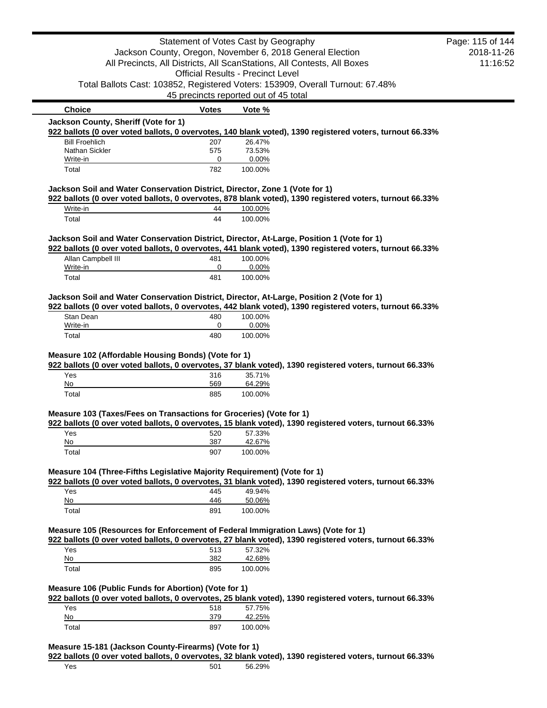|                                                                                                          | Statement of Votes Cast by Geography                      |                   |                                                                                                          | Page: 115 of 144 |
|----------------------------------------------------------------------------------------------------------|-----------------------------------------------------------|-------------------|----------------------------------------------------------------------------------------------------------|------------------|
|                                                                                                          | Jackson County, Oregon, November 6, 2018 General Election |                   |                                                                                                          | 2018-11-26       |
|                                                                                                          |                                                           |                   | All Precincts, All Districts, All ScanStations, All Contests, All Boxes                                  | 11:16:52         |
|                                                                                                          | <b>Official Results - Precinct Level</b>                  |                   |                                                                                                          |                  |
|                                                                                                          |                                                           |                   | Total Ballots Cast: 103852, Registered Voters: 153909, Overall Turnout: 67.48%                           |                  |
|                                                                                                          | 45 precincts reported out of 45 total                     |                   |                                                                                                          |                  |
| <b>Choice</b>                                                                                            | <b>Votes</b>                                              | Vote %            |                                                                                                          |                  |
| Jackson County, Sheriff (Vote for 1)                                                                     |                                                           |                   |                                                                                                          |                  |
|                                                                                                          |                                                           |                   | 922 ballots (0 over voted ballots, 0 overvotes, 140 blank voted), 1390 registered voters, turnout 66.33% |                  |
| <b>Bill Froehlich</b><br>Nathan Sickler                                                                  | 207<br>575                                                | 26.47%<br>73.53%  |                                                                                                          |                  |
| Write-in                                                                                                 | 0                                                         | 0.00%             |                                                                                                          |                  |
| Total                                                                                                    | 782                                                       | 100.00%           |                                                                                                          |                  |
| Jackson Soil and Water Conservation District, Director, Zone 1 (Vote for 1)                              |                                                           |                   |                                                                                                          |                  |
|                                                                                                          |                                                           |                   | 922 ballots (0 over voted ballots, 0 overvotes, 878 blank voted), 1390 registered voters, turnout 66.33% |                  |
| Write-in                                                                                                 | 44                                                        | 100.00%           |                                                                                                          |                  |
| Total                                                                                                    | 44                                                        | 100.00%           |                                                                                                          |                  |
| Jackson Soil and Water Conservation District, Director, At-Large, Position 1 (Vote for 1)                |                                                           |                   |                                                                                                          |                  |
|                                                                                                          |                                                           |                   | 922 ballots (0 over voted ballots, 0 overvotes, 441 blank voted), 1390 registered voters, turnout 66.33% |                  |
| Allan Campbell III<br>Write-in                                                                           | 481<br>0                                                  | 100.00%<br>0.00%  |                                                                                                          |                  |
| Total                                                                                                    | 481                                                       | 100.00%           |                                                                                                          |                  |
|                                                                                                          |                                                           |                   |                                                                                                          |                  |
| Jackson Soil and Water Conservation District, Director, At-Large, Position 2 (Vote for 1)                |                                                           |                   |                                                                                                          |                  |
| 922 ballots (0 over voted ballots, 0 overvotes, 442 blank voted), 1390 registered voters, turnout 66.33% |                                                           |                   |                                                                                                          |                  |
|                                                                                                          |                                                           |                   |                                                                                                          |                  |
| Stan Dean                                                                                                | 480                                                       | 100.00%           |                                                                                                          |                  |
| Write-in<br>Total                                                                                        | 0<br>480                                                  | 0.00%<br>100.00%  |                                                                                                          |                  |
|                                                                                                          |                                                           |                   |                                                                                                          |                  |
|                                                                                                          |                                                           |                   |                                                                                                          |                  |
| Yes                                                                                                      | 316                                                       | 35.71%            | 922 ballots (0 over voted ballots, 0 overvotes, 37 blank voted), 1390 registered voters, turnout 66.33%  |                  |
| Measure 102 (Affordable Housing Bonds) (Vote for 1)<br>No                                                | 569                                                       | 64.29%            |                                                                                                          |                  |
| Total                                                                                                    | 885                                                       | 100.00%           |                                                                                                          |                  |
| Measure 103 (Taxes/Fees on Transactions for Groceries) (Vote for 1)                                      |                                                           |                   |                                                                                                          |                  |
|                                                                                                          |                                                           |                   | 922 ballots (0 over voted ballots, 0 overvotes, 15 blank voted), 1390 registered voters, turnout 66.33%  |                  |
| Yes                                                                                                      | 520                                                       | 57.33%            |                                                                                                          |                  |
| No                                                                                                       | 387                                                       | 42.67%            |                                                                                                          |                  |
| Total                                                                                                    | 907                                                       | 100.00%           |                                                                                                          |                  |
| Measure 104 (Three-Fifths Legislative Majority Requirement) (Vote for 1)                                 |                                                           |                   |                                                                                                          |                  |
|                                                                                                          |                                                           |                   | 922 ballots (0 over voted ballots, 0 overvotes, 31 blank voted), 1390 registered voters, turnout 66.33%  |                  |
| Yes                                                                                                      | 445                                                       | 49.94%            |                                                                                                          |                  |
| No                                                                                                       | 446                                                       | 50.06%            |                                                                                                          |                  |
| Total                                                                                                    | 891                                                       | 100.00%           |                                                                                                          |                  |
| Measure 105 (Resources for Enforcement of Federal Immigration Laws) (Vote for 1)                         |                                                           |                   |                                                                                                          |                  |
|                                                                                                          |                                                           |                   | 922 ballots (0 over voted ballots, 0 overvotes, 27 blank voted), 1390 registered voters, turnout 66.33%  |                  |
| Yes                                                                                                      | 513                                                       | 57.32%            |                                                                                                          |                  |
| No                                                                                                       | 382                                                       | 42.68%            |                                                                                                          |                  |
| Total                                                                                                    | 895                                                       | 100.00%           |                                                                                                          |                  |
|                                                                                                          |                                                           |                   |                                                                                                          |                  |
| Measure 106 (Public Funds for Abortion) (Vote for 1)                                                     |                                                           |                   | 922 ballots (0 over voted ballots, 0 overvotes, 25 blank voted), 1390 registered voters, turnout 66.33%  |                  |
| Yes                                                                                                      | 518                                                       | 57.75%            |                                                                                                          |                  |
| No<br>Total                                                                                              | 379<br>897                                                | 42.25%<br>100.00% |                                                                                                          |                  |

**922 ballots (0 over voted ballots, 0 overvotes, 32 blank voted), 1390 registered voters, turnout 66.33%**

Yes 501 56.29%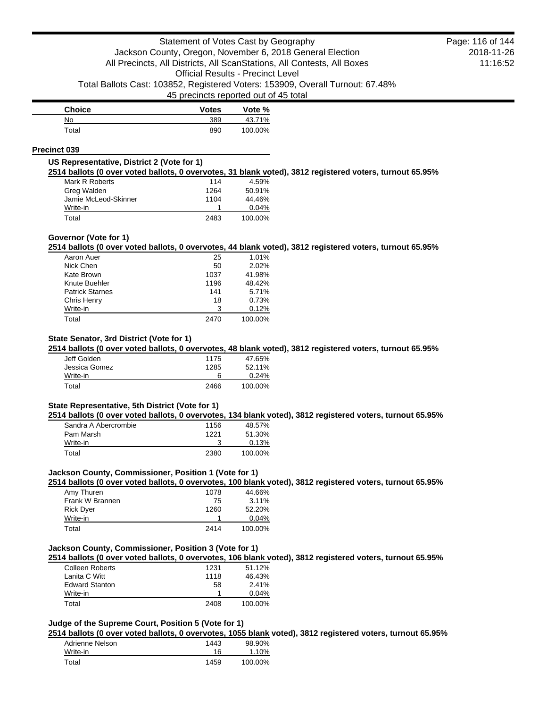| <b>Choice</b> | <b>Votes</b> | Vote %  |
|---------------|--------------|---------|
| No            | 389          | 43.71%  |
| Total         | 890          | 100.00% |

### **Precinct 039**

### **US Representative, District 2 (Vote for 1)**

**2514 ballots (0 over voted ballots, 0 overvotes, 31 blank voted), 3812 registered voters, turnout 65.95%**

| Mark R Roberts       | 114  | 4.59%   |
|----------------------|------|---------|
| Greg Walden          | 1264 | 50.91%  |
| Jamie McLeod-Skinner | 1104 | 44.46%  |
| Write-in             |      | 0.04%   |
| Total                | 2483 | 100.00% |

### **Governor (Vote for 1)**

**2514 ballots (0 over voted ballots, 0 overvotes, 44 blank voted), 3812 registered voters, turnout 65.95%**

| Aaron Auer             | 25   | 1.01%   |
|------------------------|------|---------|
| Nick Chen              | 50   | 2.02%   |
| Kate Brown             | 1037 | 41.98%  |
| Knute Buehler          | 1196 | 48.42%  |
| <b>Patrick Starnes</b> | 141  | 5.71%   |
| Chris Henry            | 18   | 0.73%   |
| Write-in               | 3    | 0.12%   |
| Total                  | 2470 | 100.00% |

# **State Senator, 3rd District (Vote for 1)**

**2514 ballots (0 over voted ballots, 0 overvotes, 48 blank voted), 3812 registered voters, turnout 65.95%**

| Jeff Golden   | 1175 | 47.65%   |
|---------------|------|----------|
| Jessica Gomez | 1285 | 52.11%   |
| Write-in      | 6    | $0.24\%$ |
| Total         | 2466 | 100.00%  |

#### **State Representative, 5th District (Vote for 1)**

**2514 ballots (0 over voted ballots, 0 overvotes, 134 blank voted), 3812 registered voters, turnout 65.95%**

| Sandra A Abercrombie | 1156 | 48.57%  |
|----------------------|------|---------|
| Pam Marsh            | 1221 | 51.30%  |
| Write-in             |      | 0.13%   |
| Total                | 2380 | 100.00% |

# **Jackson County, Commissioner, Position 1 (Vote for 1)**

**2514 ballots (0 over voted ballots, 0 overvotes, 100 blank voted), 3812 registered voters, turnout 65.95%**

| Amy Thuren       | 1078 | 44.66%   |
|------------------|------|----------|
| Frank W Brannen  | 75   | $3.11\%$ |
| <b>Rick Dyer</b> | 1260 | 52.20%   |
| Write-in         |      | 0.04%    |
| Total            | 2414 | 100.00%  |

# **Jackson County, Commissioner, Position 3 (Vote for 1)**

**2514 ballots (0 over voted ballots, 0 overvotes, 106 blank voted), 3812 registered voters, turnout 65.95%**

| <b>Colleen Roberts</b> | 1231 | 51.12%   |
|------------------------|------|----------|
| Lanita C Witt          | 1118 | 46.43%   |
| <b>Edward Stanton</b>  | 58   | 2.41%    |
| Write-in               |      | $0.04\%$ |
| Total                  | 2408 | 100.00%  |

## **Judge of the Supreme Court, Position 5 (Vote for 1)**

**2514 ballots (0 over voted ballots, 0 overvotes, 1055 blank voted), 3812 registered voters, turnout 65.95%**

| Adrienne Nelson | 1443 | 98.90%  |
|-----------------|------|---------|
| Write-in        | 16   | 1.10%   |
| Total           | 1459 | 100.00% |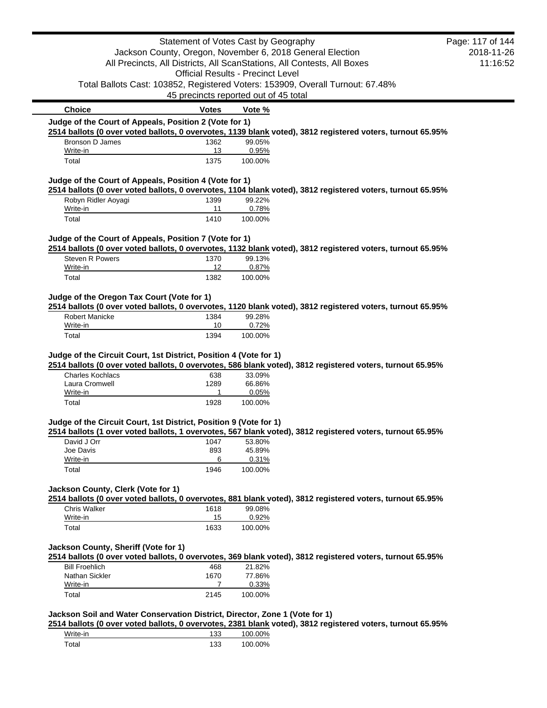|                                                                             | Statement of Votes Cast by Geography     |                  |                                                                                                            | Page: 117 of 144 |
|-----------------------------------------------------------------------------|------------------------------------------|------------------|------------------------------------------------------------------------------------------------------------|------------------|
|                                                                             |                                          |                  | Jackson County, Oregon, November 6, 2018 General Election                                                  | 2018-11-26       |
|                                                                             |                                          |                  | All Precincts, All Districts, All ScanStations, All Contests, All Boxes                                    | 11:16:52         |
|                                                                             | <b>Official Results - Precinct Level</b> |                  |                                                                                                            |                  |
|                                                                             |                                          |                  | Total Ballots Cast: 103852, Registered Voters: 153909, Overall Turnout: 67.48%                             |                  |
|                                                                             | 45 precincts reported out of 45 total    |                  |                                                                                                            |                  |
| <b>Choice</b>                                                               | <b>Votes</b>                             | Vote %           |                                                                                                            |                  |
| Judge of the Court of Appeals, Position 2 (Vote for 1)                      |                                          |                  |                                                                                                            |                  |
|                                                                             |                                          |                  | 2514 ballots (0 over voted ballots, 0 overvotes, 1139 blank voted), 3812 registered voters, turnout 65.95% |                  |
| Bronson D James<br>Write-in                                                 | 1362<br>13                               | 99.05%<br>0.95%  |                                                                                                            |                  |
| Total                                                                       | 1375                                     | 100.00%          |                                                                                                            |                  |
| Judge of the Court of Appeals, Position 4 (Vote for 1)                      |                                          |                  |                                                                                                            |                  |
|                                                                             |                                          |                  | 2514 ballots (0 over voted ballots, 0 overvotes, 1104 blank voted), 3812 registered voters, turnout 65.95% |                  |
| Robyn Ridler Aoyagi                                                         | 1399                                     | 99.22%           |                                                                                                            |                  |
| Write-in                                                                    | 11                                       | 0.78%            |                                                                                                            |                  |
| Total                                                                       | 1410                                     | 100.00%          |                                                                                                            |                  |
| Judge of the Court of Appeals, Position 7 (Vote for 1)                      |                                          |                  |                                                                                                            |                  |
|                                                                             |                                          |                  | 2514 ballots (0 over voted ballots, 0 overvotes, 1132 blank voted), 3812 registered voters, turnout 65.95% |                  |
| Steven R Powers<br>Write-in                                                 | 1370<br>12                               | 99.13%<br>0.87%  |                                                                                                            |                  |
| Total                                                                       | 1382                                     | 100.00%          |                                                                                                            |                  |
| Judge of the Oregon Tax Court (Vote for 1)                                  |                                          |                  |                                                                                                            |                  |
|                                                                             |                                          |                  | 2514 ballots (0 over voted ballots, 0 overvotes, 1120 blank voted), 3812 registered voters, turnout 65.95% |                  |
| <b>Robert Manicke</b>                                                       | 1384                                     | 99.28%           |                                                                                                            |                  |
| Write-in                                                                    | 10                                       | 0.72%            |                                                                                                            |                  |
| Total                                                                       | 1394                                     | 100.00%          |                                                                                                            |                  |
| <b>Charles Kochlacs</b><br>Laura Cromwell                                   | 638<br>1289                              | 33.09%<br>66.86% | 2514 ballots (0 over voted ballots, 0 overvotes, 586 blank voted), 3812 registered voters, turnout 65.95%  |                  |
| Write-in                                                                    | 1                                        | 0.05%            |                                                                                                            |                  |
| Total                                                                       | 1928                                     | 100.00%          |                                                                                                            |                  |
| Judge of the Circuit Court, 1st District, Position 9 (Vote for 1)           |                                          |                  |                                                                                                            |                  |
|                                                                             |                                          |                  | 2514 ballots (1 over voted ballots, 1 overvotes, 567 blank voted), 3812 registered voters, turnout 65.95%  |                  |
| David J Orr<br>Joe Davis                                                    | 1047<br>893                              | 53.80%<br>45.89% |                                                                                                            |                  |
| Write-in                                                                    | 6                                        | 0.31%            |                                                                                                            |                  |
| Total                                                                       | 1946                                     | 100.00%          |                                                                                                            |                  |
| Jackson County, Clerk (Vote for 1)                                          |                                          |                  |                                                                                                            |                  |
|                                                                             |                                          |                  | 2514 ballots (0 over voted ballots, 0 overvotes, 881 blank voted), 3812 registered voters, turnout 65.95%  |                  |
| Chris Walker                                                                | 1618                                     | 99.08%           |                                                                                                            |                  |
| Write-in                                                                    | 15                                       | 0.92%            |                                                                                                            |                  |
| Total                                                                       | 1633                                     | 100.00%          |                                                                                                            |                  |
|                                                                             |                                          |                  |                                                                                                            |                  |
| Jackson County, Sheriff (Vote for 1)                                        |                                          |                  | 2514 ballots (0 over voted ballots, 0 overvotes, 369 blank voted), 3812 registered voters, turnout 65.95%  |                  |
| <b>Bill Froehlich</b>                                                       | 468                                      | 21.82%           |                                                                                                            |                  |
| Nathan Sickler                                                              | 1670                                     | 77.86%           |                                                                                                            |                  |
| Write-in                                                                    | 7                                        | 0.33%            |                                                                                                            |                  |
| Total                                                                       | 2145                                     | 100.00%          |                                                                                                            |                  |
| Jackson Soil and Water Conservation District, Director, Zone 1 (Vote for 1) |                                          |                  |                                                                                                            |                  |
|                                                                             |                                          |                  | 2514 ballots (0 over voted ballots, 0 overvotes, 2381 blank voted), 3812 registered voters, turnout 65.95% |                  |
| Write-in                                                                    | 133                                      | 100.00%          |                                                                                                            |                  |
| Total                                                                       | 133                                      | 100.00%          |                                                                                                            |                  |
|                                                                             |                                          |                  |                                                                                                            |                  |

ī,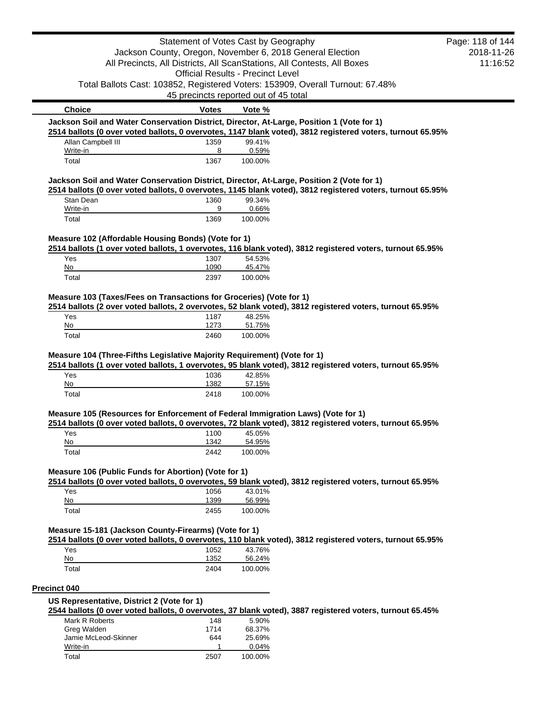|                                                                                                                                                                                              | Statement of Votes Cast by Geography     |                  |                                                                                | Page: 118 of 144 |
|----------------------------------------------------------------------------------------------------------------------------------------------------------------------------------------------|------------------------------------------|------------------|--------------------------------------------------------------------------------|------------------|
|                                                                                                                                                                                              |                                          |                  | Jackson County, Oregon, November 6, 2018 General Election                      | 2018-11-26       |
|                                                                                                                                                                                              |                                          |                  | All Precincts, All Districts, All ScanStations, All Contests, All Boxes        | 11:16:52         |
|                                                                                                                                                                                              | <b>Official Results - Precinct Level</b> |                  |                                                                                |                  |
|                                                                                                                                                                                              |                                          |                  | Total Ballots Cast: 103852, Registered Voters: 153909, Overall Turnout: 67.48% |                  |
|                                                                                                                                                                                              | 45 precincts reported out of 45 total    |                  |                                                                                |                  |
| <b>Choice</b>                                                                                                                                                                                | Votes                                    | Vote %           |                                                                                |                  |
| Jackson Soil and Water Conservation District, Director, At-Large, Position 1 (Vote for 1)                                                                                                    |                                          |                  |                                                                                |                  |
| 2514 ballots (0 over voted ballots, 0 overvotes, 1147 blank voted), 3812 registered voters, turnout 65.95%<br>Allan Campbell III                                                             |                                          | 99.41%           |                                                                                |                  |
| Write-in                                                                                                                                                                                     | 1359<br>8                                | 0.59%            |                                                                                |                  |
| Total                                                                                                                                                                                        | 1367                                     | 100.00%          |                                                                                |                  |
| Jackson Soil and Water Conservation District, Director, At-Large, Position 2 (Vote for 1)                                                                                                    |                                          |                  |                                                                                |                  |
| 2514 ballots (0 over voted ballots, 0 overvotes, 1145 blank voted), 3812 registered voters, turnout 65.95%                                                                                   |                                          |                  |                                                                                |                  |
| Stan Dean                                                                                                                                                                                    | 1360                                     | 99.34%           |                                                                                |                  |
| Write-in                                                                                                                                                                                     | 9<br>1369                                | 0.66%            |                                                                                |                  |
| Total                                                                                                                                                                                        |                                          | 100.00%          |                                                                                |                  |
| Measure 102 (Affordable Housing Bonds) (Vote for 1)                                                                                                                                          |                                          |                  |                                                                                |                  |
| 2514 ballots (1 over voted ballots, 1 overvotes, 116 blank voted), 3812 registered voters, turnout 65.95%                                                                                    |                                          |                  |                                                                                |                  |
| Yes<br>No                                                                                                                                                                                    | 1307<br>1090                             | 54.53%<br>45.47% |                                                                                |                  |
| Total                                                                                                                                                                                        | 2397                                     | 100.00%          |                                                                                |                  |
|                                                                                                                                                                                              |                                          |                  |                                                                                |                  |
| Measure 103 (Taxes/Fees on Transactions for Groceries) (Vote for 1)                                                                                                                          |                                          |                  |                                                                                |                  |
| 2514 ballots (2 over voted ballots, 2 overvotes, 52 blank voted), 3812 registered voters, turnout 65.95%<br>Yes                                                                              | 1187                                     | 48.25%           |                                                                                |                  |
| No                                                                                                                                                                                           | 1273                                     | 51.75%           |                                                                                |                  |
| Total                                                                                                                                                                                        | 2460                                     | 100.00%          |                                                                                |                  |
| 2514 ballots (1 over voted ballots, 1 overvotes, 95 blank voted), 3812 registered voters, turnout 65.95%<br>Yes<br>No                                                                        | 1036<br>1382                             | 42.85%<br>57.15% |                                                                                |                  |
| Total                                                                                                                                                                                        | 2418                                     | 100.00%          |                                                                                |                  |
|                                                                                                                                                                                              |                                          |                  |                                                                                |                  |
| Measure 105 (Resources for Enforcement of Federal Immigration Laws) (Vote for 1)<br>2514 ballots (0 over voted ballots, 0 overvotes, 72 blank voted), 3812 registered voters, turnout 65.95% |                                          |                  |                                                                                |                  |
| Yes                                                                                                                                                                                          | 1100                                     | 45.05%           |                                                                                |                  |
| No                                                                                                                                                                                           | 1342                                     | 54.95%           |                                                                                |                  |
| Total                                                                                                                                                                                        | 2442                                     | 100.00%          |                                                                                |                  |
| Measure 106 (Public Funds for Abortion) (Vote for 1)                                                                                                                                         |                                          |                  |                                                                                |                  |
| 2514 ballots (0 over voted ballots, 0 overvotes, 59 blank voted), 3812 registered voters, turnout 65.95%                                                                                     |                                          |                  |                                                                                |                  |
| Yes<br>No                                                                                                                                                                                    | 1056<br>1399                             | 43.01%<br>56.99% |                                                                                |                  |
| Total                                                                                                                                                                                        | 2455                                     | 100.00%          |                                                                                |                  |
|                                                                                                                                                                                              |                                          |                  |                                                                                |                  |
| Measure 15-181 (Jackson County-Firearms) (Vote for 1)                                                                                                                                        |                                          |                  |                                                                                |                  |
| 2514 ballots (0 over voted ballots, 0 overvotes, 110 blank voted), 3812 registered voters, turnout 65.95%<br>Yes                                                                             | 1052                                     | 43.76%           |                                                                                |                  |
| No                                                                                                                                                                                           | 1352                                     | 56.24%           |                                                                                |                  |
| Total                                                                                                                                                                                        | 2404                                     | 100.00%          |                                                                                |                  |
| <b>Precinct 040</b>                                                                                                                                                                          |                                          |                  |                                                                                |                  |
| US Representative, District 2 (Vote for 1)                                                                                                                                                   |                                          |                  |                                                                                |                  |
| 2544 ballots (0 over voted ballots, 0 overvotes, 37 blank voted), 3887 registered voters, turnout 65.45%                                                                                     |                                          |                  |                                                                                |                  |
| Mark R Roberts                                                                                                                                                                               | 148                                      | 5.90%            |                                                                                |                  |
| Greg Walden<br>Jamie McLeod-Skinner                                                                                                                                                          | 1714<br>644                              | 68.37%<br>25.69% |                                                                                |                  |
| Write-in                                                                                                                                                                                     | 1                                        | 0.04%            |                                                                                |                  |
| Total                                                                                                                                                                                        | 2507                                     | 100.00%          |                                                                                |                  |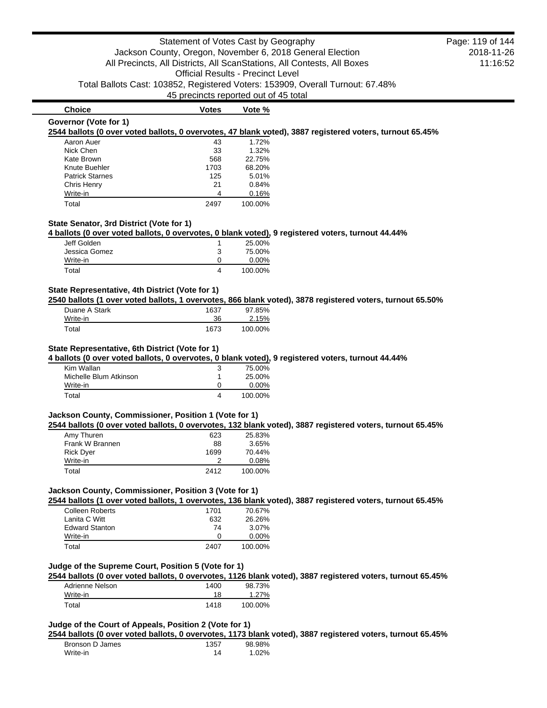**Choice Votes Votes Vote % Governor (Vote for 1) 2544 ballots (0 over voted ballots, 0 overvotes, 47 blank voted), 3887 registered voters, turnout 65.45%** Aaron Auer 1.72%

| Nick Chen              | 33   | 1.32%   |
|------------------------|------|---------|
| Kate Brown             | 568  | 22.75%  |
| Knute Buehler          | 1703 | 68.20%  |
| <b>Patrick Starnes</b> | 125  | 5.01%   |
| Chris Henry            | 21   | 0.84%   |
| Write-in               | Δ    | 0.16%   |
| Total                  | 2497 | 100.00% |

# **State Senator, 3rd District (Vote for 1)**

**4 ballots (0 over voted ballots, 0 overvotes, 0 blank voted), 9 registered voters, turnout 44.44%**

| Jeff Golden   |   | 25.00%   |
|---------------|---|----------|
| Jessica Gomez | 3 | 75.00%   |
| Write-in      |   | $0.00\%$ |
| Total         |   | 100.00%  |

#### **State Representative, 4th District (Vote for 1)**

**2540 ballots (1 over voted ballots, 1 overvotes, 866 blank voted), 3878 registered voters, turnout 65.50%**

| Duane A Stark | 1637 | 97.85%  |
|---------------|------|---------|
| Write-in      | 36   | 2.15%   |
| Total         | 1673 | 100.00% |

#### **State Representative, 6th District (Vote for 1)**

**4 ballots (0 over voted ballots, 0 overvotes, 0 blank voted), 9 registered voters, turnout 44.44%**

| Kim Wallan             |              | 75.00%   |
|------------------------|--------------|----------|
| Michelle Blum Atkinson |              | 25.00%   |
| Write-in               | $\mathbf{I}$ | $0.00\%$ |
| Total                  |              | 100.00%  |

# **Jackson County, Commissioner, Position 1 (Vote for 1)**

**2544 ballots (0 over voted ballots, 0 overvotes, 132 blank voted), 3887 registered voters, turnout 65.45%**

| Amy Thuren       | 623  | 25.83%  |
|------------------|------|---------|
| Frank W Brannen  | 88   | 3.65%   |
| <b>Rick Dyer</b> | 1699 | 70.44%  |
| Write-in         |      | 0.08%   |
| Total            | 2412 | 100.00% |

### **Jackson County, Commissioner, Position 3 (Vote for 1)**

**2544 ballots (1 over voted ballots, 1 overvotes, 136 blank voted), 3887 registered voters, turnout 65.45%**

| <b>Colleen Roberts</b> | 1701 | 70.67%   |
|------------------------|------|----------|
| Lanita C Witt          | 632  | 26.26%   |
| <b>Edward Stanton</b>  | 74   | $3.07\%$ |
| Write-in               | n    | $0.00\%$ |
| Total                  | 2407 | 100.00%  |

# **Judge of the Supreme Court, Position 5 (Vote for 1)**

**2544 ballots (0 over voted ballots, 0 overvotes, 1126 blank voted), 3887 registered voters, turnout 65.45%**

| Adrienne Nelson | 1400 | 98.73%   |
|-----------------|------|----------|
| Write-in        | 18   | $1.27\%$ |
| Total           | 1418 | 100.00%  |

# **Judge of the Court of Appeals, Position 2 (Vote for 1)**

**2544 ballots (0 over voted ballots, 0 overvotes, 1173 blank voted), 3887 registered voters, turnout 65.45%**

| Bronson D James | 1357 | 98.98% |
|-----------------|------|--------|
| Write-in        | 14   | 1.02%  |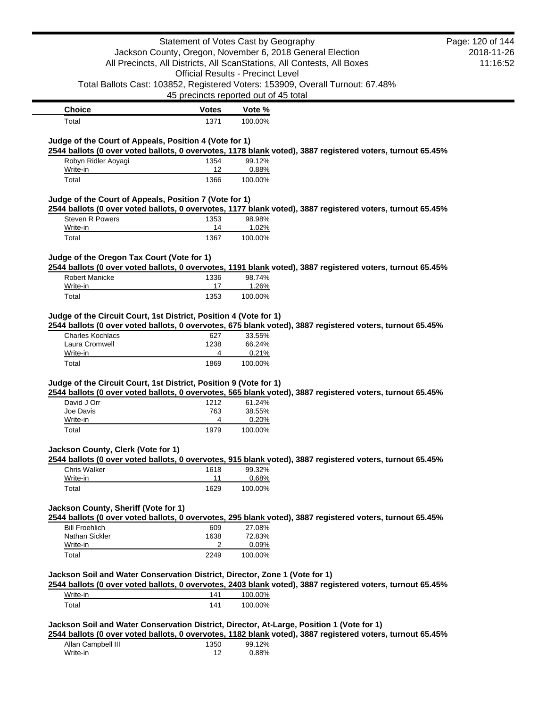|                                                                                                                                                           | Statement of Votes Cast by Geography     |                  |                                                                                                            | Page: 120 of 144 |
|-----------------------------------------------------------------------------------------------------------------------------------------------------------|------------------------------------------|------------------|------------------------------------------------------------------------------------------------------------|------------------|
|                                                                                                                                                           |                                          |                  | Jackson County, Oregon, November 6, 2018 General Election                                                  | 2018-11-26       |
|                                                                                                                                                           |                                          |                  | All Precincts, All Districts, All ScanStations, All Contests, All Boxes                                    | 11:16:52         |
|                                                                                                                                                           | <b>Official Results - Precinct Level</b> |                  |                                                                                                            |                  |
|                                                                                                                                                           |                                          |                  | Total Ballots Cast: 103852, Registered Voters: 153909, Overall Turnout: 67.48%                             |                  |
|                                                                                                                                                           | 45 precincts reported out of 45 total    |                  |                                                                                                            |                  |
| <b>Choice</b>                                                                                                                                             | <b>Votes</b>                             | Vote %           |                                                                                                            |                  |
| Total                                                                                                                                                     | 1371                                     | 100.00%          |                                                                                                            |                  |
| Judge of the Court of Appeals, Position 4 (Vote for 1)                                                                                                    |                                          |                  | 2544 ballots (0 over voted ballots, 0 overvotes, 1178 blank voted), 3887 registered voters, turnout 65.45% |                  |
| Robyn Ridler Aoyagi                                                                                                                                       | 1354                                     | 99.12%           |                                                                                                            |                  |
| Write-in                                                                                                                                                  | 12                                       | 0.88%            |                                                                                                            |                  |
| Total                                                                                                                                                     | 1366                                     | 100.00%          |                                                                                                            |                  |
|                                                                                                                                                           |                                          |                  |                                                                                                            |                  |
| Judge of the Court of Appeals, Position 7 (Vote for 1)                                                                                                    |                                          |                  | 2544 ballots (0 over voted ballots, 0 overvotes, 1177 blank voted), 3887 registered voters, turnout 65.45% |                  |
| Steven R Powers                                                                                                                                           | 1353                                     | 98.98%           |                                                                                                            |                  |
| Write-in                                                                                                                                                  | 14                                       | 1.02%            |                                                                                                            |                  |
| Total                                                                                                                                                     | 1367                                     | 100.00%          |                                                                                                            |                  |
|                                                                                                                                                           |                                          |                  |                                                                                                            |                  |
| Judge of the Oregon Tax Court (Vote for 1)                                                                                                                |                                          |                  |                                                                                                            |                  |
| <b>Robert Manicke</b>                                                                                                                                     | 1336                                     | 98.74%           | 2544 ballots (0 over voted ballots, 0 overvotes, 1191 blank voted), 3887 registered voters, turnout 65.45% |                  |
| Write-in                                                                                                                                                  | 17                                       | 1.26%            |                                                                                                            |                  |
| Total                                                                                                                                                     | 1353                                     | 100.00%          |                                                                                                            |                  |
|                                                                                                                                                           |                                          |                  |                                                                                                            |                  |
| Judge of the Circuit Court, 1st District, Position 4 (Vote for 1)<br><b>Charles Kochlacs</b>                                                              | 627                                      | 33.55%           | 2544 ballots (0 over voted ballots, 0 overvotes, 675 blank voted), 3887 registered voters, turnout 65.45%  |                  |
| Laura Cromwell                                                                                                                                            | 1238                                     | 66.24%           |                                                                                                            |                  |
| Write-in<br>Total                                                                                                                                         | 4<br>1869                                | 0.21%<br>100.00% |                                                                                                            |                  |
|                                                                                                                                                           |                                          |                  |                                                                                                            |                  |
|                                                                                                                                                           |                                          |                  |                                                                                                            |                  |
| David J Orr                                                                                                                                               | 1212                                     | 61.24%           | 2544 ballots (0 over voted ballots, 0 overvotes, 565 blank voted), 3887 registered voters, turnout 65.45%  |                  |
| Joe Davis                                                                                                                                                 | 763                                      | 38.55%           |                                                                                                            |                  |
| Write-in                                                                                                                                                  | 4                                        | 0.20%            |                                                                                                            |                  |
| Total                                                                                                                                                     | 1979                                     | 100.00%          |                                                                                                            |                  |
| Judge of the Circuit Court, 1st District, Position 9 (Vote for 1)                                                                                         |                                          |                  |                                                                                                            |                  |
|                                                                                                                                                           |                                          |                  | 2544 ballots (0 over voted ballots, 0 overvotes, 915 blank voted), 3887 registered voters, turnout 65.45%  |                  |
| Chris Walker                                                                                                                                              | 1618                                     | 99.32%           |                                                                                                            |                  |
| Write-in                                                                                                                                                  | 11                                       | 0.68%            |                                                                                                            |                  |
| Total                                                                                                                                                     | 1629                                     | 100.00%          |                                                                                                            |                  |
|                                                                                                                                                           |                                          |                  |                                                                                                            |                  |
|                                                                                                                                                           |                                          |                  | 2544 ballots (0 over voted ballots, 0 overvotes, 295 blank voted), 3887 registered voters, turnout 65.45%  |                  |
| <b>Bill Froehlich</b>                                                                                                                                     | 609                                      | 27.08%           |                                                                                                            |                  |
| Nathan Sickler<br>Write-in                                                                                                                                | 1638<br>2                                | 72.83%<br>0.09%  |                                                                                                            |                  |
| Total                                                                                                                                                     | 2249                                     | 100.00%          |                                                                                                            |                  |
|                                                                                                                                                           |                                          |                  |                                                                                                            |                  |
| Jackson County, Clerk (Vote for 1)<br>Jackson County, Sheriff (Vote for 1)<br>Jackson Soil and Water Conservation District, Director, Zone 1 (Vote for 1) |                                          |                  | 2544 ballots (0 over voted ballots, 0 overvotes, 2403 blank voted), 3887 registered voters, turnout 65.45% |                  |
| Write-in                                                                                                                                                  | 141                                      | 100.00%          |                                                                                                            |                  |

| Allan Campbell III | 1350 | 99.12% |
|--------------------|------|--------|
| Write-in           |      | 0.88%  |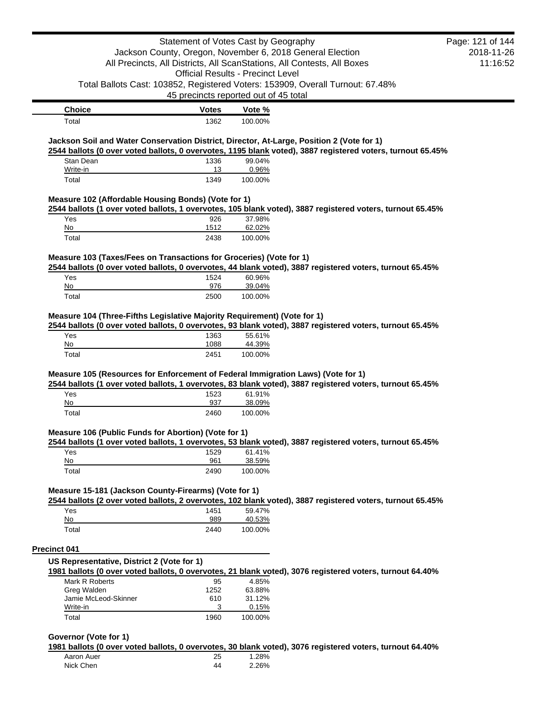|                                                                                                                                                        |              | Statement of Votes Cast by Geography                                    |                                                                                | Page: 121 of 144 |
|--------------------------------------------------------------------------------------------------------------------------------------------------------|--------------|-------------------------------------------------------------------------|--------------------------------------------------------------------------------|------------------|
|                                                                                                                                                        |              | Jackson County, Oregon, November 6, 2018 General Election               |                                                                                | 2018-11-26       |
|                                                                                                                                                        |              | All Precincts, All Districts, All ScanStations, All Contests, All Boxes |                                                                                | 11:16:52         |
|                                                                                                                                                        |              | <b>Official Results - Precinct Level</b>                                |                                                                                |                  |
|                                                                                                                                                        |              |                                                                         | Total Ballots Cast: 103852, Registered Voters: 153909, Overall Turnout: 67.48% |                  |
|                                                                                                                                                        |              | 45 precincts reported out of 45 total                                   |                                                                                |                  |
| <b>Choice</b>                                                                                                                                          | Votes        | Vote %                                                                  |                                                                                |                  |
| Total                                                                                                                                                  | 1362         | 100.00%                                                                 |                                                                                |                  |
| Jackson Soil and Water Conservation District, Director, At-Large, Position 2 (Vote for 1)                                                              |              |                                                                         |                                                                                |                  |
| 2544 ballots (0 over voted ballots, 0 overvotes, 1195 blank voted), 3887 registered voters, turnout 65.45%                                             |              |                                                                         |                                                                                |                  |
| Stan Dean                                                                                                                                              | 1336         | 99.04%                                                                  |                                                                                |                  |
| Write-in                                                                                                                                               | 13           | 0.96%                                                                   |                                                                                |                  |
| Total                                                                                                                                                  | 1349         | 100.00%                                                                 |                                                                                |                  |
| Measure 102 (Affordable Housing Bonds) (Vote for 1)                                                                                                    |              |                                                                         |                                                                                |                  |
| 2544 ballots (1 over voted ballots, 1 overvotes, 105 blank voted), 3887 registered voters, turnout 65.45%                                              |              |                                                                         |                                                                                |                  |
| Yes                                                                                                                                                    | 926          | 37.98%                                                                  |                                                                                |                  |
| No                                                                                                                                                     | 1512         | 62.02%                                                                  |                                                                                |                  |
| Total                                                                                                                                                  | 2438         | 100.00%                                                                 |                                                                                |                  |
| Measure 103 (Taxes/Fees on Transactions for Groceries) (Vote for 1)                                                                                    |              |                                                                         |                                                                                |                  |
| 2544 ballots (0 over voted ballots, 0 overvotes, 44 blank voted), 3887 registered voters, turnout 65.45%                                               |              |                                                                         |                                                                                |                  |
| Yes                                                                                                                                                    | 1524         | 60.96%                                                                  |                                                                                |                  |
| No                                                                                                                                                     | 976          | 39.04%                                                                  |                                                                                |                  |
| Total                                                                                                                                                  | 2500         | 100.00%                                                                 |                                                                                |                  |
| Yes<br>No                                                                                                                                              | 1363<br>1088 | 55.61%<br>44.39%                                                        |                                                                                |                  |
| Total                                                                                                                                                  | 2451         | 100.00%                                                                 |                                                                                |                  |
| Measure 105 (Resources for Enforcement of Federal Immigration Laws) (Vote for 1)                                                                       |              |                                                                         |                                                                                |                  |
| 2544 ballots (1 over voted ballots, 1 overvotes, 83 blank voted), 3887 registered voters, turnout 65.45%                                               |              |                                                                         |                                                                                |                  |
| Yes                                                                                                                                                    | 1523         | 61.91%                                                                  |                                                                                |                  |
| No                                                                                                                                                     | 937          | 38.09%                                                                  |                                                                                |                  |
| Total                                                                                                                                                  | 2460         | 100.00%                                                                 |                                                                                |                  |
| Measure 106 (Public Funds for Abortion) (Vote for 1)                                                                                                   |              |                                                                         |                                                                                |                  |
| 2544 ballots (1 over voted ballots, 1 overvotes, 53 blank voted), 3887 registered voters, turnout 65.45%                                               |              |                                                                         |                                                                                |                  |
| Yes                                                                                                                                                    | 1529         | 61.41%                                                                  |                                                                                |                  |
| No                                                                                                                                                     | 961          | 38.59%                                                                  |                                                                                |                  |
| Total                                                                                                                                                  | 2490         | 100.00%                                                                 |                                                                                |                  |
| Measure 15-181 (Jackson County-Firearms) (Vote for 1)                                                                                                  |              |                                                                         |                                                                                |                  |
| 2544 ballots (2 over voted ballots, 2 overvotes, 102 blank voted), 3887 registered voters, turnout 65.45%                                              |              |                                                                         |                                                                                |                  |
| Yes                                                                                                                                                    | 1451         | 59.47%                                                                  |                                                                                |                  |
| No                                                                                                                                                     | 989          | 40.53%                                                                  |                                                                                |                  |
| Total                                                                                                                                                  | 2440         | 100.00%                                                                 |                                                                                |                  |
|                                                                                                                                                        |              |                                                                         |                                                                                |                  |
| <b>Precinct 041</b>                                                                                                                                    |              |                                                                         |                                                                                |                  |
| US Representative, District 2 (Vote for 1)<br>1981 ballots (0 over voted ballots, 0 overvotes, 21 blank voted), 3076 registered voters, turnout 64.40% |              |                                                                         |                                                                                |                  |
|                                                                                                                                                        |              |                                                                         |                                                                                |                  |
| Mark R Roberts                                                                                                                                         | 95           | 4.85%                                                                   |                                                                                |                  |
| Greg Walden                                                                                                                                            | 1252         | 63.88%                                                                  |                                                                                |                  |
| Jamie McLeod-Skinner                                                                                                                                   | 610          | 31.12%                                                                  |                                                                                |                  |
| Write-in<br>Total                                                                                                                                      | 3<br>1960    | 0.15%<br>100.00%                                                        |                                                                                |                  |

#### **Governor (Vote for 1)**

**1981 ballots (0 over voted ballots, 0 overvotes, 30 blank voted), 3076 registered voters, turnout 64.40%**

| Aaron Auer | 25 | 1.28% |
|------------|----|-------|
| Nick Chen  | 44 | 2.26% |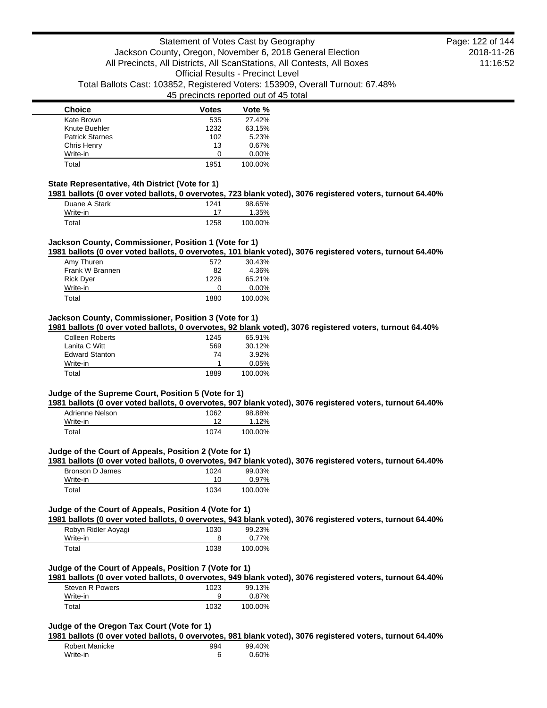| <b>Choice</b>          | <b>Votes</b> | Vote %   |
|------------------------|--------------|----------|
| Kate Brown             | 535          | 27.42%   |
| Knute Buehler          | 1232         | 63.15%   |
| <b>Patrick Starnes</b> | 102          | 5.23%    |
| Chris Henry            | 13           | 0.67%    |
| Write-in               | O            | $0.00\%$ |
| Total                  | 1951         | 100.00%  |

### **State Representative, 4th District (Vote for 1)**

**1981 ballots (0 over voted ballots, 0 overvotes, 723 blank voted), 3076 registered voters, turnout 64.40%**

| Duane A Stark | 1241 | 98.65%  |
|---------------|------|---------|
| Write-in      |      | 1.35%   |
| Total         | 1258 | 100.00% |

## **Jackson County, Commissioner, Position 1 (Vote for 1)**

**1981 ballots (0 over voted ballots, 0 overvotes, 101 blank voted), 3076 registered voters, turnout 64.40%**

| Amy Thuren       | 572          | 30.43%   |
|------------------|--------------|----------|
| Frank W Brannen  | 82           | 4.36%    |
| <b>Rick Dyer</b> | 1226         | 65.21%   |
| Write-in         | $\mathbf{I}$ | $0.00\%$ |
| Total            | 1880         | 100.00%  |

#### **Jackson County, Commissioner, Position 3 (Vote for 1)**

**1981 ballots (0 over voted ballots, 0 overvotes, 92 blank voted), 3076 registered voters, turnout 64.40%**

| <b>Colleen Roberts</b> | 1245 | 65.91%   |
|------------------------|------|----------|
| Lanita C Witt          | 569  | 30.12%   |
| <b>Edward Stanton</b>  | 74   | $3.92\%$ |
| Write-in               |      | 0.05%    |
| Total                  | 1889 | 100.00%  |

# **Judge of the Supreme Court, Position 5 (Vote for 1)**

**1981 ballots (0 over voted ballots, 0 overvotes, 907 blank voted), 3076 registered voters, turnout 64.40%**

| Adrienne Nelson | 1062 | 98.88%  |
|-----------------|------|---------|
| Write-in        | 12   | 1.12%   |
| Total           | 1074 | 100.00% |

### **Judge of the Court of Appeals, Position 2 (Vote for 1)**

**1981 ballots (0 over voted ballots, 0 overvotes, 947 blank voted), 3076 registered voters, turnout 64.40%**

| Bronson D James | 1024 | 99.03%  |
|-----------------|------|---------|
| Write-in        | 10   | 0.97%   |
| Total           | 1034 | 100.00% |

### **Judge of the Court of Appeals, Position 4 (Vote for 1)**

**1981 ballots (0 over voted ballots, 0 overvotes, 943 blank voted), 3076 registered voters, turnout 64.40%**

| Robyn Ridler Aoyagi | 1030 | 99.23%  |
|---------------------|------|---------|
| Write-in            |      | 0.77%   |
| Total               | 1038 | 100.00% |

#### **Judge of the Court of Appeals, Position 7 (Vote for 1)**

**1981 ballots (0 over voted ballots, 0 overvotes, 949 blank voted), 3076 registered voters, turnout 64.40%**

| Steven R Powers | 1023 | 99.13%  |
|-----------------|------|---------|
| Write-in        |      | 0.87%   |
| Total           | 1032 | 100.00% |

### **Judge of the Oregon Tax Court (Vote for 1)**

**1981 ballots (0 over voted ballots, 0 overvotes, 981 blank voted), 3076 registered voters, turnout 64.40%**

| Robert Manicke | 994 | 99.40% |
|----------------|-----|--------|
| Write-in       |     | 0.60%  |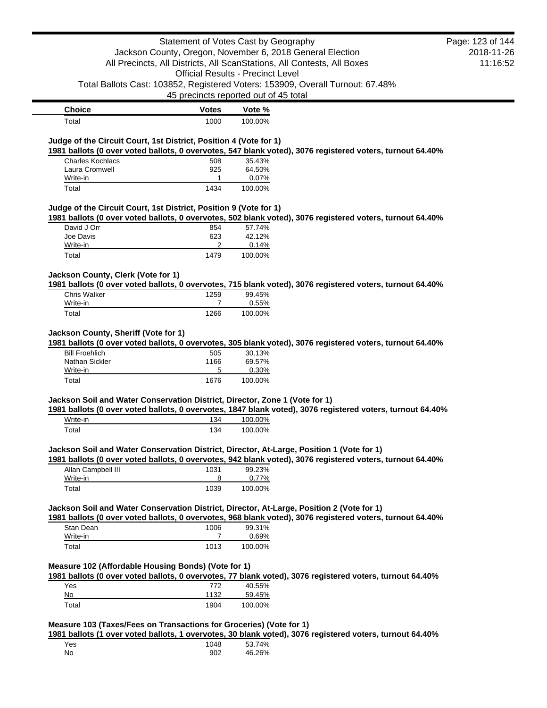|                                                                                                                                                                                        |                                          | Statement of Votes Cast by Geography |                                                                                                            | Page: 123 of 144 |
|----------------------------------------------------------------------------------------------------------------------------------------------------------------------------------------|------------------------------------------|--------------------------------------|------------------------------------------------------------------------------------------------------------|------------------|
|                                                                                                                                                                                        |                                          |                                      | Jackson County, Oregon, November 6, 2018 General Election                                                  | 2018-11-26       |
|                                                                                                                                                                                        |                                          |                                      | All Precincts, All Districts, All ScanStations, All Contests, All Boxes                                    | 11:16:52         |
|                                                                                                                                                                                        | <b>Official Results - Precinct Level</b> |                                      |                                                                                                            |                  |
|                                                                                                                                                                                        |                                          |                                      |                                                                                                            |                  |
|                                                                                                                                                                                        |                                          |                                      | Total Ballots Cast: 103852, Registered Voters: 153909, Overall Turnout: 67.48%                             |                  |
|                                                                                                                                                                                        | 45 precincts reported out of 45 total    |                                      |                                                                                                            |                  |
| <b>Choice</b>                                                                                                                                                                          | <b>Votes</b>                             | Vote %                               |                                                                                                            |                  |
| Total                                                                                                                                                                                  | 1000                                     | 100.00%                              |                                                                                                            |                  |
|                                                                                                                                                                                        |                                          |                                      |                                                                                                            |                  |
| Judge of the Circuit Court, 1st District, Position 4 (Vote for 1)                                                                                                                      |                                          |                                      |                                                                                                            |                  |
|                                                                                                                                                                                        |                                          |                                      | 1981 ballots (0 over voted ballots, 0 overvotes, 547 blank voted), 3076 registered voters, turnout 64.40%  |                  |
| <b>Charles Kochlacs</b>                                                                                                                                                                | 508                                      | 35.43%                               |                                                                                                            |                  |
| Laura Cromwell                                                                                                                                                                         | 925                                      | 64.50%                               |                                                                                                            |                  |
| Write-in                                                                                                                                                                               | 1                                        | 0.07%                                |                                                                                                            |                  |
| Total                                                                                                                                                                                  | 1434                                     | 100.00%                              |                                                                                                            |                  |
|                                                                                                                                                                                        |                                          |                                      |                                                                                                            |                  |
| Judge of the Circuit Court, 1st District, Position 9 (Vote for 1)                                                                                                                      |                                          |                                      |                                                                                                            |                  |
|                                                                                                                                                                                        |                                          |                                      | 1981 ballots (0 over voted ballots, 0 overvotes, 502 blank voted), 3076 registered voters, turnout 64.40%  |                  |
| David J Orr                                                                                                                                                                            | 854                                      | 57.74%                               |                                                                                                            |                  |
| Joe Davis<br>Write-in                                                                                                                                                                  | 623<br>2                                 | 42.12%<br>0.14%                      |                                                                                                            |                  |
| Total                                                                                                                                                                                  | 1479                                     | 100.00%                              |                                                                                                            |                  |
|                                                                                                                                                                                        |                                          |                                      |                                                                                                            |                  |
| Jackson County, Clerk (Vote for 1)                                                                                                                                                     |                                          |                                      |                                                                                                            |                  |
|                                                                                                                                                                                        |                                          |                                      | 1981 ballots (0 over voted ballots, 0 overvotes, 715 blank voted), 3076 registered voters, turnout 64.40%  |                  |
| <b>Chris Walker</b>                                                                                                                                                                    | 1259                                     | 99.45%                               |                                                                                                            |                  |
| Write-in                                                                                                                                                                               | $\overline{7}$                           | 0.55%                                |                                                                                                            |                  |
|                                                                                                                                                                                        |                                          |                                      |                                                                                                            |                  |
| Total                                                                                                                                                                                  | 1266                                     | 100.00%                              |                                                                                                            |                  |
|                                                                                                                                                                                        |                                          |                                      |                                                                                                            |                  |
| Jackson County, Sheriff (Vote for 1)                                                                                                                                                   |                                          |                                      | 1981 ballots (0 over voted ballots, 0 overvotes, 305 blank voted), 3076 registered voters, turnout 64.40%  |                  |
| <b>Bill Froehlich</b>                                                                                                                                                                  | 505                                      | 30.13%                               |                                                                                                            |                  |
| Nathan Sickler                                                                                                                                                                         | 1166                                     | 69.57%                               |                                                                                                            |                  |
| Write-in                                                                                                                                                                               | 5                                        | 0.30%                                |                                                                                                            |                  |
|                                                                                                                                                                                        |                                          |                                      |                                                                                                            |                  |
|                                                                                                                                                                                        |                                          |                                      |                                                                                                            |                  |
| Total                                                                                                                                                                                  | 1676                                     | 100.00%                              |                                                                                                            |                  |
|                                                                                                                                                                                        |                                          |                                      |                                                                                                            |                  |
| Jackson Soil and Water Conservation District, Director, Zone 1 (Vote for 1)                                                                                                            |                                          |                                      |                                                                                                            |                  |
| Write-in                                                                                                                                                                               | 134                                      |                                      | 1981 ballots (0 over voted ballots, 0 overvotes, 1847 blank voted), 3076 registered voters, turnout 64.40% |                  |
|                                                                                                                                                                                        |                                          | 100.00%                              |                                                                                                            |                  |
| Total                                                                                                                                                                                  | 134                                      | 100.00%                              |                                                                                                            |                  |
|                                                                                                                                                                                        |                                          |                                      |                                                                                                            |                  |
|                                                                                                                                                                                        |                                          |                                      |                                                                                                            |                  |
|                                                                                                                                                                                        |                                          |                                      | 1981 ballots (0 over voted ballots, 0 overvotes, 942 blank voted), 3076 registered voters, turnout 64.40%  |                  |
| Allan Campbell III                                                                                                                                                                     | 1031                                     | 99.23%                               |                                                                                                            |                  |
| Write-in                                                                                                                                                                               | 8                                        | 0.77%                                |                                                                                                            |                  |
| Total                                                                                                                                                                                  | 1039                                     | 100.00%                              |                                                                                                            |                  |
|                                                                                                                                                                                        |                                          |                                      |                                                                                                            |                  |
| Jackson Soil and Water Conservation District, Director, At-Large, Position 1 (Vote for 1)<br>Jackson Soil and Water Conservation District, Director, At-Large, Position 2 (Vote for 1) |                                          |                                      |                                                                                                            |                  |
|                                                                                                                                                                                        |                                          |                                      | 1981 ballots (0 over voted ballots, 0 overvotes, 968 blank voted), 3076 registered voters, turnout 64.40%  |                  |
| Stan Dean                                                                                                                                                                              | 1006                                     | 99.31%                               |                                                                                                            |                  |
| Write-in                                                                                                                                                                               | 7                                        | 0.69%                                |                                                                                                            |                  |
| Total                                                                                                                                                                                  | 1013                                     | 100.00%                              |                                                                                                            |                  |
|                                                                                                                                                                                        |                                          |                                      |                                                                                                            |                  |
|                                                                                                                                                                                        |                                          |                                      |                                                                                                            |                  |
|                                                                                                                                                                                        |                                          |                                      | 1981 ballots (0 over voted ballots, 0 overvotes, 77 blank voted), 3076 registered voters, turnout 64.40%   |                  |
| Measure 102 (Affordable Housing Bonds) (Vote for 1)<br>Yes                                                                                                                             | 772                                      | 40.55%                               |                                                                                                            |                  |
| No                                                                                                                                                                                     | 1132                                     | 59.45%                               |                                                                                                            |                  |

**Measure 103 (Taxes/Fees on Transactions for Groceries) (Vote for 1)**

**1981 ballots (1 over voted ballots, 1 overvotes, 30 blank voted), 3076 registered voters, turnout 64.40%**

| Yes | 1048 | 53.74% |
|-----|------|--------|
| No  | 902  | 46.26% |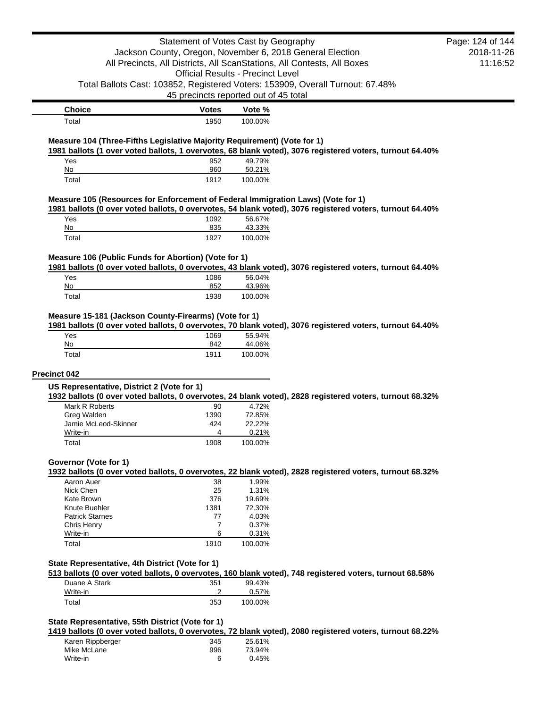|                                                                                  | Statement of Votes Cast by Geography     |                |                                                                                                          | Page: 124 of 144 |
|----------------------------------------------------------------------------------|------------------------------------------|----------------|----------------------------------------------------------------------------------------------------------|------------------|
|                                                                                  |                                          |                | Jackson County, Oregon, November 6, 2018 General Election                                                | 2018-11-26       |
| All Precincts, All Districts, All ScanStations, All Contests, All Boxes          |                                          | 11:16:52       |                                                                                                          |                  |
|                                                                                  | <b>Official Results - Precinct Level</b> |                |                                                                                                          |                  |
|                                                                                  |                                          |                | Total Ballots Cast: 103852, Registered Voters: 153909, Overall Turnout: 67.48%                           |                  |
|                                                                                  | 45 precincts reported out of 45 total    |                |                                                                                                          |                  |
| <b>Choice</b>                                                                    | <b>Votes</b>                             | Vote %         |                                                                                                          |                  |
| Total                                                                            | 1950                                     | 100.00%        |                                                                                                          |                  |
|                                                                                  |                                          |                |                                                                                                          |                  |
| Measure 104 (Three-Fifths Legislative Majority Requirement) (Vote for 1)         |                                          |                | 1981 ballots (1 over voted ballots, 1 overvotes, 68 blank voted), 3076 registered voters, turnout 64.40% |                  |
| Yes                                                                              | 952                                      | 49.79%         |                                                                                                          |                  |
| No                                                                               | 960                                      | 50.21%         |                                                                                                          |                  |
| Total                                                                            | 1912                                     | 100.00%        |                                                                                                          |                  |
| Measure 105 (Resources for Enforcement of Federal Immigration Laws) (Vote for 1) |                                          |                |                                                                                                          |                  |
|                                                                                  |                                          |                | 1981 ballots (0 over voted ballots, 0 overvotes, 54 blank voted), 3076 registered voters, turnout 64.40% |                  |
| Yes                                                                              | 1092                                     | 56.67%         |                                                                                                          |                  |
| No                                                                               | 835                                      | 43.33%         |                                                                                                          |                  |
| Total                                                                            | 1927                                     | 100.00%        |                                                                                                          |                  |
| Measure 106 (Public Funds for Abortion) (Vote for 1)                             |                                          |                |                                                                                                          |                  |
|                                                                                  |                                          |                | 1981 ballots (0 over voted ballots, 0 overvotes, 43 blank voted), 3076 registered voters, turnout 64.40% |                  |
| Yes                                                                              | 1086                                     | 56.04%         |                                                                                                          |                  |
| No                                                                               | 852                                      | 43.96%         |                                                                                                          |                  |
| Total                                                                            | 1938                                     | 100.00%        |                                                                                                          |                  |
|                                                                                  |                                          |                |                                                                                                          |                  |
| Measure 15-181 (Jackson County-Firearms) (Vote for 1)                            |                                          |                |                                                                                                          |                  |
| Yes                                                                              | 1069                                     | 55.94%         | 1981 ballots (0 over voted ballots, 0 overvotes, 70 blank voted), 3076 registered voters, turnout 64.40% |                  |
| No                                                                               | 842                                      | 44.06%         |                                                                                                          |                  |
| Total                                                                            | 1911                                     | 100.00%        |                                                                                                          |                  |
|                                                                                  |                                          |                |                                                                                                          |                  |
| <b>Precinct 042</b>                                                              |                                          |                |                                                                                                          |                  |
| US Representative, District 2 (Vote for 1)                                       |                                          |                |                                                                                                          |                  |
|                                                                                  |                                          |                | 1932 ballots (0 over voted ballots, 0 overvotes, 24 blank voted), 2828 registered voters, turnout 68.32% |                  |
| Mark R Roberts                                                                   | 90                                       | 4.72%          |                                                                                                          |                  |
| Greg Walden                                                                      | 1390                                     | 72.85%         |                                                                                                          |                  |
| Jamie McLeod-Skinner                                                             | 424                                      | 22.22%         |                                                                                                          |                  |
| Write-in                                                                         | 4                                        | 0.21%          |                                                                                                          |                  |
| Total                                                                            | 1908                                     | 100.00%        |                                                                                                          |                  |
| Governor (Vote for 1)                                                            |                                          |                |                                                                                                          |                  |
|                                                                                  |                                          |                | 1932 ballots (0 over voted ballots, 0 overvotes, 22 blank voted), 2828 registered voters, turnout 68.32% |                  |
| Aaron Auer                                                                       | 38                                       | 1.99%          |                                                                                                          |                  |
| Nick Chen                                                                        | 25                                       | 1.31%          |                                                                                                          |                  |
| Kate Brown                                                                       | 376                                      | 19.69%         |                                                                                                          |                  |
| Knute Buehler                                                                    | 1381                                     | 72.30%         |                                                                                                          |                  |
| <b>Patrick Starnes</b>                                                           | 77                                       | 4.03%          |                                                                                                          |                  |
| Chris Henry<br>Write-in                                                          | 7<br>6                                   | 0.37%<br>0.31% |                                                                                                          |                  |
| Total                                                                            | 1910                                     | 100.00%        |                                                                                                          |                  |
|                                                                                  |                                          |                |                                                                                                          |                  |
| State Representative, 4th District (Vote for 1)                                  |                                          |                |                                                                                                          |                  |
|                                                                                  |                                          |                | 513 ballots (0 over voted ballots, 0 overvotes, 160 blank voted), 748 registered voters, turnout 68.58%  |                  |
| Duane A Stark                                                                    | 351                                      | 99.43%         |                                                                                                          |                  |
| Write-in                                                                         | 2                                        | 0.57%          |                                                                                                          |                  |
| Total                                                                            | 353                                      | 100.00%        |                                                                                                          |                  |
|                                                                                  |                                          |                |                                                                                                          |                  |
| State Representative, 55th District (Vote for 1)                                 |                                          |                | 1419 ballots (0 over voted ballots, 0 overvotes, 72 blank voted), 2080 registered voters, turnout 68.22% |                  |
| Karen Rippberger                                                                 | 345                                      | 25.61%         |                                                                                                          |                  |
| Mike McLane                                                                      | 996                                      | 73.94%         |                                                                                                          |                  |
| Write-in                                                                         | 6                                        | 0.45%          |                                                                                                          |                  |
|                                                                                  |                                          |                |                                                                                                          |                  |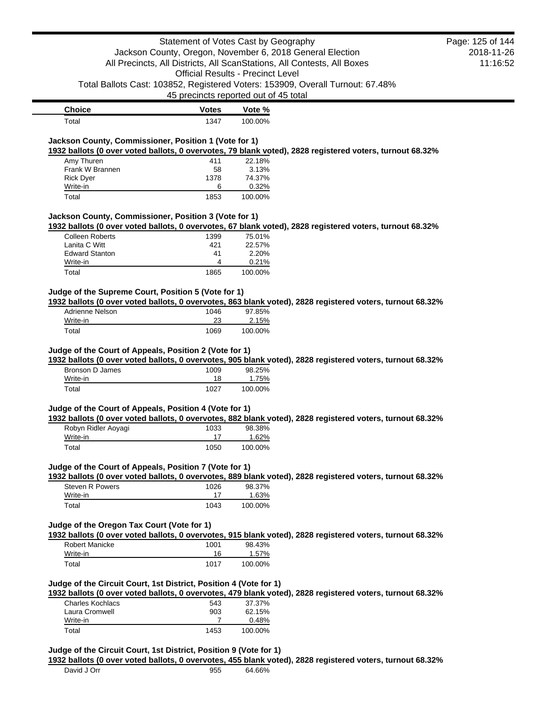|                                                                   | Statement of Votes Cast by Geography     |                         |                                                                                                           | Page: 125 of 144 |
|-------------------------------------------------------------------|------------------------------------------|-------------------------|-----------------------------------------------------------------------------------------------------------|------------------|
|                                                                   |                                          |                         | Jackson County, Oregon, November 6, 2018 General Election                                                 | 2018-11-26       |
|                                                                   |                                          |                         | All Precincts, All Districts, All ScanStations, All Contests, All Boxes                                   | 11:16:52         |
|                                                                   | <b>Official Results - Precinct Level</b> |                         |                                                                                                           |                  |
|                                                                   |                                          |                         | Total Ballots Cast: 103852, Registered Voters: 153909, Overall Turnout: 67.48%                            |                  |
|                                                                   | 45 precincts reported out of 45 total    |                         |                                                                                                           |                  |
| <b>Choice</b>                                                     | <b>Votes</b>                             | Vote %                  |                                                                                                           |                  |
| Total                                                             | 1347                                     | 100.00%                 |                                                                                                           |                  |
|                                                                   |                                          |                         |                                                                                                           |                  |
| Jackson County, Commissioner, Position 1 (Vote for 1)             |                                          |                         | 1932 ballots (0 over voted ballots, 0 overvotes, 79 blank voted), 2828 registered voters, turnout 68.32%  |                  |
| Amy Thuren                                                        | 411                                      | 22.18%                  |                                                                                                           |                  |
| Frank W Brannen                                                   | 58                                       | 3.13%                   |                                                                                                           |                  |
| <b>Rick Dyer</b>                                                  | 1378                                     | 74.37%                  |                                                                                                           |                  |
| Write-in                                                          | 6                                        | 0.32%                   |                                                                                                           |                  |
| Total                                                             | 1853                                     | 100.00%                 |                                                                                                           |                  |
| Jackson County, Commissioner, Position 3 (Vote for 1)             |                                          |                         |                                                                                                           |                  |
|                                                                   |                                          |                         | 1932 ballots (0 over voted ballots, 0 overvotes, 67 blank voted), 2828 registered voters, turnout 68.32%  |                  |
| <b>Colleen Roberts</b>                                            | 1399                                     | 75.01%                  |                                                                                                           |                  |
| Lanita C Witt                                                     | 421                                      | 22.57%                  |                                                                                                           |                  |
| <b>Edward Stanton</b>                                             | 41                                       | 2.20%                   |                                                                                                           |                  |
| Write-in<br>Total                                                 | 4<br>1865                                | 0.21%<br>100.00%        |                                                                                                           |                  |
|                                                                   |                                          |                         |                                                                                                           |                  |
| Judge of the Supreme Court, Position 5 (Vote for 1)               |                                          |                         |                                                                                                           |                  |
|                                                                   |                                          |                         | 1932 ballots (0 over voted ballots, 0 overvotes, 863 blank voted), 2828 registered voters, turnout 68.32% |                  |
| Adrienne Nelson                                                   | 1046                                     | 97.85%                  |                                                                                                           |                  |
| Write-in                                                          | 23                                       | 2.15%                   |                                                                                                           |                  |
| Total                                                             | 1069                                     | 100.00%                 |                                                                                                           |                  |
|                                                                   |                                          |                         |                                                                                                           |                  |
| Judge of the Court of Appeals, Position 2 (Vote for 1)            |                                          |                         | 1932 ballots (0 over voted ballots, 0 overvotes, 905 blank voted), 2828 registered voters, turnout 68.32% |                  |
| <b>Bronson D James</b>                                            | 1009                                     | 98.25%                  |                                                                                                           |                  |
| Write-in                                                          | 18                                       | 1.75%                   |                                                                                                           |                  |
| Total                                                             | 1027                                     | 100.00%                 |                                                                                                           |                  |
|                                                                   |                                          |                         |                                                                                                           |                  |
| Judge of the Court of Appeals, Position 4 (Vote for 1)            |                                          |                         |                                                                                                           |                  |
|                                                                   |                                          |                         | 1932 ballots (0 over voted ballots, 0 overvotes, 882 blank voted), 2828 registered voters, turnout 68.32% |                  |
| Robyn Ridler Aoyagi                                               | 1033                                     | 98.38%                  |                                                                                                           |                  |
| Write-in                                                          | 17<br>1050                               | <u>1.62%</u><br>100.00% |                                                                                                           |                  |
| Total                                                             |                                          |                         |                                                                                                           |                  |
| Judge of the Court of Appeals, Position 7 (Vote for 1)            |                                          |                         |                                                                                                           |                  |
|                                                                   |                                          |                         | 1932 ballots (0 over voted ballots, 0 overvotes, 889 blank voted), 2828 registered voters, turnout 68.32% |                  |
| <b>Steven R Powers</b>                                            | 1026                                     | 98.37%                  |                                                                                                           |                  |
| Write-in                                                          | 17                                       | 1.63%                   |                                                                                                           |                  |
| Total                                                             | 1043                                     | 100.00%                 |                                                                                                           |                  |
| Judge of the Oregon Tax Court (Vote for 1)                        |                                          |                         |                                                                                                           |                  |
|                                                                   |                                          |                         | 1932 ballots (0 over voted ballots, 0 overvotes, 915 blank voted), 2828 registered voters, turnout 68.32% |                  |
| <b>Robert Manicke</b>                                             | 1001                                     | 98.43%                  |                                                                                                           |                  |
| Write-in                                                          | 16                                       | 1.57%                   |                                                                                                           |                  |
| Total                                                             | 1017                                     | 100.00%                 |                                                                                                           |                  |
|                                                                   |                                          |                         |                                                                                                           |                  |
| Judge of the Circuit Court, 1st District, Position 4 (Vote for 1) |                                          |                         |                                                                                                           |                  |
|                                                                   |                                          |                         | 1932 ballots (0 over voted ballots, 0 overvotes, 479 blank voted), 2828 registered voters, turnout 68.32% |                  |
| <b>Charles Kochlacs</b>                                           | 543                                      | 37.37%                  |                                                                                                           |                  |
| Laura Cromwell                                                    | 903                                      | 62.15%                  |                                                                                                           |                  |
| Write-in                                                          | 7                                        | 0.48%                   |                                                                                                           |                  |
| Total                                                             | 1453                                     | 100.00%                 |                                                                                                           |                  |
|                                                                   |                                          |                         |                                                                                                           |                  |
| Judge of the Circuit Court, 1st District, Position 9 (Vote for 1) |                                          |                         | 1932 ballots (0 over voted ballots, 0 overvotes, 455 blank voted), 2828 registered voters, turnout 68.32% |                  |
| David J Orr                                                       | 955                                      | 64.66%                  |                                                                                                           |                  |
|                                                                   |                                          |                         |                                                                                                           |                  |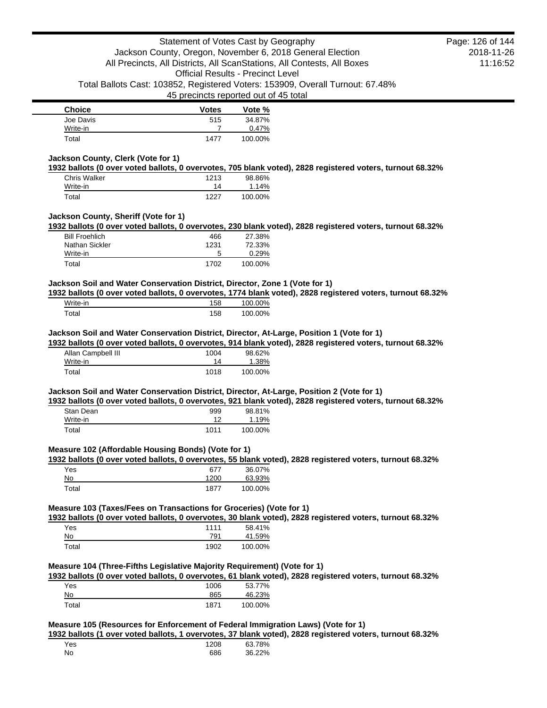| <b>Choice</b> | <b>Votes</b> | Vote %  |
|---------------|--------------|---------|
| Joe Davis     | 515          | 34.87%  |
| Write-in      |              | 0.47%   |
| Total         | 1477         | 100.00% |

## **Jackson County, Clerk (Vote for 1)**

**1932 ballots (0 over voted ballots, 0 overvotes, 705 blank voted), 2828 registered voters, turnout 68.32%**

| <b>Chris Walker</b> | 1213 | 98.86%   |
|---------------------|------|----------|
| Write-in            | 14   | $1.14\%$ |
| Total               | 1227 | 100.00%  |

## **Jackson County, Sheriff (Vote for 1)**

**1932 ballots (0 over voted ballots, 0 overvotes, 230 blank voted), 2828 registered voters, turnout 68.32%**

| Total                 | 1702 | 100.00% |
|-----------------------|------|---------|
| Write-in              | 5    | 0.29%   |
| Nathan Sickler        | 1231 | 72.33%  |
| <b>Bill Froehlich</b> | 466  | 27.38%  |

# **Jackson Soil and Water Conservation District, Director, Zone 1 (Vote for 1)**

**1932 ballots (0 over voted ballots, 0 overvotes, 1774 blank voted), 2828 registered voters, turnout 68.32%**

| Write-in | '58 | 100.00% |
|----------|-----|---------|
| ™otal    | 158 | 100.00% |

### **Jackson Soil and Water Conservation District, Director, At-Large, Position 1 (Vote for 1)**

**1932 ballots (0 over voted ballots, 0 overvotes, 914 blank voted), 2828 registered voters, turnout 68.32%**

| Allan Campbell III | 1004 | 98.62%  |
|--------------------|------|---------|
| Write-in           | 14   | 1.38%   |
| Total              | 1018 | 100.00% |

### **Jackson Soil and Water Conservation District, Director, At-Large, Position 2 (Vote for 1)**

**1932 ballots (0 over voted ballots, 0 overvotes, 921 blank voted), 2828 registered voters, turnout 68.32%**

| Stan Dean | 999  | 98.81%  |
|-----------|------|---------|
| Write-in  |      | 1.19%   |
| Total     | 1011 | 100.00% |

### **Measure 102 (Affordable Housing Bonds) (Vote for 1)**

**1932 ballots (0 over voted ballots, 0 overvotes, 55 blank voted), 2828 registered voters, turnout 68.32%**

| Yes   | 677  | 36.07%  |
|-------|------|---------|
| No    | 1200 | 63.93%  |
| Total | 1877 | 100.00% |

## **Measure 103 (Taxes/Fees on Transactions for Groceries) (Vote for 1)**

**1932 ballots (0 over voted ballots, 0 overvotes, 30 blank voted), 2828 registered voters, turnout 68.32%**

| Yes   | 1111 | 58.41%  |
|-------|------|---------|
| No    | 791  | 41.59%  |
| Total | 1902 | 100.00% |

### **Measure 104 (Three-Fifths Legislative Majority Requirement) (Vote for 1)**

**1932 ballots (0 over voted ballots, 0 overvotes, 61 blank voted), 2828 registered voters, turnout 68.32%**

| Yes   | 1006 | 53.77%  |
|-------|------|---------|
| No    | 865  | 46.23%  |
| Total | 1871 | 100.00% |

## **Measure 105 (Resources for Enforcement of Federal Immigration Laws) (Vote for 1)**

**1932 ballots (1 over voted ballots, 1 overvotes, 37 blank voted), 2828 registered voters, turnout 68.32%**

| Yes | 1208 | 63.78% |
|-----|------|--------|
| No  | 686  | 36.22% |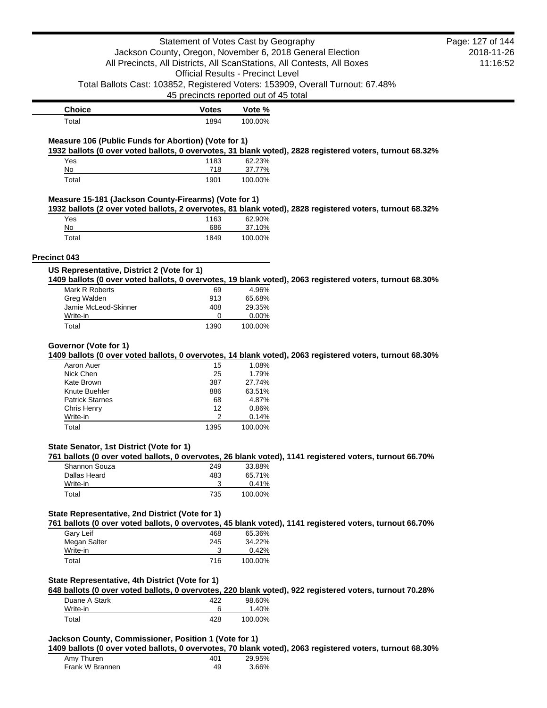| Statement of Votes Cast by Geography                  |                                                                         | Page: 127 of 144  |                                                                                                          |  |
|-------------------------------------------------------|-------------------------------------------------------------------------|-------------------|----------------------------------------------------------------------------------------------------------|--|
|                                                       | Jackson County, Oregon, November 6, 2018 General Election               |                   | 2018-11-26                                                                                               |  |
|                                                       | All Precincts, All Districts, All ScanStations, All Contests, All Boxes |                   | 11:16:52                                                                                                 |  |
|                                                       | <b>Official Results - Precinct Level</b>                                |                   |                                                                                                          |  |
|                                                       |                                                                         |                   | Total Ballots Cast: 103852, Registered Voters: 153909, Overall Turnout: 67.48%                           |  |
|                                                       | 45 precincts reported out of 45 total                                   |                   |                                                                                                          |  |
| <b>Choice</b>                                         | <b>Votes</b>                                                            | Vote %            |                                                                                                          |  |
| Total                                                 | 1894                                                                    | 100.00%           |                                                                                                          |  |
|                                                       |                                                                         |                   |                                                                                                          |  |
| Measure 106 (Public Funds for Abortion) (Vote for 1)  |                                                                         |                   | 1932 ballots (0 over voted ballots, 0 overvotes, 31 blank voted), 2828 registered voters, turnout 68.32% |  |
| Yes                                                   | 1183                                                                    | 62.23%            |                                                                                                          |  |
| No<br>Total                                           | 718<br>1901                                                             | 37.77%<br>100.00% |                                                                                                          |  |
| Measure 15-181 (Jackson County-Firearms) (Vote for 1) |                                                                         |                   |                                                                                                          |  |
|                                                       |                                                                         |                   | 1932 ballots (2 over voted ballots, 2 overvotes, 81 blank voted), 2828 registered voters, turnout 68.32% |  |
| Yes<br>No                                             | 1163<br>686                                                             | 62.90%            |                                                                                                          |  |
| Total                                                 | 1849                                                                    | 37.10%<br>100.00% |                                                                                                          |  |
|                                                       |                                                                         |                   |                                                                                                          |  |
| Precinct 043                                          |                                                                         |                   |                                                                                                          |  |
| US Representative, District 2 (Vote for 1)            |                                                                         |                   | 1409 ballots (0 over voted ballots, 0 overvotes, 19 blank voted), 2063 registered voters, turnout 68.30% |  |
| Mark R Roberts                                        | 69                                                                      | 4.96%             |                                                                                                          |  |
| Greg Walden                                           | 913                                                                     | 65.68%            |                                                                                                          |  |
| Jamie McLeod-Skinner                                  | 408                                                                     | 29.35%            |                                                                                                          |  |
| Write-in                                              | 0                                                                       | 0.00%             |                                                                                                          |  |
| Total                                                 | 1390                                                                    | 100.00%           |                                                                                                          |  |
| Governor (Vote for 1)                                 |                                                                         |                   |                                                                                                          |  |
|                                                       |                                                                         |                   | 1409 ballots (0 over voted ballots, 0 overvotes, 14 blank voted), 2063 registered voters, turnout 68.30% |  |
| Aaron Auer                                            | 15                                                                      | 1.08%             |                                                                                                          |  |
| Nick Chen                                             | 25                                                                      | 1.79%             |                                                                                                          |  |
| Kate Brown                                            | 387                                                                     | 27.74%            |                                                                                                          |  |
| Knute Buehler                                         | 886                                                                     | 63.51%            |                                                                                                          |  |
| <b>Patrick Starnes</b><br>Chris Henry                 | 68<br>12                                                                | 4.87%<br>0.86%    |                                                                                                          |  |
| Write-in                                              | 2                                                                       | 0.14%             |                                                                                                          |  |
| Total                                                 | 1395                                                                    | 100.00%           |                                                                                                          |  |
| State Senator, 1st District (Vote for 1)              |                                                                         |                   |                                                                                                          |  |
|                                                       |                                                                         |                   | 761 ballots (0 over voted ballots, 0 overvotes, 26 blank voted), 1141 registered voters, turnout 66.70%  |  |
| Shannon Souza<br>Dallas Heard                         | 249<br>483                                                              | 33.88%<br>65.71%  |                                                                                                          |  |
| Write-in                                              | $\mathbf{3}$                                                            | 0.41%             |                                                                                                          |  |
| Total                                                 | 735                                                                     | 100.00%           |                                                                                                          |  |
| State Representative, 2nd District (Vote for 1)       |                                                                         |                   |                                                                                                          |  |
|                                                       |                                                                         |                   | 761 ballots (0 over voted ballots, 0 overvotes, 45 blank voted), 1141 registered voters, turnout 66.70%  |  |
| Gary Leif<br>Megan Salter                             | 468<br>245                                                              | 65.36%<br>34.22%  |                                                                                                          |  |
| Write-in                                              | 3                                                                       | 0.42%             |                                                                                                          |  |
| Total                                                 | 716                                                                     | 100.00%           |                                                                                                          |  |
| State Representative, 4th District (Vote for 1)       |                                                                         |                   |                                                                                                          |  |
|                                                       |                                                                         |                   | 648 ballots (0 over voted ballots, 0 overvotes, 220 blank voted), 922 registered voters, turnout 70.28%  |  |
| Duane A Stark                                         | 422                                                                     | 98.60%            |                                                                                                          |  |
| Write-in<br>Total                                     | 6<br>428                                                                | 1.40%<br>100.00%  |                                                                                                          |  |
|                                                       |                                                                         |                   |                                                                                                          |  |
| Jackson County, Commissioner, Position 1 (Vote for 1) |                                                                         |                   | 1409 ballots (0 over voted ballots, 0 overvotes, 70 blank voted), 2063 registered voters, turnout 68.30% |  |
| Amy Thuren                                            | 401                                                                     | 29.95%            |                                                                                                          |  |

Frank W Brannen 49 3.66%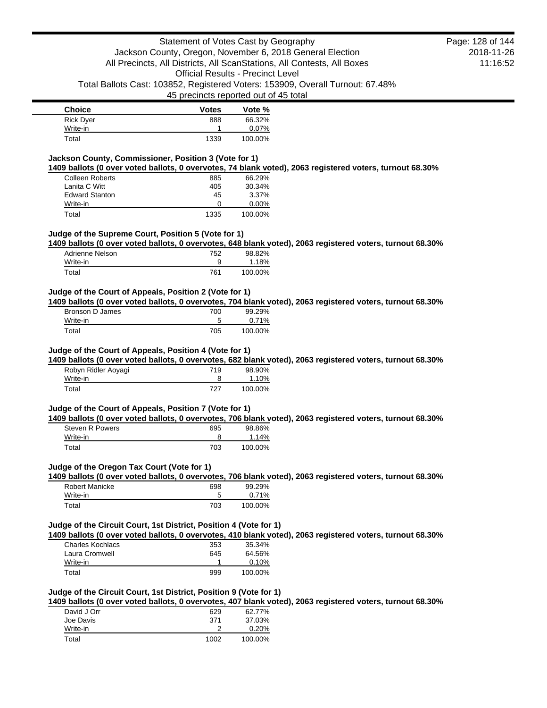| <b>Choice</b>    | <b>Votes</b> | Vote %  |
|------------------|--------------|---------|
| <b>Rick Dyer</b> | 888          | 66.32%  |
| Write-in         |              | 0.07%   |
| Total            | 1339         | 100.00% |

### **Jackson County, Commissioner, Position 3 (Vote for 1)**

**1409 ballots (0 over voted ballots, 0 overvotes, 74 blank voted), 2063 registered voters, turnout 68.30%**

| Colleen Roberts       | 885  | 66.29%   |
|-----------------------|------|----------|
| Lanita C Witt         | 405  | 30.34%   |
| <b>Edward Stanton</b> | 45   | 3.37%    |
| Write-in              | O    | $0.00\%$ |
| Total                 | 1335 | 100.00%  |

## **Judge of the Supreme Court, Position 5 (Vote for 1)**

**1409 ballots (0 over voted ballots, 0 overvotes, 648 blank voted), 2063 registered voters, turnout 68.30%**

| Adrienne Nelson | 752 | 98.82%  |
|-----------------|-----|---------|
| Write-in        |     | 1.18%   |
| Total           | 761 | 100.00% |

#### **Judge of the Court of Appeals, Position 2 (Vote for 1)**

**1409 ballots (0 over voted ballots, 0 overvotes, 704 blank voted), 2063 registered voters, turnout 68.30%**

| Bronson D James | 700 | 99.29%   |
|-----------------|-----|----------|
| Write-in        |     | $0.71\%$ |
| Total           | 705 | 100.00%  |

#### **Judge of the Court of Appeals, Position 4 (Vote for 1)**

**1409 ballots (0 over voted ballots, 0 overvotes, 682 blank voted), 2063 registered voters, turnout 68.30%**

| Robyn Ridler Aoyagi | 719 | 98.90%  |
|---------------------|-----|---------|
| Write-in            |     | 1.10%   |
| Total               | 727 | 100.00% |

#### **Judge of the Court of Appeals, Position 7 (Vote for 1)**

**1409 ballots (0 over voted ballots, 0 overvotes, 706 blank voted), 2063 registered voters, turnout 68.30%**

| Steven R Powers | 695 | 98.86%  |
|-----------------|-----|---------|
| Write-in        |     | 1.14%   |
| Total           | 703 | 100.00% |

#### **Judge of the Oregon Tax Court (Vote for 1)**

**1409 ballots (0 over voted ballots, 0 overvotes, 706 blank voted), 2063 registered voters, turnout 68.30%**

| Robert Manicke | 698 | 99.29%  |
|----------------|-----|---------|
| Write-in       |     | 0.71%   |
| Total          | 703 | 100.00% |

#### **Judge of the Circuit Court, 1st District, Position 4 (Vote for 1)**

**1409 ballots (0 over voted ballots, 0 overvotes, 410 blank voted), 2063 registered voters, turnout 68.30%**

| Charles Kochlacs | 353 | 35.34%  |
|------------------|-----|---------|
| Laura Cromwell   | 645 | 64.56%  |
| Write-in         |     | 0.10%   |
| Total            | 999 | 100.00% |

#### **Judge of the Circuit Court, 1st District, Position 9 (Vote for 1)**

**1409 ballots (0 over voted ballots, 0 overvotes, 407 blank voted), 2063 registered voters, turnout 68.30%**

| David J Orr<br>Joe Davis | 629<br>371 | 62.77%<br>37.03% |
|--------------------------|------------|------------------|
| Write-in                 |            | 0.20%            |
| Total                    | 1002       | 100.00%          |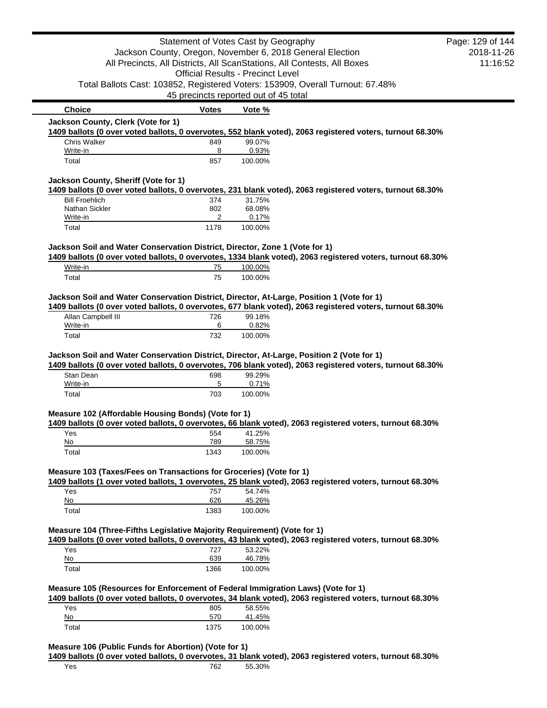|                                                                                                                                                                                                                                                                                                           | Statement of Votes Cast by Geography                      |                   |                                                                                                                                                                                                        | Page: 129 of 144 |
|-----------------------------------------------------------------------------------------------------------------------------------------------------------------------------------------------------------------------------------------------------------------------------------------------------------|-----------------------------------------------------------|-------------------|--------------------------------------------------------------------------------------------------------------------------------------------------------------------------------------------------------|------------------|
|                                                                                                                                                                                                                                                                                                           | Jackson County, Oregon, November 6, 2018 General Election |                   |                                                                                                                                                                                                        | 2018-11-26       |
|                                                                                                                                                                                                                                                                                                           |                                                           |                   | All Precincts, All Districts, All ScanStations, All Contests, All Boxes                                                                                                                                | 11:16:52         |
|                                                                                                                                                                                                                                                                                                           | <b>Official Results - Precinct Level</b>                  |                   |                                                                                                                                                                                                        |                  |
|                                                                                                                                                                                                                                                                                                           |                                                           |                   | Total Ballots Cast: 103852, Registered Voters: 153909, Overall Turnout: 67.48%                                                                                                                         |                  |
|                                                                                                                                                                                                                                                                                                           | 45 precincts reported out of 45 total                     |                   |                                                                                                                                                                                                        |                  |
| <b>Choice</b>                                                                                                                                                                                                                                                                                             | Votes                                                     | Vote %            |                                                                                                                                                                                                        |                  |
| Jackson County, Clerk (Vote for 1)                                                                                                                                                                                                                                                                        |                                                           |                   | 1409 ballots (0 over voted ballots, 0 overvotes, 552 blank voted), 2063 registered voters, turnout 68.30%                                                                                              |                  |
| Chris Walker                                                                                                                                                                                                                                                                                              | 849                                                       | 99.07%            |                                                                                                                                                                                                        |                  |
| Write-in                                                                                                                                                                                                                                                                                                  | 8                                                         | 0.93%             |                                                                                                                                                                                                        |                  |
| Total                                                                                                                                                                                                                                                                                                     | 857                                                       | 100.00%           |                                                                                                                                                                                                        |                  |
| Jackson County, Sheriff (Vote for 1)                                                                                                                                                                                                                                                                      |                                                           |                   |                                                                                                                                                                                                        |                  |
|                                                                                                                                                                                                                                                                                                           |                                                           |                   | 1409 ballots (0 over voted ballots, 0 overvotes, 231 blank voted), 2063 registered voters, turnout 68.30%                                                                                              |                  |
| <b>Bill Froehlich</b>                                                                                                                                                                                                                                                                                     | 374                                                       | 31.75%            |                                                                                                                                                                                                        |                  |
| Nathan Sickler<br>Write-in                                                                                                                                                                                                                                                                                | 802<br>2                                                  | 68.08%<br>0.17%   |                                                                                                                                                                                                        |                  |
| Total                                                                                                                                                                                                                                                                                                     | 1178                                                      | 100.00%           |                                                                                                                                                                                                        |                  |
| Jackson Soil and Water Conservation District, Director, Zone 1 (Vote for 1)                                                                                                                                                                                                                               |                                                           |                   |                                                                                                                                                                                                        |                  |
|                                                                                                                                                                                                                                                                                                           |                                                           |                   | 1409 ballots (0 over voted ballots, 0 overvotes, 1334 blank voted), 2063 registered voters, turnout 68.30%                                                                                             |                  |
| Write-in                                                                                                                                                                                                                                                                                                  | 75                                                        | 100.00%           |                                                                                                                                                                                                        |                  |
| Total                                                                                                                                                                                                                                                                                                     | 75                                                        | 100.00%           |                                                                                                                                                                                                        |                  |
|                                                                                                                                                                                                                                                                                                           |                                                           |                   | Jackson Soil and Water Conservation District, Director, At-Large, Position 1 (Vote for 1)                                                                                                              |                  |
|                                                                                                                                                                                                                                                                                                           |                                                           |                   | 1409 ballots (0 over voted ballots, 0 overvotes, 677 blank voted), 2063 registered voters, turnout 68.30%                                                                                              |                  |
|                                                                                                                                                                                                                                                                                                           |                                                           |                   |                                                                                                                                                                                                        |                  |
| Allan Campbell III                                                                                                                                                                                                                                                                                        | 726                                                       | 99.18%            |                                                                                                                                                                                                        |                  |
| Write-in                                                                                                                                                                                                                                                                                                  | 6                                                         | 0.82%             |                                                                                                                                                                                                        |                  |
| Total                                                                                                                                                                                                                                                                                                     | 732                                                       | 100.00%           |                                                                                                                                                                                                        |                  |
|                                                                                                                                                                                                                                                                                                           |                                                           |                   |                                                                                                                                                                                                        |                  |
|                                                                                                                                                                                                                                                                                                           |                                                           |                   | Jackson Soil and Water Conservation District, Director, At-Large, Position 2 (Vote for 1)<br>1409 ballots (0 over voted ballots, 0 overvotes, 706 blank voted), 2063 registered voters, turnout 68.30% |                  |
| Stan Dean                                                                                                                                                                                                                                                                                                 | 698                                                       | 99.29%            |                                                                                                                                                                                                        |                  |
| Write-in                                                                                                                                                                                                                                                                                                  | 5                                                         | 0.71%             |                                                                                                                                                                                                        |                  |
| Total                                                                                                                                                                                                                                                                                                     | 703                                                       | 100.00%           |                                                                                                                                                                                                        |                  |
|                                                                                                                                                                                                                                                                                                           |                                                           |                   |                                                                                                                                                                                                        |                  |
|                                                                                                                                                                                                                                                                                                           |                                                           |                   | 1409 ballots (0 over voted ballots, 0 overvotes, 66 blank voted), 2063 registered voters, turnout 68.30%                                                                                               |                  |
| Yes                                                                                                                                                                                                                                                                                                       | 554                                                       | 41.25%            |                                                                                                                                                                                                        |                  |
| No<br>Total                                                                                                                                                                                                                                                                                               | 789<br>1343                                               | 58.75%<br>100.00% |                                                                                                                                                                                                        |                  |
|                                                                                                                                                                                                                                                                                                           |                                                           |                   |                                                                                                                                                                                                        |                  |
|                                                                                                                                                                                                                                                                                                           |                                                           |                   |                                                                                                                                                                                                        |                  |
| Yes                                                                                                                                                                                                                                                                                                       | 757                                                       | 54.74%            | 1409 ballots (1 over voted ballots, 1 overvotes, 25 blank voted), 2063 registered voters, turnout 68.30%                                                                                               |                  |
| No                                                                                                                                                                                                                                                                                                        | 626                                                       | 45.26%            |                                                                                                                                                                                                        |                  |
| Total                                                                                                                                                                                                                                                                                                     | 1383                                                      | 100.00%           |                                                                                                                                                                                                        |                  |
|                                                                                                                                                                                                                                                                                                           |                                                           |                   |                                                                                                                                                                                                        |                  |
|                                                                                                                                                                                                                                                                                                           |                                                           |                   | 1409 ballots (0 over voted ballots, 0 overvotes, 43 blank voted), 2063 registered voters, turnout 68.30%                                                                                               |                  |
| Yes                                                                                                                                                                                                                                                                                                       | 727                                                       | 53.22%            |                                                                                                                                                                                                        |                  |
| No                                                                                                                                                                                                                                                                                                        | 639                                                       | 46.78%            |                                                                                                                                                                                                        |                  |
| Total                                                                                                                                                                                                                                                                                                     | 1366                                                      | 100.00%           |                                                                                                                                                                                                        |                  |
|                                                                                                                                                                                                                                                                                                           |                                                           |                   |                                                                                                                                                                                                        |                  |
|                                                                                                                                                                                                                                                                                                           |                                                           |                   | 1409 ballots (0 over voted ballots, 0 overvotes, 34 blank voted), 2063 registered voters, turnout 68.30%                                                                                               |                  |
| Yes                                                                                                                                                                                                                                                                                                       | 805                                                       | 58.55%            |                                                                                                                                                                                                        |                  |
| Measure 102 (Affordable Housing Bonds) (Vote for 1)<br>Measure 103 (Taxes/Fees on Transactions for Groceries) (Vote for 1)<br>Measure 104 (Three-Fifths Legislative Majority Requirement) (Vote for 1)<br>Measure 105 (Resources for Enforcement of Federal Immigration Laws) (Vote for 1)<br>No<br>Total | 570<br>1375                                               | 41.45%<br>100.00% |                                                                                                                                                                                                        |                  |

Yes 762 55.30%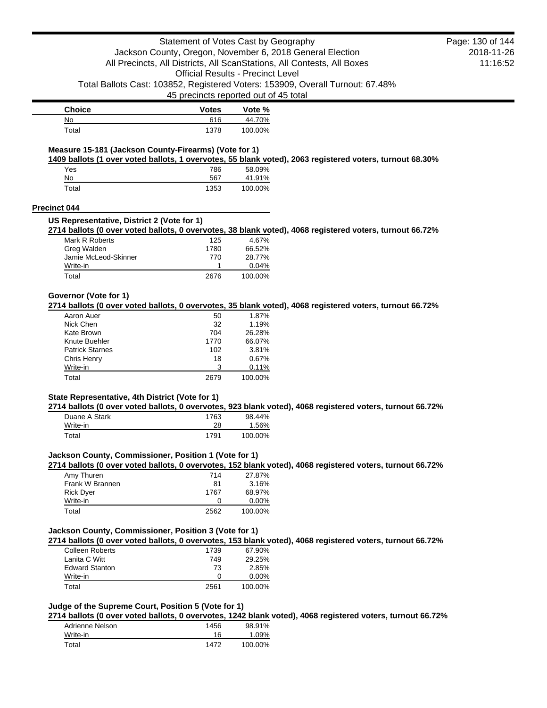45 precincts reported out of 45 total

| Choice | <b>Votes</b> | Vote %  |
|--------|--------------|---------|
| No     | 616          | 44.70%  |
| Total  | 1378         | 100.00% |

# **Measure 15-181 (Jackson County-Firearms) (Vote for 1)**

**1409 ballots (1 over voted ballots, 1 overvotes, 55 blank voted), 2063 registered voters, turnout 68.30%**

| Yes   | 786  | 58.09%  |
|-------|------|---------|
| No    | 567  | 41.91%  |
| Total | 1353 | 100.00% |

### **Precinct 044**

#### **US Representative, District 2 (Vote for 1)**

**2714 ballots (0 over voted ballots, 0 overvotes, 38 blank voted), 4068 registered voters, turnout 66.72%**

| Mark R Roberts       | 125  | 4.67%   |
|----------------------|------|---------|
| Greg Walden          | 1780 | 66.52%  |
| Jamie McLeod-Skinner | 770  | 28.77%  |
| Write-in             |      | 0.04%   |
| Total                | 2676 | 100.00% |

### **Governor (Vote for 1)**

**2714 ballots (0 over voted ballots, 0 overvotes, 35 blank voted), 4068 registered voters, turnout 66.72%**

| Aaron Auer             | 50   | 1.87%   |
|------------------------|------|---------|
| Nick Chen              | 32   | 1.19%   |
| Kate Brown             | 704  | 26.28%  |
| Knute Buehler          | 1770 | 66.07%  |
| <b>Patrick Starnes</b> | 102  | 3.81%   |
| Chris Henry            | 18   | 0.67%   |
| Write-in               | 3    | 0.11%   |
| Total                  | 2679 | 100.00% |

## **State Representative, 4th District (Vote for 1)**

**2714 ballots (0 over voted ballots, 0 overvotes, 923 blank voted), 4068 registered voters, turnout 66.72%**

| Duane A Stark | 1763 | 98.44%  |
|---------------|------|---------|
| Write-in      | 28   | 1.56%   |
| Total         | 1791 | 100.00% |

### **Jackson County, Commissioner, Position 1 (Vote for 1)**

**2714 ballots (0 over voted ballots, 0 overvotes, 152 blank voted), 4068 registered voters, turnout 66.72%**

| Amy Thuren       | 714  | 27.87%   |
|------------------|------|----------|
| Frank W Brannen  | 81   | 3.16%    |
| <b>Rick Dyer</b> | 1767 | 68.97%   |
| Write-in         | O    | $0.00\%$ |
| Total            | 2562 | 100.00%  |

## **Jackson County, Commissioner, Position 3 (Vote for 1)**

**2714 ballots (0 over voted ballots, 0 overvotes, 153 blank voted), 4068 registered voters, turnout 66.72%**

| <b>Colleen Roberts</b> | 1739 | 67.90%   |
|------------------------|------|----------|
| Lanita C Witt          | 749  | 29.25%   |
| <b>Edward Stanton</b>  | 73   | 2.85%    |
| Write-in               | 0    | $0.00\%$ |
| Total                  | 2561 | 100.00%  |
|                        |      |          |

## **Judge of the Supreme Court, Position 5 (Vote for 1)**

**2714 ballots (0 over voted ballots, 0 overvotes, 1242 blank voted), 4068 registered voters, turnout 66.72%**

| Adrienne Nelson | 1456 | 98.91%  |
|-----------------|------|---------|
| Write-in        | 16   | 1.09%   |
| Total           | 1472 | 100.00% |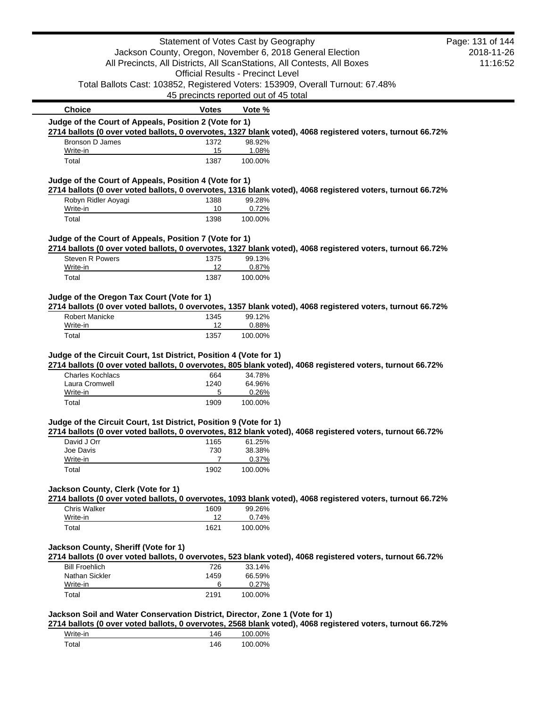|                                                                                                         | Statement of Votes Cast by Geography     |                  |                                                                                                            | Page: 131 of 144 |
|---------------------------------------------------------------------------------------------------------|------------------------------------------|------------------|------------------------------------------------------------------------------------------------------------|------------------|
|                                                                                                         |                                          |                  | Jackson County, Oregon, November 6, 2018 General Election                                                  | 2018-11-26       |
|                                                                                                         |                                          |                  | All Precincts, All Districts, All ScanStations, All Contests, All Boxes                                    | 11:16:52         |
|                                                                                                         | <b>Official Results - Precinct Level</b> |                  |                                                                                                            |                  |
|                                                                                                         |                                          |                  | Total Ballots Cast: 103852, Registered Voters: 153909, Overall Turnout: 67.48%                             |                  |
|                                                                                                         | 45 precincts reported out of 45 total    |                  |                                                                                                            |                  |
| <b>Choice</b>                                                                                           | <b>Votes</b>                             | Vote %           |                                                                                                            |                  |
| Judge of the Court of Appeals, Position 2 (Vote for 1)                                                  |                                          |                  |                                                                                                            |                  |
|                                                                                                         |                                          |                  | 2714 ballots (0 over voted ballots, 0 overvotes, 1327 blank voted), 4068 registered voters, turnout 66.72% |                  |
| Bronson D James                                                                                         | 1372                                     | 98.92%           |                                                                                                            |                  |
| Write-in<br>Total                                                                                       | 15<br>1387                               | 1.08%<br>100.00% |                                                                                                            |                  |
| Judge of the Court of Appeals, Position 4 (Vote for 1)                                                  |                                          |                  |                                                                                                            |                  |
|                                                                                                         |                                          |                  | 2714 ballots (0 over voted ballots, 0 overvotes, 1316 blank voted), 4068 registered voters, turnout 66.72% |                  |
| Robyn Ridler Aoyagi                                                                                     | 1388                                     | 99.28%           |                                                                                                            |                  |
| Write-in                                                                                                | 10                                       | 0.72%            |                                                                                                            |                  |
| Total                                                                                                   | 1398                                     | 100.00%          |                                                                                                            |                  |
| Judge of the Court of Appeals, Position 7 (Vote for 1)                                                  |                                          |                  |                                                                                                            |                  |
|                                                                                                         |                                          |                  | 2714 ballots (0 over voted ballots, 0 overvotes, 1327 blank voted), 4068 registered voters, turnout 66.72% |                  |
| Steven R Powers<br>Write-in                                                                             | 1375<br>12                               | 99.13%<br>0.87%  |                                                                                                            |                  |
| Total                                                                                                   | 1387                                     | 100.00%          |                                                                                                            |                  |
|                                                                                                         |                                          |                  |                                                                                                            |                  |
| Judge of the Oregon Tax Court (Vote for 1)                                                              |                                          |                  |                                                                                                            |                  |
|                                                                                                         |                                          |                  | 2714 ballots (0 over voted ballots, 0 overvotes, 1357 blank voted), 4068 registered voters, turnout 66.72% |                  |
|                                                                                                         |                                          |                  |                                                                                                            |                  |
| <b>Robert Manicke</b>                                                                                   | 1345                                     | 99.12%           |                                                                                                            |                  |
| Write-in<br>Total                                                                                       | 12<br>1357                               | 0.88%<br>100.00% | 2714 ballots (0 over voted ballots, 0 overvotes, 805 blank voted), 4068 registered voters, turnout 66.72%  |                  |
| Judge of the Circuit Court, 1st District, Position 4 (Vote for 1)<br><b>Charles Kochlacs</b>            | 664                                      | 34.78%           |                                                                                                            |                  |
| Laura Cromwell<br>Write-in                                                                              | 1240<br>5                                | 64.96%<br>0.26%  |                                                                                                            |                  |
| Total                                                                                                   | 1909                                     | 100.00%          |                                                                                                            |                  |
|                                                                                                         |                                          |                  |                                                                                                            |                  |
|                                                                                                         |                                          |                  |                                                                                                            |                  |
| David J Orr                                                                                             | 1165                                     | 61.25%           | 2714 ballots (0 over voted ballots, 0 overvotes, 812 blank voted), 4068 registered voters, turnout 66.72%  |                  |
| Joe Davis                                                                                               | 730                                      | 38.38%           |                                                                                                            |                  |
| Write-in                                                                                                | 7                                        | 0.37%            |                                                                                                            |                  |
| Total                                                                                                   | 1902                                     | 100.00%          |                                                                                                            |                  |
|                                                                                                         |                                          |                  |                                                                                                            |                  |
| Judge of the Circuit Court, 1st District, Position 9 (Vote for 1)<br>Jackson County, Clerk (Vote for 1) |                                          |                  | 2714 ballots (0 over voted ballots, 0 overvotes, 1093 blank voted), 4068 registered voters, turnout 66.72% |                  |
| Chris Walker                                                                                            | 1609                                     | 99.26%           |                                                                                                            |                  |
| Write-in                                                                                                | 12                                       | 0.74%            |                                                                                                            |                  |
| Total                                                                                                   | 1621                                     | 100.00%          |                                                                                                            |                  |
|                                                                                                         |                                          |                  |                                                                                                            |                  |
|                                                                                                         |                                          |                  |                                                                                                            |                  |
| Jackson County, Sheriff (Vote for 1)<br><b>Bill Froehlich</b>                                           | 726                                      | 33.14%           | 2714 ballots (0 over voted ballots, 0 overvotes, 523 blank voted), 4068 registered voters, turnout 66.72%  |                  |
| Nathan Sickler                                                                                          | 1459                                     | 66.59%           |                                                                                                            |                  |
| Write-in                                                                                                | 6                                        | 0.27%            |                                                                                                            |                  |
| Total                                                                                                   | 2191                                     | 100.00%          |                                                                                                            |                  |
|                                                                                                         |                                          |                  |                                                                                                            |                  |
| Jackson Soil and Water Conservation District, Director, Zone 1 (Vote for 1)                             |                                          |                  | 2714 ballots (0 over voted ballots, 0 overvotes, 2568 blank voted), 4068 registered voters, turnout 66.72% |                  |
| Write-in                                                                                                | 146                                      | 100.00%          |                                                                                                            |                  |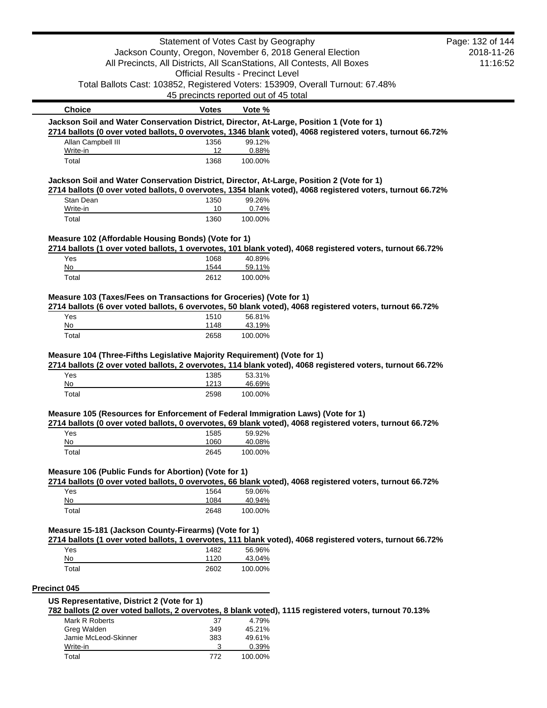|                                                                                           | Statement of Votes Cast by Geography     |                   |                                                                                                            | Page: 132 of 144 |
|-------------------------------------------------------------------------------------------|------------------------------------------|-------------------|------------------------------------------------------------------------------------------------------------|------------------|
|                                                                                           |                                          |                   | Jackson County, Oregon, November 6, 2018 General Election                                                  | 2018-11-26       |
|                                                                                           |                                          |                   | All Precincts, All Districts, All ScanStations, All Contests, All Boxes                                    | 11:16:52         |
|                                                                                           | <b>Official Results - Precinct Level</b> |                   |                                                                                                            |                  |
|                                                                                           |                                          |                   | Total Ballots Cast: 103852, Registered Voters: 153909, Overall Turnout: 67.48%                             |                  |
|                                                                                           | 45 precincts reported out of 45 total    |                   |                                                                                                            |                  |
| <b>Choice</b>                                                                             | <b>Votes</b>                             | Vote %            |                                                                                                            |                  |
| Jackson Soil and Water Conservation District, Director, At-Large, Position 1 (Vote for 1) |                                          |                   | 2714 ballots (0 over voted ballots, 0 overvotes, 1346 blank voted), 4068 registered voters, turnout 66.72% |                  |
| Allan Campbell III                                                                        | 1356                                     | 99.12%            |                                                                                                            |                  |
| Write-in                                                                                  | 12                                       | 0.88%             |                                                                                                            |                  |
| Total                                                                                     | 1368                                     | 100.00%           |                                                                                                            |                  |
| Jackson Soil and Water Conservation District, Director, At-Large, Position 2 (Vote for 1) |                                          |                   |                                                                                                            |                  |
| Stan Dean                                                                                 | 1350                                     | 99.26%            | 2714 ballots (0 over voted ballots, 0 overvotes, 1354 blank voted), 4068 registered voters, turnout 66.72% |                  |
| Write-in                                                                                  | 10                                       | 0.74%             |                                                                                                            |                  |
| Total                                                                                     | 1360                                     | 100.00%           |                                                                                                            |                  |
| Measure 102 (Affordable Housing Bonds) (Vote for 1)                                       |                                          |                   |                                                                                                            |                  |
|                                                                                           |                                          |                   | 2714 ballots (1 over voted ballots, 1 overvotes, 101 blank voted), 4068 registered voters, turnout 66.72%  |                  |
| Yes                                                                                       | 1068                                     | 40.89%            |                                                                                                            |                  |
| No                                                                                        | 1544                                     | 59.11%            |                                                                                                            |                  |
| Total                                                                                     | 2612                                     | 100.00%           |                                                                                                            |                  |
| Measure 103 (Taxes/Fees on Transactions for Groceries) (Vote for 1)                       |                                          |                   |                                                                                                            |                  |
| Yes                                                                                       | 1510                                     | 56.81%            | 2714 ballots (6 over voted ballots, 6 overvotes, 50 blank voted), 4068 registered voters, turnout 66.72%   |                  |
| No                                                                                        | 1148                                     | 43.19%            |                                                                                                            |                  |
| Total                                                                                     | 2658                                     | 100.00%           |                                                                                                            |                  |
| Yes<br>No                                                                                 | 1385<br>1213                             | 53.31%<br>46.69%  | 2714 ballots (2 over voted ballots, 2 overvotes, 114 blank voted), 4068 registered voters, turnout 66.72%  |                  |
| Total                                                                                     | 2598                                     | 100.00%           |                                                                                                            |                  |
|                                                                                           |                                          |                   |                                                                                                            |                  |
| Measure 105 (Resources for Enforcement of Federal Immigration Laws) (Vote for 1)          |                                          |                   | 2714 ballots (0 over voted ballots, 0 overvotes, 69 blank voted), 4068 registered voters, turnout 66.72%   |                  |
| Yes                                                                                       | 1585                                     | 59.92%            |                                                                                                            |                  |
| No                                                                                        | 1060                                     | 40.08%            |                                                                                                            |                  |
| Total                                                                                     | 2645                                     | 100.00%           |                                                                                                            |                  |
| Measure 106 (Public Funds for Abortion) (Vote for 1)                                      |                                          |                   |                                                                                                            |                  |
|                                                                                           |                                          |                   | 2714 ballots (0 over voted ballots, 0 overvotes, 66 blank voted), 4068 registered voters, turnout 66.72%   |                  |
| Yes                                                                                       | 1564                                     | 59.06%            |                                                                                                            |                  |
| No<br>Total                                                                               | 1084<br>2648                             | 40.94%<br>100.00% |                                                                                                            |                  |
|                                                                                           |                                          |                   |                                                                                                            |                  |
| Measure 15-181 (Jackson County-Firearms) (Vote for 1)                                     |                                          |                   |                                                                                                            |                  |
|                                                                                           |                                          | 56.96%            | 2714 ballots (1 over voted ballots, 1 overvotes, 111 blank voted), 4068 registered voters, turnout 66.72%  |                  |
| Yes<br>No                                                                                 | 1482<br>1120                             | 43.04%            |                                                                                                            |                  |
| Total                                                                                     | 2602                                     | 100.00%           |                                                                                                            |                  |
| <b>Precinct 045</b>                                                                       |                                          |                   |                                                                                                            |                  |
| US Representative, District 2 (Vote for 1)                                                |                                          |                   |                                                                                                            |                  |
|                                                                                           |                                          |                   | 782 ballots (2 over voted ballots, 2 overvotes, 8 blank voted), 1115 registered voters, turnout 70.13%     |                  |
| Mark R Roberts                                                                            | 37                                       | 4.79%             |                                                                                                            |                  |
| Greg Walden                                                                               | 349                                      | 45.21%            |                                                                                                            |                  |
| Jamie McLeod-Skinner<br>Write-in                                                          | 383<br>3                                 | 49.61%<br>0.39%   |                                                                                                            |                  |
|                                                                                           |                                          |                   |                                                                                                            |                  |
| Total                                                                                     | 772                                      | 100.00%           |                                                                                                            |                  |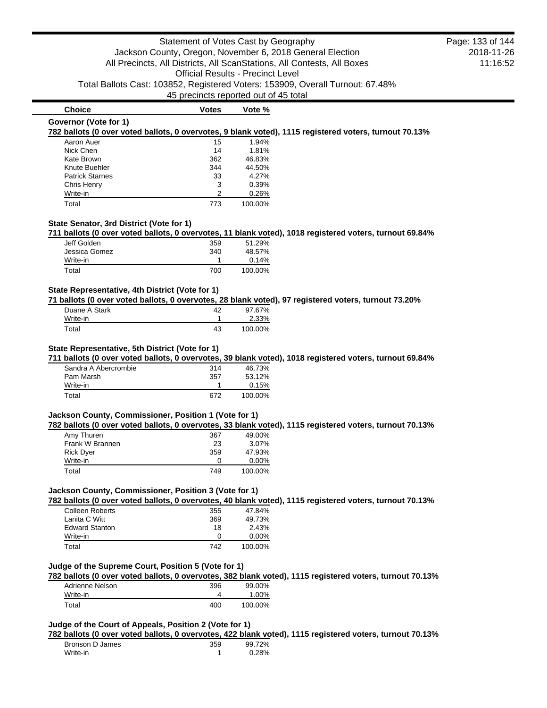**Choice Votes Votes Vote** % **Governor (Vote for 1)**

#### **782 ballots (0 over voted ballots, 0 overvotes, 9 blank voted), 1115 registered voters, turnout 70.13%**

| Aaron Auer             | 15  | 1.94%   |
|------------------------|-----|---------|
| Nick Chen              | 14  | 1.81%   |
| Kate Brown             | 362 | 46.83%  |
| Knute Buehler          | 344 | 44.50%  |
| <b>Patrick Starnes</b> | 33  | 4.27%   |
| Chris Henry            | 3   | 0.39%   |
| Write-in               | 2   | 0.26%   |
| Total                  | 773 | 100.00% |

### **State Senator, 3rd District (Vote for 1)**

**711 ballots (0 over voted ballots, 0 overvotes, 11 blank voted), 1018 registered voters, turnout 69.84%**

| Jeff Golden   | 359 | 51.29%  |
|---------------|-----|---------|
| Jessica Gomez | 340 | 48.57%  |
| Write-in      |     | 0.14%   |
| Total         | 700 | 100.00% |

#### **State Representative, 4th District (Vote for 1)**

**71 ballots (0 over voted ballots, 0 overvotes, 28 blank voted), 97 registered voters, turnout 73.20%**

| Duane A Stark | 42 | 97.67%  |
|---------------|----|---------|
| Write-in      |    | 2.33%   |
| Total         | 43 | 100.00% |

#### **State Representative, 5th District (Vote for 1)**

**711 ballots (0 over voted ballots, 0 overvotes, 39 blank voted), 1018 registered voters, turnout 69.84%**

| Sandra A Abercrombie | 314 | 46.73%  |
|----------------------|-----|---------|
| Pam Marsh            | 357 | 53.12%  |
| Write-in             |     | 0.15%   |
| Total                | 672 | 100.00% |

# **Jackson County, Commissioner, Position 1 (Vote for 1)**

**782 ballots (0 over voted ballots, 0 overvotes, 33 blank voted), 1115 registered voters, turnout 70.13%**

| Amy Thuren       | 367 | 49.00%   |
|------------------|-----|----------|
| Frank W Brannen  | 23  | 3.07%    |
| <b>Rick Dyer</b> | 359 | 47.93%   |
| Write-in         | O   | $0.00\%$ |
| Total            | 749 | 100.00%  |

### **Jackson County, Commissioner, Position 3 (Vote for 1)**

**782 ballots (0 over voted ballots, 0 overvotes, 40 blank voted), 1115 registered voters, turnout 70.13%**

| Colleen Roberts       | 355 | 47.84%   |
|-----------------------|-----|----------|
| Lanita C Witt         | 369 | 49.73%   |
| <b>Edward Stanton</b> | 18  | 2.43%    |
| Write-in              | O   | $0.00\%$ |
| Total                 | 742 | 100.00%  |

# **Judge of the Supreme Court, Position 5 (Vote for 1)**

**782 ballots (0 over voted ballots, 0 overvotes, 382 blank voted), 1115 registered voters, turnout 70.13%**

| Adrienne Nelson | 396 | 99.00%  |
|-----------------|-----|---------|
| Write-in        |     | 1.00%   |
| Total           | 400 | 100.00% |

# **Judge of the Court of Appeals, Position 2 (Vote for 1)**

**782 ballots (0 over voted ballots, 0 overvotes, 422 blank voted), 1115 registered voters, turnout 70.13%**

| Bronson D James | 359 | 99.72% |
|-----------------|-----|--------|
| Write-in        |     | 0.28%  |

2018-11-26 11:16:52 Page: 133 of 144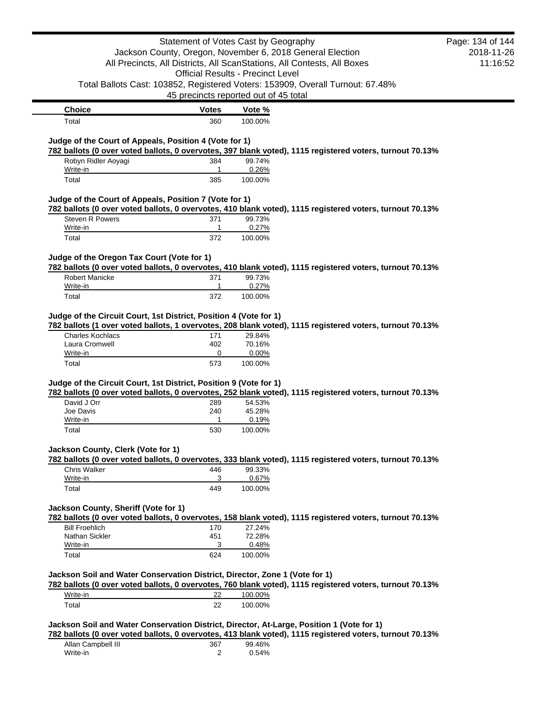|                                                                                                                                                                                                                                                     | Statement of Votes Cast by Geography     |                    |                                                                                                          | Page: 134 of 144 |
|-----------------------------------------------------------------------------------------------------------------------------------------------------------------------------------------------------------------------------------------------------|------------------------------------------|--------------------|----------------------------------------------------------------------------------------------------------|------------------|
|                                                                                                                                                                                                                                                     |                                          |                    | Jackson County, Oregon, November 6, 2018 General Election                                                | 2018-11-26       |
|                                                                                                                                                                                                                                                     |                                          |                    | All Precincts, All Districts, All ScanStations, All Contests, All Boxes                                  | 11:16:52         |
|                                                                                                                                                                                                                                                     | <b>Official Results - Precinct Level</b> |                    |                                                                                                          |                  |
|                                                                                                                                                                                                                                                     |                                          |                    | Total Ballots Cast: 103852, Registered Voters: 153909, Overall Turnout: 67.48%                           |                  |
|                                                                                                                                                                                                                                                     | 45 precincts reported out of 45 total    |                    |                                                                                                          |                  |
| <b>Choice</b>                                                                                                                                                                                                                                       | <b>Votes</b>                             | Vote %             |                                                                                                          |                  |
| Total                                                                                                                                                                                                                                               | 360                                      | 100.00%            |                                                                                                          |                  |
|                                                                                                                                                                                                                                                     |                                          |                    |                                                                                                          |                  |
| Judge of the Court of Appeals, Position 4 (Vote for 1)                                                                                                                                                                                              |                                          |                    | 782 ballots (0 over voted ballots, 0 overvotes, 397 blank voted), 1115 registered voters, turnout 70.13% |                  |
| Robyn Ridler Aoyagi                                                                                                                                                                                                                                 | 384                                      | 99.74%             |                                                                                                          |                  |
| Write-in                                                                                                                                                                                                                                            | 1                                        | 0.26%              |                                                                                                          |                  |
| Total                                                                                                                                                                                                                                               | 385                                      | 100.00%            |                                                                                                          |                  |
| Judge of the Court of Appeals, Position 7 (Vote for 1)                                                                                                                                                                                              |                                          |                    |                                                                                                          |                  |
|                                                                                                                                                                                                                                                     |                                          |                    | 782 ballots (0 over voted ballots, 0 overvotes, 410 blank voted), 1115 registered voters, turnout 70.13% |                  |
| Steven R Powers                                                                                                                                                                                                                                     | 371                                      | 99.73%             |                                                                                                          |                  |
| Write-in                                                                                                                                                                                                                                            | 1                                        | 0.27%              |                                                                                                          |                  |
| Total                                                                                                                                                                                                                                               | 372                                      | 100.00%            |                                                                                                          |                  |
| Judge of the Oregon Tax Court (Vote for 1)                                                                                                                                                                                                          |                                          |                    |                                                                                                          |                  |
|                                                                                                                                                                                                                                                     |                                          |                    | 782 ballots (0 over voted ballots, 0 overvotes, 410 blank voted), 1115 registered voters, turnout 70.13% |                  |
| <b>Robert Manicke</b>                                                                                                                                                                                                                               | 371                                      | 99.73%             |                                                                                                          |                  |
| Write-in                                                                                                                                                                                                                                            | 1                                        | 0.27%              |                                                                                                          |                  |
| Total                                                                                                                                                                                                                                               | 372                                      | 100.00%            |                                                                                                          |                  |
|                                                                                                                                                                                                                                                     |                                          |                    |                                                                                                          |                  |
|                                                                                                                                                                                                                                                     |                                          |                    |                                                                                                          |                  |
| Judge of the Circuit Court, 1st District, Position 4 (Vote for 1)                                                                                                                                                                                   |                                          |                    |                                                                                                          |                  |
| <b>Charles Kochlacs</b>                                                                                                                                                                                                                             | 171                                      | 29.84%             | 782 ballots (1 over voted ballots, 1 overvotes, 208 blank voted), 1115 registered voters, turnout 70.13% |                  |
| Laura Cromwell                                                                                                                                                                                                                                      | 402                                      | 70.16%             |                                                                                                          |                  |
| Write-in                                                                                                                                                                                                                                            | 0                                        | 0.00%              |                                                                                                          |                  |
| Total                                                                                                                                                                                                                                               | 573                                      | 100.00%            |                                                                                                          |                  |
|                                                                                                                                                                                                                                                     |                                          |                    |                                                                                                          |                  |
|                                                                                                                                                                                                                                                     |                                          |                    | 782 ballots (0 over voted ballots, 0 overvotes, 252 blank voted), 1115 registered voters, turnout 70.13% |                  |
| David J Orr                                                                                                                                                                                                                                         | 289                                      | 54.53%             |                                                                                                          |                  |
| Joe Davis                                                                                                                                                                                                                                           | 240                                      | 45.28%             |                                                                                                          |                  |
| Write-in                                                                                                                                                                                                                                            | 1                                        | 0.19%              |                                                                                                          |                  |
| Total                                                                                                                                                                                                                                               | 530                                      | 100.00%            |                                                                                                          |                  |
|                                                                                                                                                                                                                                                     |                                          |                    |                                                                                                          |                  |
|                                                                                                                                                                                                                                                     |                                          |                    | 782 ballots (0 over voted ballots, 0 overvotes, 333 blank voted), 1115 registered voters, turnout 70.13% |                  |
| <b>Chris Walker</b>                                                                                                                                                                                                                                 | 446                                      | 99.33%             |                                                                                                          |                  |
| Write-in                                                                                                                                                                                                                                            | 3                                        | 0.67%              |                                                                                                          |                  |
| Total                                                                                                                                                                                                                                               | 449                                      | 100.00%            |                                                                                                          |                  |
|                                                                                                                                                                                                                                                     |                                          |                    |                                                                                                          |                  |
|                                                                                                                                                                                                                                                     |                                          |                    |                                                                                                          |                  |
| <b>Bill Froehlich</b>                                                                                                                                                                                                                               | 170                                      | 27.24%             | 782 ballots (0 over voted ballots, 0 overvotes, 158 blank voted), 1115 registered voters, turnout 70.13% |                  |
| Nathan Sickler                                                                                                                                                                                                                                      | 451                                      | 72.28%             |                                                                                                          |                  |
| Write-in                                                                                                                                                                                                                                            | 3                                        | 0.48%              |                                                                                                          |                  |
| Total                                                                                                                                                                                                                                               | 624                                      | 100.00%            |                                                                                                          |                  |
|                                                                                                                                                                                                                                                     |                                          |                    |                                                                                                          |                  |
|                                                                                                                                                                                                                                                     |                                          |                    |                                                                                                          |                  |
|                                                                                                                                                                                                                                                     |                                          |                    | 782 ballots (0 over voted ballots, 0 overvotes, 760 blank voted), 1115 registered voters, turnout 70.13% |                  |
| Judge of the Circuit Court, 1st District, Position 9 (Vote for 1)<br>Jackson County, Clerk (Vote for 1)<br>Jackson County, Sheriff (Vote for 1)<br>Jackson Soil and Water Conservation District, Director, Zone 1 (Vote for 1)<br>Write-in<br>Total | 22<br>22                                 | 100.00%<br>100.00% |                                                                                                          |                  |

| Allan Campbell III | 367 | 99.46% |
|--------------------|-----|--------|
| Write-in           |     | 0.54%  |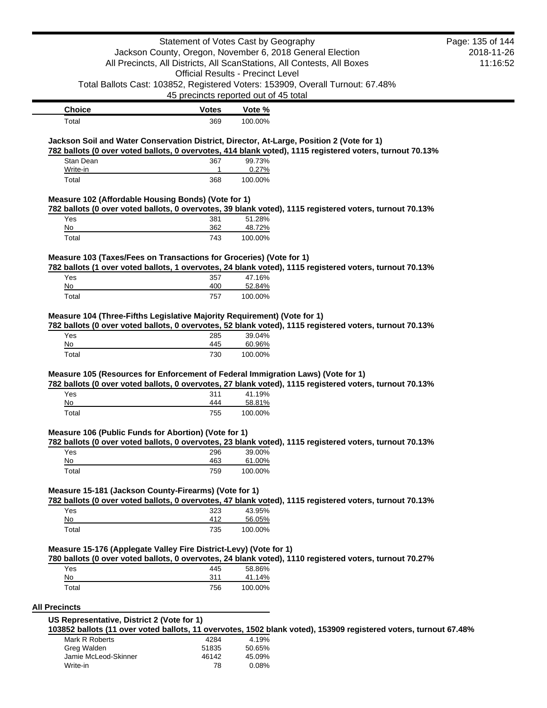|                                                                                  | Statement of Votes Cast by Geography     |                  |                                                                                                                                                                                                       | Page: 135 of 144 |
|----------------------------------------------------------------------------------|------------------------------------------|------------------|-------------------------------------------------------------------------------------------------------------------------------------------------------------------------------------------------------|------------------|
|                                                                                  |                                          |                  | Jackson County, Oregon, November 6, 2018 General Election                                                                                                                                             | 2018-11-26       |
|                                                                                  |                                          |                  | All Precincts, All Districts, All ScanStations, All Contests, All Boxes                                                                                                                               | 11:16:52         |
|                                                                                  | <b>Official Results - Precinct Level</b> |                  |                                                                                                                                                                                                       |                  |
|                                                                                  |                                          |                  | Total Ballots Cast: 103852, Registered Voters: 153909, Overall Turnout: 67.48%                                                                                                                        |                  |
|                                                                                  | 45 precincts reported out of 45 total    |                  |                                                                                                                                                                                                       |                  |
| <b>Choice</b>                                                                    | <b>Votes</b>                             | Vote %           |                                                                                                                                                                                                       |                  |
| Total                                                                            | 369                                      | 100.00%          |                                                                                                                                                                                                       |                  |
|                                                                                  |                                          |                  |                                                                                                                                                                                                       |                  |
|                                                                                  |                                          |                  | Jackson Soil and Water Conservation District, Director, At-Large, Position 2 (Vote for 1)<br>782 ballots (0 over voted ballots, 0 overvotes, 414 blank voted), 1115 registered voters, turnout 70.13% |                  |
| Stan Dean                                                                        | 367                                      | 99.73%           |                                                                                                                                                                                                       |                  |
| Write-in                                                                         | 1                                        | 0.27%            |                                                                                                                                                                                                       |                  |
| Total                                                                            | 368                                      | 100.00%          |                                                                                                                                                                                                       |                  |
| Measure 102 (Affordable Housing Bonds) (Vote for 1)                              |                                          |                  |                                                                                                                                                                                                       |                  |
|                                                                                  |                                          |                  | 782 ballots (0 over voted ballots, 0 overvotes, 39 blank voted), 1115 registered voters, turnout 70.13%                                                                                               |                  |
| Yes                                                                              | 381                                      | 51.28%           |                                                                                                                                                                                                       |                  |
| No                                                                               | 362                                      | 48.72%           |                                                                                                                                                                                                       |                  |
| Total                                                                            | 743                                      | 100.00%          |                                                                                                                                                                                                       |                  |
| Measure 103 (Taxes/Fees on Transactions for Groceries) (Vote for 1)              |                                          |                  |                                                                                                                                                                                                       |                  |
|                                                                                  |                                          |                  | 782 ballots (1 over voted ballots, 1 overvotes, 24 blank voted), 1115 registered voters, turnout 70.13%                                                                                               |                  |
| Yes                                                                              | 357                                      | 47.16%           |                                                                                                                                                                                                       |                  |
| No                                                                               | 400                                      | 52.84%           |                                                                                                                                                                                                       |                  |
| Total                                                                            | 757                                      | 100.00%          |                                                                                                                                                                                                       |                  |
| Yes<br>No                                                                        | 285<br>445                               | 39.04%<br>60.96% |                                                                                                                                                                                                       |                  |
| Total                                                                            | 730                                      | 100.00%          |                                                                                                                                                                                                       |                  |
|                                                                                  |                                          |                  |                                                                                                                                                                                                       |                  |
| Measure 105 (Resources for Enforcement of Federal Immigration Laws) (Vote for 1) |                                          |                  | 782 ballots (0 over voted ballots, 0 overvotes, 27 blank voted), 1115 registered voters, turnout 70.13%                                                                                               |                  |
| Yes                                                                              | 311                                      | 41.19%           |                                                                                                                                                                                                       |                  |
| $No$                                                                             | 444                                      | 58.81%           |                                                                                                                                                                                                       |                  |
| Total                                                                            | 755                                      | 100.00%          |                                                                                                                                                                                                       |                  |
| Measure 106 (Public Funds for Abortion) (Vote for 1)                             |                                          |                  |                                                                                                                                                                                                       |                  |
|                                                                                  |                                          |                  | 782 ballots (0 over voted ballots, 0 overvotes, 23 blank voted), 1115 registered voters, turnout 70.13%                                                                                               |                  |
| Yes                                                                              | 296                                      | 39.00%           |                                                                                                                                                                                                       |                  |
| No                                                                               | 463                                      | 61.00%           |                                                                                                                                                                                                       |                  |
| Total                                                                            | 759                                      | 100.00%          |                                                                                                                                                                                                       |                  |
| Measure 15-181 (Jackson County-Firearms) (Vote for 1)                            |                                          |                  |                                                                                                                                                                                                       |                  |
|                                                                                  |                                          |                  | 782 ballots (0 over voted ballots, 0 overvotes, 47 blank voted), 1115 registered voters, turnout 70.13%                                                                                               |                  |
| Yes                                                                              | 323                                      | 43.95%           |                                                                                                                                                                                                       |                  |
| No                                                                               | 412                                      | 56.05%           |                                                                                                                                                                                                       |                  |
| Total                                                                            | 735                                      | 100.00%          |                                                                                                                                                                                                       |                  |
|                                                                                  |                                          |                  |                                                                                                                                                                                                       |                  |
| Measure 15-176 (Applegate Valley Fire District-Levy) (Vote for 1)                |                                          |                  |                                                                                                                                                                                                       |                  |
| Yes                                                                              |                                          |                  | 780 ballots (0 over voted ballots, 0 overvotes, 24 blank voted), 1110 registered voters, turnout 70.27%                                                                                               |                  |
| No                                                                               | 445<br>311                               | 58.86%<br>41.14% |                                                                                                                                                                                                       |                  |
| Total                                                                            | 756                                      | 100.00%          |                                                                                                                                                                                                       |                  |
|                                                                                  |                                          |                  |                                                                                                                                                                                                       |                  |
| <b>All Precincts</b>                                                             |                                          |                  |                                                                                                                                                                                                       |                  |
| US Representative, District 2 (Vote for 1)                                       |                                          |                  |                                                                                                                                                                                                       |                  |

**103852 ballots (11 over voted ballots, 11 overvotes, 1502 blank voted), 153909 registered voters, turnout 67.48%**

| Mark R Roberts<br>Greg Walden | 4284<br>51835 | 4.19%<br>50.65% |
|-------------------------------|---------------|-----------------|
| Jamie McLeod-Skinner          | 46142         | 45.09%          |
| Write-in                      | 78            | 0.08%           |
|                               |               |                 |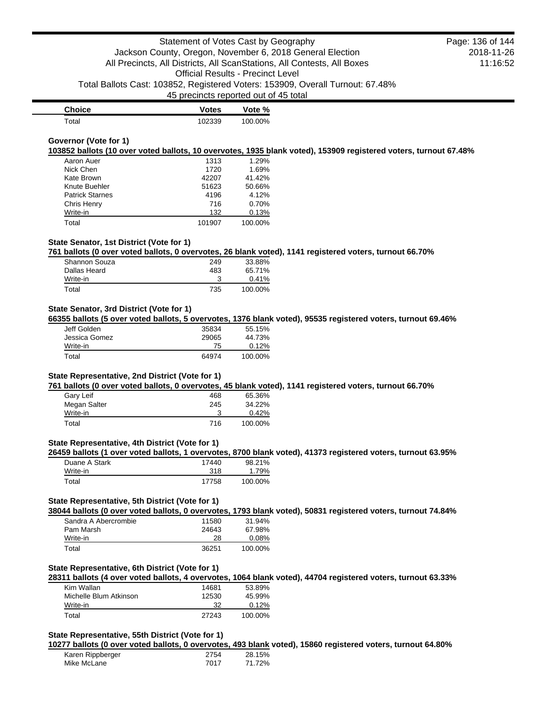| <b>Choice</b> | <b>Votes</b> | Vote %  |
|---------------|--------------|---------|
| $\tau$ otal   | 102339       | 100.00% |

### **Governor (Vote for 1)**

**103852 ballots (10 over voted ballots, 10 overvotes, 1935 blank voted), 153909 registered voters, turnout 67.48%**

| Aaron Auer             | 1313   | 1.29%   |
|------------------------|--------|---------|
| Nick Chen              | 1720   | 1.69%   |
| Kate Brown             | 42207  | 41.42%  |
| Knute Buehler          | 51623  | 50.66%  |
| <b>Patrick Starnes</b> | 4196   | 4.12%   |
| Chris Henry            | 716    | 0.70%   |
| Write-in               | 132    | 0.13%   |
| Total                  | 101907 | 100.00% |

### **State Senator, 1st District (Vote for 1)**

**761 ballots (0 over voted ballots, 0 overvotes, 26 blank voted), 1141 registered voters, turnout 66.70%**

| Shannon Souza | 249 | 33.88%  |
|---------------|-----|---------|
| Dallas Heard  | 483 | 65.71%  |
| Write-in      |     | 0.41%   |
| Total         | 735 | 100.00% |

# **State Senator, 3rd District (Vote for 1)**

**66355 ballots (5 over voted ballots, 5 overvotes, 1376 blank voted), 95535 registered voters, turnout 69.46%**

| Jeff Golden   | 35834 | 55.15%  |
|---------------|-------|---------|
| Jessica Gomez | 29065 | 44.73%  |
| Write-in      | 75    | 0.12%   |
| Total         | 64974 | 100.00% |

#### **State Representative, 2nd District (Vote for 1)**

**761 ballots (0 over voted ballots, 0 overvotes, 45 blank voted), 1141 registered voters, turnout 66.70%**

| Gary Leif    | 468 | 65.36%  |
|--------------|-----|---------|
| Megan Salter | 245 | 34.22%  |
| Write-in     |     | 0.42%   |
| Total        | 716 | 100.00% |

#### **State Representative, 4th District (Vote for 1)**

**26459 ballots (1 over voted ballots, 1 overvotes, 8700 blank voted), 41373 registered voters, turnout 63.95%**

| Duane A Stark | 17440 | 98.21%  |
|---------------|-------|---------|
| Write-in      | 318   | 1.79%   |
| Total         | 17758 | 100.00% |

## **State Representative, 5th District (Vote for 1)**

**38044 ballots (0 over voted ballots, 0 overvotes, 1793 blank voted), 50831 registered voters, turnout 74.84%**

| Sandra A Abercrombie | 11580 | 31.94%  |
|----------------------|-------|---------|
| Pam Marsh            | 24643 | 67.98%  |
| Write-in             | 28    | 0.08%   |
| Total                | 36251 | 100.00% |

#### **State Representative, 6th District (Vote for 1)**

**28311 ballots (4 over voted ballots, 4 overvotes, 1064 blank voted), 44704 registered voters, turnout 63.33%**

| Kim Wallan             | 14681 | 53.89%   |
|------------------------|-------|----------|
| Michelle Blum Atkinson | 12530 | 45.99%   |
| Write-in               | 32    | $0.12\%$ |
| Total                  | 27243 | 100.00%  |

## **State Representative, 55th District (Vote for 1)**

**10277 ballots (0 over voted ballots, 0 overvotes, 493 blank voted), 15860 registered voters, turnout 64.80%**

| Karen Rippberger | 2754 | 28.15% |
|------------------|------|--------|
| Mike McLane      | 7017 | 71.72% |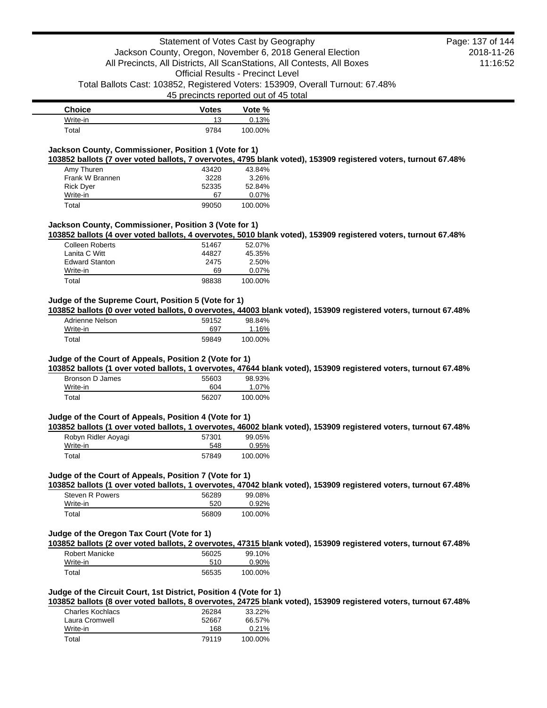| <b>Choice</b> | <b>Votes</b> | Vote %  |
|---------------|--------------|---------|
| Write-in      | 13           | 0.13%   |
| Total         | 9784         | 100.00% |

# **Jackson County, Commissioner, Position 1 (Vote for 1)**

**103852 ballots (7 over voted ballots, 7 overvotes, 4795 blank voted), 153909 registered voters, turnout 67.48%**

| Amy Thuren       | 43420 | 43.84%   |
|------------------|-------|----------|
| Frank W Brannen  | 3228  | 3.26%    |
| <b>Rick Dyer</b> | 52335 | 52.84%   |
| Write-in         | 67    | $0.07\%$ |
| Total            | 99050 | 100.00%  |

### **Jackson County, Commissioner, Position 3 (Vote for 1)**

**103852 ballots (4 over voted ballots, 4 overvotes, 5010 blank voted), 153909 registered voters, turnout 67.48%**

| Colleen Roberts       | 51467 | 52.07%  |
|-----------------------|-------|---------|
| Lanita C Witt         | 44827 | 45.35%  |
| <b>Edward Stanton</b> | 2475  | 2.50%   |
| Write-in              | 69    | 0.07%   |
| Total                 | 98838 | 100.00% |

# **Judge of the Supreme Court, Position 5 (Vote for 1)**

**103852 ballots (0 over voted ballots, 0 overvotes, 44003 blank voted), 153909 registered voters, turnout 67.48%**

| Adrienne Nelson | 59152 | 98.84%   |
|-----------------|-------|----------|
| Write-in        | 697   | $1.16\%$ |
| Total           | 59849 | 100.00%  |

## **Judge of the Court of Appeals, Position 2 (Vote for 1)**

**103852 ballots (1 over voted ballots, 1 overvotes, 47644 blank voted), 153909 registered voters, turnout 67.48%**

| Bronson D James | 55603 | 98.93%  |
|-----------------|-------|---------|
| Write-in        | 604   | 1.07%   |
| Total           | 56207 | 100.00% |

# **Judge of the Court of Appeals, Position 4 (Vote for 1)**

**103852 ballots (1 over voted ballots, 1 overvotes, 46002 blank voted), 153909 registered voters, turnout 67.48%**

| Robyn Ridler Aoyagi | 57301 | 99.05%  |
|---------------------|-------|---------|
| Write-in            | 548   | 0.95%   |
| Total               | 57849 | 100.00% |

#### **Judge of the Court of Appeals, Position 7 (Vote for 1)**

**103852 ballots (1 over voted ballots, 1 overvotes, 47042 blank voted), 153909 registered voters, turnout 67.48%**

| Steven R Powers | 56289 | 99.08%  |
|-----------------|-------|---------|
| Write-in        | 520   | 0.92%   |
| Total           | 56809 | 100.00% |

### **Judge of the Oregon Tax Court (Vote for 1)**

**103852 ballots (2 over voted ballots, 2 overvotes, 47315 blank voted), 153909 registered voters, turnout 67.48%**

| Robert Manicke | 56025 | 99.10%  |
|----------------|-------|---------|
| Write-in       | 510   | 0.90%   |
| Total          | 56535 | 100.00% |

### **Judge of the Circuit Court, 1st District, Position 4 (Vote for 1)**

**103852 ballots (8 over voted ballots, 8 overvotes, 24725 blank voted), 153909 registered voters, turnout 67.48%**

| Charles Kochlacs | 26284 | 33.22%  |
|------------------|-------|---------|
| Laura Cromwell   | 52667 | 66.57%  |
| Write-in         | 168   | 0.21%   |
| Total            | 79119 | 100.00% |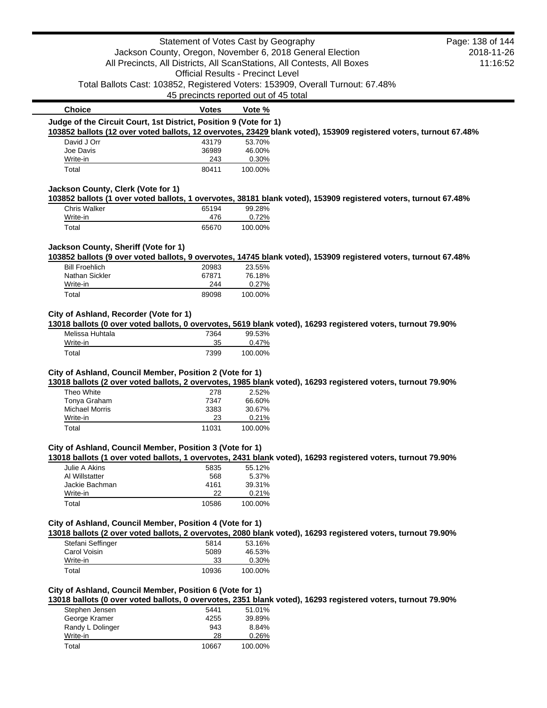|                                                                                                                                                                          | Statement of Votes Cast by Geography                      |                                          |                                                                                                                   | Page: 138 of 144 |
|--------------------------------------------------------------------------------------------------------------------------------------------------------------------------|-----------------------------------------------------------|------------------------------------------|-------------------------------------------------------------------------------------------------------------------|------------------|
|                                                                                                                                                                          | Jackson County, Oregon, November 6, 2018 General Election |                                          |                                                                                                                   | 2018-11-26       |
|                                                                                                                                                                          |                                                           |                                          | All Precincts, All Districts, All ScanStations, All Contests, All Boxes                                           | 11:16:52         |
|                                                                                                                                                                          |                                                           | <b>Official Results - Precinct Level</b> |                                                                                                                   |                  |
|                                                                                                                                                                          |                                                           |                                          | Total Ballots Cast: 103852, Registered Voters: 153909, Overall Turnout: 67.48%                                    |                  |
|                                                                                                                                                                          | 45 precincts reported out of 45 total                     |                                          |                                                                                                                   |                  |
| <b>Choice</b>                                                                                                                                                            | <b>Votes</b>                                              | Vote %                                   |                                                                                                                   |                  |
| Judge of the Circuit Court, 1st District, Position 9 (Vote for 1)                                                                                                        |                                                           |                                          |                                                                                                                   |                  |
|                                                                                                                                                                          |                                                           |                                          | 103852 ballots (12 over voted ballots, 12 overvotes, 23429 blank voted), 153909 registered voters, turnout 67.48% |                  |
| David J Orr<br>Joe Davis                                                                                                                                                 | 43179<br>36989                                            | 53.70%<br>46.00%                         |                                                                                                                   |                  |
| Write-in                                                                                                                                                                 | 243                                                       | 0.30%                                    |                                                                                                                   |                  |
| Total                                                                                                                                                                    | 80411                                                     | 100.00%                                  |                                                                                                                   |                  |
| Jackson County, Clerk (Vote for 1)                                                                                                                                       |                                                           |                                          |                                                                                                                   |                  |
|                                                                                                                                                                          |                                                           |                                          | 103852 ballots (1 over voted ballots, 1 overvotes, 38181 blank voted), 153909 registered voters, turnout 67.48%   |                  |
| <b>Chris Walker</b>                                                                                                                                                      | 65194                                                     | 99.28%                                   |                                                                                                                   |                  |
| Write-in                                                                                                                                                                 | 476                                                       | 0.72%                                    |                                                                                                                   |                  |
| Total                                                                                                                                                                    | 65670                                                     | 100.00%                                  |                                                                                                                   |                  |
| Jackson County, Sheriff (Vote for 1)                                                                                                                                     |                                                           |                                          |                                                                                                                   |                  |
|                                                                                                                                                                          |                                                           |                                          | 103852 ballots (9 over voted ballots, 9 overvotes, 14745 blank voted), 153909 registered voters, turnout 67.48%   |                  |
| <b>Bill Froehlich</b>                                                                                                                                                    | 20983                                                     | 23.55%                                   |                                                                                                                   |                  |
| Nathan Sickler                                                                                                                                                           | 67871                                                     | 76.18%                                   |                                                                                                                   |                  |
| Write-in<br>Total                                                                                                                                                        | 244<br>89098                                              | 0.27%<br>100.00%                         |                                                                                                                   |                  |
|                                                                                                                                                                          |                                                           |                                          |                                                                                                                   |                  |
| City of Ashland, Recorder (Vote for 1)                                                                                                                                   |                                                           |                                          |                                                                                                                   |                  |
| 13018 ballots (0 over voted ballots, 0 overvotes, 5619 blank voted), 16293 registered voters, turnout 79.90%                                                             |                                                           |                                          |                                                                                                                   |                  |
| Melissa Huhtala                                                                                                                                                          | 7364                                                      | 99.53%                                   |                                                                                                                   |                  |
| Write-in                                                                                                                                                                 | 35                                                        | 0.47%                                    |                                                                                                                   |                  |
| Total                                                                                                                                                                    | 7399                                                      | 100.00%                                  |                                                                                                                   |                  |
| City of Ashland, Council Member, Position 2 (Vote for 1)                                                                                                                 |                                                           |                                          |                                                                                                                   |                  |
| 13018 ballots (2 over voted ballots, 2 overvotes, 1985 blank voted), 16293 registered voters, turnout 79.90%                                                             |                                                           |                                          |                                                                                                                   |                  |
| Theo White                                                                                                                                                               | 278                                                       | 2.52%                                    |                                                                                                                   |                  |
| Tonya Graham                                                                                                                                                             | 7347                                                      | 66.60%                                   |                                                                                                                   |                  |
| <b>Michael Morris</b><br>Write-in                                                                                                                                        | 3383                                                      | 30.67%                                   |                                                                                                                   |                  |
|                                                                                                                                                                          | 23<br>11031                                               | 0.21%                                    |                                                                                                                   |                  |
| Total                                                                                                                                                                    |                                                           | 100.00%                                  |                                                                                                                   |                  |
| City of Ashland, Council Member, Position 3 (Vote for 1)                                                                                                                 |                                                           |                                          |                                                                                                                   |                  |
|                                                                                                                                                                          |                                                           |                                          | 13018 ballots (1 over voted ballots, 1 overvotes, 2431 blank voted), 16293 registered voters, turnout 79.90%      |                  |
| Julie A Akins                                                                                                                                                            | 5835                                                      | 55.12%                                   |                                                                                                                   |                  |
| Al Willstatter<br>Jackie Bachman                                                                                                                                         | 568<br>4161                                               | 5.37%<br>39.31%                          |                                                                                                                   |                  |
| Write-in                                                                                                                                                                 | 22                                                        | 0.21%                                    |                                                                                                                   |                  |
| Total                                                                                                                                                                    | 10586                                                     | 100.00%                                  |                                                                                                                   |                  |
|                                                                                                                                                                          |                                                           |                                          |                                                                                                                   |                  |
| City of Ashland, Council Member, Position 4 (Vote for 1)<br>13018 ballots (2 over voted ballots, 2 overvotes, 2080 blank voted), 16293 registered voters, turnout 79.90% |                                                           |                                          |                                                                                                                   |                  |
| Stefani Seffinger                                                                                                                                                        | 5814                                                      | 53.16%                                   |                                                                                                                   |                  |
| Carol Voisin                                                                                                                                                             | 5089                                                      | 46.53%                                   |                                                                                                                   |                  |
| Write-in                                                                                                                                                                 | 33                                                        | 0.30%                                    |                                                                                                                   |                  |
| Total                                                                                                                                                                    | 10936                                                     | 100.00%                                  |                                                                                                                   |                  |
|                                                                                                                                                                          |                                                           |                                          |                                                                                                                   |                  |
| City of Ashland, Council Member, Position 6 (Vote for 1)                                                                                                                 |                                                           |                                          | 13018 ballots (0 over voted ballots, 0 overvotes, 2351 blank voted), 16293 registered voters, turnout 79.90%      |                  |
| Stephen Jensen                                                                                                                                                           | 5441                                                      | 51.01%                                   |                                                                                                                   |                  |
|                                                                                                                                                                          |                                                           | 39.89%                                   |                                                                                                                   |                  |
|                                                                                                                                                                          |                                                           |                                          |                                                                                                                   |                  |
| George Kramer                                                                                                                                                            | 4255<br>943                                               | 8.84%                                    |                                                                                                                   |                  |
| Randy L Dolinger<br>Write-in                                                                                                                                             | 28                                                        | 0.26%                                    |                                                                                                                   |                  |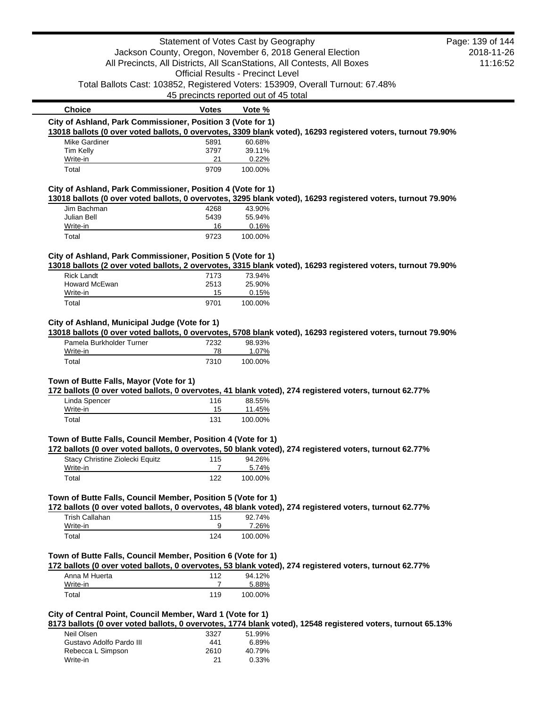|                                                              | Statement of Votes Cast by Geography     |                  |                                                                                                              | Page: 139 of 144 |
|--------------------------------------------------------------|------------------------------------------|------------------|--------------------------------------------------------------------------------------------------------------|------------------|
|                                                              |                                          |                  | Jackson County, Oregon, November 6, 2018 General Election                                                    | 2018-11-26       |
|                                                              |                                          |                  | All Precincts, All Districts, All ScanStations, All Contests, All Boxes                                      | 11:16:52         |
|                                                              | <b>Official Results - Precinct Level</b> |                  |                                                                                                              |                  |
|                                                              |                                          |                  | Total Ballots Cast: 103852, Registered Voters: 153909, Overall Turnout: 67.48%                               |                  |
|                                                              | 45 precincts reported out of 45 total    |                  |                                                                                                              |                  |
| <b>Choice</b>                                                | Votes                                    | Vote %           |                                                                                                              |                  |
| City of Ashland, Park Commissioner, Position 3 (Vote for 1)  |                                          |                  |                                                                                                              |                  |
|                                                              |                                          |                  | 13018 ballots (0 over voted ballots, 0 overvotes, 3309 blank voted), 16293 registered voters, turnout 79.90% |                  |
| Mike Gardiner                                                | 5891                                     | 60.68%           |                                                                                                              |                  |
| Tim Kelly                                                    | 3797                                     | 39.11%           |                                                                                                              |                  |
| Write-in<br>Total                                            | 21<br>9709                               | 0.22%<br>100.00% |                                                                                                              |                  |
|                                                              |                                          |                  |                                                                                                              |                  |
| City of Ashland, Park Commissioner, Position 4 (Vote for 1)  |                                          |                  |                                                                                                              |                  |
|                                                              |                                          |                  | 13018 ballots (0 over voted ballots, 0 overvotes, 3295 blank voted), 16293 registered voters, turnout 79.90% |                  |
| Jim Bachman                                                  | 4268                                     | 43.90%           |                                                                                                              |                  |
| Julian Bell                                                  | 5439                                     | 55.94%           |                                                                                                              |                  |
| Write-in                                                     | 16                                       | 0.16%            |                                                                                                              |                  |
| Total                                                        | 9723                                     | 100.00%          |                                                                                                              |                  |
| City of Ashland, Park Commissioner, Position 5 (Vote for 1)  |                                          |                  |                                                                                                              |                  |
|                                                              |                                          |                  | 13018 ballots (2 over voted ballots, 2 overvotes, 3315 blank voted), 16293 registered voters, turnout 79.90% |                  |
| <b>Rick Landt</b>                                            | 7173                                     | 73.94%           |                                                                                                              |                  |
| Howard McEwan                                                | 2513                                     | 25.90%           |                                                                                                              |                  |
| Write-in                                                     | 15                                       | 0.15%            |                                                                                                              |                  |
| Total                                                        | 9701                                     | 100.00%          |                                                                                                              |                  |
|                                                              |                                          |                  |                                                                                                              |                  |
| City of Ashland, Municipal Judge (Vote for 1)                |                                          |                  |                                                                                                              |                  |
|                                                              |                                          |                  | 13018 ballots (0 over voted ballots, 0 overvotes, 5708 blank voted), 16293 registered voters, turnout 79.90% |                  |
| Pamela Burkholder Turner<br>Write-in                         | 7232<br>78                               | 98.93%<br>1.07%  |                                                                                                              |                  |
| Total                                                        | 7310                                     | 100.00%          |                                                                                                              |                  |
|                                                              |                                          |                  |                                                                                                              |                  |
| Town of Butte Falls, Mayor (Vote for 1)                      |                                          |                  |                                                                                                              |                  |
|                                                              |                                          |                  | 172 ballots (0 over voted ballots, 0 overvotes, 41 blank voted), 274 registered voters, turnout 62.77%       |                  |
| Linda Spencer                                                | 116                                      | 88.55%           |                                                                                                              |                  |
| Write-in                                                     | 15                                       | 11.45%           |                                                                                                              |                  |
| Total                                                        | 131                                      | 100.00%          |                                                                                                              |                  |
|                                                              |                                          |                  |                                                                                                              |                  |
| Town of Butte Falls, Council Member, Position 4 (Vote for 1) |                                          |                  |                                                                                                              |                  |
|                                                              |                                          |                  | 172 ballots (0 over voted ballots, 0 overvotes, 50 blank voted), 274 registered voters, turnout 62.77%       |                  |
| Stacy Christine Ziolecki Equitz<br>Write-in                  | 115<br>$\overline{7}$                    | 94.26%           |                                                                                                              |                  |
| Total                                                        | 122                                      | 5.74%<br>100.00% |                                                                                                              |                  |
|                                                              |                                          |                  |                                                                                                              |                  |
| Town of Butte Falls, Council Member, Position 5 (Vote for 1) |                                          |                  |                                                                                                              |                  |
|                                                              |                                          |                  | 172 ballots (0 over voted ballots, 0 overvotes, 48 blank voted), 274 registered voters, turnout 62.77%       |                  |
| <b>Trish Callahan</b>                                        | 115                                      | 92.74%           |                                                                                                              |                  |
| Write-in                                                     | 9                                        | 7.26%            |                                                                                                              |                  |
| Total                                                        | 124                                      | 100.00%          |                                                                                                              |                  |
|                                                              |                                          |                  |                                                                                                              |                  |
| Town of Butte Falls, Council Member, Position 6 (Vote for 1) |                                          |                  |                                                                                                              |                  |
|                                                              |                                          |                  | 172 ballots (0 over voted ballots, 0 overvotes, 53 blank voted), 274 registered voters, turnout 62.77%       |                  |
| Anna M Huerta                                                | 112                                      | 94.12%           |                                                                                                              |                  |
| Write-in                                                     | $\overline{7}$                           | 5.88%            |                                                                                                              |                  |
| Total                                                        | 119                                      | 100.00%          |                                                                                                              |                  |
|                                                              |                                          |                  |                                                                                                              |                  |
| City of Central Point, Council Member, Ward 1 (Vote for 1)   |                                          |                  |                                                                                                              |                  |
| Neil Olsen                                                   |                                          |                  | 8173 ballots (0 over voted ballots, 0 overvotes, 1774 blank voted), 12548 registered voters, turnout 65.13%  |                  |
| Gustavo Adolfo Pardo III                                     | 3327<br>441                              | 51.99%<br>6.89%  |                                                                                                              |                  |
| Rebecca L Simpson                                            | 2610                                     | 40.79%           |                                                                                                              |                  |
| Write-in                                                     | 21                                       | 0.33%            |                                                                                                              |                  |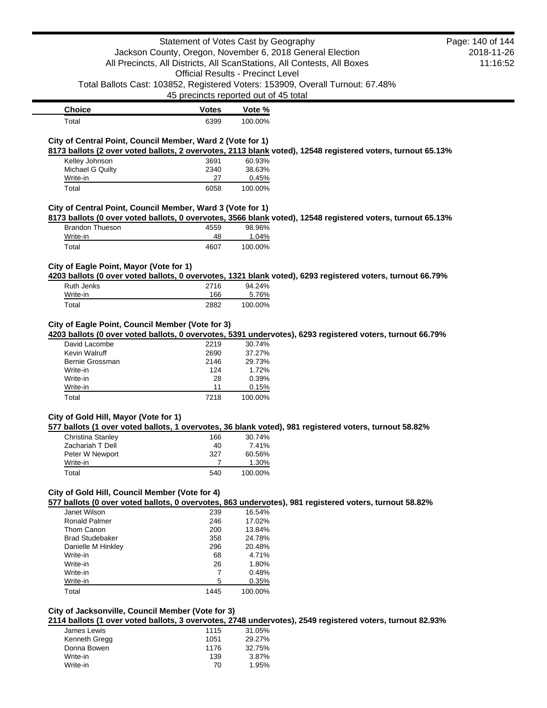|                                                                                    | Statement of Votes Cast by Geography     |                  | Jackson County, Oregon, November 6, 2018 General Election<br>All Precincts, All Districts, All ScanStations, All Contests, All Boxes | Page: 140 of 144<br>2018-11-26<br>11:16:52 |
|------------------------------------------------------------------------------------|------------------------------------------|------------------|--------------------------------------------------------------------------------------------------------------------------------------|--------------------------------------------|
|                                                                                    | <b>Official Results - Precinct Level</b> |                  |                                                                                                                                      |                                            |
|                                                                                    | 45 precincts reported out of 45 total    |                  | Total Ballots Cast: 103852, Registered Voters: 153909, Overall Turnout: 67.48%                                                       |                                            |
| <b>Choice</b>                                                                      | <b>Votes</b>                             | Vote %           |                                                                                                                                      |                                            |
| Total                                                                              | 6399                                     | 100.00%          |                                                                                                                                      |                                            |
| City of Central Point, Council Member, Ward 2 (Vote for 1)                         |                                          |                  |                                                                                                                                      |                                            |
|                                                                                    |                                          |                  | 8173 ballots (2 over voted ballots, 2 overvotes, 2113 blank voted), 12548 registered voters, turnout 65.13%                          |                                            |
| Kelley Johnson                                                                     | 3691                                     | 60.93%           |                                                                                                                                      |                                            |
| Michael G Quilty                                                                   | 2340                                     | 38.63%           |                                                                                                                                      |                                            |
| Write-in                                                                           | 27                                       | 0.45%            |                                                                                                                                      |                                            |
| Total                                                                              | 6058                                     | 100.00%          |                                                                                                                                      |                                            |
| City of Central Point, Council Member, Ward 3 (Vote for 1)                         |                                          |                  |                                                                                                                                      |                                            |
|                                                                                    |                                          |                  | 8173 ballots (0 over voted ballots, 0 overvotes, 3566 blank voted), 12548 registered voters, turnout 65.13%                          |                                            |
| <b>Brandon Thueson</b>                                                             | 4559                                     | 98.96%           |                                                                                                                                      |                                            |
| Write-in                                                                           | 48                                       | 1.04%            |                                                                                                                                      |                                            |
| Total                                                                              | 4607                                     | 100.00%          |                                                                                                                                      |                                            |
| City of Eagle Point, Mayor (Vote for 1)                                            |                                          |                  | 4203 ballots (0 over voted ballots, 0 overvotes, 1321 blank voted), 6293 registered voters, turnout 66.79%                           |                                            |
| <b>Ruth Jenks</b>                                                                  | 2716                                     | 94.24%           |                                                                                                                                      |                                            |
| Write-in                                                                           | 166                                      | 5.76%            |                                                                                                                                      |                                            |
| Total                                                                              | 2882                                     | 100.00%          |                                                                                                                                      |                                            |
| City of Eagle Point, Council Member (Vote for 3)<br>David Lacombe<br>Kevin Walruff | 2219<br>2690                             | 30.74%<br>37.27% | 4203 ballots (0 over voted ballots, 0 overvotes, 5391 undervotes), 6293 registered voters, turnout 66.79%                            |                                            |
| Bernie Grossman                                                                    | 2146                                     | 29.73%           |                                                                                                                                      |                                            |
| Write-in                                                                           | 124                                      | 1.72%            |                                                                                                                                      |                                            |
| Write-in                                                                           | 28                                       | 0.39%            |                                                                                                                                      |                                            |
| Write-in                                                                           | 11                                       | 0.15%            |                                                                                                                                      |                                            |
| Total                                                                              | 7218                                     | 100.00%          |                                                                                                                                      |                                            |
| City of Gold Hill, Mayor (Vote for 1)<br>Christina Stanley 166 30.74%              |                                          |                  | 577 ballots (1 over voted ballots, 1 overvotes, 36 blank voted), 981 registered voters, turnout 58.82%                               |                                            |
| Zachariah T Dell                                                                   | 40                                       | 7.41%            |                                                                                                                                      |                                            |
| Peter W Newport                                                                    | 327                                      | 60.56%           |                                                                                                                                      |                                            |
| Write-in                                                                           | 7                                        | 1.30%            |                                                                                                                                      |                                            |
| Total                                                                              | 540                                      | 100.00%          |                                                                                                                                      |                                            |
| City of Gold Hill, Council Member (Vote for 4)                                     |                                          |                  | 577 ballots (0 over voted ballots, 0 overvotes, 863 undervotes), 981 registered voters, turnout 58.82%                               |                                            |
| Janet Wilson                                                                       | 239                                      | 16.54%           |                                                                                                                                      |                                            |
| <b>Ronald Palmer</b>                                                               | 246                                      | 17.02%           |                                                                                                                                      |                                            |
| Thom Canon                                                                         | 200                                      | 13.84%           |                                                                                                                                      |                                            |
| <b>Brad Studebaker</b>                                                             | 358                                      | 24.78%           |                                                                                                                                      |                                            |
| Danielle M Hinkley                                                                 | 296                                      | 20.48%           |                                                                                                                                      |                                            |
| Write-in                                                                           | 68                                       | 4.71%            |                                                                                                                                      |                                            |
| Write-in                                                                           | 26                                       | 1.80%            |                                                                                                                                      |                                            |
| Write-in                                                                           | 7                                        | 0.48%            |                                                                                                                                      |                                            |
| Write-in                                                                           | 5                                        | 0.35%            |                                                                                                                                      |                                            |
| Total                                                                              | 1445                                     | 100.00%          |                                                                                                                                      |                                            |

# **City of Jacksonville, Council Member (Vote for 3)**

**2114 ballots (1 over voted ballots, 3 overvotes, 2748 undervotes), 2549 registered voters, turnout 82.93%**

| James Lewis   | 1115 | 31.05% |
|---------------|------|--------|
| Kenneth Gregg | 1051 | 29.27% |
| Donna Bowen   | 1176 | 32.75% |
| Write-in      | 139  | 3.87%  |
| Write-in      | 70   | 1.95%  |
|               |      |        |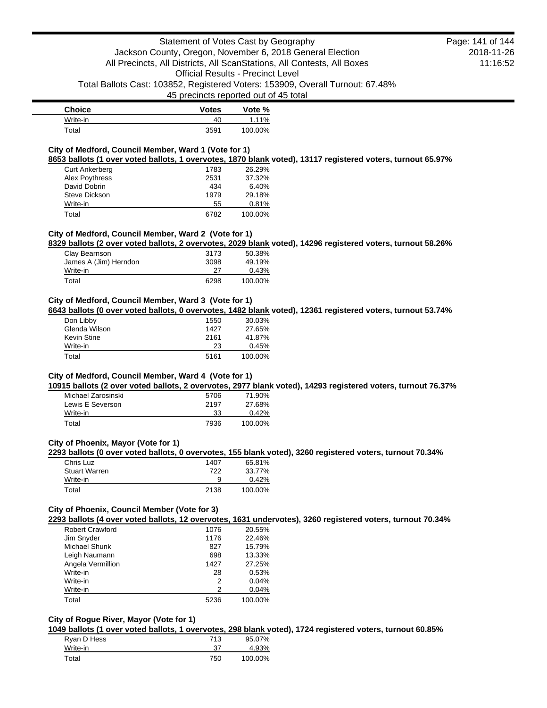| <b>Choice</b> | <b>Votes</b> | Vote %  |
|---------------|--------------|---------|
| Write-in      | 40           | 1.11%   |
| Total         | 3591         | 100.00% |

# **City of Medford, Council Member, Ward 1 (Vote for 1)**

**8653 ballots (1 over voted ballots, 1 overvotes, 1870 blank voted), 13117 registered voters, turnout 65.97%**

| <b>Curt Ankerberg</b> | 1783 | 26.29%  |
|-----------------------|------|---------|
| Alex Poythress        | 2531 | 37.32%  |
| David Dobrin          | 434  | 6.40%   |
| Steve Dickson         | 1979 | 29.18%  |
| Write-in              | 55   | 0.81%   |
| Total                 | 6782 | 100.00% |

## **City of Medford, Council Member, Ward 2 (Vote for 1)**

**8329 ballots (2 over voted ballots, 2 overvotes, 2029 blank voted), 14296 registered voters, turnout 58.26%**

| Clay Bearnson         | 3173 | 50.38%  |
|-----------------------|------|---------|
| James A (Jim) Herndon | 3098 | 49.19%  |
| Write-in              | 27   | 0.43%   |
| Total                 | 6298 | 100.00% |

# **City of Medford, Council Member, Ward 3 (Vote for 1)**

**6643 ballots (0 over voted ballots, 0 overvotes, 1482 blank voted), 12361 registered voters, turnout 53.74%**

| Don Libby     | 1550 | 30.03%  |
|---------------|------|---------|
| Glenda Wilson | 1427 | 27.65%  |
| Kevin Stine   | 2161 | 41.87%  |
| Write-in      | 23   | 0.45%   |
| Total         | 5161 | 100.00% |

### **City of Medford, Council Member, Ward 4 (Vote for 1)**

**10915 ballots (2 over voted ballots, 2 overvotes, 2977 blank voted), 14293 registered voters, turnout 76.37%**

| Michael Zarosinski | 5706 | 71.90%  |
|--------------------|------|---------|
| Lewis E Severson   | 2197 | 27.68%  |
| Write-in           | 33   | 0.42%   |
| Total              | 7936 | 100.00% |

### **City of Phoenix, Mayor (Vote for 1)**

**2293 ballots (0 over voted ballots, 0 overvotes, 155 blank voted), 3260 registered voters, turnout 70.34%**

| Chris Luz            | 1407 | 65.81%  |
|----------------------|------|---------|
| <b>Stuart Warren</b> | 722  | 33.77%  |
| Write-in             | 9    | 0.42%   |
| Total                | 2138 | 100.00% |

## **City of Phoenix, Council Member (Vote for 3)**

**2293 ballots (4 over voted ballots, 12 overvotes, 1631 undervotes), 3260 registered voters, turnout 70.34%**

| <b>Robert Crawford</b> | 1076 | 20.55%  |
|------------------------|------|---------|
| Jim Snyder             | 1176 | 22.46%  |
| <b>Michael Shunk</b>   | 827  | 15.79%  |
| Leigh Naumann          | 698  | 13.33%  |
| Angela Vermillion      | 1427 | 27.25%  |
| Write-in               | 28   | 0.53%   |
| Write-in               | 2    | 0.04%   |
| Write-in               | 2    | 0.04%   |
| Total                  | 5236 | 100.00% |

# **City of Rogue River, Mayor (Vote for 1)**

**1049 ballots (1 over voted ballots, 1 overvotes, 298 blank voted), 1724 registered voters, turnout 60.85%**

| Ryan D Hess | 713 | 95.07%  |
|-------------|-----|---------|
| Write-in    | 37  | 4.93%   |
| Total       | 750 | 100.00% |

2018-11-26 11:16:52 Page: 141 of 144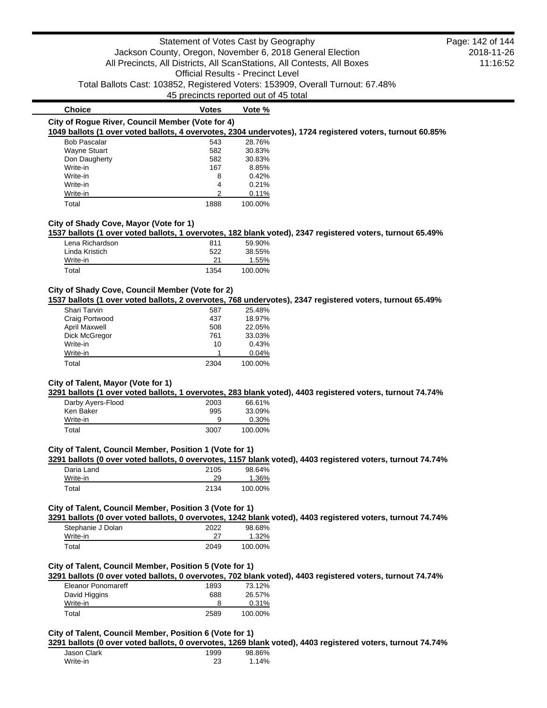| <b>Choice</b>                                    | Votes | Vote %  |                                                                                                           |
|--------------------------------------------------|-------|---------|-----------------------------------------------------------------------------------------------------------|
| City of Roque River, Council Member (Vote for 4) |       |         |                                                                                                           |
|                                                  |       |         | 1049 ballots (1 over voted ballots, 4 overvotes, 2304 undervotes), 1724 registered voters, turnout 60.85% |
| <b>Bob Pascalar</b>                              | 543   | 28.76%  |                                                                                                           |
| Wayne Stuart                                     | 582   | 30.83%  |                                                                                                           |
| Don Daugherty                                    | 582   | 30.83%  |                                                                                                           |
| Write-in                                         | 167   | 8.85%   |                                                                                                           |
| Write-in                                         | 8     | 0.42%   |                                                                                                           |
| Write-in                                         | 4     | 0.21%   |                                                                                                           |
| Write-in                                         | ⌒     | 0.11%   |                                                                                                           |
| Total                                            | 1888  | 100.00% |                                                                                                           |

## **City of Shady Cove, Mayor (Vote for 1)**

**1537 ballots (1 over voted ballots, 1 overvotes, 182 blank voted), 2347 registered voters, turnout 65.49%**

| Lena Richardson | 811  | 59.90%  |
|-----------------|------|---------|
| Linda Kristich  | 522  | 38.55%  |
| Write-in        | 21   | 1.55%   |
| Total           | 1354 | 100.00% |

### **City of Shady Cove, Council Member (Vote for 2)**

**1537 ballots (1 over voted ballots, 2 overvotes, 768 undervotes), 2347 registered voters, turnout 65.49%**

| Shari Tarvin         | 587  | 25.48%  |
|----------------------|------|---------|
| Craig Portwood       | 437  | 18.97%  |
| <b>April Maxwell</b> | 508  | 22.05%  |
| Dick McGregor        | 761  | 33.03%  |
| Write-in             | 10   | 0.43%   |
| Write-in             |      | 0.04%   |
| Total                | 2304 | 100.00% |

# **City of Talent, Mayor (Vote for 1)**

**3291 ballots (1 over voted ballots, 1 overvotes, 283 blank voted), 4403 registered voters, turnout 74.74%**

| Darby Ayers-Flood | 2003 | 66.61%  |
|-------------------|------|---------|
| Ken Baker         | 995  | 33.09%  |
| Write-in          | 9    | 0.30%   |
| Total             | 3007 | 100.00% |

### **City of Talent, Council Member, Position 1 (Vote for 1)**

**3291 ballots (0 over voted ballots, 0 overvotes, 1157 blank voted), 4403 registered voters, turnout 74.74%**

| Daria Land | 2105 | 98.64%  |
|------------|------|---------|
| Write-in   | 29   | 1.36%   |
| Total      | 2134 | 100.00% |

## **City of Talent, Council Member, Position 3 (Vote for 1)**

**3291 ballots (0 over voted ballots, 0 overvotes, 1242 blank voted), 4403 registered voters, turnout 74.74%**

| Stephanie J Dolan<br>Write-in | 2022 | 98.68%<br>1.32% |
|-------------------------------|------|-----------------|
| Total                         | 2049 | 100.00%         |

## **City of Talent, Council Member, Position 5 (Vote for 1)**

**3291 ballots (0 over voted ballots, 0 overvotes, 702 blank voted), 4403 registered voters, turnout 74.74%**

| Eleanor Ponomareff | 1893 | 73.12%  |
|--------------------|------|---------|
| David Higgins      | 688  | 26.57%  |
| Write-in           |      | 0.31%   |
| Total              | 2589 | 100.00% |

### **City of Talent, Council Member, Position 6 (Vote for 1)**

**3291 ballots (0 over voted ballots, 0 overvotes, 1269 blank voted), 4403 registered voters, turnout 74.74%**

| Jason Clark | 1999 | 98.86% |
|-------------|------|--------|
| Write-in    | 23   | 1.14%  |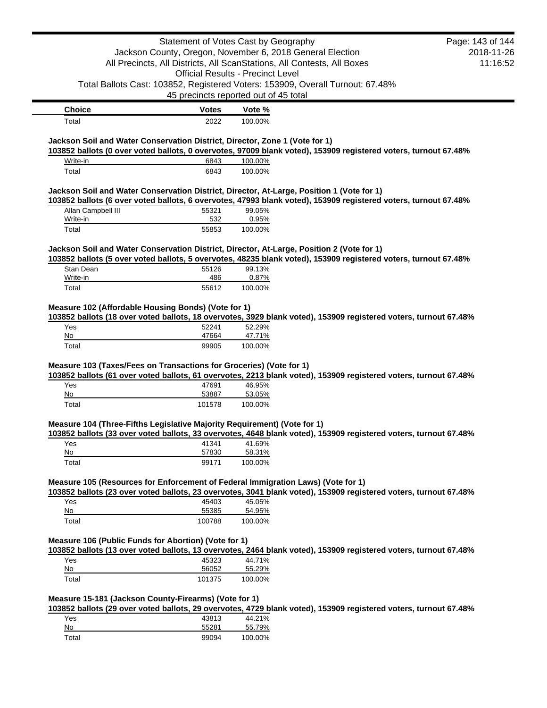|                                                                                           | Statement of Votes Cast by Geography                      |                                          |                                                                                                                  | Page: 143 of 144 |
|-------------------------------------------------------------------------------------------|-----------------------------------------------------------|------------------------------------------|------------------------------------------------------------------------------------------------------------------|------------------|
|                                                                                           | Jackson County, Oregon, November 6, 2018 General Election |                                          |                                                                                                                  | 2018-11-26       |
|                                                                                           |                                                           |                                          | All Precincts, All Districts, All ScanStations, All Contests, All Boxes                                          | 11:16:52         |
|                                                                                           |                                                           | <b>Official Results - Precinct Level</b> |                                                                                                                  |                  |
|                                                                                           |                                                           |                                          | Total Ballots Cast: 103852, Registered Voters: 153909, Overall Turnout: 67.48%                                   |                  |
|                                                                                           | 45 precincts reported out of 45 total                     |                                          |                                                                                                                  |                  |
| <b>Choice</b>                                                                             | <b>Votes</b>                                              | Vote %                                   |                                                                                                                  |                  |
| Total                                                                                     | 2022                                                      | 100.00%                                  |                                                                                                                  |                  |
|                                                                                           |                                                           |                                          |                                                                                                                  |                  |
| Jackson Soil and Water Conservation District, Director, Zone 1 (Vote for 1)               |                                                           |                                          | 103852 ballots (0 over voted ballots, 0 overvotes, 97009 blank voted), 153909 registered voters, turnout 67.48%  |                  |
| Write-in                                                                                  | 6843                                                      | 100.00%                                  |                                                                                                                  |                  |
| Total                                                                                     | 6843                                                      | 100.00%                                  |                                                                                                                  |                  |
| Jackson Soil and Water Conservation District, Director, At-Large, Position 1 (Vote for 1) |                                                           |                                          |                                                                                                                  |                  |
| Allan Campbell III                                                                        | 55321                                                     | 99.05%                                   | 103852 ballots (6 over voted ballots, 6 overvotes, 47993 blank voted), 153909 registered voters, turnout 67.48%  |                  |
| Write-in                                                                                  | 532                                                       | 0.95%                                    |                                                                                                                  |                  |
| Total                                                                                     | 55853                                                     | 100.00%                                  |                                                                                                                  |                  |
|                                                                                           |                                                           |                                          |                                                                                                                  |                  |
| Jackson Soil and Water Conservation District, Director, At-Large, Position 2 (Vote for 1) |                                                           |                                          | 103852 ballots (5 over voted ballots, 5 overvotes, 48235 blank voted), 153909 registered voters, turnout 67.48%  |                  |
| Stan Dean<br>Write-in                                                                     | 55126<br>486                                              | 99.13%<br>0.87%                          |                                                                                                                  |                  |
| Total                                                                                     | 55612                                                     | 100.00%                                  |                                                                                                                  |                  |
|                                                                                           |                                                           |                                          |                                                                                                                  |                  |
| Measure 102 (Affordable Housing Bonds) (Vote for 1)                                       |                                                           |                                          | 103852 ballots (18 over voted ballots, 18 overvotes, 3929 blank voted), 153909 registered voters, turnout 67.48% |                  |
| Yes                                                                                       | 52241                                                     | 52.29%                                   |                                                                                                                  |                  |
| No                                                                                        | 47664                                                     | 47.71%                                   |                                                                                                                  |                  |
| Total                                                                                     | 99905                                                     | 100.00%                                  |                                                                                                                  |                  |
| Measure 103 (Taxes/Fees on Transactions for Groceries) (Vote for 1)                       |                                                           |                                          |                                                                                                                  |                  |
|                                                                                           |                                                           |                                          | 103852 ballots (61 over voted ballots, 61 overvotes, 2213 blank voted), 153909 registered voters, turnout 67.48% |                  |
| Yes                                                                                       | 47691                                                     | 46.95%                                   |                                                                                                                  |                  |
| No<br>Total                                                                               | 53887                                                     | 53.05%                                   |                                                                                                                  |                  |
|                                                                                           | 101578                                                    | 100.00%                                  |                                                                                                                  |                  |
| Measure 104 (Three-Fifths Legislative Majority Requirement) (Vote for 1)                  |                                                           |                                          |                                                                                                                  |                  |
|                                                                                           |                                                           |                                          | 103852 ballots (33 over voted ballots, 33 overvotes, 4648 blank voted), 153909 registered voters, turnout 67.48% |                  |
| Yes                                                                                       | 41341                                                     | 41.69%                                   |                                                                                                                  |                  |
| No                                                                                        | 57830                                                     | 58.31%                                   |                                                                                                                  |                  |
| Total                                                                                     | 99171                                                     | 100.00%                                  |                                                                                                                  |                  |
| Measure 105 (Resources for Enforcement of Federal Immigration Laws) (Vote for 1)          |                                                           |                                          |                                                                                                                  |                  |
|                                                                                           |                                                           |                                          | 103852 ballots (23 over voted ballots, 23 overvotes, 3041 blank voted), 153909 registered voters, turnout 67.48% |                  |
| Yes                                                                                       | 45403                                                     | 45.05%                                   |                                                                                                                  |                  |
| No                                                                                        | 55385                                                     | 54.95%                                   |                                                                                                                  |                  |
| Total                                                                                     | 100788                                                    | 100.00%                                  |                                                                                                                  |                  |
|                                                                                           |                                                           |                                          |                                                                                                                  |                  |
| Measure 106 (Public Funds for Abortion) (Vote for 1)                                      |                                                           |                                          |                                                                                                                  |                  |
|                                                                                           |                                                           |                                          | 103852 ballots (13 over voted ballots, 13 overvotes, 2464 blank voted), 153909 registered voters, turnout 67.48% |                  |
| Yes<br>No                                                                                 | 45323<br>56052                                            | 44.71%<br>55.29%                         |                                                                                                                  |                  |
| Total                                                                                     | 101375                                                    | 100.00%                                  |                                                                                                                  |                  |
|                                                                                           |                                                           |                                          |                                                                                                                  |                  |
| Measure 15-181 (Jackson County-Firearms) (Vote for 1)                                     |                                                           |                                          |                                                                                                                  |                  |
|                                                                                           |                                                           |                                          | 103852 ballots (29 over voted ballots, 29 overvotes, 4729 blank voted), 153909 registered voters, turnout 67.48% |                  |
| Yes<br>No                                                                                 | 43813<br>55281                                            | 44.21%<br>55.79%                         |                                                                                                                  |                  |
| Total                                                                                     | 99094                                                     | 100.00%                                  |                                                                                                                  |                  |
|                                                                                           |                                                           |                                          |                                                                                                                  |                  |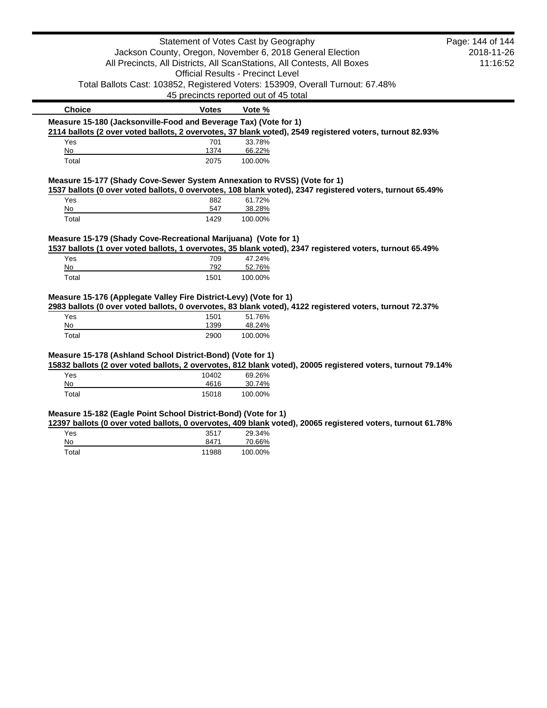|                                                                   |                                                                 | Statement of Votes Cast by Geography                                                                        | Page: 144 of 144 |
|-------------------------------------------------------------------|-----------------------------------------------------------------|-------------------------------------------------------------------------------------------------------------|------------------|
|                                                                   |                                                                 | Jackson County, Oregon, November 6, 2018 General Election                                                   | 2018-11-26       |
|                                                                   |                                                                 | All Precincts, All Districts, All ScanStations, All Contests, All Boxes                                     | 11:16:52         |
|                                                                   |                                                                 | <b>Official Results - Precinct Level</b>                                                                    |                  |
|                                                                   |                                                                 | Total Ballots Cast: 103852, Registered Voters: 153909, Overall Turnout: 67.48%                              |                  |
|                                                                   |                                                                 | 45 precincts reported out of 45 total                                                                       |                  |
| <b>Choice</b>                                                     | <b>Votes</b>                                                    | Vote %                                                                                                      |                  |
| Measure 15-180 (Jacksonville-Food and Beverage Tax) (Vote for 1)  |                                                                 |                                                                                                             |                  |
|                                                                   |                                                                 | 2114 ballots (2 over voted ballots, 2 overvotes, 37 blank voted), 2549 registered voters, turnout 82.93%    |                  |
| Yes                                                               | 701                                                             | 33.78%                                                                                                      |                  |
| No                                                                | 1374                                                            | 66.22%                                                                                                      |                  |
| Total                                                             | 2075                                                            | 100.00%                                                                                                     |                  |
|                                                                   |                                                                 | Measure 15-177 (Shady Cove-Sewer System Annexation to RVSS) (Vote for 1)                                    |                  |
|                                                                   |                                                                 | 1537 ballots (0 over voted ballots, 0 overvotes, 108 blank voted), 2347 registered voters, turnout 65.49%   |                  |
| Yes                                                               | 882                                                             | 61.72%                                                                                                      |                  |
| No                                                                | 547                                                             | 38.28%                                                                                                      |                  |
| Total                                                             | 1429                                                            | 100.00%                                                                                                     |                  |
|                                                                   |                                                                 |                                                                                                             |                  |
|                                                                   | Measure 15-179 (Shady Cove-Recreational Marijuana) (Vote for 1) |                                                                                                             |                  |
|                                                                   |                                                                 |                                                                                                             |                  |
|                                                                   |                                                                 | 1537 ballots (1 over voted ballots, 1 overvotes, 35 blank voted), 2347 registered voters, turnout 65.49%    |                  |
| Yes                                                               | 709                                                             | 47.24%                                                                                                      |                  |
| No<br>Total                                                       | 792<br>1501                                                     | 52.76%<br>100.00%                                                                                           |                  |
|                                                                   |                                                                 |                                                                                                             |                  |
| Measure 15-176 (Applegate Valley Fire District-Levy) (Vote for 1) |                                                                 |                                                                                                             |                  |
|                                                                   |                                                                 | 2983 ballots (0 over voted ballots, 0 overvotes, 83 blank voted), 4122 registered voters, turnout 72.37%    |                  |
| Yes                                                               | 1501                                                            | 51.76%                                                                                                      |                  |
| No                                                                | 1399                                                            | 48.24%                                                                                                      |                  |
| Total                                                             | 2900                                                            | 100.00%                                                                                                     |                  |
|                                                                   |                                                                 |                                                                                                             |                  |
| Measure 15-178 (Ashland School District-Bond) (Vote for 1)        |                                                                 | 15832 ballots (2 over voted ballots, 2 overvotes, 812 blank voted), 20005 registered voters, turnout 79.14% |                  |
| Yes                                                               | 10402                                                           | 69.26%                                                                                                      |                  |
| No                                                                | 4616                                                            | 30.74%                                                                                                      |                  |
| Total                                                             | 15018                                                           | 100.00%                                                                                                     |                  |
|                                                                   |                                                                 |                                                                                                             |                  |
| Measure 15-182 (Eagle Point School District-Bond) (Vote for 1)    |                                                                 |                                                                                                             |                  |
|                                                                   |                                                                 | 12397 ballots (0 over voted ballots, 0 overvotes, 409 blank voted), 20065 registered voters, turnout 61.78% |                  |
| Yes                                                               | 3517                                                            | 29.34%                                                                                                      |                  |
| No<br>Total                                                       | 8471<br>11988                                                   | 70.66%<br>100.00%                                                                                           |                  |